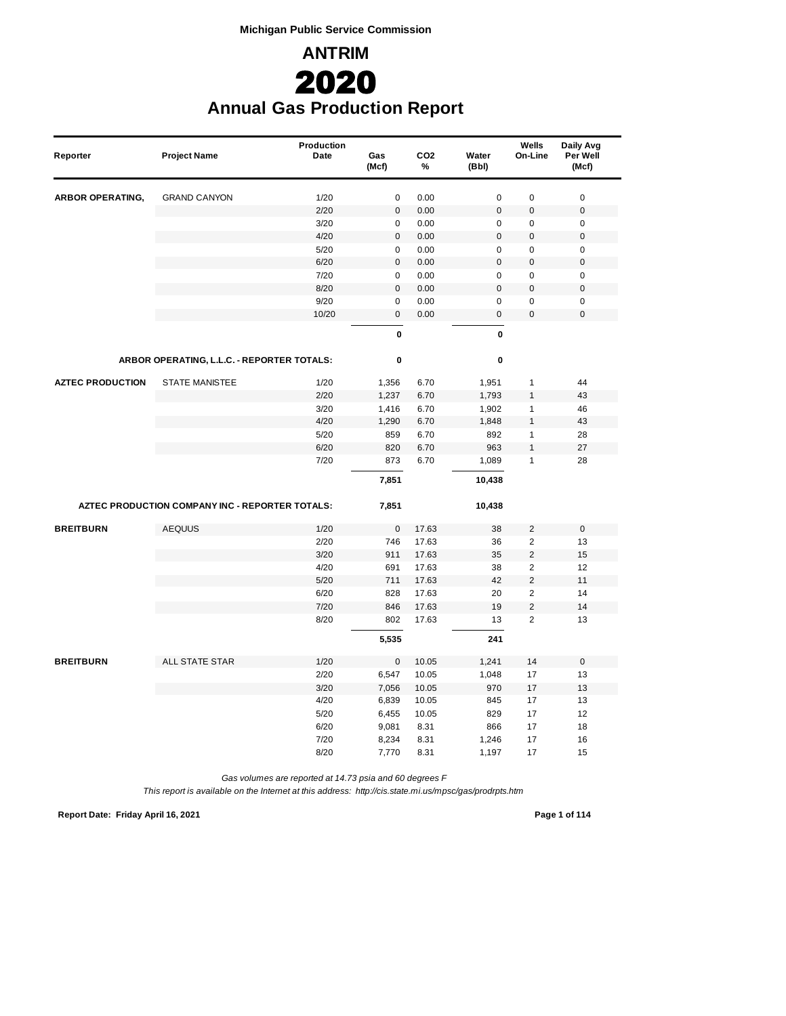**Michigan Public Service Commission**



## **Annual Gas Production Report**

| Reporter                | <b>Project Name</b>                             | Production<br>Date | Gas<br>(Mcf)             | CO <sub>2</sub><br>% | Water<br>(Bbl)           | Wells<br>On-Line             | Daily Avg<br>Per Well<br>(Mcf) |
|-------------------------|-------------------------------------------------|--------------------|--------------------------|----------------------|--------------------------|------------------------------|--------------------------------|
| <b>ARBOR OPERATING,</b> | <b>GRAND CANYON</b>                             | 1/20               | $\pmb{0}$                | 0.00                 | $\mathbf 0$              | $\pmb{0}$                    | $\mathbf 0$                    |
|                         |                                                 | 2/20               | $\pmb{0}$                | 0.00                 | $\mathbf 0$              | $\mathbf 0$                  | $\mathbf 0$                    |
|                         |                                                 | 3/20               | $\pmb{0}$                | 0.00                 | $\mathbf 0$              | $\pmb{0}$                    | $\pmb{0}$                      |
|                         |                                                 | 4/20               | $\pmb{0}$                | 0.00                 | $\mathbf{0}$             | $\pmb{0}$                    | $\mathbf 0$                    |
|                         |                                                 | 5/20               | $\pmb{0}$                | 0.00                 | $\mathsf 0$              | $\pmb{0}$                    | $\pmb{0}$                      |
|                         |                                                 | 6/20               | $\pmb{0}$                | 0.00                 | $\bf 0$                  | $\pmb{0}$                    | $\mathbf 0$                    |
|                         |                                                 | 7/20               | $\mathbf 0$              | 0.00                 | $\pmb{0}$                | $\mathbf 0$                  | $\pmb{0}$                      |
|                         |                                                 | 8/20               | $\pmb{0}$                | 0.00                 | $\overline{0}$           | $\pmb{0}$                    | $\mathbf 0$                    |
|                         |                                                 | 9/20<br>10/20      | $\mathbf 0$<br>$\pmb{0}$ | 0.00<br>0.00         | $\mathbf 0$<br>$\pmb{0}$ | $\pmb{0}$<br>$\pmb{0}$       | $\pmb{0}$<br>$\mathbf 0$       |
|                         |                                                 |                    | 0                        |                      | $\pmb{0}$                |                              |                                |
|                         | ARBOR OPERATING, L.L.C. - REPORTER TOTALS:      |                    | 0                        |                      | $\mathbf 0$              |                              |                                |
| <b>AZTEC PRODUCTION</b> | <b>STATE MANISTEE</b>                           | 1/20               | 1,356                    | 6.70                 | 1,951                    | $\mathbf{1}$                 | 44                             |
|                         |                                                 | 2/20               | 1,237                    | 6.70                 | 1,793                    | $\mathbf{1}$                 | 43                             |
|                         |                                                 | 3/20               | 1,416                    | 6.70                 | 1,902                    | $\mathbf{1}$                 | 46                             |
|                         |                                                 | 4/20               | 1,290                    | 6.70                 | 1,848                    | $\mathbf{1}$                 | 43                             |
|                         |                                                 | 5/20               | 859                      | 6.70                 | 892                      | $\mathbf{1}$                 | 28                             |
|                         |                                                 | 6/20               | 820                      | 6.70                 | 963                      | $\mathbf{1}$                 | 27                             |
|                         |                                                 | 7/20               | 873                      | 6.70                 | 1,089                    | $\mathbf{1}$                 | 28                             |
|                         |                                                 |                    | 7,851                    |                      | 10,438                   |                              |                                |
|                         | AZTEC PRODUCTION COMPANY INC - REPORTER TOTALS: |                    | 7,851                    |                      | 10,438                   |                              |                                |
| <b>BREITBURN</b>        | <b>AEQUUS</b>                                   | 1/20               | $\pmb{0}$                | 17.63                | 38                       | 2                            | $\mathsf 0$                    |
|                         |                                                 | 2/20               | 746                      | 17.63                | 36                       | $\overline{2}$               | 13                             |
|                         |                                                 | 3/20               | 911                      | 17.63                | 35                       | $\overline{2}$               | 15                             |
|                         |                                                 | 4/20               | 691                      | 17.63                | 38                       | $\overline{2}$               | 12                             |
|                         |                                                 | 5/20               | 711                      | 17.63                | 42                       | $\overline{2}$               | 11                             |
|                         |                                                 | 6/20               | 828                      | 17.63                | 20                       | $\overline{2}$               | 14                             |
|                         |                                                 | 7/20<br>8/20       | 846<br>802               | 17.63<br>17.63       | 19<br>13                 | $\sqrt{2}$<br>$\overline{2}$ | 14<br>13                       |
|                         |                                                 |                    | 5,535                    |                      | 241                      |                              |                                |
|                         |                                                 |                    |                          |                      |                          |                              |                                |
| <b>BREITBURN</b>        | <b>ALL STATE STAR</b>                           | 1/20               | $\pmb{0}$                | 10.05                | 1,241                    | 14                           | $\mathbf 0$                    |
|                         |                                                 | 2/20<br>3/20       | 6,547                    | 10.05                | 1,048                    | 17                           | 13                             |
|                         |                                                 | 4/20               | 7,056<br>6,839           | 10.05<br>10.05       | 970<br>845               | 17<br>17                     | 13<br>13                       |
|                         |                                                 | 5/20               | 6,455                    | 10.05                | 829                      | 17                           | 12                             |
|                         |                                                 | 6/20               | 9,081                    | 8.31                 | 866                      | 17                           | 18                             |
|                         |                                                 | 7/20               | 8,234                    | 8.31                 | 1,246                    | 17                           | 16                             |
|                         |                                                 | 8/20               | 7,770                    | 8.31                 | 1,197                    | 17                           | 15                             |
|                         |                                                 |                    |                          |                      |                          |                              |                                |

*Gas volumes are reported at 14.73 psia and 60 degrees F*

*This report is available on the Internet at this address: http://cis.state.mi.us/mpsc/gas/prodrpts.htm*

**Report Date: Friday April 16, 2021 Page 1 of 114**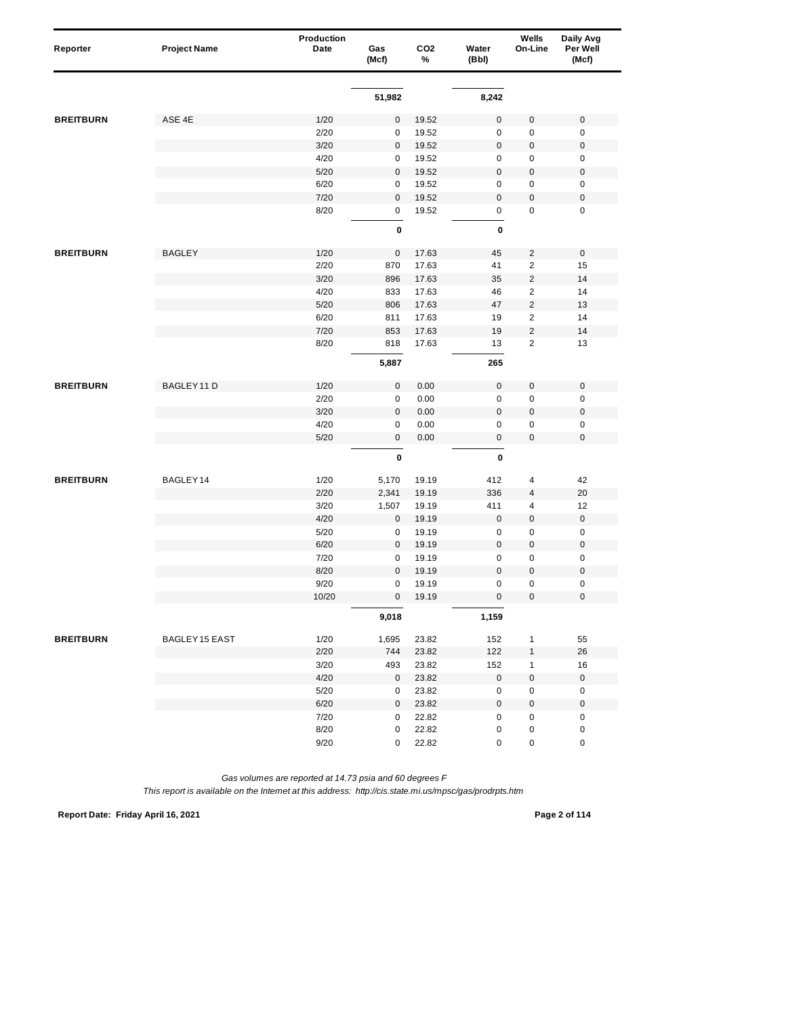| Reporter         | <b>Project Name</b> | Production<br>Date | Gas<br>(Mcf) | CO <sub>2</sub><br>% | Water<br>(Bbl)      | Wells<br>On-Line        | Daily Avg<br>Per Well<br>(Mcf) |
|------------------|---------------------|--------------------|--------------|----------------------|---------------------|-------------------------|--------------------------------|
|                  |                     |                    |              |                      |                     |                         |                                |
|                  |                     |                    | 51,982       |                      | 8,242               |                         |                                |
| <b>BREITBURN</b> | ASE 4E              | 1/20               | $\pmb{0}$    | 19.52                | $\mathsf 0$         | $\pmb{0}$               | $\mathbf 0$                    |
|                  |                     | 2/20               | 0            | 19.52                | $\mathsf 0$         | $\pmb{0}$               | $\mathbf 0$                    |
|                  |                     | 3/20               | $\pmb{0}$    | 19.52                | $\mathbf 0$         | $\pmb{0}$               | $\pmb{0}$                      |
|                  |                     | 4/20               | 0            | 19.52                | 0                   | 0                       | $\pmb{0}$                      |
|                  |                     | 5/20               | 0            | 19.52                | $\mathbf 0$         | 0                       | $\pmb{0}$                      |
|                  |                     | 6/20               | 0            | 19.52                | 0                   | $\mathbf 0$             | $\pmb{0}$                      |
|                  |                     | 7/20               | $\pmb{0}$    | 19.52                | $\mathsf 0$         | $\mathbf 0$             | $\pmb{0}$                      |
|                  |                     | 8/20               | $\pmb{0}$    | 19.52                | 0                   | 0                       | $\pmb{0}$                      |
|                  |                     |                    | $\pmb{0}$    |                      | 0                   |                         |                                |
| <b>BREITBURN</b> | <b>BAGLEY</b>       | 1/20               | $\pmb{0}$    | 17.63                | 45                  | $\overline{c}$          | $\pmb{0}$                      |
|                  |                     | 2/20               | 870          | 17.63                | 41                  | 2                       | 15                             |
|                  |                     | 3/20               | 896          | 17.63                | 35                  | $\overline{c}$          | 14                             |
|                  |                     | 4/20               | 833          | 17.63                | 46                  | $\overline{\mathbf{c}}$ | 14                             |
|                  |                     | 5/20               | 806          | 17.63                | 47                  | $\overline{c}$          | 13                             |
|                  |                     | 6/20               | 811          | 17.63                | 19                  | $\overline{2}$          | 14                             |
|                  |                     | 7/20               | 853          | 17.63                | 19                  | $\overline{c}$          | 14                             |
|                  |                     | 8/20               | 818          | 17.63                | 13                  | $\overline{2}$          | 13                             |
|                  |                     |                    | 5,887        |                      | 265                 |                         |                                |
| <b>BREITBURN</b> | BAGLEY 11 D         | 1/20               | $\pmb{0}$    | 0.00                 | $\mathsf 0$         | $\pmb{0}$               | $\pmb{0}$                      |
|                  |                     | 2/20               | $\pmb{0}$    | 0.00                 | $\mathsf 0$         | 0                       | $\pmb{0}$                      |
|                  |                     | 3/20               | $\pmb{0}$    | 0.00                 | $\mathsf 0$         | 0                       | $\pmb{0}$                      |
|                  |                     | 4/20               | 0            | 0.00                 | 0                   | $\pmb{0}$               | 0                              |
|                  |                     | 5/20               | $\pmb{0}$    | 0.00                 | 0                   | 0                       | $\pmb{0}$                      |
|                  |                     |                    | 0            |                      | 0                   |                         |                                |
| <b>BREITBURN</b> | BAGLEY14            | 1/20               | 5,170        | 19.19                | 412                 | 4                       | 42                             |
|                  |                     | 2/20               | 2,341        | 19.19                | 336                 | 4                       | 20                             |
|                  |                     | 3/20               | 1,507        | 19.19                | 411                 | 4                       | 12                             |
|                  |                     | 4/20               | 0            | 19.19                | 0                   | $\boldsymbol{0}$        | $\pmb{0}$                      |
|                  |                     | 5/20               | 0            | 19.19                | 0                   | $\pmb{0}$               | $\pmb{0}$                      |
|                  |                     | 6/20               | $\pmb{0}$    | 19.19                | $\mathsf 0$         | $\pmb{0}$               | $\pmb{0}$                      |
|                  |                     | 7/20               | 0            | 19.19                | 0                   | $\pmb{0}$               | $\pmb{0}$                      |
|                  |                     | 8/20               | 0            | 19.19                | $\mathsf 0$         | 0                       | $\pmb{0}$                      |
|                  |                     | 9/20               | $\pmb{0}$    | 19.19                | $\mathsf 0$         | 0                       | $\pmb{0}$                      |
|                  |                     | 10/20              | 0            | 19.19                | $\pmb{0}$           | 0                       | $\mathbf 0$                    |
|                  |                     |                    | 9,018        |                      | 1,159               |                         |                                |
| <b>BREITBURN</b> | BAGLEY 15 EAST      | 1/20               | 1,695        | 23.82                | 152                 | $\mathbf{1}$            | 55                             |
|                  |                     | 2/20               | 744          | 23.82                | 122                 | 1                       | 26                             |
|                  |                     | 3/20               | 493          | 23.82                | 152                 | 1                       | 16                             |
|                  |                     | 4/20               | 0            | 23.82                | $\mathbf 0$         | 0                       | $\mathsf{O}\xspace$            |
|                  |                     | 5/20               | 0            | 23.82                | $\mathbf 0$         | $\pmb{0}$               | $\pmb{0}$                      |
|                  |                     | 6/20               | 0            | 23.82                | $\mathsf{O}\xspace$ | $\pmb{0}$               | $\pmb{0}$                      |
|                  |                     | 7/20               | 0            | 22.82                | 0                   | $\pmb{0}$               | $\pmb{0}$                      |
|                  |                     | 8/20               | 0            | 22.82                | 0                   | 0                       | $\pmb{0}$                      |
|                  |                     | 9/20               | $\mathbf 0$  | 22.82                | 0                   | 0                       | $\pmb{0}$                      |

*This report is available on the Internet at this address: http://cis.state.mi.us/mpsc/gas/prodrpts.htm*

**Report Date: Friday April 16, 2021 Page 2 of 114**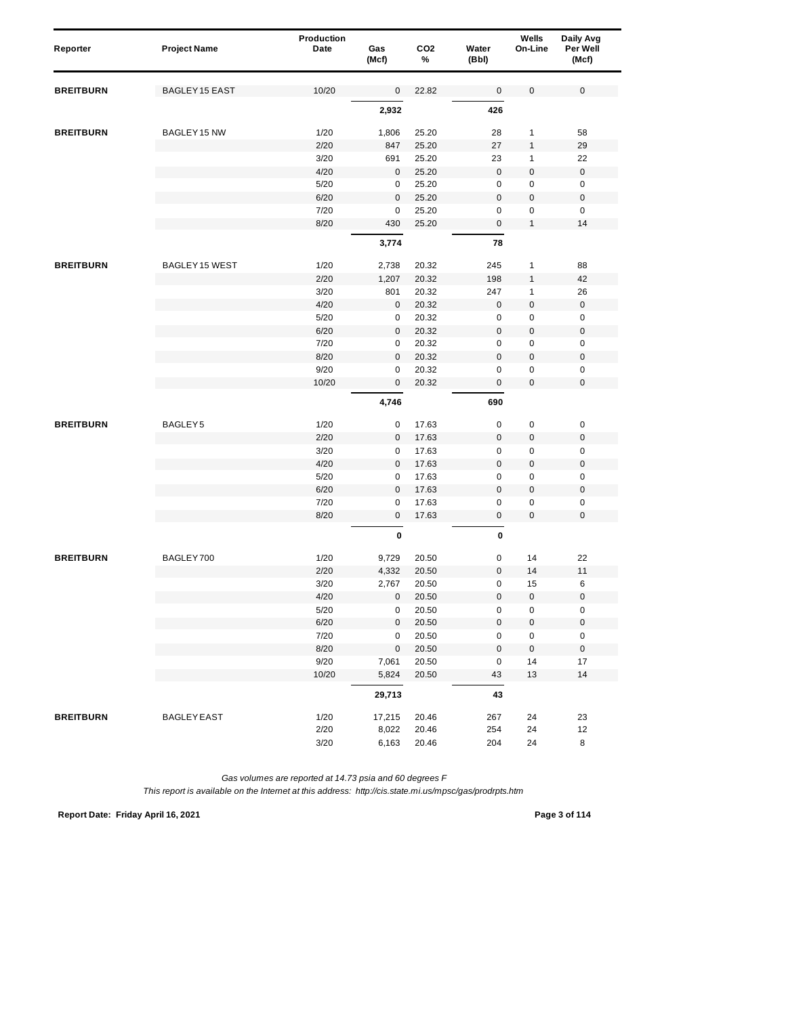| Reporter         | <b>Project Name</b>   | Production<br>Date | Gas<br>(Mcf) | CO <sub>2</sub><br>% | Water<br>(Bbl)      | Wells<br>On-Line | Daily Avg<br>Per Well<br>(Mcf) |  |
|------------------|-----------------------|--------------------|--------------|----------------------|---------------------|------------------|--------------------------------|--|
| <b>BREITBURN</b> | <b>BAGLEY 15 EAST</b> | 10/20              | 0            | 22.82                | 0                   | $\mathsf 0$      | $\pmb{0}$                      |  |
|                  |                       |                    | 2,932        |                      | 426                 |                  |                                |  |
| <b>BREITBURN</b> | BAGLEY 15 NW          | 1/20               | 1,806        | 25.20                | 28                  | 1                | 58                             |  |
|                  |                       | 2/20               | 847          | 25.20                | 27                  | $\mathbf{1}$     | 29                             |  |
|                  |                       | 3/20               | 691          | 25.20                | 23                  | 1                | 22                             |  |
|                  |                       | 4/20               | 0            | 25.20                | $\mathsf 0$         | $\pmb{0}$        | $\pmb{0}$                      |  |
|                  |                       | 5/20               | 0            | 25.20                | $\pmb{0}$           | $\mathbf 0$      | 0                              |  |
|                  |                       | 6/20               | $\pmb{0}$    | 25.20                | $\bf 0$             | 0                | $\mathbf 0$                    |  |
|                  |                       | 7/20               | 0            | 25.20                | 0                   | 0                | 0                              |  |
|                  |                       | 8/20               | 430          | 25.20                | 0                   | $\mathbf{1}$     | 14                             |  |
|                  |                       |                    | 3,774        |                      | 78                  |                  |                                |  |
| <b>BREITBURN</b> | BAGLEY 15 WEST        | 1/20               | 2,738        | 20.32                | 245                 | 1                | 88                             |  |
|                  |                       | 2/20               | 1,207        | 20.32                | 198                 | 1                | 42                             |  |
|                  |                       | 3/20               | 801          | 20.32                | 247                 | 1                | 26                             |  |
|                  |                       | 4/20               | 0            | 20.32                | $\pmb{0}$           | $\boldsymbol{0}$ | $\mathbf 0$                    |  |
|                  |                       | 5/20               | 0            | 20.32                | 0                   | $\pmb{0}$        | 0                              |  |
|                  |                       | 6/20               | 0            | 20.32                | $\mathsf 0$         | $\pmb{0}$        | $\pmb{0}$                      |  |
|                  |                       | 7/20               | 0            | 20.32                | 0                   | 0                | 0                              |  |
|                  |                       | 8/20               | 0            | 20.32                | $\mathsf 0$         | $\pmb{0}$        | $\boldsymbol{0}$               |  |
|                  |                       | 9/20               | 0            | 20.32                | $\mathsf 0$         | $\mathbf 0$      | $\pmb{0}$                      |  |
|                  |                       | 10/20              | 0            | 20.32                | 0                   | 0                | $\pmb{0}$                      |  |
|                  |                       |                    | 4,746        |                      | 690                 |                  |                                |  |
| <b>BREITBURN</b> | BAGLEY5               | 1/20               | 0            | 17.63                | $\pmb{0}$           | 0                | $\pmb{0}$                      |  |
|                  |                       | 2/20               | 0            | 17.63                | $\mathsf 0$         | $\pmb{0}$        | $\pmb{0}$                      |  |
|                  |                       | 3/20               | 0            | 17.63                | 0                   | 0                | 0                              |  |
|                  |                       | 4/20               | 0            | 17.63                | $\mathsf 0$         | $\pmb{0}$        | $\boldsymbol{0}$               |  |
|                  |                       | 5/20               | 0            | 17.63                | $\mathsf 0$         | $\mathbf 0$      | $\pmb{0}$                      |  |
|                  |                       | 6/20               | $\pmb{0}$    | 17.63                | $\pmb{0}$           | 0                | $\boldsymbol{0}$               |  |
|                  |                       | 7/20               | 0            | 17.63                | 0                   | $\pmb{0}$        | 0                              |  |
|                  |                       | 8/20               | $\pmb{0}$    | 17.63                | 0                   | 0                | $\mathbf 0$                    |  |
|                  |                       |                    | $\pmb{0}$    |                      | 0                   |                  |                                |  |
| <b>BREITBURN</b> | BAGLEY700             | 1/20               | 9,729        | 20.50                | 0                   | 14               | 22                             |  |
|                  |                       | 2/20               | 4,332        | 20.50                | $\mathbf 0$         | 14               | 11                             |  |
|                  |                       | 3/20               | 2,767        | 20.50                | 0                   | 15               | 6                              |  |
|                  |                       | 4/20               | $\mathbf{0}$ | 20.50                | $\pmb{0}$           | 0                | $\mathbf 0$                    |  |
|                  |                       | $5/20$             | 0            | 20.50                | $\pmb{0}$           | $\pmb{0}$        | $\pmb{0}$                      |  |
|                  |                       | 6/20               | $\mathsf 0$  | 20.50                | $\mathbf 0$         | $\pmb{0}$        | $\pmb{0}$                      |  |
|                  |                       | 7/20               | $\pmb{0}$    | 20.50                | 0                   | $\pmb{0}$        | 0                              |  |
|                  |                       | 8/20               | $\pmb{0}$    | 20.50                | $\mathsf{O}\xspace$ | $\pmb{0}$        | $\pmb{0}$                      |  |
|                  |                       | 9/20               | 7,061        | 20.50                | 0                   | 14               | 17                             |  |
|                  |                       | 10/20              | 5,824        | 20.50                | 43                  | 13               | 14                             |  |
|                  |                       |                    | 29,713       |                      | 43                  |                  |                                |  |
| <b>BREITBURN</b> | <b>BAGLEY EAST</b>    | 1/20               | 17,215       | 20.46                | 267                 | 24               | 23                             |  |
|                  |                       | 2/20               | 8,022        | 20.46                | 254                 | 24               | 12                             |  |
|                  |                       | 3/20               | 6,163        | 20.46                | 204                 | 24               | 8                              |  |

**Report Date: Friday April 16, 2021 Page 3 of 114**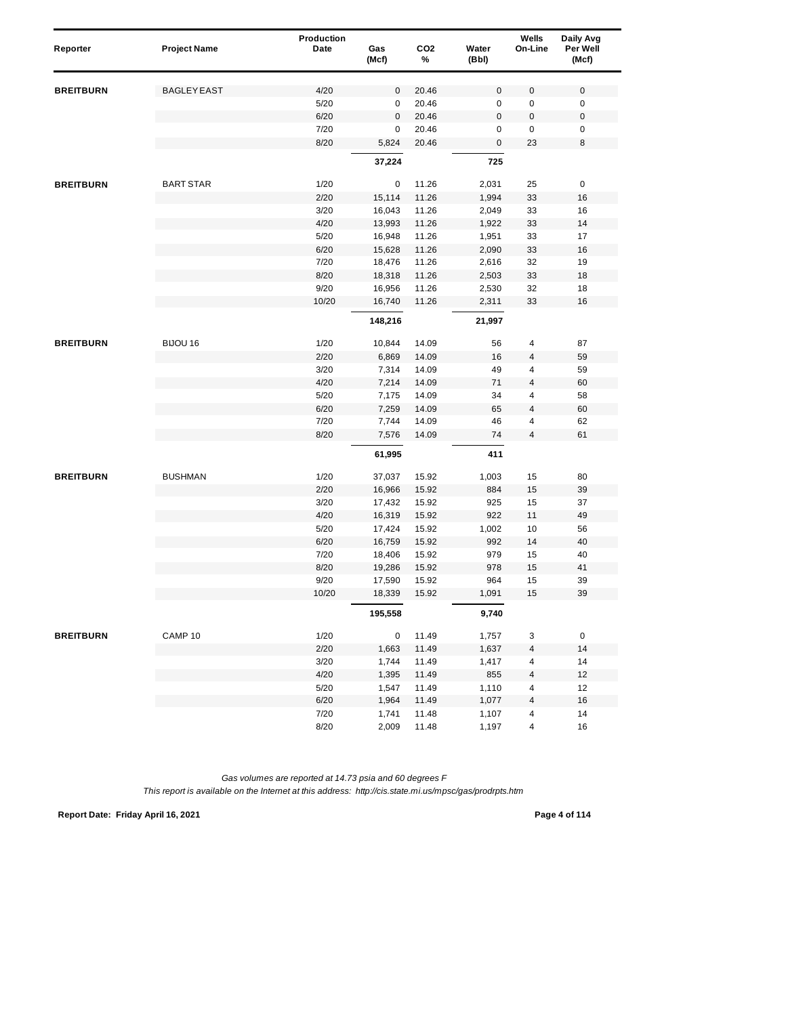| Reporter         | <b>Project Name</b> | Production<br>Date | Gas<br>(Mcf) | CO <sub>2</sub><br>% | Water<br>(Bbl) | Wells<br>On-Line | Daily Avg<br>Per Well<br>(Mcf) |
|------------------|---------------------|--------------------|--------------|----------------------|----------------|------------------|--------------------------------|
| <b>BREITBURN</b> | <b>BAGLEY EAST</b>  | 4/20               | 0            | 20.46                | $\mathsf 0$    | 0                | $\mathbf 0$                    |
|                  |                     | 5/20               | 0            | 20.46                | 0              | $\pmb{0}$        | 0                              |
|                  |                     | 6/20               | $\mathbf 0$  | 20.46                | $\mathbf 0$    | $\pmb{0}$        | $\pmb{0}$                      |
|                  |                     | 7/20               | 0            | 20.46                | 0              | 0                | $\pmb{0}$                      |
|                  |                     | 8/20               | 5,824        | 20.46                | $\mathsf 0$    | 23               | 8                              |
|                  |                     |                    | 37,224       |                      | 725            |                  |                                |
| <b>BREITBURN</b> | <b>BART STAR</b>    | 1/20               | 0            | 11.26                | 2,031          | 25               | $\pmb{0}$                      |
|                  |                     | 2/20               | 15,114       | 11.26                | 1,994          | 33               | 16                             |
|                  |                     | 3/20               | 16,043       | 11.26                | 2,049          | 33               | 16                             |
|                  |                     | 4/20               | 13,993       | 11.26                | 1,922          | 33               | 14                             |
|                  |                     | 5/20               | 16,948       | 11.26                | 1,951          | 33               | 17                             |
|                  |                     | 6/20               | 15,628       | 11.26                | 2,090          | 33               | 16                             |
|                  |                     | 7/20               | 18,476       | 11.26                | 2,616          | 32               | 19                             |
|                  |                     | 8/20               | 18,318       | 11.26                | 2,503          | 33               | 18                             |
|                  |                     | 9/20               | 16,956       | 11.26                | 2,530          | 32               | 18                             |
|                  |                     | 10/20              | 16,740       | 11.26                | 2,311          | 33               | 16                             |
|                  |                     |                    | 148,216      |                      | 21,997         |                  |                                |
| <b>BREITBURN</b> | BIJOU 16            | 1/20               | 10,844       | 14.09                | 56             | 4                | 87                             |
|                  |                     | 2/20               | 6,869        | 14.09                | 16             | 4                | 59                             |
|                  |                     | 3/20               | 7,314        | 14.09                | 49             | 4                | 59                             |
|                  |                     | 4/20               | 7,214        | 14.09                | 71             | 4                | 60                             |
|                  |                     | 5/20               | 7,175        | 14.09                | 34             | 4                | 58                             |
|                  |                     | 6/20               | 7,259        | 14.09                | 65             | 4                | 60                             |
|                  |                     | 7/20               | 7,744        | 14.09                | 46             | 4                | 62                             |
|                  |                     | 8/20               | 7,576        | 14.09                | 74             | 4                | 61                             |
|                  |                     |                    | 61,995       |                      | 411            |                  |                                |
| <b>BREITBURN</b> | <b>BUSHMAN</b>      | 1/20               | 37,037       | 15.92                | 1,003          | 15               | 80                             |
|                  |                     | 2/20               | 16,966       | 15.92                | 884            | 15               | 39                             |
|                  |                     | 3/20               | 17,432       | 15.92                | 925            | 15               | 37                             |
|                  |                     | 4/20               | 16,319       | 15.92                | 922            | 11               | 49                             |
|                  |                     | 5/20               | 17,424       | 15.92                | 1,002          | 10               | 56                             |
|                  |                     | 6/20               | 16,759       | 15.92                | 992            | 14               | 40                             |
|                  |                     | 7/20               | 18,406       | 15.92                | 979            | 15               | 40                             |
|                  |                     | 8/20               | 19,286       | 15.92                | 978            | 15               | 41                             |
|                  |                     | 9/20               | 17,590       | 15.92                | 964            | 15               | 39                             |
|                  |                     | 10/20              | 18,339       | 15.92                | 1,091          | 15               | 39                             |
|                  |                     |                    | 195,558      |                      | 9,740          |                  |                                |
| <b>BREITBURN</b> | CAMP <sub>10</sub>  | 1/20               | $\mathbf 0$  | 11.49                | 1,757          | 3                | 0                              |
|                  |                     | 2/20               | 1,663        | 11.49                | 1,637          | 4                | 14                             |
|                  |                     | 3/20               | 1,744        | 11.49                | 1,417          | 4                | 14                             |
|                  |                     | 4/20               | 1,395        | 11.49                | 855            | 4                | 12                             |
|                  |                     | 5/20               | 1,547        | 11.49                | 1,110          | 4                | 12                             |
|                  |                     | 6/20               | 1,964        | 11.49                | 1,077          | 4                | 16                             |
|                  |                     | 7/20               | 1,741        | 11.48                | 1,107          | 4                | 14                             |
|                  |                     | 8/20               | 2,009        | 11.48                | 1,197          | 4                | 16                             |

**Report Date: Friday April 16, 2021 Page 4 of 114**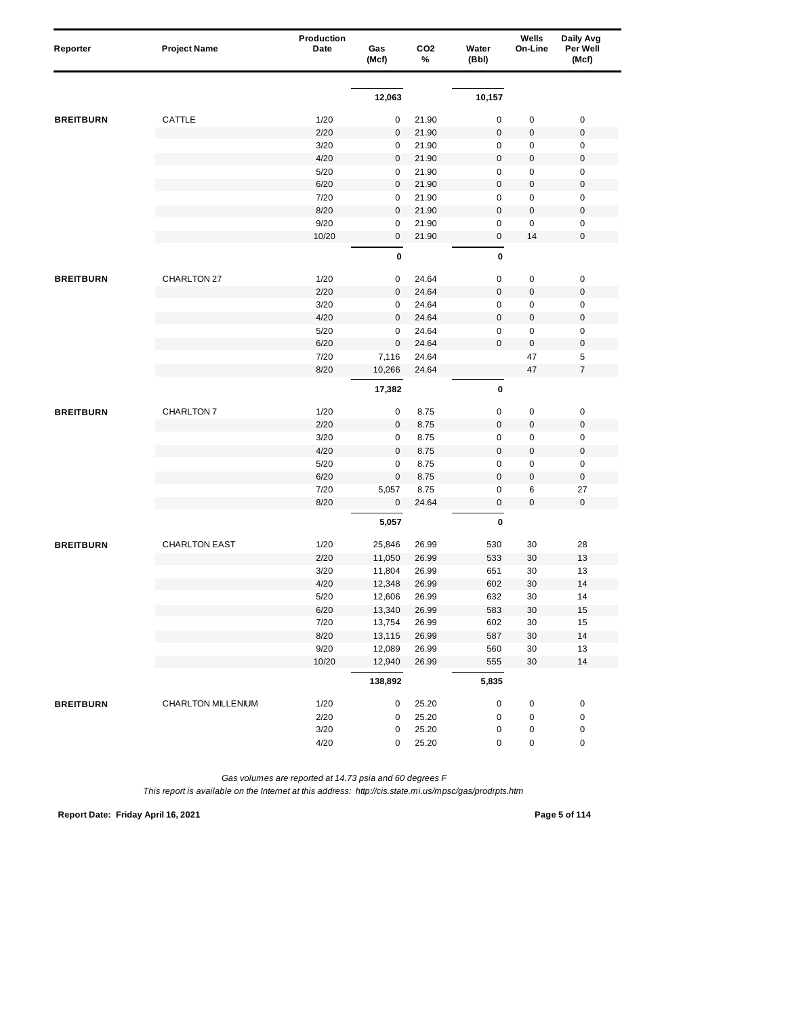| Reporter         | <b>Project Name</b>  | Production<br>Date | Gas<br>(Mcf)     | CO <sub>2</sub><br>% | Water<br>(Bbl) | Wells<br>On-Line | Daily Avg<br>Per Well<br>(Mcf) |
|------------------|----------------------|--------------------|------------------|----------------------|----------------|------------------|--------------------------------|
|                  |                      |                    |                  |                      |                |                  |                                |
|                  |                      |                    | 12,063           |                      | 10,157         |                  |                                |
| <b>BREITBURN</b> | CATTLE               | 1/20               | 0                | 21.90                | $\pmb{0}$      | 0                | $\pmb{0}$                      |
|                  |                      | 2/20               | $\mathbf 0$      | 21.90                | $\pmb{0}$      | $\pmb{0}$        | $\pmb{0}$                      |
|                  |                      | 3/20               | 0                | 21.90                | $\mathbf 0$    | 0                | $\pmb{0}$                      |
|                  |                      | 4/20               | $\mathbf 0$      | 21.90                | $\mathbf 0$    | $\pmb{0}$        | $\mathbf 0$                    |
|                  |                      | 5/20               | 0                | 21.90                | $\pmb{0}$      | $\pmb{0}$        | $\pmb{0}$                      |
|                  |                      | 6/20               | $\mathbf{0}$     | 21.90                | $\mathbf 0$    | $\pmb{0}$        | $\mathbf 0$                    |
|                  |                      | 7/20               | $\pmb{0}$        | 21.90                | $\mathbf 0$    | 0                | $\mathbf 0$                    |
|                  |                      | 8/20               | $\mathbf 0$      | 21.90                | $\mathbf 0$    | $\pmb{0}$        | $\mathbf 0$                    |
|                  |                      | 9/20               | 0                | 21.90                | $\pmb{0}$      | $\pmb{0}$        | $\pmb{0}$                      |
|                  |                      | 10/20              | $\mathbf 0$      | 21.90                | $\bf 0$        | 14               | $\mathbf 0$                    |
|                  |                      |                    | 0                |                      | 0              |                  |                                |
| <b>BREITBURN</b> | CHARLTON 27          | 1/20               | 0                | 24.64                | $\pmb{0}$      | 0                | $\pmb{0}$                      |
|                  |                      | 2/20               | $\mathbf 0$      | 24.64                | $\mathbf 0$    | 0                | $\pmb{0}$                      |
|                  |                      | 3/20               | 0                | 24.64                | $\mathsf 0$    | $\pmb{0}$        | $\pmb{0}$                      |
|                  |                      | 4/20               | $\mathbf 0$      | 24.64                | $\pmb{0}$      | $\pmb{0}$        | $\mathbf 0$                    |
|                  |                      | 5/20               | 0                | 24.64                | $\mathbf 0$    | $\pmb{0}$        | $\mathbf 0$                    |
|                  |                      | 6/20               | $\mathbf 0$      | 24.64                | $\mathbf 0$    | $\pmb{0}$        | $\pmb{0}$                      |
|                  |                      | 7/20               | 7,116            | 24.64                |                | 47               | 5                              |
|                  |                      | 8/20               | 10,266           | 24.64                |                | 47               | $\overline{7}$                 |
|                  |                      |                    | 17,382           |                      | $\pmb{0}$      |                  |                                |
|                  | CHARLTON 7           | 1/20               | 0                | 8.75                 | $\pmb{0}$      | $\pmb{0}$        | $\pmb{0}$                      |
|                  |                      | 2/20               | $\mathbf 0$      | 8.75                 | $\pmb{0}$      | $\pmb{0}$        | $\pmb{0}$                      |
| <b>BREITBURN</b> |                      | 3/20               | 0                | 8.75                 | $\mathbf 0$    | 0                | $\mathbf 0$                    |
|                  |                      | 4/20               | $\mathbf 0$      | 8.75                 | $\mathbf 0$    | $\pmb{0}$        | $\mathbf 0$                    |
|                  |                      | 5/20               | 0                | 8.75                 | $\pmb{0}$      | $\pmb{0}$        | $\pmb{0}$                      |
|                  |                      | 6/20               | $\mathbf{0}$     | 8.75                 | $\mathbf 0$    | $\pmb{0}$        | $\pmb{0}$                      |
|                  |                      | 7/20               | 5,057            | 8.75                 | $\mathbf 0$    | 6                | 27                             |
|                  |                      | 8/20               | 0                | 24.64                | $\mathbf 0$    | 0                | $\pmb{0}$                      |
|                  |                      |                    |                  |                      |                |                  |                                |
|                  |                      |                    | 5,057            |                      | $\pmb{0}$      |                  |                                |
| <b>BREITBURN</b> | <b>CHARLTON EAST</b> | 1/20               | 25,846           | 26.99                | 530            | 30               | 28                             |
|                  |                      | 2/20               | 11,050           | 26.99                | 533            | 30               | 13                             |
|                  |                      | 3/20               | 11,804           | 26.99                | 651            | 30               | 13                             |
|                  |                      | 4/20               | 12,348           | 26.99                | 602            | 30               | 14                             |
|                  |                      | 5/20               | 12,606           | 26.99                | 632            | 30               | 14                             |
|                  |                      | 6/20               | 13,340           | 26.99                | 583            | $30\,$           | 15                             |
|                  |                      | 7/20               | 13,754           | 26.99                | 602            | 30               | 15                             |
|                  |                      | 8/20               | 13,115           | 26.99                | 587            | $30\,$           | $14$                           |
|                  |                      | 9/20<br>10/20      | 12,089<br>12,940 | 26.99                | 560<br>555     | $30\,$<br>$30\,$ | 13<br>$14$                     |
|                  |                      |                    | 138,892          | 26.99                | 5,835          |                  |                                |
|                  |                      |                    |                  |                      |                |                  |                                |
| <b>BREITBURN</b> | CHARLTON MILLENIUM   | 1/20               | 0                | 25.20                | $\pmb{0}$      | 0                | $\pmb{0}$                      |
|                  |                      | 2/20               | 0                | 25.20                | $\pmb{0}$      | 0                | $\pmb{0}$                      |
|                  |                      | 3/20               | 0                | 25.20                | 0              | 0                | 0                              |
|                  |                      | 4/20               | 0                | 25.20                | 0              | 0                | $\pmb{0}$                      |

**Report Date: Friday April 16, 2021 Page 5 of 114**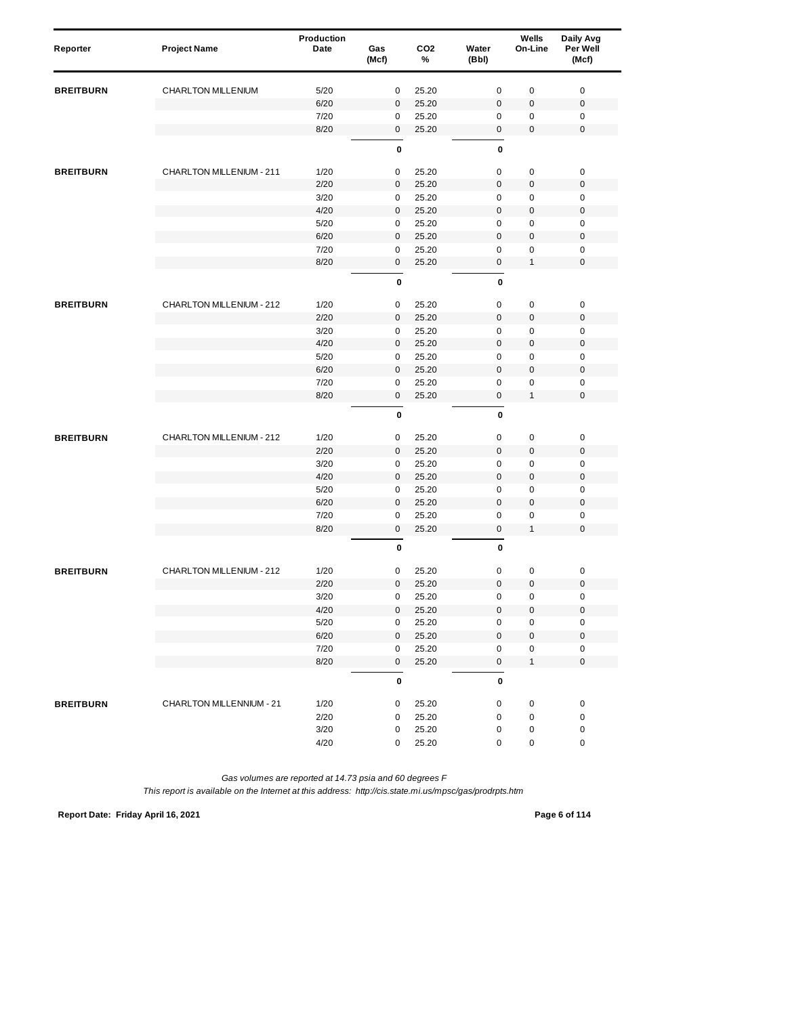| Reporter         | <b>Project Name</b>      | Production<br>Date | Gas<br>(Mcf)     | CO <sub>2</sub><br>% | Water<br>(Bbl)           | Wells<br>On-Line  | Daily Avg<br>Per Well<br>(Mcf) |
|------------------|--------------------------|--------------------|------------------|----------------------|--------------------------|-------------------|--------------------------------|
| <b>BREITBURN</b> | CHARLTON MILLENIUM       | 5/20               | 0                | 25.20                | $\mathbf 0$              | $\pmb{0}$         | $\pmb{0}$                      |
|                  |                          | 6/20               | $\mathbf 0$      | 25.20                | $\mathbf 0$              | $\pmb{0}$         | $\mathbf 0$                    |
|                  |                          | 7/20               | 0                | 25.20                | 0                        | $\pmb{0}$         | 0                              |
|                  |                          | 8/20               | $\mathbf 0$      | 25.20                | $\mathbf 0$              | 0                 | $\mathbf 0$                    |
|                  |                          |                    | 0                |                      | 0                        |                   |                                |
| <b>BREITBURN</b> | CHARLTON MILLENIUM - 211 | 1/20               | 0                | 25.20                | 0                        | 0                 | 0                              |
|                  |                          | 2/20               | $\mathbf{0}$     | 25.20                | $\boldsymbol{0}$         | $\pmb{0}$         | $\mathbf 0$                    |
|                  |                          | 3/20               | 0                | 25.20                | $\mathbf 0$              | 0                 | $\mathbf 0$                    |
|                  |                          | 4/20               | $\mathbf 0$      | 25.20                | $\mathbf 0$              | $\pmb{0}$         | $\mathbf 0$                    |
|                  |                          | 5/20               | 0                | 25.20                | $\mathbf 0$              | 0                 | $\mathbf 0$                    |
|                  |                          | 6/20               | $\mathbf{0}$     | 25.20                | $\overline{0}$           | $\pmb{0}$         | $\mathbf 0$                    |
|                  |                          | 7/20               | $\mathbf 0$      | 25.20                | $\mathbf 0$              | 0                 | $\mathbf 0$                    |
|                  |                          | 8/20               | $\mathbf 0$      | 25.20                | 0                        | $\mathbf{1}$      | $\mathbf 0$                    |
|                  |                          |                    | 0                |                      | $\pmb{0}$                |                   |                                |
| <b>BREITBURN</b> | CHARLTON MILLENIUM - 212 | 1/20               | 0                | 25.20                | $\mathbf 0$              | $\pmb{0}$         | $\pmb{0}$                      |
|                  |                          | 2/20               | $\mathbf 0$      | 25.20                | $\pmb{0}$                | 0                 | $\pmb{0}$                      |
|                  |                          | 3/20               | $\mathbf 0$      | 25.20                | $\mathbf 0$              | $\pmb{0}$         | $\mathbf 0$                    |
|                  |                          | 4/20               | $\mathbf 0$      | 25.20                | $\mathbf 0$              | $\pmb{0}$         | $\mathbf 0$                    |
|                  |                          | 5/20               | 0                | 25.20                | 0                        | 0                 | $\mathbf 0$                    |
|                  |                          | 6/20               | $\mathbf{0}$     | 25.20                | $\mathbf 0$              | 0                 | $\mathbf 0$                    |
|                  |                          | 7/20               | 0                | 25.20                | $\mathbf 0$              | 0                 | $\mathbf 0$                    |
|                  |                          | 8/20               | $\mathbf 0$      | 25.20                | $\mathbf 0$              | $\mathbf{1}$      | $\mathbf 0$                    |
|                  |                          |                    | $\pmb{0}$        |                      | $\mathbf 0$              |                   |                                |
| <b>BREITBURN</b> | CHARLTON MILLENIUM - 212 | 1/20               | 0                | 25.20                | $\mathbf 0$              | $\pmb{0}$         | $\pmb{0}$                      |
|                  |                          | 2/20               | $\mathbf 0$      | 25.20                | $\overline{0}$           | $\pmb{0}$         | $\pmb{0}$                      |
|                  |                          | 3/20               | 0                | 25.20                | 0                        | $\pmb{0}$         | $\mathbf 0$                    |
|                  |                          | 4/20               | $\mathbf 0$      | 25.20                | $\mathbf 0$              | $\pmb{0}$         | $\mathbf 0$                    |
|                  |                          | 5/20               | $\pmb{0}$        | 25.20                | $\mathbf 0$              | 0                 | $\mathbf 0$                    |
|                  |                          | 6/20               | $\mathbf 0$      | 25.20                | $\pmb{0}$                | 0                 | $\boldsymbol{0}$               |
|                  |                          | 7/20               | $\mathbf 0$      | 25.20                | $\mathbf 0$              | 0                 | $\mathbf 0$                    |
|                  |                          | 8/20               | $\mathbf 0$      | 25.20                | $\bf 0$                  | $\mathbf{1}$      | $\mathbf 0$                    |
|                  |                          |                    | 0                |                      | $\mathbf{0}$             |                   |                                |
| <b>BREITBURN</b> | CHARLTON MILLENIUM - 212 | 1/20               | $\mathbf 0$      | 25.20                | 0                        | 0                 | $\pmb{0}$                      |
|                  |                          | 2/20               | 0                | 25.20                | $\mathbf 0$              | 0                 | $\mathbf 0$                    |
|                  |                          | 3/20               | 0                | 25.20                | 0                        | 0                 | $\mathbf 0$                    |
|                  |                          | 4/20               | $\mathbf 0$      | 25.20                | $\pmb{0}$                | $\pmb{0}$         | $\pmb{0}$                      |
|                  |                          | 5/20               | 0                | 25.20                | $\pmb{0}$                | 0                 | 0                              |
|                  |                          | 6/20               | $\mathbf 0$      | 25.20                | $\pmb{0}$                | $\pmb{0}$         | $\pmb{0}$                      |
|                  |                          | 7/20<br>8/20       | 0                | 25.20                | $\pmb{0}$<br>$\mathsf 0$ | 0<br>$\mathbf{1}$ | $\pmb{0}$<br>$\mathbf 0$       |
|                  |                          |                    | $\mathbf 0$<br>0 | 25.20                | $\pmb{0}$                |                   |                                |
| <b>BREITBURN</b> | CHARLTON MILLENNIUM - 21 | 1/20               | 0                | 25.20                | $\pmb{0}$                | 0                 | $\pmb{0}$                      |
|                  |                          | 2/20               | 0                | 25.20                | 0                        | 0                 | $\pmb{0}$                      |
|                  |                          | $3/20$             | 0                | 25.20                | 0                        | 0                 | $\pmb{0}$                      |
|                  |                          | 4/20               | 0                | 25.20                | 0                        | 0                 | $\pmb{0}$                      |
|                  |                          |                    |                  |                      |                          |                   |                                |

**Report Date: Friday April 16, 2021 Page 6 of 114**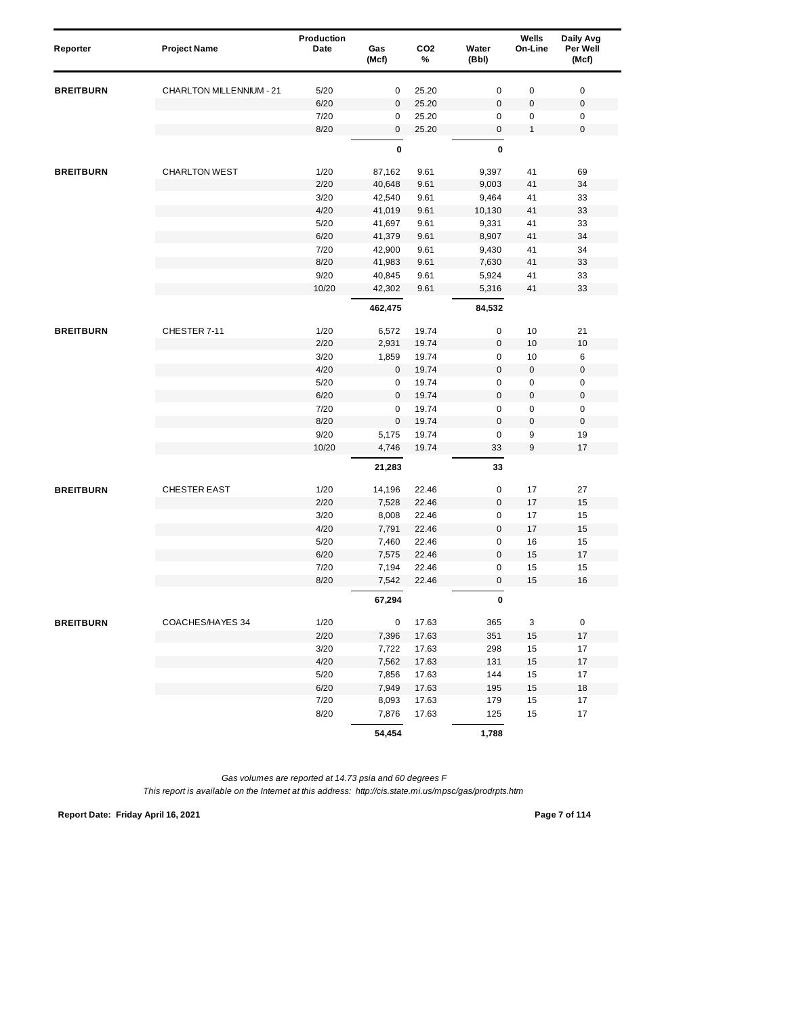| Reporter         | <b>Project Name</b>             | Production<br>Date | Gas<br>(Mcf) | CO <sub>2</sub><br>% | Water<br>(Bbl) | Wells<br>On-Line | Daily Avg<br>Per Well<br>(Mcf) |
|------------------|---------------------------------|--------------------|--------------|----------------------|----------------|------------------|--------------------------------|
| <b>BREITBURN</b> | <b>CHARLTON MILLENNIUM - 21</b> | 5/20               | 0            | 25.20                | $\mathbf 0$    | 0                | $\pmb{0}$                      |
|                  |                                 | 6/20               | 0            | 25.20                | $\bf 0$        | 0                | $\pmb{0}$                      |
|                  |                                 | 7/20               | 0            | 25.20                | 0              | 0                | 0                              |
|                  |                                 | 8/20               | 0            | 25.20                | $\mathbf 0$    | $\mathbf{1}$     | $\pmb{0}$                      |
|                  |                                 |                    | 0            |                      | $\pmb{0}$      |                  |                                |
| <b>BREITBURN</b> | <b>CHARLTON WEST</b>            | 1/20               | 87,162       | 9.61                 | 9,397          | 41               | 69                             |
|                  |                                 | 2/20               | 40,648       | 9.61                 | 9,003          | 41               | 34                             |
|                  |                                 | 3/20               | 42,540       | 9.61                 | 9,464          | 41               | 33                             |
|                  |                                 | 4/20               | 41,019       | 9.61                 | 10,130         | 41               | 33                             |
|                  |                                 | 5/20               | 41,697       | 9.61                 | 9,331          | 41               | 33                             |
|                  |                                 | 6/20               | 41,379       | 9.61                 | 8,907          | 41               | 34                             |
|                  |                                 | 7/20               | 42,900       | 9.61                 | 9,430          | 41               | 34                             |
|                  |                                 | 8/20               | 41,983       | 9.61                 | 7,630          | 41               | 33                             |
|                  |                                 | 9/20               | 40,845       | 9.61                 | 5,924          | 41               | 33                             |
|                  |                                 | 10/20              | 42,302       | 9.61                 | 5,316          | 41               | 33                             |
|                  |                                 |                    | 462,475      |                      | 84,532         |                  |                                |
| <b>BREITBURN</b> | CHESTER 7-11                    | 1/20               | 6,572        | 19.74                | 0              | 10               | 21                             |
|                  |                                 | 2/20               | 2,931        | 19.74                | $\mathbf 0$    | 10               | 10                             |
|                  |                                 | 3/20               | 1,859        | 19.74                | 0              | 10               | 6                              |
|                  |                                 | 4/20               | $\mathbf 0$  | 19.74                | $\mathbf 0$    | 0                | $\pmb{0}$                      |
|                  |                                 | 5/20               | 0            | 19.74                | $\mathsf 0$    | 0                | 0                              |
|                  |                                 | 6/20               | 0            | 19.74                | $\pmb{0}$      | 0                | $\pmb{0}$                      |
|                  |                                 | 7/20               | 0            | 19.74                | $\mathbf 0$    | 0                | $\pmb{0}$                      |
|                  |                                 | 8/20               | $\mathbf 0$  | 19.74                | $\mathbf 0$    | $\pmb{0}$        | $\pmb{0}$                      |
|                  |                                 | 9/20               | 5,175        | 19.74                | 0              | 9                | 19                             |
|                  |                                 | 10/20              | 4,746        | 19.74                | 33             | 9                | 17                             |
|                  |                                 |                    | 21,283       |                      | 33             |                  |                                |
| <b>BREITBURN</b> | <b>CHESTER EAST</b>             | 1/20               | 14,196       | 22.46                | $\pmb{0}$      | 17               | 27                             |
|                  |                                 | 2/20               | 7,528        | 22.46                | $\mathbf 0$    | 17               | 15                             |
|                  |                                 | 3/20               | 8,008        | 22.46                | $\pmb{0}$      | 17               | 15                             |
|                  |                                 | 4/20               | 7,791        | 22.46                | $\mathbf 0$    | 17               | 15                             |
|                  |                                 | 5/20               | 7,460        | 22.46                | 0              | 16               | 15                             |
|                  |                                 | 6/20               | 7,575        | 22.46                | $\mathsf 0$    | 15               | 17                             |
|                  |                                 | 7/20               | 7,194        | 22.46                | $\mathbf 0$    | 15               | 15                             |
|                  |                                 | 8/20               | 7,542        | 22.46                | $\pmb{0}$      | 15               | 16                             |
|                  |                                 |                    | 67,294       |                      | 0              |                  |                                |
| <b>BREITBURN</b> | COACHES/HAYES 34                | 1/20               | 0            | 17.63                | 365            | 3                | $\mathsf 0$                    |
|                  |                                 | 2/20               | 7,396        | 17.63                | 351            | 15               | $17$                           |
|                  |                                 | 3/20               | 7,722        | 17.63                | 298            | 15               | 17                             |
|                  |                                 | 4/20               | 7,562        | 17.63                | 131            | 15               | 17                             |
|                  |                                 | 5/20               | 7,856        | 17.63                | 144            | 15               | 17                             |
|                  |                                 | 6/20               | 7,949        | 17.63                | 195            | 15               | 18                             |
|                  |                                 | 7/20               | 8,093        | 17.63                | 179            | 15               | 17                             |
|                  |                                 | 8/20               | 7,876        | 17.63                | 125            | 15               | 17                             |
|                  |                                 |                    | 54,454       |                      | 1,788          |                  |                                |

**Report Date: Friday April 16, 2021 Page 7 of 114**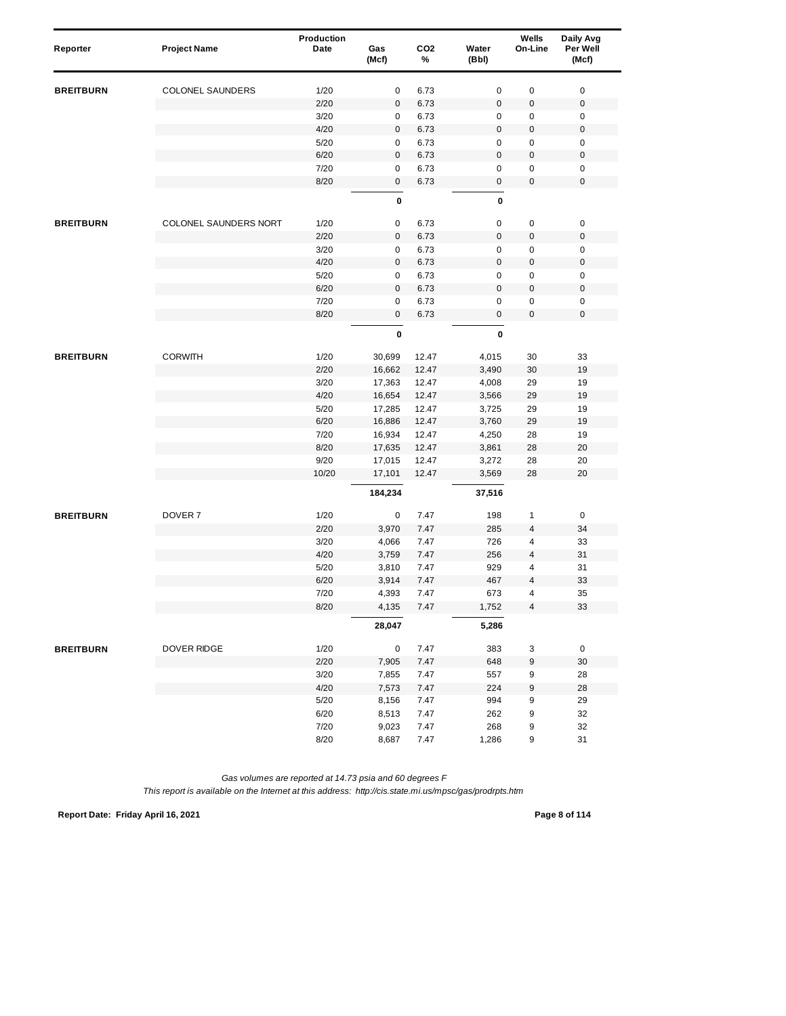| Reporter         | <b>Project Name</b>     | Production<br>Date | Gas<br>(Mcf) | CO <sub>2</sub><br>% | Water<br>(Bbl)      | Wells<br>On-Line        | Daily Avg<br>Per Well<br>(Mcf) |
|------------------|-------------------------|--------------------|--------------|----------------------|---------------------|-------------------------|--------------------------------|
| <b>BREITBURN</b> | <b>COLONEL SAUNDERS</b> | 1/20               | 0            | 6.73                 | 0                   | 0                       | $\pmb{0}$                      |
|                  |                         | 2/20               | $\pmb{0}$    | 6.73                 | $\mathsf 0$         | $\boldsymbol{0}$        | $\pmb{0}$                      |
|                  |                         | 3/20               | 0            | 6.73                 | 0                   | 0                       | $\pmb{0}$                      |
|                  |                         | 4/20               | $\mathsf 0$  | 6.73                 | $\mathsf 0$         | $\pmb{0}$               | $\mathbf 0$                    |
|                  |                         | 5/20               | 0            | 6.73                 | 0                   | 0                       | $\pmb{0}$                      |
|                  |                         | 6/20               | $\mathbf{0}$ | 6.73                 | $\mathbf 0$         | $\mathbf 0$             | $\pmb{0}$                      |
|                  |                         | 7/20               | $\pmb{0}$    | 6.73                 | 0                   | $\mathbf 0$             | $\pmb{0}$                      |
|                  |                         | 8/20               | $\mathsf 0$  | 6.73                 | $\mathsf{O}\xspace$ | $\pmb{0}$               | $\mathbf 0$                    |
|                  |                         |                    | 0            |                      | 0                   |                         |                                |
| <b>BREITBURN</b> | COLONEL SAUNDERS NORT   | 1/20               | 0            | 6.73                 | 0                   | $\pmb{0}$               | $\pmb{0}$                      |
|                  |                         | 2/20               | $\pmb{0}$    | 6.73                 | $\mathsf 0$         | $\pmb{0}$               | $\mathbf 0$                    |
|                  |                         | 3/20               | 0            | 6.73                 | 0                   | 0                       | 0                              |
|                  |                         | 4/20               | $\mathbf{0}$ | 6.73                 | $\mathbf 0$         | $\pmb{0}$               | $\mathbf 0$                    |
|                  |                         | 5/20               | $\pmb{0}$    | 6.73                 | $\mathsf 0$         | $\pmb{0}$               | $\pmb{0}$                      |
|                  |                         | 6/20               | $\pmb{0}$    | 6.73                 | $\mathsf 0$         | $\boldsymbol{0}$        | $\pmb{0}$                      |
|                  |                         | 7/20               | $\pmb{0}$    | 6.73                 | 0                   | 0                       | 0                              |
|                  |                         | 8/20               | $\mathbf 0$  | 6.73                 | 0                   | $\pmb{0}$               | $\pmb{0}$                      |
|                  |                         |                    | 0            |                      | 0                   |                         |                                |
| <b>BREITBURN</b> | <b>CORWITH</b>          | 1/20               | 30,699       | 12.47                | 4,015               | 30                      | 33                             |
|                  |                         | 2/20               | 16,662       | 12.47                | 3,490               | 30                      | 19                             |
|                  |                         | 3/20               | 17,363       | 12.47                | 4,008               | 29                      | 19                             |
|                  |                         | 4/20               | 16,654       | 12.47                | 3,566               | 29                      | 19                             |
|                  |                         | 5/20               | 17,285       | 12.47                | 3,725               | 29                      | 19                             |
|                  |                         | 6/20               | 16,886       | 12.47                | 3,760               | 29                      | 19                             |
|                  |                         | 7/20               | 16,934       | 12.47                | 4,250               | 28                      | 19                             |
|                  |                         | 8/20               | 17,635       | 12.47                | 3,861               | 28                      | 20                             |
|                  |                         | 9/20               | 17,015       | 12.47                | 3,272               | 28                      | 20                             |
|                  |                         | 10/20              | 17,101       | 12.47                | 3,569               | 28                      | 20                             |
|                  |                         |                    | 184,234      |                      | 37,516              |                         |                                |
| <b>BREITBURN</b> | DOVER <sub>7</sub>      | 1/20               | 0            | 7.47                 | 198                 | 1                       | $\pmb{0}$                      |
|                  |                         | 2/20               | 3,970        | 7.47                 | 285                 | 4                       | 34                             |
|                  |                         | 3/20               | 4,066        | 7.47                 | 726                 | 4                       | 33                             |
|                  |                         | 4/20               | 3,759        | 7.47                 | 256                 | $\overline{4}$          | 31                             |
|                  |                         | 5/20               | 3,810        | 7.47                 | 929                 | 4                       | 31                             |
|                  |                         | 6/20               | 3,914        | 7.47                 | 467                 | 4                       | 33                             |
|                  |                         | 7/20               | 4,393        | 7.47                 | 673                 | 4                       | 35                             |
|                  |                         | 8/20               | 4,135        | 7.47                 | 1,752               | $\overline{\mathbf{4}}$ | 33                             |
|                  |                         |                    | 28,047       |                      | 5,286               |                         |                                |
| <b>BREITBURN</b> | <b>DOVER RIDGE</b>      | 1/20               | 0            | 7.47                 | 383                 | 3                       | $\mathsf 0$                    |
|                  |                         | 2/20               | 7,905        | 7.47                 | 648                 | 9                       | 30                             |
|                  |                         | 3/20               | 7,855        | 7.47                 | 557                 | 9                       | 28                             |
|                  |                         | 4/20               | 7,573        | 7.47                 | 224                 | 9                       | 28                             |
|                  |                         | $5/20$             | 8,156        | 7.47                 | 994                 | 9                       | 29                             |
|                  |                         | 6/20               | 8,513        | 7.47                 | 262                 | 9                       | 32                             |
|                  |                         | 7/20               | 9,023        | 7.47                 | 268                 | 9                       | 32                             |
|                  |                         | 8/20               | 8,687        | 7.47                 | 1,286               | 9                       | 31                             |

*This report is available on the Internet at this address: http://cis.state.mi.us/mpsc/gas/prodrpts.htm*

**Report Date: Friday April 16, 2021 Page 8 of 114**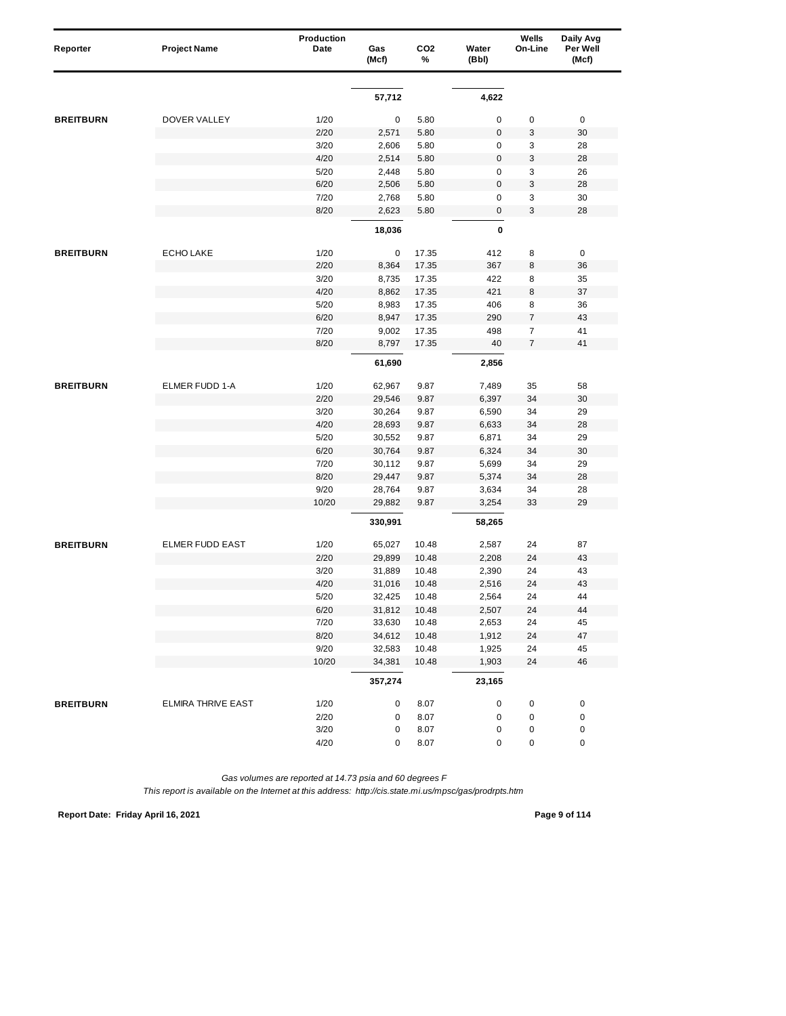| Reporter         | <b>Project Name</b>    | Production<br>Date | Gas<br>(Mcf)     | CO <sub>2</sub><br>% | Water<br>(Bbl)         | Wells<br>On-Line | Daily Avg<br>Per Well<br>(Mcf) |
|------------------|------------------------|--------------------|------------------|----------------------|------------------------|------------------|--------------------------------|
|                  |                        |                    |                  |                      |                        |                  |                                |
|                  |                        |                    | 57,712           |                      | 4,622                  |                  |                                |
| <b>BREITBURN</b> | <b>DOVER VALLEY</b>    | 1/20               | 0                | 5.80                 | $\mathbf 0$            | 0                | $\pmb{0}$                      |
|                  |                        | 2/20               | 2,571            | 5.80                 | $\bf 0$                | 3                | 30                             |
|                  |                        | 3/20               | 2,606            | 5.80                 | $\mathsf 0$            | 3                | 28                             |
|                  |                        | 4/20               | 2,514            | 5.80                 | $\mathbf 0$            | 3                | 28                             |
|                  |                        | 5/20               | 2,448            | 5.80                 | 0                      | 3                | 26                             |
|                  |                        | 6/20               | 2,506            | 5.80                 | $\mathsf 0$            | 3                | 28                             |
|                  |                        | 7/20               | 2,768            | 5.80                 | 0                      | 3                | 30                             |
|                  |                        | 8/20               | 2,623            | 5.80                 | $\mathsf{O}\xspace$    | 3                | 28                             |
|                  |                        |                    | 18,036           |                      | 0                      |                  |                                |
| <b>BREITBURN</b> | <b>ECHO LAKE</b>       | 1/20               | 0                | 17.35                | 412                    | 8                | 0                              |
|                  |                        | 2/20               | 8,364            | 17.35                | 367                    | 8                | 36                             |
|                  |                        | 3/20               | 8,735            | 17.35                | 422                    | 8                | 35                             |
|                  |                        | 4/20               | 8,862            | 17.35                | 421                    | 8                | 37                             |
|                  |                        | 5/20               | 8,983            | 17.35                | 406                    | 8                | 36                             |
|                  |                        | 6/20               | 8,947            | 17.35                | 290                    | 7                | 43                             |
|                  |                        | 7/20               | 9,002            | 17.35                | 498                    | $\overline{7}$   | 41                             |
|                  |                        | 8/20               | 8,797            | 17.35                | 40                     | $\overline{7}$   | 41                             |
|                  |                        |                    | 61,690           |                      | 2,856                  |                  |                                |
| <b>BREITBURN</b> | ELMER FUDD 1-A         | 1/20               | 62,967           | 9.87                 | 7,489                  | 35               | 58                             |
|                  |                        | 2/20               | 29,546           | 9.87                 | 6,397                  | 34               | 30                             |
|                  |                        | 3/20               | 30,264           | 9.87                 | 6,590                  | 34               | 29                             |
|                  |                        | 4/20               | 28,693           | 9.87                 | 6,633                  | 34               | 28                             |
|                  |                        | 5/20               | 30,552           | 9.87                 | 6,871                  | 34               | 29                             |
|                  |                        | 6/20               | 30,764           | 9.87                 | 6,324                  | 34               | 30                             |
|                  |                        | 7/20               | 30,112           | 9.87                 | 5,699                  | 34               | 29                             |
|                  |                        | 8/20               | 29,447           | 9.87                 | 5,374                  | 34               | 28                             |
|                  |                        | 9/20               | 28,764           | 9.87                 | 3,634                  | 34               | 28                             |
|                  |                        | 10/20              | 29,882           | 9.87                 | 3,254                  | 33               | 29                             |
|                  |                        |                    | 330,991          |                      | 58,265                 |                  |                                |
| <b>BREITBURN</b> | <b>ELMER FUDD EAST</b> | 1/20               | 65,027           | 10.48                | 2,587                  | 24               | 87                             |
|                  |                        | 2/20               | 29,899           | 10.48                | 2,208                  | 24               | 43                             |
|                  |                        | 3/20               | 31,889           | 10.48                | 2,390                  | 24               | 43                             |
|                  |                        | 4/20               | 31,016           | 10.48                | 2,516                  | 24               | 43                             |
|                  |                        | $5/20$             | 32,425           | 10.48                | 2,564                  | 24               | 44                             |
|                  |                        | 6/20               | 31,812           | 10.48                | 2,507                  | 24               | 44                             |
|                  |                        | 7/20               | 33,630           | 10.48                | 2,653                  | 24               | 45                             |
|                  |                        | 8/20<br>9/20       | 34,612<br>32,583 | 10.48<br>10.48       | 1,912<br>1,925         | 24<br>24         | $47\,$<br>45                   |
|                  |                        | 10/20              | 34,381           | 10.48                | 1,903                  | 24               | 46                             |
|                  |                        |                    | 357,274          |                      | 23,165                 |                  |                                |
|                  |                        |                    |                  |                      |                        |                  |                                |
| <b>BREITBURN</b> | ELMIRA THRIVE EAST     | 1/20               | 0                | 8.07                 | $\pmb{0}$              | 0                | $\pmb{0}$                      |
|                  |                        | 2/20<br>3/20       | 0                | 8.07<br>8.07         | $\pmb{0}$<br>$\pmb{0}$ | $\pmb{0}$        | 0                              |
|                  |                        | 4/20               | 0<br>0           | 8.07                 | 0                      | 0<br>0           | $\pmb{0}$<br>$\pmb{0}$         |
|                  |                        |                    |                  |                      |                        |                  |                                |

**Report Date: Friday April 16, 2021 Page 9 of 114**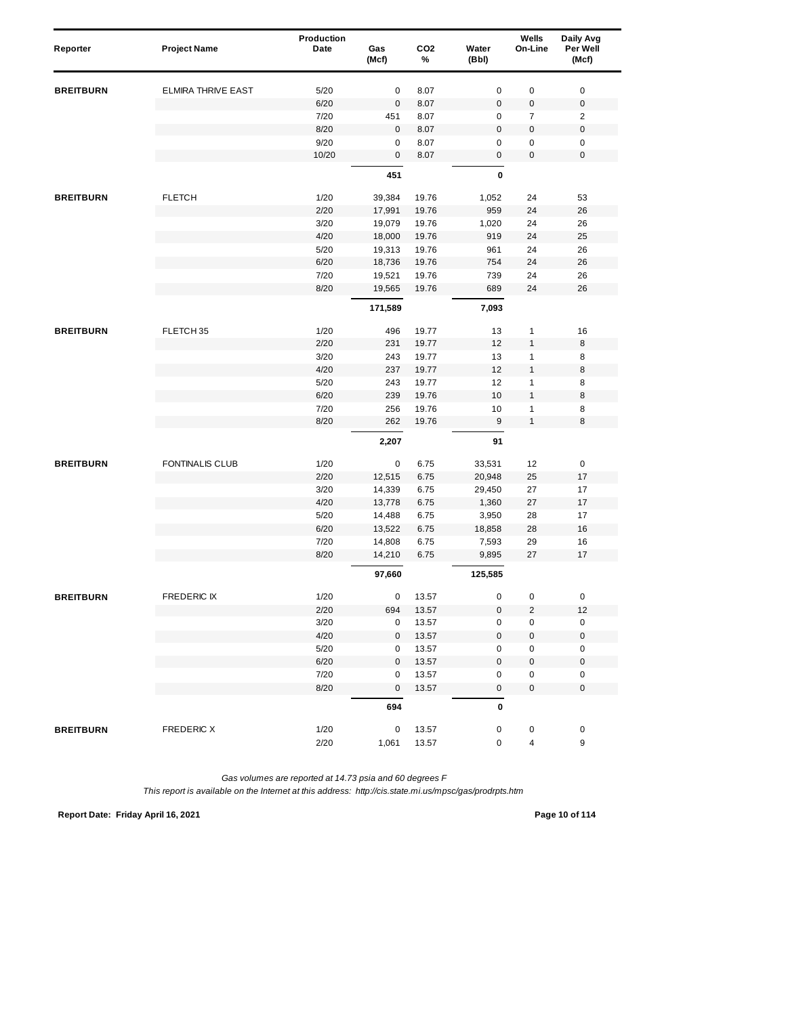| Reporter         | <b>Project Name</b>       | Production<br>Date | Gas<br>(Mcf)     | CO <sub>2</sub><br>% | Water<br>(Bbl)         | Wells<br>On-Line | Daily Avg<br>Per Well<br>(Mcf) |
|------------------|---------------------------|--------------------|------------------|----------------------|------------------------|------------------|--------------------------------|
| <b>BREITBURN</b> | <b>ELMIRA THRIVE EAST</b> | 5/20               | 0                | 8.07                 | $\pmb{0}$              | $\pmb{0}$        | $\pmb{0}$                      |
|                  |                           | 6/20               | $\pmb{0}$        | 8.07                 | $\mathbf 0$            | 0                | $\boldsymbol{0}$               |
|                  |                           | 7/20               | 451              | 8.07                 | 0                      | $\overline{7}$   | $\overline{c}$                 |
|                  |                           | 8/20               | $\mathbf 0$      | 8.07                 | $\mathbf 0$            | 0                | $\pmb{0}$                      |
|                  |                           | 9/20               | $\pmb{0}$        | 8.07                 | $\mathbf 0$            | 0                | 0                              |
|                  |                           | 10/20              | $\mathbf 0$      | 8.07                 | 0                      | $\mathbf 0$      | $\mathbf 0$                    |
|                  |                           |                    | 451              |                      | $\pmb{0}$              |                  |                                |
| <b>BREITBURN</b> | <b>FLETCH</b>             | 1/20               | 39,384           | 19.76                | 1,052                  | 24               | 53                             |
|                  |                           | 2/20               | 17,991           | 19.76                | 959                    | 24               | 26                             |
|                  |                           | 3/20               | 19,079           | 19.76                | 1,020                  | 24               | 26                             |
|                  |                           | 4/20               | 18,000           | 19.76                | 919                    | 24               | 25                             |
|                  |                           | 5/20               | 19,313           | 19.76                | 961                    | 24               | 26                             |
|                  |                           | 6/20               | 18,736           | 19.76                | 754                    | 24               | 26                             |
|                  |                           | 7/20               | 19,521           | 19.76                | 739                    | 24               | 26                             |
|                  |                           | 8/20               | 19,565           | 19.76                | 689                    | 24               | 26                             |
|                  |                           |                    | 171,589          |                      | 7,093                  |                  |                                |
| <b>BREITBURN</b> | FLETCH 35                 | 1/20               | 496              | 19.77                | 13                     | $\mathbf{1}$     | 16                             |
|                  |                           | 2/20               | 231              | 19.77                | 12                     | $\mathbf{1}$     | 8                              |
|                  |                           | 3/20               | 243              | 19.77                | 13                     | 1                | 8                              |
|                  |                           | 4/20               | 237              | 19.77                | 12                     | $\mathbf{1}$     | 8                              |
|                  |                           | 5/20               | 243              | 19.77                | 12                     | $\mathbf{1}$     | 8                              |
|                  |                           | 6/20               | 239              | 19.76                | 10                     | 1                | 8                              |
|                  |                           | 7/20               | 256              | 19.76                | 10                     | 1                | 8                              |
|                  |                           | 8/20               | 262              | 19.76                | $\boldsymbol{9}$       | $\mathbf{1}$     | 8                              |
|                  |                           |                    | 2,207            |                      | 91                     |                  |                                |
| <b>BREITBURN</b> | FONTINALIS CLUB           | 1/20               | 0                | 6.75                 | 33,531                 | 12               | 0                              |
|                  |                           | 2/20               | 12,515           | 6.75                 | 20,948                 | 25               | 17                             |
|                  |                           | 3/20               | 14,339           | 6.75                 | 29,450                 | 27               | 17                             |
|                  |                           | 4/20               | 13,778           | 6.75                 | 1,360                  | 27               | 17                             |
|                  |                           | 5/20               | 14,488           | 6.75                 | 3,950                  | 28               | 17                             |
|                  |                           | 6/20               | 13,522           | 6.75                 | 18,858                 | 28               | $16$                           |
|                  |                           | 7/20               | 14,808           | 6.75                 | 7,593                  | 29               | 16                             |
|                  |                           | 8/20               | 14,210           | 6.75                 | 9,895                  | 27               | 17                             |
|                  |                           |                    | 97,660           |                      | 125,585                |                  |                                |
| <b>BREITBURN</b> | <b>FREDERIC IX</b>        | 1/20               | 0                | 13.57                | 0                      | 0                | 0                              |
|                  |                           | 2/20               | 694              | 13.57                | $\mathbf 0$            | $\overline{c}$   | 12                             |
|                  |                           | 3/20               | 0                | 13.57                | $\pmb{0}$              | 0                | 0                              |
|                  |                           | 4/20               | $\mathbf 0$      | 13.57                | $\pmb{0}$              | 0                | $\pmb{0}$                      |
|                  |                           | 5/20               | 0                | 13.57                | 0                      | 0                | 0                              |
|                  |                           | 6/20               | $\mathbf 0$      | 13.57                | $\pmb{0}$              | 0                | $\pmb{0}$                      |
|                  |                           | 7/20<br>8/20       | 0<br>$\mathbf 0$ | 13.57                | $\pmb{0}$<br>$\pmb{0}$ | 0<br>$\pmb{0}$   | $\pmb{0}$<br>$\pmb{0}$         |
|                  |                           |                    | 694              | 13.57                | $\pmb{0}$              |                  |                                |
|                  |                           |                    |                  |                      |                        |                  |                                |
| <b>BREITBURN</b> | <b>FREDERIC X</b>         | 1/20<br>2/20       | 0<br>1,061       | 13.57<br>13.57       | 0<br>0                 | 0<br>4           | 0<br>9                         |
|                  |                           |                    |                  |                      |                        |                  |                                |

**Report Date: Friday April 16, 2021 Page 10 of 114**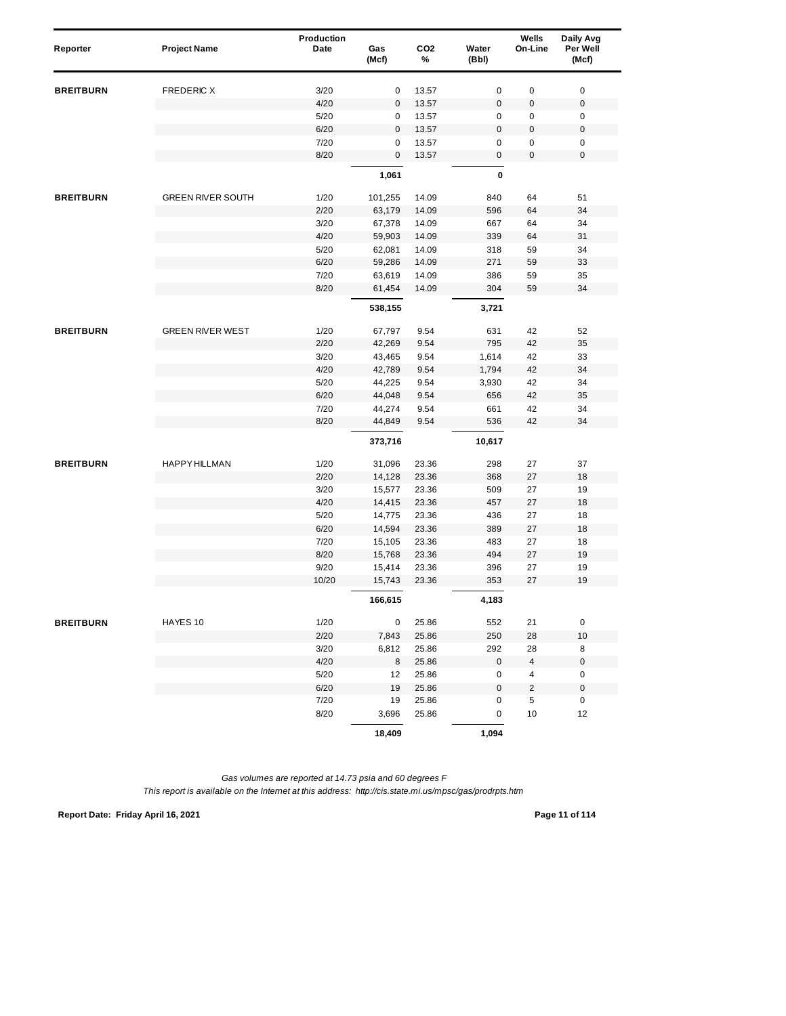| Reporter         | <b>Project Name</b>      | <b>Production</b><br>Date | Gas<br>(Mcf) | CO <sub>2</sub><br>% | Water<br>(Bbl) | Wells<br>On-Line    | Daily Avg<br>Per Well<br>(Mcf) |
|------------------|--------------------------|---------------------------|--------------|----------------------|----------------|---------------------|--------------------------------|
| <b>BREITBURN</b> | FREDERIC X               | 3/20                      | 0            | 13.57                | $\pmb{0}$      | $\pmb{0}$           | $\pmb{0}$                      |
|                  |                          | 4/20                      | $\mathbf 0$  | 13.57                | $\mathbf 0$    | 0                   | $\boldsymbol{0}$               |
|                  |                          | 5/20                      | 0            | 13.57                | 0              | $\pmb{0}$           | 0                              |
|                  |                          | 6/20                      | $\mathbf 0$  | 13.57                | $\bf 0$        | 0                   | $\pmb{0}$                      |
|                  |                          | 7/20                      | 0            | 13.57                | $\mathbf 0$    | 0                   | $\pmb{0}$                      |
|                  |                          | 8/20                      | $\mathbf 0$  | 13.57                | 0              | $\pmb{0}$           | $\pmb{0}$                      |
|                  |                          |                           | 1,061        |                      | $\pmb{0}$      |                     |                                |
| <b>BREITBURN</b> | <b>GREEN RIVER SOUTH</b> | 1/20                      | 101,255      | 14.09                | 840            | 64                  | 51                             |
|                  |                          | 2/20                      | 63,179       | 14.09                | 596            | 64                  | 34                             |
|                  |                          | 3/20                      | 67,378       | 14.09                | 667            | 64                  | 34                             |
|                  |                          | 4/20                      | 59,903       | 14.09                | 339            | 64                  | 31                             |
|                  |                          | 5/20                      | 62,081       | 14.09                | 318            | 59                  | 34                             |
|                  |                          | 6/20                      | 59,286       | 14.09                | 271            | 59                  | 33                             |
|                  |                          | 7/20                      | 63,619       | 14.09                | 386            | 59                  | 35                             |
|                  |                          | 8/20                      | 61,454       | 14.09                | 304            | 59                  | 34                             |
|                  |                          |                           | 538,155      |                      | 3,721          |                     |                                |
| <b>BREITBURN</b> | <b>GREEN RIVER WEST</b>  | 1/20                      | 67,797       | 9.54                 | 631            | 42                  | 52                             |
|                  |                          | 2/20                      | 42,269       | 9.54                 | 795            | 42                  | 35                             |
|                  |                          | 3/20                      | 43,465       | 9.54                 | 1,614          | 42                  | 33                             |
|                  |                          | 4/20                      | 42,789       | 9.54                 | 1,794          | 42                  | 34                             |
|                  |                          | 5/20                      | 44,225       | 9.54                 | 3,930          | 42                  | 34                             |
|                  |                          | 6/20                      | 44,048       | 9.54                 | 656            | 42                  | 35                             |
|                  |                          | 7/20                      | 44,274       | 9.54                 | 661            | 42                  | 34                             |
|                  |                          | 8/20                      | 44,849       | 9.54                 | 536            | 42                  | 34                             |
|                  |                          |                           | 373,716      |                      | 10,617         |                     |                                |
| <b>BREITBURN</b> | <b>HAPPY HILLMAN</b>     | 1/20                      | 31,096       | 23.36                | 298            | 27                  | 37                             |
|                  |                          | 2/20                      | 14,128       | 23.36                | 368            | 27                  | 18                             |
|                  |                          | 3/20                      | 15,577       | 23.36                | 509            | 27                  | 19                             |
|                  |                          | 4/20                      | 14,415       | 23.36                | 457            | 27                  | 18                             |
|                  |                          | 5/20                      | 14,775       | 23.36                | 436            | 27                  | 18                             |
|                  |                          | 6/20                      | 14,594       | 23.36                | 389            | 27                  | 18                             |
|                  |                          | 7/20                      | 15,105       | 23.36                | 483            | 27                  | 18                             |
|                  |                          | 8/20                      | 15,768       | 23.36                | 494            | 27                  | 19                             |
|                  |                          | 9/20                      | 15,414       | 23.36                | 396            | 27                  | 19                             |
|                  |                          | 10/20                     | 15,743       | 23.36                | 353            | 27                  | 19                             |
|                  |                          |                           | 166,615      |                      | 4,183          |                     |                                |
| <b>BREITBURN</b> | HAYES 10                 | 1/20                      | 0            | 25.86                | 552            | 21                  | $\pmb{0}$                      |
|                  |                          | 2/20                      | 7,843        | 25.86                | 250            | 28                  | 10                             |
|                  |                          | 3/20                      | 6,812        | 25.86                | 292            | 28                  | 8                              |
|                  |                          | 4/20                      | 8            | 25.86                | $\mathbf 0$    | $\overline{4}$      | $\pmb{0}$                      |
|                  |                          | 5/20                      | 12           | 25.86                | $\pmb{0}$      | 4                   | $\pmb{0}$                      |
|                  |                          | 6/20                      | 19           | 25.86                | $\pmb{0}$      | 2                   | $\boldsymbol{0}$               |
|                  |                          | 7/20<br>8/20              | 19<br>3,696  | 25.86<br>25.86       | 0<br>0         | $\,$ 5 $\,$<br>$10$ | $\mathsf 0$<br>12              |
|                  |                          |                           | 18,409       |                      | 1,094          |                     |                                |

**Report Date: Friday April 16, 2021 Page 11 of 114**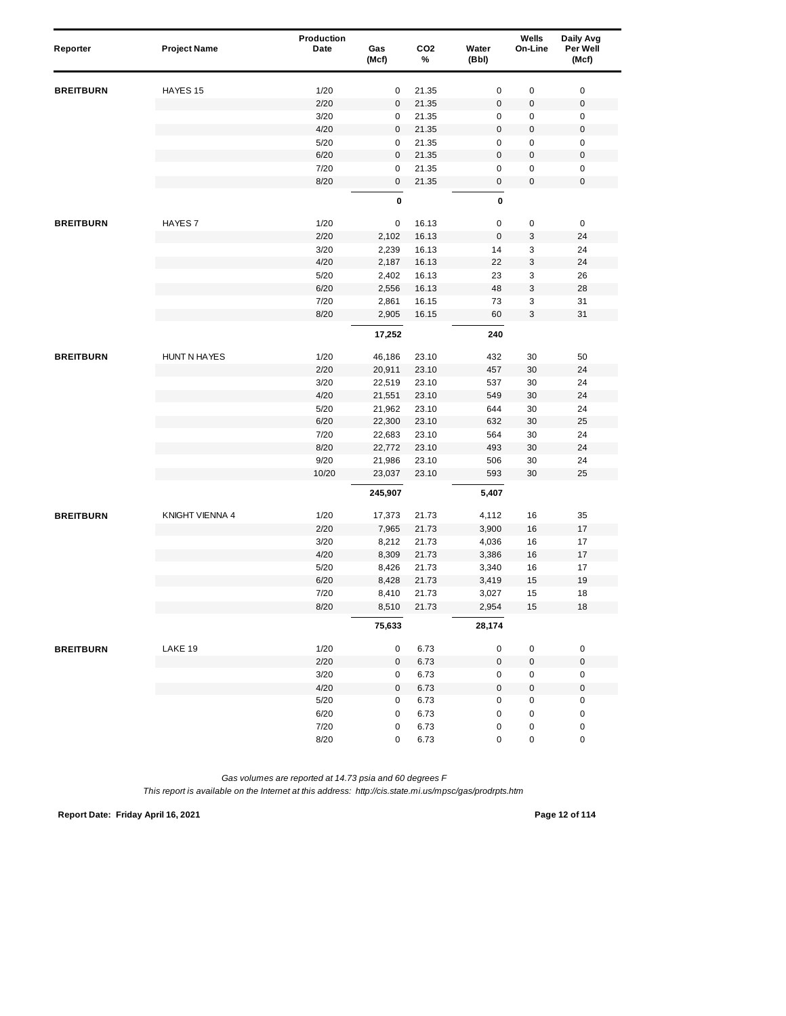| Reporter         | <b>Project Name</b> | Production<br>Date | Gas<br>(Mcf) | CO <sub>2</sub><br>% | Water<br>(Bbl)      | Wells<br>On-Line | Daily Avg<br>Per Well<br>(Mcf) |  |
|------------------|---------------------|--------------------|--------------|----------------------|---------------------|------------------|--------------------------------|--|
| <b>BREITBURN</b> | HAYES 15            | 1/20               | 0            | 21.35                | 0                   | 0                | $\pmb{0}$                      |  |
|                  |                     | 2/20               | 0            | 21.35                | $\mathsf 0$         | 0                | $\pmb{0}$                      |  |
|                  |                     | 3/20               | 0            | 21.35                | 0                   | 0                | 0                              |  |
|                  |                     | 4/20               | 0            | 21.35                | $\mathsf 0$         | 0                | $\pmb{0}$                      |  |
|                  |                     | 5/20               | 0            | 21.35                | 0                   | 0                | $\pmb{0}$                      |  |
|                  |                     | 6/20               | 0            | 21.35                | $\mathbf 0$         | $\pmb{0}$        | $\pmb{0}$                      |  |
|                  |                     | 7/20               | 0            | 21.35                | 0                   | 0                | $\pmb{0}$                      |  |
|                  |                     | 8/20               | $\pmb{0}$    | 21.35                | $\mathsf{O}\xspace$ | 0                | $\pmb{0}$                      |  |
|                  |                     |                    | $\pmb{0}$    |                      | 0                   |                  |                                |  |
| <b>BREITBURN</b> | HAYES <sub>7</sub>  | 1/20               | 0            | 16.13                | $\pmb{0}$           | $\pmb{0}$        | $\pmb{0}$                      |  |
|                  |                     | 2/20               | 2,102        | 16.13                | $\mathsf 0$         | 3                | 24                             |  |
|                  |                     | 3/20               | 2,239        | 16.13                | 14                  | 3                | 24                             |  |
|                  |                     | 4/20               | 2,187        | 16.13                | 22                  | 3                | 24                             |  |
|                  |                     | 5/20               | 2,402        | 16.13                | 23                  | 3                | 26                             |  |
|                  |                     | 6/20               | 2,556        | 16.13                | 48                  | 3                | 28                             |  |
|                  |                     | 7/20               | 2,861        | 16.15                | 73                  | 3                | 31                             |  |
|                  |                     | 8/20               | 2,905        | 16.15                | 60                  | 3                | 31                             |  |
|                  |                     |                    | 17,252       |                      | 240                 |                  |                                |  |
| <b>BREITBURN</b> | <b>HUNT N HAYES</b> | 1/20               | 46,186       | 23.10                | 432                 | 30               | 50                             |  |
|                  |                     | 2/20               | 20,911       | 23.10                | 457                 | 30               | 24                             |  |
|                  |                     | 3/20               | 22,519       | 23.10                | 537                 | 30               | 24                             |  |
|                  |                     | 4/20               | 21,551       | 23.10                | 549                 | 30               | 24                             |  |
|                  |                     | 5/20               | 21,962       | 23.10                | 644                 | 30               | 24                             |  |
|                  |                     | 6/20               | 22,300       | 23.10                | 632                 | 30               | 25                             |  |
|                  |                     | 7/20               | 22,683       | 23.10                | 564                 | 30               | 24                             |  |
|                  |                     | 8/20               | 22,772       | 23.10                | 493                 | 30               | 24                             |  |
|                  |                     | 9/20               | 21,986       | 23.10                | 506                 | 30               | 24                             |  |
|                  |                     | 10/20              | 23,037       | 23.10                | 593                 | 30               | 25                             |  |
|                  |                     |                    | 245,907      |                      | 5,407               |                  |                                |  |
| <b>BREITBURN</b> | KNIGHT VIENNA 4     | 1/20               | 17,373       | 21.73                | 4,112               | 16               | 35                             |  |
|                  |                     | 2/20               | 7,965        | 21.73                | 3,900               | 16               | 17                             |  |
|                  |                     | 3/20               | 8,212        | 21.73                | 4,036               | 16               | 17                             |  |
|                  |                     | 4/20               | 8,309        | 21.73                | 3,386               | 16               | 17                             |  |
|                  |                     | 5/20               | 8,426        | 21.73                | 3,340               | 16               | 17                             |  |
|                  |                     | 6/20               | 8,428        | 21.73                | 3,419               | 15               | 19                             |  |
|                  |                     | 7/20               | 8,410        | 21.73                | 3,027               | 15               | 18                             |  |
|                  |                     | 8/20               | 8,510        | 21.73                | 2,954               | 15               | $18$                           |  |
|                  |                     |                    | 75,633       |                      | 28,174              |                  |                                |  |
| <b>BREITBURN</b> | LAKE 19             | 1/20               | 0            | 6.73                 | 0                   | 0                | $\pmb{0}$                      |  |
|                  |                     | 2/20               | $\pmb{0}$    | 6.73                 | $\mathsf{O}\xspace$ | $\pmb{0}$        | $\pmb{0}$                      |  |
|                  |                     | 3/20               | 0            | 6.73                 | 0                   | $\pmb{0}$        | $\pmb{0}$                      |  |
|                  |                     | 4/20               | 0            | 6.73                 | $\mathsf{O}\xspace$ | $\pmb{0}$        | $\pmb{0}$                      |  |
|                  |                     | $5/20$             | $\pmb{0}$    | 6.73                 | 0                   | $\pmb{0}$        | $\pmb{0}$                      |  |
|                  |                     | 6/20               | $\pmb{0}$    | 6.73                 | $\pmb{0}$           | $\pmb{0}$        | $\pmb{0}$                      |  |
|                  |                     | 7/20               | 0            | 6.73                 | $\pmb{0}$           | 0                | $\pmb{0}$                      |  |
|                  |                     | 8/20               | 0            | 6.73                 | 0                   | 0                | $\pmb{0}$                      |  |

*This report is available on the Internet at this address: http://cis.state.mi.us/mpsc/gas/prodrpts.htm*

**Report Date: Friday April 16, 2021 Page 12 of 114**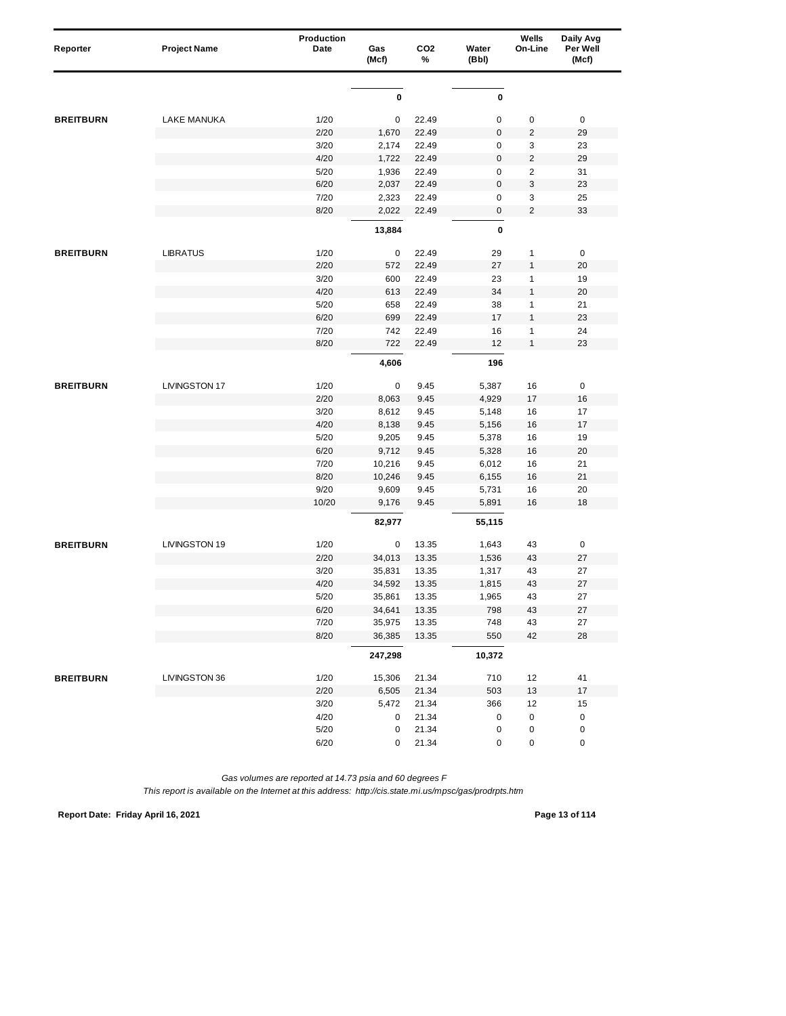| Reporter         | <b>Project Name</b>  | Production<br>Date | Gas<br>(Mcf)     | CO <sub>2</sub><br>% | Water<br>(Bbl) | Wells<br>On-Line        | Daily Avg<br>Per Well<br>(Mcf) |
|------------------|----------------------|--------------------|------------------|----------------------|----------------|-------------------------|--------------------------------|
|                  |                      |                    |                  |                      |                |                         |                                |
|                  |                      |                    | 0                |                      | 0              |                         |                                |
| <b>BREITBURN</b> | <b>LAKE MANUKA</b>   | 1/20               | 0                | 22.49                | $\mathsf 0$    | $\pmb{0}$               | $\mathbf 0$                    |
|                  |                      | 2/20               | 1,670            | 22.49                | $\pmb{0}$      | $\overline{2}$          | 29                             |
|                  |                      | 3/20               | 2,174            | 22.49                | $\mathsf 0$    | 3                       | 23                             |
|                  |                      | 4/20               | 1,722            | 22.49                | $\mathbf 0$    | $\sqrt{2}$              | 29                             |
|                  |                      | 5/20               | 1,936            | 22.49                | $\pmb{0}$      | $\overline{\mathbf{c}}$ | 31                             |
|                  |                      | 6/20               | 2,037            | 22.49                | $\pmb{0}$      | 3                       | 23                             |
|                  |                      | 7/20               | 2,323            | 22.49                | $\mathsf 0$    | 3                       | 25                             |
|                  |                      | 8/20               | 2,022            | 22.49                | $\mathbf 0$    | $\overline{2}$          | 33                             |
|                  |                      |                    | 13,884           |                      | 0              |                         |                                |
| <b>BREITBURN</b> | <b>LIBRATUS</b>      | 1/20               | 0                | 22.49                | 29             | $\mathbf{1}$            | $\pmb{0}$                      |
|                  |                      | 2/20               | 572              | 22.49                | 27             | $\mathbf{1}$            | 20                             |
|                  |                      | 3/20               | 600              | 22.49                | 23             | $\mathbf{1}$            | 19                             |
|                  |                      | 4/20               | 613              | 22.49                | 34             | $\mathbf{1}$            | 20                             |
|                  |                      | 5/20               | 658              | 22.49                | 38             | 1                       | 21                             |
|                  |                      | 6/20               | 699              | 22.49                | 17             | $\mathbf{1}$            | 23                             |
|                  |                      | 7/20               | 742              | 22.49                | 16             | $\mathbf{1}$            | 24                             |
|                  |                      | 8/20               | 722              | 22.49                | 12             | $\mathbf{1}$            | 23                             |
|                  |                      |                    | 4,606            |                      | 196            |                         |                                |
| <b>BREITBURN</b> | <b>LIVINGSTON 17</b> | 1/20               | 0                | 9.45                 | 5,387          | 16                      | 0                              |
|                  |                      | 2/20               | 8,063            | 9.45                 | 4,929          | 17                      | 16                             |
|                  |                      | 3/20               | 8,612            | 9.45                 | 5,148          | 16                      | 17                             |
|                  |                      | 4/20               | 8,138            | 9.45                 | 5,156          | 16                      | 17                             |
|                  |                      | 5/20               | 9,205            | 9.45                 | 5,378          | 16                      | 19                             |
|                  |                      | 6/20               | 9,712            | 9.45                 | 5,328          | 16                      | 20                             |
|                  |                      | 7/20               | 10,216           | 9.45                 | 6,012          | 16                      | 21                             |
|                  |                      | 8/20               | 10,246           | 9.45                 | 6,155          | 16                      | 21                             |
|                  |                      | 9/20               | 9,609            | 9.45                 | 5,731          | 16                      | 20                             |
|                  |                      | 10/20              | 9,176            | 9.45                 | 5,891          | 16                      | 18                             |
|                  |                      |                    | 82,977           |                      | 55,115         |                         |                                |
| <b>BREITBURN</b> | LIVINGSTON 19        | 1/20               | 0                | 13.35                | 1,643          | 43                      | $\pmb{0}$                      |
|                  |                      | 2/20               | 34,013           | 13.35                | 1,536          | 43                      | 27                             |
|                  |                      | 3/20               | 35,831           | 13.35                | 1,317          | 43                      | 27                             |
|                  |                      | 4/20               | 34,592           | 13.35                | 1,815          | 43                      | 27                             |
|                  |                      | 5/20               | 35,861           | 13.35                | 1,965          | 43                      | 27                             |
|                  |                      | 6/20<br>7/20       | 34,641<br>35,975 | 13.35<br>13.35       | 798<br>748     | 43<br>43                | 27<br>27                       |
|                  |                      | 8/20               | 36,385           | 13.35                | 550            | 42                      | 28                             |
|                  |                      |                    | 247,298          |                      | 10,372         |                         |                                |
|                  |                      |                    |                  |                      |                |                         |                                |
| <b>BREITBURN</b> | LIVINGSTON 36        | 1/20               | 15,306           | 21.34                | 710            | 12                      | 41                             |
|                  |                      | 2/20               | 6,505            | 21.34                | 503            | 13                      | $17\,$                         |
|                  |                      | 3/20               | 5,472            | 21.34                | 366            | 12                      | 15                             |
|                  |                      | 4/20               | 0                | 21.34                | $\pmb{0}$      | $\pmb{0}$               | $\pmb{0}$                      |
|                  |                      | $5/20$             | 0                | 21.34                | $\pmb{0}$      | 0                       | $\pmb{0}$                      |
|                  |                      | 6/20               | 0                | 21.34                | 0              | 0                       | $\pmb{0}$                      |

**Report Date: Friday April 16, 2021 Page 13 of 114**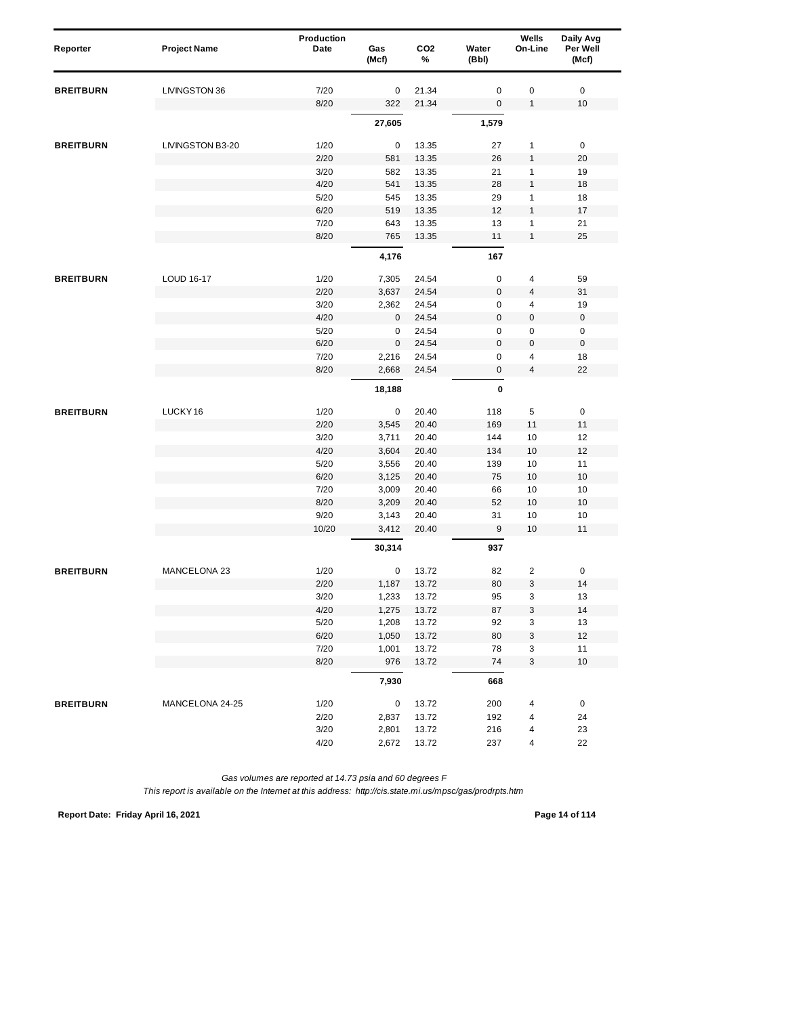| Reporter         | <b>Project Name</b> | <b>Production</b><br>Date | Gas<br>(Mcf) | CO <sub>2</sub><br>% | Water<br>(Bbl)   | Wells<br>On-Line        | Daily Avg<br>Per Well<br>(Mcf) |
|------------------|---------------------|---------------------------|--------------|----------------------|------------------|-------------------------|--------------------------------|
| <b>BREITBURN</b> | LIVINGSTON 36       | 7/20                      | 0            | 21.34                | $\mathbf 0$      | $\pmb{0}$               | $\mathbf 0$                    |
|                  |                     | 8/20                      | 322          | 21.34                | $\boldsymbol{0}$ | $\mathbf{1}$            | 10                             |
|                  |                     |                           | 27,605       |                      | 1,579            |                         |                                |
| <b>BREITBURN</b> | LIVINGSTON B3-20    | 1/20                      | 0            | 13.35                | 27               | $\mathbf{1}$            | $\pmb{0}$                      |
|                  |                     | 2/20                      | 581          | 13.35                | 26               | $\mathbf{1}$            | 20                             |
|                  |                     | 3/20                      | 582          | 13.35                | 21               | 1                       | 19                             |
|                  |                     | 4/20                      | 541          | 13.35                | 28               | $\mathbf{1}$            | 18                             |
|                  |                     | 5/20                      | 545          | 13.35                | 29               | 1                       | 18                             |
|                  |                     | 6/20                      | 519          | 13.35                | 12               | 1                       | 17                             |
|                  |                     | 7/20                      | 643          | 13.35                | 13               | $\mathbf{1}$            | 21                             |
|                  |                     | 8/20                      | 765          | 13.35                | 11               | $\mathbf{1}$            | 25                             |
|                  |                     |                           | 4,176        |                      | 167              |                         |                                |
| <b>BREITBURN</b> | LOUD 16-17          | 1/20                      | 7,305        | 24.54                | $\pmb{0}$        | $\overline{4}$          | 59                             |
|                  |                     | 2/20                      | 3,637        | 24.54                | $\boldsymbol{0}$ | 4                       | 31                             |
|                  |                     | 3/20                      | 2,362        | 24.54                | $\mathsf 0$      | 4                       | 19                             |
|                  |                     | 4/20                      | 0            | 24.54                | $\pmb{0}$        | 0                       | $\pmb{0}$                      |
|                  |                     | 5/20                      | 0            | 24.54                | $\mathbf 0$      | 0                       | $\pmb{0}$                      |
|                  |                     | 6/20                      | $\mathbf 0$  | 24.54                | $\mathbf 0$      | $\pmb{0}$               | $\pmb{0}$                      |
|                  |                     | 7/20                      | 2,216        | 24.54                | 0                | 4                       | 18                             |
|                  |                     | 8/20                      | 2,668        | 24.54                | 0                | $\overline{4}$          | 22                             |
|                  |                     |                           | 18,188       |                      | $\pmb{0}$        |                         |                                |
| <b>BREITBURN</b> | LUCKY <sub>16</sub> | 1/20                      | 0            | 20.40                | 118              | 5                       | $\pmb{0}$                      |
|                  |                     | 2/20                      | 3,545        | 20.40                | 169              | 11                      | 11                             |
|                  |                     | 3/20                      | 3,711        | 20.40                | 144              | 10                      | 12                             |
|                  |                     | 4/20                      | 3,604        | 20.40                | 134              | 10                      | 12                             |
|                  |                     | 5/20                      | 3,556        | 20.40                | 139              | 10                      | 11                             |
|                  |                     | 6/20                      | 3,125        | 20.40                | 75               | 10                      | 10                             |
|                  |                     | 7/20                      | 3,009        | 20.40                | 66               | 10                      | 10                             |
|                  |                     | 8/20                      | 3,209        | 20.40                | 52               | 10                      | 10                             |
|                  |                     | 9/20                      | 3,143        | 20.40                | 31               | 10                      | 10                             |
|                  |                     | 10/20                     | 3,412        | 20.40                | $9\,$            | 10                      | 11                             |
|                  |                     |                           | 30,314       |                      | 937              |                         |                                |
| <b>BREITBURN</b> | MANCELONA 23        | 1/20                      | 0            | 13.72                | 82               | $\overline{\mathbf{c}}$ | 0                              |
|                  |                     | 2/20                      | 1,187        | 13.72                | 80               | 3                       | 14                             |
|                  |                     | 3/20                      | 1,233        | 13.72                | 95               | 3                       | 13                             |
|                  |                     | 4/20                      | 1,275        | 13.72                | 87               | 3                       | 14                             |
|                  |                     | 5/20                      | 1,208        | 13.72                | 92               | 3                       | 13                             |
|                  |                     | 6/20                      | 1,050        | 13.72                | 80               | 3                       | 12                             |
|                  |                     | 7/20                      | 1,001        | 13.72                | 78               | 3                       | 11                             |
|                  |                     | 8/20                      | 976          | 13.72                | 74               | 3                       | $10$                           |
|                  |                     |                           | 7,930        |                      | 668              |                         |                                |
| <b>BREITBURN</b> | MANCELONA 24-25     | 1/20                      | 0            | 13.72                | 200              | 4                       | 0                              |
|                  |                     | 2/20                      | 2,837        | 13.72                | 192              | 4                       | 24                             |
|                  |                     | 3/20                      | 2,801        | 13.72                | 216              | 4                       | 23                             |
|                  |                     | 4/20                      | 2,672        | 13.72                | 237              | 4                       | 22                             |

**Report Date: Friday April 16, 2021 Page 14 of 114**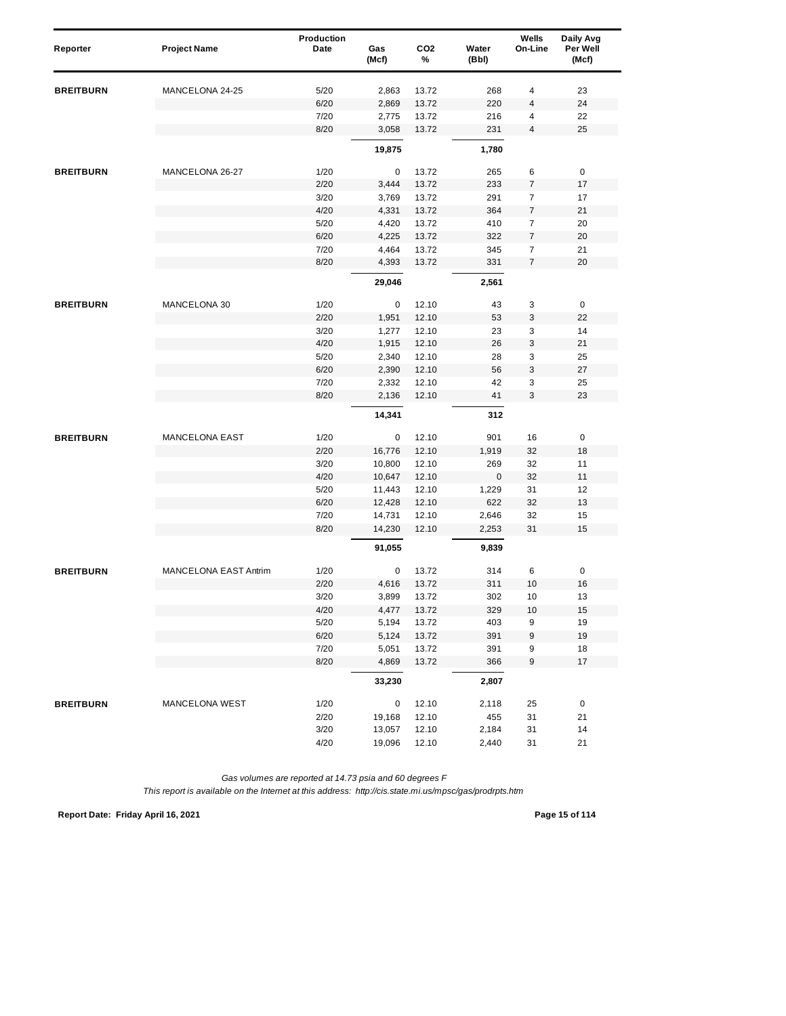| Reporter         | <b>Project Name</b>   | Production<br>Date | Gas<br>(Mcf) | CO <sub>2</sub><br>% | Water<br>(Bbl) | Wells<br>On-Line | Daily Avg<br>Per Well<br>(Mcf) |
|------------------|-----------------------|--------------------|--------------|----------------------|----------------|------------------|--------------------------------|
| <b>BREITBURN</b> | MANCELONA 24-25       | 5/20               | 2,863        | 13.72                | 268            | 4                | 23                             |
|                  |                       | 6/20               | 2,869        | 13.72                | 220            | 4                | 24                             |
|                  |                       | 7/20               | 2,775        | 13.72                | 216            | 4                | 22                             |
|                  |                       | 8/20               | 3,058        | 13.72                | 231            | 4                | 25                             |
|                  |                       |                    | 19,875       |                      | 1,780          |                  |                                |
| <b>BREITBURN</b> | MANCELONA 26-27       | 1/20               | 0            | 13.72                | 265            | 6                | 0                              |
|                  |                       | 2/20               | 3,444        | 13.72                | 233            | $\overline{7}$   | 17                             |
|                  |                       | 3/20               | 3,769        | 13.72                | 291            | 7                | 17                             |
|                  |                       | 4/20               | 4,331        | 13.72                | 364            | 7                | 21                             |
|                  |                       | 5/20               | 4,420        | 13.72                | 410            | $\overline{7}$   | 20                             |
|                  |                       | 6/20               | 4,225        | 13.72                | 322            | 7                | 20                             |
|                  |                       | 7/20               | 4,464        | 13.72                | 345            | $\overline{7}$   | 21                             |
|                  |                       | 8/20               | 4,393        | 13.72                | 331            | $\overline{7}$   | 20                             |
|                  |                       |                    | 29,046       |                      | 2,561          |                  |                                |
| <b>BREITBURN</b> | MANCELONA 30          | 1/20               | $\mathbf 0$  | 12.10                | 43             | 3                | $\pmb{0}$                      |
|                  |                       | 2/20               | 1,951        | 12.10                | 53             | 3                | 22                             |
|                  |                       | 3/20               | 1,277        | 12.10                | 23             | 3                | 14                             |
|                  |                       | 4/20               | 1,915        | 12.10                | 26             | 3                | 21                             |
|                  |                       | 5/20               | 2,340        | 12.10                | 28             | 3                | 25                             |
|                  |                       | 6/20               | 2,390        | 12.10                | 56             | 3                | 27                             |
|                  |                       | 7/20               | 2,332        | 12.10                | 42             | 3                | 25                             |
|                  |                       | 8/20               | 2,136        | 12.10                | 41             | 3                | 23                             |
|                  |                       |                    | 14,341       |                      | 312            |                  |                                |
| <b>BREITBURN</b> | <b>MANCELONA EAST</b> | 1/20               | 0            | 12.10                | 901            | 16               | $\pmb{0}$                      |
|                  |                       | 2/20               | 16,776       | 12.10                | 1,919          | 32               | 18                             |
|                  |                       | 3/20               | 10,800       | 12.10                | 269            | 32               | 11                             |
|                  |                       | 4/20               | 10,647       | 12.10                | $\mathbf 0$    | 32               | 11                             |
|                  |                       | 5/20               | 11,443       | 12.10                | 1,229          | 31               | 12                             |
|                  |                       | 6/20               | 12,428       | 12.10                | 622            | 32               | 13                             |
|                  |                       | 7/20               | 14,731       | 12.10                | 2,646          | 32               | 15                             |
|                  |                       | 8/20               | 14,230       | 12.10                | 2,253          | 31               | 15                             |
|                  |                       |                    | 91,055       |                      | 9,839          |                  |                                |
| <b>BREITBURN</b> | MANCELONA EAST Antrim | 1/20               | 0            | 13.72                | 314            | 6                | 0                              |
|                  |                       | 2/20               | 4,616        | 13.72                | 311            | 10               | 16                             |
|                  |                       | 3/20               | 3,899        | 13.72                | 302            | 10               | 13                             |
|                  |                       | 4/20               | 4,477        | 13.72                | 329            | $10$             | 15                             |
|                  |                       | 5/20               | 5,194        | 13.72                | 403            | 9                | 19                             |
|                  |                       | 6/20               | 5,124        | 13.72                | 391            | 9                | 19                             |
|                  |                       | 7/20               | 5,051        | 13.72                | 391            | 9                | 18                             |
|                  |                       | 8/20               | 4,869        | 13.72                | 366            | 9                | 17                             |
|                  |                       |                    | 33,230       |                      | 2,807          |                  |                                |
| <b>BREITBURN</b> | <b>MANCELONA WEST</b> | 1/20               | 0            | 12.10                | 2,118          | 25               | 0                              |
|                  |                       | 2/20               | 19,168       | 12.10                | 455            | 31               | 21                             |
|                  |                       | 3/20               | 13,057       | 12.10                | 2,184          | 31               | 14                             |
|                  |                       | 4/20               | 19,096       | 12.10                | 2,440          | 31               | 21                             |

**Report Date: Friday April 16, 2021 Page 15 of 114**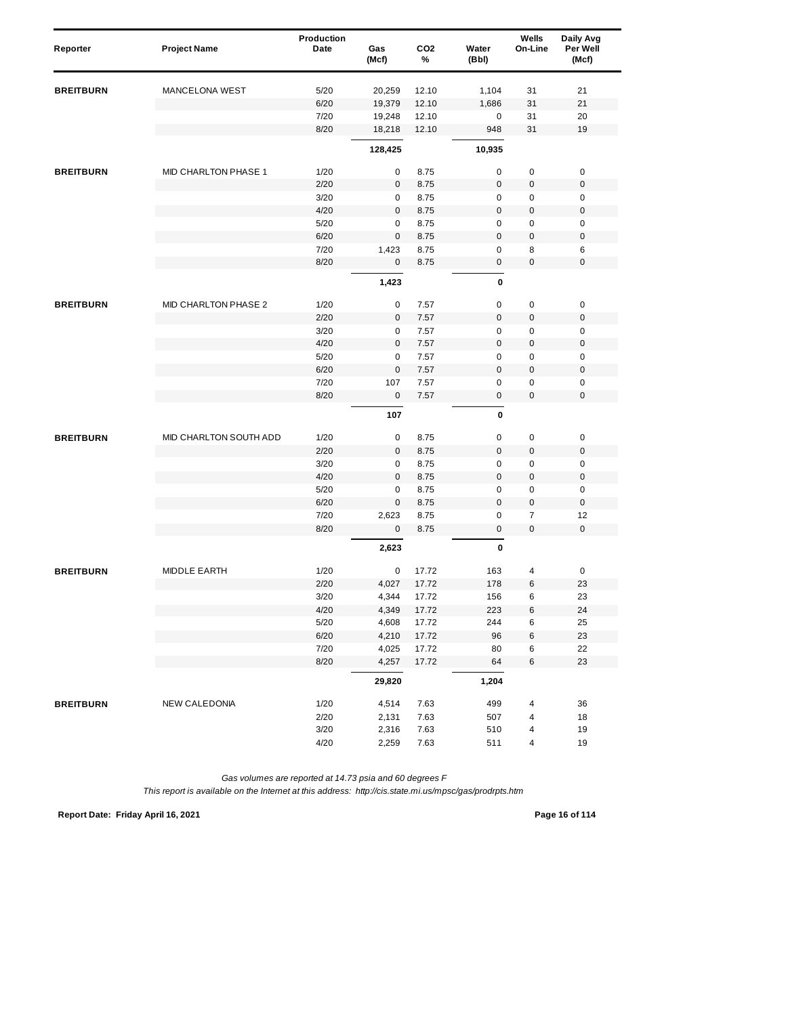| Reporter         | <b>Project Name</b>    | Production<br>Date | Gas<br>(Mcf) | CO <sub>2</sub><br>% | Water<br>(Bbl) | Wells<br>On-Line | Daily Avg<br>Per Well<br>(Mcf) |
|------------------|------------------------|--------------------|--------------|----------------------|----------------|------------------|--------------------------------|
| <b>BREITBURN</b> | <b>MANCELONA WEST</b>  | 5/20               | 20,259       | 12.10                | 1,104          | 31               | 21                             |
|                  |                        | 6/20               | 19,379       | 12.10                | 1,686          | 31               | 21                             |
|                  |                        | 7/20               | 19,248       | 12.10                | 0              | 31               | 20                             |
|                  |                        | 8/20               | 18,218       | 12.10                | 948            | 31               | 19                             |
|                  |                        |                    | 128,425      |                      | 10,935         |                  |                                |
| <b>BREITBURN</b> | MID CHARLTON PHASE 1   | 1/20               | 0            | 8.75                 | $\mathbf 0$    | 0                | $\pmb{0}$                      |
|                  |                        | 2/20               | $\mathbf 0$  | 8.75                 | $\bf 0$        | 0                | $\pmb{0}$                      |
|                  |                        | 3/20               | $\mathbf 0$  | 8.75                 | $\mathbf 0$    | 0                | $\mathbf 0$                    |
|                  |                        | 4/20               | 0            | 8.75                 | $\mathbf 0$    | 0                | $\boldsymbol{0}$               |
|                  |                        | 5/20               | 0            | 8.75                 | $\mathbf 0$    | 0                | $\mathbf 0$                    |
|                  |                        | 6/20               | $\mathsf 0$  | 8.75                 | $\mathbf 0$    | $\pmb{0}$        | $\mathbf 0$                    |
|                  |                        | 7/20               | 1,423        | 8.75                 | $\mathbf 0$    | 8                | 6                              |
|                  |                        | 8/20               | $\mathbf{0}$ | 8.75                 | 0              | 0                | $\pmb{0}$                      |
|                  |                        |                    | 1,423        |                      | $\pmb{0}$      |                  |                                |
| <b>BREITBURN</b> | MID CHARLTON PHASE 2   | 1/20               | 0            | 7.57                 | $\mathbf 0$    | $\pmb{0}$        | $\pmb{0}$                      |
|                  |                        | 2/20               | 0            | 7.57                 | $\bf 0$        | 0                | $\boldsymbol{0}$               |
|                  |                        | 3/20               | 0            | 7.57                 | 0              | 0                | $\mathbf 0$                    |
|                  |                        | 4/20               | $\mathbf{0}$ | 7.57                 | $\mathbf 0$    | 0                | $\mathbf 0$                    |
|                  |                        | 5/20               | 0            | 7.57                 | $\mathbf 0$    | 0                | $\pmb{0}$                      |
|                  |                        | 6/20               | $\mathsf 0$  | 7.57                 | $\bf 0$        | 0                | $\mathbf 0$                    |
|                  |                        | 7/20               | 107          | 7.57                 | $\mathbf 0$    | 0                | $\pmb{0}$                      |
|                  |                        | 8/20               | 0            | 7.57                 | $\pmb{0}$      | 0                | $\mathbf 0$                    |
|                  |                        |                    | 107          |                      | 0              |                  |                                |
| <b>BREITBURN</b> | MID CHARLTON SOUTH ADD | 1/20               | 0            | 8.75                 | $\mathbf 0$    | 0                | $\pmb{0}$                      |
|                  |                        | 2/20               | $\mathsf 0$  | 8.75                 | $\overline{0}$ | $\pmb{0}$        | $\mathbf 0$                    |
|                  |                        | 3/20               | 0            | 8.75                 | $\mathbf 0$    | 0                | $\pmb{0}$                      |
|                  |                        | 4/20               | $\mathbf 0$  | 8.75                 | $\mathbf 0$    | 0                | $\mathbf 0$                    |
|                  |                        | 5/20               | $\mathbf 0$  | 8.75                 | $\mathbf 0$    | 0                | $\mathbf 0$                    |
|                  |                        | 6/20               | 0            | 8.75                 | $\bf 0$        | 0                | $\boldsymbol{0}$               |
|                  |                        | 7/20               | 2,623        | 8.75                 | $\mathbf 0$    | 7                | 12                             |
|                  |                        | 8/20               | 0            | 8.75                 | $\pmb{0}$      | $\pmb{0}$        | $\mathbf 0$                    |
|                  |                        |                    | 2,623        |                      | 0              |                  |                                |
| <b>BREITBURN</b> | <b>MIDDLE EARTH</b>    | 1/20               | 0            | 17.72                | 163            | 4                | 0                              |
|                  |                        | 2/20               | 4,027        | 17.72                | 178            | 6                | 23                             |
|                  |                        | 3/20               | 4,344        | 17.72                | 156            | 6                | 23                             |
|                  |                        | 4/20               | 4,349        | 17.72                | 223            | 6                | 24                             |
|                  |                        | 5/20               | 4,608        | 17.72                | 244            | 6                | 25                             |
|                  |                        | 6/20               | 4,210        | 17.72                | 96             | 6                | 23                             |
|                  |                        | 7/20               | 4,025        | 17.72                | 80             | 6                | 22                             |
|                  |                        | 8/20               | 4,257        | 17.72                | 64             | 6                | 23                             |
|                  |                        |                    | 29,820       |                      | 1,204          |                  |                                |
| <b>BREITBURN</b> | <b>NEW CALEDONIA</b>   | 1/20               | 4,514        | 7.63                 | 499            | 4                | 36                             |
|                  |                        | 2/20               | 2,131        | 7.63                 | 507            | 4                | 18                             |
|                  |                        | $3/20$             | 2,316        | 7.63                 | 510            | 4                | 19                             |
|                  |                        | 4/20               | 2,259        | 7.63                 | 511            | 4                | 19                             |

**Report Date: Friday April 16, 2021 Page 16 of 114**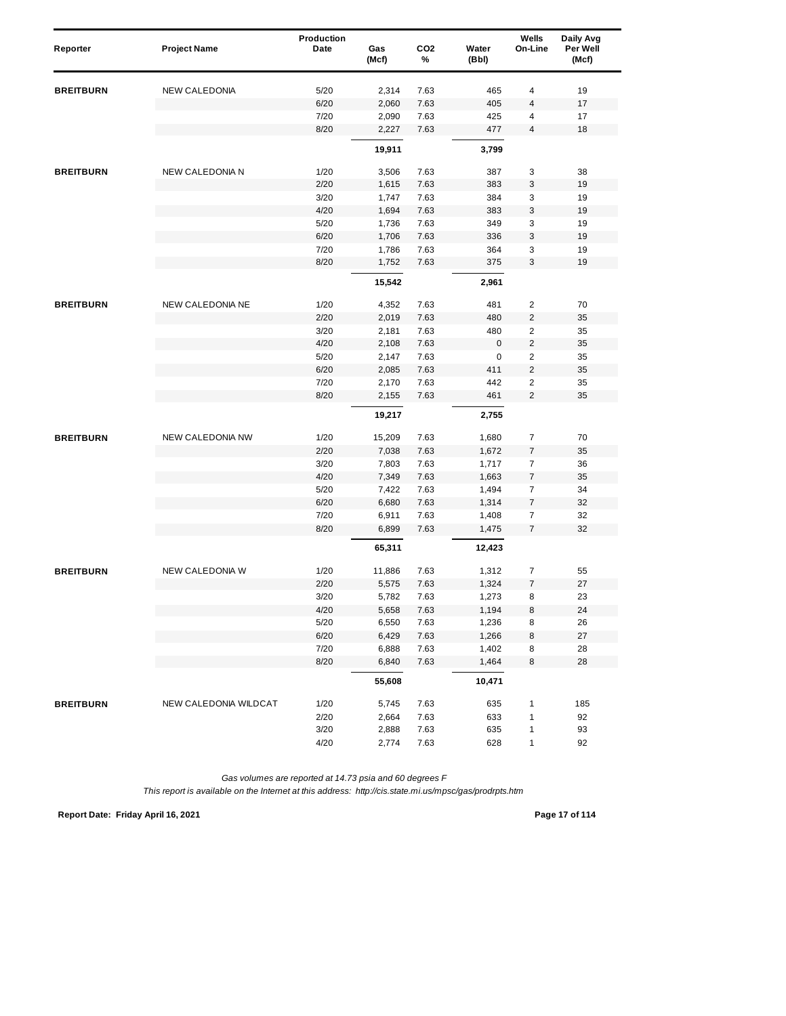| Reporter         | <b>Project Name</b>     | Production<br>Date | Gas<br>(Mcf) | CO <sub>2</sub><br>% | Water<br>(Bbl) | Wells<br>On-Line | Daily Avg<br>Per Well<br>(Mcf) |
|------------------|-------------------------|--------------------|--------------|----------------------|----------------|------------------|--------------------------------|
| <b>BREITBURN</b> | <b>NEW CALEDONIA</b>    | 5/20               | 2,314        | 7.63                 | 465            | 4                | 19                             |
|                  |                         | 6/20               | 2,060        | 7.63                 | 405            | 4                | 17                             |
|                  |                         | 7/20               | 2,090        | 7.63                 | 425            | 4                | 17                             |
|                  |                         | 8/20               | 2,227        | 7.63                 | 477            | 4                | 18                             |
|                  |                         |                    | 19,911       |                      | 3,799          |                  |                                |
| <b>BREITBURN</b> | <b>NEW CALEDONIA N</b>  | 1/20               | 3,506        | 7.63                 | 387            | 3                | 38                             |
|                  |                         | 2/20               | 1,615        | 7.63                 | 383            | 3                | 19                             |
|                  |                         | 3/20               | 1,747        | 7.63                 | 384            | 3                | 19                             |
|                  |                         | 4/20               | 1,694        | 7.63                 | 383            | 3                | 19                             |
|                  |                         | 5/20               | 1,736        | 7.63                 | 349            | 3                | 19                             |
|                  |                         | 6/20               | 1,706        | 7.63                 | 336            | 3                | 19                             |
|                  |                         | 7/20               | 1,786        | 7.63                 | 364            | 3                | 19                             |
|                  |                         | 8/20               | 1,752        | 7.63                 | 375            | 3                | 19                             |
|                  |                         |                    | 15,542       |                      | 2,961          |                  |                                |
| <b>BREITBURN</b> | NEW CALEDONIA NE        | 1/20               | 4,352        | 7.63                 | 481            | $\overline{2}$   | 70                             |
|                  |                         | 2/20               | 2,019        | 7.63                 | 480            | $\overline{2}$   | 35                             |
|                  |                         | 3/20               | 2,181        | 7.63                 | 480            | $\overline{2}$   | 35                             |
|                  |                         | 4/20               | 2,108        | 7.63                 | $\mathbf 0$    | $\overline{c}$   | 35                             |
|                  |                         | 5/20               | 2,147        | 7.63                 | 0              | $\overline{2}$   | 35                             |
|                  |                         | 6/20               | 2,085        | 7.63                 | 411            | $\overline{2}$   | 35                             |
|                  |                         | 7/20               | 2,170        | 7.63                 | 442            | 2                | 35                             |
|                  |                         | 8/20               | 2,155        | 7.63                 | 461            | $\overline{2}$   | 35                             |
|                  |                         |                    | 19,217       |                      | 2,755          |                  |                                |
| <b>BREITBURN</b> | <b>NEW CALEDONIA NW</b> | 1/20               | 15,209       | 7.63                 | 1,680          | $\overline{7}$   | 70                             |
|                  |                         | 2/20               | 7,038        | 7.63                 | 1,672          | 7                | 35                             |
|                  |                         | 3/20               | 7,803        | 7.63                 | 1,717          | $\overline{7}$   | 36                             |
|                  |                         | 4/20               | 7,349        | 7.63                 | 1,663          | $\boldsymbol{7}$ | 35                             |
|                  |                         | 5/20               | 7,422        | 7.63                 | 1,494          | $\overline{7}$   | 34                             |
|                  |                         | 6/20               | 6,680        | 7.63                 | 1,314          | $\boldsymbol{7}$ | 32                             |
|                  |                         | 7/20               | 6,911        | 7.63                 | 1,408          | $\overline{7}$   | 32                             |
|                  |                         | 8/20               | 6,899        | 7.63                 | 1,475          | $\overline{7}$   | 32                             |
|                  |                         |                    | 65,311       |                      | 12,423         |                  |                                |
| <b>BREITBURN</b> | NEW CALEDONIA W         | 1/20               | 11,886       | 7.63                 | 1,312          | $\overline{7}$   | 55                             |
|                  |                         | 2/20               | 5,575        | 7.63                 | 1,324          | $\overline{7}$   | 27                             |
|                  |                         | 3/20               | 5,782        | 7.63                 | 1,273          | 8                | 23                             |
|                  |                         | 4/20               | 5,658        | 7.63                 | 1,194          | 8                | 24                             |
|                  |                         | 5/20               | 6,550        | 7.63                 | 1,236          | 8                | 26                             |
|                  |                         | 6/20               | 6,429        | 7.63                 | 1,266          | 8                | $27\,$                         |
|                  |                         | 7/20               | 6,888        | 7.63                 | 1,402          | 8                | 28                             |
|                  |                         | 8/20               | 6,840        | 7.63                 | 1,464          | 8                | 28                             |
|                  |                         |                    | 55,608       |                      | 10,471         |                  |                                |
| <b>BREITBURN</b> | NEW CALEDONIA WILDCAT   | 1/20               | 5,745        | 7.63                 | 635            | $\mathbf{1}$     | 185                            |
|                  |                         | 2/20               | 2,664        | 7.63                 | 633            | $\mathbf{1}$     | 92                             |
|                  |                         | 3/20               | 2,888        | 7.63                 | 635            | $\mathbf{1}$     | 93                             |
|                  |                         | 4/20               | 2,774        | 7.63                 | 628            | $\mathbf{1}$     | 92                             |

**Report Date: Friday April 16, 2021 Page 17 of 114**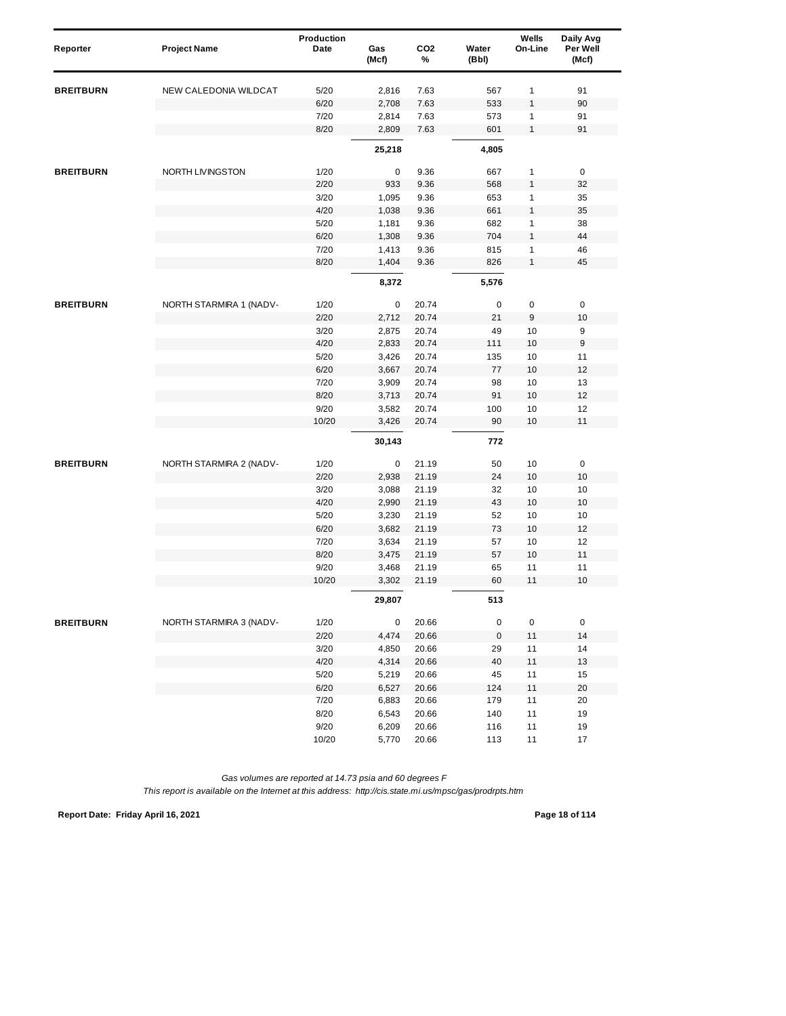| Reporter         | <b>Project Name</b>     | Production<br>Date | Gas<br>(Mcf) | CO <sub>2</sub><br>% | Water<br>(Bbl) | Wells<br>On-Line | Daily Avg<br>Per Well<br>(Mcf) |
|------------------|-------------------------|--------------------|--------------|----------------------|----------------|------------------|--------------------------------|
| <b>BREITBURN</b> | NEW CALEDONIA WILDCAT   | 5/20               | 2,816        | 7.63                 | 567            | 1                | 91                             |
|                  |                         | 6/20               | 2,708        | 7.63                 | 533            | 1                | 90                             |
|                  |                         | 7/20               | 2,814        | 7.63                 | 573            | 1                | 91                             |
|                  |                         | 8/20               | 2,809        | 7.63                 | 601            | $\mathbf{1}$     | 91                             |
|                  |                         |                    | 25,218       |                      | 4,805          |                  |                                |
| <b>BREITBURN</b> | NORTH LIVINGSTON        | 1/20               | 0            | 9.36                 | 667            | $\mathbf{1}$     | 0                              |
|                  |                         | 2/20               | 933          | 9.36                 | 568            | 1                | 32                             |
|                  |                         | 3/20               | 1,095        | 9.36                 | 653            | 1                | 35                             |
|                  |                         | 4/20               | 1,038        | 9.36                 | 661            | 1                | 35                             |
|                  |                         | 5/20               | 1,181        | 9.36                 | 682            | 1                | 38                             |
|                  |                         | 6/20               | 1,308        | 9.36                 | 704            | 1                | 44                             |
|                  |                         | 7/20               | 1,413        | 9.36                 | 815            | 1                | 46                             |
|                  |                         | 8/20               | 1,404        | 9.36                 | 826            | $\mathbf{1}$     | 45                             |
|                  |                         |                    | 8,372        |                      | 5,576          |                  |                                |
| <b>BREITBURN</b> | NORTH STARMIRA 1 (NADV- | 1/20               | 0            | 20.74                | 0              | $\pmb{0}$        | $\pmb{0}$                      |
|                  |                         | 2/20               | 2,712        | 20.74                | 21             | 9                | 10                             |
|                  |                         | 3/20               | 2,875        | 20.74                | 49             | 10               | 9                              |
|                  |                         | 4/20               | 2,833        | 20.74                | 111            | 10               | 9                              |
|                  |                         | 5/20               | 3,426        | 20.74                | 135            | 10               | 11                             |
|                  |                         | 6/20               | 3,667        | 20.74                | 77             | 10               | 12                             |
|                  |                         | 7/20               | 3,909        | 20.74                | 98             | 10               | 13                             |
|                  |                         | 8/20               | 3,713        | 20.74                | 91             | 10               | 12                             |
|                  |                         | 9/20               | 3,582        | 20.74                | 100            | 10               | 12                             |
|                  |                         | 10/20              | 3,426        | 20.74                | 90             | 10               | 11                             |
|                  |                         |                    | 30,143       |                      | 772            |                  |                                |
| <b>BREITBURN</b> | NORTH STARMIRA 2 (NADV- | 1/20               | 0            | 21.19                | 50             | 10               | 0                              |
|                  |                         | 2/20               | 2,938        | 21.19                | 24             | 10               | 10                             |
|                  |                         | 3/20               | 3,088        | 21.19                | 32             | 10               | 10                             |
|                  |                         | 4/20               | 2,990        | 21.19                | 43             | $10$             | $10$                           |
|                  |                         | 5/20               | 3,230        | 21.19                | 52             | 10               | 10                             |
|                  |                         | 6/20               | 3,682        | 21.19                | 73             | 10               | 12                             |
|                  |                         | 7/20               | 3,634        | 21.19                | 57             | 10               | 12                             |
|                  |                         | 8/20               | 3,475        | 21.19                | 57             | 10               | 11                             |
|                  |                         | 9/20               | 3,468        | 21.19                | 65             | 11               | 11                             |
|                  |                         | 10/20              | 3,302        | 21.19                | 60             | 11               | 10                             |
|                  |                         |                    | 29,807       |                      | 513            |                  |                                |
| <b>BREITBURN</b> | NORTH STARMIRA 3 (NADV- | 1/20               | 0            | 20.66                | $\pmb{0}$      | 0                | $\pmb{0}$                      |
|                  |                         | 2/20               | 4,474        | 20.66                | $\pmb{0}$      | 11               | 14                             |
|                  |                         | 3/20               | 4,850        | 20.66                | 29             | 11               | 14                             |
|                  |                         | 4/20               | 4,314        | 20.66                | 40             | 11               | 13                             |
|                  |                         | 5/20               | 5,219        | 20.66                | 45             | 11               | 15                             |
|                  |                         | 6/20               | 6,527        | 20.66                | 124            | $11$             | 20                             |
|                  |                         | 7/20               | 6,883        | 20.66                | 179            | 11               | 20                             |
|                  |                         | 8/20               | 6,543        | 20.66                | 140            | 11               | 19                             |
|                  |                         | 9/20               | 6,209        | 20.66                | 116            | 11               | 19                             |
|                  |                         | 10/20              | 5,770        | 20.66                | 113            | 11               | 17                             |

*This report is available on the Internet at this address: http://cis.state.mi.us/mpsc/gas/prodrpts.htm*

**Report Date: Friday April 16, 2021 Page 18 of 114**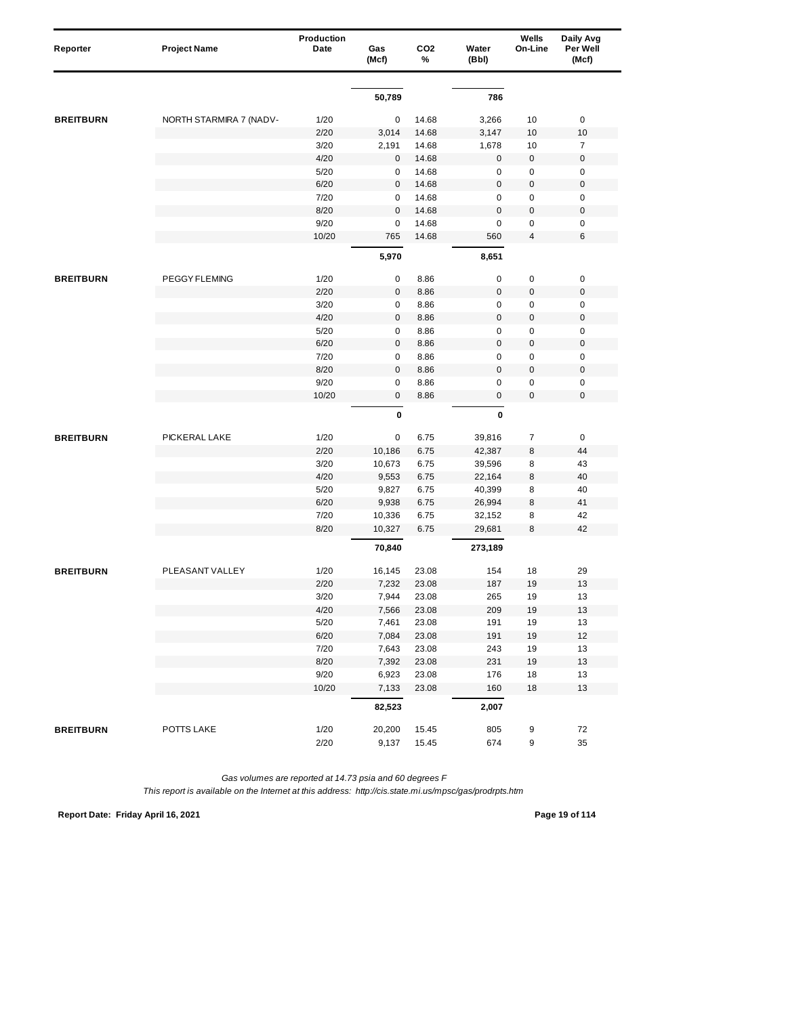| Reporter         | <b>Project Name</b>     | Production<br>Date | Gas<br>(Mcf) | CO <sub>2</sub><br>% | Water<br>(Bbl) | Wells<br>On-Line | Daily Avg<br>Per Well<br>(Mcf) |
|------------------|-------------------------|--------------------|--------------|----------------------|----------------|------------------|--------------------------------|
|                  |                         |                    |              |                      |                |                  |                                |
|                  |                         |                    | 50,789       |                      | 786            |                  |                                |
| <b>BREITBURN</b> | NORTH STARMIRA 7 (NADV- | 1/20               | 0            | 14.68                | 3,266          | 10               | $\pmb{0}$                      |
|                  |                         | 2/20               | 3,014        | 14.68                | 3,147          | 10               | 10                             |
|                  |                         | 3/20               | 2,191        | 14.68                | 1,678          | 10               | $\overline{7}$                 |
|                  |                         | 4/20               | 0            | 14.68                | $\bf 0$        | $\pmb{0}$        | $\pmb{0}$                      |
|                  |                         | 5/20               | 0            | 14.68                | 0              | 0                | 0                              |
|                  |                         | 6/20               | $\mathbf{0}$ | 14.68                | $\mathsf 0$    | $\pmb{0}$        | $\mathbf 0$                    |
|                  |                         | 7/20               | 0            | 14.68                | $\mathsf 0$    | 0                | $\mathbf 0$                    |
|                  |                         | 8/20               | $\pmb{0}$    | 14.68                | $\mathbf 0$    | $\mathbf 0$      | $\mathbf 0$                    |
|                  |                         | 9/20               | $\mathbf 0$  | 14.68                | $\mathbf 0$    | 0                | $\pmb{0}$                      |
|                  |                         | 10/20              | 765          | 14.68                | 560            | 4                | 6                              |
|                  |                         |                    | 5,970        |                      | 8,651          |                  |                                |
| <b>BREITBURN</b> | PEGGY FLEMING           | 1/20               | 0            | 8.86                 | $\pmb{0}$      | $\pmb{0}$        | $\pmb{0}$                      |
|                  |                         | 2/20               | $\mathsf 0$  | 8.86                 | $\mathsf 0$    | $\pmb{0}$        | $\mathbf 0$                    |
|                  |                         | 3/20               | 0            | 8.86                 | $\mathsf 0$    | $\pmb{0}$        | $\pmb{0}$                      |
|                  |                         | 4/20               | 0            | 8.86                 | $\mathsf 0$    | $\pmb{0}$        | $\pmb{0}$                      |
|                  |                         | 5/20               | 0            | 8.86                 | $\mathbf 0$    | $\pmb{0}$        | $\mathbf 0$                    |
|                  |                         | 6/20               | $\mathsf 0$  | 8.86                 | $\mathbf 0$    | $\pmb{0}$        | $\mathbf 0$                    |
|                  |                         | 7/20               | 0            | 8.86                 | 0              | 0                | $\pmb{0}$                      |
|                  |                         | 8/20               | $\mathbf{0}$ | 8.86                 | $\mathbf 0$    | $\pmb{0}$        | $\mathbf 0$                    |
|                  |                         | 9/20               | 0            | 8.86                 | $\mathsf 0$    | 0                | $\mathbf 0$                    |
|                  |                         | 10/20              | $\mathsf 0$  | 8.86                 | $\pmb{0}$      | 0                | $\mathbf 0$                    |
|                  |                         |                    | $\pmb{0}$    |                      | $\pmb{0}$      |                  |                                |
| <b>BREITBURN</b> | PICKERAL LAKE           | 1/20               | 0            | 6.75                 | 39,816         | $\overline{7}$   | $\pmb{0}$                      |
|                  |                         | 2/20               | 10,186       | 6.75                 | 42,387         | 8                | 44                             |
|                  |                         | 3/20               | 10,673       | 6.75                 | 39,596         | 8                | 43                             |
|                  |                         | 4/20               | 9,553        | 6.75                 | 22,164         | 8                | 40                             |
|                  |                         | 5/20               | 9,827        | 6.75                 | 40,399         | 8                | 40                             |
|                  |                         | 6/20               | 9,938        | 6.75                 | 26,994         | 8                | 41                             |
|                  |                         | 7/20               | 10,336       | 6.75                 | 32,152         | 8                | 42                             |
|                  |                         | 8/20               | 10,327       | 6.75                 | 29,681         | 8                | 42                             |
|                  |                         |                    | 70,840       |                      | 273,189        |                  |                                |
| <b>BREITBURN</b> | PLEASANT VALLEY         | 1/20               | 16,145       | 23.08                | 154            | 18               | 29                             |
|                  |                         | 2/20               | 7,232        | 23.08                | 187            | 19               | 13                             |
|                  |                         | 3/20               | 7,944        | 23.08                | 265            | 19               | 13                             |
|                  |                         | 4/20               | 7,566        | 23.08                | 209            | 19               | $13$                           |
|                  |                         | 5/20               | 7,461        | 23.08                | 191            | 19               | 13                             |
|                  |                         | 6/20               | 7,084        | 23.08                | 191            | 19               | 12                             |
|                  |                         | 7/20               | 7,643        | 23.08                | 243            | 19               | 13                             |
|                  |                         | 8/20               | 7,392        | 23.08                | 231            | 19               | 13                             |
|                  |                         | 9/20               | 6,923        | 23.08                | 176            | 18               | 13                             |
|                  |                         | 10/20              | 7,133        | 23.08                | 160            | 18               | 13                             |
|                  |                         |                    | 82,523       |                      | 2,007          |                  |                                |
| <b>BREITBURN</b> | POTTS LAKE              | 1/20               | 20,200       | 15.45                | 805            | 9                | 72                             |
|                  |                         | 2/20               | 9,137        | 15.45                | 674            | 9                | 35                             |

**Report Date: Friday April 16, 2021 Page 19 of 114**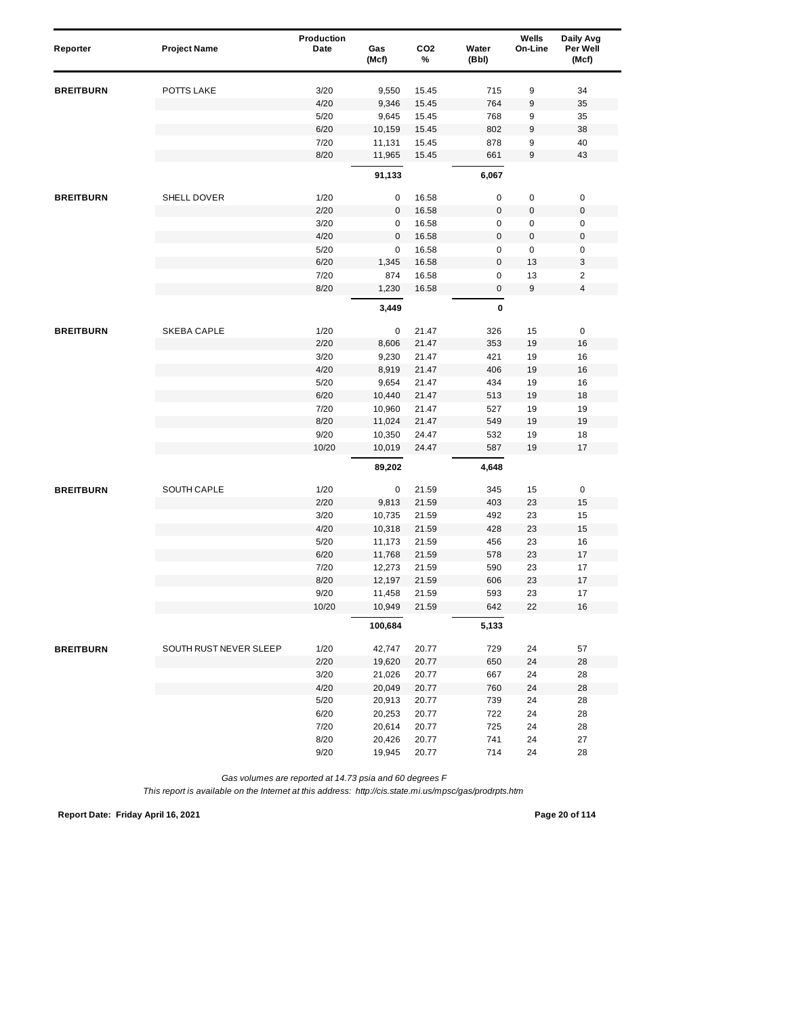| Reporter         | <b>Project Name</b>    | Production<br>Date | Gas<br>(Mcf)     | CO <sub>2</sub><br>% | Water<br>(Bbl) | Wells<br>On-Line | Daily Avg<br>Per Well<br>(Mcf) |
|------------------|------------------------|--------------------|------------------|----------------------|----------------|------------------|--------------------------------|
|                  | POTTS LAKE             |                    |                  |                      |                |                  |                                |
| <b>BREITBURN</b> |                        | 3/20               | 9,550            | 15.45                | 715            | 9                | 34                             |
|                  |                        | 4/20<br>5/20       | 9,346<br>9,645   | 15.45<br>15.45       | 764<br>768     | 9<br>9           | 35<br>35                       |
|                  |                        | 6/20               | 10,159           | 15.45                | 802            | 9                | 38                             |
|                  |                        | 7/20               | 11,131           | 15.45                | 878            | 9                | 40                             |
|                  |                        | 8/20               | 11,965           | 15.45                | 661            | 9                | 43                             |
|                  |                        |                    | 91,133           |                      | 6,067          |                  |                                |
| <b>BREITBURN</b> | SHELL DOVER            | 1/20               | 0                | 16.58                | 0              | 0                | $\pmb{0}$                      |
|                  |                        | 2/20               | 0                | 16.58                | $\mathbf 0$    | $\boldsymbol{0}$ | $\pmb{0}$                      |
|                  |                        | 3/20               | 0                | 16.58                | 0              | 0                | 0                              |
|                  |                        | 4/20               | $\pmb{0}$        | 16.58                | $\mathsf 0$    | $\mathbf 0$      | $\pmb{0}$                      |
|                  |                        | 5/20               | 0                | 16.58                | 0              | $\pmb{0}$        | 0                              |
|                  |                        | 6/20               | 1,345            | 16.58                | $\mathbf 0$    | 13               | 3                              |
|                  |                        | 7/20               | 874              | 16.58                | 0              | 13               | $\overline{2}$                 |
|                  |                        | 8/20               | 1,230            | 16.58                | $\mathbf 0$    | 9                | $\overline{\mathbf{4}}$        |
|                  |                        |                    | 3,449            |                      | 0              |                  |                                |
| <b>BREITBURN</b> | SKEBA CAPLE            | 1/20               | 0                | 21.47                | 326            | 15               | $\pmb{0}$                      |
|                  |                        | 2/20               | 8,606            | 21.47                | 353            | 19               | 16                             |
|                  |                        | 3/20               | 9,230            | 21.47                | 421            | 19               | 16                             |
|                  |                        | 4/20               | 8,919            | 21.47                | 406            | 19               | 16                             |
|                  |                        | 5/20               | 9,654            | 21.47                | 434            | 19               | 16                             |
|                  |                        | 6/20               | 10,440           | 21.47                | 513            | 19               | 18                             |
|                  |                        | 7/20               | 10,960           | 21.47                | 527            | 19               | 19                             |
|                  |                        | 8/20               | 11,024           | 21.47                | 549            | 19               | 19                             |
|                  |                        | 9/20               | 10,350           | 24.47                | 532            | 19               | 18                             |
|                  |                        | 10/20              | 10,019           | 24.47                | 587            | 19               | 17                             |
|                  |                        |                    | 89,202           |                      | 4,648          |                  |                                |
| <b>BREITBURN</b> | SOUTH CAPLE            | 1/20               | 0                | 21.59                | 345            | 15               | $\pmb{0}$                      |
|                  |                        | 2/20               | 9,813            | 21.59                | 403            | 23               | 15                             |
|                  |                        | 3/20               | 10,735           | 21.59                | 492            | 23               | 15                             |
|                  |                        | 4/20               | 10,318           | 21.59                | 428            | 23               | 15                             |
|                  |                        | 5/20               | 11,173           | 21.59                | 456            | 23               | 16                             |
|                  |                        | 6/20               | 11,768           | 21.59                | 578            | 23               | 17                             |
|                  |                        | 7/20               | 12,273           | 21.59                | 590            | 23               | 17                             |
|                  |                        | 8/20<br>9/20       | 12,197           | 21.59                | 606<br>593     | 23<br>23         | 17<br>17                       |
|                  |                        | 10/20              | 11,458<br>10,949 | 21.59<br>21.59       | 642            | 22               | $16$                           |
|                  |                        |                    |                  |                      |                |                  |                                |
|                  |                        |                    | 100,684          |                      | 5,133          |                  |                                |
| <b>BREITBURN</b> | SOUTH RUST NEVER SLEEP | 1/20               | 42,747           | 20.77                | 729            | 24               | 57                             |
|                  |                        | 2/20               | 19,620           | 20.77                | 650            | 24               | 28                             |
|                  |                        | 3/20               | 21,026           | 20.77                | 667            | 24               | 28                             |
|                  |                        | 4/20               | 20,049           | 20.77                | 760            | 24               | 28                             |
|                  |                        | 5/20               | 20,913           | 20.77                | 739            | 24               | 28                             |
|                  |                        | 6/20               | 20,253           | 20.77                | 722            | 24               | 28                             |
|                  |                        | 7/20               | 20,614           | 20.77                | 725            | 24               | 28                             |
|                  |                        | 8/20               | 20,426           | 20.77<br>20.77       | 741<br>714     | 24               | 27                             |
|                  |                        | 9/20               | 19,945           |                      |                | 24               | 28                             |

*This report is available on the Internet at this address: http://cis.state.mi.us/mpsc/gas/prodrpts.htm*

**Report Date: Friday April 16, 2021 Page 20 of 114**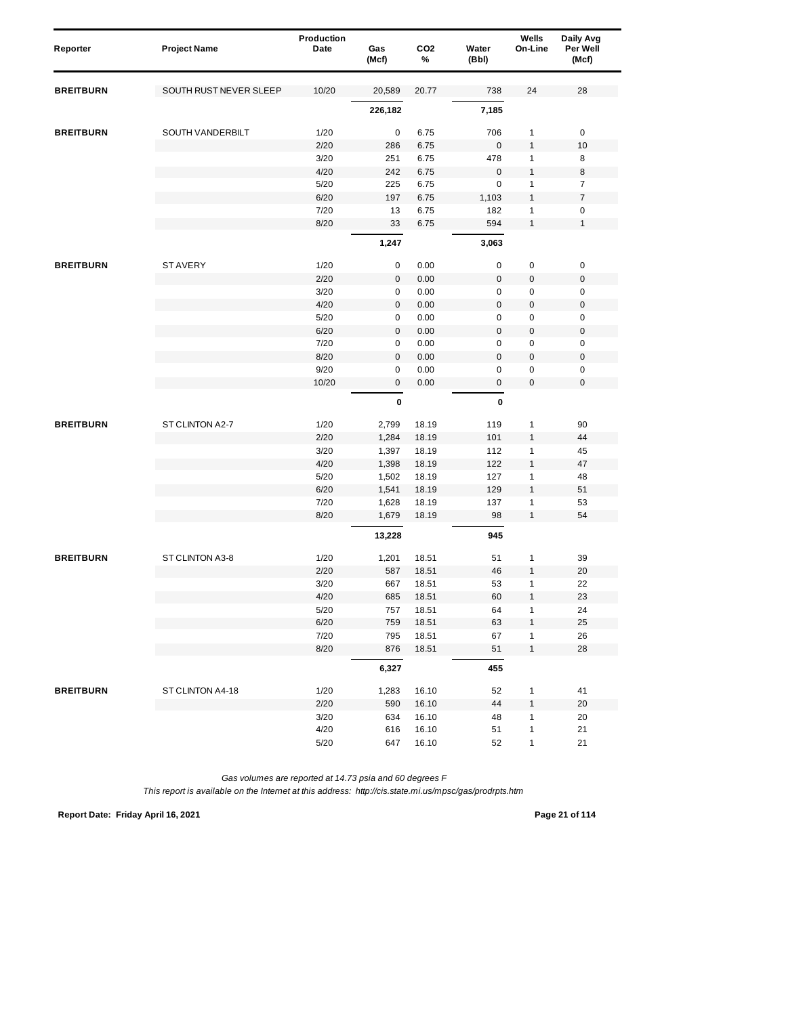| Reporter         | <b>Project Name</b>    | Production<br>Date | Gas<br>(Mcf) | CO <sub>2</sub><br>% | Water<br>(Bbl) | Wells<br>On-Line | Daily Avg<br>Per Well<br>(Mcf) |
|------------------|------------------------|--------------------|--------------|----------------------|----------------|------------------|--------------------------------|
| <b>BREITBURN</b> | SOUTH RUST NEVER SLEEP | 10/20              | 20,589       | 20.77                | 738            | 24               | 28                             |
|                  |                        |                    | 226,182      |                      | 7,185          |                  |                                |
| <b>BREITBURN</b> | SOUTH VANDERBILT       | 1/20               | 0            | 6.75                 | 706            | 1                | $\pmb{0}$                      |
|                  |                        | 2/20               | 286          | 6.75                 | $\bf 0$        | $\mathbf{1}$     | 10                             |
|                  |                        | 3/20               | 251          | 6.75                 | 478            | 1                | 8                              |
|                  |                        | 4/20               | 242          | 6.75                 | $\mathbf 0$    | $\mathbf{1}$     | 8                              |
|                  |                        | 5/20               | 225          | 6.75                 | $\mathbf 0$    | $\mathbf{1}$     | $\overline{7}$                 |
|                  |                        | 6/20               | 197          | 6.75                 | 1,103          | $\mathbf{1}$     | $\overline{7}$                 |
|                  |                        | 7/20               | 13           | 6.75                 | 182            | 1                | $\pmb{0}$                      |
|                  |                        | 8/20               | 33           | 6.75                 | 594            | 1                | $\mathbf{1}$                   |
|                  |                        |                    | 1,247        |                      | 3,063          |                  |                                |
| <b>BREITBURN</b> | <b>STAVERY</b>         | 1/20               | 0            | 0.00                 | $\pmb{0}$      | $\pmb{0}$        | $\pmb{0}$                      |
|                  |                        | 2/20               | 0            | 0.00                 | $\mathsf 0$    | $\mathbf 0$      | $\pmb{0}$                      |
|                  |                        | 3/20               | 0            | 0.00                 | $\mathsf 0$    | $\pmb{0}$        | $\mathbf 0$                    |
|                  |                        | 4/20               | 0            | 0.00                 | $\mathbf 0$    | $\mathbf 0$      | $\pmb{0}$                      |
|                  |                        | 5/20               | 0            | 0.00                 | 0              | $\pmb{0}$        | $\pmb{0}$                      |
|                  |                        | 6/20               | $\mathbf{0}$ | 0.00                 | $\mathbf 0$    | $\pmb{0}$        | $\mathbf 0$                    |
|                  |                        | 7/20               | 0            | 0.00                 | $\mathsf 0$    | $\pmb{0}$        | $\mathbf 0$                    |
|                  |                        | 8/20               | 0            | 0.00                 | $\mathbf 0$    | $\mathbf 0$      | $\pmb{0}$                      |
|                  |                        | 9/20               | 0            | 0.00                 | $\mathsf 0$    | $\pmb{0}$        | $\pmb{0}$                      |
|                  |                        | 10/20              | 0            | 0.00                 | $\pmb{0}$      | $\mathbf 0$      | $\mathbf 0$                    |
|                  |                        |                    | 0            |                      | $\pmb{0}$      |                  |                                |
| <b>BREITBURN</b> | ST CLINTON A2-7        | 1/20               | 2,799        | 18.19                | 119            | $\mathbf{1}$     | 90                             |
|                  |                        | 2/20               | 1,284        | 18.19                | 101            | $\mathbf{1}$     | 44                             |
|                  |                        | 3/20               | 1,397        | 18.19                | 112            | 1                | 45                             |
|                  |                        | 4/20               | 1,398        | 18.19                | 122            | $\mathbf{1}$     | 47                             |
|                  |                        | 5/20               | 1,502        | 18.19                | 127            | $\mathbf{1}$     | 48                             |
|                  |                        | 6/20               | 1,541        | 18.19                | 129            | $\mathbf{1}$     | 51                             |
|                  |                        | 7/20               | 1,628        | 18.19                | 137            | 1                | 53                             |
|                  |                        | 8/20               | 1,679        | 18.19                | 98             | 1                | 54                             |
|                  |                        |                    | 13,228       |                      | 945            |                  |                                |
| <b>BREITBURN</b> | ST CLINTON A3-8        | 1/20               | 1,201        | 18.51                | 51             | $\mathbf{1}$     | 39                             |
|                  |                        | 2/20               | 587          | 18.51                | 46             | $\mathbf{1}$     | 20                             |
|                  |                        | 3/20               | 667          | 18.51                | 53             | 1                | 22                             |
|                  |                        | 4/20               | 685          | 18.51                | 60             | 1                | 23                             |
|                  |                        | $5/20$             | 757          | 18.51                | 64             | $\mathbf{1}$     | 24                             |
|                  |                        | 6/20               | 759          | 18.51                | 63             | $\mathbf{1}$     | 25                             |
|                  |                        | 7/20               | 795          | 18.51                | 67             | $\mathbf{1}$     | 26                             |
|                  |                        | 8/20               | 876          | 18.51                | 51             | $\mathbf{1}$     | 28                             |
|                  |                        |                    | 6,327        |                      | 455            |                  |                                |
| <b>BREITBURN</b> | ST CLINTON A4-18       | 1/20               | 1,283        | 16.10                | 52             | $\mathbf{1}$     | 41                             |
|                  |                        | 2/20               | 590          | 16.10                | 44             | $\mathbf{1}$     | 20                             |
|                  |                        | 3/20               | 634          | 16.10                | 48             | $\mathbf 1$      | 20                             |
|                  |                        | 4/20               | 616          | 16.10                | 51             | $\mathbf{1}$     | 21                             |
|                  |                        | $5/20$             | 647          | 16.10                | 52             | $\mathbf{1}$     | 21                             |

**Report Date: Friday April 16, 2021 Page 21 of 114**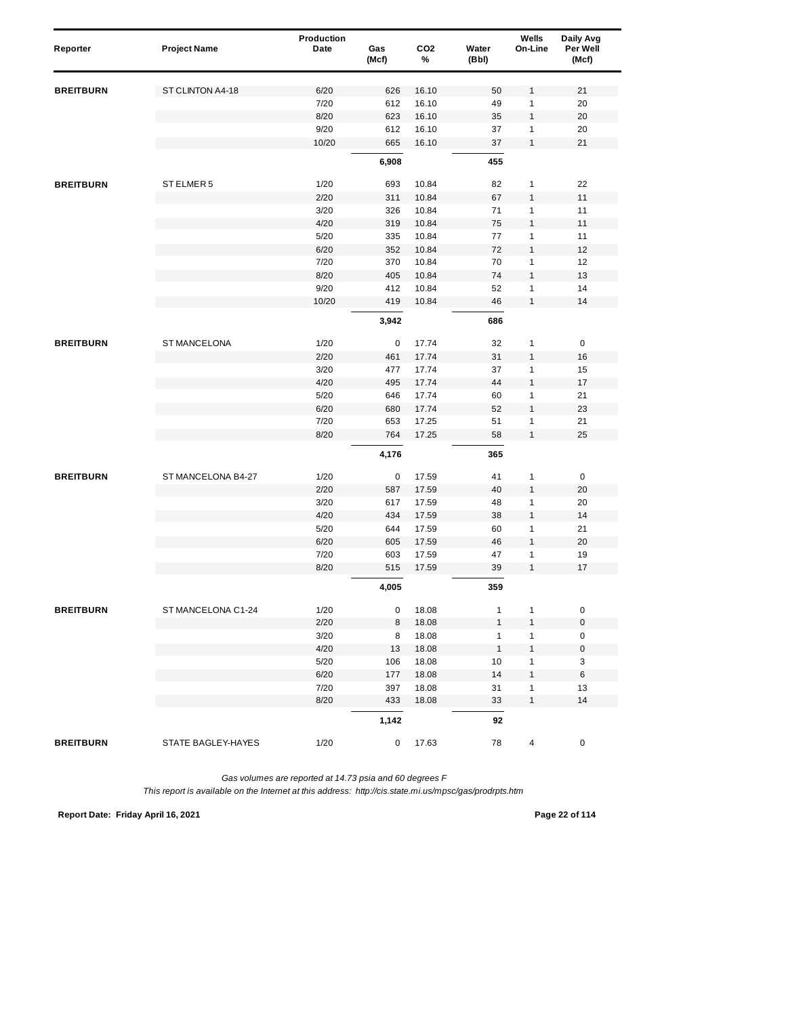| Reporter         | <b>Project Name</b> | Production<br>Date | Gas<br>(Mcf) | CO <sub>2</sub><br>% | Water<br>(Bbl) | Wells<br>On-Line  | Daily Avg<br>Per Well<br>(Mcf) |  |
|------------------|---------------------|--------------------|--------------|----------------------|----------------|-------------------|--------------------------------|--|
|                  |                     |                    |              |                      |                |                   |                                |  |
| <b>BREITBURN</b> | ST CLINTON A4-18    | 6/20               | 626          | 16.10                | 50<br>49       | 1<br>1            | 21                             |  |
|                  |                     | 7/20<br>8/20       | 612<br>623   | 16.10<br>16.10       | 35             | $\mathbf{1}$      | 20<br>20                       |  |
|                  |                     | 9/20               | 612          | 16.10                | 37             | 1                 | 20                             |  |
|                  |                     | 10/20              | 665          | 16.10                | 37             | $\mathbf{1}$      | 21                             |  |
|                  |                     |                    | 6,908        |                      | 455            |                   |                                |  |
| <b>BREITBURN</b> | ST ELMER 5          | 1/20               | 693          | 10.84                | 82             | 1                 | 22                             |  |
|                  |                     | 2/20               | 311          | 10.84                | 67             | $\mathbf{1}$      | 11                             |  |
|                  |                     | 3/20               | 326          | 10.84                | 71             | 1                 | 11                             |  |
|                  |                     | 4/20               | 319          | 10.84                | 75             | $\mathbf{1}$      | 11                             |  |
|                  |                     | 5/20               | 335          | 10.84                | 77             | 1                 | 11                             |  |
|                  |                     | 6/20               | 352          | 10.84                | 72             | 1                 | 12                             |  |
|                  |                     | 7/20               | 370          | 10.84                | 70             | 1                 | 12                             |  |
|                  |                     | 8/20               | 405          | 10.84                | 74             | $\mathbf{1}$      | 13                             |  |
|                  |                     | 9/20               | 412          | 10.84                | 52             | 1                 | 14                             |  |
|                  |                     | 10/20              | 419          | 10.84                | 46             | $\mathbf{1}$      | 14                             |  |
|                  |                     |                    | 3,942        |                      | 686            |                   |                                |  |
| <b>BREITBURN</b> | ST MANCELONA        | 1/20               | 0            | 17.74                | 32             | 1                 | 0                              |  |
|                  |                     | 2/20               | 461          | 17.74                | 31             | $\mathbf{1}$      | 16                             |  |
|                  |                     | 3/20               | 477          | 17.74                | 37             | 1                 | 15                             |  |
|                  |                     | 4/20               | 495          | 17.74                | 44             | 1                 | 17                             |  |
|                  |                     | 5/20               | 646          | 17.74                | 60             | 1                 | 21                             |  |
|                  |                     | 6/20               | 680          | 17.74                | 52             | $\mathbf{1}$      | 23                             |  |
|                  |                     | 7/20               | 653          | 17.25                | 51             | 1                 | 21                             |  |
|                  |                     | 8/20               | 764          | 17.25                | 58             | $\mathbf{1}$      | 25                             |  |
|                  |                     |                    | 4,176        |                      | 365            |                   |                                |  |
| <b>BREITBURN</b> | ST MANCELONA B4-27  | 1/20               | 0            | 17.59                | 41             | 1                 | 0                              |  |
|                  |                     | 2/20               | 587          | 17.59                | 40             | $\mathbf{1}$      | 20                             |  |
|                  |                     | 3/20               | 617          | 17.59                | 48             | 1                 | 20                             |  |
|                  |                     | 4/20               | 434          | 17.59                | 38             | $\mathbf{1}$      | 14                             |  |
|                  |                     | 5/20               | 644          | 17.59                | 60             | 1                 | 21                             |  |
|                  |                     | 6/20               | 605          | 17.59                | 46             | 1                 | 20                             |  |
|                  |                     | 7/20<br>8/20       | 603<br>515   | 17.59<br>17.59       | 47<br>39       | 1<br>1            | 19<br>17                       |  |
|                  |                     |                    | 4,005        |                      | 359            |                   |                                |  |
|                  |                     |                    |              |                      |                |                   |                                |  |
| <b>BREITBURN</b> | ST MANCELONA C1-24  | 1/20               | 0            | 18.08                | $\mathbf{1}$   | 1                 | $\pmb{0}$                      |  |
|                  |                     | 2/20               | 8            | 18.08                | $\mathbf{1}$   | $\mathbf{1}$      | $\pmb{0}$                      |  |
|                  |                     | 3/20               | 8            | 18.08                | $\mathbf{1}$   | 1                 | 0                              |  |
|                  |                     | 4/20               | 13           | 18.08                | $\mathbf{1}$   | $\mathbf{1}$      | $\pmb{0}$                      |  |
|                  |                     | 5/20               | 106          | 18.08                | 10             | 1                 | 3                              |  |
|                  |                     | 6/20               | 177          | 18.08                | 14             | 1                 | 6                              |  |
|                  |                     | 7/20<br>8/20       | 397          | 18.08                | 31<br>33       | 1<br>$\mathbf{1}$ | 13<br>14                       |  |
|                  |                     |                    | 433          | 18.08                |                |                   |                                |  |
|                  |                     |                    | 1,142        |                      | 92             |                   |                                |  |
| <b>BREITBURN</b> | STATE BAGLEY-HAYES  | 1/20               | 0            | 17.63                | 78             | 4                 | 0                              |  |

**Report Date: Friday April 16, 2021 Page 22 of 114**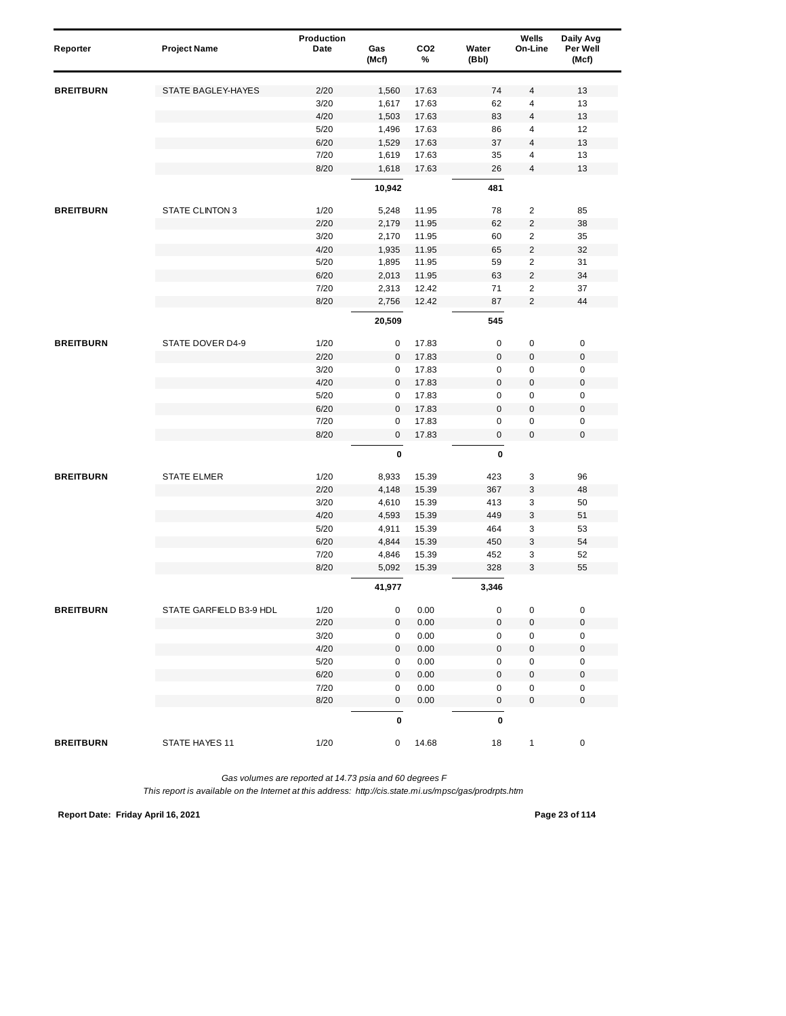| Reporter         | <b>Project Name</b>     | Production<br>Date | Gas<br>(Mcf) | CO <sub>2</sub><br>% | Water<br>(Bbl) | Wells<br>On-Line        | Daily Avg<br>Per Well<br>(Mcf) |
|------------------|-------------------------|--------------------|--------------|----------------------|----------------|-------------------------|--------------------------------|
| <b>BREITBURN</b> | STATE BAGLEY-HAYES      | 2/20               | 1,560        | 17.63                | 74             | 4                       | 13                             |
|                  |                         | 3/20               | 1,617        | 17.63                | 62             | 4                       | 13                             |
|                  |                         | 4/20               | 1,503        | 17.63                | 83             | 4                       | 13                             |
|                  |                         | 5/20               | 1,496        | 17.63                | 86             | 4                       | 12                             |
|                  |                         | 6/20               | 1,529        | 17.63                | 37             | 4                       | 13                             |
|                  |                         | 7/20               | 1,619        | 17.63                | 35             | 4                       | 13                             |
|                  |                         | 8/20               | 1,618        | 17.63                | 26             | 4                       | 13                             |
|                  |                         |                    | 10,942       |                      | 481            |                         |                                |
| <b>BREITBURN</b> | <b>STATE CLINTON 3</b>  | 1/20               | 5,248        | 11.95                | 78             | 2                       | 85                             |
|                  |                         | 2/20               | 2,179        | 11.95                | 62             | $\overline{2}$          | 38                             |
|                  |                         | 3/20               | 2,170        | 11.95                | 60             | 2                       | 35                             |
|                  |                         | 4/20               | 1,935        | 11.95                | 65             | $\overline{2}$          | 32                             |
|                  |                         | 5/20               | 1,895        | 11.95                | 59             | $\overline{c}$          | 31                             |
|                  |                         | 6/20               | 2,013        | 11.95                | 63             | $\overline{\mathbf{c}}$ | 34                             |
|                  |                         | 7/20               | 2,313        | 12.42                | 71             | $\overline{2}$          | 37                             |
|                  |                         | 8/20               | 2,756        | 12.42                | 87             | $\overline{2}$          | 44                             |
|                  |                         |                    | 20,509       |                      | 545            |                         |                                |
| <b>BREITBURN</b> | STATE DOVER D4-9        | 1/20               | 0            | 17.83                | 0              | 0                       | $\pmb{0}$                      |
|                  |                         | 2/20               | 0            | 17.83                | $\mathbf 0$    | $\pmb{0}$               | $\pmb{0}$                      |
|                  |                         | 3/20               | 0            | 17.83                | 0              | 0                       | $\pmb{0}$                      |
|                  |                         | 4/20               | $\pmb{0}$    | 17.83                | $\mathsf 0$    | 0                       | $\mathbf 0$                    |
|                  |                         | 5/20               | 0            | 17.83                | 0              | 0                       | $\pmb{0}$                      |
|                  |                         | 6/20               | $\mathbf 0$  | 17.83                | $\mathbf{0}$   | $\pmb{0}$               | $\mathbf 0$                    |
|                  |                         | 7/20               | $\pmb{0}$    | 17.83                | 0              | 0                       | $\pmb{0}$                      |
|                  |                         | 8/20               | 0            | 17.83                | $\mathbf 0$    | 0                       | $\mathbf 0$                    |
|                  |                         |                    | 0            |                      | 0              |                         |                                |
| <b>BREITBURN</b> | <b>STATE ELMER</b>      | 1/20               | 8,933        | 15.39                | 423            | 3                       | 96                             |
|                  |                         | 2/20               | 4,148        | 15.39                | 367            | 3                       | 48                             |
|                  |                         | 3/20               | 4,610        | 15.39                | 413            | 3                       | 50                             |
|                  |                         | 4/20               | 4,593        | 15.39                | 449            | 3                       | 51                             |
|                  |                         | 5/20               | 4,911        | 15.39                | 464            | 3                       | 53                             |
|                  |                         | 6/20               | 4,844        | 15.39                | 450            | 3                       | 54                             |
|                  |                         | 7/20               | 4,846        | 15.39                | 452            | 3                       | 52                             |
|                  |                         | 8/20               | 5,092        | 15.39                | 328            | 3                       | 55                             |
|                  |                         |                    | 41,977       |                      | 3,346          |                         |                                |
| <b>BREITBURN</b> | STATE GARFIELD B3-9 HDL | 1/20               | 0            | 0.00                 | $\pmb{0}$      | 0                       | $\pmb{0}$                      |
|                  |                         | 2/20               | 0            | $0.00\,$             | $\mathbf 0$    | 0                       | $\pmb{0}$                      |
|                  |                         | 3/20               | 0            | 0.00                 | 0              | 0                       | 0                              |
|                  |                         | 4/20               | 0            | 0.00                 | $\mathbf 0$    | $\pmb{0}$               | $\pmb{0}$                      |
|                  |                         | 5/20               | 0            | 0.00                 | 0              | 0                       | $\pmb{0}$                      |
|                  |                         | 6/20               | $\pmb{0}$    | 0.00                 | $\mathbf 0$    | $\pmb{0}$               | $\pmb{0}$                      |
|                  |                         | 7/20               | 0            | 0.00                 | 0              | $\pmb{0}$               | 0                              |
|                  |                         | 8/20               | $\mathsf 0$  | 0.00                 | $\mathsf{O}$   | $\pmb{0}$               | $\mathsf{O}\xspace$            |
|                  |                         |                    | $\pmb{0}$    |                      | $\pmb{0}$      |                         |                                |
| <b>BREITBURN</b> | STATE HAYES 11          | 1/20               | 0            | 14.68                | 18             | 1                       | 0                              |

**Report Date: Friday April 16, 2021 Page 23 of 114**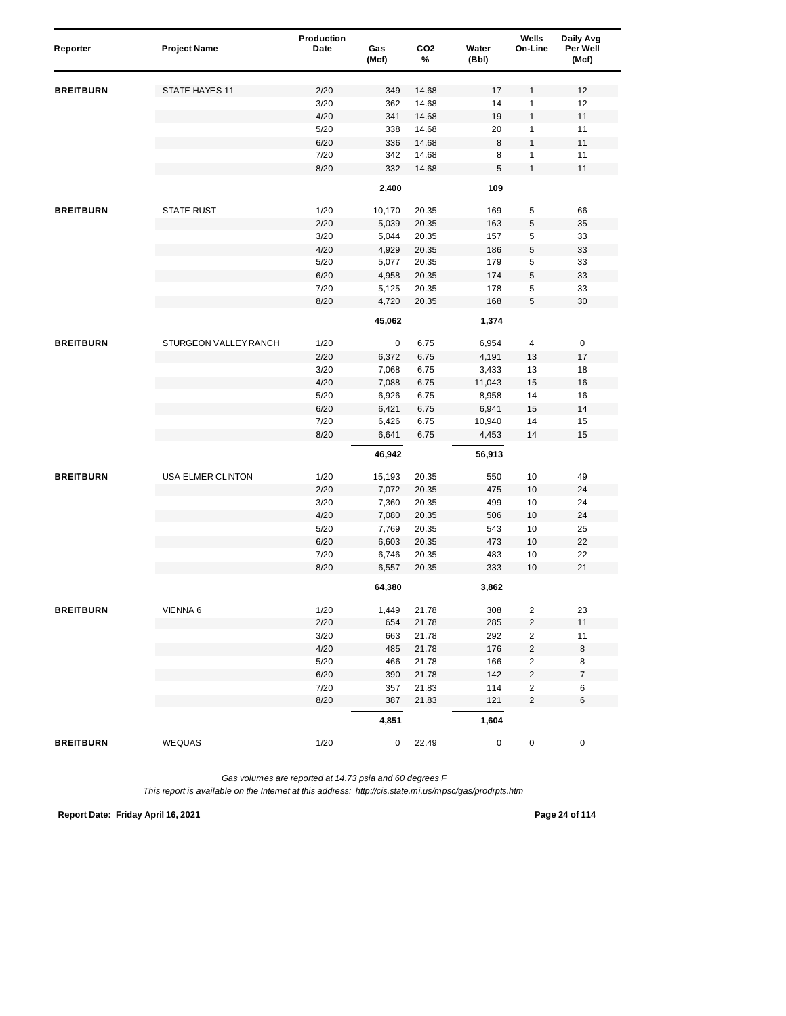| Reporter         | <b>Project Name</b>   | Production<br>Date | Gas<br>(Mcf) | CO <sub>2</sub><br>% | Water<br>(Bbl) | Wells<br>On-Line        | Daily Avg<br>Per Well<br>(Mcf) |
|------------------|-----------------------|--------------------|--------------|----------------------|----------------|-------------------------|--------------------------------|
|                  |                       |                    |              |                      |                |                         |                                |
| <b>BREITBURN</b> | STATE HAYES 11        | 2/20               | 349          | 14.68                | 17             | 1                       | 12                             |
|                  |                       | 3/20               | 362          | 14.68                | 14             | 1                       | 12                             |
|                  |                       | 4/20               | 341          | 14.68                | 19             | $\mathbf{1}$            | 11                             |
|                  |                       | 5/20               | 338          | 14.68                | 20             | 1                       | 11                             |
|                  |                       | 6/20               | 336          | 14.68                | 8              | 1                       | 11                             |
|                  |                       | 7/20               | 342          | 14.68                | 8              | 1                       | 11                             |
|                  |                       | 8/20               | 332          | 14.68                | 5              | $\mathbf{1}$            | 11                             |
|                  |                       |                    | 2,400        |                      | 109            |                         |                                |
| <b>BREITBURN</b> | <b>STATE RUST</b>     | 1/20               | 10,170       | 20.35                | 169            | 5                       | 66                             |
|                  |                       | 2/20               | 5,039        | 20.35                | 163            | 5                       | 35                             |
|                  |                       | 3/20               | 5,044        | 20.35                | 157            | 5                       | 33                             |
|                  |                       | 4/20               | 4,929        | 20.35                | 186            | 5                       | 33                             |
|                  |                       | 5/20               | 5,077        | 20.35                | 179            | 5                       | 33                             |
|                  |                       | 6/20               | 4,958        | 20.35                | 174            | 5                       | 33                             |
|                  |                       | 7/20               | 5,125        | 20.35                | 178            | 5                       | 33                             |
|                  |                       | 8/20               | 4,720        | 20.35                | 168            | 5                       | 30                             |
|                  |                       |                    | 45,062       |                      | 1,374          |                         |                                |
| <b>BREITBURN</b> | STURGEON VALLEY RANCH | 1/20               | 0            | 6.75                 | 6,954          | 4                       | 0                              |
|                  |                       | 2/20               | 6,372        | 6.75                 | 4,191          | 13                      | 17                             |
|                  |                       | 3/20               | 7,068        | 6.75                 | 3,433          | 13                      | 18                             |
|                  |                       | 4/20               | 7,088        | 6.75                 | 11,043         | 15                      | 16                             |
|                  |                       | 5/20               | 6,926        | 6.75                 | 8,958          | 14                      | 16                             |
|                  |                       | 6/20               | 6,421        | 6.75                 | 6,941          | 15                      | 14                             |
|                  |                       | 7/20               | 6,426        | 6.75                 | 10,940         | 14                      | 15                             |
|                  |                       | 8/20               | 6,641        | 6.75                 | 4,453          | 14                      | 15                             |
|                  |                       |                    | 46,942       |                      | 56,913         |                         |                                |
| <b>BREITBURN</b> | USA ELMER CLINTON     | 1/20               | 15,193       | 20.35                | 550            | 10                      | 49                             |
|                  |                       | 2/20               | 7,072        | 20.35                | 475            | 10                      | 24                             |
|                  |                       | 3/20               | 7,360        | 20.35                | 499            | 10                      | 24                             |
|                  |                       | 4/20               | 7,080        | 20.35                | 506            | 10                      | 24                             |
|                  |                       | 5/20               | 7,769        | 20.35                | 543            | 10                      | 25                             |
|                  |                       | 6/20               | 6,603        | 20.35                | 473            | 10                      | 22                             |
|                  |                       | 7/20               | 6,746        | 20.35                | 483            | 10                      | 22                             |
|                  |                       | 8/20               | 6,557        | 20.35                | 333            | 10                      | 21                             |
|                  |                       |                    | 64,380       |                      | 3,862          |                         |                                |
| <b>BREITBURN</b> | VIENNA 6              | 1/20               | 1,449        | 21.78                | 308            | $\overline{\mathbf{c}}$ | 23                             |
|                  |                       | 2/20               | 654          | 21.78                | 285            | $\overline{c}$          | 11                             |
|                  |                       | 3/20               | 663          | 21.78                | 292            | $\overline{2}$          | 11                             |
|                  |                       | 4/20               | 485          | 21.78                | 176            | $\boldsymbol{2}$        | 8                              |
|                  |                       | 5/20               | 466          | 21.78                | 166            | $\overline{c}$          | 8                              |
|                  |                       | 6/20               | 390          | 21.78                | 142            | $\overline{\mathbf{c}}$ | $\overline{7}$                 |
|                  |                       | 7/20               | 357          | 21.83                | 114            | $\overline{c}$          | 6                              |
|                  |                       | 8/20               | 387          | 21.83                | 121            | $\overline{2}$          | 6                              |
|                  |                       |                    | 4,851        |                      | 1,604          |                         |                                |
| <b>BREITBURN</b> | <b>WEQUAS</b>         | 1/20               | 0            | 22.49                | 0              | 0                       | 0                              |

**Report Date: Friday April 16, 2021 Page 24 of 114**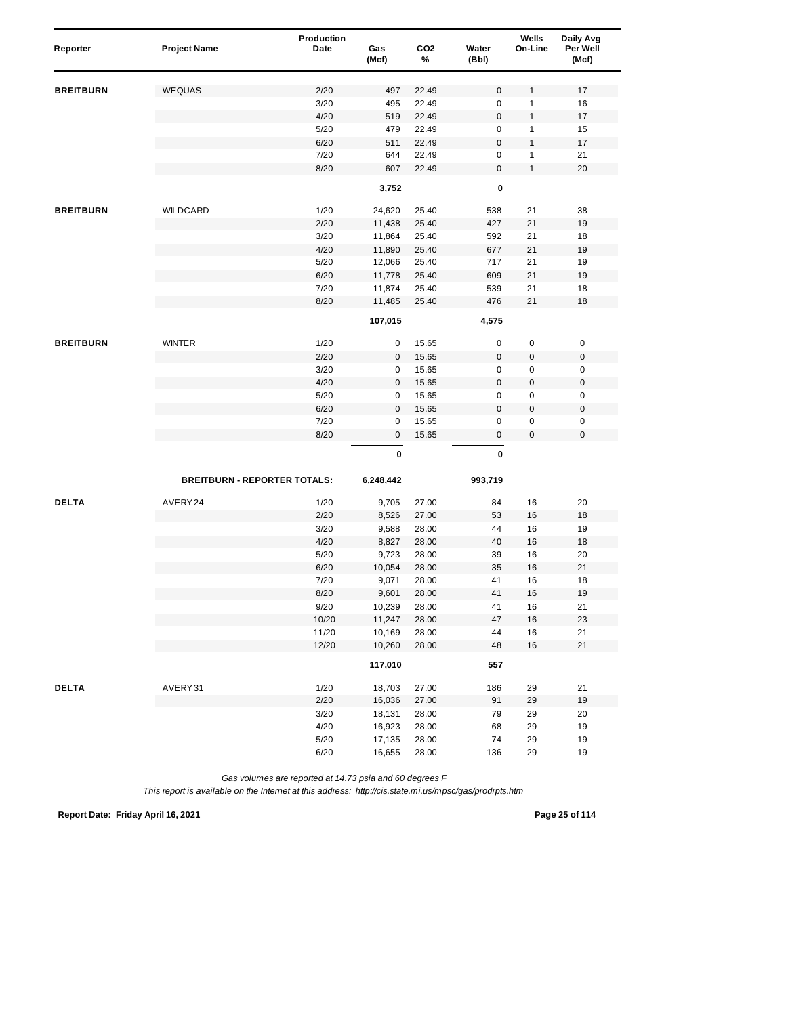| Reporter         | <b>Project Name</b>                 | Production<br>Date | Gas<br>(Mcf) | CO <sub>2</sub><br>% | Water<br>(Bbl) | Wells<br>On-Line | Daily Avg<br>Per Well<br>(Mcf) |
|------------------|-------------------------------------|--------------------|--------------|----------------------|----------------|------------------|--------------------------------|
|                  |                                     |                    |              |                      |                |                  |                                |
| <b>BREITBURN</b> | <b>WEQUAS</b>                       | 2/20               | 497          | 22.49                | $\mathsf 0$    | 1                | 17                             |
|                  |                                     | 3/20               | 495          | 22.49                | 0              | 1                | 16                             |
|                  |                                     | 4/20               | 519          | 22.49                | $\mathbf 0$    | 1                | 17                             |
|                  |                                     | 5/20               | 479          | 22.49                | $\mathbf 0$    | 1                | 15                             |
|                  |                                     | 6/20               | 511          | 22.49                | $\bf 0$        | 1                | 17                             |
|                  |                                     | 7/20               | 644          | 22.49                | 0              | 1                | 21                             |
|                  |                                     | 8/20               | 607          | 22.49                | 0              | $\mathbf{1}$     | 20                             |
|                  |                                     |                    | 3,752        |                      | 0              |                  |                                |
| <b>BREITBURN</b> | WILDCARD                            | 1/20               | 24,620       | 25.40                | 538            | 21               | 38                             |
|                  |                                     | 2/20               | 11,438       | 25.40                | 427            | 21               | 19                             |
|                  |                                     | 3/20               | 11,864       | 25.40                | 592            | 21               | 18                             |
|                  |                                     | 4/20               | 11,890       | 25.40                | 677            | 21               | 19                             |
|                  |                                     | 5/20               | 12,066       | 25.40                | 717            | 21               | 19                             |
|                  |                                     | 6/20               | 11,778       | 25.40                | 609            | 21               | 19                             |
|                  |                                     | 7/20               | 11,874       | 25.40                | 539            | 21               | 18                             |
|                  |                                     | 8/20               | 11,485       | 25.40                | 476            | 21               | 18                             |
|                  |                                     |                    | 107,015      |                      | 4,575          |                  |                                |
| <b>BREITBURN</b> | <b>WINTER</b>                       | 1/20               | 0            | 15.65                | 0              | 0                | $\pmb{0}$                      |
|                  |                                     | 2/20               | 0            | 15.65                | $\mathbf 0$    | $\boldsymbol{0}$ | $\pmb{0}$                      |
|                  |                                     | 3/20               | 0            | 15.65                | 0              | 0                | $\pmb{0}$                      |
|                  |                                     | 4/20               | 0            | 15.65                | $\bf 0$        | 0                | $\mathbf 0$                    |
|                  |                                     | 5/20               | 0            | 15.65                | 0              | 0                | $\pmb{0}$                      |
|                  |                                     | 6/20               | $\mathbf 0$  | 15.65                | $\mathsf 0$    | 0                | $\pmb{0}$                      |
|                  |                                     | 7/20               | $\pmb{0}$    | 15.65                | 0              | 0                | $\pmb{0}$                      |
|                  |                                     | 8/20               | 0            | 15.65                | $\mathbf 0$    | 0                | $\mathbf 0$                    |
|                  |                                     |                    | 0            |                      | 0              |                  |                                |
|                  | <b>BREITBURN - REPORTER TOTALS:</b> |                    | 6,248,442    |                      | 993,719        |                  |                                |
| <b>DELTA</b>     | AVERY 24                            | 1/20               | 9,705        | 27.00                | 84             | 16               | 20                             |
|                  |                                     | 2/20               | 8,526        | 27.00                | 53             | 16               | 18                             |
|                  |                                     | 3/20               | 9,588        | 28.00                | 44             | 16               | 19                             |
|                  |                                     | 4/20               | 8,827        | 28.00                | 40             | 16               | 18                             |
|                  |                                     | 5/20               | 9,723        | 28.00                | 39             | 16               | 20                             |
|                  |                                     | 6/20               | 10,054       | 28.00                | 35             | 16               | 21                             |
|                  |                                     | 7/20               | 9,071        | 28.00                | 41             | 16               | 18                             |
|                  |                                     | 8/20               | 9,601        | 28.00                | 41             | 16               | 19                             |
|                  |                                     | 9/20               | 10,239       | 28.00                | 41             | 16               | 21                             |
|                  |                                     | 10/20              | 11,247       | 28.00                | 47             | 16               | 23                             |
|                  |                                     | 11/20              | 10,169       | 28.00                | 44             | 16               | 21                             |
|                  |                                     | 12/20              | 10,260       | 28.00                | 48             | 16               | 21                             |
|                  |                                     |                    | 117,010      |                      | 557            |                  |                                |
| <b>DELTA</b>     | AVERY31                             | 1/20               | 18,703       | 27.00                | 186            | 29               | 21                             |
|                  |                                     | 2/20               | 16,036       | 27.00                | 91             | 29               | 19                             |
|                  |                                     | 3/20               | 18,131       | 28.00                | 79             | 29               | 20                             |
|                  |                                     | 4/20               | 16,923       | 28.00                | 68             | 29               | 19                             |
|                  |                                     | $5/20$             | 17,135       | 28.00                | 74             | 29               | 19                             |
|                  |                                     | 6/20               | 16,655       | 28.00                | 136            | 29               | 19                             |

*This report is available on the Internet at this address: http://cis.state.mi.us/mpsc/gas/prodrpts.htm*

**Report Date: Friday April 16, 2021 Page 25 of 114**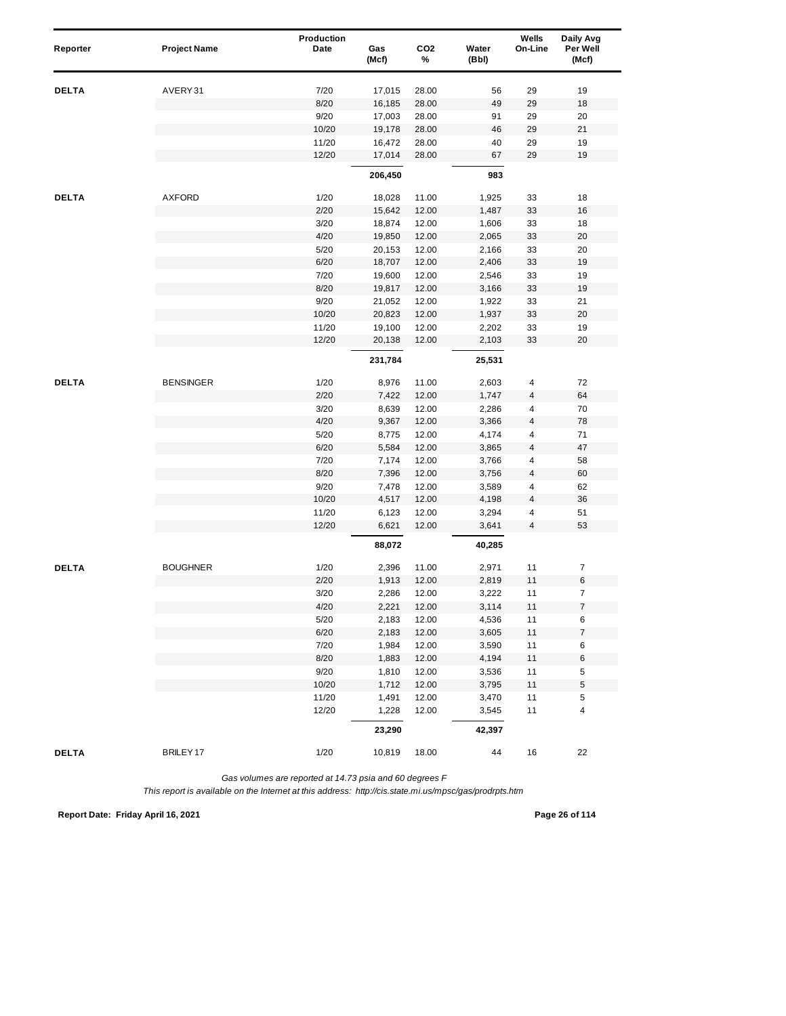| Reporter     | <b>Project Name</b>  | Production<br>Date | Gas<br>(Mcf) | CO <sub>2</sub><br>% | Water<br>(Bbl) | Wells<br>On-Line        | Daily Avg<br>Per Well<br>(Mcf) |  |
|--------------|----------------------|--------------------|--------------|----------------------|----------------|-------------------------|--------------------------------|--|
| DELTA        | AVERY31              | 7/20               | 17,015       | 28.00                | 56             | 29                      | 19                             |  |
|              |                      | 8/20               | 16,185       | 28.00                | 49             | 29                      | 18                             |  |
|              |                      | 9/20               | 17,003       | 28.00                | 91             | 29                      | 20                             |  |
|              |                      | 10/20              | 19,178       | 28.00                | 46             | 29                      | 21                             |  |
|              |                      | 11/20              | 16,472       | 28.00                | 40             | 29                      | 19                             |  |
|              |                      | 12/20              | 17,014       | 28.00                | 67             | 29                      | 19                             |  |
|              |                      |                    | 206,450      |                      | 983            |                         |                                |  |
| <b>DELTA</b> | <b>AXFORD</b>        | 1/20               | 18,028       | 11.00                | 1,925          | 33                      | 18                             |  |
|              |                      | 2/20               | 15,642       | 12.00                | 1,487          | 33                      | 16                             |  |
|              |                      | 3/20               | 18,874       | 12.00                | 1,606          | 33                      | 18                             |  |
|              |                      | 4/20               | 19,850       | 12.00                | 2,065          | 33                      | 20                             |  |
|              |                      | 5/20               | 20,153       | 12.00                | 2,166          | 33                      | 20                             |  |
|              |                      | 6/20               | 18,707       | 12.00                | 2,406          | 33                      | 19                             |  |
|              |                      | 7/20               | 19,600       | 12.00                | 2,546          | 33                      | 19                             |  |
|              |                      | 8/20               | 19,817       | 12.00                | 3,166          | 33                      | 19                             |  |
|              |                      | 9/20               | 21,052       | 12.00                | 1,922          | 33                      | 21                             |  |
|              |                      | 10/20              | 20,823       | 12.00                | 1,937          | 33                      | 20                             |  |
|              |                      | 11/20              | 19,100       | 12.00                | 2,202          | 33                      | 19                             |  |
|              |                      | 12/20              | 20,138       | 12.00                | 2,103          | 33                      | 20                             |  |
|              |                      |                    | 231,784      |                      | 25,531         |                         |                                |  |
| <b>DELTA</b> | <b>BENSINGER</b>     | 1/20               | 8,976        | 11.00                | 2,603          | 4                       | 72                             |  |
|              |                      | 2/20               | 7,422        | 12.00                | 1,747          | $\overline{\mathbf{4}}$ | 64                             |  |
|              |                      | 3/20               | 8,639        | 12.00                | 2,286          | 4                       | 70                             |  |
|              |                      | 4/20               | 9,367        | 12.00                | 3,366          | 4                       | 78                             |  |
|              |                      | 5/20               | 8,775        | 12.00                | 4,174          | 4                       | 71                             |  |
|              |                      | 6/20               | 5,584        | 12.00                | 3,865          | $\overline{4}$          | 47                             |  |
|              |                      | 7/20               | 7,174        | 12.00                | 3,766          | 4                       | 58                             |  |
|              |                      | 8/20               | 7,396        | 12.00                | 3,756          | 4                       | 60                             |  |
|              |                      | 9/20               | 7,478        | 12.00                | 3,589          | 4                       | 62                             |  |
|              |                      | 10/20              | 4,517        | 12.00                | 4,198          | $\overline{\mathbf{4}}$ | 36                             |  |
|              |                      | 11/20              | 6,123        | 12.00                | 3,294          | 4                       | 51                             |  |
|              |                      | 12/20              | 6,621        | 12.00                | 3,641          | $\overline{4}$          | 53                             |  |
|              |                      |                    | 88,072       |                      | 40,285         |                         |                                |  |
| <b>DELTA</b> | <b>BOUGHNER</b>      | 1/20               | 2,396        | 11.00                | 2,971          | 11                      | $\boldsymbol{7}$               |  |
|              |                      | 2/20               | 1,913        | 12.00                | 2,819          | 11                      | 6                              |  |
|              |                      | 3/20               | 2,286        | 12.00                | 3,222          | 11                      | 7                              |  |
|              |                      | 4/20               | 2,221        | 12.00                | 3,114          | 11                      | $\boldsymbol{7}$               |  |
|              |                      | 5/20               | 2,183        | 12.00                | 4,536          | 11                      | 6                              |  |
|              |                      | 6/20               | 2,183        | 12.00                | 3,605          | 11                      | $\boldsymbol{7}$               |  |
|              |                      | 7/20               | 1,984        | 12.00                | 3,590          | 11                      | 6                              |  |
|              |                      | 8/20               | 1,883        | 12.00                | 4,194          | 11                      | 6                              |  |
|              |                      | 9/20               | 1,810        | 12.00                | 3,536          | 11                      | 5                              |  |
|              |                      | 10/20              | 1,712        | 12.00                | 3,795          | 11                      | 5                              |  |
|              |                      | 11/20              | 1,491        | 12.00                | 3,470          | 11                      | 5                              |  |
|              |                      | 12/20              | 1,228        | 12.00                | 3,545          | 11                      | 4                              |  |
|              |                      |                    | 23,290       |                      | 42,397         |                         |                                |  |
| <b>DELTA</b> | BRILEY <sub>17</sub> | 1/20               | 10,819       | 18.00                | 44             | 16                      | 22                             |  |

*This report is available on the Internet at this address: http://cis.state.mi.us/mpsc/gas/prodrpts.htm*

**Report Date: Friday April 16, 2021 Page 26 of 114**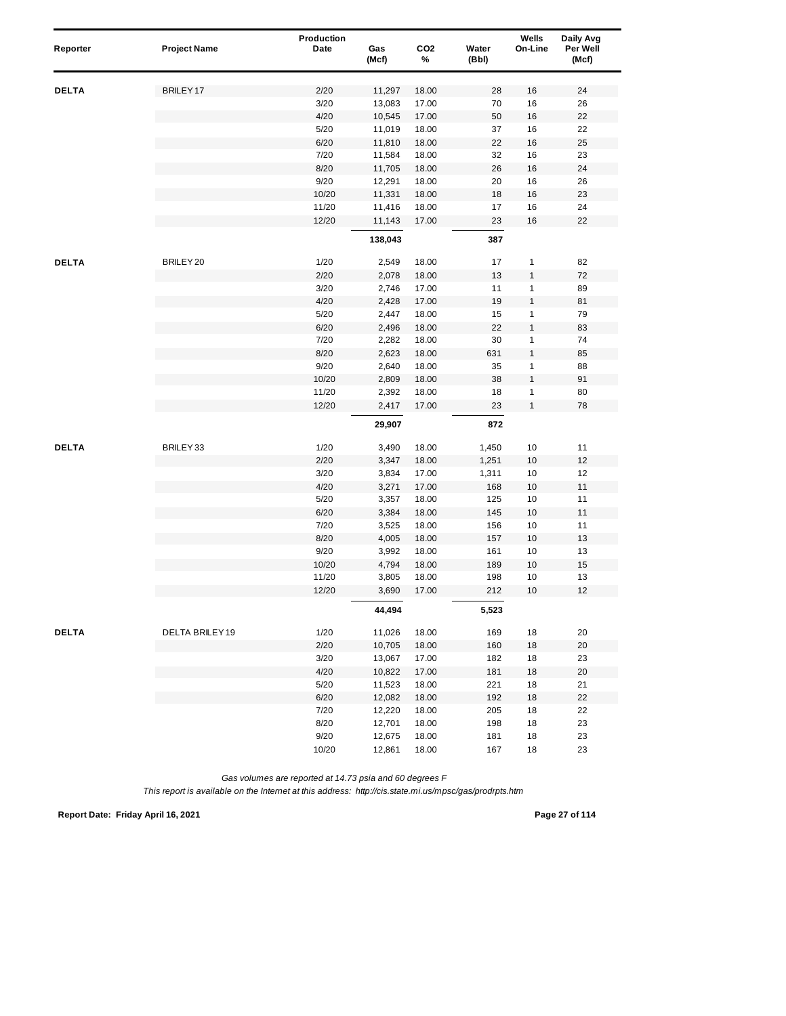| Reporter     | <b>Project Name</b>  | Production<br>Date | Gas<br>(Mcf) | CO <sub>2</sub><br>% | Water<br>(Bbl) | Wells<br>On-Line | Daily Avg<br>Per Well<br>(Mcf) |
|--------------|----------------------|--------------------|--------------|----------------------|----------------|------------------|--------------------------------|
| <b>DELTA</b> | BRILEY <sub>17</sub> | 2/20               | 11,297       | 18.00                | 28             | 16               | 24                             |
|              |                      | 3/20               | 13,083       | 17.00                | 70             | 16               | 26                             |
|              |                      | 4/20               | 10,545       | 17.00                | 50             | 16               | 22                             |
|              |                      | 5/20               | 11,019       | 18.00                | 37             | 16               | 22                             |
|              |                      | 6/20               | 11,810       | 18.00                | 22             | 16               | 25                             |
|              |                      | 7/20               | 11,584       | 18.00                | 32             | 16               | 23                             |
|              |                      | 8/20               | 11,705       | 18.00                | 26             | 16               | 24                             |
|              |                      | 9/20               | 12,291       | 18.00                | 20             | 16               | 26                             |
|              |                      | 10/20              | 11,331       | 18.00                | 18             | 16               | 23                             |
|              |                      | 11/20              | 11,416       | 18.00                | 17             | 16               | 24                             |
|              |                      | 12/20              | 11,143       | 17.00                | 23             | 16               | 22                             |
|              |                      |                    | 138,043      |                      | 387            |                  |                                |
| <b>DELTA</b> | BRILEY 20            | 1/20               | 2,549        | 18.00                | 17             | $\mathbf{1}$     | 82                             |
|              |                      | 2/20               | 2,078        | 18.00                | 13             | $\mathbf{1}$     | 72                             |
|              |                      | 3/20               | 2,746        | 17.00                | 11             | $\mathbf{1}$     | 89                             |
|              |                      | 4/20               | 2,428        | 17.00                | 19             | $\mathbf{1}$     | 81                             |
|              |                      | 5/20               | 2,447        | 18.00                | 15             | $\mathbf{1}$     | 79                             |
|              |                      | 6/20               | 2,496        | 18.00                | 22             | $\mathbf{1}$     | 83                             |
|              |                      | 7/20               | 2,282        | 18.00                | 30             | $\mathbf{1}$     | 74                             |
|              |                      | 8/20               | 2,623        | 18.00                | 631            | $\mathbf{1}$     | 85                             |
|              |                      | 9/20               | 2,640        | 18.00                | 35             | $\mathbf{1}$     | 88                             |
|              |                      | 10/20              | 2,809        | 18.00                | 38             | $\mathbf{1}$     | 91                             |
|              |                      | 11/20              | 2,392        | 18.00                | 18             | $\mathbf{1}$     | 80                             |
|              |                      | 12/20              | 2,417        | 17.00                | 23             | $\mathbf{1}$     | 78                             |
|              |                      |                    | 29,907       |                      | 872            |                  |                                |
| <b>DELTA</b> | BRILEY33             | 1/20               | 3,490        | 18.00                | 1,450          | 10               | 11                             |
|              |                      | 2/20               | 3,347        | 18.00                | 1,251          | 10               | 12                             |
|              |                      | 3/20               | 3,834        | 17.00                | 1,311          | 10               | 12                             |
|              |                      | 4/20               | 3,271        | 17.00                | 168            | $10$             | 11                             |
|              |                      | 5/20               | 3,357        | 18.00                | 125            | 10               | 11                             |
|              |                      | 6/20               | 3,384        | 18.00                | 145            | 10               | 11                             |
|              |                      | 7/20               | 3,525        | 18.00                | 156            | 10               | 11                             |
|              |                      | 8/20               | 4,005        | 18.00                | 157            | 10               | 13                             |
|              |                      | 9/20               | 3,992        | 18.00                | 161            | 10               | 13                             |
|              |                      | 10/20              | 4,794        | 18.00                | 189            | $10$             | 15                             |
|              |                      | 11/20              | 3,805        | 18.00                | 198            | 10               | 13                             |
|              |                      | 12/20              | 3,690        | 17.00                | 212            | 10               | 12                             |
|              |                      |                    | 44,494       |                      | 5,523          |                  |                                |
| <b>DELTA</b> | DELTA BRILEY 19      | 1/20               | 11,026       | 18.00                | 169            | 18               | 20                             |
|              |                      | 2/20               | 10,705       | 18.00                | 160            | 18               | 20                             |
|              |                      | 3/20               | 13,067       | 17.00                | 182            | 18               | 23                             |
|              |                      | 4/20               | 10,822       | 17.00                | 181            | 18               | 20                             |
|              |                      | $5/20$             | 11,523       | 18.00                | 221            | 18               | 21                             |
|              |                      | 6/20               | 12,082       | 18.00                | 192            | 18               | 22                             |
|              |                      | 7/20               | 12,220       | 18.00                | 205            | 18               | 22                             |
|              |                      | 8/20               | 12,701       | 18.00                | 198            | 18               | 23                             |
|              |                      | 9/20               | 12,675       | 18.00                | 181            | 18               | 23                             |
|              |                      | 10/20              | 12,861       | 18.00                | 167            | 18               | 23                             |

*This report is available on the Internet at this address: http://cis.state.mi.us/mpsc/gas/prodrpts.htm*

**Report Date: Friday April 16, 2021 Page 27 of 114**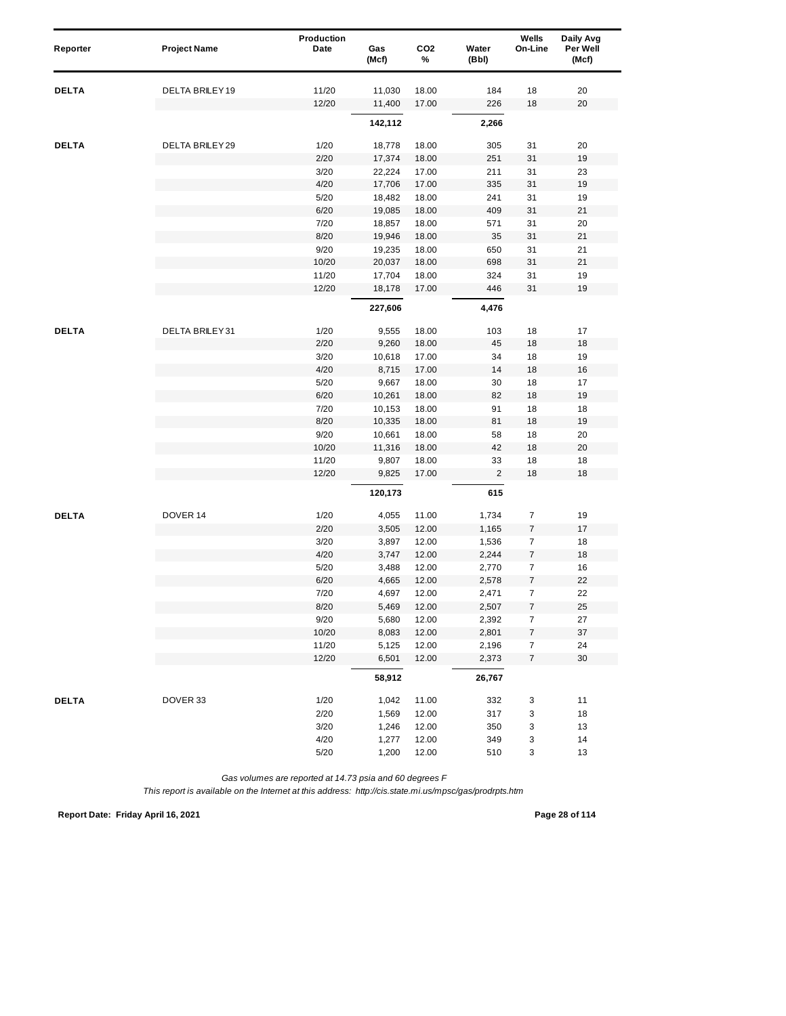| Reporter     | <b>Project Name</b>    | Production<br>Date | Gas<br>(Mcf) | CO <sub>2</sub><br>% | Water<br>(Bbl) | Wells<br>On-Line | Daily Avg<br>Per Well<br>(Mcf) |
|--------------|------------------------|--------------------|--------------|----------------------|----------------|------------------|--------------------------------|
|              |                        |                    |              |                      |                |                  |                                |
| <b>DELTA</b> | <b>DELTA BRILEY 19</b> | 11/20              | 11,030       | 18.00                | 184            | 18               | 20                             |
|              |                        | 12/20              | 11,400       | 17.00                | 226            | 18               | 20                             |
|              |                        |                    | 142,112      |                      | 2,266          |                  |                                |
| <b>DELTA</b> | DELTA BRILEY 29        | 1/20               | 18,778       | 18.00                | 305            | 31               | 20                             |
|              |                        | 2/20               | 17,374       | 18.00                | 251            | 31               | 19                             |
|              |                        | 3/20               | 22,224       | 17.00                | 211            | 31               | 23                             |
|              |                        | 4/20               | 17,706       | 17.00                | 335            | 31               | 19                             |
|              |                        | 5/20               | 18,482       | 18.00                | 241            | 31               | 19                             |
|              |                        | 6/20               | 19,085       | 18.00                | 409            | 31               | 21                             |
|              |                        | 7/20               | 18,857       | 18.00                | 571            | 31               | 20                             |
|              |                        | 8/20               | 19,946       | 18.00                | 35             | 31               | 21                             |
|              |                        | 9/20               | 19,235       | 18.00                | 650            | 31               | 21                             |
|              |                        | 10/20              | 20,037       | 18.00                | 698            | 31               | 21                             |
|              |                        | 11/20              | 17,704       | 18.00                | 324            | 31               | 19                             |
|              |                        | 12/20              | 18,178       | 17.00                | 446            | 31               | 19                             |
|              |                        |                    | 227,606      |                      | 4,476          |                  |                                |
| <b>DELTA</b> | <b>DELTA BRILEY31</b>  | 1/20               | 9,555        | 18.00                | 103            | 18               | 17                             |
|              |                        | 2/20               | 9,260        | 18.00                | 45             | 18               | 18                             |
|              |                        | 3/20               | 10,618       | 17.00                | 34             | 18               | 19                             |
|              |                        | 4/20               | 8,715        | 17.00                | 14             | 18               | 16                             |
|              |                        | 5/20               | 9,667        | 18.00                | 30             | 18               | 17                             |
|              |                        | 6/20               | 10,261       | 18.00                | 82             | 18               | 19                             |
|              |                        | 7/20               | 10,153       | 18.00                | 91             | 18               | 18                             |
|              |                        | 8/20               | 10,335       | 18.00                | 81             | 18               | 19                             |
|              |                        | 9/20               | 10,661       | 18.00                | 58             | 18               | 20                             |
|              |                        | 10/20              | 11,316       | 18.00                | 42             | 18               | 20                             |
|              |                        | 11/20              | 9,807        | 18.00                | 33             | 18               | 18                             |
|              |                        | 12/20              | 9,825        | 17.00                | $\overline{2}$ | 18               | 18                             |
|              |                        |                    | 120,173      |                      | 615            |                  |                                |
| <b>DELTA</b> | DOVER 14               | 1/20               | 4,055        | 11.00                | 1,734          | 7                | 19                             |
|              |                        | 2/20               | 3,505        | 12.00                | 1,165          | $\boldsymbol{7}$ | 17                             |
|              |                        | 3/20               | 3,897        | 12.00                | 1,536          | $\overline{7}$   | 18                             |
|              |                        | 4/20               | 3,747        | 12.00                | 2,244          | $\overline{7}$   | 18                             |
|              |                        | 5/20               | 3,488        | 12.00                | 2,770          | $\overline{7}$   | 16                             |
|              |                        | 6/20               | 4,665        | 12.00                | 2,578          | 7                | 22                             |
|              |                        | 7/20               | 4,697        | 12.00                | 2,471          | $\overline{7}$   | 22                             |
|              |                        | 8/20               | 5,469        | 12.00                | 2,507          | $\boldsymbol{7}$ | 25                             |
|              |                        | 9/20               | 5,680        | 12.00                | 2,392          | 7                | 27                             |
|              |                        | 10/20              | 8,083        | 12.00                | 2,801          | $\boldsymbol{7}$ | 37                             |
|              |                        | 11/20              | 5,125        | 12.00                | 2,196          | $\boldsymbol{7}$ | 24                             |
|              |                        | 12/20              | 6,501        | 12.00                | 2,373          | $\overline{7}$   | 30                             |
|              |                        |                    | 58,912       |                      | 26,767         |                  |                                |
| <b>DELTA</b> | DOVER 33               | 1/20               | 1,042        | 11.00                | 332            | 3                | 11                             |
|              |                        | 2/20               | 1,569        | 12.00                | 317            | 3                | 18                             |
|              |                        | 3/20               | 1,246        | 12.00                | 350            | 3                | 13                             |
|              |                        | 4/20               | 1,277        | 12.00                | 349            | 3                | 14                             |
|              |                        | 5/20               | 1,200        | 12.00                | 510            | 3                | 13                             |

*This report is available on the Internet at this address: http://cis.state.mi.us/mpsc/gas/prodrpts.htm*

**Report Date: Friday April 16, 2021 Page 28 of 114**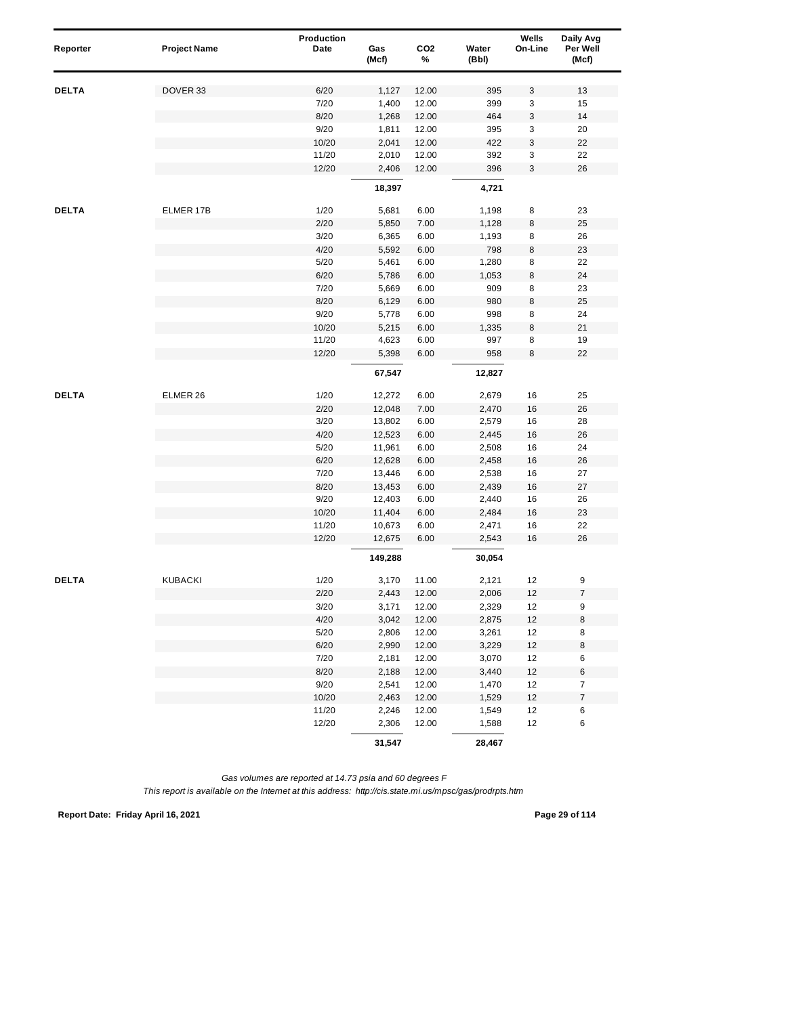| Reporter     | <b>Project Name</b> | Production<br>Date | Gas<br>(Mcf)   | CO <sub>2</sub><br>% | Water<br>(Bbl) | Wells<br>On-Line | Daily Avg<br>Per Well<br>(Mcf) |
|--------------|---------------------|--------------------|----------------|----------------------|----------------|------------------|--------------------------------|
| <b>DELTA</b> | DOVER 33            | 6/20               | 1,127          | 12.00                | 395            | 3                | 13                             |
|              |                     | 7/20               | 1,400          | 12.00                | 399            | 3                | 15                             |
|              |                     | 8/20               | 1,268          | 12.00                | 464            | 3                | 14                             |
|              |                     | 9/20               | 1,811          | 12.00                | 395            | 3                | 20                             |
|              |                     | 10/20              | 2,041          | 12.00                | 422            | 3                | 22                             |
|              |                     | 11/20              | 2,010          | 12.00                | 392            | 3                | 22                             |
|              |                     | 12/20              | 2,406          | 12.00                | 396            | 3                | 26                             |
|              |                     |                    | 18,397         |                      | 4,721          |                  |                                |
| <b>DELTA</b> | ELMER 17B           | 1/20               | 5,681          | 6.00                 | 1,198          | 8                | 23                             |
|              |                     | 2/20               | 5,850          | 7.00                 | 1,128          | 8                | 25                             |
|              |                     | 3/20               | 6,365          | 6.00                 | 1,193          | 8                | 26                             |
|              |                     | 4/20               | 5,592          | 6.00                 | 798            | 8                | 23                             |
|              |                     | 5/20               | 5,461          | 6.00                 | 1,280          | 8                | 22                             |
|              |                     | 6/20               | 5,786          | 6.00                 | 1,053          | 8                | 24                             |
|              |                     | 7/20               | 5,669          | 6.00                 | 909            | 8                | 23                             |
|              |                     | 8/20               | 6,129          | 6.00                 | 980            | 8                | 25                             |
|              |                     | 9/20               | 5,778          | 6.00                 | 998            | 8                | 24                             |
|              |                     | 10/20              | 5,215          | 6.00                 | 1,335          | 8                | 21                             |
|              |                     | 11/20              | 4,623          | 6.00                 | 997            | 8                | 19                             |
|              |                     | 12/20              | 5,398          | 6.00                 | 958            | 8                | 22                             |
|              |                     |                    | 67,547         |                      | 12,827         |                  |                                |
| <b>DELTA</b> | ELMER 26            | 1/20               | 12,272         | 6.00                 | 2,679          | 16               | 25                             |
|              |                     | 2/20               | 12,048         | 7.00                 | 2,470          | 16               | 26                             |
|              |                     | 3/20               | 13,802         | 6.00                 | 2,579          | 16               | 28                             |
|              |                     | 4/20               | 12,523         | 6.00                 | 2,445          | 16               | 26                             |
|              |                     | 5/20               | 11,961         | 6.00                 | 2,508          | 16               | 24                             |
|              |                     | 6/20               | 12,628         | 6.00                 | 2,458          | 16               | 26                             |
|              |                     | 7/20               | 13,446         | 6.00                 | 2,538          | 16               | 27                             |
|              |                     | 8/20               | 13,453         | 6.00                 | 2,439          | 16               | 27                             |
|              |                     | 9/20               | 12,403         | 6.00                 | 2,440          | 16               | 26                             |
|              |                     | 10/20              | 11,404         | 6.00                 | 2,484          | 16               | 23                             |
|              |                     | 11/20              | 10,673         | 6.00                 | 2,471          | 16               | 22                             |
|              |                     | 12/20              | 12,675         | 6.00                 | 2,543          | 16               | 26                             |
|              |                     |                    | 149,288        |                      | 30,054         |                  |                                |
| <b>DELTA</b> | <b>KUBACKI</b>      | 1/20               | 3,170          | 11.00                | 2,121          | 12               | 9                              |
|              |                     | 2/20               | 2,443          | 12.00                | 2,006          | 12               | $\overline{\mathcal{I}}$       |
|              |                     | 3/20               | 3,171          | 12.00                | 2,329          | 12               | 9                              |
|              |                     | 4/20               | 3,042          | 12.00                | 2,875          | 12               | 8                              |
|              |                     | $5/20$             | 2,806          | 12.00                | 3,261          | 12               | 8                              |
|              |                     | 6/20               | 2,990          | 12.00                | 3,229          | $12$             | 8                              |
|              |                     | 7/20               | 2,181          | 12.00                | 3,070          | 12               | 6                              |
|              |                     | 8/20               | 2,188          | 12.00                | 3,440          | 12               | 6<br>$\overline{7}$            |
|              |                     | 9/20<br>10/20      | 2,541<br>2,463 | 12.00<br>12.00       | 1,470<br>1,529 | 12<br>12         | $\overline{\mathcal{I}}$       |
|              |                     | 11/20              | 2,246          | 12.00                | 1,549          | 12               | 6                              |
|              |                     | 12/20              | 2,306          | 12.00                | 1,588          | 12               | 6                              |
|              |                     |                    | 31,547         |                      | 28,467         |                  |                                |

**Report Date: Friday April 16, 2021 Page 29 of 114**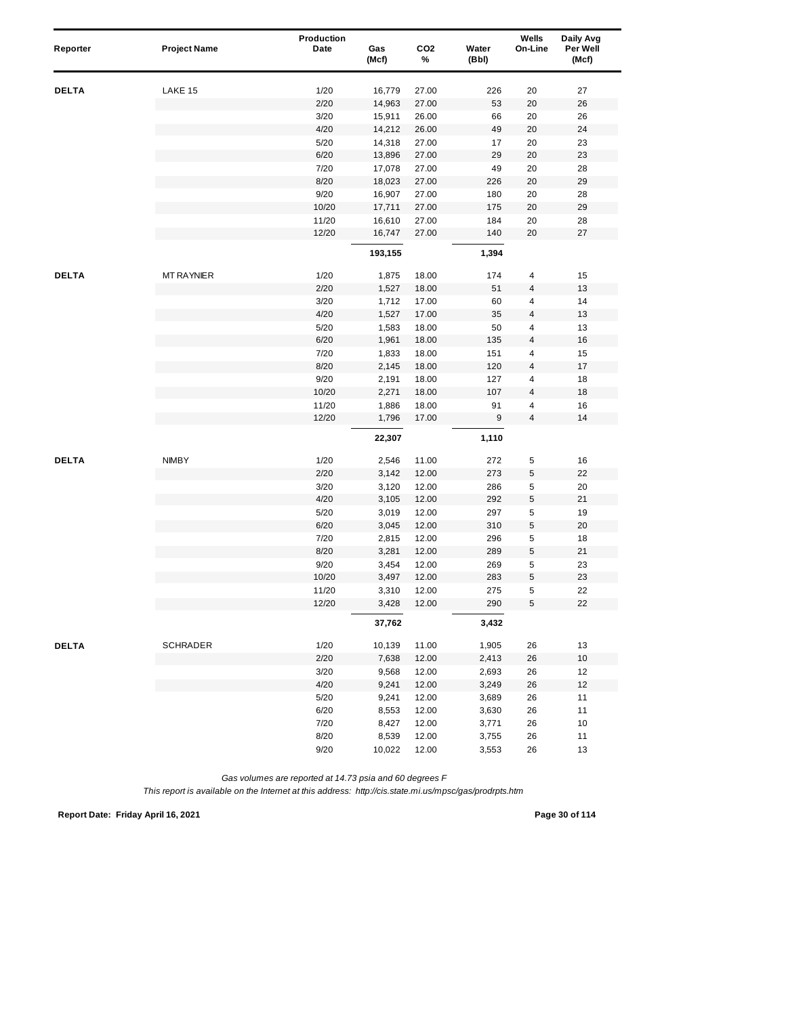| Reporter     | <b>Project Name</b> | Production<br>Date | Gas<br>(Mcf)   | CO <sub>2</sub><br>% | Water<br>(Bbl) | Wells<br>On-Line        | Daily Avg<br>Per Well<br>(Mcf) |
|--------------|---------------------|--------------------|----------------|----------------------|----------------|-------------------------|--------------------------------|
| <b>DELTA</b> | LAKE 15             | 1/20               | 16,779         | 27.00                | 226            | 20                      | 27                             |
|              |                     | 2/20               | 14,963         | 27.00                | 53             | 20                      | 26                             |
|              |                     | 3/20               | 15,911         | 26.00                | 66             | 20                      | 26                             |
|              |                     | 4/20               | 14,212         | 26.00                | 49             | 20                      | 24                             |
|              |                     | 5/20               | 14,318         | 27.00                | 17             | 20                      | 23                             |
|              |                     | 6/20               | 13,896         | 27.00                | 29             | 20                      | 23                             |
|              |                     | 7/20               | 17,078         | 27.00                | 49             | 20                      | 28                             |
|              |                     | 8/20               | 18,023         | 27.00                | 226            | 20                      | 29                             |
|              |                     | 9/20               | 16,907         | 27.00                | 180            | 20                      | 28                             |
|              |                     | 10/20              | 17,711         | 27.00                | 175            | 20                      | 29                             |
|              |                     | 11/20              | 16,610         | 27.00                | 184            | 20                      | 28                             |
|              |                     | 12/20              | 16,747         | 27.00                | 140            | 20                      | 27                             |
|              |                     |                    | 193,155        |                      | 1,394          |                         |                                |
| <b>DELTA</b> | <b>MT RAYNIER</b>   | 1/20               | 1,875          | 18.00                | 174            | 4                       | 15                             |
|              |                     | 2/20               | 1,527          | 18.00                | 51             | 4                       | 13                             |
|              |                     | 3/20               | 1,712          | 17.00                | 60             | 4                       | 14                             |
|              |                     | 4/20               | 1,527          | 17.00                | 35             | 4                       | 13                             |
|              |                     | 5/20               | 1,583          | 18.00                | 50             | 4                       | 13                             |
|              |                     | 6/20               | 1,961          | 18.00                | 135            | 4                       | $16$                           |
|              |                     | 7/20               | 1,833          | 18.00                | 151            | 4                       | 15                             |
|              |                     | 8/20               | 2,145          | 18.00                | 120            | $\overline{\mathbf{4}}$ | 17                             |
|              |                     | 9/20               | 2,191          | 18.00                | 127            | 4                       | 18                             |
|              |                     | 10/20              | 2,271          | 18.00                | 107            | 4                       | 18                             |
|              |                     | 11/20              | 1,886          | 18.00                | 91             | 4                       | 16                             |
|              |                     | 12/20              | 1,796          | 17.00                | 9              | 4                       | 14                             |
|              |                     |                    | 22,307         |                      | 1,110          |                         |                                |
| <b>DELTA</b> | <b>NIMBY</b>        | 1/20               | 2,546          | 11.00                | 272            | 5                       | 16                             |
|              |                     | 2/20               | 3,142          | 12.00                | 273            | 5                       | 22                             |
|              |                     | 3/20               | 3,120          | 12.00                | 286            | 5                       | 20                             |
|              |                     | 4/20               | 3,105          | 12.00                | 292            | 5                       | 21                             |
|              |                     | 5/20               | 3,019          | 12.00                | 297            | 5                       | 19                             |
|              |                     | 6/20               | 3,045          | 12.00                | 310            | 5                       | 20                             |
|              |                     | 7/20               | 2,815          | 12.00                | 296            | 5                       | 18                             |
|              |                     | 8/20               | 3,281          | 12.00                | 289            | 5                       | 21                             |
|              |                     | 9/20               | 3,454          | 12.00                | 269            | 5                       | 23                             |
|              |                     | 10/20              | 3,497          | 12.00                | 283            | 5                       | 23                             |
|              |                     | 11/20<br>12/20     | 3,310<br>3,428 | 12.00<br>12.00       | 275<br>290     | 5<br>5                  | 22<br>22                       |
|              |                     |                    | 37,762         |                      | 3,432          |                         |                                |
| <b>DELTA</b> | <b>SCHRADER</b>     | 1/20               | 10,139         | 11.00                | 1,905          | 26                      | 13                             |
|              |                     | 2/20               | 7,638          | 12.00                | 2,413          | 26                      | $10$                           |
|              |                     | 3/20               | 9,568          | 12.00                | 2,693          | 26                      | 12                             |
|              |                     | 4/20               | 9,241          | 12.00                | 3,249          | 26                      | 12                             |
|              |                     | 5/20               | 9,241          | 12.00                | 3,689          | 26                      | 11                             |
|              |                     | 6/20               | 8,553          | 12.00                | 3,630          | 26                      | 11                             |
|              |                     | 7/20               | 8,427          | 12.00                | 3,771          | 26                      | 10                             |
|              |                     | 8/20               | 8,539          | 12.00                | 3,755          | 26                      | 11                             |
|              |                     | 9/20               | 10,022         | 12.00                | 3,553          | 26                      | 13                             |

*This report is available on the Internet at this address: http://cis.state.mi.us/mpsc/gas/prodrpts.htm*

**Report Date: Friday April 16, 2021 Page 30 of 114**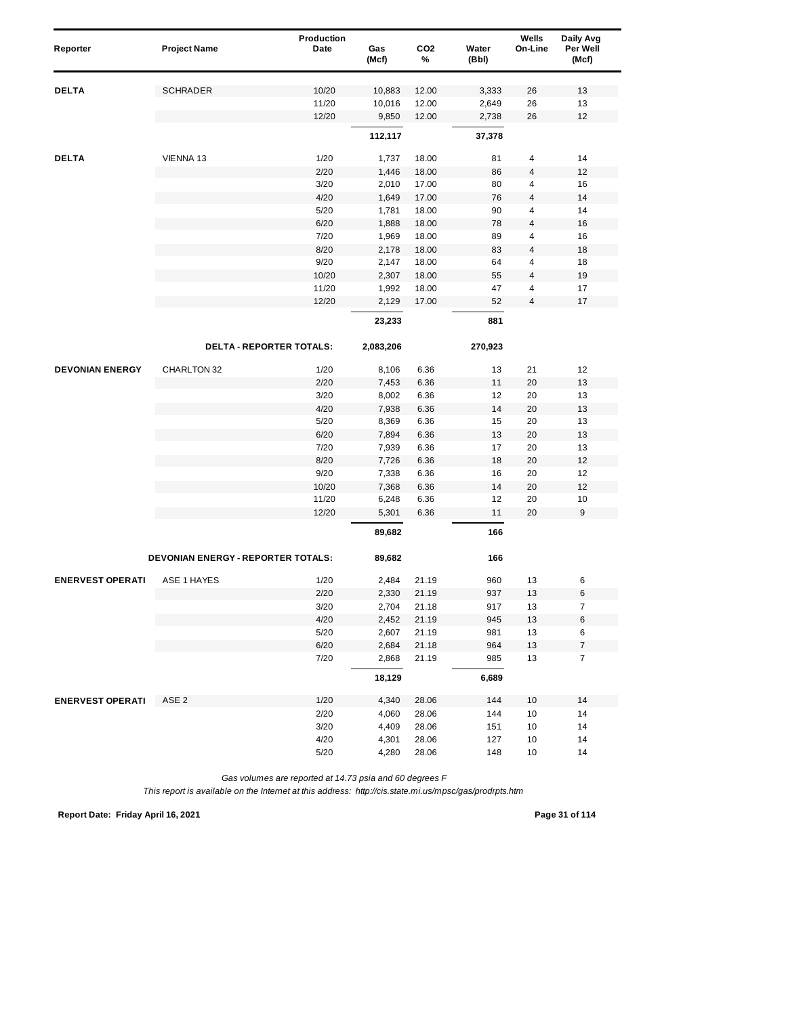| Reporter                | <b>Project Name</b>                | Production<br>Date | Gas<br>(Mcf) | CO <sub>2</sub><br>% | Water<br>(Bbl) | Wells<br>On-Line        | Daily Avg<br>Per Well<br>(Mcf) |
|-------------------------|------------------------------------|--------------------|--------------|----------------------|----------------|-------------------------|--------------------------------|
|                         |                                    |                    |              |                      |                |                         |                                |
| <b>DELTA</b>            | <b>SCHRADER</b>                    | 10/20              | 10,883       | 12.00                | 3,333          | 26                      | 13                             |
|                         |                                    | 11/20              | 10,016       | 12.00                | 2,649          | 26                      | 13                             |
|                         |                                    | 12/20              | 9,850        | 12.00                | 2,738          | 26                      | 12                             |
|                         |                                    |                    | 112,117      |                      | 37,378         |                         |                                |
| <b>DELTA</b>            | VIENNA 13                          | 1/20               | 1,737        | 18.00                | 81             | 4                       | 14                             |
|                         |                                    | 2/20               | 1,446        | 18.00                | 86             | 4                       | 12                             |
|                         |                                    | 3/20               | 2,010        | 17.00                | 80             | 4                       | 16                             |
|                         |                                    | 4/20               | 1,649        | 17.00                | 76             | 4                       | 14                             |
|                         |                                    | 5/20               | 1,781        | 18.00                | 90             | $\overline{4}$          | 14                             |
|                         |                                    | 6/20               | 1,888        | 18.00                | 78             | $\overline{4}$          | 16                             |
|                         |                                    | 7/20               | 1,969        | 18.00                | 89             | 4                       | 16                             |
|                         |                                    | 8/20               | 2,178        | 18.00                | 83             | 4                       | 18                             |
|                         |                                    | 9/20               | 2,147        | 18.00                | 64             | 4                       | 18                             |
|                         |                                    | 10/20              | 2,307        | 18.00                | 55             | $\overline{\mathbf{4}}$ | 19                             |
|                         |                                    | 11/20              | 1,992        | 18.00                | 47             | 4                       | 17                             |
|                         |                                    | 12/20              | 2,129        | 17.00                | 52             | 4                       | 17                             |
|                         |                                    |                    | 23,233       |                      | 881            |                         |                                |
|                         | <b>DELTA - REPORTER TOTALS:</b>    |                    | 2,083,206    |                      | 270,923        |                         |                                |
| <b>DEVONIAN ENERGY</b>  | CHARLTON 32                        | 1/20               | 8,106        | 6.36                 | 13             | 21                      | 12                             |
|                         |                                    | 2/20               | 7,453        | 6.36                 | 11             | 20                      | 13                             |
|                         |                                    | 3/20               | 8,002        | 6.36                 | 12             | 20                      | 13                             |
|                         |                                    | 4/20               | 7,938        | 6.36                 | 14             | 20                      | 13                             |
|                         |                                    | 5/20               | 8,369        | 6.36                 | 15             | 20                      | 13                             |
|                         |                                    | 6/20               | 7,894        | 6.36                 | 13             | 20                      | 13                             |
|                         |                                    | 7/20               | 7,939        | 6.36                 | 17             | 20                      | 13                             |
|                         |                                    | 8/20               | 7,726        | 6.36                 | 18             | 20                      | 12                             |
|                         |                                    | 9/20               | 7,338        | 6.36                 | 16             | 20                      | 12                             |
|                         |                                    | 10/20              | 7,368        | 6.36                 | 14             | 20                      | 12                             |
|                         |                                    | 11/20              | 6,248        | 6.36                 | 12             | 20                      | 10                             |
|                         |                                    | 12/20              | 5,301        | 6.36                 | 11             | 20                      | 9                              |
|                         |                                    |                    | 89,682       |                      | 166            |                         |                                |
|                         | DEVONIAN ENERGY - REPORTER TOTALS: |                    | 89,682       |                      | 166            |                         |                                |
| <b>ENERVEST OPERATI</b> | <b>ASE 1 HAYES</b>                 | 1/20               | 2,484        | 21.19                | 960            | 13                      | 6                              |
|                         |                                    | 2/20               | 2,330        | 21.19                | 937            | 13                      | 6                              |
|                         |                                    | 3/20               | 2,704        | 21.18                | 917            | 13                      | $\overline{7}$                 |
|                         |                                    | 4/20               | 2,452        | 21.19                | 945            | 13                      | 6                              |
|                         |                                    | 5/20               | 2,607        | 21.19                | 981            | 13                      | 6                              |
|                         |                                    | 6/20               | 2,684        | 21.18                | 964            | 13                      | $\boldsymbol{7}$               |
|                         |                                    | 7/20               | 2,868        | 21.19                | 985            | 13                      | $\overline{7}$                 |
|                         |                                    |                    | 18,129       |                      | 6,689          |                         |                                |
| <b>ENERVEST OPERATI</b> | ASE <sub>2</sub>                   | 1/20               | 4,340        | 28.06                | 144            | 10                      | 14                             |
|                         |                                    | 2/20               | 4,060        | 28.06                | 144            | 10                      | 14                             |
|                         |                                    | 3/20               | 4,409        | 28.06                | 151            | 10                      | 14                             |
|                         |                                    | 4/20               | 4,301        | 28.06                | 127            | 10                      | 14                             |
|                         |                                    | 5/20               | 4,280        | 28.06                | 148            | 10                      | 14                             |

*This report is available on the Internet at this address: http://cis.state.mi.us/mpsc/gas/prodrpts.htm*

**Report Date: Friday April 16, 2021 Page 31 of 114**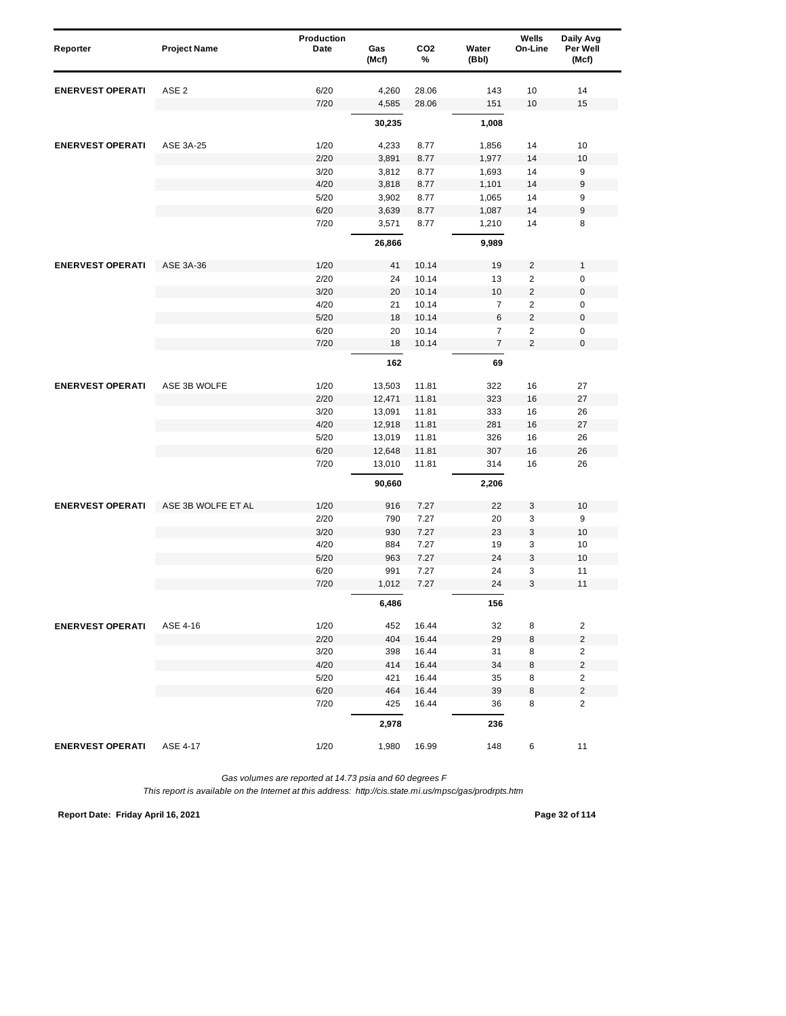| Reporter                | <b>Project Name</b> | Production<br>Date | Gas<br>(Mcf) | CO <sub>2</sub><br>% | Water<br>(Bbl)   | Wells<br>On-Line | Daily Avg<br>Per Well<br>(Mcf) |  |
|-------------------------|---------------------|--------------------|--------------|----------------------|------------------|------------------|--------------------------------|--|
| <b>ENERVEST OPERATI</b> | ASE <sub>2</sub>    | 6/20               | 4,260        | 28.06                | 143              | 10               | 14                             |  |
|                         |                     | 7/20               | 4,585        | 28.06                | 151              | 10               | 15                             |  |
|                         |                     |                    | 30,235       |                      | 1,008            |                  |                                |  |
| <b>ENERVEST OPERATI</b> | ASE 3A-25           | 1/20               | 4,233        | 8.77                 | 1,856            | 14               | 10                             |  |
|                         |                     | 2/20               | 3,891        | 8.77                 | 1,977            | 14               | 10                             |  |
|                         |                     | 3/20               | 3,812        | 8.77                 | 1,693            | 14               | 9                              |  |
|                         |                     | 4/20               | 3,818        | 8.77                 | 1,101            | 14               | 9                              |  |
|                         |                     | 5/20               | 3,902        | 8.77                 | 1,065            | 14               | 9                              |  |
|                         |                     | 6/20               | 3,639        | 8.77                 | 1,087            | 14               | 9                              |  |
|                         |                     | 7/20               | 3,571        | 8.77                 | 1,210            | 14               | 8                              |  |
|                         |                     |                    | 26,866       |                      | 9,989            |                  |                                |  |
| <b>ENERVEST OPERATI</b> | ASE 3A-36           | 1/20               | 41           | 10.14                | 19               | $\overline{c}$   | $\mathbf{1}$                   |  |
|                         |                     | 2/20               | 24           | 10.14                | 13               | $\overline{2}$   | $\pmb{0}$                      |  |
|                         |                     | 3/20               | 20           | 10.14                | 10               | $\overline{c}$   | $\boldsymbol{0}$               |  |
|                         |                     | 4/20               | 21           | 10.14                | $\overline{7}$   | $\overline{c}$   | 0                              |  |
|                         |                     | 5/20               | 18           | 10.14                | 6                | $\overline{2}$   | $\boldsymbol{0}$               |  |
|                         |                     | 6/20               | 20           | 10.14                | $\overline{7}$   | 2                | 0                              |  |
|                         |                     | 7/20               | 18           | 10.14                | $\boldsymbol{7}$ | $\overline{2}$   | $\mathbf 0$                    |  |
|                         |                     |                    | 162          |                      | 69               |                  |                                |  |
| <b>ENERVEST OPERATI</b> | ASE 3B WOLFE        | 1/20               | 13,503       | 11.81                | 322              | 16               | 27                             |  |
|                         |                     | 2/20               | 12,471       | 11.81                | 323              | 16               | 27                             |  |
|                         |                     | 3/20               | 13,091       | 11.81                | 333              | 16               | 26                             |  |
|                         |                     | 4/20               | 12,918       | 11.81                | 281              | 16               | 27                             |  |
|                         |                     | 5/20               | 13,019       | 11.81                | 326              | 16               | 26                             |  |
|                         |                     | 6/20               | 12,648       | 11.81                | 307              | 16               | 26                             |  |
|                         |                     | 7/20               | 13,010       | 11.81                | 314              | 16               | 26                             |  |
|                         |                     |                    | 90,660       |                      | 2,206            |                  |                                |  |
| <b>ENERVEST OPERATI</b> | ASE 3B WOLFE ET AL  | 1/20               | 916          | 7.27                 | 22               | 3                | 10                             |  |
|                         |                     | 2/20               | 790          | 7.27                 | 20               | 3                | 9                              |  |
|                         |                     | 3/20               | 930          | 7.27                 | 23               | 3                | 10                             |  |
|                         |                     | 4/20               | 884          | 7.27                 | 19               | 3                | 10                             |  |
|                         |                     | 5/20               | 963          | 7.27                 | 24               | 3                | 10                             |  |
|                         |                     | 6/20<br>7/20       | 991<br>1,012 | 7.27<br>7.27         | 24<br>24         | 3<br>3           | 11<br>11                       |  |
|                         |                     |                    | 6,486        |                      | 156              |                  |                                |  |
|                         | ASE 4-16            | 1/20               | 452          |                      | 32               |                  | $\overline{\mathbf{c}}$        |  |
|                         |                     | 2/20               | 404          | 16.44<br>16.44       | 29               | 8<br>8           | $\overline{c}$                 |  |
| <b>ENERVEST OPERATI</b> |                     | 3/20               | 398          | 16.44                | 31               | 8                | $\overline{c}$                 |  |
|                         |                     | 4/20               | 414          | 16.44                | 34               | 8                | $\mathbf 2$                    |  |
|                         |                     | 5/20               | 421          | 16.44                | 35               | 8                | $\overline{\mathbf{c}}$        |  |
|                         |                     | 6/20               | 464          | 16.44                | 39               | 8                | $\overline{c}$                 |  |
|                         |                     | 7/20               | 425          | 16.44                | 36               | 8                | $\overline{2}$                 |  |
|                         |                     |                    | 2,978        |                      | 236              |                  |                                |  |
| <b>ENERVEST OPERATI</b> | ASE 4-17            | 1/20               | 1,980        | 16.99                | 148              | 6                | 11                             |  |

*This report is available on the Internet at this address: http://cis.state.mi.us/mpsc/gas/prodrpts.htm*

**Report Date: Friday April 16, 2021 Page 32 of 114**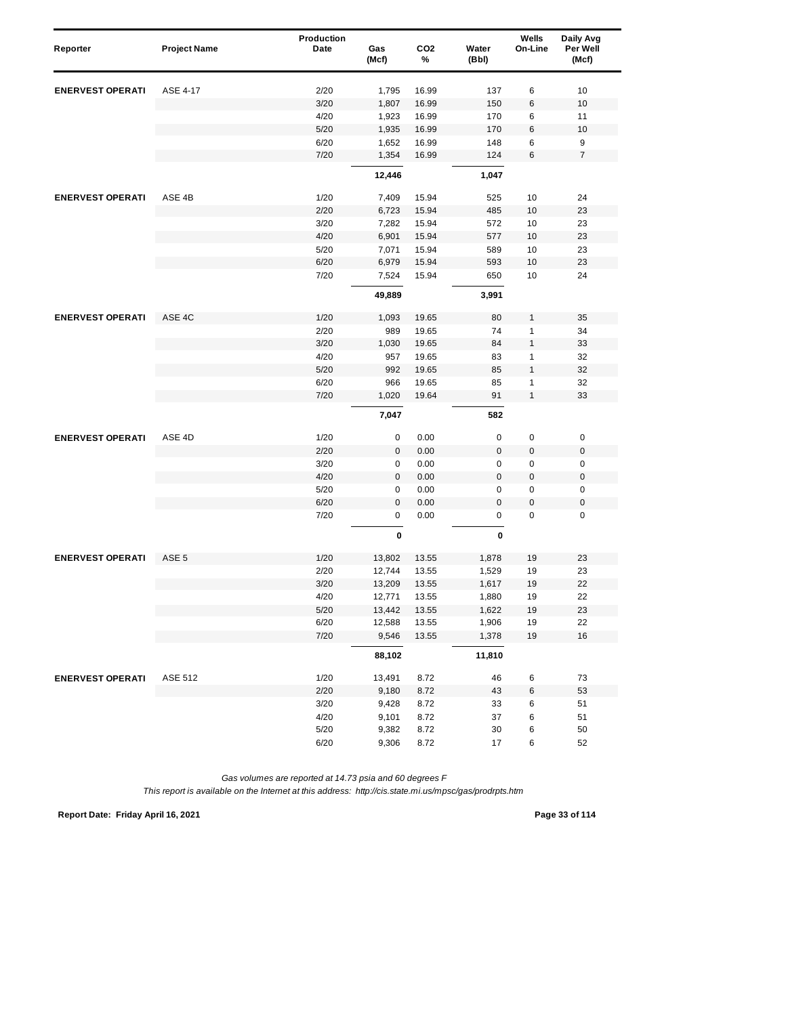| Reporter                | <b>Project Name</b> | Production<br>Date | Gas<br>(Mcf)    | CO <sub>2</sub><br>% | Water<br>(Bbl) | Wells<br>On-Line | Daily Avg<br>Per Well<br>(Mcf) |  |
|-------------------------|---------------------|--------------------|-----------------|----------------------|----------------|------------------|--------------------------------|--|
|                         |                     |                    |                 |                      |                |                  |                                |  |
| <b>ENERVEST OPERATI</b> | ASE 4-17            | 2/20               | 1,795           | 16.99                | 137            | 6                | 10                             |  |
|                         |                     | 3/20               | 1,807           | 16.99                | 150            | 6                | 10                             |  |
|                         |                     | 4/20               | 1,923           | 16.99                | 170            | 6                | 11                             |  |
|                         |                     | 5/20               | 1,935           | 16.99                | 170            | 6                | 10                             |  |
|                         |                     | 6/20               | 1,652           | 16.99                | 148            | 6                | 9                              |  |
|                         |                     | 7/20               | 1,354           | 16.99                | 124            | 6                | $\boldsymbol{7}$               |  |
|                         |                     |                    | 12,446          |                      | 1,047          |                  |                                |  |
| <b>ENERVEST OPERATI</b> | ASE 4B              | 1/20               | 7,409           | 15.94                | 525            | 10               | 24                             |  |
|                         |                     | 2/20               | 6,723           | 15.94                | 485            | 10               | 23                             |  |
|                         |                     | 3/20               | 7,282           | 15.94                | 572            | 10               | 23                             |  |
|                         |                     | 4/20               | 6,901           | 15.94                | 577            | 10               | 23                             |  |
|                         |                     | 5/20               | 7,071           | 15.94                | 589            | 10               | 23                             |  |
|                         |                     | 6/20               | 6,979           | 15.94                | 593            | 10               | 23                             |  |
|                         |                     | 7/20               | 7,524           | 15.94                | 650            | 10               | 24                             |  |
|                         |                     |                    | 49,889          |                      | 3,991          |                  |                                |  |
| <b>ENERVEST OPERATI</b> | ASE 4C              | 1/20               | 1,093           | 19.65                | 80             | 1                | 35                             |  |
|                         |                     | 2/20               | 989             | 19.65                | 74             | 1                | 34                             |  |
|                         |                     | 3/20               | 1,030           | 19.65                | 84             | 1                | 33                             |  |
|                         |                     | 4/20               | 957             | 19.65                | 83             | 1                | 32                             |  |
|                         |                     | 5/20               | 992             | 19.65                | 85             | $\mathbf{1}$     | 32                             |  |
|                         |                     | 6/20               | 966             | 19.65                | 85             | 1                | 32                             |  |
|                         |                     | 7/20               | 1,020           | 19.64                | 91             | $\mathbf{1}$     | 33                             |  |
|                         |                     |                    | 7,047           |                      | 582            |                  |                                |  |
| <b>ENERVEST OPERATI</b> | ASE 4D              | 1/20               | 0               | 0.00                 | 0              | 0                | $\pmb{0}$                      |  |
|                         |                     | 2/20               | $\pmb{0}$       | 0.00                 | $\mathbf 0$    | 0                | $\pmb{0}$                      |  |
|                         |                     | 3/20               | 0               | 0.00                 | 0              | $\pmb{0}$        | $\pmb{0}$                      |  |
|                         |                     | 4/20               | $\pmb{0}$       | 0.00                 | 0              | $\boldsymbol{0}$ | $\boldsymbol{0}$               |  |
|                         |                     | 5/20               | $\pmb{0}$       | 0.00                 | 0              | 0                | 0                              |  |
|                         |                     | 6/20               | 0               | 0.00                 | $\pmb{0}$      | 0                | $\boldsymbol{0}$               |  |
|                         |                     | 7/20               | $\pmb{0}$       | 0.00                 | 0              | 0                | $\mathbf 0$                    |  |
|                         |                     |                    | $\pmb{0}$       |                      | 0              |                  |                                |  |
| <b>ENERVEST OPERATI</b> | ASE <sub>5</sub>    | 1/20               | 13,802          | 13.55                | 1,878          | 19               | 23                             |  |
|                         |                     | 2/20               | 12,744          | 13.55                | 1,529          | 19               | 23                             |  |
|                         |                     | 3/20               | 13,209          | 13.55                | 1,617          | 19               | 22                             |  |
|                         |                     | 4/20               | 12,771          | 13.55                | 1,880          | 19               | 22                             |  |
|                         |                     | $5/20$             | 13,442          | 13.55                | 1,622          | $19$             | 23                             |  |
|                         |                     | 6/20<br>7/20       | 12,588<br>9,546 | 13.55<br>13.55       | 1,906<br>1,378 | $19$<br>$19$     | 22<br>$16$                     |  |
|                         |                     |                    | 88,102          |                      | 11,810         |                  |                                |  |
|                         |                     |                    |                 |                      |                |                  |                                |  |
| <b>ENERVEST OPERATI</b> | <b>ASE 512</b>      | 1/20               | 13,491          | 8.72                 | 46             | 6                | 73                             |  |
|                         |                     | 2/20               | 9,180           | 8.72                 | 43             | 6                | 53                             |  |
|                         |                     | $3/20$             | 9,428           | 8.72                 | 33             | 6                | 51                             |  |
|                         |                     | 4/20               | 9,101           | 8.72                 | 37             | 6                | 51                             |  |
|                         |                     | $5/20$             | 9,382           | 8.72                 | 30             | 6                | 50                             |  |
|                         |                     | 6/20               | 9,306           | 8.72                 | 17             | 6                | 52                             |  |

**Report Date: Friday April 16, 2021 Page 33 of 114**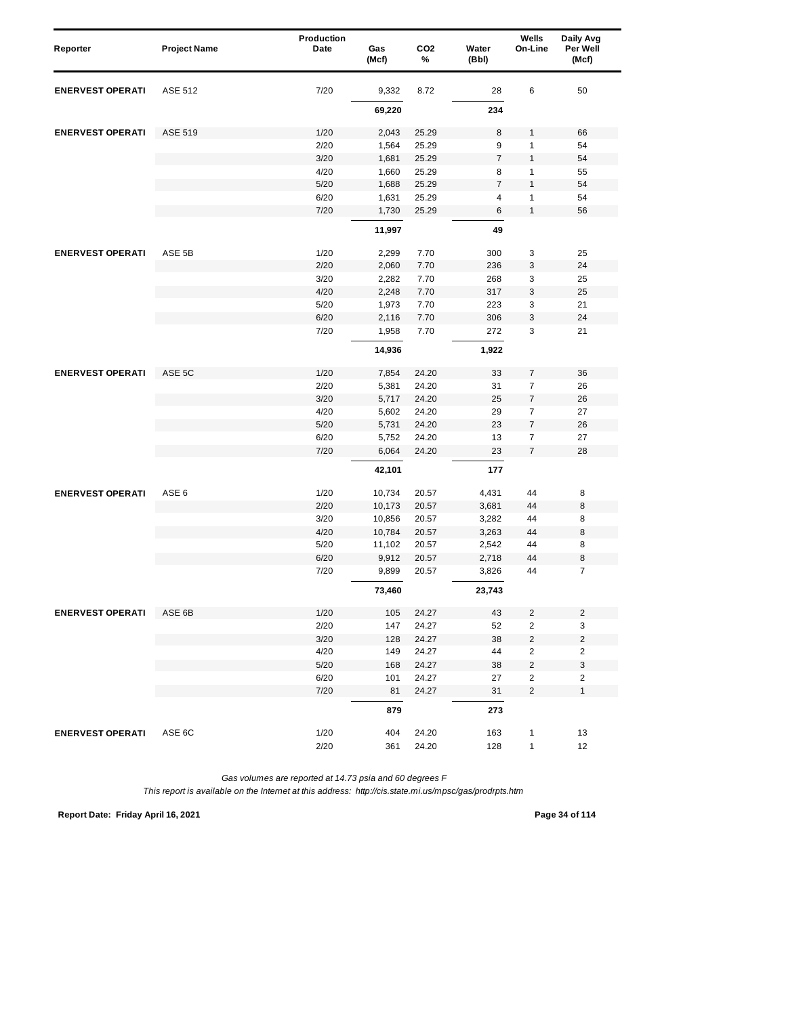|                         |                     | <b>Production</b> |              |                      |                | Wells                   | Daily Avg               |
|-------------------------|---------------------|-------------------|--------------|----------------------|----------------|-------------------------|-------------------------|
| Reporter                | <b>Project Name</b> | Date              | Gas<br>(Mcf) | CO <sub>2</sub><br>% | Water<br>(Bbl) | On-Line                 | Per Well<br>(Mcf)       |
| <b>ENERVEST OPERATI</b> | <b>ASE 512</b>      | 7/20              | 9,332        | 8.72                 | 28             | 6                       | 50                      |
|                         |                     |                   | 69,220       |                      | 234            |                         |                         |
| <b>ENERVEST OPERATI</b> | <b>ASE 519</b>      | 1/20              | 2,043        | 25.29                | 8              | $\mathbf{1}$            | 66                      |
|                         |                     | 2/20              | 1,564        | 25.29                | 9              | $\mathbf{1}$            | 54                      |
|                         |                     | 3/20              | 1,681        | 25.29                | $\overline{7}$ | $\mathbf{1}$            | 54                      |
|                         |                     | 4/20              | 1,660        | 25.29                | 8              | 1                       | 55                      |
|                         |                     | 5/20              | 1,688        | 25.29                | $\overline{7}$ | $\mathbf{1}$            | 54                      |
|                         |                     | 6/20              | 1,631        | 25.29                | $\overline{4}$ | 1                       | 54                      |
|                         |                     | 7/20              | 1,730        | 25.29                | $\,6$          | $\mathbf{1}$            | 56                      |
|                         |                     |                   | 11,997       |                      | 49             |                         |                         |
| <b>ENERVEST OPERATI</b> | ASE 5B              | 1/20              | 2,299        | 7.70                 | 300            | 3                       | 25                      |
|                         |                     | 2/20              | 2,060        | 7.70                 | 236            | 3                       | 24                      |
|                         |                     | 3/20              | 2,282        | 7.70                 | 268            | 3                       | 25                      |
|                         |                     | 4/20              | 2,248        | 7.70                 | 317            | 3                       | 25                      |
|                         |                     | 5/20              | 1,973        | 7.70                 | 223            | 3                       | 21                      |
|                         |                     | 6/20              | 2,116        | 7.70                 | 306            | 3                       | 24                      |
|                         |                     | 7/20              | 1,958        | 7.70                 | 272            | 3                       | 21                      |
|                         |                     |                   | 14,936       |                      | 1,922          |                         |                         |
| <b>ENERVEST OPERATI</b> | ASE 5C              | 1/20              | 7,854        | 24.20                | 33             | 7                       | 36                      |
|                         |                     | 2/20              | 5,381        | 24.20                | 31             | $\overline{7}$          | 26                      |
|                         |                     | 3/20              | 5,717        | 24.20                | 25             | $\overline{7}$          | 26                      |
|                         |                     | 4/20              | 5,602        | 24.20                | 29             | $\overline{7}$          | 27                      |
|                         |                     | $5/20$            | 5,731        | 24.20                | 23             | $\boldsymbol{7}$        | 26                      |
|                         |                     | 6/20              | 5,752        | 24.20                | 13             | $\overline{7}$          | 27                      |
|                         |                     | 7/20              | 6,064        | 24.20                | 23             | $\overline{7}$          | 28                      |
|                         |                     |                   | 42,101       |                      | 177            |                         |                         |
| <b>ENERVEST OPERATI</b> | ASE <sub>6</sub>    | 1/20              | 10,734       | 20.57                | 4,431          | 44                      | 8                       |
|                         |                     | 2/20              | 10,173       | 20.57                | 3,681          | 44                      | 8                       |
|                         |                     | 3/20              | 10,856       | 20.57                | 3,282          | 44                      | 8                       |
|                         |                     | 4/20              | 10,784       | 20.57                | 3,263          | 44                      | 8                       |
|                         |                     | 5/20              | 11,102       | 20.57                | 2,542          | 44                      | 8                       |
|                         |                     | 6/20              | 9,912        | 20.57                | 2,718          | 44                      | 8                       |
|                         |                     | 7/20              | 9,899        | 20.57                | 3,826          | 44                      | $\overline{7}$          |
|                         |                     |                   | 73,460       |                      | 23,743         |                         |                         |
| <b>ENERVEST OPERATI</b> | ASE 6B              | 1/20              | 105          | 24.27                | 43             | $\overline{c}$          | $\mathbf 2$             |
|                         |                     | 2/20              | 147          | 24.27                | 52             | 2                       | 3                       |
|                         |                     | 3/20              | 128          | 24.27                | 38             | $\mathbf 2$             | $\mathbf 2$             |
|                         |                     | 4/20              | 149          | 24.27                | 44             | 2                       | $\overline{\mathbf{c}}$ |
|                         |                     | $5/20$            | 168          | 24.27                | 38             | $\mathbf 2$             | 3                       |
|                         |                     | 6/20              | 101          | 24.27                | 27             | $\sqrt{2}$              | $\mathbf 2$             |
|                         |                     | 7/20              | 81           | 24.27                | 31             | $\overline{\mathbf{c}}$ | $\mathbf{1}$            |
|                         |                     |                   | 879          |                      | 273            |                         |                         |
| <b>ENERVEST OPERATI</b> | ASE 6C              | 1/20              | 404          | 24.20                | 163            | $\mathbf{1}$            | 13                      |
|                         |                     | 2/20              | 361          | 24.20                | 128            | $\mathbf{1}$            | 12                      |

*This report is available on the Internet at this address: http://cis.state.mi.us/mpsc/gas/prodrpts.htm*

**Report Date: Friday April 16, 2021 Page 34 of 114**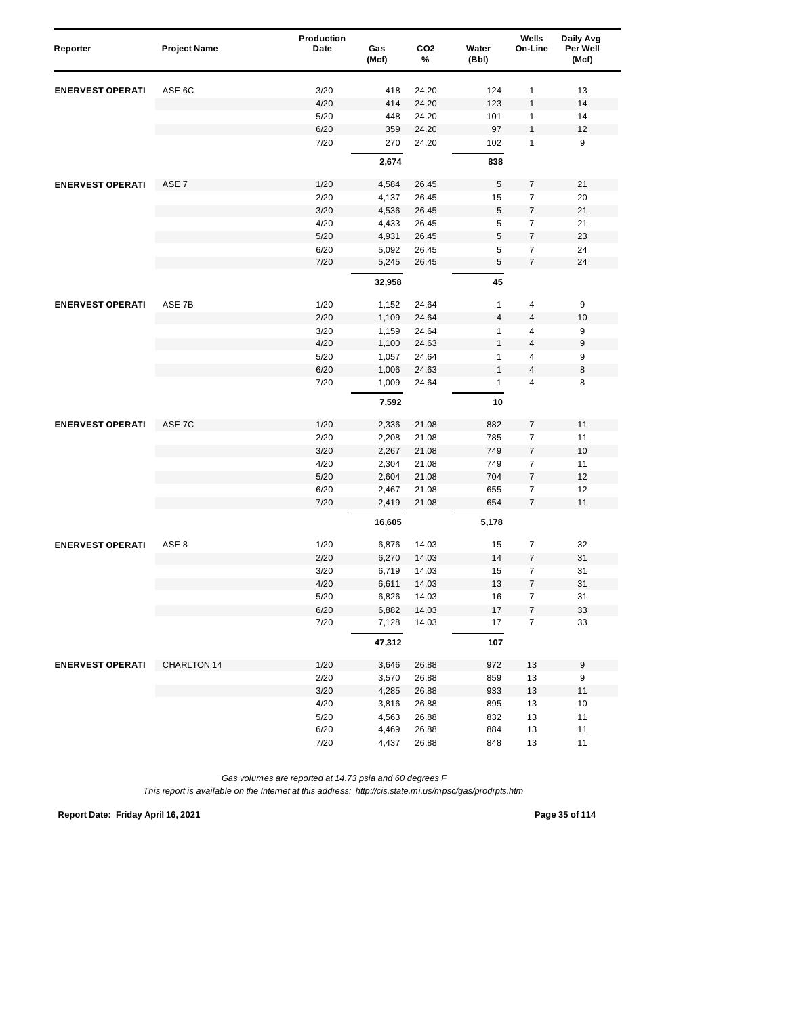| Reporter                | <b>Project Name</b> | Production<br>Date | Gas<br>(Mcf) | CO <sub>2</sub><br>% | Water<br>(Bbl)          | Wells<br>On-Line | Daily Avg<br>Per Well<br>(Mcf) |
|-------------------------|---------------------|--------------------|--------------|----------------------|-------------------------|------------------|--------------------------------|
| <b>ENERVEST OPERATI</b> | ASE 6C              | 3/20               | 418          | 24.20                | 124                     | 1                | 13                             |
|                         |                     | 4/20               | 414          | 24.20                | 123                     | $\mathbf{1}$     | 14                             |
|                         |                     | 5/20               | 448          | 24.20                | 101                     | $\mathbf{1}$     | 14                             |
|                         |                     | 6/20               | 359          | 24.20                | 97                      | $\mathbf{1}$     | 12                             |
|                         |                     | 7/20               | 270          | 24.20                | 102                     | 1                | 9                              |
|                         |                     |                    | 2,674        |                      | 838                     |                  |                                |
| <b>ENERVEST OPERATI</b> | ASE <sub>7</sub>    | 1/20               | 4,584        | 26.45                | 5                       | 7                | 21                             |
|                         |                     | 2/20               | 4,137        | 26.45                | 15                      | 7                | 20                             |
|                         |                     | 3/20               | 4,536        | 26.45                | 5                       | $\boldsymbol{7}$ | 21                             |
|                         |                     | 4/20               | 4,433        | 26.45                | 5                       | $\overline{7}$   | 21                             |
|                         |                     | 5/20               | 4,931        | 26.45                | 5                       | $\boldsymbol{7}$ | 23                             |
|                         |                     | 6/20               | 5,092        | 26.45                | 5                       | $\overline{7}$   | 24                             |
|                         |                     | 7/20               | 5,245        | 26.45                | 5                       | $\overline{7}$   | 24                             |
|                         |                     |                    | 32,958       |                      | 45                      |                  |                                |
| <b>ENERVEST OPERATI</b> | ASE 7B              | 1/20               | 1,152        | 24.64                | $\mathbf{1}$            | 4                | 9                              |
|                         |                     | 2/20               | 1,109        | 24.64                | $\overline{\mathbf{4}}$ | 4                | 10                             |
|                         |                     | 3/20               | 1,159        | 24.64                | $\mathbf{1}$            | 4                | 9                              |
|                         |                     | 4/20               | 1,100        | 24.63                | $\mathbf{1}$            | $\overline{4}$   | 9                              |
|                         |                     | 5/20               | 1,057        | 24.64                | 1                       | 4                | 9                              |
|                         |                     | 6/20               | 1,006        | 24.63                | $\mathbf{1}$            | 4                | 8                              |
|                         |                     | 7/20               | 1,009        | 24.64                | $\mathbf{1}$            | 4                | 8                              |
|                         |                     |                    | 7,592        |                      | 10                      |                  |                                |
| <b>ENERVEST OPERATI</b> | ASE 7C              | 1/20               | 2,336        | 21.08                | 882                     | $\overline{7}$   | 11                             |
|                         |                     | 2/20               | 2,208        | 21.08                | 785                     | $\boldsymbol{7}$ | 11                             |
|                         |                     | 3/20               | 2,267        | 21.08                | 749                     | $\overline{7}$   | 10                             |
|                         |                     | 4/20               | 2,304        | 21.08                | 749                     | $\overline{7}$   | 11                             |
|                         |                     | 5/20               | 2,604        | 21.08                | 704                     | $\overline{7}$   | 12                             |
|                         |                     | 6/20               | 2,467        | 21.08                | 655                     | $\overline{7}$   | 12                             |
|                         |                     | 7/20               | 2,419        | 21.08                | 654                     | $\overline{7}$   | 11                             |
|                         |                     |                    | 16,605       |                      | 5,178                   |                  |                                |
| <b>ENERVEST OPERATI</b> | ASE 8               | 1/20               | 6,876        | 14.03                | 15                      | $\overline{7}$   | 32                             |
|                         |                     | 2/20               | 6,270        | 14.03                | 14                      | $\overline{7}$   | 31                             |
|                         |                     | 3/20               | 6,719        | 14.03                | 15                      | $\boldsymbol{7}$ | 31                             |
|                         |                     | 4/20               | 6,611        | 14.03                | 13                      | $\overline{7}$   | 31                             |
|                         |                     | $5/20$             | 6,826        | 14.03                | 16                      | 7                | 31                             |
|                         |                     | 6/20               | 6,882        | 14.03                | 17                      | 7                | 33                             |
|                         |                     | 7/20               | 7,128        | 14.03                | 17                      | $\boldsymbol{7}$ | 33                             |
|                         |                     |                    | 47,312       |                      | 107                     |                  |                                |
| <b>ENERVEST OPERATI</b> | CHARLTON 14         | 1/20               | 3,646        | 26.88                | 972                     | 13               | 9                              |
|                         |                     | 2/20               | 3,570        | 26.88                | 859                     | 13               | $\boldsymbol{9}$               |
|                         |                     | 3/20               | 4,285        | 26.88                | 933                     | 13               | 11                             |
|                         |                     | 4/20               | 3,816        | 26.88                | 895                     | 13               | 10                             |
|                         |                     | $5/20$             | 4,563        | 26.88                | 832                     | 13               | 11                             |
|                         |                     | 6/20               | 4,469        | 26.88                | 884                     | 13               | 11                             |
|                         |                     | 7/20               | 4,437        | 26.88                | 848                     | 13               | 11                             |

*This report is available on the Internet at this address: http://cis.state.mi.us/mpsc/gas/prodrpts.htm*

**Report Date: Friday April 16, 2021 Page 35 of 114**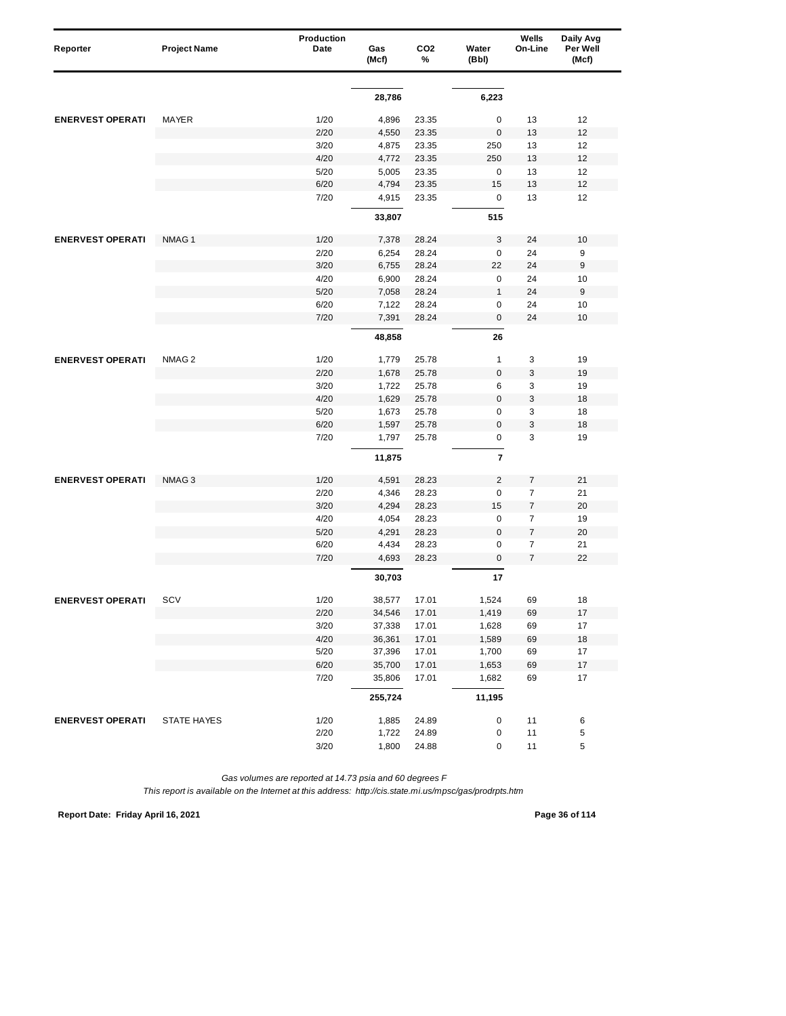| Reporter                | <b>Project Name</b> | Production<br>Date | Gas<br>(Mcf) | CO <sub>2</sub><br>% | Water<br>(Bbl)          | Wells<br>On-Line | Daily Avg<br>Per Well<br>(Mcf) |
|-------------------------|---------------------|--------------------|--------------|----------------------|-------------------------|------------------|--------------------------------|
|                         |                     |                    |              |                      |                         |                  |                                |
|                         |                     |                    | 28,786       |                      | 6,223                   |                  |                                |
| <b>ENERVEST OPERATI</b> | MAYER               | 1/20               | 4,896        | 23.35                | 0                       | 13               | 12                             |
|                         |                     | 2/20               | 4,550        | 23.35                | $\mathbf 0$             | 13               | 12                             |
|                         |                     | 3/20               | 4,875        | 23.35                | 250                     | 13               | 12                             |
|                         |                     | 4/20               | 4,772        | 23.35                | 250                     | 13               | 12                             |
|                         |                     | 5/20               | 5,005        | 23.35                | $\mathbf 0$             | 13               | 12                             |
|                         |                     | 6/20               | 4,794        | 23.35                | 15                      | 13               | 12                             |
|                         |                     | 7/20               | 4,915        | 23.35                | $\mathbf 0$             | 13               | 12                             |
|                         |                     |                    | 33,807       |                      | 515                     |                  |                                |
| <b>ENERVEST OPERATI</b> | NMAG <sub>1</sub>   | 1/20               | 7,378        | 28.24                | 3                       | 24               | 10                             |
|                         |                     | 2/20               | 6,254        | 28.24                | $\mathbf 0$             | 24               | 9                              |
|                         |                     | 3/20               | 6,755        | 28.24                | 22                      | 24               | 9                              |
|                         |                     | 4/20               | 6,900        | 28.24                | $\mathbf 0$             | 24               | 10                             |
|                         |                     | 5/20               | 7,058        | 28.24                | $\mathbf{1}$            | 24               | 9                              |
|                         |                     | 6/20               | 7,122        | 28.24                | 0                       | 24               | 10                             |
|                         |                     | 7/20               | 7,391        | 28.24                | $\boldsymbol{0}$        | 24               | 10                             |
|                         |                     |                    | 48,858       |                      | 26                      |                  |                                |
| <b>ENERVEST OPERATI</b> | NMAG <sub>2</sub>   | 1/20               | 1,779        | 25.78                | 1                       | 3                | 19                             |
|                         |                     | 2/20               | 1,678        | 25.78                | $\mathbf 0$             | 3                | 19                             |
|                         |                     | 3/20               | 1,722        | 25.78                | 6                       | 3                | 19                             |
|                         |                     | 4/20               | 1,629        | 25.78                | $\mathbf 0$             | 3                | 18                             |
|                         |                     | 5/20               | 1,673        | 25.78                | 0                       | 3                | 18                             |
|                         |                     | 6/20               | 1,597        | 25.78                | $\mathbf 0$             | 3                | 18                             |
|                         |                     | 7/20               | 1,797        | 25.78                | $\pmb{0}$               | 3                | 19                             |
|                         |                     |                    | 11,875       |                      | $\overline{\mathbf{r}}$ |                  |                                |
| <b>ENERVEST OPERATI</b> | NMAG <sub>3</sub>   | 1/20               | 4,591        | 28.23                | $\overline{2}$          | 7                | 21                             |
|                         |                     | 2/20               | 4,346        | 28.23                | $\mathbf 0$             | $\overline{7}$   | 21                             |
|                         |                     | 3/20               | 4,294        | 28.23                | 15                      | 7                | 20                             |
|                         |                     | 4/20               | 4,054        | 28.23                | $\mathbf 0$             | $\overline{7}$   | 19                             |
|                         |                     | 5/20               | 4,291        | 28.23                | $\mathbf 0$             | $\overline{7}$   | 20                             |
|                         |                     | 6/20               | 4,434        | 28.23                | 0                       | 7                | 21                             |
|                         |                     | 7/20               | 4,693        | 28.23                | $\mathbf 0$             | $\overline{7}$   | 22                             |
|                         |                     |                    | 30,703       |                      | 17                      |                  |                                |
| <b>ENERVEST OPERATI</b> | SCV                 | 1/20               | 38,577       | 17.01                | 1,524                   | 69               | 18                             |
|                         |                     | 2/20               | 34,546       | 17.01                | 1,419                   | 69               | 17                             |
|                         |                     | 3/20               | 37,338       | 17.01                | 1,628                   | 69               | 17                             |
|                         |                     | 4/20               | 36,361       | 17.01                | 1,589                   | 69               | $18$                           |
|                         |                     | 5/20               | 37,396       | 17.01                | 1,700                   | 69               | 17                             |
|                         |                     | 6/20               | 35,700       | 17.01                | 1,653                   | 69               | $17\,$                         |
|                         |                     | 7/20               | 35,806       | 17.01                | 1,682                   | 69               | 17                             |
|                         |                     |                    | 255,724      |                      | 11,195                  |                  |                                |
| <b>ENERVEST OPERATI</b> | STATE HAYES         | 1/20               | 1,885        | 24.89                | 0                       | 11               | 6                              |
|                         |                     | 2/20               | 1,722        | 24.89                | 0                       | 11               | 5                              |
|                         |                     | 3/20               | 1,800        | 24.88                | 0                       | 11               | 5                              |

*This report is available on the Internet at this address: http://cis.state.mi.us/mpsc/gas/prodrpts.htm*

**Report Date: Friday April 16, 2021 Page 36 of 114**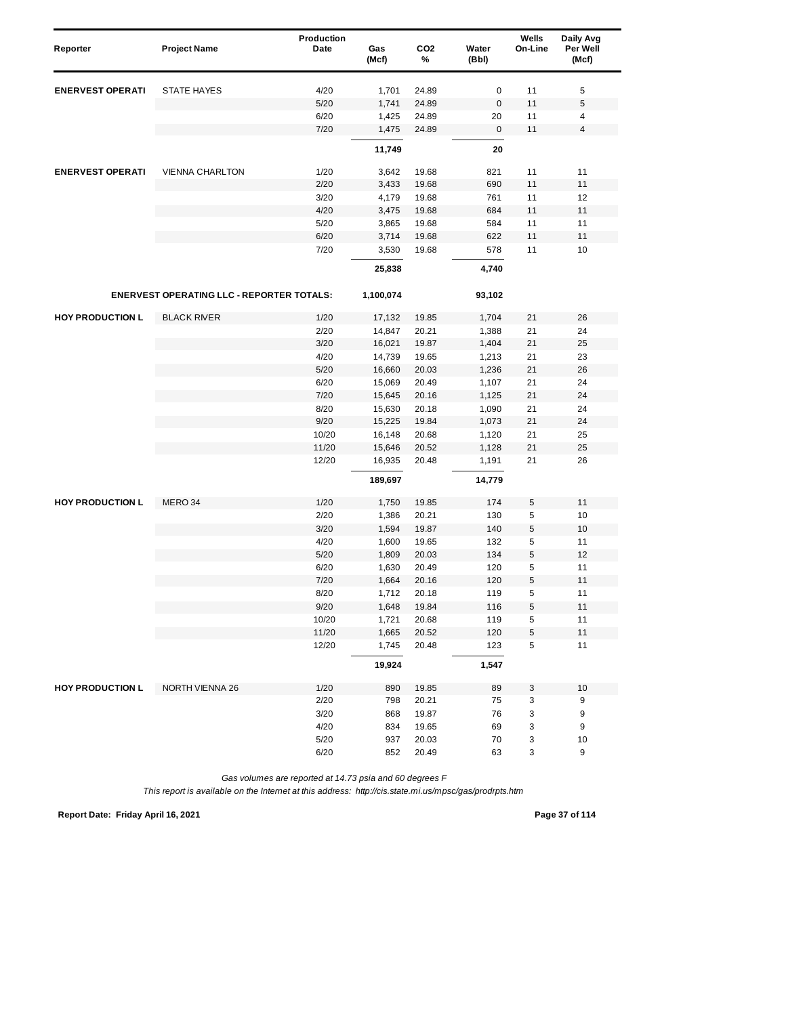| Reporter                | <b>Project Name</b>                              | Production<br>Date | Gas<br>(Mcf)   | CO <sub>2</sub><br>% | Water<br>(Bbl) | Wells<br>On-Line | Daily Avg<br>Per Well<br>(Mcf) |
|-------------------------|--------------------------------------------------|--------------------|----------------|----------------------|----------------|------------------|--------------------------------|
| <b>ENERVEST OPERATI</b> | <b>STATE HAYES</b>                               | 4/20               | 1,701          | 24.89                | 0              | 11               | 5                              |
|                         |                                                  | 5/20               | 1,741          | 24.89                | $\pmb{0}$      | 11               | 5                              |
|                         |                                                  | 6/20               | 1,425          | 24.89                | 20             | 11               | $\overline{\mathbf{4}}$        |
|                         |                                                  | 7/20               | 1,475          | 24.89                | $\mathsf 0$    | 11               | $\overline{\mathbf{4}}$        |
|                         |                                                  |                    | 11,749         |                      | 20             |                  |                                |
| <b>ENERVEST OPERATI</b> | <b>VIENNA CHARLTON</b>                           | 1/20               | 3,642          | 19.68                | 821            | 11               | 11                             |
|                         |                                                  | 2/20               | 3,433          | 19.68                | 690            | 11               | 11                             |
|                         |                                                  | 3/20               | 4,179          | 19.68                | 761            | 11               | 12                             |
|                         |                                                  | 4/20               | 3,475          | 19.68                | 684            | 11               | 11                             |
|                         |                                                  | 5/20               | 3,865          | 19.68                | 584            | 11               | 11                             |
|                         |                                                  | 6/20               | 3,714          | 19.68                | 622            | 11               | 11                             |
|                         |                                                  | 7/20               | 3,530          | 19.68                | 578            | 11               | 10                             |
|                         |                                                  |                    | 25,838         |                      | 4,740          |                  |                                |
|                         | <b>ENERVEST OPERATING LLC - REPORTER TOTALS:</b> |                    | 1,100,074      |                      | 93,102         |                  |                                |
| <b>HOY PRODUCTION L</b> | <b>BLACK RIVER</b>                               | 1/20               | 17,132         | 19.85                | 1,704          | 21               | 26                             |
|                         |                                                  | 2/20               | 14,847         | 20.21                | 1,388          | 21               | 24                             |
|                         |                                                  | 3/20               | 16,021         | 19.87                | 1,404          | 21               | 25                             |
|                         |                                                  | 4/20               | 14,739         | 19.65                | 1,213          | 21               | 23                             |
|                         |                                                  | 5/20               | 16,660         | 20.03                | 1,236          | 21               | 26                             |
|                         |                                                  | 6/20               | 15,069         | 20.49                | 1,107          | 21               | 24                             |
|                         |                                                  | 7/20               | 15,645         | 20.16                | 1,125          | 21               | 24                             |
|                         |                                                  | 8/20               | 15,630         | 20.18                | 1,090          | 21               | 24                             |
|                         |                                                  | 9/20               | 15,225         | 19.84                | 1,073          | 21               | 24                             |
|                         |                                                  | 10/20              | 16,148         | 20.68                | 1,120          | 21               | 25                             |
|                         |                                                  | 11/20              | 15,646         | 20.52                | 1,128          | 21               | 25                             |
|                         |                                                  | 12/20              | 16,935         | 20.48                | 1,191          | 21               | 26                             |
|                         |                                                  |                    | 189,697        |                      | 14,779         |                  |                                |
| <b>HOY PRODUCTION L</b> | MERO 34                                          | 1/20               | 1,750          | 19.85                | 174            | 5                | 11                             |
|                         |                                                  | 2/20               | 1,386          | 20.21                | 130            | 5                | 10                             |
|                         |                                                  | 3/20               | 1,594          | 19.87                | 140            | 5                | 10                             |
|                         |                                                  | 4/20               | 1,600          | 19.65                | 132            | 5                | 11                             |
|                         |                                                  | 5/20               | 1,809          | 20.03                | 134            | 5                | 12                             |
|                         |                                                  | 6/20               | 1,630          | 20.49                | 120            | 5                | 11                             |
|                         |                                                  | 7/20               | 1,664          | 20.16                | 120            | 5                | 11                             |
|                         |                                                  | 8/20               | 1,712          | 20.18                | 119            | 5                | 11                             |
|                         |                                                  | 9/20               | 1,648          | 19.84                | 116            | $\mathbf 5$      | 11                             |
|                         |                                                  | 10/20              | 1,721          | 20.68                | 119            | 5                | 11                             |
|                         |                                                  | 11/20<br>12/20     | 1,665<br>1,745 | 20.52                | 120            | $\mathbf 5$<br>5 | 11<br>11                       |
|                         |                                                  |                    | 19,924         | 20.48                | 123<br>1,547   |                  |                                |
|                         |                                                  |                    |                |                      |                |                  |                                |
| <b>HOY PRODUCTION L</b> | NORTH VIENNA 26                                  | 1/20               | 890            | 19.85                | 89             | 3                | 10                             |
|                         |                                                  | 2/20               | 798            | 20.21                | 75             | 3                | 9                              |
|                         |                                                  | 3/20               | 868            | 19.87                | 76             | 3                | 9                              |
|                         |                                                  | 4/20               | 834            | 19.65                | 69             | 3                | 9                              |
|                         |                                                  | $5/20$             | 937            | 20.03                | 70             | 3                | 10                             |
|                         |                                                  | 6/20               | 852            | 20.49                | 63             | 3                | 9                              |

*This report is available on the Internet at this address: http://cis.state.mi.us/mpsc/gas/prodrpts.htm*

**Report Date: Friday April 16, 2021 Page 37 of 114**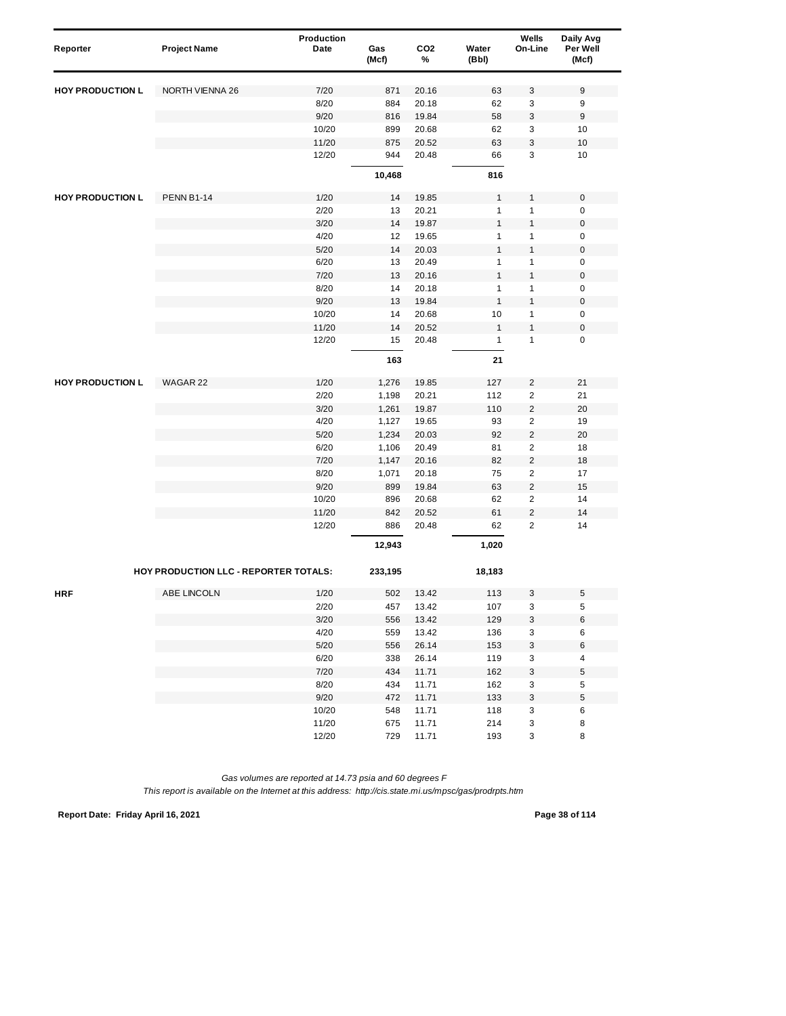| Reporter                | <b>Project Name</b>                   | Production<br>Date | Gas<br>(Mcf) | CO <sub>2</sub><br>% | Water<br>(Bbl)               | Wells<br>On-Line        | Daily Avg<br>Per Well<br>(Mcf) |
|-------------------------|---------------------------------------|--------------------|--------------|----------------------|------------------------------|-------------------------|--------------------------------|
| <b>HOY PRODUCTION L</b> | <b>NORTH VIENNA 26</b>                | 7/20               | 871          | 20.16                | 63                           | 3                       | 9                              |
|                         |                                       | 8/20               | 884          | 20.18                | 62                           | 3                       | 9                              |
|                         |                                       | 9/20               | 816          | 19.84                | 58                           | 3                       | 9                              |
|                         |                                       | 10/20              | 899          | 20.68                | 62                           | 3                       | 10                             |
|                         |                                       | 11/20              | 875          | 20.52                | 63                           | 3                       | 10                             |
|                         |                                       | 12/20              | 944          | 20.48                | 66                           | 3                       | 10                             |
|                         |                                       |                    | 10,468       |                      | 816                          |                         |                                |
| <b>HOY PRODUCTION L</b> | <b>PENN B1-14</b>                     | 1/20               | 14           | 19.85                | $\mathbf{1}$                 | 1                       | $\boldsymbol{0}$               |
|                         |                                       | 2/20               |              |                      |                              |                         |                                |
|                         |                                       | 3/20               | 13<br>14     | 20.21<br>19.87       | $\mathbf{1}$<br>$\mathbf{1}$ | 1<br>$\mathbf{1}$       | 0<br>$\boldsymbol{0}$          |
|                         |                                       | 4/20               | 12           | 19.65                | $\mathbf{1}$                 | 1                       | 0                              |
|                         |                                       | 5/20               | 14           | 20.03                | $\mathbf{1}$                 | 1                       | $\pmb{0}$                      |
|                         |                                       | 6/20               | 13           | 20.49                | $\mathbf{1}$                 | $\mathbf{1}$            | $\pmb{0}$                      |
|                         |                                       | 7/20               | 13           | 20.16                | $\mathbf{1}$                 | 1                       | $\boldsymbol{0}$               |
|                         |                                       |                    |              |                      | $\mathbf{1}$                 |                         |                                |
|                         |                                       | 8/20<br>9/20       | 14<br>13     | 20.18<br>19.84       | $\mathbf{1}$                 | 1<br>1                  | 0<br>$\boldsymbol{0}$          |
|                         |                                       | 10/20              | 14           | 20.68                | 10                           | 1                       | $\pmb{0}$                      |
|                         |                                       |                    |              |                      | $\mathbf{1}$                 |                         |                                |
|                         |                                       | 11/20<br>12/20     | 14<br>15     | 20.52<br>20.48       | $\mathbf{1}$                 | 1<br>$\mathbf{1}$       | $\boldsymbol{0}$<br>$\pmb{0}$  |
|                         |                                       |                    |              |                      |                              |                         |                                |
|                         |                                       |                    | 163          |                      | 21                           |                         |                                |
| <b>HOY PRODUCTION L</b> | WAGAR 22                              | 1/20               | 1,276        | 19.85                | 127                          | $\overline{c}$          | 21                             |
|                         |                                       | 2/20               | 1,198        | 20.21                | 112                          | $\overline{c}$          | 21                             |
|                         |                                       | 3/20               | 1,261        | 19.87                | 110                          | $\overline{c}$          | 20                             |
|                         |                                       | 4/20               | 1,127        | 19.65                | 93                           | $\overline{c}$          | 19                             |
|                         |                                       | 5/20               | 1,234        | 20.03                | 92                           | $\overline{\mathbf{c}}$ | 20                             |
|                         |                                       | 6/20               | 1,106        | 20.49                | 81                           | $\overline{c}$          | 18                             |
|                         |                                       | 7/20               | 1,147        | 20.16                | 82                           | $\overline{c}$          | 18                             |
|                         |                                       | 8/20               | 1,071        | 20.18                | 75                           | $\overline{c}$          | 17                             |
|                         |                                       | 9/20               | 899          | 19.84                | 63                           | $\overline{c}$          | 15                             |
|                         |                                       | 10/20              | 896          | 20.68                | 62                           | $\overline{c}$          | 14                             |
|                         |                                       | 11/20              | 842          | 20.52                | 61                           | $\overline{\mathbf{c}}$ | 14                             |
|                         |                                       | 12/20              | 886          | 20.48                | 62                           | $\overline{c}$          | 14                             |
|                         |                                       |                    | 12,943       |                      | 1,020                        |                         |                                |
|                         | HOY PRODUCTION LLC - REPORTER TOTALS: |                    | 233,195      |                      | 18,183                       |                         |                                |
| <b>HRF</b>              | ABE LINCOLN                           | 1/20               | 502          | 13.42                | 113                          | 3                       | 5                              |
|                         |                                       | 2/20               | 457          | 13.42                | 107                          | 3                       | 5                              |
|                         |                                       | 3/20               | 556          | 13.42                | 129                          | 3                       | 6                              |
|                         |                                       | 4/20               | 559          | 13.42                | 136                          | 3                       | 6                              |
|                         |                                       | $5/20$             | 556          | 26.14                | 153                          | 3                       | 6                              |
|                         |                                       | 6/20               | 338          | 26.14                | 119                          | 3                       | 4                              |
|                         |                                       | 7/20               | 434          | 11.71                | 162                          | 3                       | 5                              |
|                         |                                       | 8/20               | 434          | 11.71                | 162                          | 3                       | 5                              |
|                         |                                       | 9/20               | 472          | 11.71                | 133                          | 3                       | $\mathbf 5$                    |
|                         |                                       | 10/20              | 548          | 11.71                | 118                          | 3                       | 6                              |
|                         |                                       | 11/20              | 675          | 11.71                | 214                          | 3                       | 8                              |
|                         |                                       | 12/20              | 729          | 11.71                | 193                          | 3                       | 8                              |

*This report is available on the Internet at this address: http://cis.state.mi.us/mpsc/gas/prodrpts.htm*

**Report Date: Friday April 16, 2021 Page 38 of 114**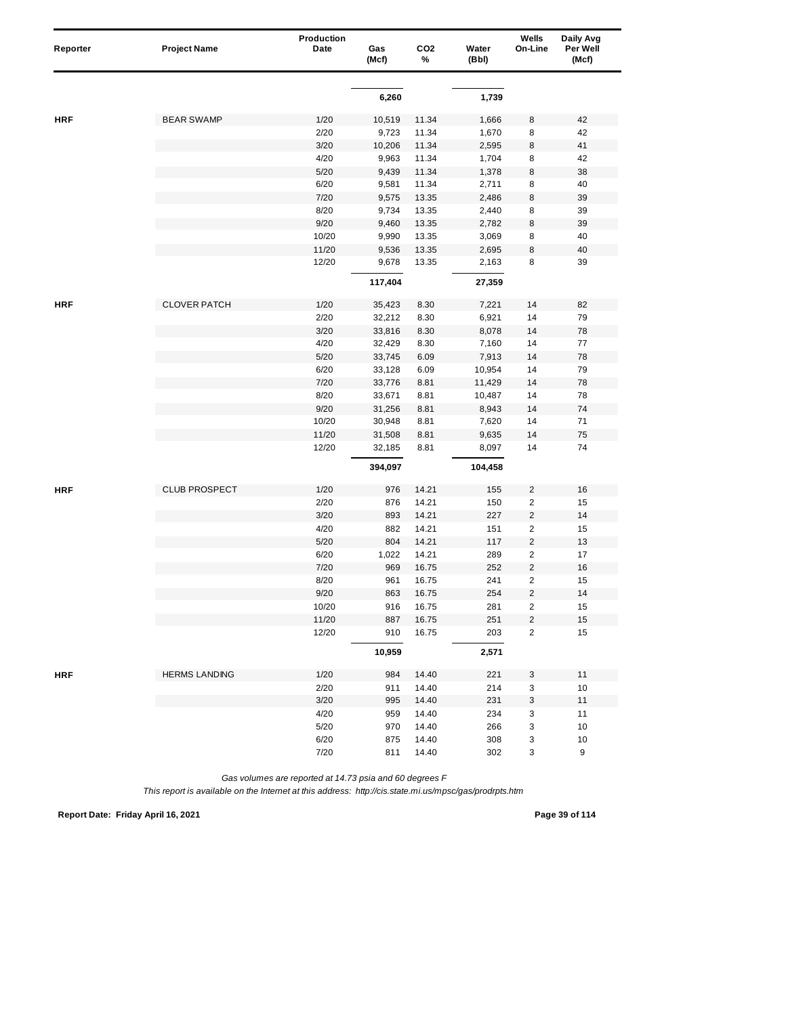| Reporter   | <b>Project Name</b>  | Production<br>Date | Gas<br>(Mcf) | CO <sub>2</sub><br>% | Water<br>(Bbl) | Wells<br>On-Line          | Daily Avg<br>Per Well<br>(Mcf) |
|------------|----------------------|--------------------|--------------|----------------------|----------------|---------------------------|--------------------------------|
|            |                      |                    |              |                      |                |                           |                                |
|            |                      |                    | 6,260        |                      | 1,739          |                           |                                |
| <b>HRF</b> | <b>BEAR SWAMP</b>    | 1/20               | 10,519       | 11.34                | 1,666          | 8                         | 42                             |
|            |                      | 2/20               | 9,723        | 11.34                | 1,670          | 8                         | 42                             |
|            |                      | 3/20               | 10,206       | 11.34                | 2,595          | $\,8\,$                   | 41                             |
|            |                      | 4/20               | 9,963        | 11.34                | 1,704          | 8                         | 42                             |
|            |                      | 5/20               | 9,439        | 11.34                | 1,378          | 8                         | 38                             |
|            |                      | 6/20               | 9,581        | 11.34                | 2,711          | 8                         | 40                             |
|            |                      | 7/20               | 9,575        | 13.35                | 2,486          | 8                         | 39                             |
|            |                      | 8/20               | 9,734        | 13.35                | 2,440          | 8                         | 39                             |
|            |                      | 9/20               | 9,460        | 13.35                | 2,782          | 8                         | 39                             |
|            |                      | 10/20              | 9,990        | 13.35                | 3,069          | 8                         | 40                             |
|            |                      | 11/20              | 9,536        | 13.35                | 2,695          | 8                         | 40                             |
|            |                      | 12/20              | 9,678        | 13.35                | 2,163          | 8                         | 39                             |
|            |                      |                    | 117,404      |                      | 27,359         |                           |                                |
| <b>HRF</b> | <b>CLOVER PATCH</b>  | 1/20               | 35,423       | 8.30                 | 7,221          | 14                        | 82                             |
|            |                      | 2/20               | 32,212       | 8.30                 | 6,921          | 14                        | 79                             |
|            |                      | 3/20               | 33,816       | 8.30                 | 8,078          | 14                        | 78                             |
|            |                      | 4/20               | 32,429       | 8.30                 | 7,160          | 14                        | 77                             |
|            |                      | 5/20               | 33,745       | 6.09                 | 7,913          | 14                        | 78                             |
|            |                      | 6/20               | 33,128       | 6.09                 | 10,954         | 14                        | 79                             |
|            |                      | 7/20               | 33,776       | 8.81                 | 11,429         | 14                        | 78                             |
|            |                      | 8/20               | 33,671       | 8.81                 | 10,487         | 14                        | 78                             |
|            |                      | 9/20               | 31,256       | 8.81                 | 8,943          | 14                        | 74                             |
|            |                      | 10/20              | 30,948       | 8.81                 | 7,620          | 14                        | 71                             |
|            |                      | 11/20              | 31,508       | 8.81                 | 9,635          | 14                        | 75                             |
|            |                      | 12/20              | 32,185       | 8.81                 | 8,097          | 14                        | 74                             |
|            |                      |                    | 394,097      |                      | 104,458        |                           |                                |
| <b>HRF</b> | <b>CLUB PROSPECT</b> | 1/20               | 976          | 14.21                | 155            | $\overline{c}$            | 16                             |
|            |                      | 2/20               | 876          | 14.21                | 150            | $\overline{\mathbf{c}}$   | 15                             |
|            |                      | 3/20               | 893          | 14.21                | 227            | $\overline{c}$            | 14                             |
|            |                      | 4/20               | 882          | 14.21                | 151            | $\overline{c}$            | 15                             |
|            |                      | 5/20               | 804          | 14.21                | 117            | $\overline{\mathbf{c}}$   | 13                             |
|            |                      | 6/20               | 1,022        | 14.21                | 289            | $\overline{\mathbf{c}}$   | 17                             |
|            |                      | 7/20               | 969          | 16.75                | 252            | $\overline{\mathbf{c}}$   | 16                             |
|            |                      | 8/20               | 961          | 16.75                | 241            | $\overline{2}$            | 15                             |
|            |                      | 9/20               | 863          | 16.75                | 254            | $\overline{c}$            | 14                             |
|            |                      | 10/20              | 916          | 16.75                | 281            | $\overline{c}$            | 15                             |
|            |                      | 11/20              | 887          | 16.75                | 251            | 2                         | 15                             |
|            |                      | 12/20              | 910          | 16.75                | 203            | $\overline{2}$            | 15                             |
|            |                      |                    | 10,959       |                      | 2,571          |                           |                                |
| <b>HRF</b> | <b>HERMS LANDING</b> | 1/20               | 984          | 14.40                | 221            | 3                         | 11                             |
|            |                      | 2/20               | 911          | 14.40                | 214            | 3                         | $10$                           |
|            |                      | 3/20               | 995          | 14.40                | 231            | $\ensuremath{\mathsf{3}}$ | 11                             |
|            |                      | 4/20               | 959          | 14.40                | 234            | 3                         | 11                             |
|            |                      | $5/20$             | 970          | 14.40                | 266            | 3                         | 10                             |
|            |                      | 6/20               | 875          | 14.40                | 308            | 3                         | 10                             |
|            |                      | 7/20               | 811          | 14.40                | 302            | 3                         | 9                              |

*This report is available on the Internet at this address: http://cis.state.mi.us/mpsc/gas/prodrpts.htm*

**Report Date: Friday April 16, 2021 Page 39 of 114**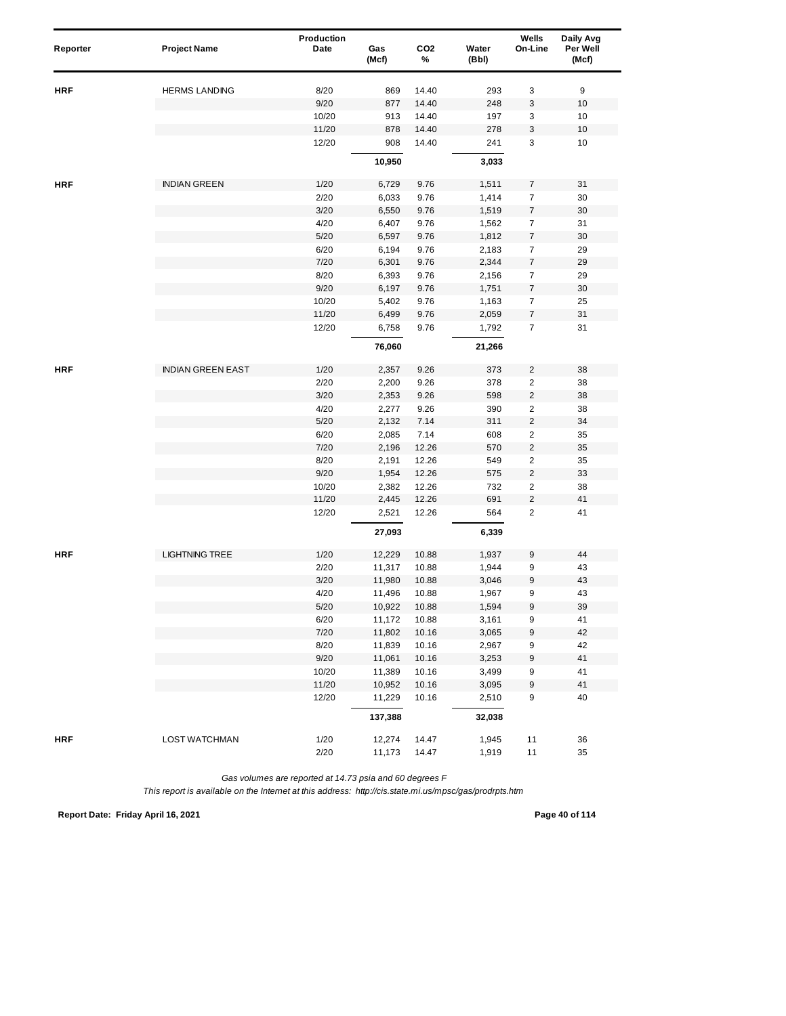| Reporter   | <b>Project Name</b>      | Production<br>Date | Gas<br>(Mcf)     | CO <sub>2</sub><br>% | Water<br>(Bbl) | Wells<br>On-Line        | Daily Avg<br>Per Well<br>(Mcf) |
|------------|--------------------------|--------------------|------------------|----------------------|----------------|-------------------------|--------------------------------|
|            |                          |                    |                  |                      |                |                         |                                |
| <b>HRF</b> | <b>HERMS LANDING</b>     | 8/20               | 869              | 14.40                | 293            | 3                       | 9                              |
|            |                          | 9/20               | 877              | 14.40                | 248            | 3                       | 10                             |
|            |                          | 10/20              | 913              | 14.40                | 197            | 3                       | 10                             |
|            |                          | 11/20              | 878              | 14.40                | 278            | 3                       | 10                             |
|            |                          | 12/20              | 908              | 14.40                | 241            | 3                       | 10                             |
|            |                          |                    | 10,950           |                      | 3,033          |                         |                                |
| <b>HRF</b> | <b>INDIAN GREEN</b>      | 1/20               | 6,729            | 9.76                 | 1,511          | $\overline{7}$          | 31                             |
|            |                          | 2/20               | 6,033            | 9.76                 | 1,414          | $\overline{7}$          | 30                             |
|            |                          | 3/20               | 6,550            | 9.76                 | 1,519          | $\boldsymbol{7}$        | 30                             |
|            |                          | 4/20               | 6,407            | 9.76                 | 1,562          | $\overline{7}$          | 31                             |
|            |                          | 5/20               | 6,597            | 9.76                 | 1,812          | $\boldsymbol{7}$        | 30                             |
|            |                          | 6/20               | 6,194            | 9.76                 | 2,183          | $\overline{7}$          | 29                             |
|            |                          | 7/20               | 6,301            | 9.76                 | 2,344          | $\overline{7}$          | 29                             |
|            |                          | 8/20               | 6,393            | 9.76                 | 2,156          | $\overline{7}$          | 29                             |
|            |                          | 9/20               | 6,197            | 9.76                 | 1,751          | $\boldsymbol{7}$        | 30                             |
|            |                          | 10/20              | 5,402            | 9.76                 | 1,163          | $\overline{7}$          | 25                             |
|            |                          | 11/20              | 6,499            | 9.76                 | 2,059          | $\boldsymbol{7}$        | 31                             |
|            |                          | 12/20              | 6,758            | 9.76                 | 1,792          | $\overline{7}$          | 31                             |
|            |                          |                    | 76,060           |                      | 21,266         |                         |                                |
| <b>HRF</b> | <b>INDIAN GREEN EAST</b> | 1/20               | 2,357            | 9.26                 | 373            | $\overline{c}$          | 38                             |
|            |                          | 2/20               | 2,200            | 9.26                 | 378            | $\overline{c}$          | 38                             |
|            |                          | 3/20               | 2,353            | 9.26                 | 598            | $\overline{c}$          | 38                             |
|            |                          | 4/20               | 2,277            | 9.26                 | 390            | $\overline{c}$          | 38                             |
|            |                          | 5/20               | 2,132            | 7.14                 | 311            | $\overline{c}$          | 34                             |
|            |                          | 6/20               | 2,085            | 7.14                 | 608            | 2                       | 35                             |
|            |                          | 7/20               | 2,196            | 12.26                | 570            | $\overline{2}$          | 35                             |
|            |                          | 8/20               | 2,191            | 12.26                | 549            | $\overline{\mathbf{c}}$ | 35                             |
|            |                          | 9/20               | 1,954            | 12.26                | 575            | $\overline{\mathbf{c}}$ | 33                             |
|            |                          | 10/20              | 2,382            | 12.26                | 732            | $\overline{2}$          | 38                             |
|            |                          | 11/20              | 2,445            | 12.26                | 691            | $\overline{c}$          | 41                             |
|            |                          | 12/20              | 2,521            | 12.26                | 564            | $\overline{2}$          | 41                             |
|            |                          |                    | 27,093           |                      | 6,339          |                         |                                |
| <b>HRF</b> | <b>LIGHTNING TREE</b>    | 1/20               | 12,229           | 10.88                | 1,937          | 9                       | 44                             |
|            |                          | 2/20               | 11,317           | 10.88                | 1,944          | 9                       | 43                             |
|            |                          | 3/20               | 11,980           | 10.88                | 3,046          | 9                       | 43                             |
|            |                          | 4/20               | 11,496           | 10.88                | 1,967          | 9                       | 43                             |
|            |                          | $5/20$             | 10,922           | 10.88                | 1,594          | $\boldsymbol{9}$        | 39                             |
|            |                          | 6/20               | 11,172           | 10.88                | 3,161          | 9                       | 41                             |
|            |                          | 7/20               | 11,802           | 10.16                | 3,065          | 9                       | 42                             |
|            |                          | 8/20               | 11,839           | 10.16                | 2,967          | 9                       | 42                             |
|            |                          | 9/20               | 11,061           | 10.16                | 3,253          | 9                       | 41                             |
|            |                          | 10/20              | 11,389           | 10.16                | 3,499          | 9                       | 41                             |
|            |                          | 11/20              | 10,952           | 10.16                | 3,095          | 9                       | 41                             |
|            |                          | 12/20              | 11,229           | 10.16                | 2,510          | 9                       | 40                             |
|            |                          |                    | 137,388          |                      | 32,038         |                         |                                |
| <b>HRF</b> | <b>LOST WATCHMAN</b>     |                    |                  |                      |                |                         |                                |
|            |                          | 1/20<br>2/20       | 12,274<br>11,173 | 14.47<br>14.47       | 1,945<br>1,919 | 11<br>11                | 36<br>35                       |

*This report is available on the Internet at this address: http://cis.state.mi.us/mpsc/gas/prodrpts.htm*

**Report Date: Friday April 16, 2021 Page 40 of 114**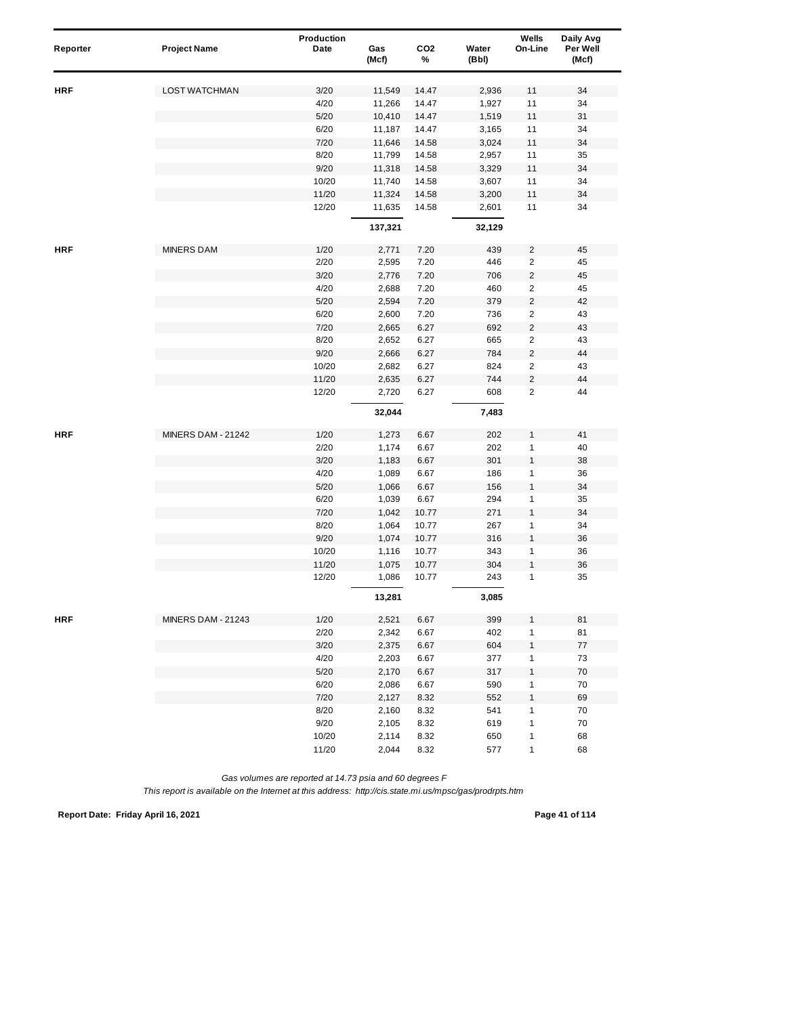| Reporter   | <b>Project Name</b>       | Production<br>Date | Gas<br>(Mcf) | CO <sub>2</sub><br>% | Water<br>(Bbl) | Wells<br>On-Line        | Daily Avg<br>Per Well<br>(Mcf) |  |
|------------|---------------------------|--------------------|--------------|----------------------|----------------|-------------------------|--------------------------------|--|
|            |                           |                    |              |                      |                |                         |                                |  |
| <b>HRF</b> | <b>LOST WATCHMAN</b>      | 3/20               | 11,549       | 14.47                | 2,936          | 11                      | 34                             |  |
|            |                           | 4/20               | 11,266       | 14.47                | 1,927          | 11                      | 34                             |  |
|            |                           | 5/20               | 10,410       | 14.47                | 1,519          | 11                      | 31                             |  |
|            |                           | 6/20               | 11,187       | 14.47                | 3,165          | 11                      | 34                             |  |
|            |                           | 7/20               | 11,646       | 14.58                | 3,024          | 11                      | 34                             |  |
|            |                           | 8/20               | 11,799       | 14.58                | 2,957          | 11                      | 35                             |  |
|            |                           | 9/20               | 11,318       | 14.58                | 3,329          | 11                      | 34                             |  |
|            |                           | 10/20              | 11,740       | 14.58                | 3,607          | 11                      | 34                             |  |
|            |                           | 11/20              | 11,324       | 14.58                | 3,200          | 11                      | 34                             |  |
|            |                           | 12/20              | 11,635       | 14.58                | 2,601          | 11                      | 34                             |  |
|            |                           |                    | 137,321      |                      | 32,129         |                         |                                |  |
| <b>HRF</b> | <b>MINERS DAM</b>         | 1/20               | 2,771        | 7.20                 | 439            | $\overline{c}$          | 45                             |  |
|            |                           | 2/20               | 2,595        | 7.20                 | 446            | $\overline{c}$          | 45                             |  |
|            |                           | 3/20               | 2,776        | 7.20                 | 706            | $\overline{c}$          | 45                             |  |
|            |                           | 4/20               | 2,688        | 7.20                 | 460            | 2                       | 45                             |  |
|            |                           | 5/20               | 2,594        | 7.20                 | 379            | $\overline{c}$          | 42                             |  |
|            |                           | 6/20               | 2,600        | 7.20                 | 736            | $\overline{c}$          | 43                             |  |
|            |                           | 7/20               | 2,665        | 6.27                 | 692            | $\overline{\mathbf{c}}$ | 43                             |  |
|            |                           | 8/20               | 2,652        | 6.27                 | 665            | $\overline{2}$          | 43                             |  |
|            |                           | 9/20               | 2,666        | 6.27                 | 784            | $\overline{c}$          | 44                             |  |
|            |                           | 10/20              | 2,682        | 6.27                 | 824            | 2                       | 43                             |  |
|            |                           | 11/20              | 2,635        | 6.27                 | 744            | $\overline{c}$          | 44                             |  |
|            |                           | 12/20              | 2,720        | 6.27                 | 608            | $\overline{c}$          | 44                             |  |
|            |                           |                    | 32,044       |                      | 7,483          |                         |                                |  |
| <b>HRF</b> | <b>MINERS DAM - 21242</b> | 1/20               | 1,273        | 6.67                 | 202            | 1                       | 41                             |  |
|            |                           | 2/20               | 1,174        | 6.67                 | 202            | 1                       | 40                             |  |
|            |                           | 3/20               | 1,183        | 6.67                 | 301            | 1                       | 38                             |  |
|            |                           | 4/20               | 1,089        | 6.67                 | 186            | 1                       | 36                             |  |
|            |                           | 5/20               | 1,066        | 6.67                 | 156            | 1                       | 34                             |  |
|            |                           | 6/20               | 1,039        | 6.67                 | 294            | 1                       | 35                             |  |
|            |                           | 7/20               | 1,042        | 10.77                | 271            | $\mathbf{1}$            | 34                             |  |
|            |                           | 8/20               | 1,064        | 10.77                | 267            | 1                       | 34                             |  |
|            |                           | 9/20               | 1,074        | 10.77                | 316            | 1                       | 36                             |  |
|            |                           | 10/20              | 1,116        | 10.77                | 343            | 1                       | 36                             |  |
|            |                           | 11/20              | 1,075        | 10.77                | 304            | 1                       | 36                             |  |
|            |                           | 12/20              | 1,086        | 10.77                | 243            | 1                       | 35                             |  |
|            |                           |                    | 13,281       |                      | 3,085          |                         |                                |  |
| <b>HRF</b> | <b>MINERS DAM - 21243</b> | 1/20               | 2,521        | 6.67                 | 399            | 1                       | 81                             |  |
|            |                           | 2/20               | 2,342        | 6.67                 | 402            | 1                       | 81                             |  |
|            |                           | 3/20               | 2,375        | 6.67                 | 604            | $\mathbf{1}$            | $77\,$                         |  |
|            |                           | 4/20               | 2,203        | 6.67                 | 377            | 1                       | 73                             |  |
|            |                           | $5/20$             | 2,170        | 6.67                 | 317            | $\mathbf{1}$            | $70\,$                         |  |
|            |                           | 6/20               | 2,086        | 6.67                 | 590            | $\mathbf{1}$            | 70                             |  |
|            |                           | $7/20$             | 2,127        | 8.32                 | 552            | 1                       | 69                             |  |
|            |                           | 8/20               | 2,160        | 8.32                 | 541            | 1                       | 70                             |  |
|            |                           | 9/20               | 2,105        | 8.32                 | 619            | $\mathbf{1}$            | 70                             |  |
|            |                           | 10/20              | 2,114        | 8.32                 | 650            | 1                       | 68                             |  |
|            |                           | 11/20              | 2,044        | 8.32                 | 577            | 1                       | 68                             |  |

*This report is available on the Internet at this address: http://cis.state.mi.us/mpsc/gas/prodrpts.htm*

**Report Date: Friday April 16, 2021 Page 41 of 114**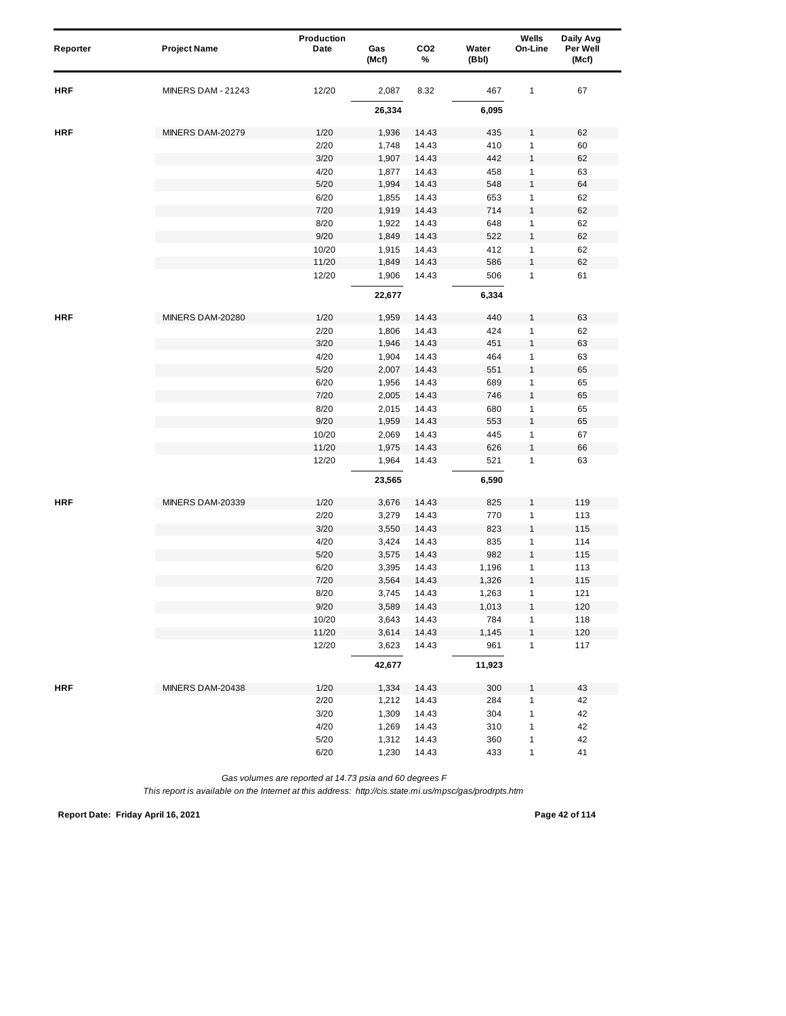| Reporter   | <b>Project Name</b>       | Production<br>Date | Gas<br>(Mcf) | CO <sub>2</sub><br>% | Water<br>(Bbl) | Wells<br>On-Line | Daily Avg<br>Per Well<br>(Mcf) |
|------------|---------------------------|--------------------|--------------|----------------------|----------------|------------------|--------------------------------|
| <b>HRF</b> | <b>MINERS DAM - 21243</b> | 12/20              | 2,087        | 8.32                 | 467            | 1                | 67                             |
|            |                           |                    | 26,334       |                      | 6,095          |                  |                                |
| <b>HRF</b> | MINERS DAM-20279          | 1/20               | 1,936        | 14.43                | 435            | 1                | 62                             |
|            |                           | 2/20               | 1,748        | 14.43                | 410            | 1                | 60                             |
|            |                           | 3/20               | 1,907        | 14.43                | 442            | 1                | 62                             |
|            |                           | 4/20               | 1,877        | 14.43                | 458            | 1                | 63                             |
|            |                           | 5/20               | 1,994        | 14.43                | 548            | 1                | 64                             |
|            |                           | 6/20               | 1,855        | 14.43                | 653            | 1                | 62                             |
|            |                           | 7/20               | 1,919        | 14.43                | 714            | 1                | 62                             |
|            |                           | 8/20               | 1,922        | 14.43                | 648            | 1                | 62                             |
|            |                           | 9/20               | 1,849        | 14.43                | 522            | 1                | 62                             |
|            |                           | 10/20              | 1,915        | 14.43                | 412            | 1                | 62                             |
|            |                           | 11/20              | 1,849        | 14.43                | 586            | $\mathbf{1}$     | 62                             |
|            |                           | 12/20              | 1,906        | 14.43                | 506            | 1                | 61                             |
|            |                           |                    | 22,677       |                      | 6,334          |                  |                                |
| <b>HRF</b> | MINERS DAM-20280          | 1/20               | 1,959        | 14.43                | 440            | 1                | 63                             |
|            |                           | 2/20               | 1,806        | 14.43                | 424            | 1                | 62                             |
|            |                           | 3/20               | 1,946        | 14.43                | 451            | 1                | 63                             |
|            |                           | 4/20               | 1,904        | 14.43                | 464            | 1                | 63                             |
|            |                           | 5/20               | 2,007        | 14.43                | 551            | $\mathbf{1}$     | 65                             |
|            |                           | 6/20               | 1,956        | 14.43                | 689            | 1                | 65                             |
|            |                           | 7/20               | 2,005        | 14.43                | 746            | 1                | 65                             |
|            |                           | 8/20               | 2,015        | 14.43                | 680            | 1                | 65                             |
|            |                           | 9/20               | 1,959        | 14.43                | 553            | 1                | 65                             |
|            |                           | 10/20              | 2,069        | 14.43                | 445            | 1                | 67                             |
|            |                           | 11/20              | 1,975        | 14.43                | 626            | $\mathbf{1}$     | 66                             |
|            |                           | 12/20              | 1,964        | 14.43                | 521            | 1                | 63                             |
|            |                           |                    | 23,565       |                      | 6,590          |                  |                                |
| <b>HRF</b> | MINERS DAM-20339          | 1/20               | 3,676        | 14.43                | 825            | 1                | 119                            |
|            |                           | 2/20               | 3,279        | 14.43                | 770            | 1                | 113                            |
|            |                           | 3/20               | 3,550        | 14.43                | 823            | $\mathbf{1}$     | 115                            |
|            |                           | 4/20               | 3,424        | 14.43                | 835            | 1                | 114                            |
|            |                           | 5/20               | 3,575        | 14.43                | 982            | $\mathbf{1}$     | 115                            |
|            |                           | 6/20               | 3,395        | 14.43                | 1,196          | 1                | 113                            |
|            |                           | 7/20               | 3,564        | 14.43                | 1,326          | 1                | 115                            |
|            |                           | 8/20               | 3,745        | 14.43                | 1,263          | 1                | 121                            |
|            |                           | 9/20               | 3,589        | 14.43                | 1,013          | $\mathbf{1}$     | 120                            |
|            |                           | 10/20              | 3,643        | 14.43                | 784            | 1                | 118                            |
|            |                           | 11/20              | 3,614        | 14.43                | 1,145          | $\mathbf{1}$     | 120                            |
|            |                           | 12/20              | 3,623        | 14.43                | 961            | $\mathbf{1}$     | 117                            |
|            |                           |                    | 42,677       |                      | 11,923         |                  |                                |
| <b>HRF</b> | MINERS DAM-20438          | 1/20               | 1,334        | 14.43                | 300            | 1                | 43                             |
|            |                           | 2/20               | 1,212        | 14.43                | 284            | $\mathbf{1}$     | 42                             |
|            |                           | 3/20               | 1,309        | 14.43                | 304            | 1                | 42                             |
|            |                           | 4/20               | 1,269        | 14.43                | 310            | 1                | 42                             |
|            |                           | $5/20$             | 1,312        | 14.43                | 360            | 1                | 42                             |
|            |                           | 6/20               | 1,230        | 14.43                | 433            | 1                | 41                             |

*This report is available on the Internet at this address: http://cis.state.mi.us/mpsc/gas/prodrpts.htm*

**Report Date: Friday April 16, 2021 Page 42 of 114**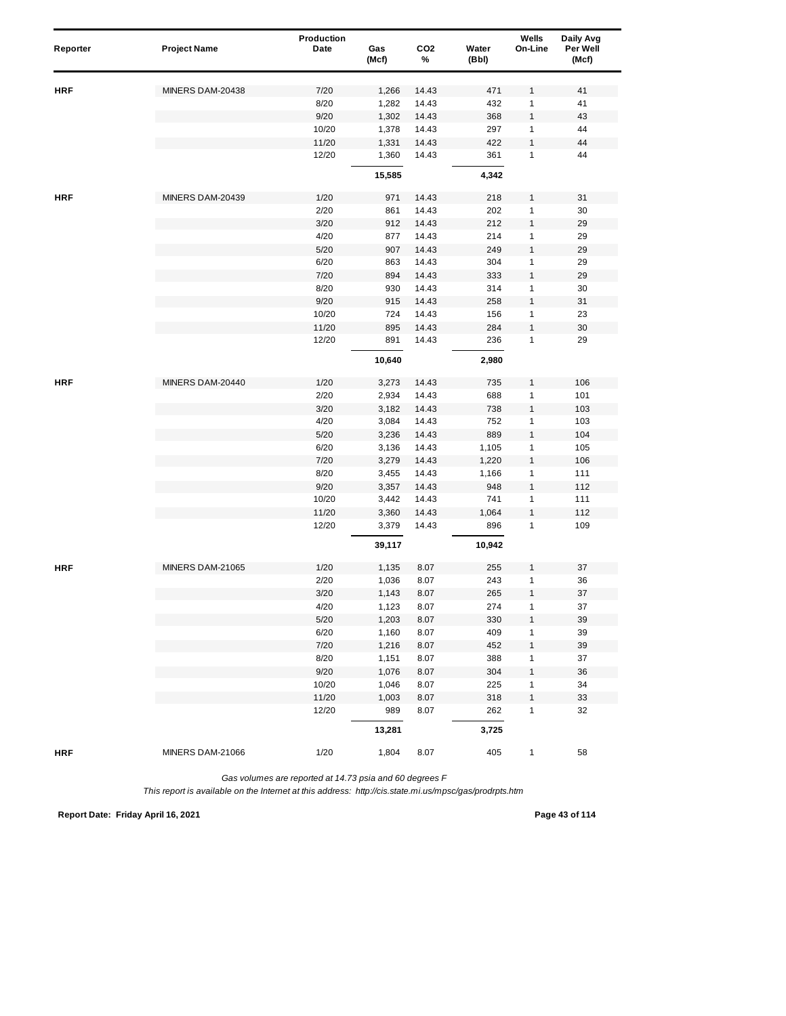| Reporter   | <b>Project Name</b> | Production<br>Date | Gas<br>(Mcf)   | CO <sub>2</sub><br>% | Water<br>(Bbl) | Wells<br>On-Line             | Daily Avg<br>Per Well<br>(Mcf) |
|------------|---------------------|--------------------|----------------|----------------------|----------------|------------------------------|--------------------------------|
|            |                     |                    |                |                      |                |                              |                                |
| HRF        | MINERS DAM-20438    | 7/20               | 1,266          | 14.43                | 471            | 1                            | 41                             |
|            |                     | 8/20               | 1,282          | 14.43                | 432            | 1                            | 41                             |
|            |                     | 9/20               | 1,302          | 14.43                | 368            | $\mathbf{1}$                 | 43                             |
|            |                     | 10/20              | 1,378          | 14.43                | 297            | 1                            | 44                             |
|            |                     | 11/20              | 1,331          | 14.43                | 422            | $\mathbf{1}$                 | 44                             |
|            |                     | 12/20              | 1,360          | 14.43                | 361            | $\mathbf{1}$                 | 44                             |
|            |                     |                    | 15,585         |                      | 4,342          |                              |                                |
| <b>HRF</b> | MINERS DAM-20439    | 1/20               | 971            | 14.43                | 218            | 1                            | 31                             |
|            |                     | 2/20               | 861            | 14.43                | 202            | $\mathbf{1}$                 | 30                             |
|            |                     | 3/20               | 912            | 14.43                | 212            | $\mathbf{1}$                 | 29                             |
|            |                     | 4/20               | 877            | 14.43                | 214            | 1                            | 29                             |
|            |                     | 5/20               | 907            | 14.43                | 249            | 1                            | 29                             |
|            |                     | 6/20               | 863            | 14.43                | 304            | 1                            | 29                             |
|            |                     | 7/20               | 894            | 14.43                | 333            | $\mathbf{1}$                 | 29                             |
|            |                     | 8/20               | 930            | 14.43                | 314            | $\mathbf{1}$                 | 30                             |
|            |                     | 9/20               | 915            | 14.43                | 258            | $\mathbf{1}$                 | 31                             |
|            |                     | 10/20              | 724            | 14.43                | 156            | 1                            | 23                             |
|            |                     | 11/20              | 895            | 14.43                | 284            | $\mathbf{1}$                 | 30                             |
|            |                     | 12/20              | 891            | 14.43                | 236            | $\mathbf{1}$                 | 29                             |
|            |                     |                    | 10,640         |                      | 2,980          |                              |                                |
| <b>HRF</b> | MINERS DAM-20440    | 1/20               | 3,273          | 14.43                | 735            | 1                            | 106                            |
|            |                     | 2/20               | 2,934          | 14.43                | 688            | $\mathbf{1}$                 | 101                            |
|            |                     | 3/20               | 3,182          | 14.43                | 738            | $\mathbf{1}$                 | 103                            |
|            |                     | 4/20               | 3,084          | 14.43                | 752            | $\mathbf{1}$                 | 103                            |
|            |                     | 5/20               | 3,236          | 14.43                | 889            | $\mathbf{1}$                 | 104                            |
|            |                     | 6/20               | 3,136          | 14.43                | 1,105          | $\mathbf{1}$                 | 105                            |
|            |                     | 7/20               | 3,279          | 14.43                | 1,220          | $\mathbf{1}$                 | 106                            |
|            |                     | 8/20               | 3,455          | 14.43                | 1,166          | 1                            | 111                            |
|            |                     | 9/20               | 3,357          | 14.43                | 948            | $\mathbf{1}$                 | 112                            |
|            |                     | 10/20              | 3,442          | 14.43                | 741            | $\mathbf{1}$                 | 111                            |
|            |                     | 11/20              | 3,360          | 14.43                | 1,064          | $\mathbf{1}$                 | 112                            |
|            |                     | 12/20              | 3,379          | 14.43                | 896            | $\mathbf{1}$                 | 109                            |
|            |                     |                    | 39,117         |                      | 10,942         |                              |                                |
| <b>HRF</b> | MINERS DAM-21065    | 1/20               | 1,135          | 8.07                 | 255            | 1                            | 37                             |
|            |                     | 2/20               | 1,036          | 8.07                 | 243            | 1                            | 36                             |
|            |                     | 3/20               | 1,143          | 8.07                 | 265            | 1                            | 37                             |
|            |                     | 4/20               | 1,123          | 8.07                 | 274            | $\mathbf{1}$                 | 37                             |
|            |                     | $5/20$             | 1,203          | 8.07                 | 330            | $\mathbf{1}$                 | 39                             |
|            |                     | 6/20               | 1,160          | 8.07                 | 409            | $\mathbf{1}$                 | 39                             |
|            |                     | 7/20               | 1,216          | 8.07                 | 452            | 1                            | 39                             |
|            |                     | 8/20<br>9/20       | 1,151<br>1,076 | 8.07<br>8.07         | 388<br>304     | $\mathbf{1}$<br>$\mathbf{1}$ | 37<br>36                       |
|            |                     | 10/20              | 1,046          | 8.07                 | 225            | $\mathbf{1}$                 | 34                             |
|            |                     | 11/20              | 1,003          | 8.07                 | 318            | 1                            | 33                             |
|            |                     | 12/20              | 989            | 8.07                 | 262            | $\mathbf{1}$                 | 32                             |
|            |                     |                    | 13,281         |                      | 3,725          |                              |                                |
| <b>HRF</b> | MINERS DAM-21066    | 1/20               | 1,804          |                      | 405            |                              | 58                             |
|            |                     |                    |                | 8.07                 |                | $\mathbf{1}$                 |                                |

*This report is available on the Internet at this address: http://cis.state.mi.us/mpsc/gas/prodrpts.htm*

**Report Date: Friday April 16, 2021 Page 43 of 114**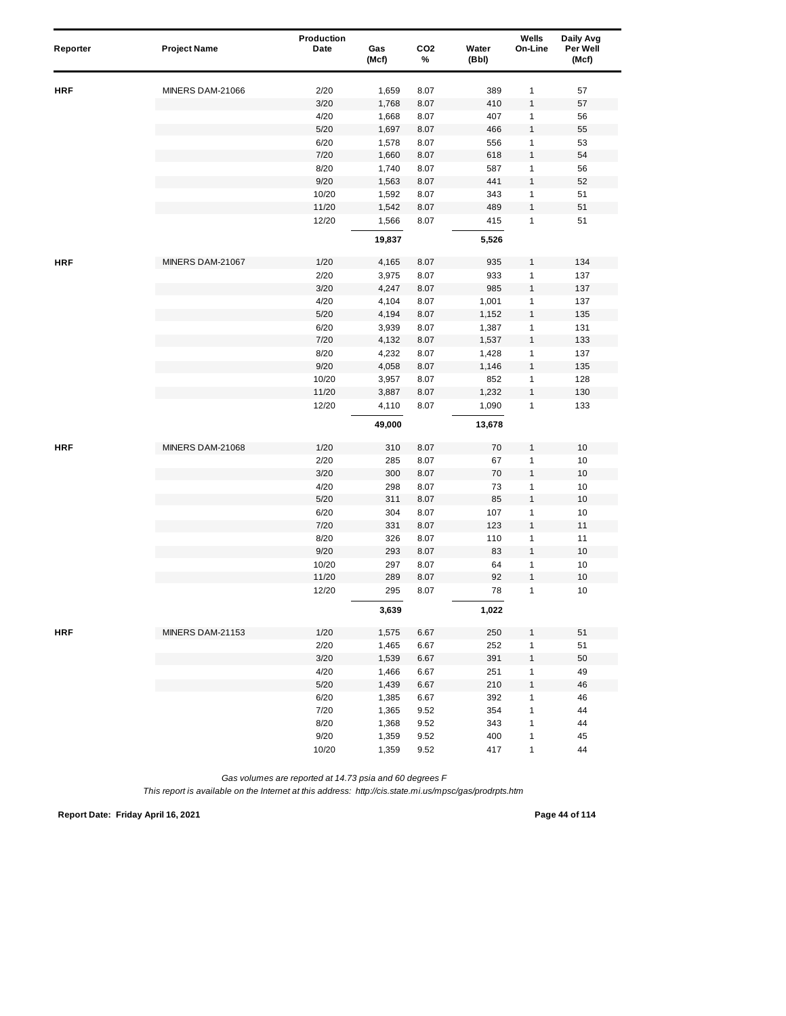| Reporter   | <b>Project Name</b> | Production<br>Date | Gas<br>(Mcf) | CO <sub>2</sub><br>% | Water<br>(Bbl) | Wells<br>On-Line  | Daily Avg<br>Per Well<br>(Mcf) |
|------------|---------------------|--------------------|--------------|----------------------|----------------|-------------------|--------------------------------|
| HRF        | MINERS DAM-21066    | 2/20               | 1,659        | 8.07                 | 389            | $\mathbf{1}$      | 57                             |
|            |                     | 3/20               | 1,768        | 8.07                 | 410            | $\mathbf{1}$      | 57                             |
|            |                     | 4/20               | 1,668        | 8.07                 | 407            | $\mathbf{1}$      | 56                             |
|            |                     | 5/20               | 1,697        | 8.07                 | 466            | $\mathbf{1}$      | 55                             |
|            |                     | 6/20               | 1,578        | 8.07                 | 556            | 1                 | 53                             |
|            |                     | 7/20               | 1,660        | 8.07                 | 618            | $\mathbf{1}$      | 54                             |
|            |                     | 8/20               | 1,740        | 8.07                 | 587            | $\mathbf{1}$      | 56                             |
|            |                     | 9/20               | 1,563        | 8.07                 | 441            | $\mathbf{1}$      | 52                             |
|            |                     | 10/20              | 1,592        | 8.07                 | 343            | 1                 | 51                             |
|            |                     | 11/20              | 1,542        | 8.07                 | 489            | $\mathbf{1}$      | 51                             |
|            |                     | 12/20              | 1,566        | 8.07                 | 415            | $\mathbf{1}$      | 51                             |
|            |                     |                    | 19,837       |                      | 5,526          |                   |                                |
| <b>HRF</b> | MINERS DAM-21067    | 1/20               | 4,165        | 8.07                 | 935            | 1                 | 134                            |
|            |                     | 2/20               | 3,975        | 8.07                 | 933            | $\mathbf{1}$      | 137                            |
|            |                     | 3/20               | 4,247        | 8.07                 | 985            | $\mathbf{1}$      | 137                            |
|            |                     | 4/20               | 4,104        | 8.07                 | 1,001          | $\mathbf{1}$      | 137                            |
|            |                     | 5/20               | 4,194        | 8.07                 | 1,152          | $\mathbf{1}$      | 135                            |
|            |                     | 6/20               | 3,939        | 8.07                 | 1,387          | $\mathbf{1}$      | 131                            |
|            |                     | 7/20               | 4,132        | 8.07                 | 1,537          | $\mathbf{1}$      | 133                            |
|            |                     | 8/20               | 4,232        | 8.07                 | 1,428          | $\mathbf{1}$      | 137                            |
|            |                     | 9/20               | 4,058        | 8.07                 | 1,146          | $\mathbf{1}$      | 135                            |
|            |                     | 10/20              | 3,957        | 8.07                 | 852            | 1                 | 128                            |
|            |                     | 11/20              | 3,887        | 8.07                 | 1,232          | $\mathbf{1}$      | 130                            |
|            |                     | 12/20              | 4,110        | 8.07                 | 1,090          | $\mathbf{1}$      | 133                            |
|            |                     |                    | 49,000       |                      | 13,678         |                   |                                |
| <b>HRF</b> | MINERS DAM-21068    | 1/20               | 310          | 8.07                 | 70             | 1                 | 10                             |
|            |                     | 2/20               | 285          | 8.07                 | 67             | $\mathbf{1}$      | $10$                           |
|            |                     | 3/20               | 300          | 8.07                 | 70             | 1                 | 10                             |
|            |                     | 4/20               | 298          | 8.07                 | 73             | $\mathbf{1}$      | 10                             |
|            |                     | 5/20               | 311          | 8.07                 | 85             | $\mathbf{1}$      | 10                             |
|            |                     | 6/20               | 304          | 8.07                 | 107            | $\mathbf{1}$      | 10                             |
|            |                     | 7/20               | 331          | 8.07                 | 123            | $\mathbf{1}$      | 11                             |
|            |                     | 8/20               | 326          | 8.07                 | 110            | $\mathbf{1}$      | 11                             |
|            |                     | 9/20               | 293          | 8.07                 | 83             | $\mathbf{1}$      | 10                             |
|            |                     | 10/20              | 297          | 8.07                 | 64             | 1                 | 10                             |
|            |                     | 11/20<br>12/20     | 289<br>295   | 8.07<br>8.07         | 92<br>78       | $\mathbf{1}$<br>1 | 10<br>10                       |
|            |                     |                    | 3,639        |                      | 1,022          |                   |                                |
| <b>HRF</b> | MINERS DAM-21153    | 1/20               | 1,575        | 6.67                 | 250            | 1                 | 51                             |
|            |                     | 2/20               | 1,465        | 6.67                 | 252            | $\mathbf{1}$      | 51                             |
|            |                     | 3/20               | 1,539        | 6.67                 | 391            | $\mathbf{1}$      | 50                             |
|            |                     | 4/20               | 1,466        | 6.67                 | 251            | $\mathbf{1}$      | 49                             |
|            |                     | $5/20$             | 1,439        | 6.67                 | 210            | $\mathbf{1}$      | 46                             |
|            |                     | 6/20               | 1,385        | 6.67                 | 392            | $\mathbf{1}$      | 46                             |
|            |                     | 7/20               | 1,365        | 9.52                 | 354            | $\mathbf{1}$      | 44                             |
|            |                     | 8/20               | 1,368        | 9.52                 | 343            | $\mathbf{1}$      | 44                             |
|            |                     | 9/20               | 1,359        | 9.52                 | 400            | 1                 | 45                             |
|            |                     | 10/20              | 1,359        | 9.52                 | 417            | 1                 | 44                             |

*This report is available on the Internet at this address: http://cis.state.mi.us/mpsc/gas/prodrpts.htm*

**Report Date: Friday April 16, 2021 Page 44 of 114**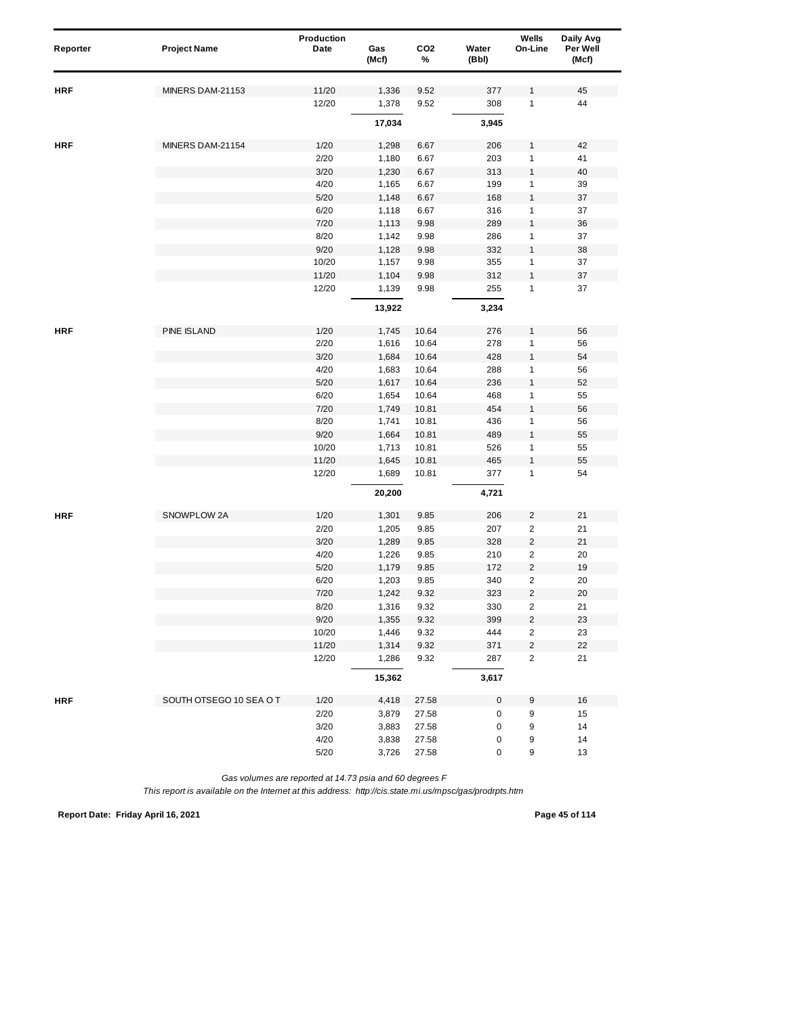| Reporter   | <b>Project Name</b>     | Production<br>Date | Gas            | CO <sub>2</sub> | Water      | Wells<br>On-Line        | Daily Avg<br>Per Well |
|------------|-------------------------|--------------------|----------------|-----------------|------------|-------------------------|-----------------------|
|            |                         |                    | (Mcf)          | %               | (Bbl)      |                         | (Mcf)                 |
|            | MINERS DAM-21153        | 11/20              |                | 9.52            |            |                         | 45                    |
| <b>HRF</b> |                         | 12/20              | 1,336<br>1,378 | 9.52            | 377<br>308 | 1<br>1                  | 44                    |
|            |                         |                    |                |                 |            |                         |                       |
|            |                         |                    | 17,034         |                 | 3,945      |                         |                       |
| <b>HRF</b> | MINERS DAM-21154        | 1/20               | 1,298          | 6.67            | 206        | 1                       | 42                    |
|            |                         | 2/20               | 1,180          | 6.67            | 203        | 1                       | 41                    |
|            |                         | 3/20               | 1,230          | 6.67            | 313        | 1                       | 40                    |
|            |                         | 4/20               | 1,165          | 6.67            | 199        | 1                       | 39                    |
|            |                         | 5/20               | 1,148          | 6.67            | 168        | $\mathbf{1}$            | 37                    |
|            |                         | 6/20               | 1,118          | 6.67            | 316        | 1                       | 37                    |
|            |                         | 7/20               | 1,113          | 9.98            | 289        | $\mathbf{1}$            | 36                    |
|            |                         | 8/20               | 1,142          | 9.98            | 286        | 1                       | 37                    |
|            |                         | 9/20               | 1,128          | 9.98            | 332        | 1                       | 38                    |
|            |                         | 10/20              | 1,157          | 9.98            | 355        | 1                       | 37                    |
|            |                         | 11/20              | 1,104          | 9.98            | 312        | 1                       | 37                    |
|            |                         | 12/20              | 1,139          | 9.98            | 255        | $\mathbf{1}$            | 37                    |
|            |                         |                    | 13,922         |                 | 3,234      |                         |                       |
| <b>HRF</b> | PINE ISLAND             | 1/20               | 1,745          | 10.64           | 276        | 1                       | 56                    |
|            |                         | 2/20               | 1,616          | 10.64           | 278        | 1                       | 56                    |
|            |                         | 3/20               | 1,684          | 10.64           | 428        | 1                       | 54                    |
|            |                         | 4/20               | 1,683          | 10.64           | 288        | 1                       | 56                    |
|            |                         | 5/20               | 1,617          | 10.64           | 236        | $\mathbf{1}$            | 52                    |
|            |                         | 6/20               | 1,654          | 10.64           | 468        | 1                       | 55                    |
|            |                         | 7/20               | 1,749          | 10.81           | 454        | $\mathbf{1}$            | 56                    |
|            |                         | 8/20               | 1,741          | 10.81           | 436        | 1                       | 56                    |
|            |                         | 9/20               | 1,664          | 10.81           | 489        | 1                       | 55                    |
|            |                         | 10/20              | 1,713          | 10.81           | 526        | 1                       | 55                    |
|            |                         | 11/20              | 1,645          | 10.81           | 465        | 1                       | 55                    |
|            |                         | 12/20              | 1,689          | 10.81           | 377        | $\mathbf{1}$            | 54                    |
|            |                         |                    | 20,200         |                 | 4,721      |                         |                       |
| <b>HRF</b> | SNOWPLOW 2A             | 1/20               | 1,301          | 9.85            | 206        | $\overline{2}$          | 21                    |
|            |                         | 2/20               | 1,205          | 9.85            | 207        | $\overline{c}$          | 21                    |
|            |                         | 3/20               | 1,289          | 9.85            | 328        | $\overline{\mathbf{c}}$ | 21                    |
|            |                         | 4/20               | 1,226          | 9.85            | 210        | $\overline{c}$          | 20                    |
|            |                         | 5/20               | 1,179          | 9.85            | 172        | $\overline{c}$          | 19                    |
|            |                         | 6/20               | 1,203          | 9.85            | 340        | 2                       | 20                    |
|            |                         | 7/20               | 1,242          | 9.32            | 323        | $\overline{c}$          | 20                    |
|            |                         | 8/20               | 1,316          | 9.32            | 330        | $\overline{c}$          | 21                    |
|            |                         | 9/20               | 1,355          | 9.32            | 399        | $\overline{\mathbf{c}}$ | 23                    |
|            |                         | 10/20              | 1,446          | 9.32            | 444        | $\overline{2}$          | 23                    |
|            |                         | 11/20              | 1,314          | 9.32            | 371        | $\overline{c}$          | 22                    |
|            |                         | 12/20              | 1,286          | 9.32            | 287        | $\overline{2}$          | 21                    |
|            |                         |                    | 15,362         |                 | 3,617      |                         |                       |
| <b>HRF</b> | SOUTH OTSEGO 10 SEA O T | 1/20               | 4,418          | 27.58           | 0          | 9                       | 16                    |
|            |                         | 2/20               | 3,879          | 27.58           | 0          | 9                       | 15                    |
|            |                         | 3/20               | 3,883          | 27.58           | 0          | 9                       | 14                    |
|            |                         | 4/20               | 3,838          | 27.58           | 0          | 9                       | 14                    |
|            |                         | $5/20$             | 3,726          | 27.58           | 0          | 9                       | 13                    |

**Report Date: Friday April 16, 2021 Page 45 of 114**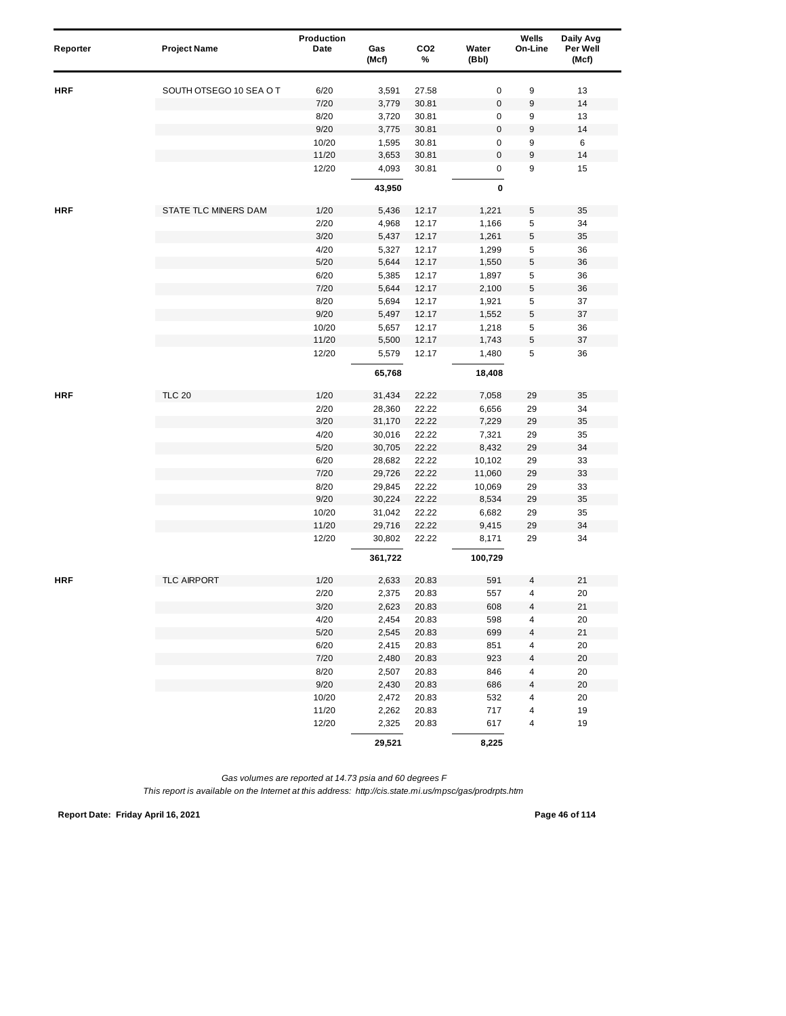| Reporter   | <b>Project Name</b>    | Production<br>Date | Gas<br>(Mcf)   | CO <sub>2</sub><br>% | Water<br>(Bbl) | Wells<br>On-Line        | Daily Avg<br>Per Well<br>(Mcf) |  |
|------------|------------------------|--------------------|----------------|----------------------|----------------|-------------------------|--------------------------------|--|
| HRF        | SOUTH OTSEGO 10 SEA OT | 6/20               | 3,591          | 27.58                | $\pmb{0}$      | 9                       | 13                             |  |
|            |                        | 7/20               | 3,779          | 30.81                | $\bf 0$        | 9                       | 14                             |  |
|            |                        | 8/20               | 3,720          | 30.81                | 0              | 9                       | 13                             |  |
|            |                        | 9/20               | 3,775          | 30.81                | $\bf 0$        | 9                       | 14                             |  |
|            |                        | 10/20              | 1,595          | 30.81                | 0              | 9                       | 6                              |  |
|            |                        | 11/20              | 3,653          | 30.81                | 0              | 9                       | 14                             |  |
|            |                        | 12/20              | 4,093          | 30.81                | 0              | 9                       | 15                             |  |
|            |                        |                    | 43,950         |                      | 0              |                         |                                |  |
| <b>HRF</b> | STATE TLC MINERS DAM   | 1/20               | 5,436          | 12.17                | 1,221          | 5                       | 35                             |  |
|            |                        | 2/20               | 4,968          | 12.17                | 1,166          | 5                       | 34                             |  |
|            |                        | 3/20               | 5,437          | 12.17                | 1,261          | 5                       | 35                             |  |
|            |                        | 4/20               | 5,327          | 12.17                | 1,299          | 5                       | 36                             |  |
|            |                        | 5/20               | 5,644          | 12.17                | 1,550          | 5                       | 36                             |  |
|            |                        | 6/20               | 5,385          | 12.17                | 1,897          | 5                       | 36                             |  |
|            |                        | 7/20               | 5,644          | 12.17                | 2,100          | $\mathbf 5$             | 36                             |  |
|            |                        | 8/20               | 5,694          | 12.17                | 1,921          | 5                       | 37                             |  |
|            |                        | 9/20               | 5,497          | 12.17                | 1,552          | $\mathbf 5$             | 37                             |  |
|            |                        | 10/20              | 5,657          | 12.17                | 1,218          | 5                       | 36                             |  |
|            |                        | 11/20              | 5,500          | 12.17                | 1,743          | 5                       | 37                             |  |
|            |                        | 12/20              | 5,579          | 12.17                | 1,480          | 5                       | 36                             |  |
|            |                        |                    | 65,768         |                      | 18,408         |                         |                                |  |
| <b>HRF</b> | <b>TLC 20</b>          | 1/20               | 31,434         | 22.22                | 7,058          | 29                      | 35                             |  |
|            |                        | 2/20               | 28,360         | 22.22                | 6,656          | 29                      | 34                             |  |
|            |                        | 3/20               | 31,170         | 22.22                | 7,229          | 29                      | 35                             |  |
|            |                        | 4/20               | 30,016         | 22.22                | 7,321          | 29                      | 35                             |  |
|            |                        | 5/20               | 30,705         | 22.22                | 8,432          | 29                      | 34                             |  |
|            |                        | 6/20               | 28,682         | 22.22                | 10,102         | 29                      | 33                             |  |
|            |                        | 7/20               | 29,726         | 22.22                | 11,060         | 29                      | 33                             |  |
|            |                        | 8/20               | 29,845         | 22.22                | 10,069         | 29                      | 33                             |  |
|            |                        | 9/20               | 30,224         | 22.22                | 8,534          | 29                      | 35                             |  |
|            |                        | 10/20              | 31,042         | 22.22                | 6,682          | 29                      | 35                             |  |
|            |                        | 11/20              | 29,716         | 22.22                | 9,415          | 29                      | 34                             |  |
|            |                        | 12/20              | 30,802         | 22.22                | 8,171          | 29                      | 34                             |  |
|            |                        |                    | 361,722        |                      | 100,729        |                         |                                |  |
| <b>HRF</b> | <b>TLC AIRPORT</b>     | 1/20               | 2,633          | 20.83                | 591            | 4                       | 21                             |  |
|            |                        | 2/20               | 2,375          | 20.83                | 557            | 4                       | 20                             |  |
|            |                        | 3/20               | 2,623          | 20.83                | 608            | 4                       | 21                             |  |
|            |                        | 4/20               | 2,454          | 20.83                | 598            | 4                       | 20                             |  |
|            |                        | $5/20$             | 2,545          | 20.83                | 699            | $\overline{\mathbf{4}}$ | 21                             |  |
|            |                        | 6/20               | 2,415          | 20.83                | 851            | $\overline{\mathbf{4}}$ | 20                             |  |
|            |                        | 7/20               | 2,480          | 20.83                | 923            | 4                       | 20                             |  |
|            |                        | 8/20               | 2,507          | 20.83                | 846            | 4                       | 20                             |  |
|            |                        | 9/20               | 2,430          | 20.83                | 686            | 4                       | 20                             |  |
|            |                        | 10/20<br>11/20     | 2,472          | 20.83                | 532<br>717     | 4<br>4                  | 20<br>19                       |  |
|            |                        | 12/20              | 2,262<br>2,325 | 20.83<br>20.83       | 617            | 4                       | 19                             |  |
|            |                        |                    |                |                      |                |                         |                                |  |
|            |                        |                    | 29,521         |                      | 8,225          |                         |                                |  |

**Report Date: Friday April 16, 2021 Page 46 of 114**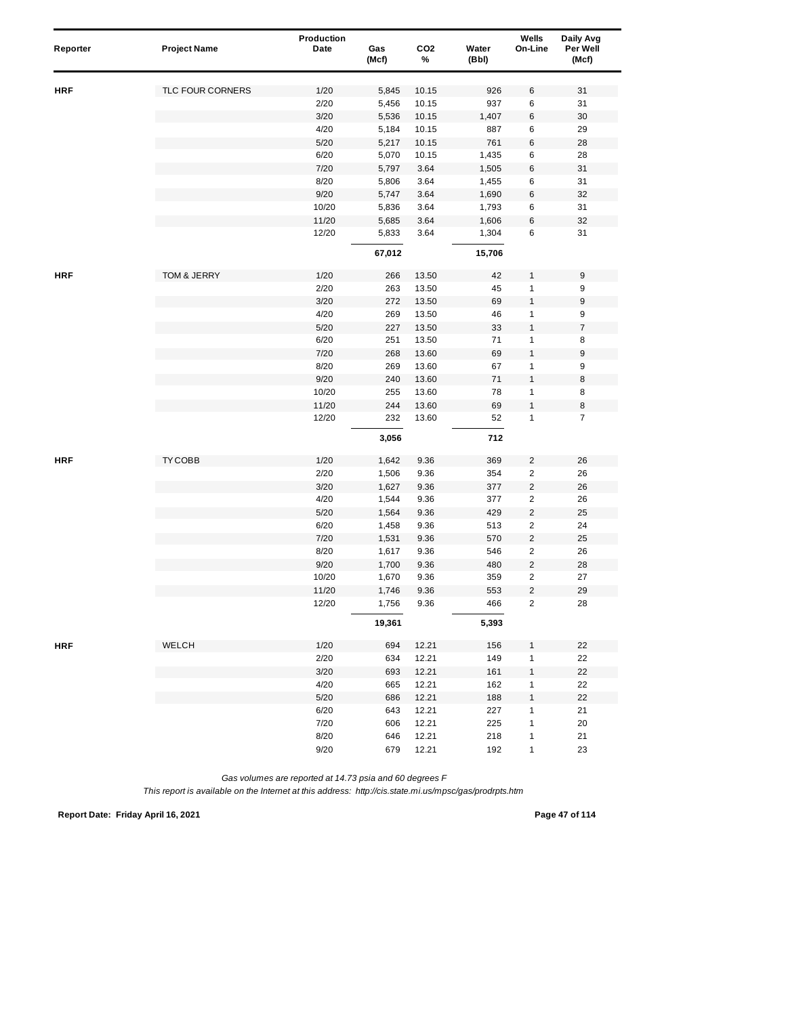| Reporter   | <b>Project Name</b> | Production<br>Date | Gas<br>(Mcf) | CO <sub>2</sub><br>% | Water<br>(Bbl) | Wells<br>On-Line        | Daily Avg<br>Per Well<br>(Mcf) |
|------------|---------------------|--------------------|--------------|----------------------|----------------|-------------------------|--------------------------------|
| <b>HRF</b> | TLC FOUR CORNERS    | 1/20               | 5,845        | 10.15                | 926            | $\,6$                   | 31                             |
|            |                     | 2/20               | 5,456        | 10.15                | 937            | 6                       | 31                             |
|            |                     | 3/20               | 5,536        | 10.15                | 1,407          | $\,6$                   | $30\,$                         |
|            |                     | 4/20               | 5,184        | 10.15                | 887            | 6                       | 29                             |
|            |                     | 5/20               | 5,217        | 10.15                | 761            | $\,6$                   | 28                             |
|            |                     | 6/20               | 5,070        | 10.15                | 1,435          | $\,6\,$                 | 28                             |
|            |                     | 7/20               | 5,797        | 3.64                 | 1,505          | $\,6\,$                 | 31                             |
|            |                     | 8/20               | 5,806        | 3.64                 | 1,455          | 6                       | 31                             |
|            |                     | 9/20               | 5,747        | 3.64                 | 1,690          | 6                       | 32                             |
|            |                     | 10/20              | 5,836        | 3.64                 | 1,793          | 6                       | 31                             |
|            |                     | 11/20              | 5,685        | 3.64                 | 1,606          | 6                       | 32                             |
|            |                     | 12/20              | 5,833        | 3.64                 | 1,304          | 6                       | 31                             |
|            |                     |                    | 67,012       |                      | 15,706         |                         |                                |
| <b>HRF</b> | TOM & JERRY         | 1/20               | 266          | 13.50                | 42             | $\mathbf{1}$            | 9                              |
|            |                     | 2/20               | 263          | 13.50                | 45             | $\mathbf{1}$            | 9                              |
|            |                     | 3/20               | 272          | 13.50                | 69             | $\mathbf{1}$            | 9                              |
|            |                     | 4/20               | 269          | 13.50                | 46             | $\mathbf{1}$            | 9                              |
|            |                     | 5/20               | 227          | 13.50                | 33             | $\mathbf{1}$            | $\boldsymbol{7}$               |
|            |                     | 6/20               | 251          | 13.50                | 71             | $\mathbf{1}$            | 8                              |
|            |                     | 7/20               | 268          | 13.60                | 69             | $\mathbf{1}$            | $\boldsymbol{9}$               |
|            |                     | 8/20               | 269          | 13.60                | 67             | $\mathbf{1}$            | 9                              |
|            |                     | 9/20               | 240          | 13.60                | 71             | $\mathbf{1}$            | 8                              |
|            |                     | 10/20              | 255          | 13.60                | 78             | $\mathbf{1}$            | 8                              |
|            |                     | 11/20              | 244          | 13.60                | 69             | $\mathbf{1}$            | 8                              |
|            |                     | 12/20              | 232          | 13.60                | 52             | $\mathbf{1}$            | $\overline{7}$                 |
|            |                     |                    | 3,056        |                      | 712            |                         |                                |
| <b>HRF</b> | TY COBB             | 1/20               | 1,642        | 9.36                 | 369            | $\overline{c}$          | 26                             |
|            |                     | 2/20               | 1,506        | 9.36                 | 354            | $\overline{\mathbf{c}}$ | 26                             |
|            |                     | 3/20               | 1,627        | 9.36                 | 377            | $\overline{c}$          | 26                             |
|            |                     | 4/20               | 1,544        | 9.36                 | 377            | $\overline{\mathbf{c}}$ | 26                             |
|            |                     | 5/20               | 1,564        | 9.36                 | 429            | $\sqrt{2}$              | 25                             |
|            |                     | 6/20               | 1,458        | 9.36                 | 513            | $\overline{2}$          | 24                             |
|            |                     | 7/20               | 1,531        | 9.36                 | 570            | $\overline{c}$          | 25                             |
|            |                     | 8/20               | 1,617        | 9.36                 | 546            | $\overline{\mathbf{c}}$ | 26                             |
|            |                     | 9/20               | 1,700        | 9.36                 | 480            | $\overline{c}$          | 28                             |
|            |                     | 10/20              | 1,670        | 9.36                 | 359            | $\overline{\mathbf{c}}$ | 27                             |
|            |                     | 11/20              | 1,746        | 9.36                 | 553            | $\overline{c}$          | 29                             |
|            |                     | 12/20              | 1,756        | 9.36                 | 466            | 2                       | 28                             |
|            |                     |                    | 19,361       |                      | 5,393          |                         |                                |
| <b>HRF</b> | WELCH               | 1/20               | 694          | 12.21                | 156            | 1                       | 22                             |
|            |                     | 2/20               | 634          | 12.21                | 149            | 1                       | 22                             |
|            |                     | 3/20               | 693          | 12.21                | 161            | $\mathbf{1}$            | 22                             |
|            |                     | 4/20               | 665          | 12.21                | 162            | $\mathbf{1}$            | 22                             |
|            |                     | $5/20$             | 686          | 12.21                | 188            | $\mathbf{1}$            | 22                             |
|            |                     | 6/20               | 643          | 12.21                | 227            | 1                       | 21                             |
|            |                     | 7/20               | 606          | 12.21                | 225            | $\mathbf{1}$            | 20                             |
|            |                     | 8/20               | 646          | 12.21                | 218            | 1                       | 21                             |
|            |                     | 9/20               | 679          | 12.21                | 192            | 1                       | 23                             |

*This report is available on the Internet at this address: http://cis.state.mi.us/mpsc/gas/prodrpts.htm*

**Report Date: Friday April 16, 2021 Page 47 of 114**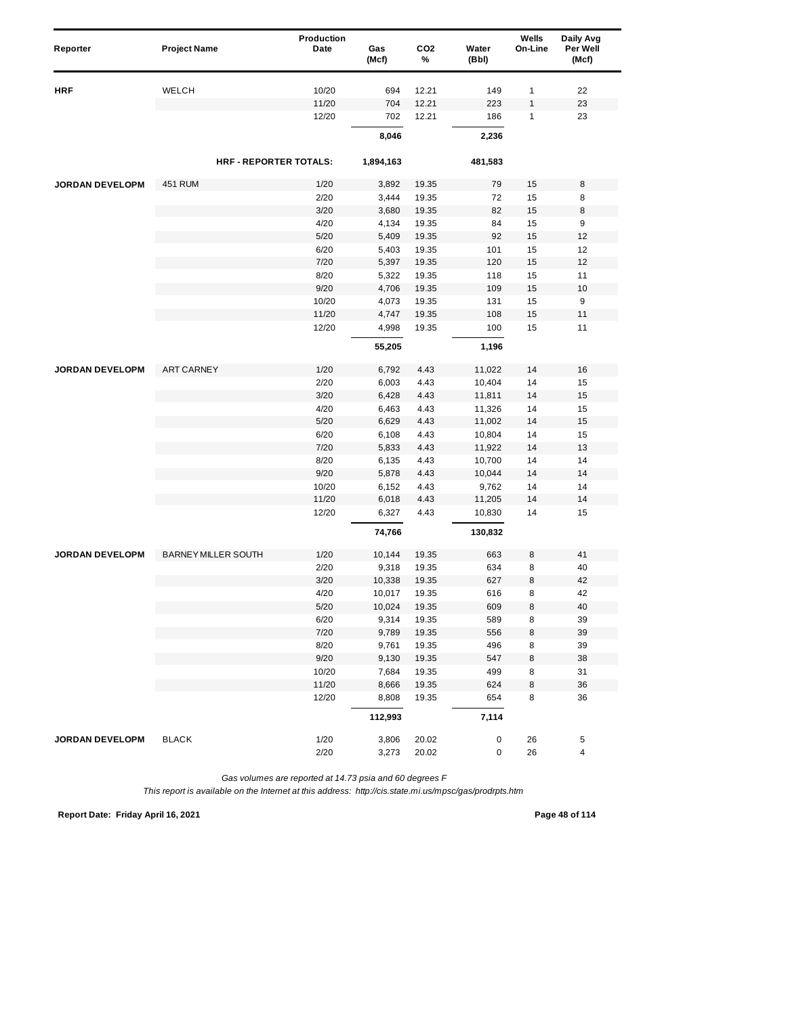| Reporter               | <b>Project Name</b>         | Production<br>Date | Gas<br>(Mcf) | CO <sub>2</sub><br>% | Water<br>(Bbl) | Wells<br>On-Line | Daily Avg<br>Per Well<br>(Mcf) |  |
|------------------------|-----------------------------|--------------------|--------------|----------------------|----------------|------------------|--------------------------------|--|
| HRF                    | WELCH                       | 10/20              | 694          | 12.21                | 149            | 1                | 22                             |  |
|                        |                             | 11/20              | 704          | 12.21                | 223            | $\mathbf{1}$     | 23                             |  |
|                        |                             | 12/20              | 702          | 12.21                | 186            | 1                | 23                             |  |
|                        |                             |                    | 8,046        |                      | 2,236          |                  |                                |  |
|                        | <b>HRF-REPORTER TOTALS:</b> |                    | 1,894,163    |                      | 481,583        |                  |                                |  |
| <b>JORDAN DEVELOPM</b> | 451 RUM                     | 1/20               | 3,892        | 19.35                | 79             | 15               | 8                              |  |
|                        |                             | 2/20               | 3,444        | 19.35                | 72             | 15               | 8                              |  |
|                        |                             | 3/20               | 3,680        | 19.35                | 82             | 15               | 8                              |  |
|                        |                             | 4/20               | 4,134        | 19.35                | 84             | 15               | 9                              |  |
|                        |                             | 5/20               | 5,409        | 19.35                | 92             | 15               | 12                             |  |
|                        |                             | 6/20               | 5,403        | 19.35                | 101            | 15               | 12                             |  |
|                        |                             | 7/20               | 5,397        | 19.35                | 120            | 15               | 12                             |  |
|                        |                             | 8/20               | 5,322        | 19.35                | 118            | 15               | 11                             |  |
|                        |                             | 9/20               | 4,706        | 19.35                | 109            | 15               | 10                             |  |
|                        |                             | 10/20              | 4,073        | 19.35                | 131            | 15               | 9                              |  |
|                        |                             | 11/20              | 4,747        | 19.35                | 108            | 15               | 11                             |  |
|                        |                             | 12/20              | 4,998        | 19.35                | 100            | 15               | 11                             |  |
|                        |                             |                    | 55,205       |                      | 1,196          |                  |                                |  |
| <b>JORDAN DEVELOPM</b> | <b>ART CARNEY</b>           | 1/20               | 6,792        | 4.43                 | 11,022         | 14               | 16                             |  |
|                        |                             | 2/20               | 6,003        | 4.43                 | 10,404         | 14               | 15                             |  |
|                        |                             | 3/20               | 6,428        | 4.43                 | 11,811         | 14               | 15                             |  |
|                        |                             | 4/20               | 6,463        | 4.43                 | 11,326         | 14               | 15                             |  |
|                        |                             | 5/20               | 6,629        | 4.43                 | 11,002         | 14               | 15                             |  |
|                        |                             | 6/20               | 6,108        | 4.43                 | 10,804         | 14               | 15                             |  |
|                        |                             | 7/20               | 5,833        | 4.43                 | 11,922         | 14               | 13                             |  |
|                        |                             | 8/20               | 6,135        | 4.43                 | 10,700         | 14               | 14                             |  |
|                        |                             | 9/20               | 5,878        | 4.43                 | 10,044         | 14               | 14                             |  |
|                        |                             | 10/20              | 6,152        | 4.43                 | 9,762          | 14               | 14                             |  |
|                        |                             | 11/20              | 6,018        | 4.43                 | 11,205         | 14               | 14                             |  |
|                        |                             | 12/20              | 6,327        | 4.43                 | 10,830         | 14               | 15                             |  |
|                        |                             |                    | 74,766       |                      | 130,832        |                  |                                |  |
| <b>JORDAN DEVELOPM</b> | <b>BARNEY MILLER SOUTH</b>  | 1/20               | 10,144       | 19.35                | 663            | 8                | 41                             |  |
|                        |                             | 2/20               | 9,318        | 19.35                | 634            | 8                | 40                             |  |
|                        |                             | 3/20               | 10,338       | 19.35                | 627            | 8                | 42                             |  |
|                        |                             | 4/20               | 10,017       | 19.35                | 616            | 8                | 42                             |  |
|                        |                             | $5/20$             | 10,024       | 19.35                | 609            | 8                | 40                             |  |
|                        |                             | 6/20               | 9,314        | 19.35                | 589            | 8                | 39                             |  |
|                        |                             | 7/20               | 9,789        | 19.35                | 556            | 8                | 39                             |  |
|                        |                             | 8/20               | 9,761        | 19.35                | 496            | 8                | 39                             |  |
|                        |                             | 9/20               | 9,130        | 19.35                | 547            | 8                | 38                             |  |
|                        |                             | 10/20              | 7,684        | 19.35                | 499            | 8                | 31                             |  |
|                        |                             | 11/20              | 8,666        | 19.35                | 624            | 8                | 36                             |  |
|                        |                             | 12/20              | 8,808        | 19.35                | 654            | 8                | 36                             |  |
|                        |                             |                    | 112,993      |                      | 7,114          |                  |                                |  |
| <b>JORDAN DEVELOPM</b> | <b>BLACK</b>                | 1/20               | 3,806        | 20.02                | 0              | 26               | 5                              |  |
|                        |                             | 2/20               | 3,273        | 20.02                | 0              | 26               | $\overline{\mathbf{4}}$        |  |

*This report is available on the Internet at this address: http://cis.state.mi.us/mpsc/gas/prodrpts.htm*

**Report Date: Friday April 16, 2021 Page 48 of 114**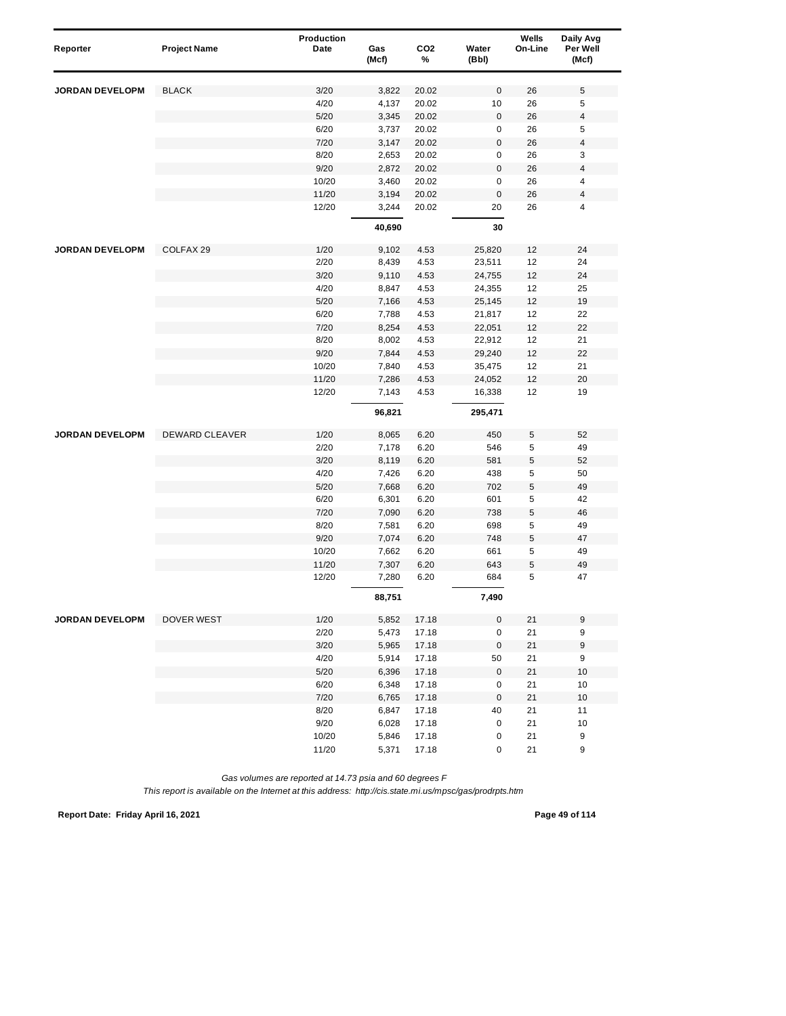| Reporter               | <b>Project Name</b> | Production<br>Date | Gas    | CO <sub>2</sub> | Water               | Wells<br>On-Line | Daily Avg<br>Per Well |
|------------------------|---------------------|--------------------|--------|-----------------|---------------------|------------------|-----------------------|
|                        |                     |                    | (Mcf)  | %               | (Bbl)               |                  | (Mcf)                 |
| <b>JORDAN DEVELOPM</b> | <b>BLACK</b>        | 3/20               | 3,822  | 20.02           | $\bf 0$             | 26               | 5                     |
|                        |                     | 4/20               | 4,137  | 20.02           | 10                  | 26               | 5                     |
|                        |                     | 5/20               | 3,345  | 20.02           | 0                   | 26               | 4                     |
|                        |                     | 6/20               | 3,737  | 20.02           | 0                   | 26               | 5                     |
|                        |                     | 7/20               | 3,147  | 20.02           | $\bf 0$             | 26               | 4                     |
|                        |                     | 8/20               | 2,653  | 20.02           | 0                   | 26               | 3                     |
|                        |                     | 9/20               | 2,872  | 20.02           | $\mathsf 0$         | 26               | 4                     |
|                        |                     | 10/20              | 3,460  | 20.02           | 0                   | 26               | 4                     |
|                        |                     | 11/20              | 3,194  | 20.02           | $\mathsf 0$         | 26               | 4                     |
|                        |                     | 12/20              | 3,244  | 20.02           | 20                  | 26               | 4                     |
|                        |                     |                    | 40,690 |                 | 30                  |                  |                       |
| <b>JORDAN DEVELOPM</b> | COLFAX 29           | 1/20               | 9,102  | 4.53            | 25,820              | 12               | 24                    |
|                        |                     | 2/20               | 8,439  | 4.53            | 23,511              | 12               | 24                    |
|                        |                     | 3/20               | 9,110  | 4.53            | 24,755              | 12               | 24                    |
|                        |                     | 4/20               | 8,847  | 4.53            | 24,355              | 12               | 25                    |
|                        |                     | 5/20               | 7,166  | 4.53            | 25,145              | 12               | 19                    |
|                        |                     | 6/20               | 7,788  | 4.53            | 21,817              | 12               | 22                    |
|                        |                     | 7/20               | 8,254  | 4.53            | 22,051              | 12               | 22                    |
|                        |                     | 8/20               | 8,002  | 4.53            | 22,912              | 12               | 21                    |
|                        |                     | 9/20               | 7,844  | 4.53            | 29,240              | 12               | 22                    |
|                        |                     | 10/20              | 7,840  | 4.53            | 35,475              | 12               | 21                    |
|                        |                     | 11/20              | 7,286  | 4.53            | 24,052              | 12               | 20                    |
|                        |                     | 12/20              | 7,143  | 4.53            | 16,338              | 12               | 19                    |
|                        |                     |                    | 96,821 |                 | 295,471             |                  |                       |
| <b>JORDAN DEVELOPM</b> | DEWARD CLEAVER      | 1/20               | 8,065  | 6.20            | 450                 | 5                | 52                    |
|                        |                     | 2/20               | 7,178  | 6.20            | 546                 | 5                | 49                    |
|                        |                     | 3/20               | 8,119  | 6.20            | 581                 | $\mathbf 5$      | 52                    |
|                        |                     | 4/20               | 7,426  | 6.20            | 438                 | 5                | 50                    |
|                        |                     | 5/20               | 7,668  | 6.20            | 702                 | 5                | 49                    |
|                        |                     | 6/20               | 6,301  | 6.20            | 601                 | 5                | 42                    |
|                        |                     | 7/20               | 7,090  | 6.20            | 738                 | 5                | 46                    |
|                        |                     | 8/20               | 7,581  | 6.20            | 698                 | 5                | 49                    |
|                        |                     | 9/20               | 7,074  | 6.20            | 748                 | 5                | 47                    |
|                        |                     | 10/20              | 7,662  | 6.20            | 661                 | 5                | 49                    |
|                        |                     | 11/20              | 7,307  | 6.20            | 643                 | 5                | 49                    |
|                        |                     | 12/20              | 7,280  | 6.20            | 684                 | 5                | 47                    |
|                        |                     |                    | 88,751 |                 | 7,490               |                  |                       |
| <b>JORDAN DEVELOPM</b> | DOVER WEST          | 1/20               | 5,852  | 17.18           | 0                   | 21               | 9                     |
|                        |                     | 2/20               | 5,473  | 17.18           | 0                   | 21               | 9                     |
|                        |                     | 3/20               | 5,965  | 17.18           | $\mathsf{O}\xspace$ | 21               | $\boldsymbol{9}$      |
|                        |                     | 4/20               | 5,914  | 17.18           | 50                  | 21               | 9                     |
|                        |                     | 5/20               | 6,396  | 17.18           | $\mathsf{O}\xspace$ | 21               | 10                    |
|                        |                     | 6/20               | 6,348  | 17.18           | 0                   | 21               | 10                    |
|                        |                     | 7/20               | 6,765  | 17.18           | $\pmb{0}$           | 21               | 10                    |
|                        |                     | 8/20               | 6,847  | 17.18           | 40                  | 21               | 11                    |
|                        |                     | 9/20               | 6,028  | 17.18           | $\pmb{0}$           | 21               | 10                    |
|                        |                     | 10/20              | 5,846  | 17.18           | 0                   | 21               | 9                     |
|                        |                     | 11/20              | 5,371  | 17.18           | 0                   | 21               | 9                     |

*This report is available on the Internet at this address: http://cis.state.mi.us/mpsc/gas/prodrpts.htm*

**Report Date: Friday April 16, 2021 Page 49 of 114**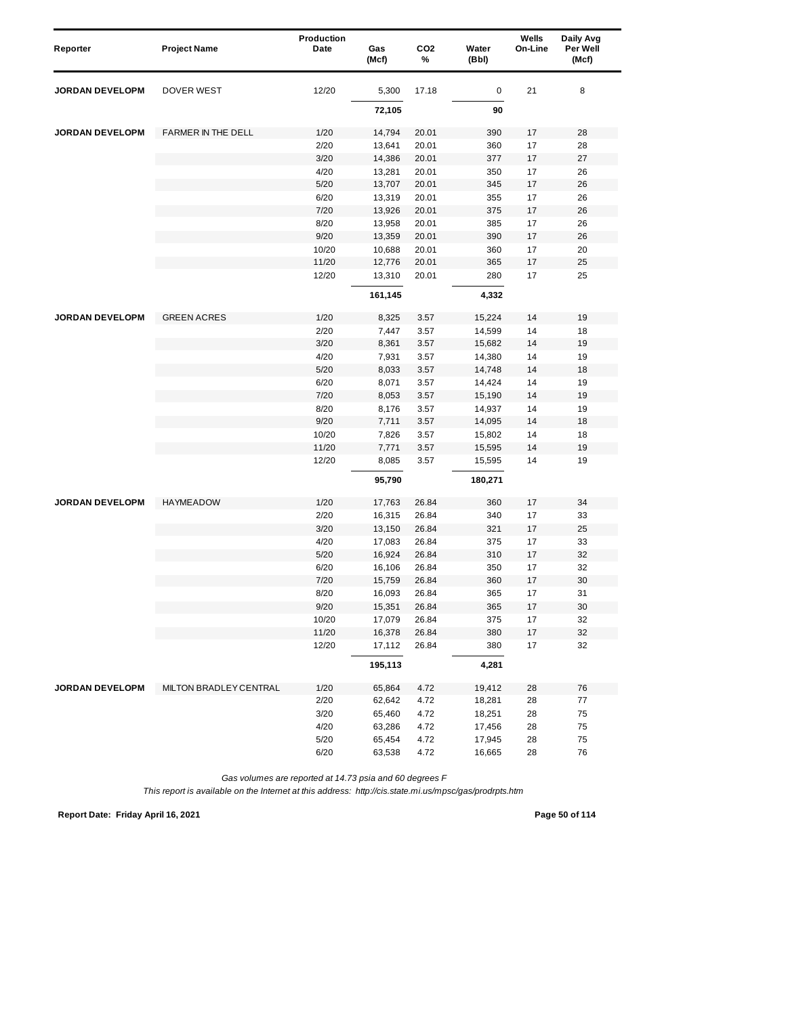| Reporter               | <b>Project Name</b>    | Production<br>Date | Gas<br>(Mcf) | CO <sub>2</sub><br>% | Water<br>(Bbl) | Wells<br>On-Line | Daily Avg<br>Per Well<br>(Mcf) |
|------------------------|------------------------|--------------------|--------------|----------------------|----------------|------------------|--------------------------------|
|                        |                        |                    |              |                      |                |                  |                                |
| <b>JORDAN DEVELOPM</b> | <b>DOVER WEST</b>      | 12/20              | 5,300        | 17.18                | 0              | 21               | 8                              |
|                        |                        |                    | 72,105       |                      | 90             |                  |                                |
| <b>JORDAN DEVELOPM</b> | FARMER IN THE DELL     | 1/20               | 14,794       | 20.01                | 390            | 17               | 28                             |
|                        |                        | 2/20               | 13,641       | 20.01                | 360            | 17               | 28                             |
|                        |                        | 3/20               | 14,386       | 20.01                | 377            | 17               | 27                             |
|                        |                        | 4/20               | 13,281       | 20.01                | 350            | 17               | 26                             |
|                        |                        | 5/20               | 13,707       | 20.01                | 345            | 17               | 26                             |
|                        |                        | 6/20               | 13,319       | 20.01                | 355            | 17               | 26                             |
|                        |                        | 7/20               | 13,926       | 20.01                | 375            | 17               | 26                             |
|                        |                        | 8/20               | 13,958       | 20.01                | 385            | 17               | 26                             |
|                        |                        | 9/20               | 13,359       | 20.01                | 390            | 17               | 26                             |
|                        |                        | 10/20              | 10,688       | 20.01                | 360            | 17               | 20                             |
|                        |                        | 11/20              | 12,776       | 20.01                | 365            | 17               | 25                             |
|                        |                        | 12/20              | 13,310       | 20.01                | 280            | 17               | 25                             |
|                        |                        |                    | 161,145      |                      | 4,332          |                  |                                |
| <b>JORDAN DEVELOPM</b> | <b>GREEN ACRES</b>     | 1/20               | 8,325        | 3.57                 | 15,224         | 14               | 19                             |
|                        |                        | 2/20               | 7,447        | 3.57                 | 14,599         | 14               | 18                             |
|                        |                        | 3/20               | 8,361        | 3.57                 | 15,682         | 14               | 19                             |
|                        |                        | 4/20               | 7,931        | 3.57                 | 14,380         | 14               | 19                             |
|                        |                        | 5/20               | 8,033        | 3.57                 | 14,748         | 14               | 18                             |
|                        |                        | 6/20               | 8,071        | 3.57                 | 14,424         | 14               | 19                             |
|                        |                        | 7/20               | 8,053        | 3.57                 | 15,190         | 14               | 19                             |
|                        |                        | 8/20               | 8,176        | 3.57                 | 14,937         | 14               | 19                             |
|                        |                        | 9/20               | 7,711        | 3.57                 | 14,095         | 14               | 18                             |
|                        |                        | 10/20              | 7,826        | 3.57                 | 15,802         | 14               | 18                             |
|                        |                        | 11/20              | 7,771        | 3.57                 | 15,595         | 14               | 19                             |
|                        |                        | 12/20              | 8,085        | 3.57                 | 15,595         | 14               | 19                             |
|                        |                        |                    | 95,790       |                      | 180,271        |                  |                                |
| <b>JORDAN DEVELOPM</b> | <b>HAYMEADOW</b>       | 1/20               | 17,763       | 26.84                | 360            | 17               | 34                             |
|                        |                        | 2/20               | 16,315       | 26.84                | 340            | 17               | 33                             |
|                        |                        | 3/20               | 13,150       | 26.84                | 321            | 17               | 25                             |
|                        |                        | 4/20               | 17,083       | 26.84                | 375            | 17               | 33                             |
|                        |                        | 5/20               | 16,924       | 26.84                | 310            | 17               | 32                             |
|                        |                        | 6/20               | 16,106       | 26.84                | 350            | 17               | 32                             |
|                        |                        | 7/20               | 15,759       | 26.84                | 360            | 17               | 30                             |
|                        |                        | 8/20               | 16,093       | 26.84                | 365            | 17               | 31                             |
|                        |                        | 9/20               | 15,351       | 26.84                | 365            | 17               | 30                             |
|                        |                        | 10/20              | 17,079       | 26.84                | 375            | 17               | 32                             |
|                        |                        | 11/20              | 16,378       | 26.84                | 380            | $17$             | 32                             |
|                        |                        | 12/20              | 17,112       | 26.84                | 380            | 17               | 32                             |
|                        |                        |                    | 195,113      |                      | 4,281          |                  |                                |
| JORDAN DEVELOPM        | MILTON BRADLEY CENTRAL | 1/20               | 65,864       | 4.72                 | 19,412         | 28               | 76                             |
|                        |                        | 2/20               | 62,642       | 4.72                 | 18,281         | 28               | 77                             |
|                        |                        | 3/20               | 65,460       | 4.72                 | 18,251         | 28               | 75                             |
|                        |                        | 4/20               | 63,286       | 4.72                 | 17,456         | 28               | 75                             |
|                        |                        | 5/20               | 65,454       | 4.72                 | 17,945         | 28               | 75                             |
|                        |                        | 6/20               | 63,538       | 4.72                 | 16,665         | 28               | 76                             |

*This report is available on the Internet at this address: http://cis.state.mi.us/mpsc/gas/prodrpts.htm*

**Report Date: Friday April 16, 2021 Page 50 of 114**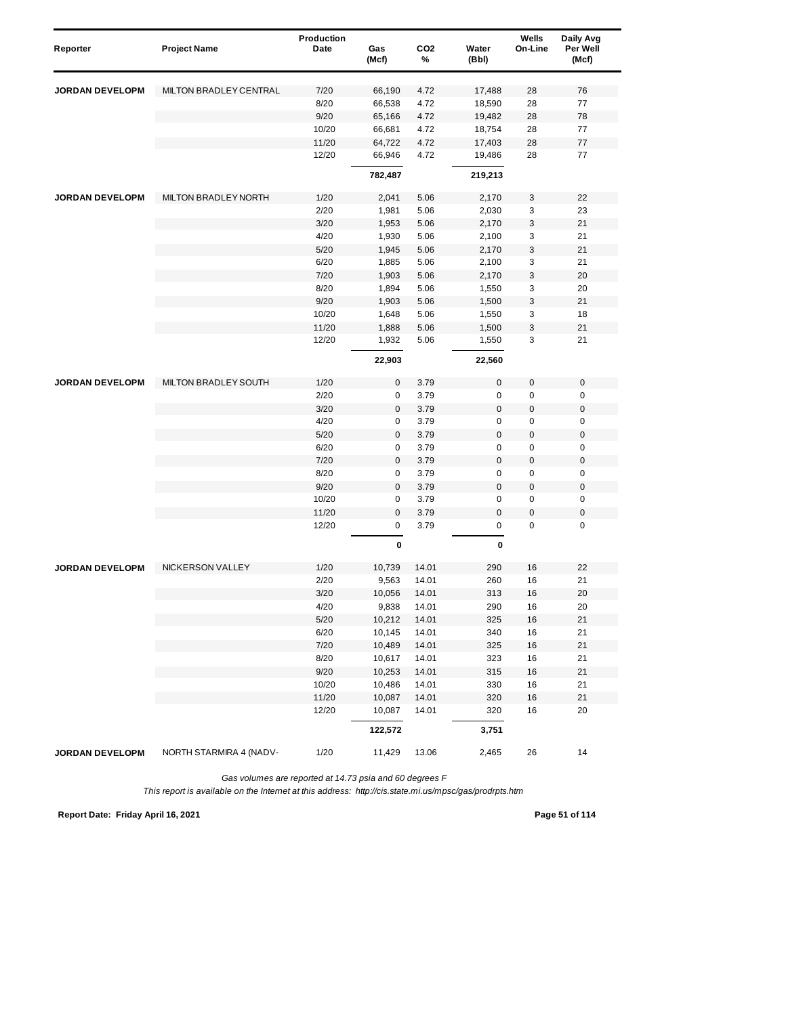| Reporter               | <b>Project Name</b>     | Production<br>Date | Gas<br>(Mcf) | CO <sub>2</sub><br>% | Water<br>(Bbl) | Wells<br>On-Line | Daily Avg<br>Per Well<br>(Mcf) |
|------------------------|-------------------------|--------------------|--------------|----------------------|----------------|------------------|--------------------------------|
| <b>JORDAN DEVELOPM</b> | MILTON BRADLEY CENTRAL  | 7/20               | 66,190       | 4.72                 | 17,488         | 28               | 76                             |
|                        |                         | 8/20               | 66,538       | 4.72                 | 18,590         | 28               | 77                             |
|                        |                         | 9/20               | 65,166       | 4.72                 | 19,482         | 28               | 78                             |
|                        |                         | 10/20              | 66,681       | 4.72                 | 18,754         | 28               | 77                             |
|                        |                         | 11/20              | 64,722       | 4.72                 | 17,403         | 28               | 77                             |
|                        |                         | 12/20              | 66,946       | 4.72                 | 19,486         | 28               | 77                             |
|                        |                         |                    | 782,487      |                      | 219,213        |                  |                                |
| <b>JORDAN DEVELOPM</b> | MILTON BRADLEY NORTH    | 1/20               | 2,041        | 5.06                 | 2,170          | 3                | 22                             |
|                        |                         | 2/20               | 1,981        | 5.06                 | 2,030          | 3                | 23                             |
|                        |                         | 3/20               | 1,953        | 5.06                 | 2,170          | 3                | 21                             |
|                        |                         | 4/20               | 1,930        | 5.06                 | 2,100          | 3                | 21                             |
|                        |                         | 5/20               | 1,945        | 5.06                 | 2,170          | 3                | 21                             |
|                        |                         | 6/20               | 1,885        | 5.06                 | 2,100          | 3                | 21                             |
|                        |                         | 7/20               | 1,903        | 5.06                 | 2,170          | 3                | 20                             |
|                        |                         | 8/20               | 1,894        | 5.06                 | 1,550          | 3                | 20                             |
|                        |                         | 9/20               | 1,903        | 5.06                 | 1,500          | 3                | 21                             |
|                        |                         | 10/20              | 1,648        | 5.06                 | 1,550          | 3                | 18                             |
|                        |                         | 11/20              | 1,888        | 5.06                 | 1,500          | 3                | 21                             |
|                        |                         | 12/20              | 1,932        | 5.06                 | 1,550          | 3                | 21                             |
|                        |                         |                    | 22,903       |                      | 22,560         |                  |                                |
| <b>JORDAN DEVELOPM</b> | MILTON BRADLEY SOUTH    | 1/20               | 0            | 3.79                 | $\mathbf 0$    | $\pmb{0}$        | $\mathbf 0$                    |
|                        |                         | 2/20               | 0            | 3.79                 | 0              | 0                | 0                              |
|                        |                         | 3/20               | $\mathsf 0$  | 3.79                 | $\pmb{0}$      | $\mathbf 0$      | $\boldsymbol{0}$               |
|                        |                         | 4/20               | 0            | 3.79                 | $\pmb{0}$      | $\mathbf 0$      | 0                              |
|                        |                         | 5/20               | 0            | 3.79                 | $\bf 0$        | $\mathbf 0$      | $\boldsymbol{0}$               |
|                        |                         | 6/20               | 0            | 3.79                 | $\pmb{0}$      | $\mathbf 0$      | $\pmb{0}$                      |
|                        |                         | 7/20               | $\mathsf 0$  | 3.79                 | $\bf 0$        | $\boldsymbol{0}$ | $\boldsymbol{0}$               |
|                        |                         | 8/20               | 0            | 3.79                 | 0              | 0                | 0                              |
|                        |                         | 9/20               | 0            | 3.79                 | $\bf 0$        | $\boldsymbol{0}$ | $\boldsymbol{0}$               |
|                        |                         | 10/20              | 0            | 3.79                 | 0              | 0                | 0                              |
|                        |                         | 11/20              | 0            | 3.79                 | $\mathbf{0}$   | $\mathbf 0$      | $\mathbf 0$                    |
|                        |                         | 12/20              | 0            | 3.79                 | 0              | $\mathbf 0$      | $\mathbf 0$                    |
|                        |                         |                    | 0            |                      | 0              |                  |                                |
| <b>JORDAN DEVELOPM</b> | NICKERSON VALLEY        | 1/20               | 10,739       | 14.01                | 290            | 16               | 22                             |
|                        |                         | 2/20               | 9,563        | 14.01                | 260            | 16               | 21                             |
|                        |                         | 3/20               | 10,056       | 14.01                | 313            | 16               | 20                             |
|                        |                         | 4/20               | 9,838        | 14.01                | 290            | 16               | 20                             |
|                        |                         | $5/20$             | 10,212       | 14.01                | 325            | 16               | 21                             |
|                        |                         | 6/20               | 10,145       | 14.01                | 340            | 16               | 21                             |
|                        |                         | 7/20               | 10,489       | 14.01                | 325            | 16               | 21                             |
|                        |                         | 8/20               | 10,617       | 14.01                | 323            | 16               | 21                             |
|                        |                         | 9/20               | 10,253       | 14.01                | 315            | 16               | 21                             |
|                        |                         | 10/20              | 10,486       | 14.01                | 330            | 16               | 21                             |
|                        |                         | 11/20              | 10,087       | 14.01                | 320            | 16               | 21                             |
|                        |                         | 12/20              | 10,087       | 14.01                | 320            | 16               | 20                             |
|                        |                         |                    | 122,572      |                      | 3,751          |                  |                                |
| JORDAN DEVELOPM        | NORTH STARMIRA 4 (NADV- | 1/20               | 11,429       | 13.06                | 2,465          | 26               | 14                             |

*This report is available on the Internet at this address: http://cis.state.mi.us/mpsc/gas/prodrpts.htm*

**Report Date: Friday April 16, 2021 Page 51 of 114**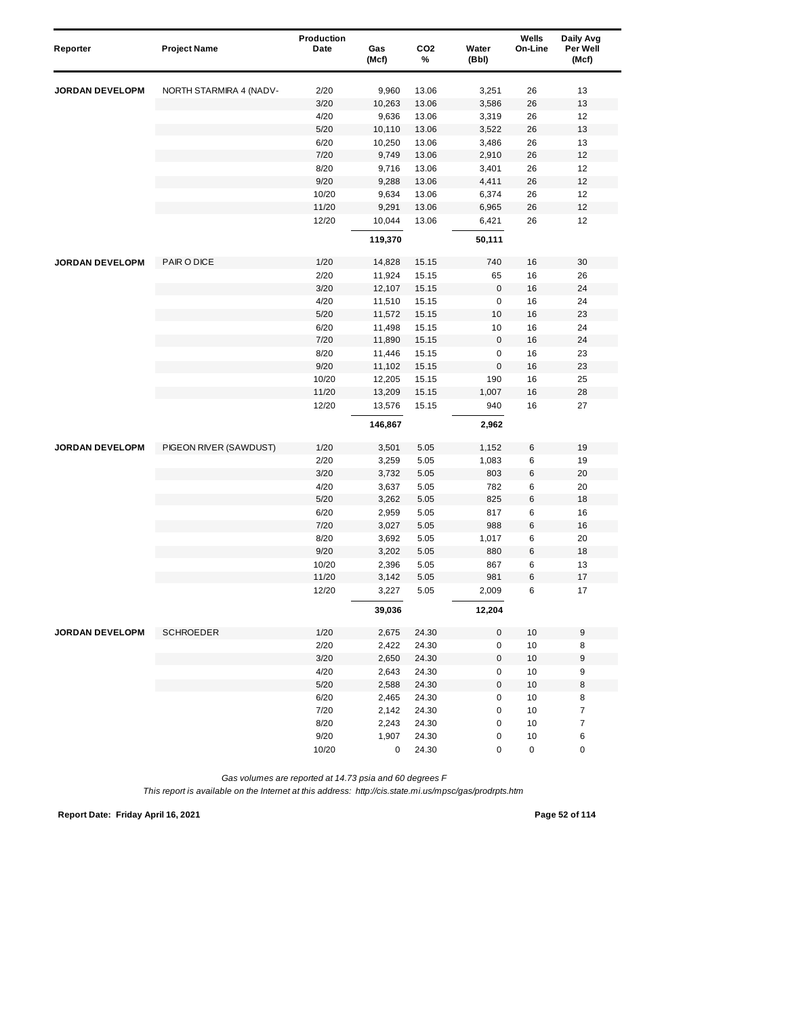| Reporter               | <b>Project Name</b>     | Production<br>Date | Gas<br>(Mcf)   | CO <sub>2</sub><br>% | Water<br>(Bbl) | Wells<br>On-Line | Daily Avg<br>Per Well<br>(Mcf) |
|------------------------|-------------------------|--------------------|----------------|----------------------|----------------|------------------|--------------------------------|
| <b>JORDAN DEVELOPM</b> | NORTH STARMIRA 4 (NADV- | 2/20               | 9,960          | 13.06                | 3,251          | 26               | 13                             |
|                        |                         | 3/20               | 10,263         | 13.06                | 3,586          | 26               | 13                             |
|                        |                         | 4/20               | 9,636          | 13.06                | 3,319          | 26               | 12                             |
|                        |                         | 5/20               | 10,110         | 13.06                | 3,522          | 26               | 13                             |
|                        |                         | 6/20               | 10,250         | 13.06                | 3,486          | 26               | 13                             |
|                        |                         | 7/20               | 9,749          | 13.06                | 2,910          | 26               | 12                             |
|                        |                         | 8/20               | 9,716          | 13.06                | 3,401          | 26               | 12                             |
|                        |                         | 9/20               | 9,288          | 13.06                | 4,411          | 26               | 12                             |
|                        |                         | 10/20              | 9,634          | 13.06                | 6,374          | 26               | 12                             |
|                        |                         | 11/20              | 9,291          | 13.06                | 6,965          | 26               | 12                             |
|                        |                         | 12/20              | 10,044         | 13.06                | 6,421          | 26               | 12                             |
|                        |                         |                    | 119,370        |                      | 50,111         |                  |                                |
| <b>JORDAN DEVELOPM</b> | PAIR O DICE             | 1/20               | 14,828         | 15.15                | 740            | 16               | 30                             |
|                        |                         | 2/20               | 11,924         | 15.15                | 65             | 16               | 26                             |
|                        |                         | 3/20               | 12,107         | 15.15                | $\pmb{0}$      | 16               | 24                             |
|                        |                         | 4/20               | 11,510         | 15.15                | 0              | 16               | 24                             |
|                        |                         | 5/20               | 11,572         | 15.15                | 10             | 16               | 23                             |
|                        |                         | 6/20               | 11,498         | 15.15                | 10             | 16               | 24                             |
|                        |                         | 7/20               | 11,890         | 15.15                | $\mathsf 0$    | 16               | 24                             |
|                        |                         | 8/20               | 11,446         | 15.15                | $\pmb{0}$      | 16               | 23                             |
|                        |                         | 9/20               | 11,102         | 15.15                | $\mathbf 0$    | 16               | 23                             |
|                        |                         | 10/20              | 12,205         | 15.15                | 190            | 16               | 25                             |
|                        |                         | 11/20              | 13,209         | 15.15                | 1,007          | 16               | 28                             |
|                        |                         | 12/20              | 13,576         | 15.15                | 940            | 16               | 27                             |
|                        |                         |                    | 146,867        |                      | 2,962          |                  |                                |
| <b>JORDAN DEVELOPM</b> | PIGEON RIVER (SAWDUST)  | 1/20               | 3,501          | 5.05                 | 1,152          | 6                | 19                             |
|                        |                         | 2/20               | 3,259          | 5.05                 | 1,083          | 6                | 19                             |
|                        |                         | 3/20               | 3,732          | 5.05                 | 803            | 6                | 20                             |
|                        |                         | 4/20               | 3,637          | 5.05                 | 782            | 6                | 20                             |
|                        |                         | 5/20               | 3,262          | 5.05                 | 825            | $\,6$            | 18                             |
|                        |                         | 6/20               | 2,959          | 5.05                 | 817            | 6                | 16                             |
|                        |                         | 7/20               | 3,027          | 5.05                 | 988            | $\,6\,$          | 16                             |
|                        |                         | 8/20               | 3,692          | 5.05                 | 1,017          | 6                | 20                             |
|                        |                         | 9/20               | 3,202          | 5.05                 | 880            | $\,6$            | 18                             |
|                        |                         | 10/20              | 2,396          | 5.05                 | 867            | 6                | 13                             |
|                        |                         | 11/20<br>12/20     | 3,142<br>3,227 | 5.05<br>5.05         | 981<br>2,009   | 6<br>6           | 17<br>17                       |
|                        |                         |                    | 39,036         |                      | 12,204         |                  |                                |
|                        |                         |                    |                |                      |                |                  |                                |
| <b>JORDAN DEVELOPM</b> | <b>SCHROEDER</b>        | 1/20               | 2,675          | 24.30                | 0              | 10               | 9                              |
|                        |                         | 2/20               | 2,422          | 24.30                | $\mathsf 0$    | $10$             | 8                              |
|                        |                         | 3/20               | 2,650          | 24.30                | $\pmb{0}$      | $10$             | 9                              |
|                        |                         | 4/20               | 2,643          | 24.30                | 0              | 10               | $\boldsymbol{9}$               |
|                        |                         | 5/20               | 2,588          | 24.30                | $\pmb{0}$      | $10$             | 8                              |
|                        |                         | 6/20<br>7/20       | 2,465          | 24.30                | 0              | 10<br>$10$       | 8<br>$\overline{\mathcal{I}}$  |
|                        |                         | 8/20               | 2,142          | 24.30                | 0<br>0         |                  |                                |
|                        |                         | 9/20               | 2,243<br>1,907 | 24.30<br>24.30       | 0              | 10<br>10         | $\boldsymbol{7}$<br>6          |
|                        |                         | 10/20              | 0              | 24.30                | $\pmb{0}$      | 0                | 0                              |
|                        |                         |                    |                |                      |                |                  |                                |

*This report is available on the Internet at this address: http://cis.state.mi.us/mpsc/gas/prodrpts.htm*

**Report Date: Friday April 16, 2021 Page 52 of 114**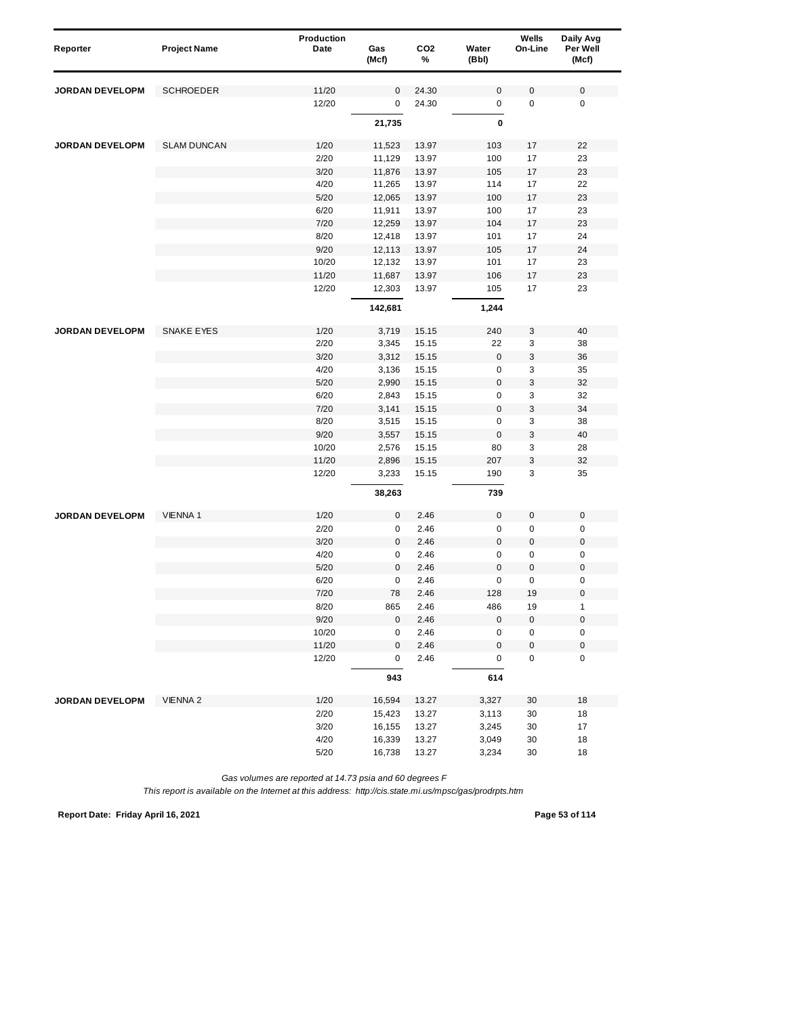| Reporter               | <b>Project Name</b> | Production<br>Date | Gas     | CO <sub>2</sub> | Water       | Wells<br>On-Line | Daily Avg<br>Per Well |
|------------------------|---------------------|--------------------|---------|-----------------|-------------|------------------|-----------------------|
|                        |                     |                    | (Mcf)   | %               | (Bbl)       |                  | (Mcf)                 |
| <b>JORDAN DEVELOPM</b> | <b>SCHROEDER</b>    | 11/20              | 0       | 24.30           | $\mathbf 0$ | $\pmb{0}$        | $\mathbf 0$           |
|                        |                     | 12/20              | 0       | 24.30           | 0           | $\mathbf 0$      | $\mathbf 0$           |
|                        |                     |                    |         |                 | 0           |                  |                       |
|                        |                     |                    | 21,735  |                 |             |                  |                       |
| <b>JORDAN DEVELOPM</b> | <b>SLAM DUNCAN</b>  | 1/20               | 11,523  | 13.97           | 103         | 17               | 22                    |
|                        |                     | 2/20               | 11,129  | 13.97           | 100         | 17               | 23                    |
|                        |                     | 3/20               | 11,876  | 13.97           | 105         | 17               | 23                    |
|                        |                     | 4/20               | 11,265  | 13.97           | 114         | 17               | 22                    |
|                        |                     | 5/20               | 12,065  | 13.97           | 100         | 17               | 23                    |
|                        |                     | 6/20               | 11,911  | 13.97           | 100         | 17               | 23                    |
|                        |                     | 7/20               | 12,259  | 13.97           | 104         | 17               | 23                    |
|                        |                     | 8/20               | 12,418  | 13.97           | 101         | 17               | 24                    |
|                        |                     | 9/20               | 12,113  | 13.97           | 105         | 17               | 24                    |
|                        |                     | 10/20              | 12,132  | 13.97           | 101         | 17               | 23                    |
|                        |                     | 11/20              | 11,687  | 13.97           | 106         | 17               | 23                    |
|                        |                     | 12/20              | 12,303  | 13.97           | 105         | 17               | 23                    |
|                        |                     |                    | 142,681 |                 | 1,244       |                  |                       |
| <b>JORDAN DEVELOPM</b> | <b>SNAKE EYES</b>   | 1/20               | 3,719   | 15.15           | 240         | 3                | 40                    |
|                        |                     | 2/20               | 3,345   | 15.15           | 22          | 3                | 38                    |
|                        |                     | 3/20               | 3,312   | 15.15           | $\mathbf 0$ | 3                | 36                    |
|                        |                     | 4/20               | 3,136   | 15.15           | $\pmb{0}$   | 3                | 35                    |
|                        |                     | 5/20               | 2,990   | 15.15           | $\bf 0$     | 3                | 32                    |
|                        |                     | 6/20               | 2,843   | 15.15           | 0           | 3                | 32                    |
|                        |                     | 7/20               | 3,141   | 15.15           | $\bf 0$     | 3                | 34                    |
|                        |                     | 8/20               | 3,515   | 15.15           | $\pmb{0}$   | 3                | 38                    |
|                        |                     | 9/20               | 3,557   | 15.15           | $\pmb{0}$   | 3                | 40                    |
|                        |                     | 10/20              | 2,576   | 15.15           | 80          | 3                | 28                    |
|                        |                     | 11/20              | 2,896   | 15.15           | 207         | 3                | 32                    |
|                        |                     | 12/20              | 3,233   | 15.15           | 190         | 3                | 35                    |
|                        |                     |                    | 38,263  |                 | 739         |                  |                       |
| <b>JORDAN DEVELOPM</b> | <b>VIENNA1</b>      | 1/20               | 0       | 2.46            | $\bf 0$     | 0                | $\mathbf 0$           |
|                        |                     | 2/20               | 0       | 2.46            | 0           | $\mathbf 0$      | 0                     |
|                        |                     | 3/20               | 0       | 2.46            | $\bf 0$     | $\boldsymbol{0}$ | $\boldsymbol{0}$      |
|                        |                     | 4/20               | 0       | 2.46            | $\pmb{0}$   | 0                | $\pmb{0}$             |
|                        |                     | 5/20               | 0       | 2.46            | $\bf 0$     | $\bf{0}$         | $\boldsymbol{0}$      |
|                        |                     | 6/20               | 0       | 2.46            | 0           | 0                | 0                     |
|                        |                     | 7/20               | 78      | 2.46            | 128         | 19               | 0                     |
|                        |                     | 8/20               | 865     | 2.46            | 486         | 19               | 1                     |
|                        |                     | 9/20               | 0       | 2.46            | $\bf 0$     | $\pmb{0}$        | $\mathbf 0$           |
|                        |                     | 10/20              | 0       | 2.46            | 0           | 0                | 0                     |
|                        |                     | 11/20              | 0       | 2.46            | $\pmb{0}$   | $\pmb{0}$        | $\pmb{0}$             |
|                        |                     | 12/20              | 0       | 2.46            | 0           | $\pmb{0}$        | $\pmb{0}$             |
|                        |                     |                    | 943     |                 | 614         |                  |                       |
| JORDAN DEVELOPM        | <b>VIENNA 2</b>     | 1/20               | 16,594  | 13.27           | 3,327       | 30               | 18                    |
|                        |                     | 2/20               | 15,423  | 13.27           | 3,113       | 30               | 18                    |
|                        |                     | 3/20               | 16,155  | 13.27           | 3,245       | 30               | 17                    |
|                        |                     | 4/20               | 16,339  | 13.27           | 3,049       | 30               | 18                    |
|                        |                     | 5/20               | 16,738  | 13.27           | 3,234       | 30               | 18                    |

**Report Date: Friday April 16, 2021 Page 53 of 114**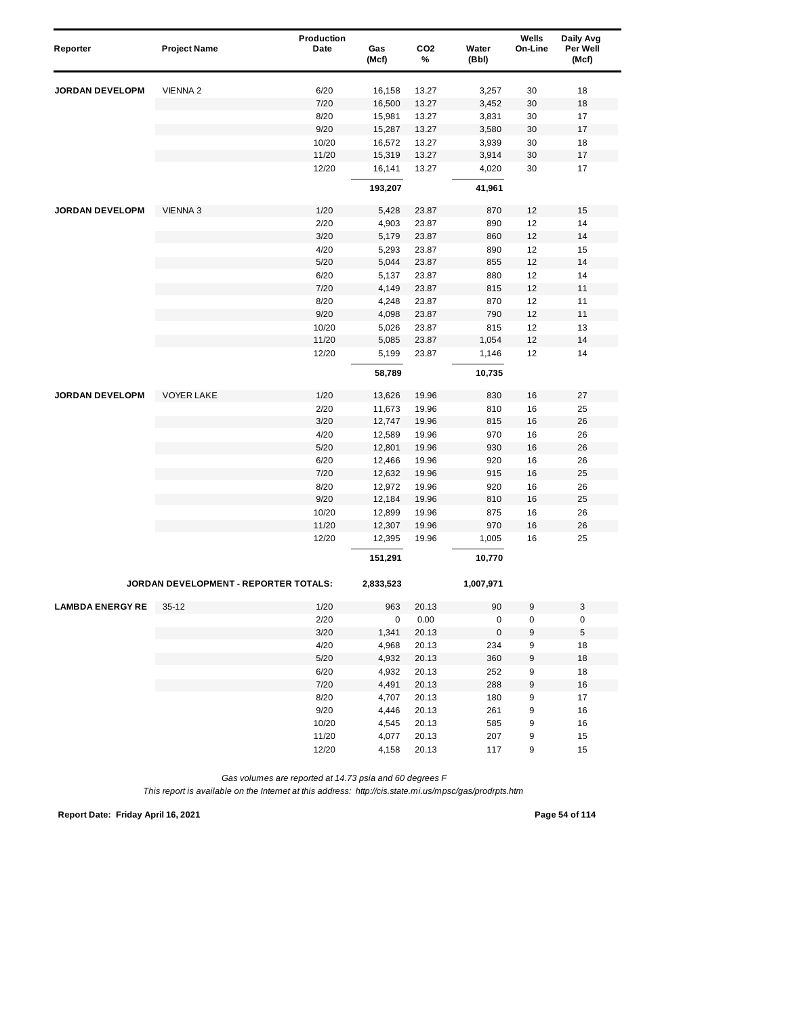| Reporter                | <b>Project Name</b>                   | Production<br>Date | Gas<br>(Mcf) | CO <sub>2</sub><br>% | Water<br>(Bbl) | Wells<br>On-Line | Daily Avg<br>Per Well<br>(Mcf) |
|-------------------------|---------------------------------------|--------------------|--------------|----------------------|----------------|------------------|--------------------------------|
|                         |                                       |                    |              |                      |                |                  |                                |
| <b>JORDAN DEVELOPM</b>  | <b>VIENNA 2</b>                       | 6/20               | 16,158       | 13.27                | 3,257          | 30               | 18                             |
|                         |                                       | 7/20               | 16,500       | 13.27                | 3,452          | 30               | 18                             |
|                         |                                       | 8/20               | 15,981       | 13.27                | 3,831          | 30               | 17                             |
|                         |                                       | 9/20               | 15,287       | 13.27                | 3,580          | 30               | 17                             |
|                         |                                       | 10/20              | 16,572       | 13.27                | 3,939          | 30               | 18                             |
|                         |                                       | 11/20              | 15,319       | 13.27                | 3,914          | 30               | 17                             |
|                         |                                       | 12/20              | 16,141       | 13.27                | 4,020          | 30               | 17                             |
|                         |                                       |                    | 193,207      |                      | 41,961         |                  |                                |
| <b>JORDAN DEVELOPM</b>  | <b>VIENNA 3</b>                       | 1/20               | 5,428        | 23.87                | 870            | 12               | 15                             |
|                         |                                       | 2/20               | 4,903        | 23.87                | 890            | 12               | 14                             |
|                         |                                       | 3/20               | 5,179        | 23.87                | 860            | 12               | 14                             |
|                         |                                       | 4/20               | 5,293        | 23.87                | 890            | 12               | 15                             |
|                         |                                       | 5/20               | 5,044        | 23.87                | 855            | 12               | 14                             |
|                         |                                       | 6/20               | 5,137        | 23.87                | 880            | 12               | 14                             |
|                         |                                       | 7/20               | 4,149        | 23.87                | 815            | 12               | 11                             |
|                         |                                       | 8/20               | 4,248        | 23.87                | 870            | 12               | 11                             |
|                         |                                       | 9/20               | 4,098        | 23.87                | 790            | 12               | 11                             |
|                         |                                       | 10/20              | 5,026        | 23.87                | 815            | 12               | 13                             |
|                         |                                       | 11/20              | 5,085        | 23.87                | 1,054          | 12               | 14                             |
|                         |                                       | 12/20              | 5,199        | 23.87                | 1,146          | 12               | 14                             |
|                         |                                       |                    | 58,789       |                      | 10,735         |                  |                                |
| <b>JORDAN DEVELOPM</b>  | <b>VOYER LAKE</b>                     | 1/20               | 13,626       | 19.96                | 830            | 16               | 27                             |
|                         |                                       | 2/20               | 11,673       | 19.96                | 810            | 16               | 25                             |
|                         |                                       | 3/20               | 12,747       | 19.96                | 815            | 16               | 26                             |
|                         |                                       | 4/20               | 12,589       | 19.96                | 970            | 16               | 26                             |
|                         |                                       | 5/20               | 12,801       | 19.96                | 930            | 16               | 26                             |
|                         |                                       | 6/20               | 12,466       | 19.96                | 920            | 16               | 26                             |
|                         |                                       | 7/20               | 12,632       | 19.96                | 915            | 16               | 25                             |
|                         |                                       | 8/20               | 12,972       | 19.96                | 920            | 16               | 26                             |
|                         |                                       | 9/20               | 12,184       | 19.96                | 810            | 16               | 25                             |
|                         |                                       | 10/20              | 12,899       | 19.96                | 875            | 16               | 26                             |
|                         |                                       | 11/20              | 12,307       | 19.96                | 970            | 16               | 26                             |
|                         |                                       | 12/20              | 12,395       | 19.96                | 1,005          | 16               | 25                             |
|                         |                                       |                    | 151,291      |                      | 10,770         |                  |                                |
|                         | JORDAN DEVELOPMENT - REPORTER TOTALS: |                    | 2,833,523    |                      | 1,007,971      |                  |                                |
| <b>LAMBDA ENERGY RE</b> | $35-12$                               | 1/20               | 963          | 20.13                | 90             | 9                | 3                              |
|                         |                                       | 2/20               | 0            | 0.00                 | $\mathbf 0$    | 0                | 0                              |
|                         |                                       | 3/20               | 1,341        | 20.13                | 0              | 9                | $\mathbf 5$                    |
|                         |                                       | 4/20               | 4,968        | 20.13                | 234            | 9                | 18                             |
|                         |                                       | $5/20$             | 4,932        | 20.13                | 360            | 9                | 18                             |
|                         |                                       | 6/20               | 4,932        | 20.13                | 252            | 9                | 18                             |
|                         |                                       | 7/20               | 4,491        | 20.13                | 288            | 9                | 16                             |
|                         |                                       | 8/20               | 4,707        | 20.13                | 180            | 9                | 17                             |
|                         |                                       | 9/20               | 4,446        | 20.13                | 261            | 9                | 16                             |
|                         |                                       | 10/20              | 4,545        | 20.13                | 585            | 9                | 16                             |
|                         |                                       | 11/20              | 4,077        | 20.13                | 207            | 9                | 15                             |
|                         |                                       | 12/20              | 4,158        | 20.13                | 117            | 9                | 15                             |

*This report is available on the Internet at this address: http://cis.state.mi.us/mpsc/gas/prodrpts.htm*

**Report Date: Friday April 16, 2021 Page 54 of 114**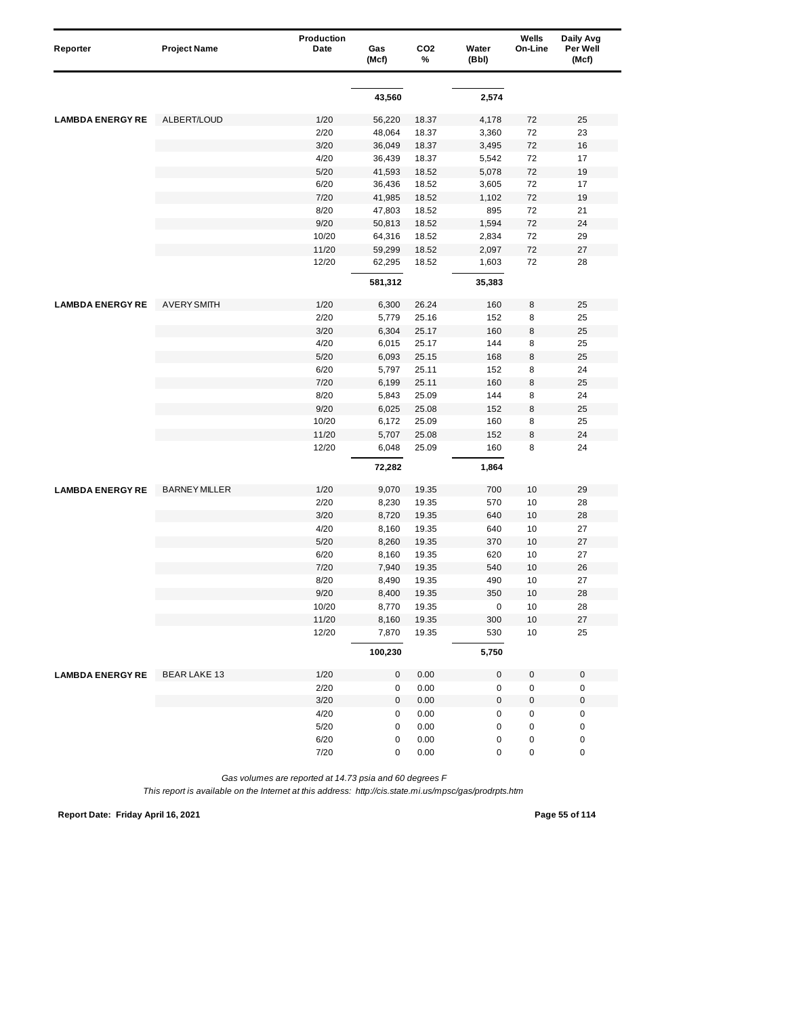| Reporter                | <b>Project Name</b>  | Production<br>Date | Gas       | CO <sub>2</sub> | Water       | Wells<br>On-Line | Daily Avg<br>Per Well |
|-------------------------|----------------------|--------------------|-----------|-----------------|-------------|------------------|-----------------------|
|                         |                      |                    | (Mcf)     | %               | (Bbl)       |                  | (Mcf)                 |
|                         |                      |                    |           |                 |             |                  |                       |
|                         |                      |                    | 43,560    |                 | 2,574       |                  |                       |
| <b>LAMBDA ENERGY RE</b> | ALBERT/LOUD          | 1/20               | 56,220    | 18.37           | 4,178       | 72               | 25                    |
|                         |                      | 2/20               | 48,064    | 18.37           | 3,360       | 72               | 23                    |
|                         |                      | 3/20               | 36,049    | 18.37           | 3,495       | 72               | 16                    |
|                         |                      | 4/20               | 36,439    | 18.37           | 5,542       | 72               | 17                    |
|                         |                      | 5/20               | 41,593    | 18.52           | 5,078       | 72               | 19                    |
|                         |                      | 6/20               | 36,436    | 18.52           | 3,605       | 72               | 17                    |
|                         |                      | 7/20               | 41,985    | 18.52           | 1,102       | 72               | 19                    |
|                         |                      | 8/20               | 47,803    | 18.52           | 895         | 72               | 21                    |
|                         |                      | 9/20               | 50,813    | 18.52           | 1,594       | 72               | 24                    |
|                         |                      | 10/20              | 64,316    | 18.52           | 2,834       | 72               | 29                    |
|                         |                      | 11/20              | 59,299    | 18.52           | 2,097       | 72               | 27                    |
|                         |                      | 12/20              | 62,295    | 18.52           | 1,603       | 72               | 28                    |
|                         |                      |                    | 581,312   |                 | 35,383      |                  |                       |
| <b>LAMBDA ENERGY RE</b> | <b>AVERY SMITH</b>   | 1/20               | 6,300     | 26.24           | 160         | 8                | 25                    |
|                         |                      | 2/20               | 5,779     | 25.16           | 152         | 8                | 25                    |
|                         |                      | 3/20               | 6,304     | 25.17           | 160         | 8                | 25                    |
|                         |                      | 4/20               | 6,015     | 25.17           | 144         | 8                | 25                    |
|                         |                      | 5/20               | 6,093     | 25.15           | 168         | 8                | 25                    |
|                         |                      | 6/20               | 5,797     | 25.11           | 152         | 8                | 24                    |
|                         |                      | 7/20               | 6,199     | 25.11           | 160         | 8                | 25                    |
|                         |                      | 8/20               | 5,843     | 25.09           | 144         | 8                | 24                    |
|                         |                      | 9/20               | 6,025     | 25.08           | 152         | 8                | 25                    |
|                         |                      | 10/20              | 6,172     | 25.09           | 160         | 8                | 25                    |
|                         |                      | 11/20              | 5,707     | 25.08           | 152         | 8                | 24                    |
|                         |                      | 12/20              | 6,048     | 25.09           | 160         | 8                | 24                    |
|                         |                      |                    | 72,282    |                 | 1,864       |                  |                       |
|                         |                      |                    |           |                 |             |                  |                       |
| <b>LAMBDA ENERGY RE</b> | <b>BARNEY MILLER</b> | 1/20               | 9,070     | 19.35           | 700         | 10               | 29                    |
|                         |                      | 2/20               | 8,230     | 19.35           | 570         | 10               | 28                    |
|                         |                      | 3/20               | 8,720     | 19.35           | 640         | 10               | 28                    |
|                         |                      | 4/20               | 8,160     | 19.35           | 640         | 10               | 27                    |
|                         |                      | 5/20               | 8,260     | 19.35           | 370         | 10               | 27                    |
|                         |                      | 6/20               | 8,160     | 19.35           | 620         | 10               | 27                    |
|                         |                      | 7/20               | 7,940     | 19.35           | 540         | 10               | 26                    |
|                         |                      | 8/20               | 8,490     | 19.35           | 490         | 10               | 27                    |
|                         |                      | 9/20               | 8,400     | 19.35           | 350         | 10               | 28                    |
|                         |                      | 10/20              | 8,770     | 19.35           | 0           | 10               | 28                    |
|                         |                      | 11/20              | 8,160     | 19.35           | 300         | 10               | 27                    |
|                         |                      | 12/20              | 7,870     | 19.35           | 530         | 10               | 25                    |
|                         |                      |                    | 100,230   |                 | 5,750       |                  |                       |
| <b>LAMBDA ENERGY RE</b> | <b>BEAR LAKE 13</b>  | 1/20               | 0         | 0.00            | 0           | 0                | $\pmb{0}$             |
|                         |                      | 2/20               | 0         | 0.00            | 0           | $\pmb{0}$        | 0                     |
|                         |                      | 3/20               | $\pmb{0}$ | 0.00            | $\mathbf 0$ | 0                | $\boldsymbol{0}$      |
|                         |                      | 4/20               | 0         | 0.00            | 0           | 0                | $\pmb{0}$             |
|                         |                      | $5/20$             | 0         | 0.00            | $\mathbf 0$ | 0                | 0                     |
|                         |                      | 6/20               | 0         | 0.00            | 0           | 0                | 0                     |
|                         |                      | 7/20               | 0         | $0.00\,$        | 0           | 0                | 0                     |

*This report is available on the Internet at this address: http://cis.state.mi.us/mpsc/gas/prodrpts.htm*

**Report Date: Friday April 16, 2021 Page 55 of 114**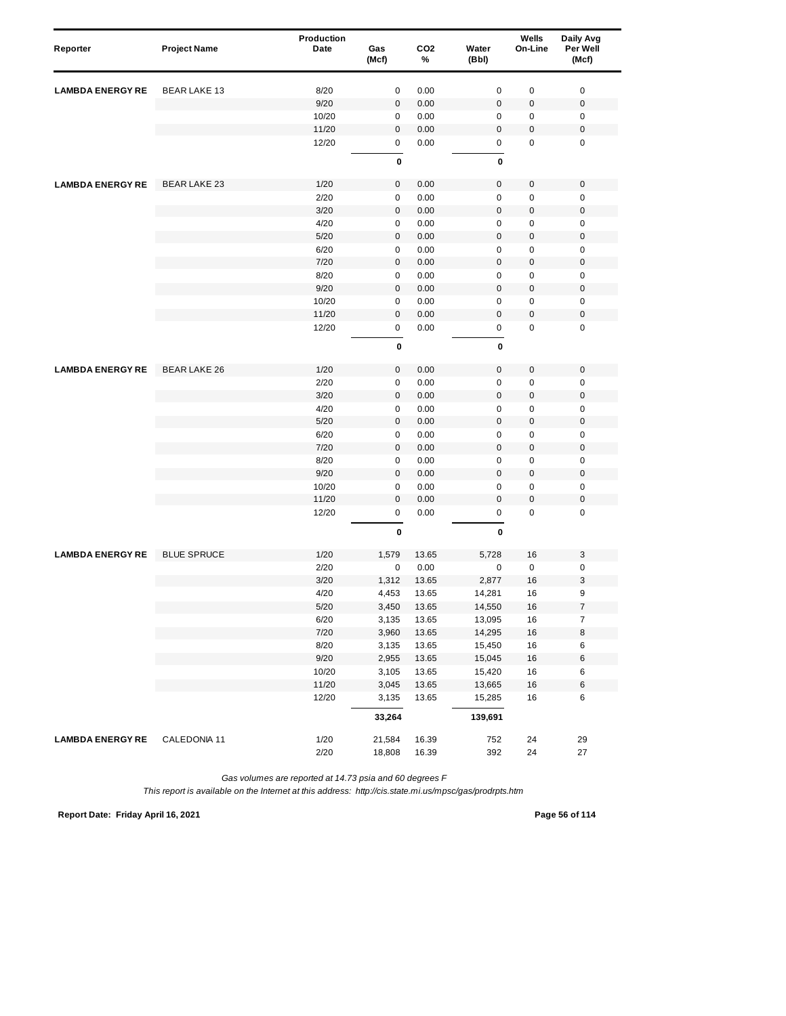| Reporter                | <b>Project Name</b> | Production<br>Date | Gas<br>(Mcf) | CO <sub>2</sub><br>% | Water<br>(Bbl) | Wells<br>On-Line | Daily Avg<br>Per Well<br>(Mcf) |  |
|-------------------------|---------------------|--------------------|--------------|----------------------|----------------|------------------|--------------------------------|--|
| <b>LAMBDA ENERGY RE</b> | <b>BEAR LAKE 13</b> | 8/20               | 0            | 0.00                 | $\mathsf 0$    | $\pmb{0}$        | $\mathbf 0$                    |  |
|                         |                     | 9/20               | $\pmb{0}$    | 0.00                 | $\bf 0$        | $\mathbf 0$      | $\pmb{0}$                      |  |
|                         |                     | 10/20              | 0            | 0.00                 | 0              | 0                | $\mathbf 0$                    |  |
|                         |                     | 11/20              | $\mathbf 0$  | 0.00                 | $\mathbf 0$    | 0                | $\pmb{0}$                      |  |
|                         |                     | 12/20              | 0            | 0.00                 | 0              | 0                | $\mathbf 0$                    |  |
|                         |                     |                    | 0            |                      | 0              |                  |                                |  |
| <b>LAMBDA ENERGY RE</b> | <b>BEAR LAKE 23</b> | 1/20               | 0            | 0.00                 | 0              | $\pmb{0}$        | $\mathbf 0$                    |  |
|                         |                     | 2/20               | $\pmb{0}$    | 0.00                 | $\mathsf 0$    | 0                | $\mathbf 0$                    |  |
|                         |                     | 3/20               | 0            | 0.00                 | $\mathbf 0$    | $\mathbf 0$      | $\pmb{0}$                      |  |
|                         |                     | 4/20               | 0            | 0.00                 | 0              | 0                | $\mathbf 0$                    |  |
|                         |                     | 5/20               | $\pmb{0}$    | 0.00                 | $\mathbf{0}$   | 0                | $\mathbf 0$                    |  |
|                         |                     | 6/20               | 0            | 0.00                 | 0              | $\mathbf 0$      | $\pmb{0}$                      |  |
|                         |                     | 7/20               | $\mathbf 0$  | 0.00                 | $\mathbf{0}$   | 0                | $\mathbf 0$                    |  |
|                         |                     | 8/20               | $\pmb{0}$    | 0.00                 | $\mathsf 0$    | 0                | $\mathbf 0$                    |  |
|                         |                     | 9/20               | $\pmb{0}$    | 0.00                 | $\bf 0$        | $\mathbf 0$      | $\mathbf 0$                    |  |
|                         |                     | 10/20              | $\pmb{0}$    | 0.00                 | 0              | 0                | $\mathbf 0$                    |  |
|                         |                     | 11/20              | $\pmb{0}$    | 0.00                 | $\mathbf 0$    | 0                | $\pmb{0}$                      |  |
|                         |                     | 12/20              | 0            | 0.00                 | 0              | 0                | $\mathbf 0$                    |  |
|                         |                     |                    | 0            |                      | 0              |                  |                                |  |
| <b>LAMBDA ENERGY RE</b> | <b>BEAR LAKE 26</b> | 1/20               | $\pmb{0}$    | 0.00                 | $\mathbf 0$    | 0                | $\mathbf 0$                    |  |
|                         |                     | 2/20               | $\pmb{0}$    | 0.00                 | $\mathsf 0$    | 0                | $\mathbf 0$                    |  |
|                         |                     | 3/20               | 0            | 0.00                 | $\pmb{0}$      | $\mathbf 0$      | $\pmb{0}$                      |  |
|                         |                     | 4/20               | $\pmb{0}$    | 0.00                 | 0              | 0                | $\mathbf 0$                    |  |
|                         |                     | 5/20               | $\pmb{0}$    | 0.00                 | $\bf 0$        | 0                | $\mathbf 0$                    |  |
|                         |                     | 6/20               | 0            | 0.00                 | 0              | 0                | $\pmb{0}$                      |  |
|                         |                     | 7/20               | 0            | 0.00                 | $\mathsf 0$    | 0                | $\pmb{0}$                      |  |
|                         |                     | 8/20               | $\pmb{0}$    | 0.00                 | 0              | 0                | $\mathbf 0$                    |  |
|                         |                     | 9/20               | $\pmb{0}$    | 0.00                 | $\bf 0$        | $\mathbf 0$      | $\mathbf 0$                    |  |
|                         |                     | 10/20              | 0            | 0.00                 | 0              | $\mathbf 0$      | $\mathbf 0$                    |  |
|                         |                     | 11/20              | $\mathbf 0$  | 0.00                 | $\mathbf 0$    | 0                | $\pmb{0}$                      |  |
|                         |                     | 12/20              | 0            | 0.00                 | 0              | 0                | $\mathbf 0$                    |  |
|                         |                     |                    | 0            |                      | $\pmb{0}$      |                  |                                |  |
| <b>LAMBDA ENERGY RE</b> | <b>BLUE SPRUCE</b>  | 1/20               | 1,579        | 13.65                | 5,728          | 16               | $\ensuremath{\mathsf{3}}$      |  |
|                         |                     | 2/20               | 0            | 0.00                 | $\mathsf 0$    | $\pmb{0}$        | $\mathbf 0$                    |  |
|                         |                     | 3/20               | 1,312        | 13.65                | 2,877          | 16               | 3                              |  |
|                         |                     | 4/20               | 4,453        | 13.65                | 14,281         | 16               | 9                              |  |
|                         |                     | $5/20$             | 3,450        | 13.65                | 14,550         | 16               | $\boldsymbol{7}$               |  |
|                         |                     | 6/20               | 3,135        | 13.65                | 13,095         | 16               | $\boldsymbol{7}$               |  |
|                         |                     | 7/20               | 3,960        | 13.65                | 14,295         | 16               | 8                              |  |
|                         |                     | 8/20               | 3,135        | 13.65                | 15,450         | 16               | $\,6\,$                        |  |
|                         |                     | 9/20               | 2,955        | 13.65                | 15,045         | 16               | $\,6\,$                        |  |
|                         |                     | 10/20              | 3,105        | 13.65                | 15,420         | 16               | 6                              |  |
|                         |                     | 11/20              | 3,045        | 13.65                | 13,665         | 16               | 6                              |  |
|                         |                     | 12/20              | 3,135        | 13.65                | 15,285         | 16               | 6                              |  |
|                         |                     |                    | 33,264       |                      | 139,691        |                  |                                |  |
| <b>LAMBDA ENERGY RE</b> | CALEDONIA 11        | 1/20               | 21,584       | 16.39                | 752            | 24               | 29                             |  |
|                         |                     | 2/20               | 18,808       | 16.39                | 392            | 24               | 27                             |  |

*This report is available on the Internet at this address: http://cis.state.mi.us/mpsc/gas/prodrpts.htm*

**Report Date: Friday April 16, 2021 Page 56 of 114**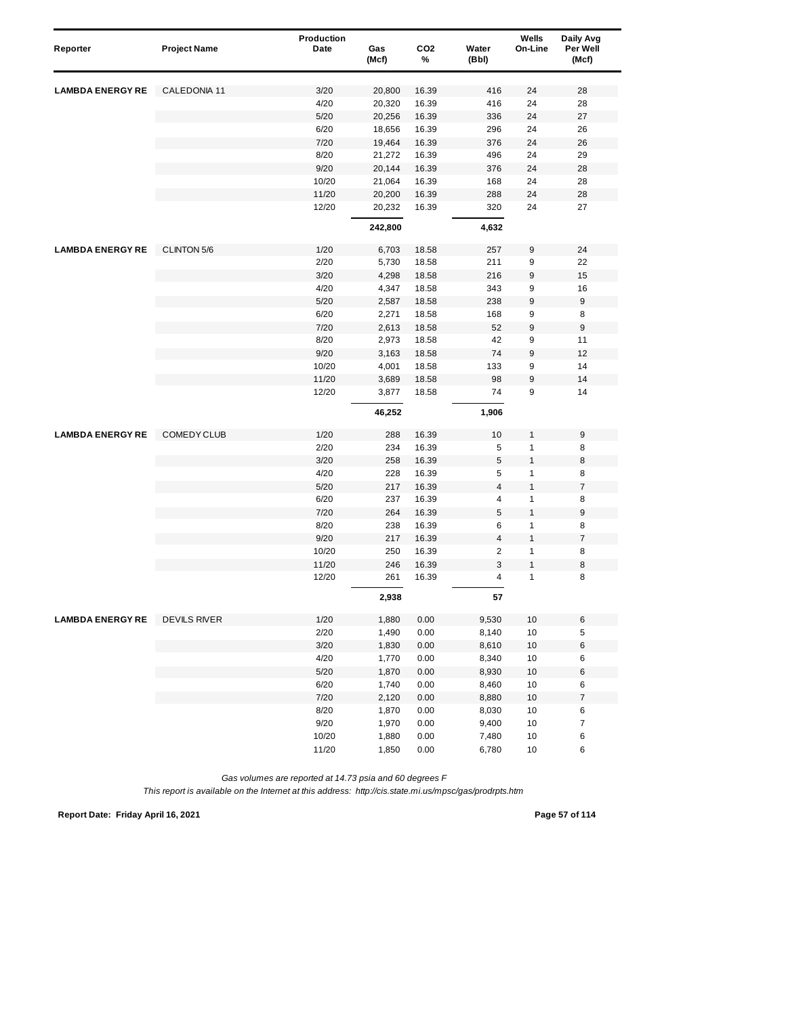| Reporter                | <b>Project Name</b> | <b>Production</b><br>Date | Gas<br>(Mcf) | CO <sub>2</sub><br>% | Water<br>(Bbl)          | Wells<br>On-Line | Daily Avg<br>Per Well<br>(Mcf) |
|-------------------------|---------------------|---------------------------|--------------|----------------------|-------------------------|------------------|--------------------------------|
| <b>LAMBDA ENERGY RE</b> | CALEDONIA 11        | 3/20                      | 20,800       | 16.39                | 416                     | 24               | 28                             |
|                         |                     | 4/20                      | 20,320       | 16.39                | 416                     | 24               | 28                             |
|                         |                     | 5/20                      | 20,256       | 16.39                | 336                     | 24               | 27                             |
|                         |                     | 6/20                      | 18,656       | 16.39                | 296                     | 24               | 26                             |
|                         |                     | 7/20                      | 19,464       | 16.39                | 376                     | 24               | 26                             |
|                         |                     | 8/20                      | 21,272       | 16.39                | 496                     | 24               | 29                             |
|                         |                     | 9/20                      | 20,144       | 16.39                | 376                     | 24               | 28                             |
|                         |                     | 10/20                     | 21,064       | 16.39                | 168                     | 24               | 28                             |
|                         |                     | 11/20                     | 20,200       | 16.39                | 288                     | 24               | 28                             |
|                         |                     | 12/20                     | 20,232       | 16.39                | 320                     | 24               | 27                             |
|                         |                     |                           | 242,800      |                      | 4,632                   |                  |                                |
| <b>LAMBDA ENERGY RE</b> | <b>CLINTON 5/6</b>  | 1/20                      | 6,703        | 18.58                | 257                     | 9                | 24                             |
|                         |                     | 2/20                      | 5,730        | 18.58                | 211                     | 9                | 22                             |
|                         |                     | 3/20                      | 4,298        | 18.58                | 216                     | 9                | 15                             |
|                         |                     | 4/20                      | 4,347        | 18.58                | 343                     | 9                | 16                             |
|                         |                     | 5/20                      | 2,587        | 18.58                | 238                     | 9                | 9                              |
|                         |                     | 6/20                      | 2,271        | 18.58                | 168                     | 9                | 8                              |
|                         |                     | 7/20                      | 2,613        | 18.58                | 52                      | 9                | 9                              |
|                         |                     | 8/20                      | 2,973        | 18.58                | 42                      | 9                | 11                             |
|                         |                     | 9/20                      | 3,163        | 18.58                | 74                      | 9                | 12                             |
|                         |                     | 10/20                     | 4,001        | 18.58                | 133                     | 9                | 14                             |
|                         |                     | 11/20                     | 3,689        | 18.58                | 98                      | 9                | 14                             |
|                         |                     | 12/20                     | 3,877        | 18.58                | 74                      | 9                | 14                             |
|                         |                     |                           | 46,252       |                      | 1,906                   |                  |                                |
| <b>LAMBDA ENERGY RE</b> | <b>COMEDY CLUB</b>  | 1/20                      | 288          | 16.39                | 10                      | 1                | 9                              |
|                         |                     | 2/20                      | 234          | 16.39                | 5                       | 1                | 8                              |
|                         |                     | 3/20                      | 258          | 16.39                | $\sqrt{5}$              | $\mathbf{1}$     | 8                              |
|                         |                     | 4/20                      | 228          | 16.39                | 5                       | 1                | 8                              |
|                         |                     | 5/20                      | 217          | 16.39                | $\overline{\mathbf{4}}$ | 1                | $\overline{\mathcal{I}}$       |
|                         |                     | 6/20                      | 237          | 16.39                | 4                       | 1                | 8                              |
|                         |                     | 7/20                      | 264          | 16.39                | 5                       | $\mathbf{1}$     | 9                              |
|                         |                     | 8/20                      | 238          | 16.39                | 6                       | 1                | 8                              |
|                         |                     | 9/20                      | 217          | 16.39                | $\overline{\mathbf{4}}$ | 1                | $\overline{\mathcal{I}}$       |
|                         |                     | 10/20                     | 250          | 16.39                | $\overline{2}$          | 1                | 8                              |
|                         |                     | 11/20                     | 246          | 16.39                | 3                       | 1                | 8                              |
|                         |                     | 12/20                     | 261          | 16.39                | 4                       | $\mathbf{1}$     | 8                              |
|                         |                     |                           | 2,938        |                      | 57                      |                  |                                |
| <b>LAMBDA ENERGY RE</b> | <b>DEVILS RIVER</b> | 1/20                      | 1,880        | 0.00                 | 9,530                   | 10               | 6                              |
|                         |                     | 2/20                      | 1,490        | 0.00                 | 8,140                   | $10$             | 5                              |
|                         |                     | 3/20                      | 1,830        | 0.00                 | 8,610                   | $10$             | 6                              |
|                         |                     | 4/20                      | 1,770        | 0.00                 | 8,340                   | $10$             | 6                              |
|                         |                     | $5/20$                    | 1,870        | 0.00                 | 8,930                   | $10$             | 6                              |
|                         |                     | 6/20                      | 1,740        | 0.00                 | 8,460                   | 10               | 6                              |
|                         |                     | 7/20                      | 2,120        | 0.00                 | 8,880                   | $10$             | $\overline{\mathcal{I}}$       |
|                         |                     | 8/20                      | 1,870        | 0.00                 | 8,030                   | 10               | 6                              |
|                         |                     | 9/20                      | 1,970        | 0.00                 | 9,400                   | 10               | $\boldsymbol{7}$               |
|                         |                     | 10/20                     | 1,880        | 0.00                 | 7,480                   | $10$             | 6                              |
|                         |                     | 11/20                     | 1,850        | 0.00                 | 6,780                   | $10$             | 6                              |

*This report is available on the Internet at this address: http://cis.state.mi.us/mpsc/gas/prodrpts.htm*

**Report Date: Friday April 16, 2021 Page 57 of 114**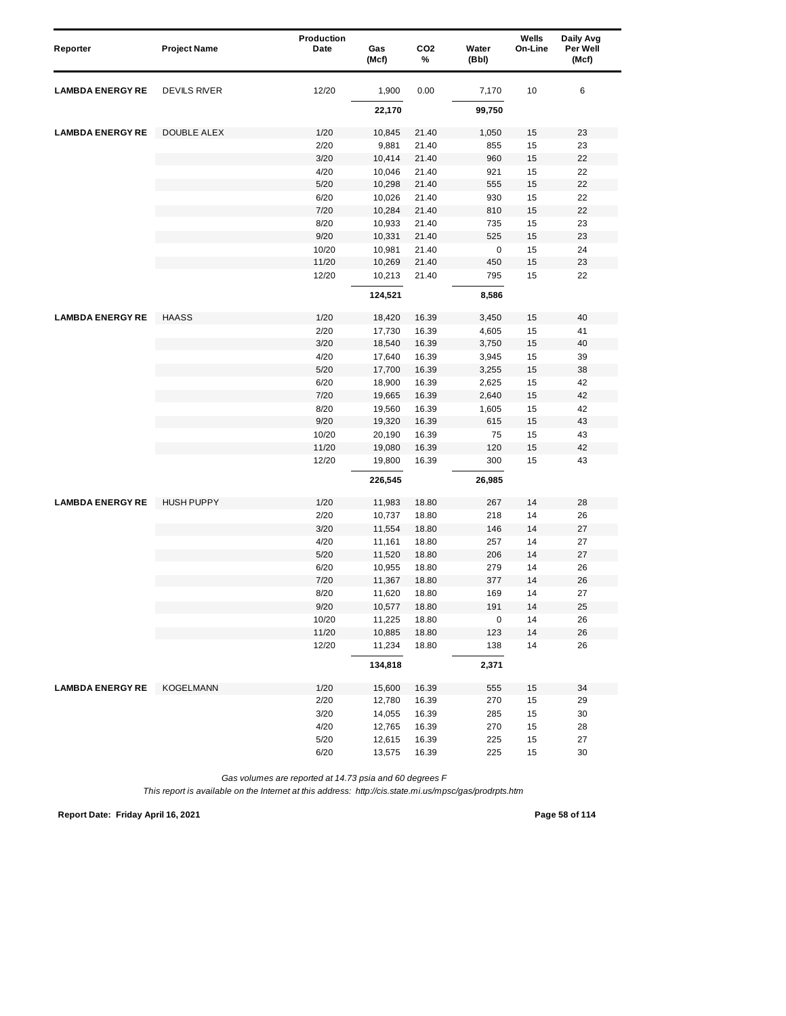| Reporter                | <b>Project Name</b> | Production<br>Date | Gas<br>(Mcf) | CO <sub>2</sub><br>% | Water<br>(Bbl) | Wells<br>On-Line | Daily Avg<br>Per Well<br>(Mcf) |
|-------------------------|---------------------|--------------------|--------------|----------------------|----------------|------------------|--------------------------------|
|                         |                     |                    |              |                      |                |                  |                                |
| <b>LAMBDA ENERGY RE</b> | <b>DEVILS RIVER</b> | 12/20              | 1,900        | 0.00                 | 7,170          | 10               | 6                              |
|                         |                     |                    | 22,170       |                      | 99,750         |                  |                                |
| <b>LAMBDA ENERGY RE</b> | <b>DOUBLE ALEX</b>  | 1/20               | 10,845       | 21.40                | 1,050          | 15               | 23                             |
|                         |                     | 2/20               | 9,881        | 21.40                | 855            | 15               | 23                             |
|                         |                     | 3/20               | 10,414       | 21.40                | 960            | 15               | 22                             |
|                         |                     | 4/20               | 10,046       | 21.40                | 921            | 15               | 22                             |
|                         |                     | 5/20               | 10,298       | 21.40                | 555            | 15               | 22                             |
|                         |                     | 6/20               | 10,026       | 21.40                | 930            | 15               | 22                             |
|                         |                     | 7/20               | 10,284       | 21.40                | 810            | 15               | 22                             |
|                         |                     | 8/20               | 10,933       | 21.40                | 735            | 15               | 23                             |
|                         |                     | 9/20               | 10,331       | 21.40                | 525            | 15               | 23                             |
|                         |                     | 10/20              | 10,981       | 21.40                | $\pmb{0}$      | 15               | 24                             |
|                         |                     | 11/20              | 10,269       | 21.40                | 450            | 15               | 23                             |
|                         |                     | 12/20              | 10,213       | 21.40                | 795            | 15               | 22                             |
|                         |                     |                    | 124,521      |                      | 8,586          |                  |                                |
| <b>LAMBDA ENERGY RE</b> | <b>HAASS</b>        | 1/20               | 18,420       | 16.39                | 3,450          | 15               | 40                             |
|                         |                     | 2/20               | 17,730       | 16.39                | 4,605          | 15               | 41                             |
|                         |                     | 3/20               | 18,540       | 16.39                | 3,750          | 15               | 40                             |
|                         |                     | 4/20               | 17,640       | 16.39                | 3,945          | 15               | 39                             |
|                         |                     | 5/20               | 17,700       | 16.39                | 3,255          | 15               | 38                             |
|                         |                     | 6/20               | 18,900       | 16.39                | 2,625          | 15               | 42                             |
|                         |                     | 7/20               | 19,665       | 16.39                | 2,640          | 15               | 42                             |
|                         |                     | 8/20               | 19,560       | 16.39                | 1,605          | 15               | 42                             |
|                         |                     | 9/20               | 19,320       | 16.39                | 615            | 15               | 43                             |
|                         |                     | 10/20              | 20,190       | 16.39                | 75             | 15               | 43                             |
|                         |                     | 11/20              | 19,080       | 16.39                | 120            | 15               | 42                             |
|                         |                     | 12/20              | 19,800       | 16.39                | 300            | 15               | 43                             |
|                         |                     |                    | 226,545      |                      | 26,985         |                  |                                |
| <b>LAMBDA ENERGY RE</b> | <b>HUSH PUPPY</b>   | 1/20               | 11,983       | 18.80                | 267            | 14               | 28                             |
|                         |                     | 2/20               | 10,737       | 18.80                | 218            | 14               | 26                             |
|                         |                     | 3/20               | 11,554       | 18.80                | 146            | 14               | 27                             |
|                         |                     | 4/20               | 11,161       | 18.80                | 257            | 14               | 27                             |
|                         |                     | 5/20               | 11,520       | 18.80                | 206            | 14               | 27                             |
|                         |                     | 6/20               | 10,955       | 18.80                | 279            | 14               | 26                             |
|                         |                     | 7/20               | 11,367       | 18.80                | 377            | 14               | 26                             |
|                         |                     | 8/20               | 11,620       | 18.80                | 169            | 14               | 27                             |
|                         |                     | 9/20               | 10,577       | 18.80                | 191            | 14               | 25                             |
|                         |                     | 10/20              | 11,225       | 18.80                | 0              | 14               | 26                             |
|                         |                     | 11/20              | 10,885       | 18.80                | 123            | 14               | 26                             |
|                         |                     | 12/20              | 11,234       | 18.80                | 138            | 14               | 26                             |
|                         |                     |                    | 134,818      |                      | 2,371          |                  |                                |
| <b>LAMBDA ENERGY RE</b> | KOGELMANN           | 1/20               | 15,600       | 16.39                | 555            | 15               | 34                             |
|                         |                     | 2/20               | 12,780       | 16.39                | 270            | 15               | 29                             |
|                         |                     | 3/20               | 14,055       | 16.39                | 285            | 15               | 30                             |
|                         |                     | 4/20               | 12,765       | 16.39                | 270            | 15               | 28                             |
|                         |                     | $5/20$             | 12,615       | 16.39                | 225            | 15               | 27                             |
|                         |                     | 6/20               | 13,575       | 16.39                | 225            | 15               | 30                             |

*This report is available on the Internet at this address: http://cis.state.mi.us/mpsc/gas/prodrpts.htm*

**Report Date: Friday April 16, 2021 Page 58 of 114**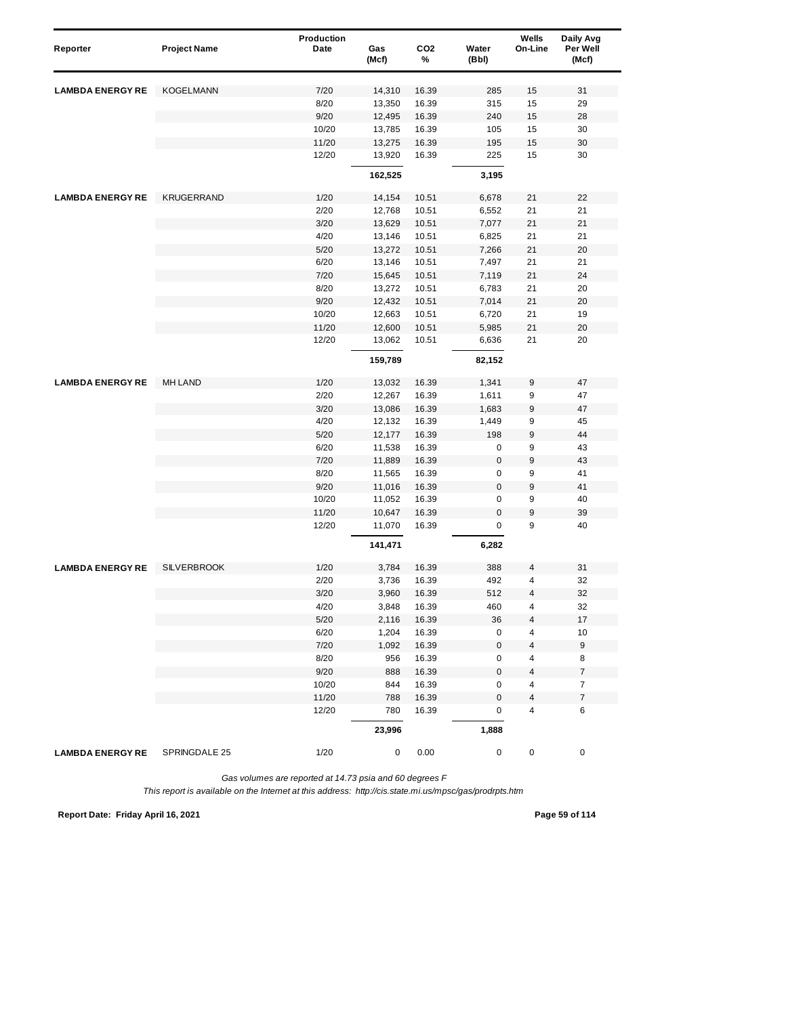| Reporter                | <b>Project Name</b> | Production<br>Date | Gas<br>(Mcf)  | CO <sub>2</sub><br>% | Water<br>(Bbl) | Wells<br>On-Line | Daily Avg<br>Per Well<br>(Mcf) |  |
|-------------------------|---------------------|--------------------|---------------|----------------------|----------------|------------------|--------------------------------|--|
| <b>LAMBDA ENERGY RE</b> | <b>KOGELMANN</b>    | 7/20               | 14,310        | 16.39                | 285            | 15               | 31                             |  |
|                         |                     | 8/20               | 13,350        | 16.39                | 315            | 15               | 29                             |  |
|                         |                     | 9/20               | 12,495        | 16.39                | 240            | 15               | 28                             |  |
|                         |                     | 10/20              | 13,785        | 16.39                | 105            | 15               | 30                             |  |
|                         |                     | 11/20              | 13,275        | 16.39                | 195            | 15               | 30                             |  |
|                         |                     | 12/20              | 13,920        | 16.39                | 225            | 15               | 30                             |  |
|                         |                     |                    | 162,525       |                      | 3,195          |                  |                                |  |
| <b>LAMBDA ENERGY RE</b> | <b>KRUGERRAND</b>   | 1/20               | 14,154        | 10.51                | 6,678          | 21               | 22                             |  |
|                         |                     | 2/20               | 12,768        | 10.51                | 6,552          | 21               | 21                             |  |
|                         |                     | 3/20               | 13,629        | 10.51                | 7,077          | 21               | 21                             |  |
|                         |                     | 4/20               | 13,146        | 10.51                | 6,825          | 21               | 21                             |  |
|                         |                     | 5/20               | 13,272        | 10.51                | 7,266          | 21               | 20                             |  |
|                         |                     | 6/20               | 13,146        | 10.51                | 7,497          | 21               | 21                             |  |
|                         |                     | 7/20               | 15,645        | 10.51                | 7,119          | 21               | 24                             |  |
|                         |                     | 8/20               | 13,272        | 10.51                | 6,783          | 21               | 20                             |  |
|                         |                     | 9/20               | 12,432        | 10.51                | 7,014          | 21               | 20                             |  |
|                         |                     | 10/20              | 12,663        | 10.51                | 6,720          | 21               | 19                             |  |
|                         |                     | 11/20              | 12,600        | 10.51                | 5,985          | 21               | 20                             |  |
|                         |                     | 12/20              | 13,062        | 10.51                | 6,636          | 21               | 20                             |  |
|                         |                     |                    | 159,789       |                      | 82,152         |                  |                                |  |
| <b>LAMBDA ENERGY RE</b> | <b>MH LAND</b>      | 1/20               | 13,032        | 16.39                | 1,341          | 9                | 47                             |  |
|                         |                     | 2/20               | 12,267        | 16.39                | 1,611          | 9                | 47                             |  |
|                         |                     | 3/20               | 13,086        | 16.39                | 1,683          | 9                | 47                             |  |
|                         |                     | 4/20               | 12,132        | 16.39                | 1,449          | 9                | 45                             |  |
|                         |                     | 5/20               | 12,177        | 16.39                | 198            | 9                | 44                             |  |
|                         |                     | 6/20               | 11,538        | 16.39                | 0              | 9                | 43                             |  |
|                         |                     | 7/20               | 11,889        | 16.39                | $\mathsf 0$    | 9                | 43                             |  |
|                         |                     | 8/20               | 11,565        | 16.39                | 0              | 9                | 41                             |  |
|                         |                     | 9/20               | 11,016        | 16.39                | $\bf 0$        | 9                | 41                             |  |
|                         |                     | 10/20              | 11,052        | 16.39                | 0              | 9                | 40                             |  |
|                         |                     | 11/20              | 10,647        | 16.39                | $\mathbf 0$    | 9                | 39                             |  |
|                         |                     | 12/20              | 11,070        | 16.39                | 0              | 9                | 40                             |  |
|                         |                     |                    | 141,471       |                      | 6,282          |                  |                                |  |
| <b>LAMBDA ENERGY RE</b> | <b>SILVERBROOK</b>  | 1/20               | 3,784         | 16.39                | 388            | 4                | 31                             |  |
|                         |                     | 2/20               | 3,736         | 16.39                | 492            | 4                | 32                             |  |
|                         |                     | 3/20               | 3,960         | 16.39                | 512            | 4                | 32                             |  |
|                         |                     | 4/20               | 3,848         | 16.39                | 460            | 4                | 32                             |  |
|                         |                     | 5/20               | 2,116         | 16.39                | 36             | 4                | 17                             |  |
|                         |                     | 6/20               | 1,204         | 16.39                | 0              | 4                | 10                             |  |
|                         |                     | 7/20               | 1,092         | 16.39                | $\mathsf 0$    | 4                | $\boldsymbol{9}$               |  |
|                         |                     | 8/20               | 956           | 16.39                | 0              | 4                | 8                              |  |
|                         |                     | 9/20               | 888           | 16.39                | $\pmb{0}$      | 4                | $\boldsymbol{7}$               |  |
|                         |                     | 10/20              | 844           | 16.39                | 0              | 4                | $\overline{7}$                 |  |
|                         |                     | 11/20              | 788           | 16.39                | $\pmb{0}$      | 4                | $\overline{\mathcal{I}}$       |  |
|                         |                     | 12/20              | 780<br>23,996 | 16.39                | 0<br>1,888     | 4                | 6                              |  |
| <b>LAMBDA ENERGY RE</b> | SPRINGDALE 25       | 1/20               | 0             | 0.00                 | 0              | 0                | 0                              |  |
|                         |                     |                    |               |                      |                |                  |                                |  |

**Report Date: Friday April 16, 2021 Page 59 of 114**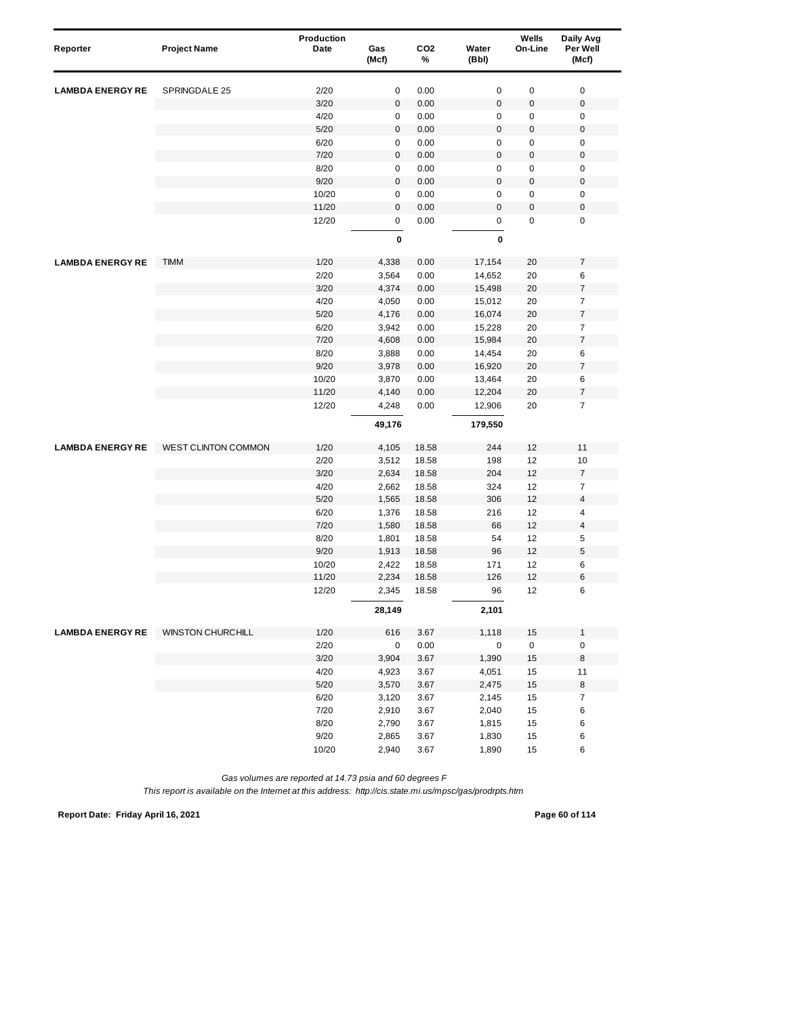| Reporter                | <b>Project Name</b> | Production<br>Date | Gas<br>(Mcf)     | CO <sub>2</sub><br>% | Water<br>(Bbl)   | Wells<br>On-Line | Daily Avg<br>Per Well<br>(Mcf)       |
|-------------------------|---------------------|--------------------|------------------|----------------------|------------------|------------------|--------------------------------------|
| <b>LAMBDA ENERGY RE</b> | SPRINGDALE 25       | 2/20               | 0                | 0.00                 | $\mathsf 0$      | 0                | $\pmb{0}$                            |
|                         |                     | 3/20               | $\pmb{0}$        | 0.00                 | $\pmb{0}$        | $\pmb{0}$        | $\pmb{0}$                            |
|                         |                     | 4/20               | 0                | 0.00                 | 0                | 0                | $\mathbf 0$                          |
|                         |                     | 5/20               | 0                | 0.00                 | $\mathbf 0$      | $\pmb{0}$        | $\mathbf 0$                          |
|                         |                     | 6/20               | 0                | 0.00                 | $\mathsf 0$      | 0                | $\pmb{0}$                            |
|                         |                     | 7/20               | 0                | 0.00                 | $\pmb{0}$        | $\pmb{0}$        | $\boldsymbol{0}$                     |
|                         |                     | 8/20               | 0                | 0.00                 | $\pmb{0}$        | 0                | $\mathbf 0$                          |
|                         |                     | 9/20               | $\mathsf 0$      | 0.00                 | $\mathbf 0$      | $\mathbf 0$      | $\boldsymbol{0}$                     |
|                         |                     | 10/20              | 0                | 0.00                 | $\pmb{0}$        | $\pmb{0}$        | 0                                    |
|                         |                     | 11/20              | 0                | 0.00                 | $\mathbf 0$      | $\pmb{0}$        | $\mathbf 0$                          |
|                         |                     | 12/20              | 0<br>$\mathbf 0$ | 0.00                 | 0<br>$\mathbf 0$ | $\mathbf 0$      | $\pmb{0}$                            |
|                         |                     |                    |                  |                      |                  |                  |                                      |
| <b>LAMBDA ENERGY RE</b> | <b>TIMM</b>         | 1/20               | 4,338            | 0.00                 | 17,154           | 20               | $\overline{7}$                       |
|                         |                     | 2/20               | 3,564            | 0.00                 | 14,652           | 20               | 6                                    |
|                         |                     | 3/20               | 4,374            | 0.00                 | 15,498           | 20               | $\overline{\mathcal{I}}$             |
|                         |                     | 4/20               | 4,050            | 0.00                 | 15,012           | 20               | $\overline{\mathcal{I}}$             |
|                         |                     | 5/20               | 4,176            | 0.00                 | 16,074           | 20               | $\overline{\mathcal{I}}$             |
|                         |                     | 6/20               | 3,942            | 0.00                 | 15,228           | 20               | $\boldsymbol{7}$<br>$\boldsymbol{7}$ |
|                         |                     | 7/20<br>8/20       | 4,608            | 0.00                 | 15,984           | 20               | $\,6$                                |
|                         |                     | 9/20               | 3,888            | 0.00                 | 14,454           | 20               | $\overline{\mathcal{I}}$             |
|                         |                     | 10/20              | 3,978            | 0.00<br>0.00         | 16,920<br>13,464 | 20<br>20         | 6                                    |
|                         |                     | 11/20              | 3,870<br>4,140   | 0.00                 | 12,204           | 20               | $\boldsymbol{7}$                     |
|                         |                     | 12/20              | 4,248            | 0.00                 | 12,906           | 20               | $\overline{7}$                       |
|                         |                     |                    | 49,176           |                      | 179,550          |                  |                                      |
| <b>LAMBDA ENERGY RE</b> | WEST CLINTON COMMON | 1/20               | 4,105            | 18.58                | 244              | 12               | 11                                   |
|                         |                     | 2/20               | 3,512            | 18.58                | 198              | 12               | 10                                   |
|                         |                     | 3/20               | 2,634            | 18.58                | 204              | 12               | $\boldsymbol{7}$                     |
|                         |                     | 4/20               | 2,662            | 18.58                | 324              | 12               | $\overline{7}$                       |
|                         |                     | 5/20               | 1,565            | 18.58                | 306              | 12               | $\overline{\mathbf{4}}$              |
|                         |                     | 6/20               | 1,376            | 18.58                | 216              | 12               | 4                                    |
|                         |                     | 7/20               | 1,580            | 18.58                | 66               | 12               | $\pmb{4}$                            |
|                         |                     | 8/20               | 1,801            | 18.58                | 54               | 12               | 5                                    |
|                         |                     | 9/20               | 1,913            | 18.58                | 96               | 12               | 5                                    |
|                         |                     | 10/20              | 2,422            | 18.58                | 171              | 12               | 6                                    |
|                         |                     | 11/20<br>12/20     | 2,234<br>2,345   | 18.58<br>18.58       | 126<br>96        | 12<br>12         | 6<br>6                               |
|                         |                     |                    | 28,149           |                      | 2,101            |                  |                                      |
| <b>LAMBDA ENERGY RE</b> | WINSTON CHURCHILL   | 1/20               | 616              | 3.67                 | 1,118            | 15               | $\mathbf{1}$                         |
|                         |                     | 2/20               | 0                | 0.00                 | $\pmb{0}$        | 0                | $\pmb{0}$                            |
|                         |                     | 3/20               | 3,904            | 3.67                 | 1,390            | 15               | 8                                    |
|                         |                     | 4/20               | 4,923            | 3.67                 | 4,051            | 15               | 11                                   |
|                         |                     | 5/20               | 3,570            | 3.67                 | 2,475            | 15               | 8                                    |
|                         |                     | 6/20               | 3,120            | 3.67                 | 2,145            | 15               | $\boldsymbol{7}$                     |
|                         |                     | 7/20               | 2,910            | 3.67                 | 2,040            | 15               | 6                                    |
|                         |                     | 8/20               | 2,790            | 3.67                 | 1,815            | 15               | 6                                    |
|                         |                     | 9/20               | 2,865            | 3.67                 | 1,830            | 15               | 6                                    |
|                         |                     | 10/20              | 2,940            | 3.67                 | 1,890            | 15               | 6                                    |

*This report is available on the Internet at this address: http://cis.state.mi.us/mpsc/gas/prodrpts.htm*

**Report Date: Friday April 16, 2021 Page 60 of 114**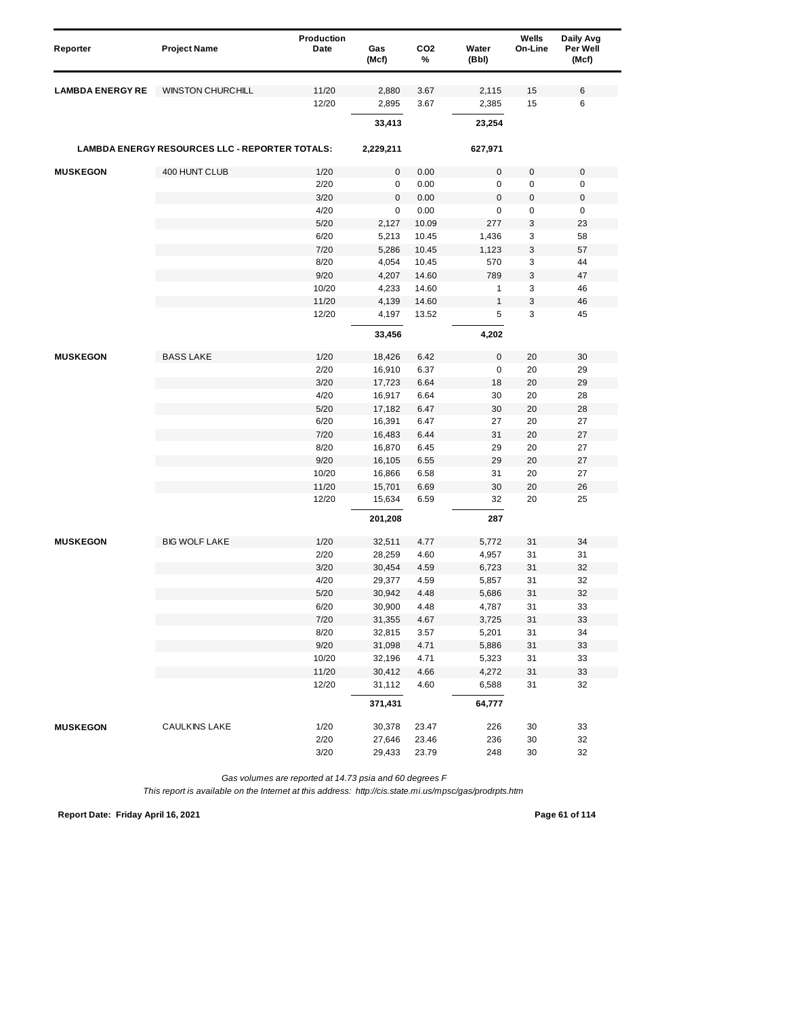| Reporter                | <b>Project Name</b>                            | Production<br>Date | Gas<br>(Mcf) | CO <sub>2</sub><br>% | Water<br>(Bbl)   | Wells<br>On-Line | Daily Avg<br>Per Well<br>(Mcf) |
|-------------------------|------------------------------------------------|--------------------|--------------|----------------------|------------------|------------------|--------------------------------|
| <b>LAMBDA ENERGY RE</b> | <b>WINSTON CHURCHILL</b>                       | 11/20              | 2,880        | 3.67                 | 2,115            | 15               | 6                              |
|                         |                                                | 12/20              | 2,895        | 3.67                 | 2,385            | 15               | 6                              |
|                         |                                                |                    | 33,413       |                      | 23,254           |                  |                                |
|                         | LAMBDA ENERGY RESOURCES LLC - REPORTER TOTALS: |                    | 2,229,211    |                      | 627,971          |                  |                                |
| <b>MUSKEGON</b>         | 400 HUNT CLUB                                  | 1/20               | 0            | 0.00                 | $\pmb{0}$        | $\mathbf 0$      | 0                              |
|                         |                                                | 2/20               | 0            | 0.00                 | 0                | $\pmb{0}$        | 0                              |
|                         |                                                | 3/20               | $\pmb{0}$    | 0.00                 | $\boldsymbol{0}$ | $\boldsymbol{0}$ | $\pmb{0}$                      |
|                         |                                                | 4/20               | 0            | 0.00                 | 0                | $\pmb{0}$        | $\pmb{0}$                      |
|                         |                                                | 5/20               | 2,127        | 10.09                | 277              | 3                | 23                             |
|                         |                                                | 6/20               | 5,213        | 10.45                | 1,436            | 3                | 58                             |
|                         |                                                | 7/20               | 5,286        | 10.45                | 1,123            | 3                | 57                             |
|                         |                                                | 8/20               | 4,054        | 10.45                | 570              | 3                | 44                             |
|                         |                                                | 9/20               | 4,207        | 14.60                | 789              | 3                | 47                             |
|                         |                                                | 10/20              | 4,233        | 14.60                | $\mathbf{1}$     | 3                | 46                             |
|                         |                                                | 11/20              | 4,139        | 14.60                | $\mathbf{1}$     | 3                | 46                             |
|                         |                                                | 12/20              | 4,197        | 13.52                | 5                | 3                | 45                             |
|                         |                                                |                    | 33,456       |                      | 4,202            |                  |                                |
| <b>MUSKEGON</b>         | <b>BASS LAKE</b>                               | 1/20               | 18,426       | 6.42                 | $\pmb{0}$        | 20               | 30                             |
|                         |                                                | 2/20               | 16,910       | 6.37                 | 0                | 20               | 29                             |
|                         |                                                | 3/20               | 17,723       | 6.64                 | 18               | 20               | 29                             |
|                         |                                                | 4/20               | 16,917       | 6.64                 | 30               | 20               | 28                             |
|                         |                                                | 5/20               | 17,182       | 6.47                 | 30               | 20               | 28                             |
|                         |                                                | 6/20               | 16,391       | 6.47                 | 27               | 20               | 27                             |
|                         |                                                | 7/20               | 16,483       | 6.44                 | 31               | 20               | 27                             |
|                         |                                                | 8/20               | 16,870       | 6.45                 | 29               | 20               | 27                             |
|                         |                                                | 9/20               | 16,105       | 6.55                 | 29               | 20               | 27                             |
|                         |                                                | 10/20              | 16,866       | 6.58                 | 31               | 20               | 27                             |
|                         |                                                | 11/20              | 15,701       | 6.69                 | 30               | 20               | 26                             |
|                         |                                                | 12/20              | 15,634       | 6.59                 | 32               | 20               | 25                             |
|                         |                                                |                    | 201,208      |                      | 287              |                  |                                |
| <b>MUSKEGON</b>         | <b>BIG WOLF LAKE</b>                           | 1/20               | 32,511       | 4.77                 | 5,772            | 31               | 34                             |
|                         |                                                | 2/20               | 28,259       | 4.60                 | 4,957            | 31               | 31                             |
|                         |                                                | 3/20               | 30,454       | 4.59                 | 6,723            | 31               | 32                             |
|                         |                                                | 4/20               | 29,377       | 4.59                 | 5,857            | 31               | 32                             |
|                         |                                                | 5/20               | 30,942       | 4.48                 | 5,686            | 31               | 32                             |
|                         |                                                | 6/20               | 30,900       | 4.48                 | 4,787            | 31               | 33                             |
|                         |                                                | 7/20               | 31,355       | 4.67                 | 3,725            | 31               | 33                             |
|                         |                                                | 8/20               | 32,815       | 3.57                 | 5,201            | 31               | 34                             |
|                         |                                                | 9/20               | 31,098       | 4.71                 | 5,886            | 31               | 33                             |
|                         |                                                | 10/20              | 32,196       | 4.71                 | 5,323            | 31               | 33                             |
|                         |                                                | 11/20              | 30,412       | 4.66                 | 4,272            | 31               | 33                             |
|                         |                                                | 12/20              | 31,112       | 4.60                 | 6,588            | 31               | 32                             |
|                         |                                                |                    | 371,431      |                      | 64,777           |                  |                                |
| <b>MUSKEGON</b>         | <b>CAULKINS LAKE</b>                           | 1/20               | 30,378       | 23.47                | 226              | 30               | 33                             |
|                         |                                                | 2/20               | 27,646       | 23.46                | 236              | 30               | 32                             |
|                         |                                                | 3/20               | 29,433       | 23.79                | 248              | 30               | 32                             |

**Report Date: Friday April 16, 2021 Page 61 of 114**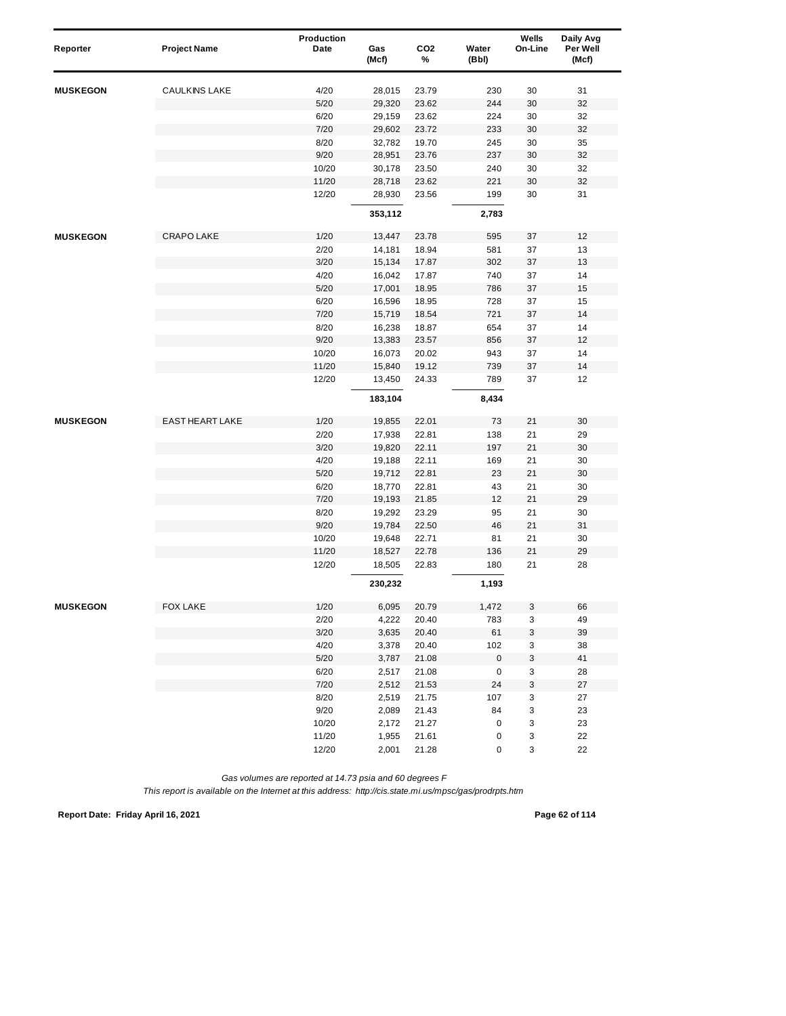| Reporter        | <b>Project Name</b>    | Production<br>Date | Gas<br>(Mcf) | CO <sub>2</sub><br>% | Water<br>(Bbl) | Wells<br>On-Line | Daily Avg<br>Per Well<br>(Mcf) |
|-----------------|------------------------|--------------------|--------------|----------------------|----------------|------------------|--------------------------------|
| <b>MUSKEGON</b> | <b>CAULKINS LAKE</b>   | 4/20               | 28,015       | 23.79                | 230            | 30               | 31                             |
|                 |                        | 5/20               | 29,320       | 23.62                | 244            | 30               | 32                             |
|                 |                        | 6/20               | 29,159       | 23.62                | 224            | 30               | 32                             |
|                 |                        | 7/20               | 29,602       | 23.72                | 233            | 30               | 32                             |
|                 |                        | 8/20               | 32,782       | 19.70                | 245            | 30               | 35                             |
|                 |                        | 9/20               | 28,951       | 23.76                | 237            | 30               | 32                             |
|                 |                        | 10/20              | 30,178       | 23.50                | 240            | 30               | 32                             |
|                 |                        | 11/20              | 28,718       | 23.62                | 221            | 30               | 32                             |
|                 |                        | 12/20              | 28,930       | 23.56                | 199            | 30               | 31                             |
|                 |                        |                    | 353,112      |                      | 2,783          |                  |                                |
| <b>MUSKEGON</b> | CRAPO LAKE             | 1/20               | 13,447       | 23.78                | 595            | 37               | 12                             |
|                 |                        | 2/20               | 14,181       | 18.94                | 581            | 37               | 13                             |
|                 |                        | 3/20               | 15,134       | 17.87                | 302            | 37               | 13                             |
|                 |                        | 4/20               | 16,042       | 17.87                | 740            | 37               | 14                             |
|                 |                        | 5/20               | 17,001       | 18.95                | 786            | 37               | 15                             |
|                 |                        | 6/20               | 16,596       | 18.95                | 728            | 37               | 15                             |
|                 |                        | 7/20               | 15,719       | 18.54                | 721            | 37               | 14                             |
|                 |                        | 8/20               | 16,238       | 18.87                | 654            | 37               | 14                             |
|                 |                        | 9/20               | 13,383       | 23.57                | 856            | 37               | 12                             |
|                 |                        | 10/20              | 16,073       | 20.02                | 943            | 37               | 14                             |
|                 |                        | 11/20              | 15,840       | 19.12                | 739            | 37               | 14                             |
|                 |                        | 12/20              | 13,450       | 24.33                | 789            | 37               | 12                             |
|                 |                        |                    | 183,104      |                      | 8,434          |                  |                                |
| <b>MUSKEGON</b> | <b>EAST HEART LAKE</b> | 1/20               | 19,855       | 22.01                | 73             | 21               | 30                             |
|                 |                        | 2/20               | 17,938       | 22.81                | 138            | 21               | 29                             |
|                 |                        | 3/20               | 19,820       | 22.11                | 197            | 21               | 30                             |
|                 |                        | 4/20               | 19,188       | 22.11                | 169            | 21               | 30                             |
|                 |                        | 5/20               | 19,712       | 22.81                | 23             | 21               | 30                             |
|                 |                        | 6/20               | 18,770       | 22.81                | 43             | 21               | 30                             |
|                 |                        | 7/20               | 19,193       | 21.85                | 12             | 21               | 29                             |
|                 |                        | 8/20               | 19,292       | 23.29                | 95             | 21               | 30                             |
|                 |                        | 9/20               | 19,784       | 22.50                | 46             | 21               | 31                             |
|                 |                        | 10/20              | 19,648       | 22.71                | 81             | 21               | 30                             |
|                 |                        | 11/20              | 18,527       | 22.78                | 136            | 21               | 29                             |
|                 |                        | 12/20              | 18,505       | 22.83                | 180            | 21               | 28                             |
|                 |                        |                    | 230,232      |                      | 1,193          |                  |                                |
| <b>MUSKEGON</b> | <b>FOX LAKE</b>        | 1/20               | 6,095        | 20.79                | 1,472          | 3                | 66                             |
|                 |                        | 2/20               | 4,222        | 20.40                | 783            | 3                | 49                             |
|                 |                        | 3/20               | 3,635        | 20.40                | 61             | 3                | 39                             |
|                 |                        | 4/20               | 3,378        | 20.40                | 102            | 3                | 38                             |
|                 |                        | $5/20$             | 3,787        | 21.08                | $\pmb{0}$      | 3                | 41                             |
|                 |                        | 6/20               | 2,517        | 21.08                | 0              | 3                | 28                             |
|                 |                        | 7/20               | 2,512        | 21.53                | 24             | 3                | 27                             |
|                 |                        | 8/20               | 2,519        | 21.75                | 107            | 3                | 27                             |
|                 |                        | 9/20               | 2,089        | 21.43                | 84             | 3                | 23                             |
|                 |                        | 10/20              | 2,172        | 21.27                | 0              | 3                | 23                             |
|                 |                        | 11/20              | 1,955        | 21.61                | 0              | 3                | 22                             |
|                 |                        | 12/20              | 2,001        | 21.28                | 0              | 3                | 22                             |

*This report is available on the Internet at this address: http://cis.state.mi.us/mpsc/gas/prodrpts.htm*

**Report Date: Friday April 16, 2021 Page 62 of 114**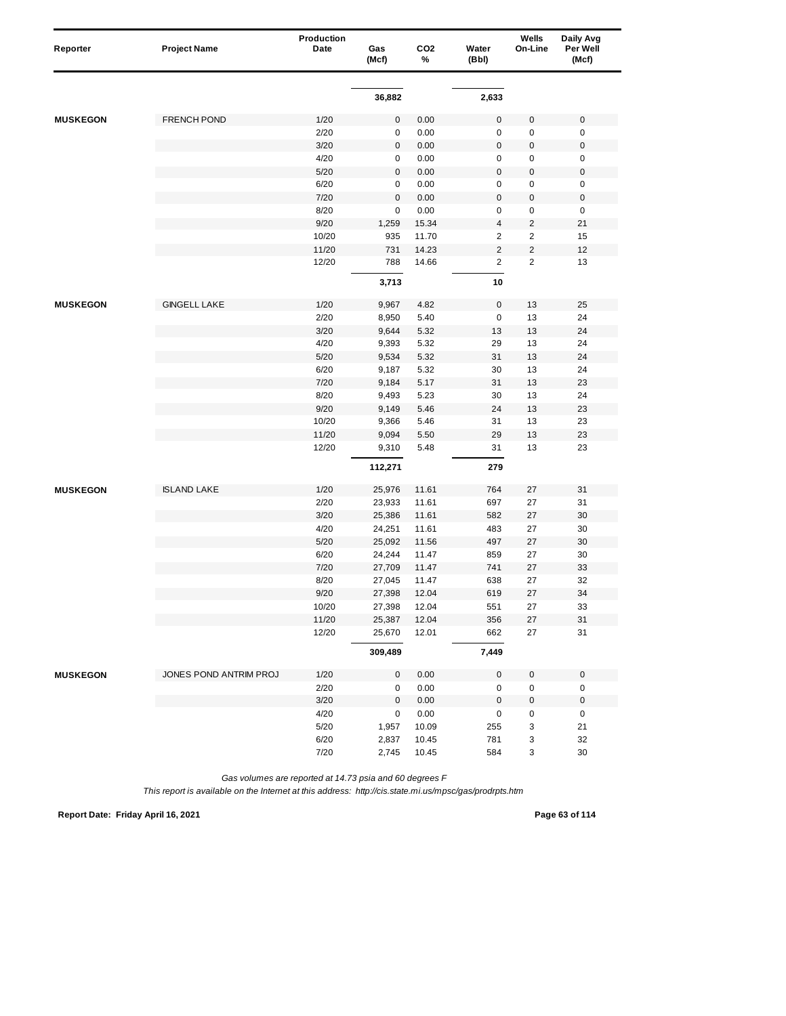|                 |                        | Production |              |                      |                | Wells                   | Daily Avg           |
|-----------------|------------------------|------------|--------------|----------------------|----------------|-------------------------|---------------------|
| Reporter        | <b>Project Name</b>    | Date       | Gas<br>(Mcf) | CO <sub>2</sub><br>% | Water<br>(Bbl) | On-Line                 | Per Well<br>(Mcf)   |
|                 |                        |            |              |                      |                |                         |                     |
|                 |                        |            | 36,882       |                      | 2,633          |                         |                     |
| <b>MUSKEGON</b> | <b>FRENCH POND</b>     | 1/20       | $\pmb{0}$    | 0.00                 | $\mathsf 0$    | 0                       | $\mathbf 0$         |
|                 |                        | 2/20       | $\pmb{0}$    | 0.00                 | 0              | $\pmb{0}$               | $\pmb{0}$           |
|                 |                        | 3/20       | $\pmb{0}$    | 0.00                 | $\mathbf 0$    | $\boldsymbol{0}$        | $\pmb{0}$           |
|                 |                        | 4/20       | $\pmb{0}$    | 0.00                 | 0              | 0                       | $\pmb{0}$           |
|                 |                        | 5/20       | 0            | 0.00                 | $\mathbf 0$    | 0                       | $\pmb{0}$           |
|                 |                        | 6/20       | $\pmb{0}$    | 0.00                 | 0              | 0                       | $\pmb{0}$           |
|                 |                        | 7/20       | 0            | 0.00                 | $\mathsf 0$    | 0                       | $\pmb{0}$           |
|                 |                        | 8/20       | $\pmb{0}$    | 0.00                 | 0              | 0                       | $\pmb{0}$           |
|                 |                        | 9/20       | 1,259        | 15.34                | $\overline{4}$ | $\overline{\mathbf{c}}$ | 21                  |
|                 |                        | 10/20      | 935          | 11.70                | $\overline{c}$ | 2                       | 15                  |
|                 |                        | 11/20      | 731          | 14.23                | $\overline{c}$ | $\overline{\mathbf{c}}$ | 12                  |
|                 |                        | 12/20      | 788          | 14.66                | $\overline{2}$ | $\overline{2}$          | 13                  |
|                 |                        |            | 3,713        |                      | 10             |                         |                     |
| <b>MUSKEGON</b> | <b>GINGELL LAKE</b>    | 1/20       | 9,967        | 4.82                 | $\mathsf 0$    | 13                      | 25                  |
|                 |                        | 2/20       | 8,950        | 5.40                 | 0              | 13                      | 24                  |
|                 |                        | 3/20       | 9,644        | 5.32                 | 13             | 13                      | 24                  |
|                 |                        | 4/20       | 9,393        | 5.32                 | 29             | 13                      | 24                  |
|                 |                        | 5/20       | 9,534        | 5.32                 | 31             | 13                      | 24                  |
|                 |                        | 6/20       | 9,187        | 5.32                 | 30             | 13                      | 24                  |
|                 |                        | 7/20       | 9,184        | 5.17                 | 31             | 13                      | 23                  |
|                 |                        | 8/20       | 9,493        | 5.23                 | 30             | 13                      | 24                  |
|                 |                        | 9/20       | 9,149        | 5.46                 | 24             | 13                      | 23                  |
|                 |                        | 10/20      | 9,366        | 5.46                 | 31             | 13                      | 23                  |
|                 |                        | 11/20      | 9,094        | 5.50                 | 29             | 13                      | 23                  |
|                 |                        | 12/20      | 9,310        | 5.48                 | 31             | 13                      | 23                  |
|                 |                        |            | 112,271      |                      | 279            |                         |                     |
| <b>MUSKEGON</b> | <b>ISLAND LAKE</b>     | 1/20       | 25,976       | 11.61                | 764            | 27                      | 31                  |
|                 |                        | 2/20       | 23,933       | 11.61                | 697            | 27                      | 31                  |
|                 |                        | 3/20       | 25,386       | 11.61                | 582            | 27                      | 30                  |
|                 |                        | 4/20       | 24,251       | 11.61                | 483            | 27                      | 30                  |
|                 |                        | 5/20       | 25,092       | 11.56                | 497            | 27                      | 30                  |
|                 |                        | 6/20       | 24,244       | 11.47                | 859            | 27                      | 30                  |
|                 |                        | 7/20       | 27,709       | 11.47                | 741            | 27                      | 33                  |
|                 |                        | 8/20       | 27,045       | 11.47                | 638            | 27                      | 32                  |
|                 |                        | 9/20       | 27,398       | 12.04                | 619            | 27                      | 34                  |
|                 |                        | 10/20      | 27,398       | 12.04                | 551            | 27                      | 33                  |
|                 |                        | 11/20      | 25,387       | 12.04                | 356            | 27                      | 31                  |
|                 |                        | 12/20      | 25,670       | 12.01                | 662            | 27                      | 31                  |
|                 |                        |            | 309,489      |                      | 7,449          |                         |                     |
| <b>MUSKEGON</b> | JONES POND ANTRIM PROJ | 1/20       | 0            | 0.00                 | 0              | 0                       | $\pmb{0}$           |
|                 |                        | 2/20       | 0            | 0.00                 | 0              | $\pmb{0}$               | $\mathsf 0$         |
|                 |                        | 3/20       | $\pmb{0}$    | 0.00                 | $\mathbf 0$    | $\pmb{0}$               | $\mathsf{O}\xspace$ |
|                 |                        | 4/20       | $\pmb{0}$    | 0.00                 | 0              | 0                       | $\pmb{0}$           |
|                 |                        | $5/20$     | 1,957        | 10.09                | 255            | 3                       | 21                  |
|                 |                        | 6/20       | 2,837        | 10.45                | 781            | 3                       | 32                  |
|                 |                        | 7/20       | 2,745        | 10.45                | 584            | 3                       | 30                  |

*This report is available on the Internet at this address: http://cis.state.mi.us/mpsc/gas/prodrpts.htm*

**Report Date: Friday April 16, 2021 Page 63 of 114**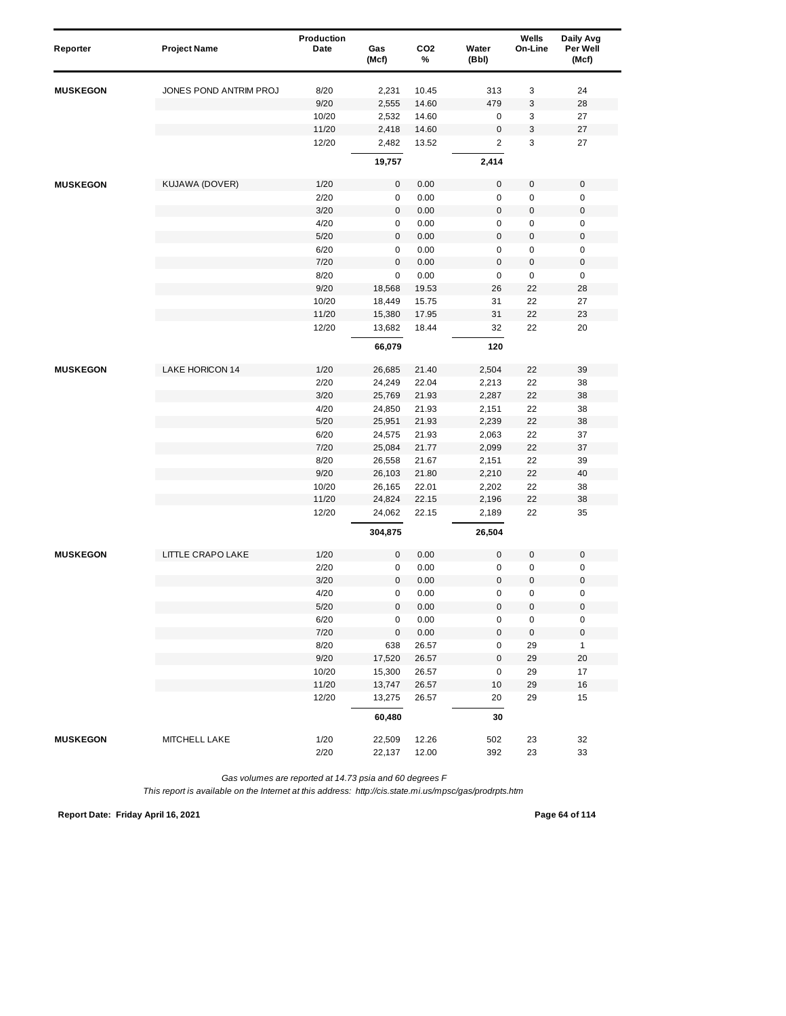| Reporter        | <b>Project Name</b>    | Production<br>Date | Gas<br>(Mcf) | CO <sub>2</sub><br>% | Water<br>(Bbl)      | Wells<br>On-Line | Daily Avg<br>Per Well<br>(Mcf) |
|-----------------|------------------------|--------------------|--------------|----------------------|---------------------|------------------|--------------------------------|
| <b>MUSKEGON</b> | JONES POND ANTRIM PROJ | 8/20               | 2,231        | 10.45                | 313                 | 3                | 24                             |
|                 |                        | 9/20               | 2,555        | 14.60                | 479                 | 3                | 28                             |
|                 |                        | 10/20              | 2,532        | 14.60                | 0                   | 3                | 27                             |
|                 |                        | 11/20              | 2,418        | 14.60                | $\mathsf 0$         | 3                | 27                             |
|                 |                        | 12/20              | 2,482        | 13.52                | $\overline{2}$      | 3                | 27                             |
|                 |                        |                    | 19,757       |                      | 2,414               |                  |                                |
| <b>MUSKEGON</b> | KUJAWA (DOVER)         | 1/20               | 0            | 0.00                 | 0                   | $\pmb{0}$        | $\mathbf 0$                    |
|                 |                        | 2/20               | 0            | 0.00                 | 0                   | 0                | 0                              |
|                 |                        | 3/20               | 0            | 0.00                 | $\mathbf 0$         | 0                | $\pmb{0}$                      |
|                 |                        | 4/20               | 0            | 0.00                 | 0                   | 0                | 0                              |
|                 |                        | 5/20               | $\pmb{0}$    | 0.00                 | $\mathsf 0$         | 0                | $\pmb{0}$                      |
|                 |                        | 6/20               | 0            | 0.00                 | 0                   | $\pmb{0}$        | 0                              |
|                 |                        | 7/20               | $\mathbf 0$  | 0.00                 | $\mathbf 0$         | 0                | $\mathbf 0$                    |
|                 |                        | 8/20               | $\pmb{0}$    | 0.00                 | $\mathsf 0$         | $\pmb{0}$        | $\pmb{0}$                      |
|                 |                        | 9/20               | 18,568       | 19.53                | 26                  | 22               | 28                             |
|                 |                        | 10/20              | 18,449       | 15.75                | 31                  | 22               | 27                             |
|                 |                        | 11/20              | 15,380       | 17.95                | 31                  | 22               | 23                             |
|                 |                        | 12/20              | 13,682       | 18.44                | 32                  | 22               | 20                             |
|                 |                        |                    | 66,079       |                      | 120                 |                  |                                |
| <b>MUSKEGON</b> | <b>LAKE HORICON 14</b> | 1/20               | 26,685       | 21.40                | 2,504               | 22               | 39                             |
|                 |                        | 2/20               | 24,249       | 22.04                | 2,213               | 22               | 38                             |
|                 |                        | 3/20               | 25,769       | 21.93                | 2,287               | 22               | 38                             |
|                 |                        | 4/20               | 24,850       | 21.93                | 2,151               | 22               | 38                             |
|                 |                        | 5/20               | 25,951       | 21.93                | 2,239               | 22               | 38                             |
|                 |                        | 6/20               | 24,575       | 21.93                | 2,063               | 22               | 37                             |
|                 |                        | 7/20               | 25,084       | 21.77                | 2,099               | 22               | 37                             |
|                 |                        | 8/20               | 26,558       | 21.67                | 2,151               | 22               | 39                             |
|                 |                        | 9/20               | 26,103       | 21.80                | 2,210               | 22               | 40                             |
|                 |                        | 10/20              | 26,165       | 22.01                | 2,202               | 22               | 38                             |
|                 |                        | 11/20              | 24,824       | 22.15                | 2,196               | 22               | 38                             |
|                 |                        | 12/20              | 24,062       | 22.15                | 2,189               | 22               | 35                             |
|                 |                        |                    | 304,875      |                      | 26,504              |                  |                                |
| <b>MUSKEGON</b> | LITTLE CRAPO LAKE      | 1/20               | 0            | 0.00                 | $\mathbf 0$         | $\pmb{0}$        | $\mathbf 0$                    |
|                 |                        | 2/20               | 0            | 0.00                 | 0                   | 0                | $\pmb{0}$                      |
|                 |                        | 3/20               | 0            | 0.00                 | $\mathbf 0$         | $\mathbf 0$      | $\pmb{0}$                      |
|                 |                        | 4/20               | 0            | 0.00                 | 0                   | 0                | $\mathbf 0$                    |
|                 |                        | $5/20$             | $\pmb{0}$    | 0.00                 | $\mathbf 0$         | $\mathbf 0$      | $\pmb{0}$                      |
|                 |                        | 6/20               | 0            | 0.00                 | 0                   | 0                | $\pmb{0}$                      |
|                 |                        | 7/20               | $\pmb{0}$    | $0.00\,$             | $\mathsf{O}\xspace$ | $\pmb{0}$        | $\pmb{0}$                      |
|                 |                        | 8/20               | 638          | 26.57                | 0                   | 29               | $\mathbf{1}$                   |
|                 |                        | 9/20               | 17,520       | 26.57                | $\pmb{0}$           | 29               | 20                             |
|                 |                        | 10/20              | 15,300       | 26.57                | 0                   | 29               | 17                             |
|                 |                        | 11/20              | 13,747       | 26.57                | 10                  | 29               | 16                             |
|                 |                        | 12/20              | 13,275       | 26.57                | 20                  | 29               | 15                             |
|                 |                        |                    | 60,480       |                      | 30                  |                  |                                |
| <b>MUSKEGON</b> | MITCHELL LAKE          | 1/20               | 22,509       | 12.26                | 502                 | 23               | 32                             |
|                 |                        | 2/20               | 22,137       | 12.00                | 392                 | 23               | 33                             |

*This report is available on the Internet at this address: http://cis.state.mi.us/mpsc/gas/prodrpts.htm*

**Report Date: Friday April 16, 2021 Page 64 of 114**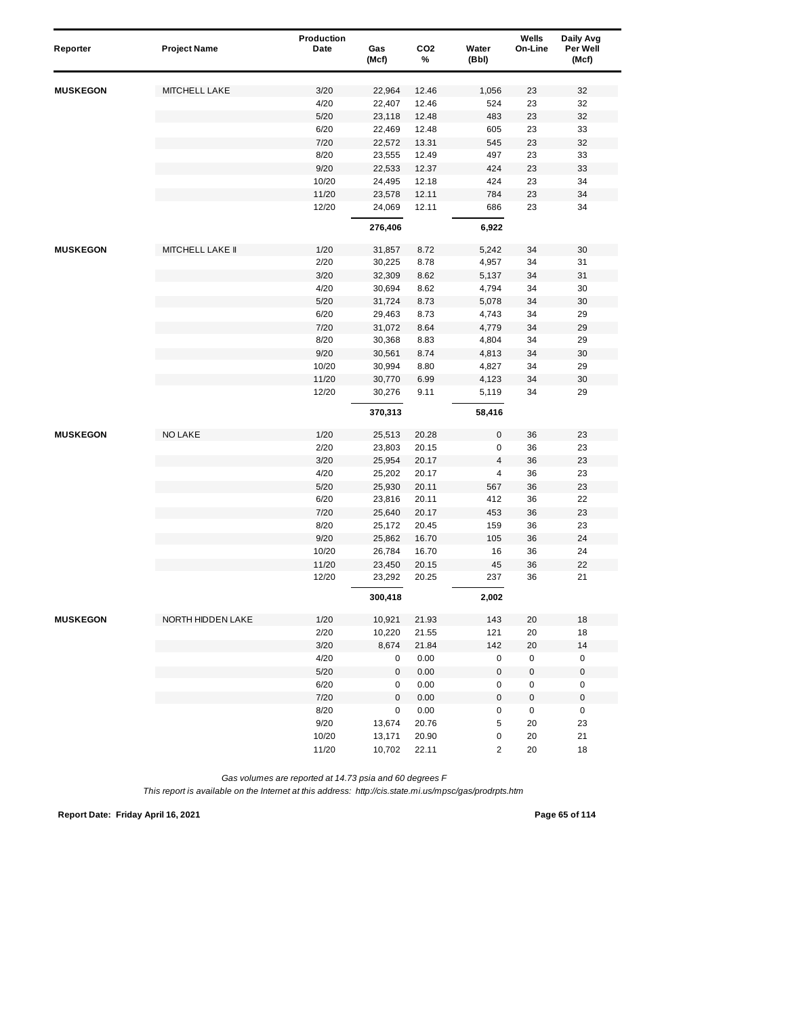| Reporter        | <b>Project Name</b>     | Production<br>Date | Gas       | CO <sub>2</sub> | Water               | Wells<br>On-Line | Daily Avg<br>Per Well |
|-----------------|-------------------------|--------------------|-----------|-----------------|---------------------|------------------|-----------------------|
|                 |                         |                    | (Mcf)     | %               | (Bbl)               |                  | (Mcf)                 |
| <b>MUSKEGON</b> | MITCHELL LAKE           | 3/20               | 22,964    | 12.46           | 1,056               | 23               | 32                    |
|                 |                         | 4/20               | 22,407    | 12.46           | 524                 | 23               | 32                    |
|                 |                         | $5/20$             | 23,118    | 12.48           | 483                 | 23               | 32                    |
|                 |                         | 6/20               | 22,469    | 12.48           | 605                 | 23               | 33                    |
|                 |                         | 7/20               | 22,572    | 13.31           | 545                 | 23               | 32                    |
|                 |                         | 8/20               | 23,555    | 12.49           | 497                 | 23               | 33                    |
|                 |                         | 9/20               | 22,533    | 12.37           | 424                 | 23               | 33                    |
|                 |                         | 10/20              | 24,495    | 12.18           | 424                 | 23               | 34                    |
|                 |                         | 11/20              | 23,578    | 12.11           | 784                 | 23               | 34                    |
|                 |                         | 12/20              | 24,069    | 12.11           | 686                 | 23               | 34                    |
|                 |                         |                    | 276,406   |                 | 6,922               |                  |                       |
| <b>MUSKEGON</b> | <b>MITCHELL LAKE II</b> | 1/20               | 31,857    | 8.72            | 5,242               | 34               | 30                    |
|                 |                         | 2/20               | 30,225    | 8.78            | 4,957               | 34               | 31                    |
|                 |                         | 3/20               | 32,309    | 8.62            | 5,137               | 34               | 31                    |
|                 |                         | 4/20               | 30,694    | 8.62            | 4,794               | 34               | 30                    |
|                 |                         | 5/20               | 31,724    | 8.73            | 5,078               | 34               | $30\,$                |
|                 |                         | 6/20               | 29,463    | 8.73            | 4,743               | 34               | 29                    |
|                 |                         | 7/20               | 31,072    | 8.64            | 4,779               | 34               | 29                    |
|                 |                         | 8/20               | 30,368    | 8.83            | 4,804               | 34               | 29                    |
|                 |                         | 9/20               | 30,561    | 8.74            | 4,813               | 34               | $30\,$                |
|                 |                         | 10/20              | 30,994    | 8.80            | 4,827               | 34               | 29                    |
|                 |                         | 11/20              | 30,770    | 6.99            | 4,123               | 34               | $30\,$                |
|                 |                         | 12/20              | 30,276    | 9.11            | 5,119               | 34               | 29                    |
|                 |                         |                    | 370,313   |                 | 58,416              |                  |                       |
| <b>MUSKEGON</b> | <b>NO LAKE</b>          | 1/20               | 25,513    | 20.28           | 0                   | 36               | 23                    |
|                 |                         | 2/20               | 23,803    | 20.15           | 0                   | 36               | 23                    |
|                 |                         | 3/20               | 25,954    | 20.17           | $\overline{4}$      | 36               | 23                    |
|                 |                         | 4/20               | 25,202    | 20.17           | 4                   | 36               | 23                    |
|                 |                         | 5/20               | 25,930    | 20.11           | 567                 | 36               | 23                    |
|                 |                         | 6/20               | 23,816    | 20.11           | 412                 | 36               | 22                    |
|                 |                         | 7/20               | 25,640    | 20.17           | 453                 | 36               | 23                    |
|                 |                         | 8/20               | 25,172    | 20.45           | 159                 | 36               | 23                    |
|                 |                         | 9/20               | 25,862    | 16.70           | 105                 | 36               | 24                    |
|                 |                         | 10/20              | 26,784    | 16.70           | 16                  | 36               | 24                    |
|                 |                         | 11/20              | 23,450    | 20.15           | 45                  | 36               | 22                    |
|                 |                         | 12/20              | 23,292    | 20.25           | 237                 | 36               | 21                    |
|                 |                         |                    | 300,418   |                 | 2,002               |                  |                       |
| <b>MUSKEGON</b> | NORTH HIDDEN LAKE       | 1/20               | 10,921    | 21.93           | 143                 | 20               | 18                    |
|                 |                         | 2/20               | 10,220    | 21.55           | 121                 | 20               | 18                    |
|                 |                         | 3/20               | 8,674     | 21.84           | 142                 | 20               | 14                    |
|                 |                         | 4/20               | 0         | 0.00            | 0                   | 0                | 0                     |
|                 |                         | 5/20               | 0         | 0.00            | $\mathsf{O}\xspace$ | $\pmb{0}$        | $\pmb{0}$             |
|                 |                         | 6/20               | 0         | 0.00            | 0                   | 0                | $\pmb{0}$             |
|                 |                         | 7/20               | $\pmb{0}$ | 0.00            | $\pmb{0}$           | 0                | $\pmb{0}$             |
|                 |                         | 8/20               | 0         | 0.00            | 0                   | 0                | 0                     |
|                 |                         | 9/20               | 13,674    | 20.76           | 5                   | 20               | 23                    |
|                 |                         | 10/20              | 13,171    | 20.90           | 0                   | 20               | 21                    |
|                 |                         | 11/20              | 10,702    | 22.11           | 2                   | 20               | 18                    |

*This report is available on the Internet at this address: http://cis.state.mi.us/mpsc/gas/prodrpts.htm*

**Report Date: Friday April 16, 2021 Page 65 of 114**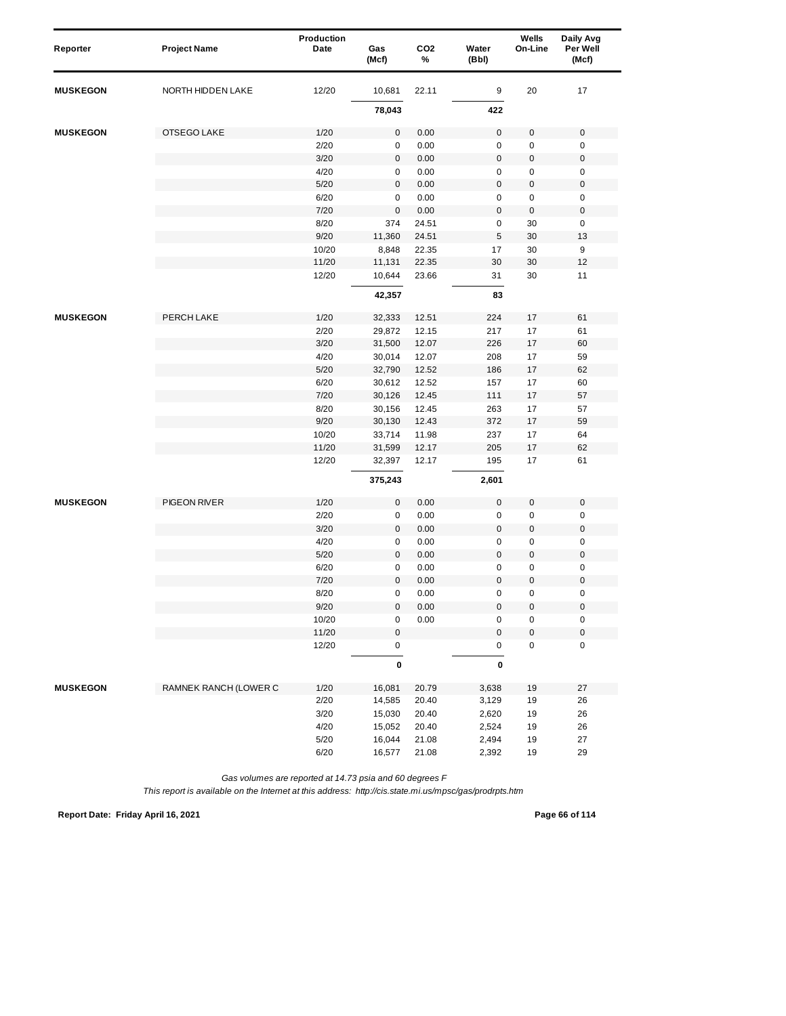| Reporter        | <b>Project Name</b>   | Production<br>Date | Gas<br>(Mcf) | CO <sub>2</sub><br>% | Water<br>(Bbl) | Wells<br>On-Line | Daily Avg<br>Per Well<br>(Mcf) |  |
|-----------------|-----------------------|--------------------|--------------|----------------------|----------------|------------------|--------------------------------|--|
| <b>MUSKEGON</b> | NORTH HIDDEN LAKE     | 12/20              | 10,681       | 22.11                | 9              | 20               | 17                             |  |
|                 |                       |                    | 78,043       |                      | 422            |                  |                                |  |
| <b>MUSKEGON</b> | OTSEGO LAKE           | 1/20               | 0            | 0.00                 | $\mathbf 0$    | 0                | $\mathbf 0$                    |  |
|                 |                       | 2/20               | $\pmb{0}$    | 0.00                 | 0              | 0                | $\pmb{0}$                      |  |
|                 |                       | 3/20               | $\pmb{0}$    | 0.00                 | $\mathsf 0$    | 0                | $\mathbf 0$                    |  |
|                 |                       | 4/20               | 0            | 0.00                 | 0              | $\pmb{0}$        | $\pmb{0}$                      |  |
|                 |                       | 5/20               | $\pmb{0}$    | 0.00                 | $\mathbf 0$    | $\pmb{0}$        | $\pmb{0}$                      |  |
|                 |                       | 6/20               | 0            | 0.00                 | 0              | 0                | 0                              |  |
|                 |                       | 7/20               | $\pmb{0}$    | 0.00                 | $\mathbf 0$    | $\pmb{0}$        | $\pmb{0}$                      |  |
|                 |                       | 8/20               | 374          | 24.51                | 0              | 30               | $\pmb{0}$                      |  |
|                 |                       | 9/20               | 11,360       | 24.51                | $\sqrt{5}$     | 30               | 13                             |  |
|                 |                       | 10/20              | 8,848        | 22.35                | 17             | 30               | 9                              |  |
|                 |                       | 11/20              | 11,131       | 22.35                | 30             | 30               | 12                             |  |
|                 |                       | 12/20              | 10,644       | 23.66                | 31             | 30               | 11                             |  |
|                 |                       |                    | 42,357       |                      | 83             |                  |                                |  |
| <b>MUSKEGON</b> | PERCH LAKE            | 1/20               | 32,333       | 12.51                | 224            | 17               | 61                             |  |
|                 |                       | 2/20               | 29,872       | 12.15                | 217            | 17               | 61                             |  |
|                 |                       | 3/20               | 31,500       | 12.07                | 226            | 17               | 60                             |  |
|                 |                       | 4/20               | 30,014       | 12.07                | 208            | 17               | 59                             |  |
|                 |                       | 5/20               | 32,790       | 12.52                | 186            | 17               | 62                             |  |
|                 |                       | 6/20               | 30,612       | 12.52                | 157            | 17               | 60                             |  |
|                 |                       | 7/20               | 30,126       | 12.45                | 111            | 17               | 57                             |  |
|                 |                       | 8/20               | 30,156       | 12.45                | 263            | 17               | 57                             |  |
|                 |                       | 9/20               | 30,130       | 12.43                | 372            | 17               | 59                             |  |
|                 |                       | 10/20              | 33,714       | 11.98                | 237            | 17               | 64                             |  |
|                 |                       | 11/20              | 31,599       | 12.17                | 205            | 17               | 62                             |  |
|                 |                       | 12/20              | 32,397       | 12.17                | 195            | 17               | 61                             |  |
|                 |                       |                    | 375,243      |                      | 2,601          |                  |                                |  |
| <b>MUSKEGON</b> | PIGEON RIVER          | 1/20               | 0            | 0.00                 | $\mathbf 0$    | 0                | $\pmb{0}$                      |  |
|                 |                       | 2/20               | 0            | 0.00                 | 0              | 0                | 0                              |  |
|                 |                       | 3/20               | $\pmb{0}$    | 0.00                 | $\mathsf 0$    | 0                | $\pmb{0}$                      |  |
|                 |                       | 4/20               | 0            | 0.00                 | 0              | 0                | 0                              |  |
|                 |                       | 5/20               | $\pmb{0}$    | 0.00                 | $\mathbf 0$    | $\pmb{0}$        | $\pmb{0}$                      |  |
|                 |                       | 6/20               | $\pmb{0}$    | 0.00                 | 0              | 0                | $\pmb{0}$                      |  |
|                 |                       | 7/20               | 0            | 0.00                 | $\mathbf 0$    | 0                | $\pmb{0}$                      |  |
|                 |                       | 8/20               | $\pmb{0}$    | 0.00                 | 0              | 0                | $\mathbf 0$                    |  |
|                 |                       | 9/20               | $\pmb{0}$    | $0.00\,$             | $\mathbf 0$    | $\mathbf 0$      | $\pmb{0}$                      |  |
|                 |                       | 10/20              | $\pmb{0}$    | 0.00                 | 0              | 0                | $\pmb{0}$                      |  |
|                 |                       | 11/20              | $\pmb{0}$    |                      | $\mathbf 0$    | 0                | $\mathsf{O}\xspace$            |  |
|                 |                       | 12/20              | 0            |                      | 0              | $\pmb{0}$        | $\pmb{0}$                      |  |
|                 |                       |                    | $\pmb{0}$    |                      | $\pmb{0}$      |                  |                                |  |
| <b>MUSKEGON</b> | RAMNEK RANCH (LOWER C | 1/20               | 16,081       | 20.79                | 3,638          | 19               | 27                             |  |
|                 |                       | 2/20               | 14,585       | 20.40                | 3,129          | 19               | 26                             |  |
|                 |                       | 3/20               | 15,030       | 20.40                | 2,620          | 19               | 26                             |  |
|                 |                       | 4/20               | 15,052       | 20.40                | 2,524          | 19               | 26                             |  |
|                 |                       | $5/20$             | 16,044       | 21.08                | 2,494          | 19               | 27                             |  |
|                 |                       | 6/20               | 16,577       | 21.08                | 2,392          | 19               | 29                             |  |

*This report is available on the Internet at this address: http://cis.state.mi.us/mpsc/gas/prodrpts.htm*

**Report Date: Friday April 16, 2021 Page 66 of 114**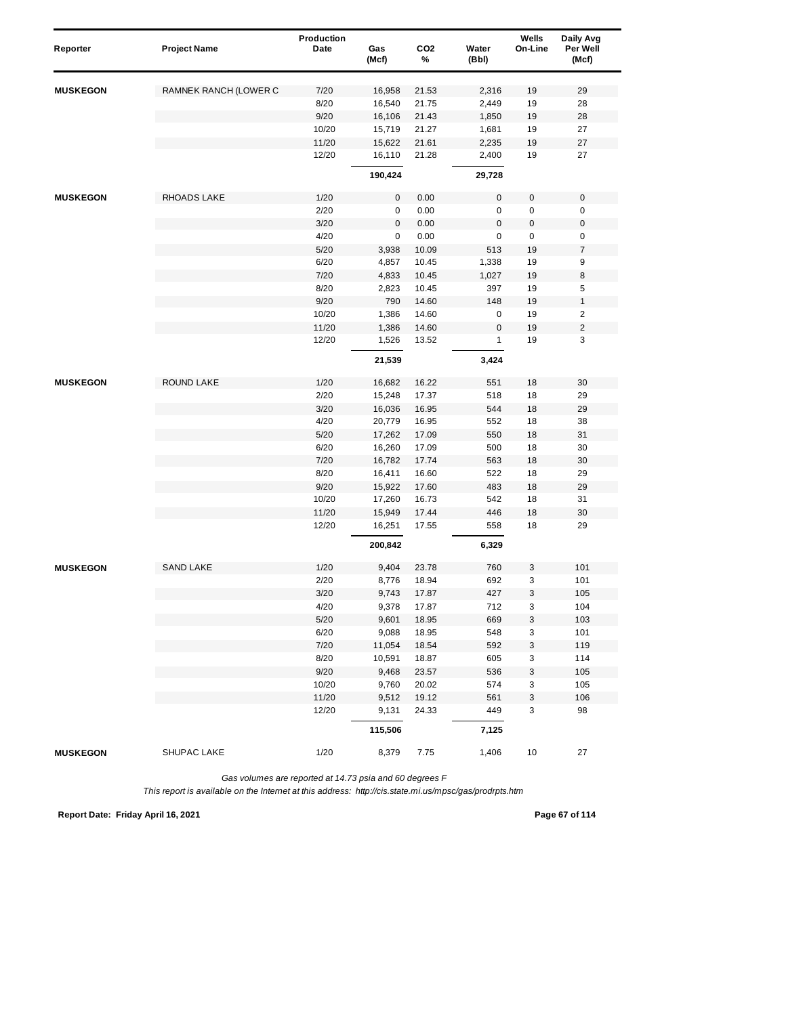| Reporter        | <b>Project Name</b>   | Production<br>Date | Gas<br>(Mcf)     | CO <sub>2</sub><br>% | Water<br>(Bbl)   | Wells<br>On-Line | Daily Avg<br>Per Well<br>(Mcf) |
|-----------------|-----------------------|--------------------|------------------|----------------------|------------------|------------------|--------------------------------|
| <b>MUSKEGON</b> | RAMNEK RANCH (LOWER C | 7/20               | 16,958           | 21.53                | 2,316            | 19               | 29                             |
|                 |                       | 8/20               | 16,540           | 21.75                | 2,449            | 19               | 28                             |
|                 |                       | 9/20               | 16,106           | 21.43                | 1,850            | 19               | 28                             |
|                 |                       | 10/20              | 15,719           | 21.27                | 1,681            | 19               | 27                             |
|                 |                       | 11/20              | 15,622           | 21.61                | 2,235            | 19               | 27                             |
|                 |                       | 12/20              | 16,110           | 21.28                | 2,400            | 19               | 27                             |
|                 |                       |                    | 190,424          |                      | 29,728           |                  |                                |
| <b>MUSKEGON</b> | RHOADS LAKE           | 1/20               | $\pmb{0}$        | 0.00                 | 0                | 0                | $\mathbf 0$                    |
|                 |                       | 2/20               | 0                | 0.00                 | 0                | $\pmb{0}$        | 0                              |
|                 |                       | 3/20               | $\pmb{0}$        | 0.00                 | 0                | 0                | $\pmb{0}$                      |
|                 |                       | 4/20               | $\pmb{0}$        | 0.00                 | 0                | 0                | 0                              |
|                 |                       | 5/20               | 3,938            | 10.09                | 513              | 19               | $\overline{\mathcal{I}}$       |
|                 |                       | 6/20               | 4,857            | 10.45                | 1,338            | 19               | 9                              |
|                 |                       | 7/20               | 4,833            | 10.45                | 1,027            | 19               | 8                              |
|                 |                       | 8/20               | 2,823            | 10.45                | 397              | 19               | 5                              |
|                 |                       | 9/20               | 790              | 14.60                | 148              | 19               | $\mathbf{1}$                   |
|                 |                       | 10/20              | 1,386            | 14.60                | 0                | 19               | $\overline{\mathbf{c}}$        |
|                 |                       | 11/20              | 1,386            | 14.60                | $\boldsymbol{0}$ | 19               | $\overline{\mathbf{c}}$        |
|                 |                       | 12/20              | 1,526            | 13.52                | 1                | 19               | 3                              |
|                 |                       |                    | 21,539           |                      | 3,424            |                  |                                |
| <b>MUSKEGON</b> | ROUND LAKE            | 1/20               | 16,682           | 16.22                | 551              | 18               | 30                             |
|                 |                       | 2/20               | 15,248           | 17.37                | 518              | 18               | 29                             |
|                 |                       | 3/20               | 16,036           | 16.95                | 544              | 18               | 29                             |
|                 |                       | 4/20               | 20,779           | 16.95                | 552              | 18               | 38                             |
|                 |                       | 5/20               | 17,262           | 17.09                | 550              | 18               | 31                             |
|                 |                       | 6/20               | 16,260           | 17.09                | 500              | 18               | 30                             |
|                 |                       | 7/20               | 16,782           | 17.74                | 563              | 18               | 30                             |
|                 |                       | 8/20               | 16,411           | 16.60                | 522              | 18               | 29                             |
|                 |                       | 9/20<br>10/20      | 15,922           | 17.60<br>16.73       | 483<br>542       | 18<br>18         | 29<br>31                       |
|                 |                       | 11/20              | 17,260<br>15,949 | 17.44                | 446              | 18               | 30                             |
|                 |                       | 12/20              | 16,251           | 17.55                | 558              | 18               | 29                             |
|                 |                       |                    | 200,842          |                      | 6,329            |                  |                                |
| <b>MUSKEGON</b> | <b>SAND LAKE</b>      | 1/20               | 9,404            | 23.78                | 760              | 3                | 101                            |
|                 |                       | 2/20               | 8,776            | 18.94                | 692              | 3                | 101                            |
|                 |                       | 3/20               | 9,743            | 17.87                | 427              | 3                | 105                            |
|                 |                       | 4/20               | 9,378            | 17.87                | 712              | 3                | 104                            |
|                 |                       | $5/20$             | 9,601            | 18.95                | 669              | 3                | 103                            |
|                 |                       | 6/20               | 9,088            | 18.95                | 548              | 3                | 101                            |
|                 |                       | 7/20               | 11,054           | 18.54                | 592              | 3                | 119                            |
|                 |                       | 8/20               | 10,591           | 18.87                | 605              | 3                | 114                            |
|                 |                       | 9/20               | 9,468            | 23.57                | 536              | 3                | 105                            |
|                 |                       | 10/20              | 9,760            | 20.02                | 574              | 3                | 105                            |
|                 |                       | 11/20              | 9,512            | 19.12                | 561              | 3                | 106                            |
|                 |                       | 12/20              | 9,131            | 24.33                | 449              | 3                | 98                             |
|                 |                       |                    | 115,506          |                      | 7,125            |                  |                                |
| <b>MUSKEGON</b> | SHUPAC LAKE           | 1/20               | 8,379            | 7.75                 | 1,406            | 10               | 27                             |

*This report is available on the Internet at this address: http://cis.state.mi.us/mpsc/gas/prodrpts.htm*

**Report Date: Friday April 16, 2021 Page 67 of 114**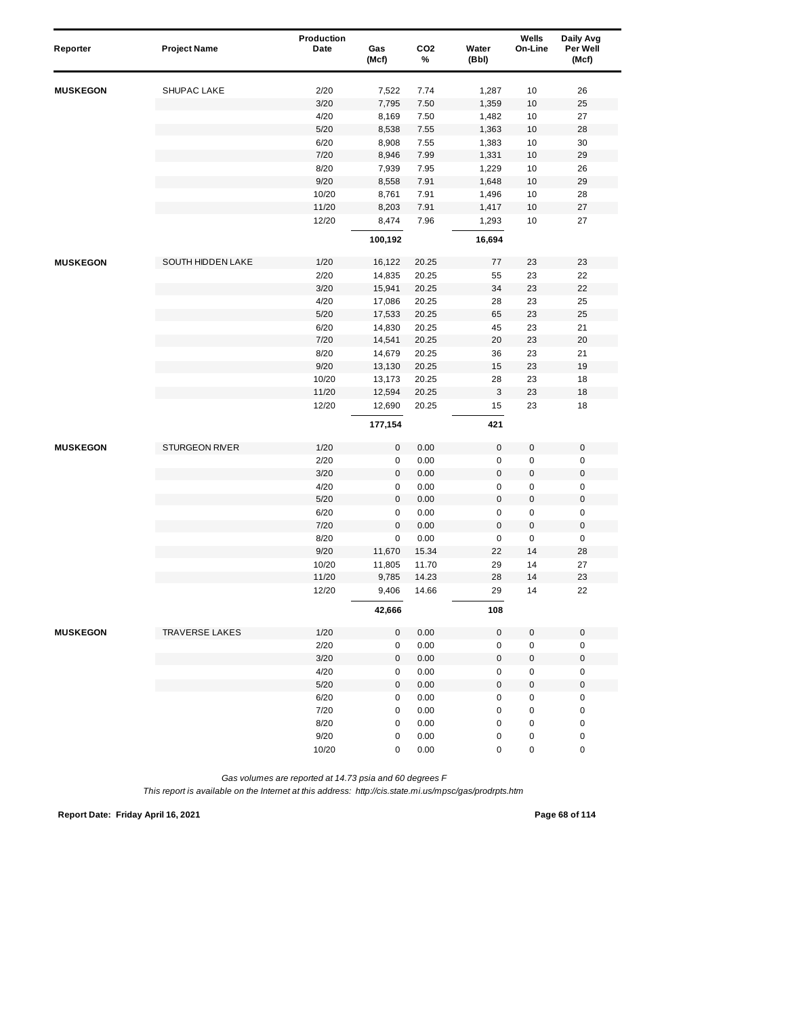| Reporter        | <b>Project Name</b>   | Production<br>Date | Gas<br>(Mcf) | CO <sub>2</sub><br>% | Water<br>(Bbl) | Wells<br>On-Line    | Daily Avg<br>Per Well<br>(Mcf) |
|-----------------|-----------------------|--------------------|--------------|----------------------|----------------|---------------------|--------------------------------|
| <b>MUSKEGON</b> | <b>SHUPAC LAKE</b>    | 2/20               | 7,522        | 7.74                 | 1,287          | 10                  | 26                             |
|                 |                       | 3/20               | 7,795        | 7.50                 | 1,359          | $10$                | 25                             |
|                 |                       | 4/20               | 8,169        | 7.50                 | 1,482          | 10                  | 27                             |
|                 |                       | 5/20               | 8,538        | 7.55                 | 1,363          | $10$                | 28                             |
|                 |                       | 6/20               | 8,908        | 7.55                 | 1,383          | 10                  | 30                             |
|                 |                       | 7/20               | 8,946        | 7.99                 | 1,331          | 10                  | 29                             |
|                 |                       | 8/20               | 7,939        | 7.95                 | 1,229          | 10                  | 26                             |
|                 |                       | 9/20               | 8,558        | 7.91                 | 1,648          | 10                  | 29                             |
|                 |                       | 10/20              | 8,761        | 7.91                 | 1,496          | 10                  | 28                             |
|                 |                       | 11/20              | 8,203        | 7.91                 | 1,417          | 10                  | 27                             |
|                 |                       | 12/20              | 8,474        | 7.96                 | 1,293          | 10                  | 27                             |
|                 |                       |                    | 100,192      |                      | 16,694         |                     |                                |
| <b>MUSKEGON</b> | SOUTH HIDDEN LAKE     | 1/20               | 16,122       | 20.25                | 77             | 23                  | 23                             |
|                 |                       | 2/20               | 14,835       | 20.25                | 55             | 23                  | 22                             |
|                 |                       | 3/20               | 15,941       | 20.25                | 34             | 23                  | 22                             |
|                 |                       | 4/20               | 17,086       | 20.25                | 28             | 23                  | 25                             |
|                 |                       | 5/20               | 17,533       | 20.25                | 65             | 23                  | 25                             |
|                 |                       | 6/20               | 14,830       | 20.25                | 45             | 23                  | 21                             |
|                 |                       | 7/20               | 14,541       | 20.25                | 20             | 23                  | 20                             |
|                 |                       | 8/20               | 14,679       | 20.25                | 36             | 23                  | 21                             |
|                 |                       | 9/20               | 13,130       | 20.25                | 15             | 23                  | 19                             |
|                 |                       | 10/20              | 13,173       | 20.25                | 28             | 23                  | 18                             |
|                 |                       | 11/20              | 12,594       | 20.25                | $\sqrt{3}$     | 23                  | 18                             |
|                 |                       | 12/20              | 12,690       | 20.25                | 15             | 23                  | 18                             |
|                 |                       |                    | 177,154      |                      | 421            |                     |                                |
| <b>MUSKEGON</b> | <b>STURGEON RIVER</b> | 1/20               | 0            | 0.00                 | $\pmb{0}$      | $\mathsf{O}\xspace$ | $\mathsf{O}\xspace$            |
|                 |                       | 2/20               | 0            | 0.00                 | 0              | 0                   | $\pmb{0}$                      |
|                 |                       | 3/20               | 0            | 0.00                 | $\pmb{0}$      | $\pmb{0}$           | $\mathbf 0$                    |
|                 |                       | 4/20               | 0            | 0.00                 | 0              | 0                   | $\pmb{0}$                      |
|                 |                       | 5/20               | 0            | 0.00                 | $\mathsf 0$    | $\pmb{0}$           | $\pmb{0}$                      |
|                 |                       | 6/20               | 0            | 0.00                 | $\mathsf 0$    | 0                   | $\pmb{0}$                      |
|                 |                       | 7/20               | $\mathsf 0$  | 0.00                 | $\mathsf 0$    | $\mathsf{O}\xspace$ | $\mathsf{O}\xspace$            |
|                 |                       | 8/20               | 0            | 0.00                 | $\pmb{0}$      | 0                   | $\mathbf 0$                    |
|                 |                       | 9/20               | 11,670       | 15.34                | 22             | 14                  | 28                             |
|                 |                       | 10/20              | 11,805       | 11.70                | 29             | 14                  | 27                             |
|                 |                       | 11/20              | 9,785        | 14.23                | 28             | 14                  | 23                             |
|                 |                       | 12/20              | 9,406        | 14.66                | 29             | 14                  | 22                             |
|                 |                       |                    | 42,666       |                      | 108            |                     |                                |
| <b>MUSKEGON</b> | <b>TRAVERSE LAKES</b> | 1/20               | 0            | 0.00                 | $\mathsf 0$    | $\mathbf 0$         | $\mathbf 0$                    |
|                 |                       | 2/20               | 0            | 0.00                 | $\mathsf 0$    | 0                   | $\mathsf 0$                    |
|                 |                       | 3/20               | 0            | 0.00                 | $\pmb{0}$      | $\pmb{0}$           | $\mathbf 0$                    |
|                 |                       | 4/20               | 0            | 0.00                 | 0              | 0                   | 0                              |
|                 |                       | 5/20               | 0            | 0.00                 | $\mathsf 0$    | 0                   | $\pmb{0}$                      |
|                 |                       | 6/20               | 0            | 0.00                 | 0              | $\pmb{0}$           | 0                              |
|                 |                       | 7/20               | 0            | 0.00                 | $\pmb{0}$      | $\pmb{0}$           | $\pmb{0}$                      |
|                 |                       | 8/20               | 0            | 0.00                 | 0              | 0                   | $\pmb{0}$                      |
|                 |                       | 9/20               | 0            | 0.00                 | 0              | 0                   | 0                              |
|                 |                       | 10/20              | 0            | 0.00                 | 0              | 0                   | 0                              |

*This report is available on the Internet at this address: http://cis.state.mi.us/mpsc/gas/prodrpts.htm*

**Report Date: Friday April 16, 2021 Page 68 of 114**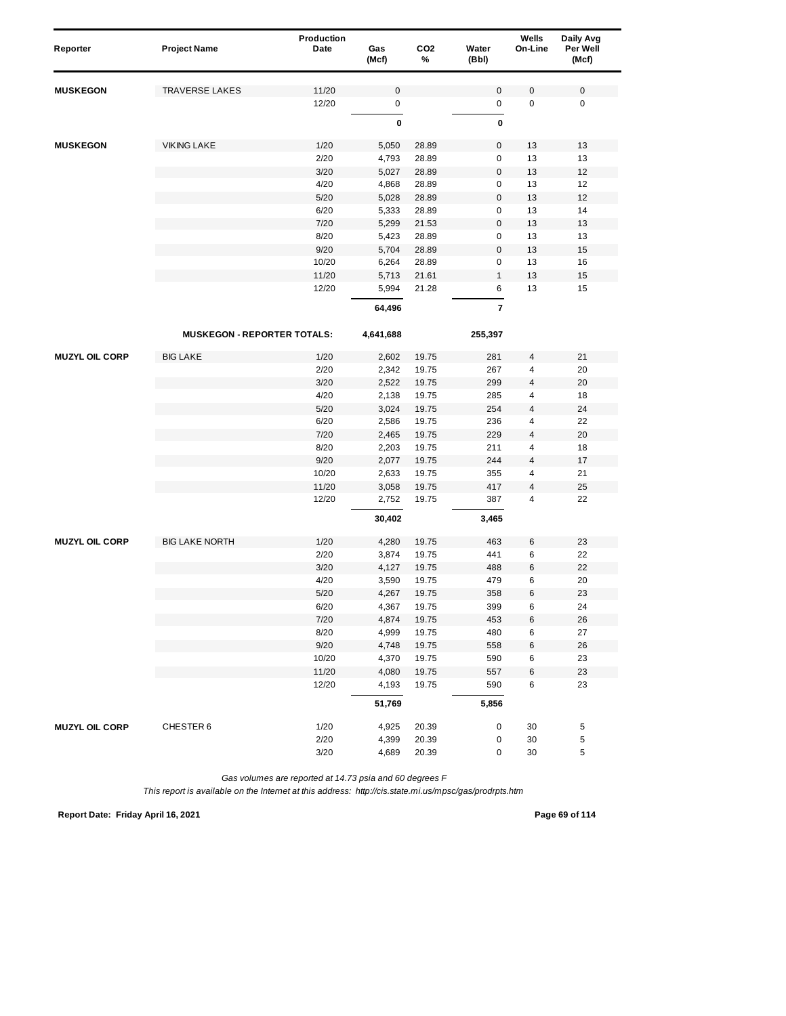| Reporter              | <b>Project Name</b>                | Production<br>Date | Gas<br>(Mcf)   | CO <sub>2</sub><br>% | Water<br>(Bbl)   | Wells<br>On-Line        | Daily Avg<br>Per Well<br>(Mcf) |
|-----------------------|------------------------------------|--------------------|----------------|----------------------|------------------|-------------------------|--------------------------------|
| <b>MUSKEGON</b>       | <b>TRAVERSE LAKES</b>              | 11/20              | $\pmb{0}$      |                      | 0                | $\mathbf 0$             | $\mathbf 0$                    |
|                       |                                    | 12/20              | $\pmb{0}$      |                      | 0                | $\pmb{0}$               | $\pmb{0}$                      |
|                       |                                    |                    | $\pmb{0}$      |                      | 0                |                         |                                |
|                       |                                    |                    |                |                      |                  |                         |                                |
| <b>MUSKEGON</b>       | <b>VIKING LAKE</b>                 | 1/20               | 5,050          | 28.89                | 0                | 13                      | 13                             |
|                       |                                    | 2/20               | 4,793          | 28.89                | 0                | 13                      | 13                             |
|                       |                                    | 3/20               | 5,027          | 28.89                | 0                | 13                      | 12                             |
|                       |                                    | 4/20               | 4,868          | 28.89                | 0                | 13                      | 12                             |
|                       |                                    | 5/20               | 5,028          | 28.89                | $\boldsymbol{0}$ | 13                      | 12                             |
|                       |                                    | 6/20               | 5,333          | 28.89                | 0<br>0           | 13                      | 14                             |
|                       |                                    | 7/20<br>8/20       | 5,299          | 21.53<br>28.89       | 0                | 13<br>13                | 13<br>13                       |
|                       |                                    | 9/20               | 5,423          |                      | $\bf 0$          |                         |                                |
|                       |                                    | 10/20              | 5,704<br>6,264 | 28.89<br>28.89       | 0                | 13<br>13                | 15<br>16                       |
|                       |                                    | 11/20              | 5,713          | 21.61                | $\mathbf{1}$     | 13                      | 15                             |
|                       |                                    | 12/20              | 5,994          | 21.28                | 6                | 13                      | 15                             |
|                       |                                    |                    | 64,496         |                      | 7                |                         |                                |
|                       |                                    |                    |                |                      |                  |                         |                                |
|                       | <b>MUSKEGON - REPORTER TOTALS:</b> |                    | 4,641,688      |                      | 255,397          |                         |                                |
| <b>MUZYL OIL CORP</b> | <b>BIG LAKE</b>                    | 1/20               | 2,602          | 19.75                | 281              | 4                       | 21                             |
|                       |                                    | 2/20               | 2,342          | 19.75                | 267              | 4                       | 20                             |
|                       |                                    | 3/20               | 2,522          | 19.75                | 299              | 4                       | 20                             |
|                       |                                    | 4/20               | 2,138          | 19.75                | 285              | 4                       | 18                             |
|                       |                                    | 5/20               | 3,024          | 19.75                | 254              | $\overline{\mathbf{4}}$ | 24                             |
|                       |                                    | 6/20               | 2,586          | 19.75                | 236              | 4                       | 22                             |
|                       |                                    | 7/20               | 2,465          | 19.75                | 229              | 4                       | 20                             |
|                       |                                    | 8/20<br>9/20       | 2,203          | 19.75<br>19.75       | 211<br>244       | 4<br>4                  | 18<br>17                       |
|                       |                                    | 10/20              | 2,077<br>2,633 | 19.75                | 355              | 4                       | 21                             |
|                       |                                    | 11/20              | 3,058          | 19.75                | 417              | $\overline{4}$          | 25                             |
|                       |                                    | 12/20              | 2,752          | 19.75                | 387              | 4                       | 22                             |
|                       |                                    |                    | 30,402         |                      | 3,465            |                         |                                |
|                       |                                    |                    |                |                      |                  |                         |                                |
| <b>MUZYL OIL CORP</b> | <b>BIG LAKE NORTH</b>              | 1/20               | 4,280          | 19.75                | 463              | 6                       | 23                             |
|                       |                                    | 2/20               | 3,874          | 19.75                | 441              | 6                       | 22                             |
|                       |                                    | 3/20<br>4/20       | 4,127          | 19.75<br>19.75       | 488<br>479       | 6<br>6                  | 22<br>20                       |
|                       |                                    | 5/20               | 3,590<br>4,267 | 19.75                | 358              | 6                       | 23                             |
|                       |                                    | 6/20               | 4,367          | 19.75                | 399              | 6                       | 24                             |
|                       |                                    | 7/20               | 4,874          | 19.75                | 453              | 6                       | 26                             |
|                       |                                    | 8/20               | 4,999          | 19.75                | 480              | 6                       | 27                             |
|                       |                                    | 9/20               | 4,748          | 19.75                | 558              | 6                       | 26                             |
|                       |                                    | 10/20              | 4,370          | 19.75                | 590              | 6                       | 23                             |
|                       |                                    | 11/20              | 4,080          | 19.75                | 557              | 6                       | 23                             |
|                       |                                    | 12/20              | 4,193          | 19.75                | 590              | 6                       | 23                             |
|                       |                                    |                    | 51,769         |                      | 5,856            |                         |                                |
| <b>MUZYL OIL CORP</b> | CHESTER 6                          | 1/20               | 4,925          | 20.39                | 0                | 30                      | 5                              |
|                       |                                    | 2/20               | 4,399          | 20.39                | 0                | 30                      | 5                              |
|                       |                                    | 3/20               | 4,689          | 20.39                | 0                | 30                      | 5                              |

**Report Date: Friday April 16, 2021 Page 69 of 114**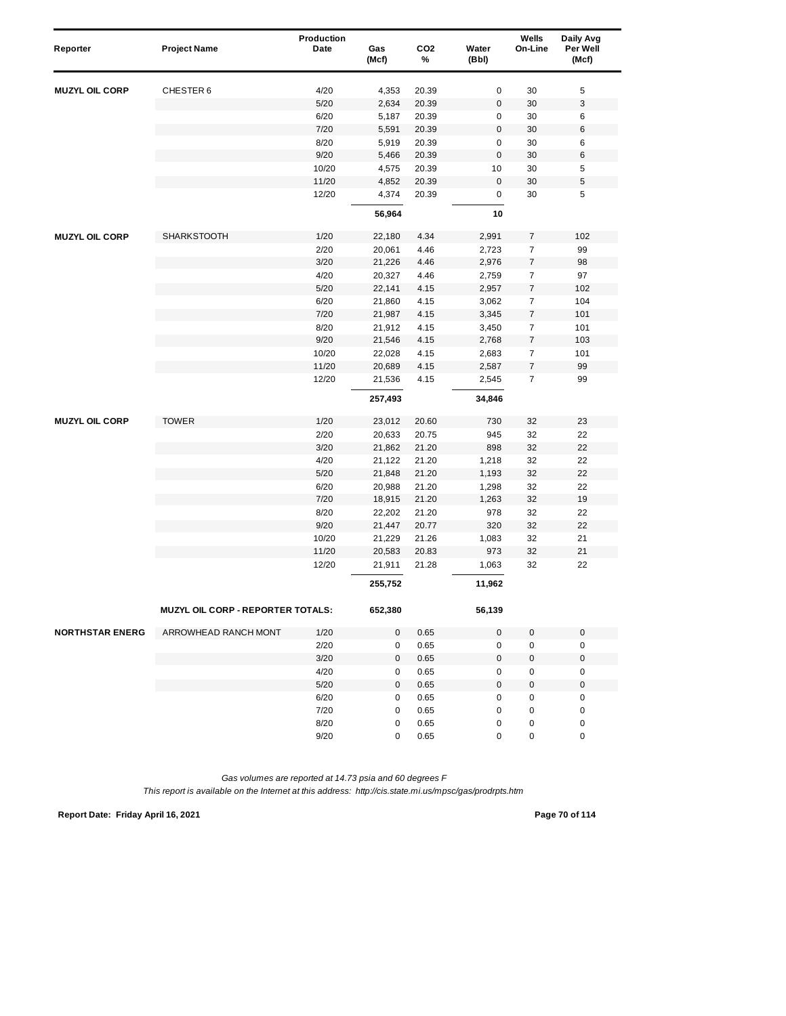| Reporter               | <b>Project Name</b>               | Production<br>Date | Gas<br>(Mcf) | CO <sub>2</sub><br>% | Water<br>(Bbl)   | Wells<br>On-Line | Daily Avg<br>Per Well<br>(Mcf) |  |
|------------------------|-----------------------------------|--------------------|--------------|----------------------|------------------|------------------|--------------------------------|--|
| <b>MUZYL OIL CORP</b>  | CHESTER 6                         | 4/20               | 4,353        | 20.39                | 0                | 30               | 5                              |  |
|                        |                                   | 5/20               | 2,634        | 20.39                | $\boldsymbol{0}$ | 30               | 3                              |  |
|                        |                                   | 6/20               | 5,187        | 20.39                | 0                | 30               | 6                              |  |
|                        |                                   | 7/20               | 5,591        | 20.39                | $\mathbf 0$      | 30               | 6                              |  |
|                        |                                   | 8/20               | 5,919        | 20.39                | 0                | 30               | 6                              |  |
|                        |                                   | 9/20               | 5,466        | 20.39                | 0                | 30               | 6                              |  |
|                        |                                   | 10/20              | 4,575        | 20.39                | 10               | 30               | 5                              |  |
|                        |                                   | 11/20              | 4,852        | 20.39                | 0                | 30               | 5                              |  |
|                        |                                   | 12/20              | 4,374        | 20.39                | 0                | 30               | 5                              |  |
|                        |                                   |                    | 56,964       |                      | 10               |                  |                                |  |
| <b>MUZYL OIL CORP</b>  | <b>SHARKSTOOTH</b>                | 1/20               | 22,180       | 4.34                 | 2,991            | $\overline{7}$   | 102                            |  |
|                        |                                   | 2/20               | 20,061       | 4.46                 | 2,723            | $\overline{7}$   | 99                             |  |
|                        |                                   | 3/20               | 21,226       | 4.46                 | 2,976            | $\boldsymbol{7}$ | 98                             |  |
|                        |                                   | 4/20               | 20,327       | 4.46                 | 2,759            | $\overline{7}$   | 97                             |  |
|                        |                                   | 5/20               | 22,141       | 4.15                 | 2,957            | $\boldsymbol{7}$ | 102                            |  |
|                        |                                   | 6/20               | 21,860       | 4.15                 | 3,062            | $\overline{7}$   | 104                            |  |
|                        |                                   | 7/20               | 21,987       | 4.15                 | 3,345            | $\overline{7}$   | 101                            |  |
|                        |                                   | 8/20               | 21,912       | 4.15                 | 3,450            | $\overline{7}$   | 101                            |  |
|                        |                                   | 9/20               | 21,546       | 4.15                 | 2,768            | 7                | 103                            |  |
|                        |                                   | 10/20              | 22,028       | 4.15                 | 2,683            | $\overline{7}$   | 101                            |  |
|                        |                                   | 11/20              | 20,689       | 4.15                 | 2,587            | $\overline{7}$   | 99                             |  |
|                        |                                   | 12/20              | 21,536       | 4.15                 | 2,545            | $\overline{7}$   | 99                             |  |
|                        |                                   |                    | 257,493      |                      | 34,846           |                  |                                |  |
| <b>MUZYL OIL CORP</b>  | <b>TOWER</b>                      | 1/20               | 23,012       | 20.60                | 730              | 32               | 23                             |  |
|                        |                                   | 2/20               | 20,633       | 20.75                | 945              | 32               | 22                             |  |
|                        |                                   | 3/20               | 21,862       | 21.20                | 898              | 32               | 22                             |  |
|                        |                                   | 4/20               | 21,122       | 21.20                | 1,218            | 32               | 22                             |  |
|                        |                                   | 5/20               | 21,848       | 21.20                | 1,193            | 32               | 22                             |  |
|                        |                                   | 6/20               | 20,988       | 21.20                | 1,298            | 32               | 22                             |  |
|                        |                                   | 7/20               | 18,915       | 21.20                | 1,263            | 32               | 19                             |  |
|                        |                                   | 8/20               | 22,202       | 21.20                | 978              | 32               | 22                             |  |
|                        |                                   | 9/20               | 21,447       | 20.77                | 320              | 32               | 22                             |  |
|                        |                                   | 10/20              | 21,229       | 21.26                | 1,083            | 32               | 21                             |  |
|                        |                                   | 11/20              | 20,583       | 20.83                | 973              | 32               | 21                             |  |
|                        |                                   | 12/20              | 21,911       | 21.28                | 1,063            | 32               | 22                             |  |
|                        |                                   |                    | 255,752      |                      | 11,962           |                  |                                |  |
|                        | MUZYL OIL CORP - REPORTER TOTALS: |                    | 652,380      |                      | 56,139           |                  |                                |  |
| <b>NORTHSTAR ENERG</b> | ARROWHEAD RANCH MONT              | 1/20               | 0            | 0.65                 | 0                | 0                | $\mathbf 0$                    |  |
|                        |                                   | 2/20               | 0            | 0.65                 | 0                | $\pmb{0}$        | $\pmb{0}$                      |  |
|                        |                                   | 3/20               | 0            | 0.65                 | 0                | 0                | $\mathbf 0$                    |  |
|                        |                                   | 4/20               | 0            | 0.65                 | 0                | 0                | 0                              |  |
|                        |                                   | 5/20               | 0            | 0.65                 | 0                | 0                | $\boldsymbol{0}$               |  |
|                        |                                   | 6/20               | 0            | 0.65                 | 0                | 0                | 0                              |  |
|                        |                                   | 7/20               | 0            | 0.65                 | 0                | 0                | 0                              |  |
|                        |                                   | 8/20               | 0            | 0.65                 | 0                | 0                | 0                              |  |
|                        |                                   | 9/20               | 0            | 0.65                 | 0                | 0                | 0                              |  |

*This report is available on the Internet at this address: http://cis.state.mi.us/mpsc/gas/prodrpts.htm*

**Report Date: Friday April 16, 2021 Page 70 of 114**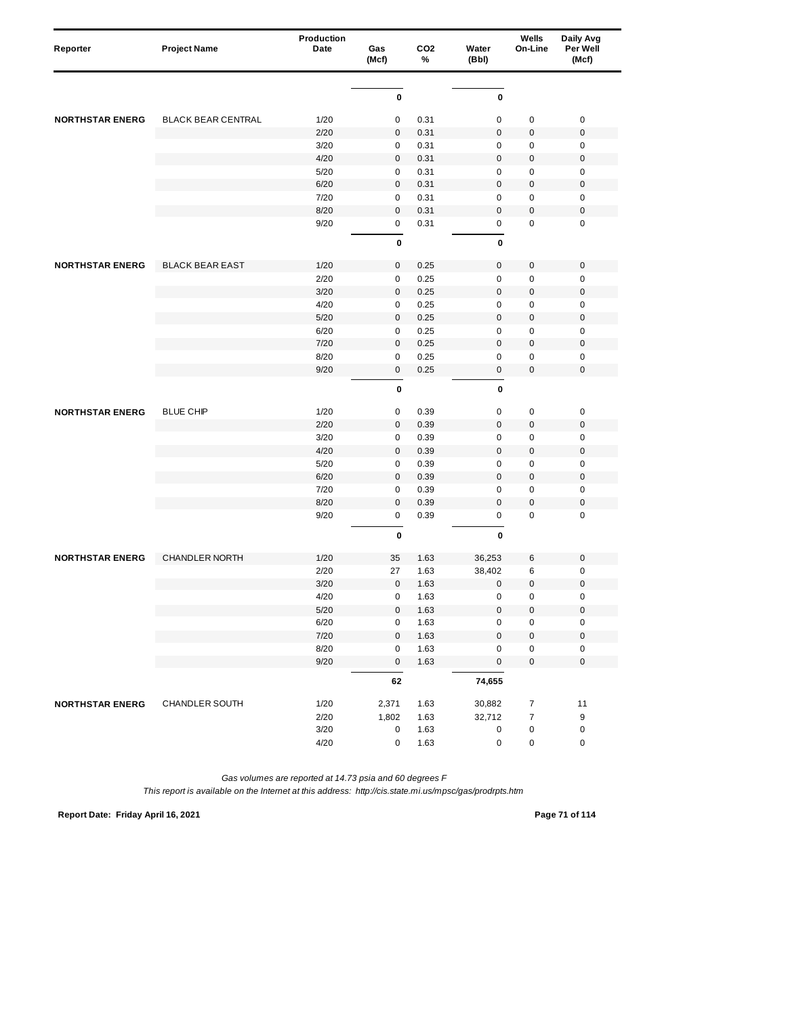| Reporter               | <b>Project Name</b>       | Production<br>Date | Gas<br>(Mcf) | CO <sub>2</sub><br>% | Water<br>(Bbl) | Wells<br>On-Line | Daily Avg<br>Per Well<br>(Mcf) |
|------------------------|---------------------------|--------------------|--------------|----------------------|----------------|------------------|--------------------------------|
|                        |                           |                    |              |                      |                |                  |                                |
|                        |                           |                    | 0            |                      | $\pmb{0}$      |                  |                                |
| <b>NORTHSTAR ENERG</b> | <b>BLACK BEAR CENTRAL</b> | 1/20               | 0            | 0.31                 | $\pmb{0}$      | $\pmb{0}$        | $\pmb{0}$                      |
|                        |                           | 2/20               | $\mathbf 0$  | 0.31                 | $\pmb{0}$      | $\boldsymbol{0}$ | $\pmb{0}$                      |
|                        |                           | 3/20               | 0            | 0.31                 | $\mathbf 0$    | $\pmb{0}$        | $\pmb{0}$                      |
|                        |                           | 4/20               | $\pmb{0}$    | 0.31                 | $\mathbf 0$    | $\mathbf 0$      | $\pmb{0}$                      |
|                        |                           | 5/20               | 0            | 0.31                 | $\pmb{0}$      | $\pmb{0}$        | 0                              |
|                        |                           | 6/20               | $\mathbf 0$  | 0.31                 | $\mathbf 0$    | $\pmb{0}$        | $\pmb{0}$                      |
|                        |                           | 7/20               | $\pmb{0}$    | 0.31                 | $\mathbf 0$    | $\pmb{0}$        | $\pmb{0}$                      |
|                        |                           | 8/20               | $\mathbf 0$  | 0.31                 | $\mathbf 0$    | $\mathbf 0$      | 0                              |
|                        |                           | 9/20               | $\pmb{0}$    | 0.31                 | $\pmb{0}$      | $\mathbf 0$      | $\pmb{0}$                      |
|                        |                           |                    | 0            |                      | $\pmb{0}$      |                  |                                |
| <b>NORTHSTAR ENERG</b> | <b>BLACK BEAR EAST</b>    | 1/20               | $\pmb{0}$    | 0.25                 | $\pmb{0}$      | $\pmb{0}$        | $\pmb{0}$                      |
|                        |                           | 2/20               | $\pmb{0}$    | 0.25                 | $\pmb{0}$      | 0                | $\pmb{0}$                      |
|                        |                           | 3/20               | $\mathbf 0$  | 0.25                 | $\mathbf 0$    | $\pmb{0}$        | $\pmb{0}$                      |
|                        |                           | 4/20               | $\pmb{0}$    | 0.25                 | $\mathsf 0$    | $\pmb{0}$        | $\pmb{0}$                      |
|                        |                           | 5/20               | $\mathbf 0$  | 0.25                 | $\pmb{0}$      | $\boldsymbol{0}$ | 0                              |
|                        |                           | 6/20               | 0            | 0.25                 | $\mathbf 0$    | $\pmb{0}$        | $\pmb{0}$                      |
|                        |                           | 7/20               | $\mathbf 0$  | 0.25                 | $\mathbf 0$    | $\mathbf 0$      | $\pmb{0}$                      |
|                        |                           | 8/20               | 0            | 0.25                 | $\pmb{0}$      | $\pmb{0}$        | 0                              |
|                        |                           | 9/20               | 0            | 0.25                 | $\pmb{0}$      | $\pmb{0}$        | $\pmb{0}$                      |
|                        |                           |                    | $\pmb{0}$    |                      | $\pmb{0}$      |                  |                                |
| <b>NORTHSTAR ENERG</b> | <b>BLUE CHIP</b>          | 1/20               | $\pmb{0}$    | 0.39                 | $\pmb{0}$      | $\pmb{0}$        | $\pmb{0}$                      |
|                        |                           | 2/20               | $\mathbf 0$  | 0.39                 | $\pmb{0}$      | $\boldsymbol{0}$ | $\pmb{0}$                      |
|                        |                           | 3/20               | $\mathbf 0$  | 0.39                 | $\mathbf 0$    | $\pmb{0}$        | $\pmb{0}$                      |
|                        |                           | 4/20               | $\pmb{0}$    | 0.39                 | $\mathbf 0$    | $\mathbf 0$      | $\pmb{0}$                      |
|                        |                           | 5/20               | 0            | 0.39                 | $\pmb{0}$      | $\pmb{0}$        | $\pmb{0}$                      |
|                        |                           | 6/20               | $\mathbf 0$  | 0.39                 | $\mathbf 0$    | $\pmb{0}$        | $\pmb{0}$                      |
|                        |                           | 7/20               | $\pmb{0}$    | 0.39                 | $\mathbf 0$    | $\pmb{0}$        | $\pmb{0}$                      |
|                        |                           | 8/20               | $\mathbf 0$  | 0.39                 | $\pmb{0}$      | $\mathbf 0$      | 0                              |
|                        |                           | 9/20               | $\pmb{0}$    | 0.39                 | $\pmb{0}$      | $\mathbf 0$      | $\pmb{0}$                      |
|                        |                           |                    | 0            |                      | 0              |                  |                                |
| <b>NORTHSTAR ENERG</b> | <b>CHANDLER NORTH</b>     | 1/20               | 35           | 1.63                 | 36,253         | 6                | $\pmb{0}$                      |
|                        |                           | 2/20               | 27           | 1.63                 | 38,402         | 6                | $\pmb{0}$                      |
|                        |                           | 3/20               | $\mathbf 0$  | 1.63                 | $\pmb{0}$      | $\pmb{0}$        | 0                              |
|                        |                           | 4/20               | $\pmb{0}$    | 1.63                 | $\mathbf 0$    | 0                | 0                              |
|                        |                           | $5/20$             | $\pmb{0}$    | 1.63                 | $\pmb{0}$      | $\pmb{0}$        | 0                              |
|                        |                           | 6/20               | $\pmb{0}$    | 1.63                 | $\pmb{0}$      | 0                | 0                              |
|                        |                           | 7/20               | $\pmb{0}$    | 1.63                 | $\pmb{0}$      | $\mathbf 0$      | $\mathbf 0$                    |
|                        |                           | 8/20               | 0            | 1.63                 | $\pmb{0}$      | $\pmb{0}$        | $\pmb{0}$                      |
|                        |                           | 9/20               | $\mathsf 0$  | 1.63                 | $\pmb{0}$      | $\pmb{0}$        | $\mathsf 0$                    |
|                        |                           |                    | 62           |                      | 74,655         |                  |                                |
| <b>NORTHSTAR ENERG</b> | CHANDLER SOUTH            | 1/20               | 2,371        | 1.63                 | 30,882         | $\overline{7}$   | 11                             |
|                        |                           | 2/20               | 1,802        | 1.63                 | 32,712         | $\boldsymbol{7}$ | 9                              |
|                        |                           | 3/20               | 0            | 1.63                 | $\pmb{0}$      | 0                | 0                              |
|                        |                           | 4/20               | $\pmb{0}$    | 1.63                 | $\pmb{0}$      | 0                | 0                              |

**Report Date: Friday April 16, 2021 Page 71 of 114**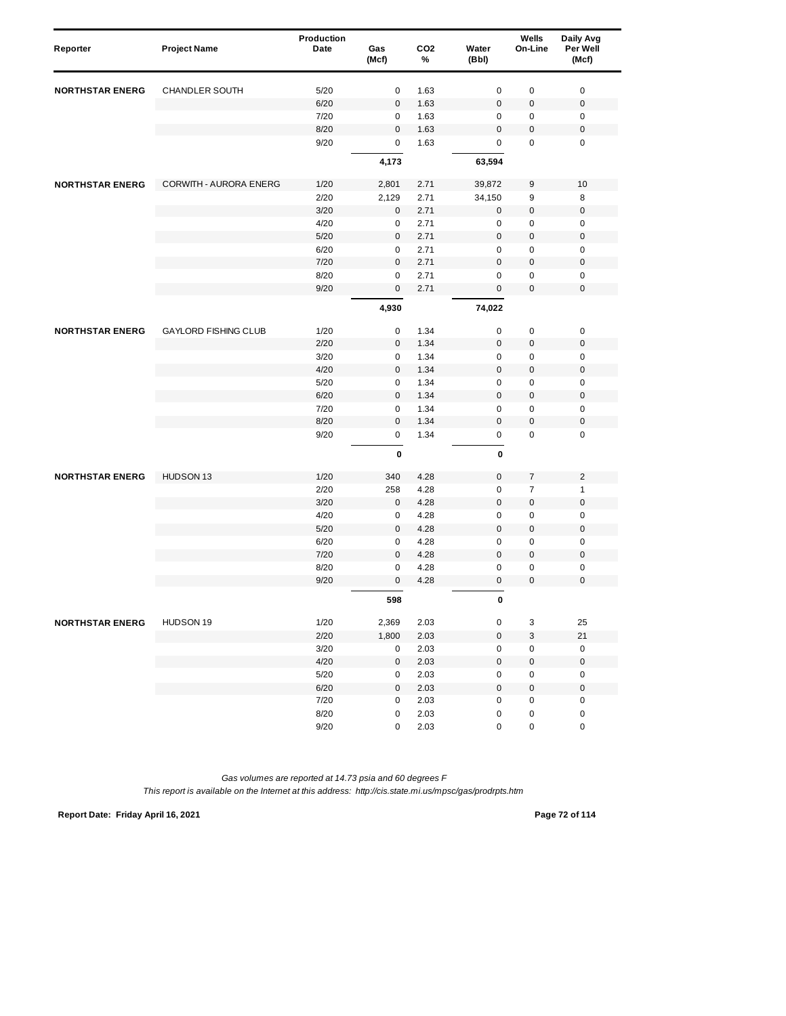| Reporter               | <b>Project Name</b>         | Production<br>Date | Gas<br>(Mcf)        | CO <sub>2</sub><br>% | Water<br>(Bbl) | Wells<br>On-Line | Daily Avg<br>Per Well<br>(Mcf) |
|------------------------|-----------------------------|--------------------|---------------------|----------------------|----------------|------------------|--------------------------------|
| <b>NORTHSTAR ENERG</b> | <b>CHANDLER SOUTH</b>       | 5/20               | 0                   | 1.63                 | $\mathbf 0$    | $\pmb{0}$        | $\pmb{0}$                      |
|                        |                             | 6/20               | $\mathbf 0$         | 1.63                 | $\mathbf 0$    | $\pmb{0}$        | $\pmb{0}$                      |
|                        |                             | 7/20               | 0                   | 1.63                 | 0              | 0                | 0                              |
|                        |                             | 8/20               | $\mathbf 0$         | 1.63                 | $\mathbf 0$    | 0                | $\pmb{0}$                      |
|                        |                             | 9/20               | $\mathbf 0$         | 1.63                 | 0              | $\mathbf 0$      | $\pmb{0}$                      |
|                        |                             |                    | 4,173               |                      | 63,594         |                  |                                |
| <b>NORTHSTAR ENERG</b> | CORWITH - AURORA ENERG      | 1/20               | 2,801               | 2.71                 | 39,872         | 9                | 10                             |
|                        |                             | 2/20               | 2,129               | 2.71                 | 34,150         | 9                | 8                              |
|                        |                             | 3/20               | 0                   | 2.71                 | $\mathbf 0$    | $\pmb{0}$        | $\pmb{0}$                      |
|                        |                             | 4/20               | 0                   | 2.71                 | $\mathbf 0$    | $\pmb{0}$        | $\mathbf 0$                    |
|                        |                             | 5/20               | $\mathbf 0$         | 2.71                 | $\mathbf 0$    | $\pmb{0}$        | $\mathbf 0$                    |
|                        |                             | 6/20               | $\mathbf 0$         | 2.71                 | $\mathbf 0$    | $\pmb{0}$        | $\mathbf 0$                    |
|                        |                             | 7/20               | $\mathbf 0$         | 2.71                 | $\bf 0$        | $\pmb{0}$        | $\pmb{0}$                      |
|                        |                             | 8/20               | $\pmb{0}$           | 2.71                 | $\mathbf 0$    | 0                | $\mathbf 0$                    |
|                        |                             | 9/20               | $\mathbf 0$         | 2.71                 | $\mathbf 0$    | 0                | $\mathbf 0$                    |
|                        |                             |                    | 4,930               |                      | 74,022         |                  |                                |
| <b>NORTHSTAR ENERG</b> | <b>GAYLORD FISHING CLUB</b> | 1/20               | 0                   | 1.34                 | $\mathbf 0$    | $\pmb{0}$        | $\pmb{0}$                      |
|                        |                             | 2/20               | $\mathbf 0$         | 1.34                 | $\mathbf 0$    | $\pmb{0}$        | $\mathbf 0$                    |
|                        |                             | 3/20               | 0                   | 1.34                 | 0              | $\pmb{0}$        | $\pmb{0}$                      |
|                        |                             | 4/20               | $\mathbf{0}$        | 1.34                 | $\mathbf 0$    | $\pmb{0}$        | $\mathbf 0$                    |
|                        |                             | 5/20               | $\pmb{0}$           | 1.34                 | $\mathbf 0$    | 0                | $\mathbf 0$                    |
|                        |                             | 6/20               | $\pmb{0}$           | 1.34                 | $\mathbf 0$    | 0                | $\pmb{0}$                      |
|                        |                             | 7/20               | 0                   | 1.34                 | $\mathsf 0$    | 0                | $\pmb{0}$                      |
|                        |                             | 8/20               | $\mathbf{0}$        | 1.34                 | $\mathbf 0$    | 0                | $\mathbf 0$                    |
|                        |                             | 9/20               | $\mathbf 0$         | 1.34                 | 0              | $\mathbf 0$      | $\pmb{0}$                      |
|                        |                             |                    | $\pmb{0}$           |                      | $\mathbf 0$    |                  |                                |
| <b>NORTHSTAR ENERG</b> | HUDSON 13                   | 1/20               | 340                 | 4.28                 | $\bf 0$        | $\overline{7}$   | $\overline{2}$                 |
|                        |                             | 2/20               | 258                 | 4.28                 | $\mathbf 0$    | $\overline{7}$   | $\mathbf{1}$                   |
|                        |                             | 3/20               | 0                   | 4.28                 | $\pmb{0}$      | $\pmb{0}$        | $\pmb{0}$                      |
|                        |                             | 4/20               | 0                   | 4.28                 | $\mathbf 0$    | $\pmb{0}$        | $\mathbf 0$                    |
|                        |                             | 5/20               | $\mathbf 0$         | 4.28                 | $\mathbf 0$    | $\pmb{0}$        | $\mathbf 0$                    |
|                        |                             | 6/20               | 0                   | 4.28                 | $\mathbf 0$    | 0                | $\mathbf 0$                    |
|                        |                             | 7/20               | $\mathbf 0$         | 4.28                 | $\mathbf 0$    | $\pmb{0}$        | $\pmb{0}$                      |
|                        |                             | 8/20               | 0                   | 4.28                 | $\mathbf 0$    | 0                | $\pmb{0}$                      |
|                        |                             | 9/20               | $\mathbf{0}$        | 4.28                 | $\overline{0}$ | 0                | $\mathbf 0$                    |
|                        |                             |                    | 598                 |                      | 0              |                  |                                |
| <b>NORTHSTAR ENERG</b> | HUDSON 19                   | 1/20               | 2,369               | 2.03                 | $\pmb{0}$      | 3                | 25                             |
|                        |                             | 2/20               | 1,800               | 2.03                 | $\mathbf 0$    | 3                | 21                             |
|                        |                             | 3/20               | 0                   | 2.03                 | 0              | 0                | 0                              |
|                        |                             | 4/20               | $\mathsf{O}\xspace$ | 2.03                 | $\mathbf 0$    | 0                | $\pmb{0}$                      |
|                        |                             | $5/20$             | 0                   | 2.03                 | $\pmb{0}$      | 0                | $\pmb{0}$                      |
|                        |                             | 6/20               | $\mathsf{O}\xspace$ | 2.03                 | $\pmb{0}$      | $\pmb{0}$        | $\pmb{0}$                      |
|                        |                             | 7/20               | 0                   | 2.03                 | $\pmb{0}$      | 0                | $\pmb{0}$                      |
|                        |                             | 8/20               | 0                   | 2.03                 | $\pmb{0}$      | 0                | $\pmb{0}$                      |
|                        |                             | 9/20               | 0                   | 2.03                 | $\pmb{0}$      | 0                | $\pmb{0}$                      |

**Report Date: Friday April 16, 2021 Page 72 of 114**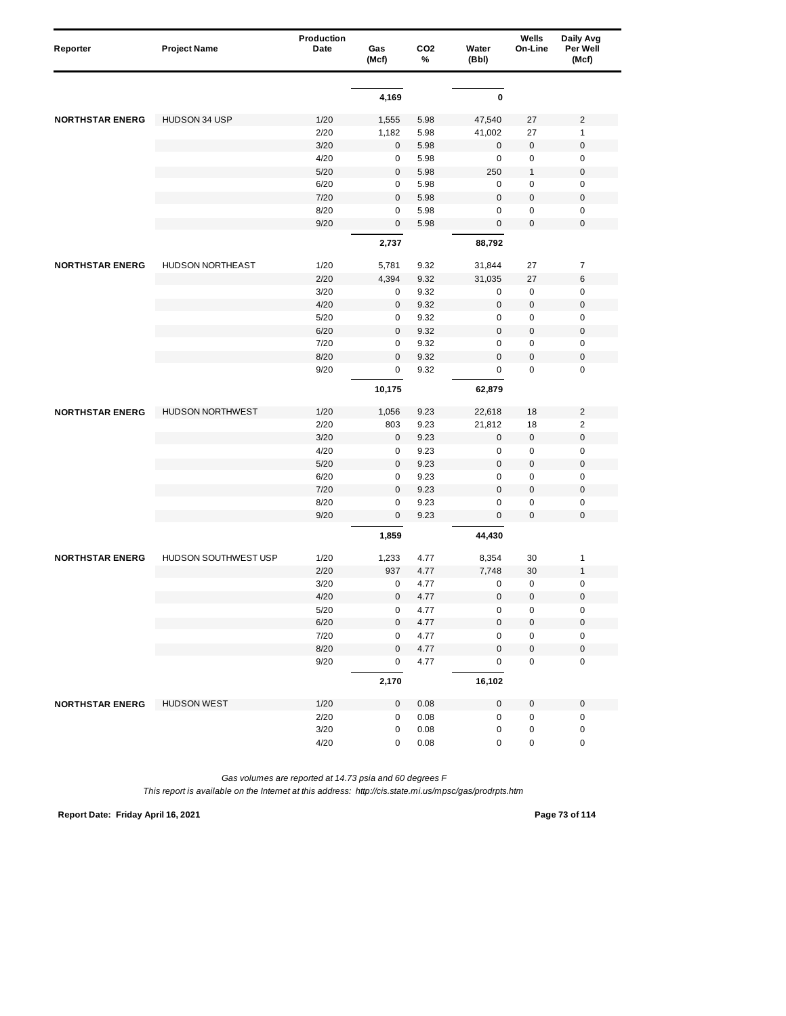| Reporter               | <b>Project Name</b>     | <b>Production</b><br>Date | Gas<br>(Mcf) | CO <sub>2</sub><br>% | Water<br>(Bbl)   | Wells<br>On-Line | Daily Avg<br>Per Well<br>(Mcf) |
|------------------------|-------------------------|---------------------------|--------------|----------------------|------------------|------------------|--------------------------------|
|                        |                         |                           |              |                      |                  |                  |                                |
|                        |                         |                           | 4,169        |                      | $\pmb{0}$        |                  |                                |
| <b>NORTHSTAR ENERG</b> | HUDSON 34 USP           | 1/20                      | 1,555        | 5.98                 | 47,540           | 27               | $\overline{2}$                 |
|                        |                         | 2/20                      | 1,182        | 5.98                 | 41,002           | 27               | 1                              |
|                        |                         | 3/20                      | $\mathbf 0$  | 5.98                 | $\mathbf 0$      | 0                | $\mathbf 0$                    |
|                        |                         | 4/20                      | 0            | 5.98                 | $\mathbf 0$      | $\pmb{0}$        | $\mathbf 0$                    |
|                        |                         | 5/20                      | $\mathbf 0$  | 5.98                 | 250              | $\mathbf{1}$     | $\boldsymbol{0}$               |
|                        |                         | 6/20                      | 0            | 5.98                 | 0                | $\pmb{0}$        | $\mathbf 0$                    |
|                        |                         | 7/20                      | $\mathbf 0$  | 5.98                 | $\mathbf 0$      | $\pmb{0}$        | $\mathbf 0$                    |
|                        |                         | 8/20                      | 0            | 5.98                 | 0                | 0                | $\mathbf 0$                    |
|                        |                         | 9/20                      | $\mathbf 0$  | 5.98                 | $\boldsymbol{0}$ | 0                | $\mathbf 0$                    |
|                        |                         |                           | 2,737        |                      | 88,792           |                  |                                |
| <b>NORTHSTAR ENERG</b> | <b>HUDSON NORTHEAST</b> | 1/20                      | 5,781        | 9.32                 | 31,844           | 27               | $\overline{7}$                 |
|                        |                         | 2/20                      | 4,394        | 9.32                 | 31,035           | 27               | 6                              |
|                        |                         | 3/20                      | 0            | 9.32                 | 0                | $\pmb{0}$        | $\mathbf 0$                    |
|                        |                         | 4/20                      | $\pmb{0}$    | 9.32                 | $\mathbf 0$      | $\pmb{0}$        | $\boldsymbol{0}$               |
|                        |                         | 5/20                      | 0            | 9.32                 | 0                | 0                | $\mathbf 0$                    |
|                        |                         | 6/20                      | $\mathbf 0$  | 9.32                 | $\mathbf 0$      | 0                | $\mathbf 0$                    |
|                        |                         | 7/20                      | $\pmb{0}$    | 9.32                 | $\mathbf 0$      | 0                | $\mathbf 0$                    |
|                        |                         | 8/20                      | $\mathbf 0$  | 9.32                 | $\mathbf 0$      | 0                | $\boldsymbol{0}$               |
|                        |                         | 9/20                      | $\mathbf 0$  | 9.32                 | 0                | 0                | $\mathbf 0$                    |
|                        |                         |                           | 10,175       |                      | 62,879           |                  |                                |
| <b>NORTHSTAR ENERG</b> | <b>HUDSON NORTHWEST</b> | 1/20                      | 1,056        | 9.23                 | 22,618           | 18               | $\overline{c}$                 |
|                        |                         | 2/20                      | 803          | 9.23                 | 21,812           | 18               | $\overline{2}$                 |
|                        |                         | 3/20                      | $\mathbf 0$  | 9.23                 | $\mathbf 0$      | $\pmb{0}$        | $\mathbf 0$                    |
|                        |                         | 4/20                      | 0            | 9.23                 | $\mathbf 0$      | 0                | $\mathbf 0$                    |
|                        |                         | 5/20                      | $\mathbf 0$  | 9.23                 | $\pmb{0}$        | $\pmb{0}$        | $\boldsymbol{0}$               |
|                        |                         | 6/20                      | 0            | 9.23                 | $\mathbf 0$      | $\pmb{0}$        | $\mathbf 0$                    |
|                        |                         | 7/20                      | $\mathbf 0$  | 9.23                 | $\mathbf 0$      | $\pmb{0}$        | $\mathbf 0$                    |
|                        |                         | 8/20                      | $\mathbf 0$  | 9.23                 | 0                | 0                | $\pmb{0}$                      |
|                        |                         | 9/20                      | $\mathbf 0$  | 9.23                 | $\mathbf 0$      | 0                | $\mathbf 0$                    |
|                        |                         |                           | 1,859        |                      | 44,430           |                  |                                |
| <b>NORTHSTAR ENERG</b> | HUDSON SOUTHWEST USP    | 1/20                      | 1,233        | 4.77                 | 8,354            | 30               | 1                              |
|                        |                         | 2/20                      | 937          | 4.77                 | 7,748            | 30               | $\mathbf{1}$                   |
|                        |                         | 3/20                      | $\mathbf 0$  | 4.77                 | 0                | 0                | $\mathbf 0$                    |
|                        |                         | 4/20                      | 0            | 4.77                 | $\mathbf 0$      | 0                | $\mathbf 0$                    |
|                        |                         | $5/20$                    | 0            | 4.77                 | 0                | $\pmb{0}$        | 0                              |
|                        |                         | 6/20                      | 0            | 4.77                 | $\pmb{0}$        | 0                | $\pmb{0}$                      |
|                        |                         | 7/20                      | 0            | 4.77                 | 0                | 0                | $\pmb{0}$                      |
|                        |                         | 8/20                      | 0            | 4.77                 | $\mathbf 0$      | $\pmb{0}$        | $\mathbf 0$                    |
|                        |                         | 9/20                      | 0            | 4.77                 | $\pmb{0}$        | 0                | 0                              |
|                        |                         |                           | 2,170        |                      | 16,102           |                  |                                |
| <b>NORTHSTAR ENERG</b> | <b>HUDSON WEST</b>      | 1/20                      | $\mathbf 0$  | 0.08                 | $\pmb{0}$        | 0                | $\pmb{0}$                      |
|                        |                         | 2/20                      | $\pmb{0}$    | 0.08                 | $\pmb{0}$        | 0                | $\pmb{0}$                      |
|                        |                         | $3/20$                    | 0            | 0.08                 | 0                | 0                | $\pmb{0}$                      |
|                        |                         | 4/20                      | 0            | 0.08                 | 0                | $\pmb{0}$        | $\pmb{0}$                      |

**Report Date: Friday April 16, 2021 Page 73 of 114**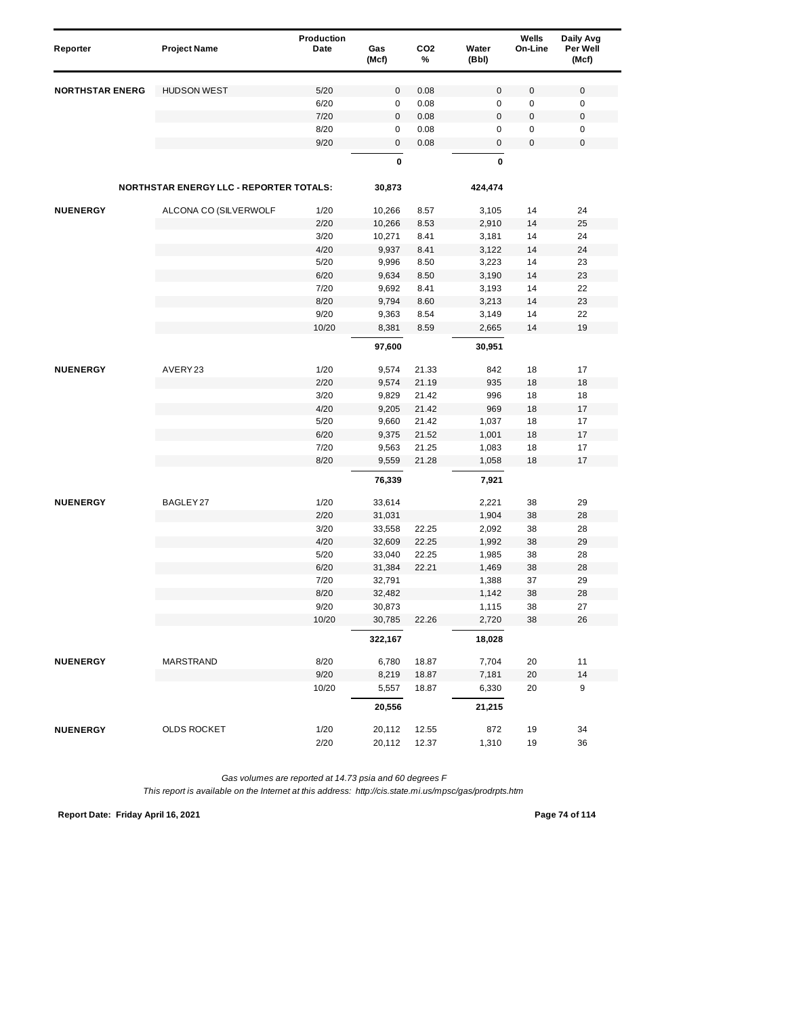| Reporter               | <b>Project Name</b>                            | Production<br>Date | Gas       | CO <sub>2</sub> | Water     | Wells<br>On-Line | Daily Avg<br>Per Well |
|------------------------|------------------------------------------------|--------------------|-----------|-----------------|-----------|------------------|-----------------------|
|                        |                                                |                    | (Mcf)     | %               | (Bbl)     |                  | (Mcf)                 |
| <b>NORTHSTAR ENERG</b> | <b>HUDSON WEST</b>                             | 5/20               | $\pmb{0}$ | 0.08            | $\pmb{0}$ | 0                | $\mathbf 0$           |
|                        |                                                | 6/20               | 0         | 0.08            | 0         | 0                | 0                     |
|                        |                                                | 7/20               | $\pmb{0}$ | 0.08            | 0         | $\mathbf 0$      | $\mathbf 0$           |
|                        |                                                | 8/20               | 0         | 0.08            | 0         | 0                | $\pmb{0}$             |
|                        |                                                | 9/20               | $\pmb{0}$ | 0.08            | 0         | $\pmb{0}$        | $\mathbf 0$           |
|                        |                                                |                    | 0         |                 | 0         |                  |                       |
|                        | <b>NORTHSTAR ENERGY LLC - REPORTER TOTALS:</b> |                    | 30,873    |                 | 424,474   |                  |                       |
| <b>NUENERGY</b>        | ALCONA CO (SILVERWOLF                          | 1/20               | 10,266    | 8.57            | 3,105     | 14               | 24                    |
|                        |                                                | 2/20               | 10,266    | 8.53            | 2,910     | 14               | 25                    |
|                        |                                                | 3/20               | 10,271    | 8.41            | 3,181     | 14               | 24                    |
|                        |                                                | 4/20               | 9,937     | 8.41            | 3,122     | 14               | 24                    |
|                        |                                                | 5/20               | 9,996     | 8.50            | 3,223     | 14               | 23                    |
|                        |                                                | 6/20               | 9,634     | 8.50            | 3,190     | 14               | 23                    |
|                        |                                                | 7/20               | 9,692     | 8.41            | 3,193     | 14               | 22                    |
|                        |                                                | 8/20               | 9,794     | 8.60            | 3,213     | 14               | 23                    |
|                        |                                                | 9/20               | 9,363     | 8.54            | 3,149     | 14               | 22                    |
|                        |                                                | 10/20              | 8,381     | 8.59            | 2,665     | 14               | 19                    |
|                        |                                                |                    | 97,600    |                 | 30,951    |                  |                       |
| <b>NUENERGY</b>        | AVERY23                                        | 1/20               | 9,574     | 21.33           | 842       | 18               | 17                    |
|                        |                                                | 2/20               | 9,574     | 21.19           | 935       | 18               | 18                    |
|                        |                                                | 3/20               | 9,829     | 21.42           | 996       | 18               | 18                    |
|                        |                                                | 4/20               | 9,205     | 21.42           | 969       | 18               | 17                    |
|                        |                                                | 5/20               | 9,660     | 21.42           | 1,037     | 18               | 17                    |
|                        |                                                | 6/20               | 9,375     | 21.52           | 1,001     | 18               | 17                    |
|                        |                                                | 7/20               | 9,563     | 21.25           | 1,083     | 18               | 17                    |
|                        |                                                | 8/20               | 9,559     | 21.28           | 1,058     | 18               | 17                    |
|                        |                                                |                    | 76,339    |                 | 7,921     |                  |                       |
| <b>NUENERGY</b>        | BAGLEY 27                                      | 1/20               | 33,614    |                 | 2,221     | 38               | 29                    |
|                        |                                                | 2/20               | 31,031    |                 | 1,904     | 38               | 28                    |
|                        |                                                | 3/20               | 33,558    | 22.25           | 2,092     | 38               | 28                    |
|                        |                                                | 4/20               | 32,609    | 22.25           | 1,992     | 38               | 29                    |
|                        |                                                | 5/20               | 33,040    | 22.25           | 1,985     | 38               | 28                    |
|                        |                                                | 6/20               | 31,384    | 22.21           | 1,469     | 38               | 28                    |
|                        |                                                | 7/20               | 32,791    |                 | 1,388     | 37               | 29                    |
|                        |                                                | 8/20               | 32,482    |                 | 1,142     | 38               | 28                    |
|                        |                                                | 9/20               | 30,873    |                 | 1,115     | 38               | 27                    |
|                        |                                                | 10/20              | 30,785    | 22.26           | 2,720     | 38               | 26                    |
|                        |                                                |                    | 322,167   |                 | 18,028    |                  |                       |
| <b>NUENERGY</b>        | MARSTRAND                                      | 8/20               | 6,780     | 18.87           | 7,704     | 20               | 11                    |
|                        |                                                | 9/20               | 8,219     | 18.87           | 7,181     | 20               | 14                    |
|                        |                                                | 10/20              | 5,557     | 18.87           | 6,330     | 20               | 9                     |
|                        |                                                |                    | 20,556    |                 | 21,215    |                  |                       |
| <b>NUENERGY</b>        | <b>OLDS ROCKET</b>                             | 1/20               | 20,112    | 12.55           | 872       | 19               | 34                    |
|                        |                                                | 2/20               | 20,112    | 12.37           | 1,310     | 19               | 36                    |

**Report Date: Friday April 16, 2021 Page 74 of 114**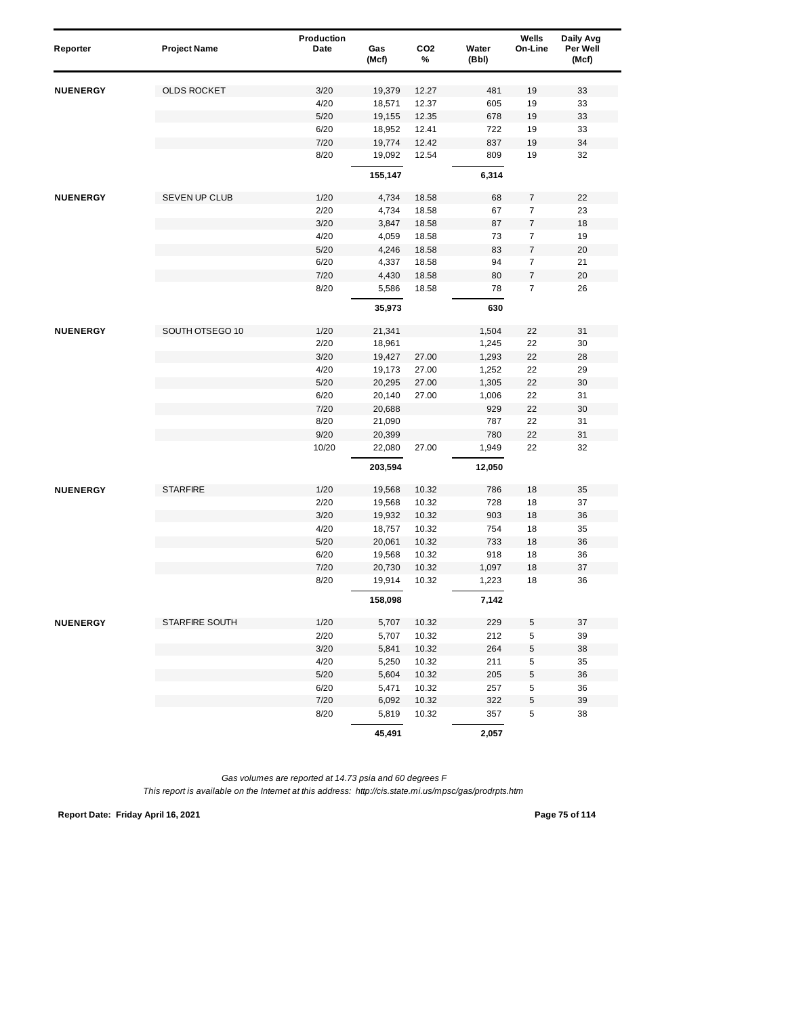| Reporter        | <b>Project Name</b>   | Production<br>Date | Gas<br>(Mcf) | CO <sub>2</sub><br>% | Water<br>(Bbl) | Wells<br>On-Line | Daily Avg<br>Per Well<br>(Mcf) |
|-----------------|-----------------------|--------------------|--------------|----------------------|----------------|------------------|--------------------------------|
| <b>NUENERGY</b> | <b>OLDS ROCKET</b>    | 3/20               | 19,379       | 12.27                | 481            | 19               | 33                             |
|                 |                       | 4/20               | 18,571       | 12.37                | 605            | 19               | 33                             |
|                 |                       | 5/20               | 19,155       | 12.35                | 678            | 19               | 33                             |
|                 |                       | 6/20               | 18,952       | 12.41                | 722            | 19               | 33                             |
|                 |                       | 7/20               | 19,774       | 12.42                | 837            | 19               | 34                             |
|                 |                       | 8/20               | 19,092       | 12.54                | 809            | 19               | 32                             |
|                 |                       |                    | 155,147      |                      | 6,314          |                  |                                |
| <b>NUENERGY</b> | SEVEN UP CLUB         | 1/20               | 4,734        | 18.58                | 68             | 7                | 22                             |
|                 |                       | 2/20               | 4,734        | 18.58                | 67             | $\overline{7}$   | 23                             |
|                 |                       | 3/20               | 3,847        | 18.58                | 87             | $\boldsymbol{7}$ | 18                             |
|                 |                       | 4/20               | 4,059        | 18.58                | 73             | 7                | 19                             |
|                 |                       | 5/20               | 4,246        | 18.58                | 83             | 7                | 20                             |
|                 |                       | 6/20               | 4,337        | 18.58                | 94             | $\boldsymbol{7}$ | 21                             |
|                 |                       | 7/20               | 4,430        | 18.58                | 80             | $\boldsymbol{7}$ | 20                             |
|                 |                       | 8/20               | 5,586        | 18.58                | 78             | $\overline{7}$   | 26                             |
|                 |                       |                    | 35,973       |                      | 630            |                  |                                |
| <b>NUENERGY</b> | SOUTH OTSEGO 10       | 1/20               | 21,341       |                      | 1,504          | 22               | 31                             |
|                 |                       | 2/20               | 18,961       |                      | 1,245          | 22               | 30                             |
|                 |                       | 3/20               | 19,427       | 27.00                | 1,293          | 22               | 28                             |
|                 |                       | 4/20               | 19,173       | 27.00                | 1,252          | 22               | 29                             |
|                 |                       | 5/20               | 20,295       | 27.00                | 1,305          | 22               | 30                             |
|                 |                       | 6/20               | 20,140       | 27.00                | 1,006          | 22               | 31                             |
|                 |                       | 7/20               | 20,688       |                      | 929            | 22               | 30                             |
|                 |                       | 8/20               | 21,090       |                      | 787            | 22               | 31                             |
|                 |                       | 9/20               | 20,399       |                      | 780            | 22               | 31                             |
|                 |                       | 10/20              | 22,080       | 27.00                | 1,949          | 22               | 32                             |
|                 |                       |                    | 203,594      |                      | 12,050         |                  |                                |
| <b>NUENERGY</b> | <b>STARFIRE</b>       | 1/20               | 19,568       | 10.32                | 786            | 18               | 35                             |
|                 |                       | 2/20               | 19,568       | 10.32                | 728            | 18               | 37                             |
|                 |                       | 3/20               | 19,932       | 10.32                | 903            | 18               | 36                             |
|                 |                       | 4/20               | 18,757       | 10.32                | 754            | 18               | 35                             |
|                 |                       | $5/20$             | 20,061       | 10.32                | 733            | 18               | 36                             |
|                 |                       | 6/20               | 19,568       | 10.32                | 918            | 18               | 36                             |
|                 |                       | 7/20               | 20,730       | 10.32                | 1,097          | 18               | 37                             |
|                 |                       | 8/20               | 19,914       | 10.32                | 1,223          | 18               | 36                             |
|                 |                       |                    | 158,098      |                      | 7,142          |                  |                                |
| <b>NUENERGY</b> | <b>STARFIRE SOUTH</b> | 1/20               | 5,707        | 10.32                | 229            | 5                | 37                             |
|                 |                       | 2/20               | 5,707        | 10.32                | 212            | 5                | 39                             |
|                 |                       | 3/20               | 5,841        | 10.32                | 264            | 5                | 38                             |
|                 |                       | 4/20               | 5,250        | 10.32                | 211            | 5                | 35                             |
|                 |                       | 5/20               | 5,604        | 10.32                | 205            | 5                | 36                             |
|                 |                       | 6/20               | 5,471        | 10.32                | 257            | 5                | 36                             |
|                 |                       | 7/20               | 6,092        | 10.32                | 322            | $\mathbf 5$      | 39                             |
|                 |                       | 8/20               | 5,819        | 10.32                | 357            | 5                | 38                             |
|                 |                       |                    | 45,491       |                      | 2,057          |                  |                                |

**Report Date: Friday April 16, 2021 Page 75 of 114**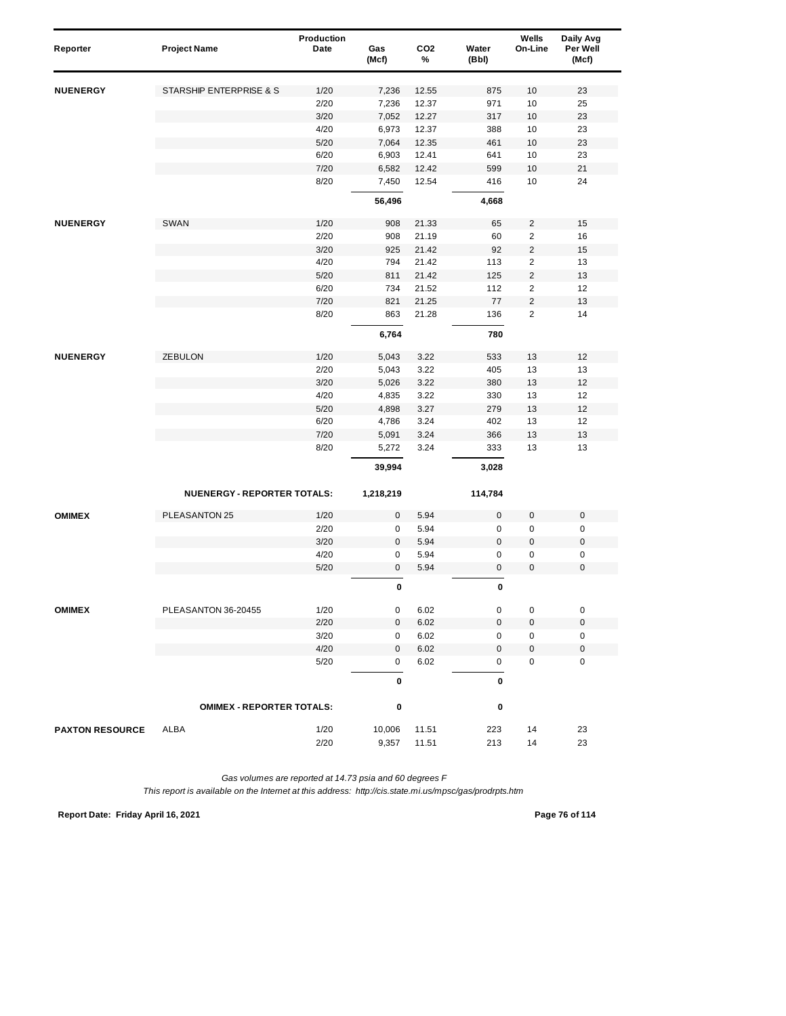| Reporter               | <b>Project Name</b>                | Production<br>Date | Gas<br>(Mcf) | CO <sub>2</sub><br>% | Water<br>(Bbl) | Wells<br>On-Line        | Daily Avg<br>Per Well<br>(Mcf) |
|------------------------|------------------------------------|--------------------|--------------|----------------------|----------------|-------------------------|--------------------------------|
| <b>NUENERGY</b>        | STARSHIP ENTERPRISE & S            | 1/20               | 7,236        | 12.55                | 875            | 10                      | 23                             |
|                        |                                    | 2/20               | 7,236        | 12.37                | 971            | 10                      | 25                             |
|                        |                                    | 3/20               | 7,052        | 12.27                | 317            | 10                      | 23                             |
|                        |                                    | 4/20               | 6,973        | 12.37                | 388            | 10                      | 23                             |
|                        |                                    | 5/20               | 7,064        | 12.35                | 461            | 10                      | 23                             |
|                        |                                    | 6/20               | 6,903        | 12.41                | 641            | 10                      | 23                             |
|                        |                                    | 7/20               | 6,582        | 12.42                | 599            | 10                      | 21                             |
|                        |                                    | 8/20               | 7,450        | 12.54                | 416            | 10                      | 24                             |
|                        |                                    |                    | 56,496       |                      | 4,668          |                         |                                |
| <b>NUENERGY</b>        | SWAN                               | 1/20               | 908          | 21.33                | 65             | $\overline{2}$          | 15                             |
|                        |                                    | 2/20               | 908          | 21.19                | 60             | $\overline{c}$          | 16                             |
|                        |                                    | 3/20               | 925          | 21.42                | 92             | $\overline{c}$          | 15                             |
|                        |                                    | 4/20               | 794          | 21.42                | 113            | $\overline{\mathbf{c}}$ | 13                             |
|                        |                                    | 5/20               | 811          | 21.42                | 125            | $\overline{c}$          | 13                             |
|                        |                                    | 6/20               | 734          | 21.52                | 112            | 2                       | 12                             |
|                        |                                    | 7/20               | 821          | 21.25                | 77             | 2                       | 13                             |
|                        |                                    | 8/20               | 863          | 21.28                | 136            | $\overline{2}$          | 14                             |
|                        |                                    |                    | 6,764        |                      | 780            |                         |                                |
| <b>NUENERGY</b>        | <b>ZEBULON</b>                     | 1/20               | 5,043        | 3.22                 | 533            | 13                      | 12                             |
|                        |                                    | 2/20               | 5,043        | 3.22                 | 405            | 13                      | 13                             |
|                        |                                    | 3/20               | 5,026        | 3.22                 | 380            | 13                      | 12                             |
|                        |                                    | 4/20               | 4,835        | 3.22                 | 330            | 13                      | 12                             |
|                        |                                    | 5/20               | 4,898        | 3.27                 | 279            | 13                      | 12                             |
|                        |                                    | 6/20               | 4,786        | 3.24                 | 402            | 13                      | 12                             |
|                        |                                    | 7/20               | 5,091        | 3.24                 | 366            | 13                      | 13                             |
|                        |                                    | 8/20               | 5,272        | 3.24                 | 333            | 13                      | 13                             |
|                        |                                    |                    | 39,994       |                      | 3,028          |                         |                                |
|                        | <b>NUENERGY - REPORTER TOTALS:</b> |                    | 1,218,219    |                      | 114,784        |                         |                                |
| <b>OMIMEX</b>          | PLEASANTON 25                      | 1/20               | $\mathbf 0$  | 5.94                 | $\mathbf 0$    | $\mathbf 0$             | $\mathbf 0$                    |
|                        |                                    | 2/20               | 0            | 5.94                 | 0              | $\pmb{0}$               | 0                              |
|                        |                                    | 3/20               | 0            | 5.94                 | 0              | $\pmb{0}$               | $\pmb{0}$                      |
|                        |                                    | 4/20               | 0            | 5.94                 | 0              | $\pmb{0}$               | $\pmb{0}$                      |
|                        |                                    | 5/20               | 0            | 5.94                 | 0              | $\pmb{0}$               | $\pmb{0}$                      |
|                        |                                    |                    | $\pmb{0}$    |                      | 0              |                         |                                |
| <b>OMIMEX</b>          | PLEASANTON 36-20455                | 1/20               | 0            | 6.02                 | 0              | 0                       | $\pmb{0}$                      |
|                        |                                    | 2/20               | $\mathbf 0$  | 6.02                 | $\mathbf 0$    | $\boldsymbol{0}$        | $\mathbf 0$                    |
|                        |                                    | 3/20               | 0            | 6.02                 | 0              | 0                       | 0                              |
|                        |                                    | 4/20               | $\mathbf 0$  | 6.02                 | 0              | $\pmb{0}$               | $\pmb{0}$                      |
|                        |                                    | 5/20               | 0            | 6.02                 | 0              | $\pmb{0}$               | 0                              |
|                        |                                    |                    | 0            |                      | 0              |                         |                                |
|                        | <b>OMIMEX - REPORTER TOTALS:</b>   |                    | 0            |                      | 0              |                         |                                |
| <b>PAXTON RESOURCE</b> | ALBA                               | 1/20               | 10,006       | 11.51                | 223            | 14                      | 23                             |
|                        |                                    | 2/20               | 9,357        | 11.51                | 213            | 14                      | 23                             |

**Report Date: Friday April 16, 2021 Page 76 of 114**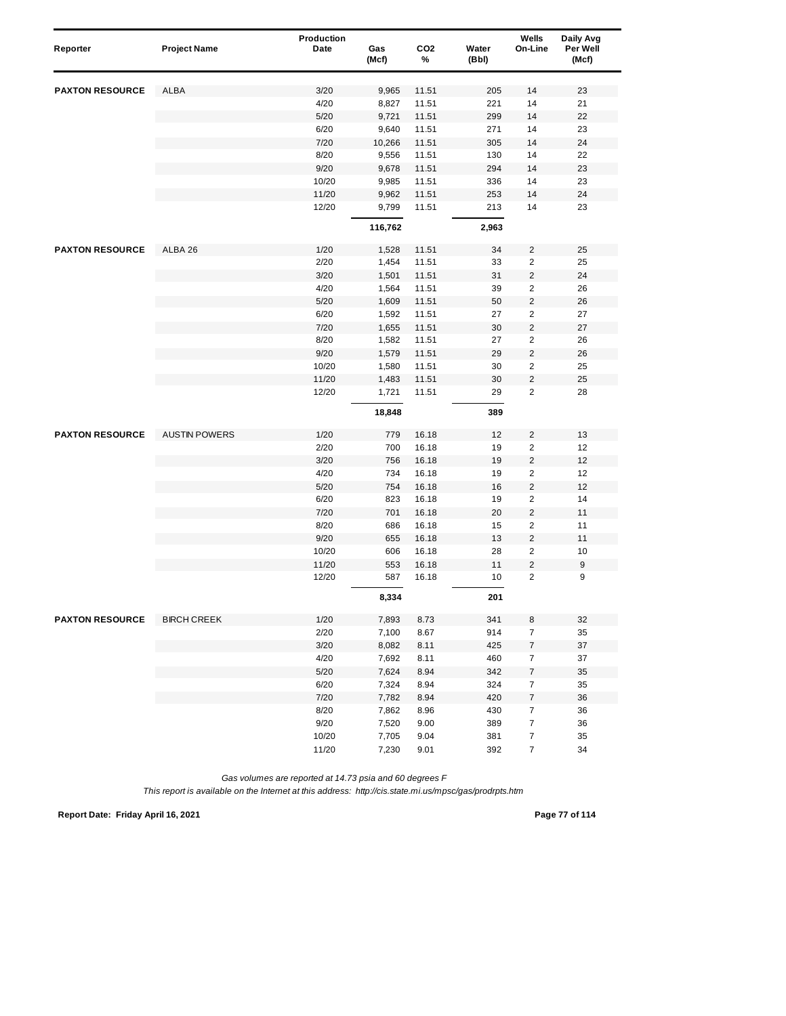| Reporter               | <b>Project Name</b>  | Production<br>Date | Gas     | CO <sub>2</sub> | Water      | Wells<br>On-Line        | Daily Avg<br>Per Well |
|------------------------|----------------------|--------------------|---------|-----------------|------------|-------------------------|-----------------------|
|                        |                      |                    | (Mcf)   | %               | (Bbl)      |                         | (Mcf)                 |
| <b>PAXTON RESOURCE</b> | ALBA                 | 3/20               | 9,965   | 11.51           | 205        | 14                      | 23                    |
|                        |                      | 4/20               | 8,827   | 11.51           | 221        | 14                      | 21                    |
|                        |                      | 5/20               | 9,721   | 11.51           | 299        | 14                      | 22                    |
|                        |                      | 6/20               | 9,640   | 11.51           | 271        | 14                      | 23                    |
|                        |                      | 7/20               | 10,266  | 11.51           | 305        | 14                      | 24                    |
|                        |                      | 8/20               | 9,556   | 11.51           | 130        | 14                      | 22                    |
|                        |                      | 9/20               | 9,678   | 11.51           | 294        | 14                      | 23                    |
|                        |                      | 10/20              | 9,985   | 11.51           | 336        | 14                      | 23                    |
|                        |                      | 11/20              | 9,962   | 11.51           | 253        | 14                      | 24                    |
|                        |                      | 12/20              | 9,799   | 11.51           | 213        | 14                      | 23                    |
|                        |                      |                    | 116,762 |                 | 2,963      |                         |                       |
| <b>PAXTON RESOURCE</b> | ALBA 26              | 1/20               | 1,528   | 11.51           | 34         | 2                       | 25                    |
|                        |                      | 2/20               | 1,454   | 11.51           | 33         | 2                       | 25                    |
|                        |                      | 3/20               | 1,501   | 11.51           | 31         | 2                       | 24                    |
|                        |                      | 4/20               | 1,564   | 11.51           | 39         | 2                       | 26                    |
|                        |                      | 5/20               | 1,609   | 11.51           | 50         | $\overline{c}$          | ${\bf 26}$            |
|                        |                      | 6/20               | 1,592   | 11.51           | 27         | 2                       | 27                    |
|                        |                      | 7/20               | 1,655   | 11.51           | 30         | $\overline{\mathbf{c}}$ | 27                    |
|                        |                      | 8/20               | 1,582   | 11.51           | 27         | $\overline{\mathbf{c}}$ | 26                    |
|                        |                      | 9/20               | 1,579   | 11.51           | 29         | $\overline{\mathbf{c}}$ | 26                    |
|                        |                      | 10/20              | 1,580   | 11.51           | 30         | 2                       | 25                    |
|                        |                      | 11/20              | 1,483   | 11.51           | 30         | $\overline{c}$          | 25                    |
|                        |                      | 12/20              | 1,721   | 11.51           | 29         | $\overline{\mathbf{c}}$ | 28                    |
|                        |                      |                    | 18,848  |                 | 389        |                         |                       |
| <b>PAXTON RESOURCE</b> | <b>AUSTIN POWERS</b> | 1/20               | 779     | 16.18           | 12         | 2                       | 13                    |
|                        |                      | 2/20               | 700     | 16.18           | 19         | $\overline{\mathbf{c}}$ | 12                    |
|                        |                      | 3/20               | 756     | 16.18           | 19         | $\overline{\mathbf{c}}$ | 12                    |
|                        |                      | 4/20               | 734     | 16.18           | 19         | 2                       | 12                    |
|                        |                      | 5/20               | 754     | 16.18           | 16         | $\overline{c}$          | 12                    |
|                        |                      | 6/20               | 823     | 16.18           | 19         | 2                       | 14                    |
|                        |                      | 7/20               | 701     | 16.18           | 20         | $\overline{\mathbf{c}}$ | 11                    |
|                        |                      | 8/20               | 686     | 16.18           | 15         | $\overline{\mathbf{c}}$ | 11                    |
|                        |                      | 9/20               | 655     | 16.18           | 13         | $\overline{\mathbf{c}}$ | 11                    |
|                        |                      | 10/20              | 606     | 16.18           | 28         | 2                       | 10                    |
|                        |                      | 11/20              | 553     | 16.18           | 11         | $\overline{\mathbf{c}}$ | 9                     |
|                        |                      | 12/20              | 587     | 16.18           | 10         | $\overline{c}$          | 9                     |
|                        |                      |                    | 8,334   |                 | 201        |                         |                       |
| <b>PAXTON RESOURCE</b> | <b>BIRCH CREEK</b>   | 1/20               | 7,893   | 8.73            | 341        | 8                       | 32                    |
|                        |                      | 2/20               | 7,100   | 8.67            | 914        | $\overline{7}$          | 35                    |
|                        |                      | 3/20               | 8,082   | 8.11            | 425        | $\boldsymbol{7}$        | 37                    |
|                        |                      | 4/20               | 7,692   | 8.11            | 460        | $\boldsymbol{7}$        | 37                    |
|                        |                      | 5/20               | 7,624   | 8.94            | 342        | $\boldsymbol{7}$        | 35                    |
|                        |                      | 6/20               | 7,324   | 8.94            | 324        | $\boldsymbol{7}$        | 35                    |
|                        |                      | 7/20               | 7,782   | 8.94            | 420        | 7                       | 36                    |
|                        |                      | 8/20               | 7,862   | 8.96            | 430        | 7                       | 36                    |
|                        |                      | 9/20               | 7,520   | 9.00            | 389        | $\boldsymbol{7}$        | 36                    |
|                        |                      | 10/20              | 7,705   | 9.04            | 381<br>392 | 7<br>7                  | 35<br>34              |
|                        |                      | 11/20              | 7,230   | 9.01            |            |                         |                       |

*This report is available on the Internet at this address: http://cis.state.mi.us/mpsc/gas/prodrpts.htm*

**Report Date: Friday April 16, 2021 Page 77 of 114**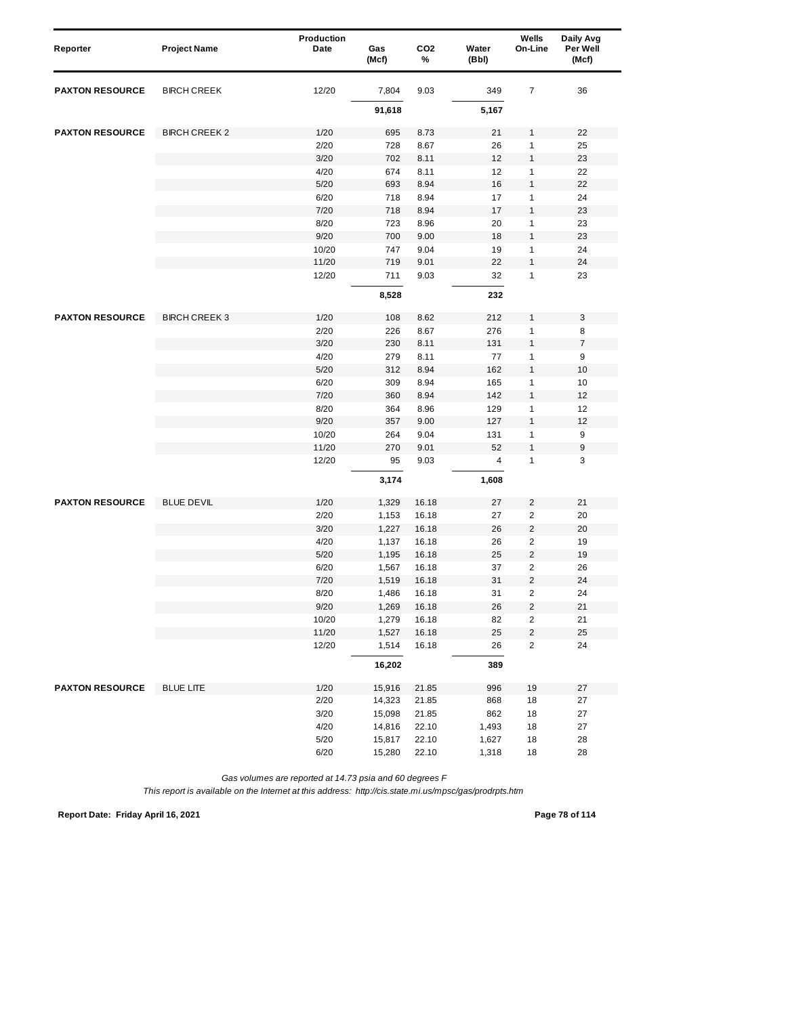| Reporter               | <b>Project Name</b>  | Production<br>Date | Gas<br>(Mcf) | CO <sub>2</sub><br>% | Water<br>(Bbl) | Wells<br>On-Line        | Daily Avg<br>Per Well<br>(Mcf) |
|------------------------|----------------------|--------------------|--------------|----------------------|----------------|-------------------------|--------------------------------|
| <b>PAXTON RESOURCE</b> | <b>BIRCH CREEK</b>   | 12/20              | 7,804        | 9.03                 | 349            | 7                       | 36                             |
|                        |                      |                    | 91,618       |                      | 5,167          |                         |                                |
| <b>PAXTON RESOURCE</b> | <b>BIRCH CREEK 2</b> | 1/20               | 695          | 8.73                 | 21             | 1                       | 22                             |
|                        |                      | 2/20               | 728          | 8.67                 | 26             | 1                       | 25                             |
|                        |                      | 3/20               | 702          | 8.11                 | 12             | 1                       | 23                             |
|                        |                      | 4/20               | 674          | 8.11                 | 12             | 1                       | 22                             |
|                        |                      | 5/20               | 693          | 8.94                 | 16             | $\mathbf{1}$            | 22                             |
|                        |                      | 6/20               | 718          | 8.94                 | 17             | 1                       | 24                             |
|                        |                      | 7/20               | 718          | 8.94                 | 17             | 1                       | 23                             |
|                        |                      | 8/20               | 723          | 8.96                 | 20             | 1                       | 23                             |
|                        |                      | 9/20               | 700          | 9.00                 | 18             | 1                       | 23                             |
|                        |                      | 10/20              | 747          | 9.04                 | 19             | 1                       | 24                             |
|                        |                      | 11/20              | 719          | 9.01                 | 22             | $\mathbf{1}$            | 24                             |
|                        |                      | 12/20              | 711          | 9.03                 | 32             | 1                       | 23                             |
|                        |                      |                    | 8,528        |                      | 232            |                         |                                |
| <b>PAXTON RESOURCE</b> | <b>BIRCH CREEK 3</b> | 1/20               | 108          | 8.62                 | 212            | 1                       | 3                              |
|                        |                      | 2/20               | 226          | 8.67                 | 276            | 1                       | 8                              |
|                        |                      | 3/20               | 230          | 8.11                 | 131            | 1                       | $\overline{7}$                 |
|                        |                      | 4/20               | 279          | 8.11                 | 77             | 1                       | 9                              |
|                        |                      | 5/20               | 312          | 8.94                 | 162            | $\mathbf{1}$            | 10                             |
|                        |                      | 6/20               | 309          | 8.94                 | 165            | 1                       | 10                             |
|                        |                      | 7/20               | 360          | 8.94                 | 142            | 1                       | 12                             |
|                        |                      | 8/20               | 364          | 8.96                 | 129            | 1                       | 12                             |
|                        |                      | 9/20               | 357          | 9.00                 | 127            | 1                       | 12                             |
|                        |                      | 10/20              | 264          | 9.04                 | 131            | 1                       | 9                              |
|                        |                      | 11/20              | 270          | 9.01                 | 52             | $\mathbf{1}$            | 9                              |
|                        |                      | 12/20              | 95           | 9.03                 | 4              | 1                       | 3                              |
|                        |                      |                    | 3,174        |                      | 1,608          |                         |                                |
| <b>PAXTON RESOURCE</b> | <b>BLUE DEVIL</b>    | 1/20               | 1,329        | 16.18                | 27             | $\overline{\mathbf{c}}$ | 21                             |
|                        |                      | 2/20               | 1,153        | 16.18                | 27             | $\overline{c}$          | 20                             |
|                        |                      | 3/20               | 1,227        | 16.18                | 26             | $\overline{\mathbf{c}}$ | 20                             |
|                        |                      | 4/20               | 1,137        | 16.18                | 26             | $\overline{c}$          | 19                             |
|                        |                      | 5/20               | 1,195        | 16.18                | 25             | $\overline{2}$          | 19                             |
|                        |                      | 6/20               | 1,567        | 16.18                | 37             | $\overline{\mathbf{c}}$ | 26                             |
|                        |                      | 7/20               | 1,519        | 16.18                | 31             | $\overline{\mathbf{c}}$ | 24                             |
|                        |                      | 8/20               | 1,486        | 16.18                | 31             | $\overline{2}$          | 24                             |
|                        |                      | 9/20               | 1,269        | 16.18                | 26             | $\sqrt{2}$              | 21                             |
|                        |                      | 10/20              | 1,279        | 16.18                | 82             | 2                       | 21                             |
|                        |                      | 11/20              | 1,527        | 16.18                | 25             | $\sqrt{2}$              | 25                             |
|                        |                      | 12/20              | 1,514        | 16.18                | 26             | $\overline{\mathbf{c}}$ | 24                             |
|                        |                      |                    | 16,202       |                      | 389            |                         |                                |
| <b>PAXTON RESOURCE</b> | <b>BLUE LITE</b>     | 1/20               | 15,916       | 21.85                | 996            | 19                      | 27                             |
|                        |                      | 2/20               | 14,323       | 21.85                | 868            | 18                      | 27                             |
|                        |                      | 3/20               | 15,098       | 21.85                | 862            | 18                      | 27                             |
|                        |                      | 4/20               | 14,816       | 22.10                | 1,493          | 18                      | 27                             |
|                        |                      | $5/20$             | 15,817       | 22.10                | 1,627          | 18                      | 28                             |
|                        |                      | 6/20               | 15,280       | 22.10                | 1,318          | 18                      | 28                             |

*This report is available on the Internet at this address: http://cis.state.mi.us/mpsc/gas/prodrpts.htm*

**Report Date: Friday April 16, 2021 Page 78 of 114**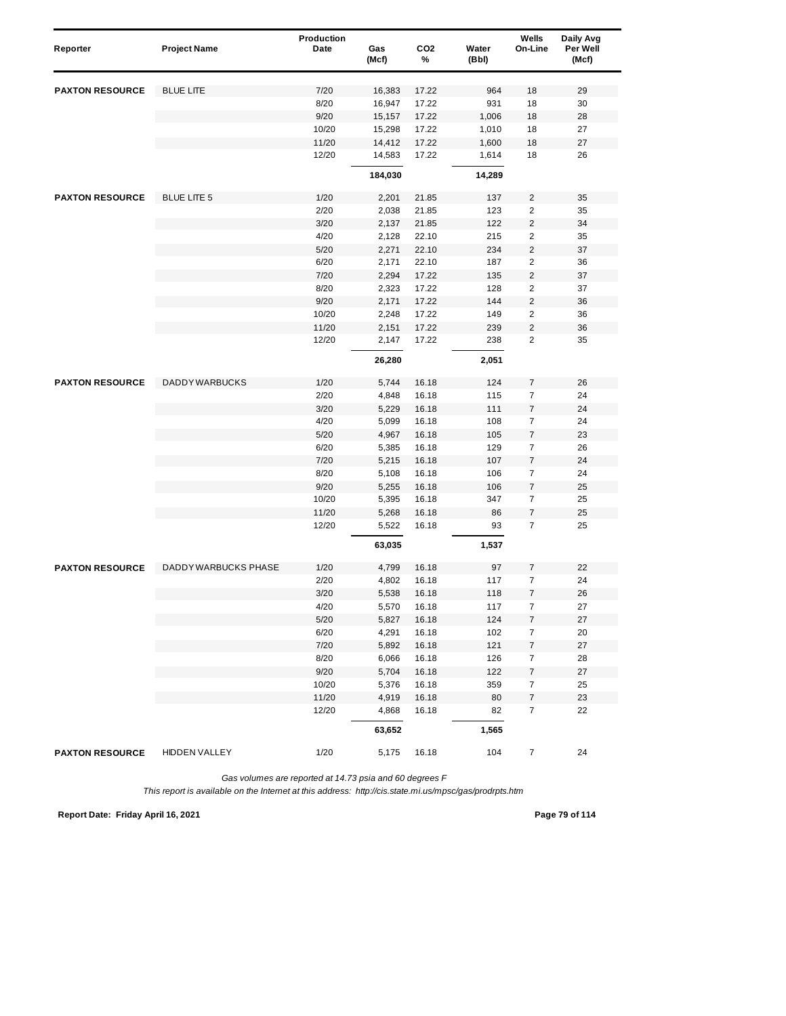| Reporter               | <b>Project Name</b>         | Production<br>Date | Gas<br>(Mcf)     | CO <sub>2</sub><br>% | Water<br>(Bbl) | Wells<br>On-Line                   | Daily Avg<br>Per Well<br>(Mcf) |
|------------------------|-----------------------------|--------------------|------------------|----------------------|----------------|------------------------------------|--------------------------------|
|                        |                             |                    |                  |                      |                |                                    |                                |
| <b>PAXTON RESOURCE</b> | <b>BLUE LITE</b>            | 7/20               | 16,383           | 17.22                | 964            | 18                                 | 29                             |
|                        |                             | 8/20<br>9/20       | 16,947           | 17.22<br>17.22       | 931            | 18<br>18                           | 30<br>28                       |
|                        |                             | 10/20              | 15,157<br>15,298 | 17.22                | 1,006<br>1,010 | 18                                 | 27                             |
|                        |                             | 11/20              | 14,412           | 17.22                | 1,600          | 18                                 | 27                             |
|                        |                             | 12/20              | 14,583           | 17.22                | 1,614          | 18                                 | 26                             |
|                        |                             |                    | 184,030          |                      | 14,289         |                                    |                                |
| <b>PAXTON RESOURCE</b> | <b>BLUE LITE 5</b>          | 1/20               | 2,201            | 21.85                | 137            | $\overline{c}$                     | 35                             |
|                        |                             | 2/20               | 2,038            | 21.85                | 123            | $\overline{c}$                     | 35                             |
|                        |                             | 3/20               | 2,137            | 21.85                | 122            | $\overline{\mathbf{c}}$            | 34                             |
|                        |                             | 4/20               | 2,128            | 22.10                | 215            | $\overline{c}$                     | 35                             |
|                        |                             | 5/20               | 2,271            | 22.10                | 234            | $\overline{c}$                     | 37                             |
|                        |                             | 6/20               | 2,171            | 22.10                | 187            | $\overline{2}$                     | 36                             |
|                        |                             | 7/20               | 2,294            | 17.22                | 135            | $\overline{\mathbf{c}}$            | 37                             |
|                        |                             | 8/20               | 2,323            | 17.22                | 128            | 2                                  | 37                             |
|                        |                             | 9/20               | 2,171            | 17.22                | 144            | $\overline{c}$                     | 36                             |
|                        |                             | 10/20              | 2,248            | 17.22                | 149            | $\overline{2}$                     | 36                             |
|                        |                             | 11/20              | 2,151            | 17.22                | 239            | $\overline{2}$                     | 36                             |
|                        |                             | 12/20              | 2,147            | 17.22                | 238            | $\overline{2}$                     | 35                             |
|                        |                             |                    | 26,280           |                      | 2,051          |                                    |                                |
| <b>PAXTON RESOURCE</b> | <b>DADDY WARBUCKS</b>       | 1/20               | 5,744            | 16.18                | 124            | 7                                  | 26                             |
|                        |                             | 2/20               | 4,848            | 16.18                | 115            | $\overline{7}$                     | 24                             |
|                        |                             | 3/20               | 5,229            | 16.18                | 111            | $\overline{7}$                     | 24                             |
|                        |                             | 4/20               | 5,099            | 16.18                | 108            | $\overline{7}$                     | 24                             |
|                        |                             | 5/20               | 4,967            | 16.18                | 105            | 7                                  | 23                             |
|                        |                             | 6/20               | 5,385            | 16.18                | 129            | $\overline{7}$                     | 26                             |
|                        |                             | 7/20               | 5,215            | 16.18                | 107            | $\boldsymbol{7}$                   | 24                             |
|                        |                             | 8/20               | 5,108            | 16.18                | 106            | 7                                  | 24                             |
|                        |                             | 9/20               | 5,255            | 16.18                | 106            | $\overline{7}$                     | 25                             |
|                        |                             | 10/20              | 5,395            | 16.18                | 347            | $\overline{7}$                     | 25                             |
|                        |                             | 11/20              | 5,268            | 16.18                | 86             | $\boldsymbol{7}$                   | 25                             |
|                        |                             | 12/20              | 5,522<br>63,035  | 16.18                | 93<br>1,537    | $\overline{7}$                     | 25                             |
|                        |                             |                    |                  |                      |                |                                    |                                |
| <b>PAXTON RESOURCE</b> | <b>DADDY WARBUCKS PHASE</b> | 1/20               | 4,799            | 16.18                | 97             | 7                                  | 22                             |
|                        |                             | 2/20               | 4,802            | 16.18                | 117            | 7                                  | 24                             |
|                        |                             | 3/20               | 5,538            | 16.18                | 118            | 7                                  | 26                             |
|                        |                             | 4/20               | 5,570            | 16.18                | 117            | $\boldsymbol{7}$                   | 27                             |
|                        |                             | 5/20               | 5,827            | 16.18                | 124            | 7                                  | 27                             |
|                        |                             | 6/20<br>7/20       | 4,291<br>5,892   | 16.18<br>16.18       | 102<br>121     | $\overline{7}$<br>$\boldsymbol{7}$ | 20<br>27                       |
|                        |                             | 8/20               | 6,066            | 16.18                | 126            | $\overline{7}$                     | 28                             |
|                        |                             | 9/20               | 5,704            | 16.18                | 122            | $\boldsymbol{7}$                   | 27                             |
|                        |                             | 10/20              | 5,376            | 16.18                | 359            | $\boldsymbol{7}$                   | 25                             |
|                        |                             | 11/20              | 4,919            | 16.18                | 80             | 7                                  | 23                             |
|                        |                             | 12/20              | 4,868            | 16.18                | 82             | $\overline{7}$                     | 22                             |
|                        |                             |                    | 63,652           |                      | 1,565          |                                    |                                |
| <b>PAXTON RESOURCE</b> | <b>HIDDEN VALLEY</b>        | 1/20               | 5,175            | 16.18                | 104            | $\overline{7}$                     | 24                             |

*This report is available on the Internet at this address: http://cis.state.mi.us/mpsc/gas/prodrpts.htm*

**Report Date: Friday April 16, 2021 Page 79 of 114**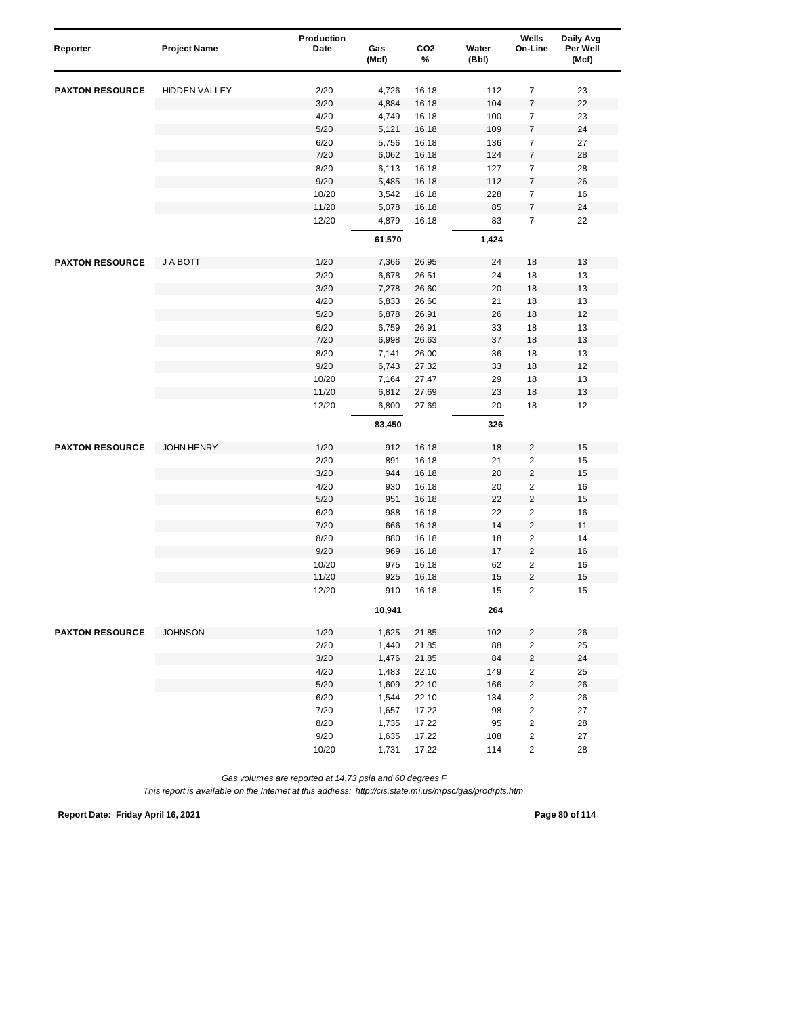| Reporter               | <b>Project Name</b>  | Production<br>Date | Gas<br>(Mcf) | CO <sub>2</sub><br>% | Water<br>(Bbl) | Wells<br>On-Line                                   | Daily Avg<br>Per Well<br>(Mcf) |
|------------------------|----------------------|--------------------|--------------|----------------------|----------------|----------------------------------------------------|--------------------------------|
| <b>PAXTON RESOURCE</b> | <b>HIDDEN VALLEY</b> | 2/20               | 4,726        | 16.18                | 112            | $\overline{7}$                                     | 23                             |
|                        |                      | 3/20               | 4,884        | 16.18                | 104            | $\boldsymbol{7}$                                   | 22                             |
|                        |                      | 4/20               | 4,749        | 16.18                | 100            | $\overline{7}$                                     | 23                             |
|                        |                      | 5/20               | 5,121        | 16.18                | 109            | $\overline{7}$                                     | 24                             |
|                        |                      | 6/20               | 5,756        | 16.18                | 136            | $\overline{7}$                                     | 27                             |
|                        |                      | 7/20               | 6,062        | 16.18                | 124            | 7                                                  | 28                             |
|                        |                      | 8/20               | 6,113        | 16.18                | 127            | $\boldsymbol{7}$                                   | 28                             |
|                        |                      | 9/20               | 5,485        | 16.18                | 112            | 7                                                  | 26                             |
|                        |                      | 10/20              | 3,542        | 16.18                | 228            | $\overline{7}$                                     | 16                             |
|                        |                      | 11/20              | 5,078        | 16.18                | 85             | $\boldsymbol{7}$                                   | 24                             |
|                        |                      | 12/20              | 4,879        | 16.18                | 83             | $\overline{7}$                                     | 22                             |
|                        |                      |                    | 61,570       |                      | 1,424          |                                                    |                                |
| <b>PAXTON RESOURCE</b> | J A BOTT             | 1/20               | 7,366        | 26.95                | 24             | 18                                                 | 13                             |
|                        |                      | 2/20               | 6,678        | 26.51                | 24             | 18                                                 | 13                             |
|                        |                      | 3/20               | 7,278        | 26.60                | 20             | 18                                                 | 13                             |
|                        |                      | 4/20               | 6,833        | 26.60                | 21             | 18                                                 | 13                             |
|                        |                      | 5/20               | 6,878        | 26.91                | 26             | 18                                                 | 12                             |
|                        |                      | 6/20               | 6,759        | 26.91                | 33             | 18                                                 | 13                             |
|                        |                      | 7/20               | 6,998        | 26.63                | 37             | 18                                                 | 13                             |
|                        |                      | 8/20               | 7,141        | 26.00                | 36             | 18                                                 | 13                             |
|                        |                      | 9/20               | 6,743        | 27.32                | 33             | 18                                                 | 12                             |
|                        |                      | 10/20              | 7,164        | 27.47                | 29             | 18                                                 | 13                             |
|                        |                      | 11/20              | 6,812        | 27.69                | 23             | 18                                                 | 13                             |
|                        |                      | 12/20              | 6,800        | 27.69                | 20             | 18                                                 | 12                             |
|                        |                      |                    | 83,450       |                      | 326            |                                                    |                                |
| <b>PAXTON RESOURCE</b> | <b>JOHN HENRY</b>    | 1/20               | 912          | 16.18                | 18             | $\overline{\mathbf{c}}$                            | 15                             |
|                        |                      | 2/20               | 891          | 16.18                | 21             | $\overline{\mathbf{c}}$                            | 15                             |
|                        |                      | 3/20               | 944          | 16.18                | 20             | $\overline{\mathbf{c}}$                            | 15                             |
|                        |                      | 4/20               | 930          | 16.18                | 20             | $\overline{c}$                                     | 16                             |
|                        |                      | 5/20               | 951          | 16.18                | 22             | $\overline{\mathbf{c}}$                            | 15                             |
|                        |                      | 6/20               | 988          | 16.18                | 22             | $\overline{\mathbf{c}}$                            | 16                             |
|                        |                      | 7/20               | 666          | 16.18                | 14             | $\overline{c}$                                     | 11                             |
|                        |                      | 8/20               | 880          | 16.18                | 18             | $\overline{\mathbf{c}}$                            | 14                             |
|                        |                      | 9/20               | 969          | 16.18                | 17             | $\sqrt{2}$                                         | 16                             |
|                        |                      | 10/20              | 975          | 16.18                | 62             | $\overline{2}$                                     | 16                             |
|                        |                      | 11/20<br>12/20     | 925<br>910   | 16.18<br>16.18       | 15<br>15       | $\overline{\mathbf{c}}$<br>$\overline{\mathbf{c}}$ | 15<br>15                       |
|                        |                      |                    | 10,941       |                      | 264            |                                                    |                                |
| <b>PAXTON RESOURCE</b> | <b>JOHNSON</b>       | 1/20               | 1,625        | 21.85                | 102            | $\overline{2}$                                     | 26                             |
|                        |                      | 2/20               | 1,440        | 21.85                | 88             | $\overline{\mathbf{c}}$                            | 25                             |
|                        |                      | 3/20               | 1,476        | 21.85                | 84             | $\overline{\mathbf{c}}$                            | 24                             |
|                        |                      | 4/20               | 1,483        | 22.10                | 149            | $\sqrt{2}$                                         | 25                             |
|                        |                      | $5/20$             | 1,609        | 22.10                | 166            | $\overline{\mathbf{c}}$                            | 26                             |
|                        |                      | 6/20               | 1,544        | 22.10                | 134            | $\overline{\mathbf{c}}$                            | 26                             |
|                        |                      | 7/20               | 1,657        | 17.22                | 98             | $\overline{\mathbf{c}}$                            | 27                             |
|                        |                      | 8/20               | 1,735        | 17.22                | 95             | $\overline{\mathbf{c}}$                            | 28                             |
|                        |                      | 9/20               | 1,635        | 17.22                | 108            | 2                                                  | 27                             |
|                        |                      | 10/20              | 1,731        | 17.22                | 114            | 2                                                  | 28                             |

*This report is available on the Internet at this address: http://cis.state.mi.us/mpsc/gas/prodrpts.htm*

**Report Date: Friday April 16, 2021 Page 80 of 114**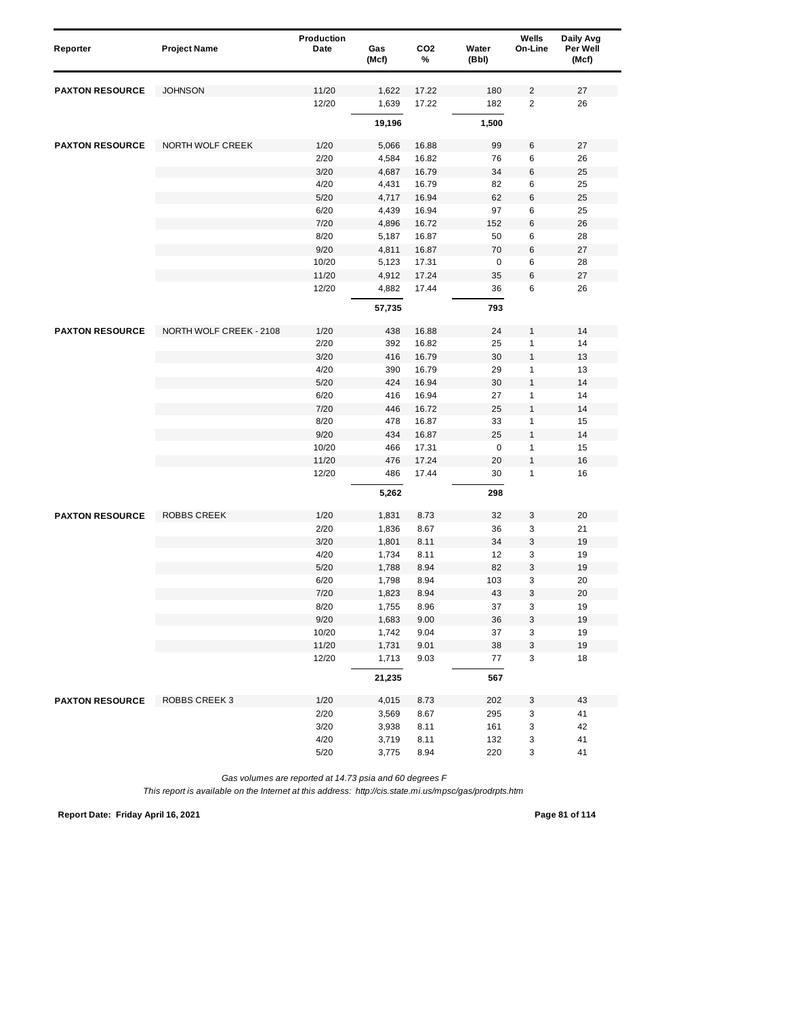| Reporter               | <b>Project Name</b>     | Production<br>Date | Gas    | CO <sub>2</sub> | Water       | Wells<br>On-Line | Daily Avg<br>Per Well |
|------------------------|-------------------------|--------------------|--------|-----------------|-------------|------------------|-----------------------|
|                        |                         |                    | (Mcf)  | %               | (Bbl)       |                  | (Mcf)                 |
| <b>PAXTON RESOURCE</b> | <b>JOHNSON</b>          | 11/20              | 1,622  | 17.22           | 180         | 2                | 27                    |
|                        |                         | 12/20              | 1,639  | 17.22           | 182         | $\overline{2}$   | 26                    |
|                        |                         |                    |        |                 |             |                  |                       |
|                        |                         |                    | 19,196 |                 | 1,500       |                  |                       |
| <b>PAXTON RESOURCE</b> | NORTH WOLF CREEK        | 1/20               | 5,066  | 16.88           | 99          | 6                | 27                    |
|                        |                         | 2/20               | 4,584  | 16.82           | 76          | 6                | 26                    |
|                        |                         | 3/20               | 4,687  | 16.79           | 34          | 6                | 25                    |
|                        |                         | 4/20               | 4,431  | 16.79           | 82          | 6                | 25                    |
|                        |                         | 5/20               | 4,717  | 16.94           | 62          | 6                | 25                    |
|                        |                         | 6/20               | 4,439  | 16.94           | 97          | 6                | 25                    |
|                        |                         | 7/20               | 4,896  | 16.72           | 152         | 6                | 26                    |
|                        |                         | 8/20               | 5,187  | 16.87           | 50          | 6                | 28                    |
|                        |                         | 9/20               | 4,811  | 16.87           | 70          | 6                | 27                    |
|                        |                         | 10/20              | 5,123  | 17.31           | $\mathbf 0$ | 6                | 28                    |
|                        |                         | 11/20              | 4,912  | 17.24           | 35          | 6                | 27                    |
|                        |                         | 12/20              | 4,882  | 17.44           | 36          | 6                | 26                    |
|                        |                         |                    | 57,735 |                 | 793         |                  |                       |
| <b>PAXTON RESOURCE</b> | NORTH WOLF CREEK - 2108 | 1/20               | 438    | 16.88           | 24          | 1                | 14                    |
|                        |                         | 2/20               | 392    | 16.82           | 25          | 1                | 14                    |
|                        |                         | 3/20               | 416    | 16.79           | 30          | $\mathbf{1}$     | 13                    |
|                        |                         | 4/20               | 390    | 16.79           | 29          | 1                | 13                    |
|                        |                         | 5/20               | 424    | 16.94           | 30          | 1                | 14                    |
|                        |                         | 6/20               | 416    | 16.94           | 27          | 1                | 14                    |
|                        |                         | 7/20               | 446    | 16.72           | 25          | 1                | 14                    |
|                        |                         | 8/20               | 478    | 16.87           | 33          | 1                | 15                    |
|                        |                         | 9/20               | 434    | 16.87           | 25          | 1                | 14                    |
|                        |                         | 10/20              | 466    | 17.31           | $\mathsf 0$ | 1                | 15                    |
|                        |                         | 11/20              | 476    | 17.24           | 20          | 1                | 16                    |
|                        |                         | 12/20              | 486    | 17.44           | 30          | 1                | 16                    |
|                        |                         |                    | 5,262  |                 | 298         |                  |                       |
| <b>PAXTON RESOURCE</b> | <b>ROBBS CREEK</b>      | 1/20               | 1,831  | 8.73            | 32          | 3                | 20                    |
|                        |                         | 2/20               | 1,836  | 8.67            | 36          | 3                | 21                    |
|                        |                         | 3/20               | 1,801  | 8.11            | 34          | 3                | 19                    |
|                        |                         | 4/20               | 1,734  | 8.11            | 12          | 3                | 19                    |
|                        |                         | 5/20               | 1,788  | 8.94            | 82          | 3                | 19                    |
|                        |                         | 6/20               | 1,798  | 8.94            | 103         | 3                | 20                    |
|                        |                         | 7/20               | 1,823  | 8.94            | 43          | 3                | 20                    |
|                        |                         | 8/20               | 1,755  | 8.96            | 37          | 3                | 19                    |
|                        |                         | 9/20               | 1,683  | 9.00            | 36          | 3                | 19                    |
|                        |                         | 10/20              | 1,742  | 9.04            | 37          | 3                | 19                    |
|                        |                         | 11/20              | 1,731  | 9.01            | 38          | 3                | 19                    |
|                        |                         | 12/20              | 1,713  | 9.03            | 77          | 3                | 18                    |
|                        |                         |                    | 21,235 |                 | 567         |                  |                       |
| <b>PAXTON RESOURCE</b> | ROBBS CREEK 3           | 1/20               | 4,015  | 8.73            | 202         | 3                | 43                    |
|                        |                         | 2/20               | 3,569  | 8.67            | 295         | 3                | 41                    |
|                        |                         | 3/20               | 3,938  | 8.11            | 161         | 3                | 42                    |
|                        |                         | 4/20               | 3,719  | 8.11            | 132         | 3                | 41                    |
|                        |                         | 5/20               | 3,775  | 8.94            | 220         | 3                | 41                    |

*This report is available on the Internet at this address: http://cis.state.mi.us/mpsc/gas/prodrpts.htm*

**Report Date: Friday April 16, 2021 Page 81 of 114**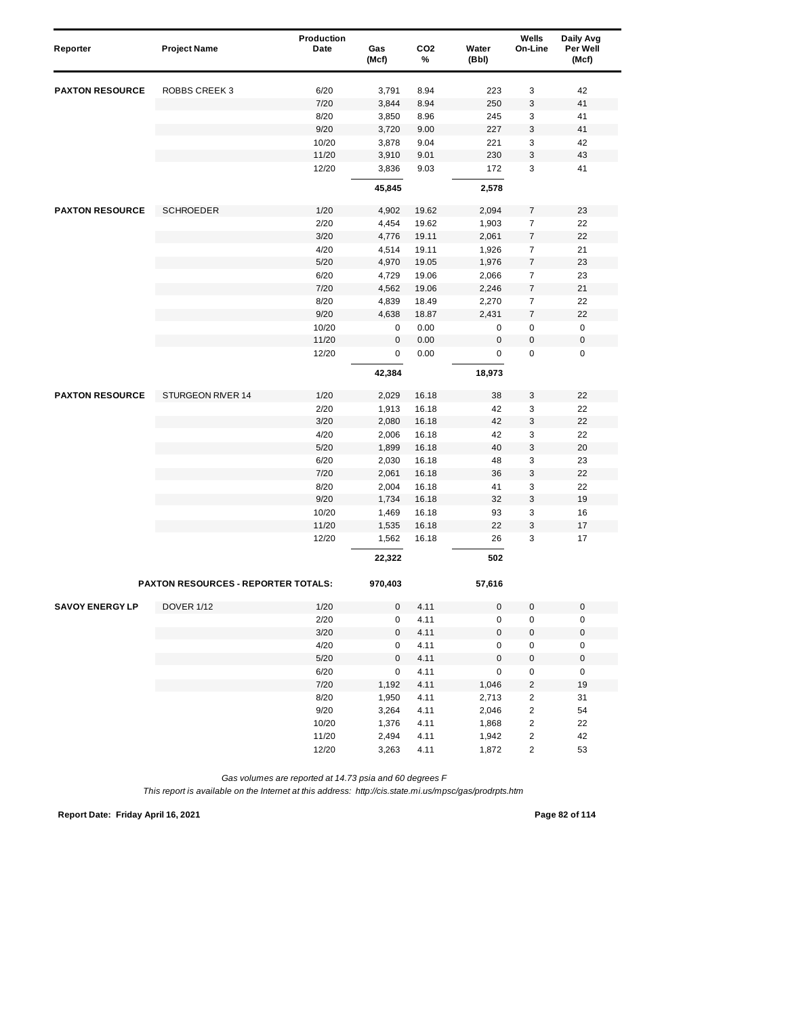| Reporter               | <b>Project Name</b>                        | Production<br>Date | Gas<br>(Mcf)   | CO <sub>2</sub><br>% | Water<br>(Bbl)      | Wells<br>On-Line        | Daily Avg<br>Per Well<br>(Mcf) |
|------------------------|--------------------------------------------|--------------------|----------------|----------------------|---------------------|-------------------------|--------------------------------|
| <b>PAXTON RESOURCE</b> | <b>ROBBS CREEK 3</b>                       | 6/20               | 3,791          | 8.94                 | 223                 | 3                       | 42                             |
|                        |                                            | 7/20               | 3,844          | 8.94                 | 250                 | 3                       | 41                             |
|                        |                                            | 8/20               | 3,850          | 8.96                 | 245                 | 3                       | 41                             |
|                        |                                            | 9/20               | 3,720          | 9.00                 | 227                 | 3                       | 41                             |
|                        |                                            | 10/20              | 3,878          | 9.04                 | 221                 | 3                       | 42                             |
|                        |                                            | 11/20              | 3,910          | 9.01                 | 230                 | 3                       | 43                             |
|                        |                                            | 12/20              | 3,836          | 9.03                 | 172                 | 3                       | 41                             |
|                        |                                            |                    | 45,845         |                      | 2,578               |                         |                                |
| <b>PAXTON RESOURCE</b> | <b>SCHROEDER</b>                           | 1/20               | 4,902          | 19.62                | 2,094               | 7                       | 23                             |
|                        |                                            | 2/20               | 4,454          | 19.62                | 1,903               | $\overline{7}$          | 22                             |
|                        |                                            | 3/20               | 4,776          | 19.11                | 2,061               | 7                       | 22                             |
|                        |                                            | 4/20               | 4,514          | 19.11                | 1,926               | $\overline{7}$          | 21                             |
|                        |                                            | 5/20               | 4,970          | 19.05                | 1,976               | $\overline{7}$          | 23                             |
|                        |                                            | 6/20               | 4,729          | 19.06                | 2,066               | $\overline{7}$          | 23                             |
|                        |                                            | 7/20               | 4,562          | 19.06                | 2,246               | 7                       | 21                             |
|                        |                                            | 8/20               | 4,839          | 18.49                | 2,270               | $\boldsymbol{7}$        | 22                             |
|                        |                                            | 9/20               | 4,638          | 18.87                | 2,431               | $\boldsymbol{7}$        | 22                             |
|                        |                                            | 10/20              | 0              | 0.00                 | 0                   | 0                       | 0                              |
|                        |                                            | 11/20              | 0              | 0.00                 | $\mathbf 0$         | $\pmb{0}$               | $\pmb{0}$                      |
|                        |                                            | 12/20              | 0              | 0.00                 | 0                   | 0                       | $\pmb{0}$                      |
|                        |                                            |                    | 42,384         |                      | 18,973              |                         |                                |
|                        | STURGEON RIVER 14                          |                    |                |                      |                     |                         |                                |
| <b>PAXTON RESOURCE</b> |                                            | 1/20<br>2/20       | 2,029          | 16.18                | 38<br>42            | 3                       | 22<br>22                       |
|                        |                                            | 3/20               | 1,913          | 16.18                | 42                  | 3                       | 22                             |
|                        |                                            |                    | 2,080          | 16.18                |                     | 3                       |                                |
|                        |                                            | 4/20               | 2,006          | 16.18                | 42                  | 3                       | 22                             |
|                        |                                            | 5/20<br>6/20       | 1,899<br>2,030 | 16.18<br>16.18       | 40<br>48            | 3<br>3                  | 20<br>23                       |
|                        |                                            | 7/20               | 2,061          | 16.18                | 36                  | 3                       | 22                             |
|                        |                                            | 8/20               |                |                      | 41                  | 3                       | 22                             |
|                        |                                            | 9/20               | 2,004<br>1,734 | 16.18<br>16.18       | 32                  | 3                       | 19                             |
|                        |                                            | 10/20              | 1,469          | 16.18                | 93                  | 3                       | 16                             |
|                        |                                            | 11/20              | 1,535          | 16.18                | 22                  | 3                       | 17                             |
|                        |                                            | 12/20              | 1,562          | 16.18                | 26                  | 3                       | 17                             |
|                        |                                            |                    | 22,322         |                      | 502                 |                         |                                |
|                        | <b>PAXTON RESOURCES - REPORTER TOTALS:</b> |                    | 970,403        |                      | 57,616              |                         |                                |
| <b>SAVOY ENERGY LP</b> | <b>DOVER 1/12</b>                          | 1/20               | 0              | 4.11                 | $\mathsf{O}\xspace$ | $\pmb{0}$               | $\pmb{0}$                      |
|                        |                                            | 2/20               | 0              | 4.11                 | 0                   | 0                       | $\pmb{0}$                      |
|                        |                                            | $3/20$             | 0              | 4.11                 | $\mathsf{O}\xspace$ | $\pmb{0}$               | $\pmb{0}$                      |
|                        |                                            | 4/20               | 0              | 4.11                 | 0                   | 0                       | $\pmb{0}$                      |
|                        |                                            | $5/20$             | $\pmb{0}$      | 4.11                 | $\mathsf 0$         | $\pmb{0}$               | $\pmb{0}$                      |
|                        |                                            | 6/20               | 0              | 4.11                 | 0                   | 0                       | 0                              |
|                        |                                            | 7/20               | 1,192          | 4.11                 | 1,046               | $\overline{\mathbf{c}}$ | 19                             |
|                        |                                            | 8/20               | 1,950          | 4.11                 | 2,713               | $\overline{c}$          | 31                             |
|                        |                                            | 9/20               | 3,264          | 4.11                 | 2,046               | $\sqrt{2}$              | 54                             |
|                        |                                            | 10/20              | 1,376          | 4.11                 | 1,868               | 2                       | 22                             |
|                        |                                            | 11/20              | 2,494          | 4.11                 | 1,942               | 2                       | 42                             |
|                        |                                            | 12/20              | 3,263          | 4.11                 | 1,872               | 2                       | 53                             |

*This report is available on the Internet at this address: http://cis.state.mi.us/mpsc/gas/prodrpts.htm*

**Report Date: Friday April 16, 2021 Page 82 of 114**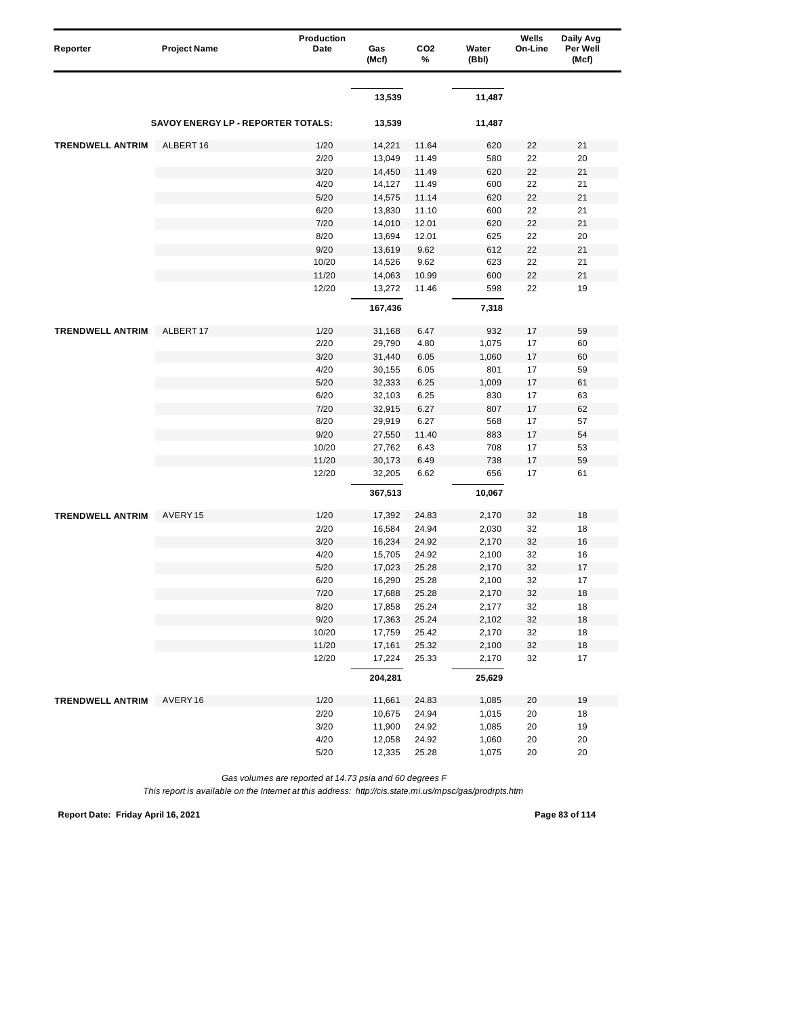| Reporter                | <b>Project Name</b>                | Production<br>Date | Gas<br>(Mcf) | CO <sub>2</sub><br>% | Water<br>(Bbl) | Wells<br>On-Line | Daily Avg<br>Per Well<br>(Mcf) |
|-------------------------|------------------------------------|--------------------|--------------|----------------------|----------------|------------------|--------------------------------|
|                         |                                    |                    | 13,539       |                      | 11,487         |                  |                                |
|                         |                                    |                    |              |                      |                |                  |                                |
|                         | SAVOY ENERGY LP - REPORTER TOTALS: |                    | 13,539       |                      | 11,487         |                  |                                |
| <b>TRENDWELL ANTRIM</b> | ALBERT 16                          | 1/20               | 14,221       | 11.64                | 620            | 22               | 21                             |
|                         |                                    | 2/20               | 13,049       | 11.49                | 580            | 22               | 20                             |
|                         |                                    | 3/20               | 14,450       | 11.49                | 620            | 22               | 21                             |
|                         |                                    | 4/20               | 14,127       | 11.49                | 600            | 22               | 21                             |
|                         |                                    | 5/20               | 14,575       | 11.14                | 620            | 22               | 21                             |
|                         |                                    | 6/20               | 13,830       | 11.10                | 600            | 22               | 21                             |
|                         |                                    | 7/20               | 14,010       | 12.01                | 620            | 22               | 21                             |
|                         |                                    | 8/20               | 13,694       | 12.01                | 625            | 22               | 20                             |
|                         |                                    | 9/20               | 13,619       | 9.62                 | 612            | 22               | 21                             |
|                         |                                    | 10/20              | 14,526       | 9.62                 | 623            | 22               | 21                             |
|                         |                                    | 11/20              | 14,063       | 10.99                | 600            | 22               | 21                             |
|                         |                                    | 12/20              | 13,272       | 11.46                | 598            | 22               | 19                             |
|                         |                                    |                    | 167,436      |                      | 7,318          |                  |                                |
| <b>TRENDWELL ANTRIM</b> | ALBERT 17                          | 1/20               | 31,168       | 6.47                 | 932            | 17               | 59                             |
|                         |                                    | 2/20               | 29,790       | 4.80                 | 1,075          | 17               | 60                             |
|                         |                                    | 3/20               | 31,440       | 6.05                 | 1,060          | 17               | 60                             |
|                         |                                    | 4/20               | 30,155       | 6.05                 | 801            | 17               | 59                             |
|                         |                                    | 5/20               | 32,333       | 6.25                 | 1,009          | 17               | 61                             |
|                         |                                    | 6/20               | 32,103       | 6.25                 | 830            | 17               | 63                             |
|                         |                                    | 7/20               | 32,915       | 6.27                 | 807            | 17               | 62                             |
|                         |                                    | 8/20               | 29,919       | 6.27                 | 568            | 17               | 57                             |
|                         |                                    | 9/20               | 27,550       | 11.40                | 883            | 17               | 54                             |
|                         |                                    | 10/20              | 27,762       | 6.43                 | 708            | 17               | 53                             |
|                         |                                    | 11/20              | 30,173       | 6.49                 | 738            | 17               | 59                             |
|                         |                                    | 12/20              | 32,205       | 6.62                 | 656            | 17               | 61                             |
|                         |                                    |                    | 367,513      |                      | 10,067         |                  |                                |
| <b>TRENDWELL ANTRIM</b> | AVERY15                            | 1/20               | 17,392       | 24.83                | 2,170          | 32               | 18                             |
|                         |                                    | 2/20               | 16,584       | 24.94                | 2,030          | 32               | 18                             |
|                         |                                    | 3/20               | 16,234       | 24.92                | 2,170          | 32               | 16                             |
|                         |                                    | 4/20               | 15,705       | 24.92                | 2,100          | 32               | 16                             |
|                         |                                    | 5/20               | 17,023       | 25.28                | 2,170          | 32               | 17                             |
|                         |                                    | 6/20               | 16,290       | 25.28                | 2,100          | 32               | 17                             |
|                         |                                    | 7/20               | 17,688       | 25.28                | 2,170          | 32               | 18                             |
|                         |                                    | 8/20               | 17,858       | 25.24                | 2,177          | 32               | 18                             |
|                         |                                    | 9/20               | 17,363       | 25.24                | 2,102          | 32               | 18                             |
|                         |                                    | 10/20              | 17,759       | 25.42                | 2,170          | 32               | 18                             |
|                         |                                    | 11/20              | 17,161       | 25.32                | 2,100          | 32               | $18$                           |
|                         |                                    | 12/20              | 17,224       | 25.33                | 2,170          | 32               | 17                             |
|                         |                                    |                    | 204,281      |                      | 25,629         |                  |                                |
| <b>TRENDWELL ANTRIM</b> | AVERY16                            | 1/20               | 11,661       | 24.83                | 1,085          | 20               | 19                             |
|                         |                                    | 2/20               | 10,675       | 24.94                | 1,015          | 20               | 18                             |
|                         |                                    | 3/20               | 11,900       | 24.92                | 1,085          | 20               | 19                             |
|                         |                                    | 4/20               | 12,058       | 24.92                | 1,060          | 20               | 20                             |
|                         |                                    | 5/20               | 12,335       | 25.28                | 1,075          | 20               | 20                             |

*This report is available on the Internet at this address: http://cis.state.mi.us/mpsc/gas/prodrpts.htm*

**Report Date: Friday April 16, 2021 Page 83 of 114**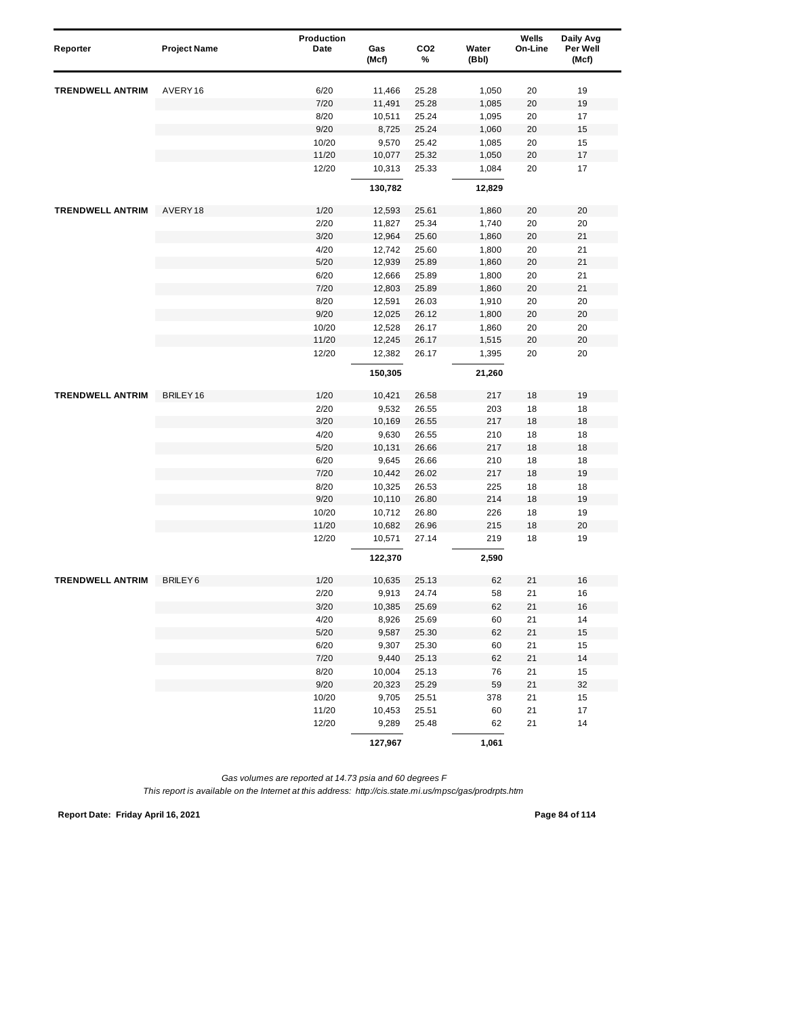| Reporter                | <b>Project Name</b>  | Production<br>Date | Gas<br>(Mcf) | CO <sub>2</sub><br>% | Water<br>(Bbl) | Wells<br>On-Line | Daily Avg<br>Per Well<br>(Mcf) |  |
|-------------------------|----------------------|--------------------|--------------|----------------------|----------------|------------------|--------------------------------|--|
| <b>TRENDWELL ANTRIM</b> | AVERY16              | 6/20               | 11,466       | 25.28                | 1,050          | 20               | 19                             |  |
|                         |                      | 7/20               | 11,491       | 25.28                | 1,085          | 20               | 19                             |  |
|                         |                      | 8/20               | 10,511       | 25.24                | 1,095          | 20               | 17                             |  |
|                         |                      | 9/20               | 8,725        | 25.24                | 1,060          | 20               | 15                             |  |
|                         |                      | 10/20              | 9,570        | 25.42                | 1,085          | 20               | 15                             |  |
|                         |                      | 11/20              | 10,077       | 25.32                | 1,050          | 20               | 17                             |  |
|                         |                      | 12/20              | 10,313       | 25.33                | 1,084          | 20               | 17                             |  |
|                         |                      |                    | 130,782      |                      | 12,829         |                  |                                |  |
| <b>TRENDWELL ANTRIM</b> | AVERY18              | 1/20               | 12,593       | 25.61                | 1,860          | 20               | 20                             |  |
|                         |                      | 2/20               | 11,827       | 25.34                | 1,740          | 20               | 20                             |  |
|                         |                      | 3/20               | 12,964       | 25.60                | 1,860          | 20               | 21                             |  |
|                         |                      | 4/20               | 12,742       | 25.60                | 1,800          | 20               | 21                             |  |
|                         |                      | 5/20               | 12,939       | 25.89                | 1,860          | 20               | 21                             |  |
|                         |                      | 6/20               | 12,666       | 25.89                | 1,800          | 20               | 21                             |  |
|                         |                      | 7/20               | 12,803       | 25.89                | 1,860          | 20               | 21                             |  |
|                         |                      | 8/20               | 12,591       | 26.03                | 1,910          | 20               | 20                             |  |
|                         |                      | 9/20               | 12,025       | 26.12                | 1,800          | 20               | 20                             |  |
|                         |                      | 10/20              | 12,528       | 26.17                | 1,860          | 20               | 20                             |  |
|                         |                      | 11/20              | 12,245       | 26.17                | 1,515          | 20               | 20                             |  |
|                         |                      | 12/20              | 12,382       | 26.17                | 1,395          | 20               | 20                             |  |
|                         |                      |                    | 150,305      |                      | 21,260         |                  |                                |  |
| <b>TRENDWELL ANTRIM</b> | BRILEY <sub>16</sub> | 1/20               | 10,421       | 26.58                | 217            | 18               | 19                             |  |
|                         |                      | 2/20               | 9,532        | 26.55                | 203            | 18               | 18                             |  |
|                         |                      | 3/20               | 10,169       | 26.55                | 217            | 18               | 18                             |  |
|                         |                      | 4/20               | 9,630        | 26.55                | 210            | 18               | 18                             |  |
|                         |                      | 5/20               | 10,131       | 26.66                | 217            | 18               | 18                             |  |
|                         |                      | 6/20               | 9,645        | 26.66                | 210            | 18               | 18                             |  |
|                         |                      | 7/20               | 10,442       | 26.02                | 217            | 18               | 19                             |  |
|                         |                      | 8/20               | 10,325       | 26.53                | 225            | 18               | 18                             |  |
|                         |                      | 9/20               | 10,110       | 26.80                | 214            | 18               | 19                             |  |
|                         |                      | 10/20              | 10,712       | 26.80                | 226            | 18               | 19                             |  |
|                         |                      | 11/20              | 10,682       | 26.96                | 215            | 18               | 20                             |  |
|                         |                      | 12/20              | 10,571       | 27.14                | 219            | 18               | 19                             |  |
|                         |                      |                    | 122,370      |                      | 2,590          |                  |                                |  |
| <b>TRENDWELL ANTRIM</b> | BRILEY6              | 1/20               | 10,635       | 25.13                | 62             | 21               | 16                             |  |
|                         |                      | 2/20               | 9,913        | 24.74                | 58             | 21               | 16                             |  |
|                         |                      | 3/20               | 10,385       | 25.69                | 62             | 21               | 16                             |  |
|                         |                      | 4/20               | 8,926        | 25.69                | 60             | 21               | 14                             |  |
|                         |                      | $5/20$             | 9,587        | 25.30                | 62             | 21               | 15                             |  |
|                         |                      | 6/20               | 9,307        | 25.30                | 60             | 21               | 15                             |  |
|                         |                      | 7/20               | 9,440        | 25.13                | 62             | 21               | 14                             |  |
|                         |                      | 8/20               | 10,004       | 25.13                | 76             | 21               | 15                             |  |
|                         |                      | 9/20               | 20,323       | 25.29                | 59             | 21               | 32                             |  |
|                         |                      | 10/20              | 9,705        | 25.51                | 378            | 21               | 15                             |  |
|                         |                      | 11/20              | 10,453       | 25.51                | 60             | 21               | 17                             |  |
|                         |                      | 12/20              | 9,289        | 25.48                | 62             | 21               | 14                             |  |
|                         |                      |                    | 127,967      |                      | 1,061          |                  |                                |  |

**Report Date: Friday April 16, 2021 Page 84 of 114**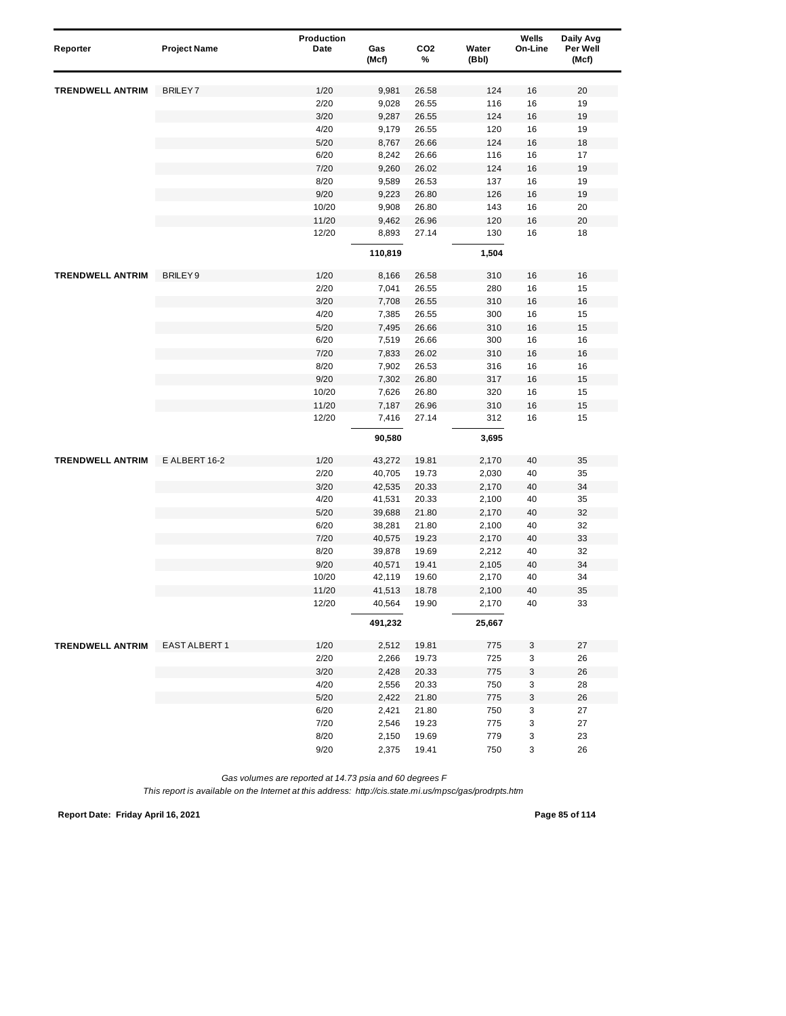| Reporter                | <b>Project Name</b>  | <b>Production</b><br>Date | Gas<br>(Mcf) | CO <sub>2</sub><br>% | Water<br>(Bbl) | Wells<br>On-Line | Daily Avg<br>Per Well<br>(Mcf) |
|-------------------------|----------------------|---------------------------|--------------|----------------------|----------------|------------------|--------------------------------|
| <b>TRENDWELL ANTRIM</b> | <b>BRILEY7</b>       | 1/20                      | 9,981        | 26.58                | 124            | 16               | 20                             |
|                         |                      | 2/20                      | 9,028        | 26.55                | 116            | 16               | 19                             |
|                         |                      | 3/20                      | 9,287        | 26.55                | 124            | 16               | 19                             |
|                         |                      | 4/20                      | 9,179        | 26.55                | 120            | 16               | 19                             |
|                         |                      | 5/20                      | 8,767        | 26.66                | 124            | 16               | 18                             |
|                         |                      | 6/20                      | 8,242        | 26.66                | 116            | 16               | 17                             |
|                         |                      | 7/20                      | 9,260        | 26.02                | 124            | 16               | 19                             |
|                         |                      | 8/20                      | 9,589        | 26.53                | 137            | 16               | 19                             |
|                         |                      | 9/20                      | 9,223        | 26.80                | 126            | 16               | 19                             |
|                         |                      | 10/20                     | 9,908        | 26.80                | 143            | 16               | 20                             |
|                         |                      | 11/20                     | 9,462        | 26.96                | 120            | 16               | 20                             |
|                         |                      | 12/20                     | 8,893        | 27.14                | 130            | 16               | 18                             |
|                         |                      |                           | 110,819      |                      | 1,504          |                  |                                |
|                         |                      |                           |              |                      |                |                  |                                |
| <b>TRENDWELL ANTRIM</b> | BRILEY9              | 1/20                      | 8,166        | 26.58                | 310            | 16               | 16                             |
|                         |                      | 2/20                      | 7,041        | 26.55                | 280            | 16               | 15                             |
|                         |                      | 3/20                      | 7,708        | 26.55                | 310            | 16               | 16                             |
|                         |                      | 4/20                      | 7,385        | 26.55                | 300            | 16               | 15                             |
|                         |                      | 5/20                      | 7,495        | 26.66                | 310            | 16               | 15                             |
|                         |                      | 6/20                      | 7,519        | 26.66                | 300            | 16               | 16                             |
|                         |                      | 7/20                      | 7,833        | 26.02                | 310            | 16               | 16                             |
|                         |                      | 8/20                      | 7,902        | 26.53                | 316            | 16               | 16                             |
|                         |                      | 9/20                      | 7,302        | 26.80                | 317            | 16               | 15                             |
|                         |                      | 10/20                     | 7,626        | 26.80                | 320            | 16               | 15                             |
|                         |                      | 11/20                     | 7,187        | 26.96                | 310            | 16               | 15                             |
|                         |                      | 12/20                     | 7,416        | 27.14                | 312            | 16               | 15                             |
|                         |                      |                           | 90,580       |                      | 3,695          |                  |                                |
| <b>TRENDWELL ANTRIM</b> | E ALBERT 16-2        | 1/20                      | 43,272       | 19.81                | 2,170          | 40               | 35                             |
|                         |                      | 2/20                      | 40,705       | 19.73                | 2,030          | 40               | 35                             |
|                         |                      | 3/20                      | 42,535       | 20.33                | 2,170          | 40               | 34                             |
|                         |                      | 4/20                      | 41,531       | 20.33                | 2,100          | 40               | 35                             |
|                         |                      | 5/20                      | 39,688       | 21.80                | 2,170          | 40               | 32                             |
|                         |                      | 6/20                      | 38,281       | 21.80                | 2,100          | 40               | 32                             |
|                         |                      | 7/20                      | 40,575       | 19.23                | 2,170          | 40               | 33                             |
|                         |                      | 8/20                      | 39,878       | 19.69                | 2,212          | 40               | 32                             |
|                         |                      | 9/20                      | 40,571       | 19.41                | 2,105          | 40               | 34                             |
|                         |                      | 10/20                     | 42,119       | 19.60                | 2,170          | 40               | 34                             |
|                         |                      | 11/20                     | 41,513       | 18.78                | 2,100          | 40               | 35                             |
|                         |                      | 12/20                     | 40,564       | 19.90                | 2,170          | 40               | 33                             |
|                         |                      |                           | 491,232      |                      | 25,667         |                  |                                |
| <b>TRENDWELL ANTRIM</b> | <b>EAST ALBERT 1</b> | 1/20                      | 2,512        | 19.81                | 775            | 3                | 27                             |
|                         |                      | 2/20                      | 2,266        | 19.73                | 725            | 3                | 26                             |
|                         |                      | 3/20                      | 2,428        | 20.33                | 775            | 3                | 26                             |
|                         |                      | 4/20                      | 2,556        | 20.33                | 750            | 3                | 28                             |
|                         |                      | 5/20                      | 2,422        | 21.80                | 775            | 3                | 26                             |
|                         |                      | 6/20                      | 2,421        | 21.80                | 750            | 3                | 27                             |
|                         |                      | 7/20                      | 2,546        | 19.23                | 775            | 3                | 27                             |
|                         |                      | 8/20                      | 2,150        | 19.69                | 779            | 3                | 23                             |
|                         |                      | 9/20                      | 2,375        | 19.41                | 750            | 3                | 26                             |

*This report is available on the Internet at this address: http://cis.state.mi.us/mpsc/gas/prodrpts.htm*

**Report Date: Friday April 16, 2021 Page 85 of 114**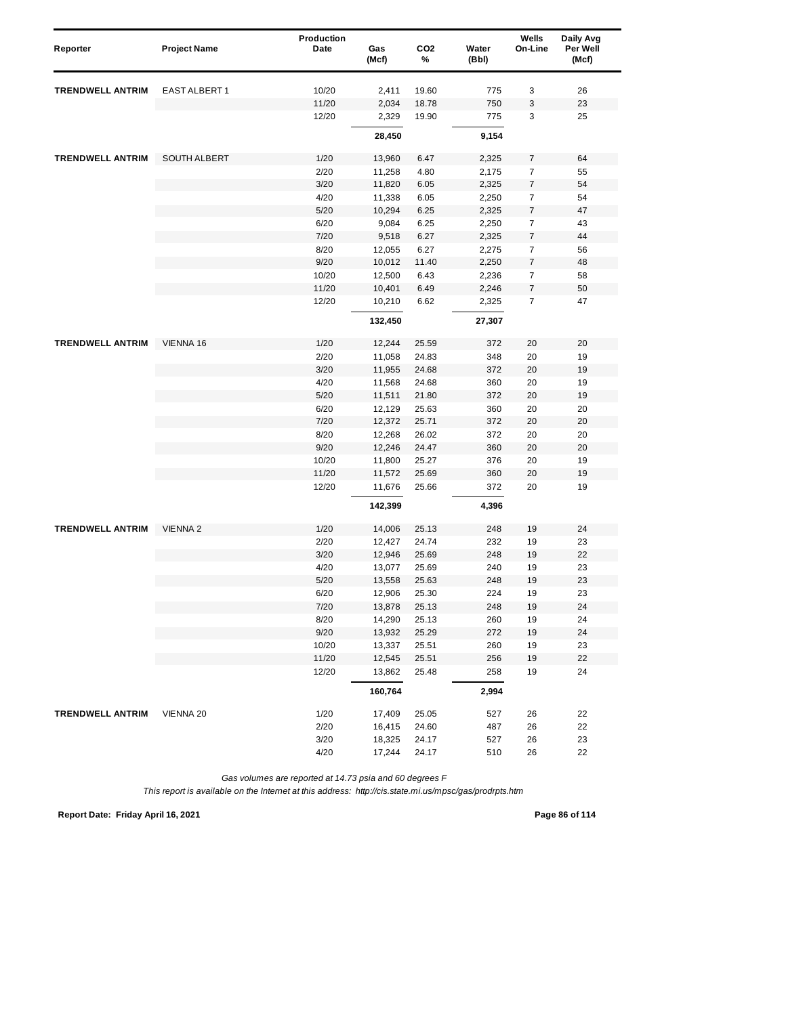| Reporter                | <b>Project Name</b> | Production<br>Date | Gas<br>(Mcf) | CO <sub>2</sub><br>% | Water<br>(Bbl) | Wells<br>On-Line | Daily Avg<br>Per Well<br>(Mcf) |
|-------------------------|---------------------|--------------------|--------------|----------------------|----------------|------------------|--------------------------------|
|                         |                     |                    |              |                      |                |                  |                                |
| <b>TRENDWELL ANTRIM</b> | EAST ALBERT 1       | 10/20              | 2,411        | 19.60                | 775            | 3                | 26                             |
|                         |                     | 11/20              | 2,034        | 18.78                | 750            | 3                | 23                             |
|                         |                     | 12/20              | 2,329        | 19.90                | 775            | 3                | 25                             |
|                         |                     |                    | 28,450       |                      | 9,154          |                  |                                |
| <b>TRENDWELL ANTRIM</b> | <b>SOUTH ALBERT</b> | 1/20               | 13,960       | 6.47                 | 2,325          | 7                | 64                             |
|                         |                     | 2/20               | 11,258       | 4.80                 | 2,175          | $\boldsymbol{7}$ | 55                             |
|                         |                     | 3/20               | 11,820       | 6.05                 | 2,325          | $\boldsymbol{7}$ | 54                             |
|                         |                     | 4/20               | 11,338       | 6.05                 | 2,250          | 7                | 54                             |
|                         |                     | 5/20               | 10,294       | 6.25                 | 2,325          | $\boldsymbol{7}$ | 47                             |
|                         |                     | 6/20               | 9,084        | 6.25                 | 2,250          | 7                | 43                             |
|                         |                     | 7/20               | 9,518        | 6.27                 | 2,325          | $\boldsymbol{7}$ | 44                             |
|                         |                     | 8/20               | 12,055       | 6.27                 | 2,275          | $\overline{7}$   | 56                             |
|                         |                     | 9/20               | 10,012       | 11.40                | 2,250          | $\overline{7}$   | 48                             |
|                         |                     | 10/20              | 12,500       | 6.43                 | 2,236          | $\overline{7}$   | 58                             |
|                         |                     | 11/20              | 10,401       | 6.49                 | 2,246          | 7                | 50                             |
|                         |                     | 12/20              | 10,210       | 6.62                 | 2,325          | $\overline{7}$   | 47                             |
|                         |                     |                    | 132,450      |                      | 27,307         |                  |                                |
| <b>TRENDWELL ANTRIM</b> | VIENNA 16           | 1/20               | 12,244       | 25.59                | 372            | 20               | 20                             |
|                         |                     | 2/20               | 11,058       | 24.83                | 348            | 20               | 19                             |
|                         |                     | 3/20               | 11,955       | 24.68                | 372            | 20               | 19                             |
|                         |                     | 4/20               | 11,568       | 24.68                | 360            | 20               | 19                             |
|                         |                     | 5/20               | 11,511       | 21.80                | 372            | 20               | 19                             |
|                         |                     | 6/20               | 12,129       | 25.63                | 360            | 20               | 20                             |
|                         |                     | 7/20               | 12,372       | 25.71                | 372            | 20               | 20                             |
|                         |                     | 8/20               | 12,268       | 26.02                | 372            | 20               | 20                             |
|                         |                     | 9/20               | 12,246       | 24.47                | 360            | 20               | 20                             |
|                         |                     | 10/20              | 11,800       | 25.27                | 376            | 20               | 19                             |
|                         |                     | 11/20              | 11,572       | 25.69                | 360            | 20               | 19                             |
|                         |                     | 12/20              | 11,676       | 25.66                | 372            | 20               | 19                             |
|                         |                     |                    | 142,399      |                      | 4,396          |                  |                                |
| <b>TRENDWELL ANTRIM</b> | <b>VIENNA 2</b>     | 1/20               | 14,006       | 25.13                | 248            | 19               | 24                             |
|                         |                     | 2/20               | 12,427       | 24.74                | 232            | 19               | 23                             |
|                         |                     | 3/20               | 12,946       | 25.69                | 248            | 19               | 22                             |
|                         |                     | 4/20               | 13,077       | 25.69                | 240            | 19               | 23                             |
|                         |                     | 5/20               | 13,558       | 25.63                | 248            | 19               | 23                             |
|                         |                     | 6/20               | 12,906       | 25.30                | 224            | 19               | 23                             |
|                         |                     | 7/20               | 13,878       | 25.13                | 248            | 19               | 24                             |
|                         |                     | 8/20               | 14,290       | 25.13                | 260            | 19               | 24                             |
|                         |                     | 9/20               | 13,932       | 25.29                | 272            | 19               | 24                             |
|                         |                     | 10/20              | 13,337       | 25.51                | 260            | 19               | 23                             |
|                         |                     | 11/20              | 12,545       | 25.51                | 256            | 19               | 22                             |
|                         |                     | 12/20              | 13,862       | 25.48                | 258            | 19               | 24                             |
|                         |                     |                    | 160,764      |                      | 2,994          |                  |                                |
| <b>TRENDWELL ANTRIM</b> | VIENNA 20           | 1/20               | 17,409       | 25.05                | 527            | 26               | 22                             |
|                         |                     | 2/20               | 16,415       | 24.60                | 487            | 26               | 22                             |
|                         |                     | 3/20               | 18,325       | 24.17                | 527            | 26               | 23                             |
|                         |                     | 4/20               | 17,244       | 24.17                | 510            | 26               | 22                             |
|                         |                     |                    |              |                      |                |                  |                                |

*This report is available on the Internet at this address: http://cis.state.mi.us/mpsc/gas/prodrpts.htm*

**Report Date: Friday April 16, 2021 Page 86 of 114**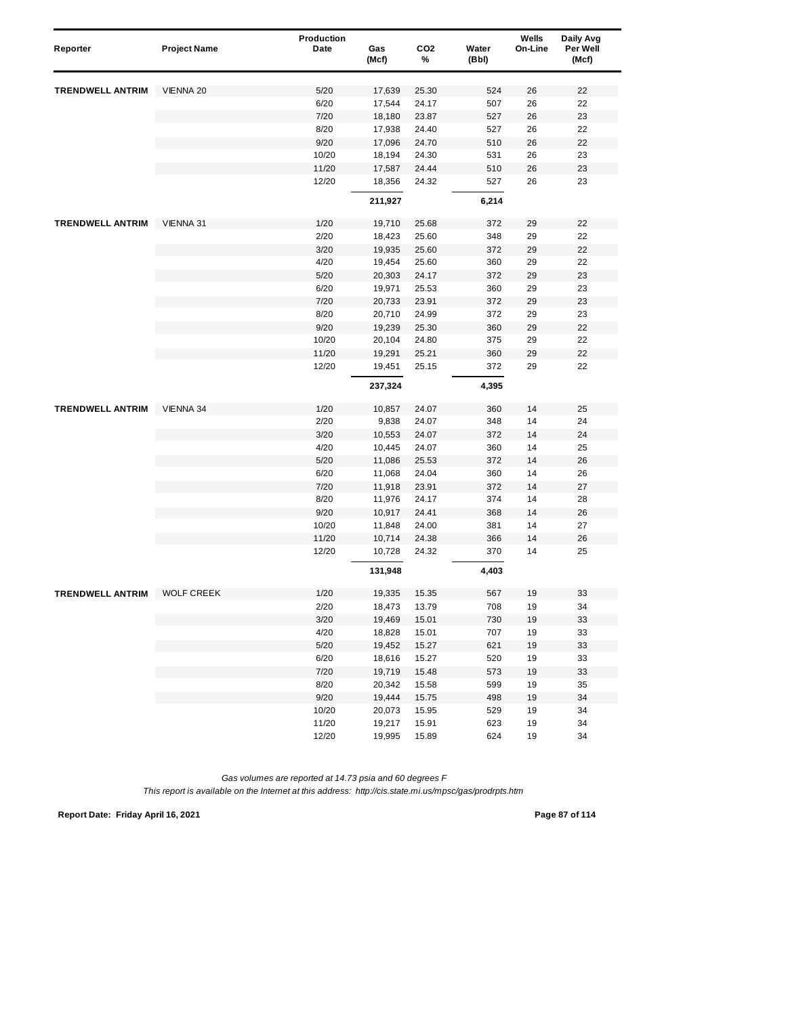| Reporter                | <b>Project Name</b> | Production<br>Date | Gas<br>(Mcf) | CO <sub>2</sub><br>% | Water<br>(Bbl) | Wells<br>On-Line | Daily Avg<br>Per Well<br>(Mcf) |
|-------------------------|---------------------|--------------------|--------------|----------------------|----------------|------------------|--------------------------------|
| <b>TRENDWELL ANTRIM</b> | VIENNA 20           | 5/20               | 17,639       | 25.30                | 524            | 26               | 22                             |
|                         |                     | 6/20               | 17,544       | 24.17                | 507            | 26               | 22                             |
|                         |                     | 7/20               | 18,180       | 23.87                | 527            | 26               | 23                             |
|                         |                     | 8/20               | 17,938       | 24.40                | 527            | 26               | 22                             |
|                         |                     | 9/20               | 17,096       | 24.70                | 510            | 26               | 22                             |
|                         |                     | 10/20              | 18,194       | 24.30                | 531            | 26               | 23                             |
|                         |                     | 11/20              | 17,587       | 24.44                | 510            | 26               | 23                             |
|                         |                     | 12/20              | 18,356       | 24.32                | 527            | 26               | 23                             |
|                         |                     |                    | 211,927      |                      | 6,214          |                  |                                |
| <b>TRENDWELL ANTRIM</b> | VIENNA 31           | 1/20               | 19,710       | 25.68                | 372            | 29               | 22                             |
|                         |                     | 2/20               | 18,423       | 25.60                | 348            | 29               | 22                             |
|                         |                     | 3/20               | 19,935       | 25.60                | 372            | 29               | 22                             |
|                         |                     | 4/20               | 19,454       | 25.60                | 360            | 29               | 22                             |
|                         |                     | 5/20               | 20,303       | 24.17                | 372            | 29               | 23                             |
|                         |                     | 6/20               | 19,971       | 25.53                | 360            | 29               | 23                             |
|                         |                     | 7/20               | 20,733       | 23.91                | 372            | 29               | 23                             |
|                         |                     | 8/20               | 20,710       | 24.99                | 372            | 29               | 23                             |
|                         |                     | 9/20               | 19,239       | 25.30                | 360            | 29               | 22                             |
|                         |                     | 10/20              | 20,104       | 24.80                | 375            | 29               | 22                             |
|                         |                     | 11/20              | 19,291       | 25.21                | 360            | 29               | 22                             |
|                         |                     | 12/20              | 19,451       | 25.15                | 372            | 29               | 22                             |
|                         |                     |                    | 237,324      |                      | 4,395          |                  |                                |
| <b>TRENDWELL ANTRIM</b> | VIENNA 34           | 1/20               | 10,857       | 24.07                | 360            | 14               | 25                             |
|                         |                     | 2/20               | 9,838        | 24.07                | 348            | 14               | 24                             |
|                         |                     | 3/20               | 10,553       | 24.07                | 372            | 14               | 24                             |
|                         |                     | 4/20               | 10,445       | 24.07                | 360            | 14               | 25                             |
|                         |                     | 5/20               | 11,086       | 25.53                | 372            | 14               | 26                             |
|                         |                     | 6/20               | 11,068       | 24.04                | 360            | 14               | 26                             |
|                         |                     | 7/20               | 11,918       | 23.91                | 372            | 14               | 27                             |
|                         |                     | 8/20               | 11,976       | 24.17                | 374            | 14               | 28                             |
|                         |                     | 9/20               | 10,917       | 24.41                | 368            | 14               | 26                             |
|                         |                     | 10/20              | 11,848       | 24.00                | 381            | 14               | 27                             |
|                         |                     | 11/20              | 10,714       | 24.38                | 366            | 14               | 26                             |
|                         |                     | 12/20              | 10,728       | 24.32                | 370            | 14               | 25                             |
|                         |                     |                    | 131,948      |                      | 4,403          |                  |                                |
| <b>TRENDWELL ANTRIM</b> | <b>WOLF CREEK</b>   | 1/20               | 19,335       | 15.35                | 567            | 19               | 33                             |
|                         |                     | 2/20               | 18,473       | 13.79                | 708            | 19               | 34                             |
|                         |                     | 3/20               | 19,469       | 15.01                | 730            | 19               | 33                             |
|                         |                     | 4/20               | 18,828       | 15.01                | 707            | 19               | 33                             |
|                         |                     | $5/20$             | 19,452       | 15.27                | 621            | 19               | 33                             |
|                         |                     | 6/20               | 18,616       | 15.27                | 520            | 19               | 33                             |
|                         |                     | 7/20               | 19,719       | 15.48                | 573            | 19               | 33                             |
|                         |                     | 8/20               | 20,342       | 15.58                | 599            | 19               | 35                             |
|                         |                     | 9/20               | 19,444       | 15.75                | 498            | 19               | 34                             |
|                         |                     | 10/20              | 20,073       | 15.95                | 529            | 19               | 34                             |
|                         |                     | 11/20              | 19,217       | 15.91                | 623            | 19               | 34                             |
|                         |                     | 12/20              | 19,995       | 15.89                | 624            | 19               | 34                             |

*This report is available on the Internet at this address: http://cis.state.mi.us/mpsc/gas/prodrpts.htm*

**Report Date: Friday April 16, 2021 Page 87 of 114**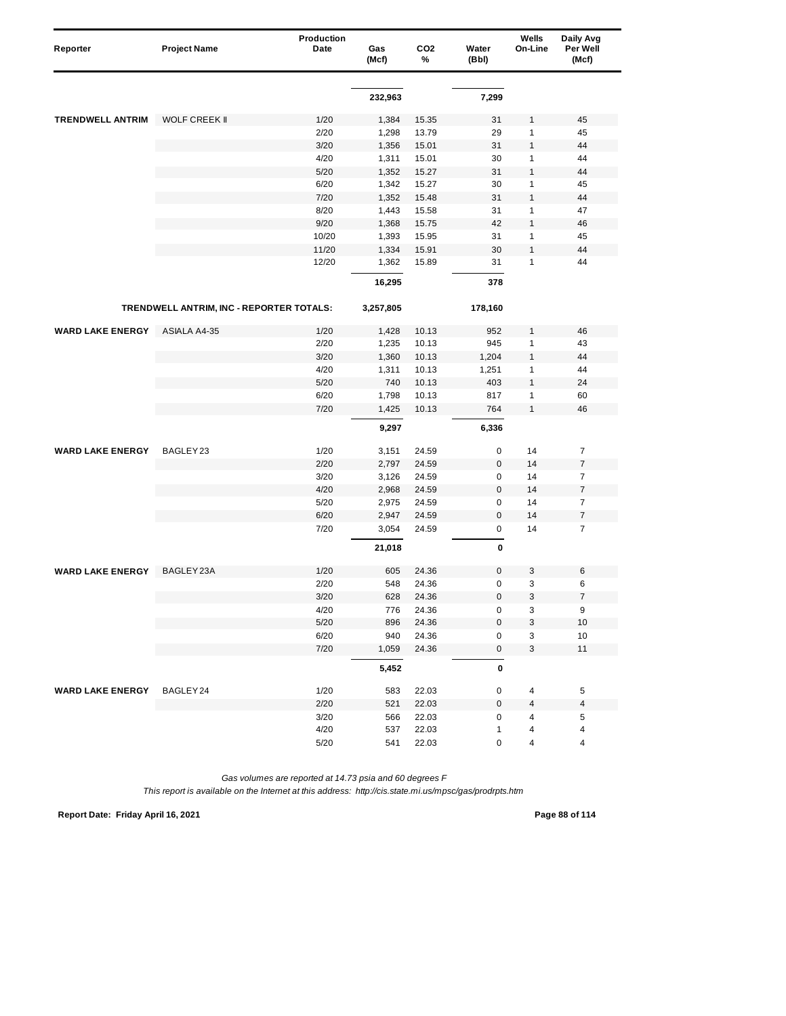| Reporter                | <b>Project Name</b>                      | <b>Production</b><br>Date | Gas<br>(Mcf) | CO <sub>2</sub><br>% | Water<br>(Bbl) | Wells<br>On-Line          | Daily Avg<br>Per Well<br>(Mcf) |
|-------------------------|------------------------------------------|---------------------------|--------------|----------------------|----------------|---------------------------|--------------------------------|
|                         |                                          |                           |              |                      |                |                           |                                |
|                         |                                          |                           | 232,963      |                      | 7,299          |                           |                                |
| <b>TRENDWELL ANTRIM</b> | <b>WOLF CREEK II</b>                     | 1/20                      | 1,384        | 15.35                | 31             | $\mathbf{1}$              | 45                             |
|                         |                                          | 2/20                      | 1,298        | 13.79                | 29             | 1                         | 45                             |
|                         |                                          | 3/20                      | 1,356        | 15.01                | 31             | $\mathbf{1}$              | 44                             |
|                         |                                          | 4/20                      | 1,311        | 15.01                | 30             | $\mathbf{1}$              | 44                             |
|                         |                                          | 5/20                      | 1,352        | 15.27                | 31             | $\mathbf{1}$              | 44                             |
|                         |                                          | 6/20                      | 1,342        | 15.27                | 30             | $\mathbf{1}$              | 45                             |
|                         |                                          | 7/20                      | 1,352        | 15.48                | 31             | $\mathbf{1}$              | 44                             |
|                         |                                          | 8/20                      | 1,443        | 15.58                | 31             | $\mathbf{1}$              | 47                             |
|                         |                                          | 9/20                      | 1,368        | 15.75                | 42             | $\mathbf{1}$              | 46                             |
|                         |                                          | 10/20                     | 1,393        | 15.95                | 31             | $\mathbf{1}$              | 45                             |
|                         |                                          | 11/20                     | 1,334        | 15.91                | 30             | $\mathbf{1}$              | 44                             |
|                         |                                          | 12/20                     | 1,362        | 15.89                | 31             | $\mathbf{1}$              | 44                             |
|                         |                                          |                           | 16,295       |                      | 378            |                           |                                |
|                         | TRENDWELL ANTRIM, INC - REPORTER TOTALS: |                           | 3,257,805    |                      | 178,160        |                           |                                |
| <b>WARD LAKE ENERGY</b> | <b>ASIALA A4-35</b>                      | 1/20                      | 1,428        | 10.13                | 952            | $\mathbf{1}$              | 46                             |
|                         |                                          | 2/20                      | 1,235        | 10.13                | 945            | $\mathbf{1}$              | 43                             |
|                         |                                          | 3/20                      | 1,360        | 10.13                | 1,204          | $\mathbf{1}$              | 44                             |
|                         |                                          | 4/20                      | 1,311        | 10.13                | 1,251          | $\mathbf{1}$              | 44                             |
|                         |                                          | 5/20                      | 740          | 10.13                | 403            | $\mathbf{1}$              | 24                             |
|                         |                                          | 6/20                      | 1,798        | 10.13                | 817            | 1                         | 60                             |
|                         |                                          | 7/20                      | 1,425        | 10.13                | 764            | $\mathbf{1}$              | 46                             |
|                         |                                          |                           | 9,297        |                      | 6,336          |                           |                                |
| <b>WARD LAKE ENERGY</b> | BAGLEY <sub>23</sub>                     | 1/20                      | 3,151        | 24.59                | 0              | 14                        | $\overline{7}$                 |
|                         |                                          | 2/20                      | 2,797        | 24.59                | 0              | 14                        | $\overline{\mathbf{7}}$        |
|                         |                                          | 3/20                      | 3,126        | 24.59                | 0              | 14                        | $\overline{7}$                 |
|                         |                                          | 4/20                      | 2,968        | 24.59                | $\pmb{0}$      | 14                        | $\boldsymbol{7}$               |
|                         |                                          | 5/20                      | 2,975        | 24.59                | 0              | 14                        | $\overline{7}$                 |
|                         |                                          | 6/20                      | 2,947        | 24.59                | $\pmb{0}$      | 14                        | $\overline{\mathbf{7}}$        |
|                         |                                          | 7/20                      | 3,054        | 24.59                | 0              | 14                        | $\overline{7}$                 |
|                         |                                          |                           | 21,018       |                      | 0              |                           |                                |
| <b>WARD LAKE ENERGY</b> | BAGLEY 23A                               | 1/20                      | 605          | 24.36                | 0              | 3                         | 6                              |
|                         |                                          | 2/20                      | 548          | 24.36                | 0              | 3                         | 6                              |
|                         |                                          | 3/20                      | 628          | 24.36                | 0              | 3                         | 7                              |
|                         |                                          | 4/20                      | 776          | 24.36                | 0              | $\ensuremath{\mathsf{3}}$ | 9                              |
|                         |                                          | $5/20$                    | 896          | 24.36                | 0              | 3                         | 10                             |
|                         |                                          | 6/20                      | 940          | 24.36                | 0              | 3                         | 10                             |
|                         |                                          | 7/20                      | 1,059        | 24.36                | $\pmb{0}$      | 3                         | 11                             |
|                         |                                          |                           | 5,452        |                      | 0              |                           |                                |
| <b>WARD LAKE ENERGY</b> | BAGLEY 24                                | 1/20                      | 583          | 22.03                | 0              | 4                         | 5                              |
|                         |                                          | 2/20                      | 521          | 22.03                | $\mathbf 0$    | 4                         | 4                              |
|                         |                                          | 3/20                      | 566          | 22.03                | 0              | 4                         | 5                              |
|                         |                                          | 4/20                      | 537          | 22.03                | $\mathbf{1}$   | 4                         | 4                              |
|                         |                                          | 5/20                      | 541          | 22.03                | 0              | 4                         | 4                              |

**Report Date: Friday April 16, 2021 Page 88 of 114**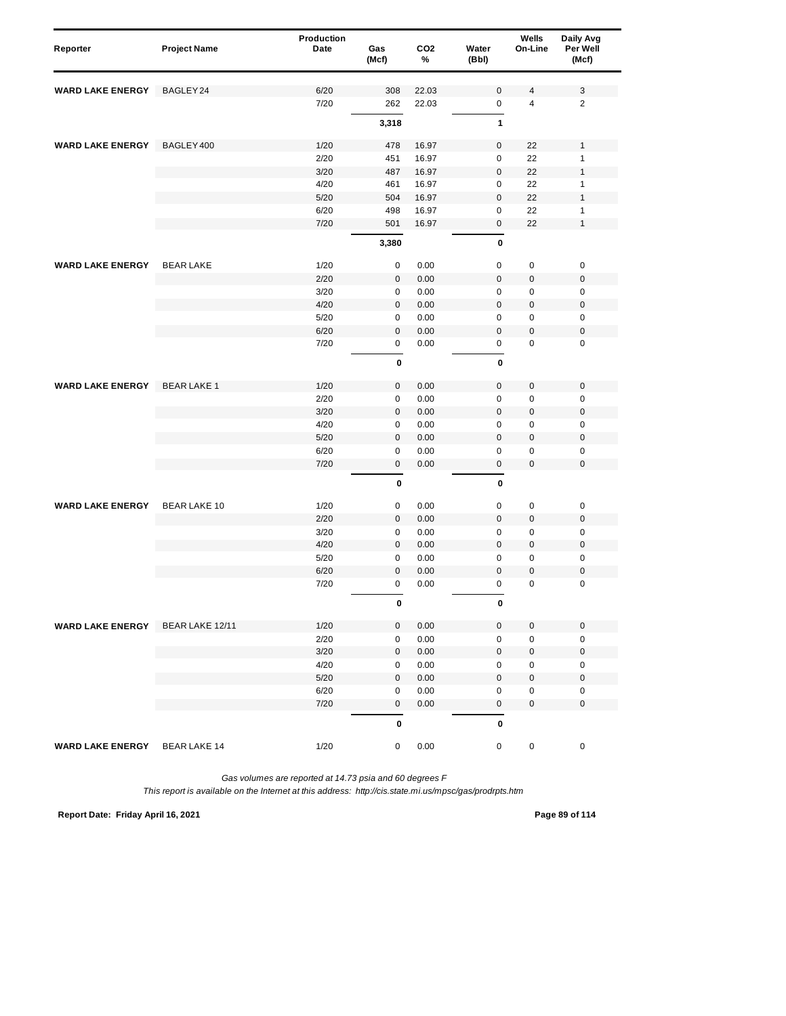| Reporter                | <b>Project Name</b> | Production<br>Date | Gas<br>(Mcf) | CO <sub>2</sub><br>% | Water<br>(Bbl)             | Wells<br>On-Line           | Daily Avg<br>Per Well<br>(Mcf) |
|-------------------------|---------------------|--------------------|--------------|----------------------|----------------------------|----------------------------|--------------------------------|
| <b>WARD LAKE ENERGY</b> | BAGLEY 24           | 6/20               | 308          | 22.03                | $\bf 0$                    | 4                          | 3                              |
|                         |                     | 7/20               | 262          | 22.03                | $\mathsf 0$                | $\overline{4}$             | $\overline{2}$                 |
|                         |                     |                    | 3,318        |                      | 1                          |                            |                                |
| <b>WARD LAKE ENERGY</b> | BAGLEY 400          | 1/20               | 478          | 16.97                | $\bf 0$                    | 22                         | $\mathbf{1}$                   |
|                         |                     | 2/20               | 451          | 16.97                | $\mathsf 0$                | 22                         | $\mathbf{1}$                   |
|                         |                     | 3/20               | 487          | 16.97                | $\pmb{0}$                  | 22                         | $\mathbf{1}$                   |
|                         |                     | 4/20               | 461          | 16.97                | $\mathbf 0$                | 22                         | $\mathbf{1}$                   |
|                         |                     | 5/20               | 504          | 16.97                | $\bf 0$                    | 22                         | $\mathbf{1}$                   |
|                         |                     | 6/20               | 498          | 16.97                | $\mathbf 0$                | 22                         | $\mathbf{1}$                   |
|                         |                     | 7/20               | 501          | 16.97                | $\pmb{0}$                  | 22                         | $\mathbf{1}$                   |
|                         |                     |                    | 3,380        |                      | 0                          |                            |                                |
| <b>WARD LAKE ENERGY</b> | <b>BEAR LAKE</b>    | 1/20               | 0            | 0.00                 | $\mathbf 0$                | $\pmb{0}$                  | $\pmb{0}$                      |
|                         |                     | 2/20               | 0            | 0.00                 | $\bf 0$                    | $\mathbf 0$                | $\pmb{0}$                      |
|                         |                     | 3/20               | $\mathbf 0$  | 0.00                 | $\mathbf 0$                | $\pmb{0}$                  | $\mathbf 0$                    |
|                         |                     | 4/20               | 0            | 0.00                 | $\mathbf 0$                | $\mathbf 0$                | $\pmb{0}$                      |
|                         |                     | 5/20               | 0            | 0.00                 | 0                          | $\pmb{0}$                  | $\pmb{0}$                      |
|                         |                     | 6/20               | $\mathbf{0}$ | 0.00                 | $\mathbf 0$                | $\pmb{0}$                  | $\mathbf 0$                    |
|                         |                     | 7/20               | 0            | 0.00                 | $\mathsf 0$                | $\pmb{0}$                  | $\mathbf 0$                    |
|                         |                     |                    | 0            |                      | $\pmb{0}$                  |                            |                                |
| <b>WARD LAKE ENERGY</b> | <b>BEARLAKE1</b>    | 1/20               | $\mathbf 0$  | 0.00                 | $\bf 0$                    | $\pmb{0}$                  | $\pmb{0}$                      |
|                         |                     | 2/20               | $\mathbf 0$  | 0.00                 | $\mathbf 0$                | $\mathbf 0$                | $\pmb{0}$                      |
|                         |                     | 3/20               | $\pmb{0}$    | 0.00                 | $\mathbf 0$                | $\mathbf 0$                | $\pmb{0}$                      |
|                         |                     | 4/20               | 0            | 0.00                 | $\mathsf 0$                | $\pmb{0}$                  | $\mathbf 0$                    |
|                         |                     | 5/20               | $\mathsf 0$  | 0.00                 | $\mathbf 0$                | $\pmb{0}$                  | $\mathbf 0$                    |
|                         |                     | 6/20               | 0            | 0.00                 | $\mathbf 0$                | $\pmb{0}$                  | $\mathbf 0$                    |
|                         |                     | 7/20               | 0            | 0.00                 | $\pmb{0}$                  | $\mathbf 0$                | $\mathbf 0$                    |
|                         |                     |                    | 0            |                      | 0                          |                            |                                |
| <b>WARD LAKE ENERGY</b> | <b>BEAR LAKE 10</b> | 1/20               | 0            | 0.00                 | $\pmb{0}$                  | $\pmb{0}$                  | $\pmb{0}$                      |
|                         |                     | 2/20               | $\mathbf 0$  | 0.00                 | $\mathbf 0$                | $\mathbf 0$                | $\pmb{0}$                      |
|                         |                     | 3/20               | 0            | 0.00                 | $\mathsf 0$                | $\pmb{0}$                  | $\mathbf 0$                    |
|                         |                     | 4/20               | 0            | 0.00                 | $\mathbf 0$                | $\pmb{0}$                  | $\mathbf 0$                    |
|                         |                     | 5/20               | 0            | 0.00                 | $\mathbf 0$                | $\pmb{0}$                  | $\pmb{0}$                      |
|                         |                     | 6/20<br>7/20       | 0<br>0       | 0.00<br>0.00         | $\mathbf 0$<br>$\mathbf 0$ | $\mathbf 0$<br>$\pmb{0}$   | $\pmb{0}$<br>$\mathbf 0$       |
|                         |                     |                    | 0            |                      | 0                          |                            |                                |
|                         |                     |                    |              |                      |                            |                            |                                |
| <b>WARD LAKE ENERGY</b> | BEAR LAKE 12/11     | 1/20               | 0            | 0.00                 | $\mathbf 0$<br>$\mathbf 0$ | $\mathbf 0$<br>$\mathbf 0$ | $\pmb{0}$<br>$\mathsf 0$       |
|                         |                     | 2/20<br>3/20       | 0<br>0       | 0.00<br>0.00         | $\mathbf 0$                | $\mathbf 0$                | $\pmb{0}$                      |
|                         |                     | 4/20               | 0            | 0.00                 | $\pmb{0}$                  | 0                          | $\pmb{0}$                      |
|                         |                     | 5/20               | $\mathbf 0$  | 0.00                 | $\mathbf 0$                | $\pmb{0}$                  | $\pmb{0}$                      |
|                         |                     | 6/20               | 0            | 0.00                 | $\pmb{0}$                  | $\pmb{0}$                  | $\pmb{0}$                      |
|                         |                     | 7/20               | 0            | 0.00                 | $\mathsf 0$                | $\mathbf 0$                | $\pmb{0}$                      |
|                         |                     |                    | 0            |                      | $\pmb{0}$                  |                            |                                |
| <b>WARD LAKE ENERGY</b> | <b>BEAR LAKE 14</b> | 1/20               | 0            | 0.00                 | $\mathsf 0$                | $\pmb{0}$                  | $\pmb{0}$                      |

*This report is available on the Internet at this address: http://cis.state.mi.us/mpsc/gas/prodrpts.htm*

**Report Date: Friday April 16, 2021 Page 89 of 114**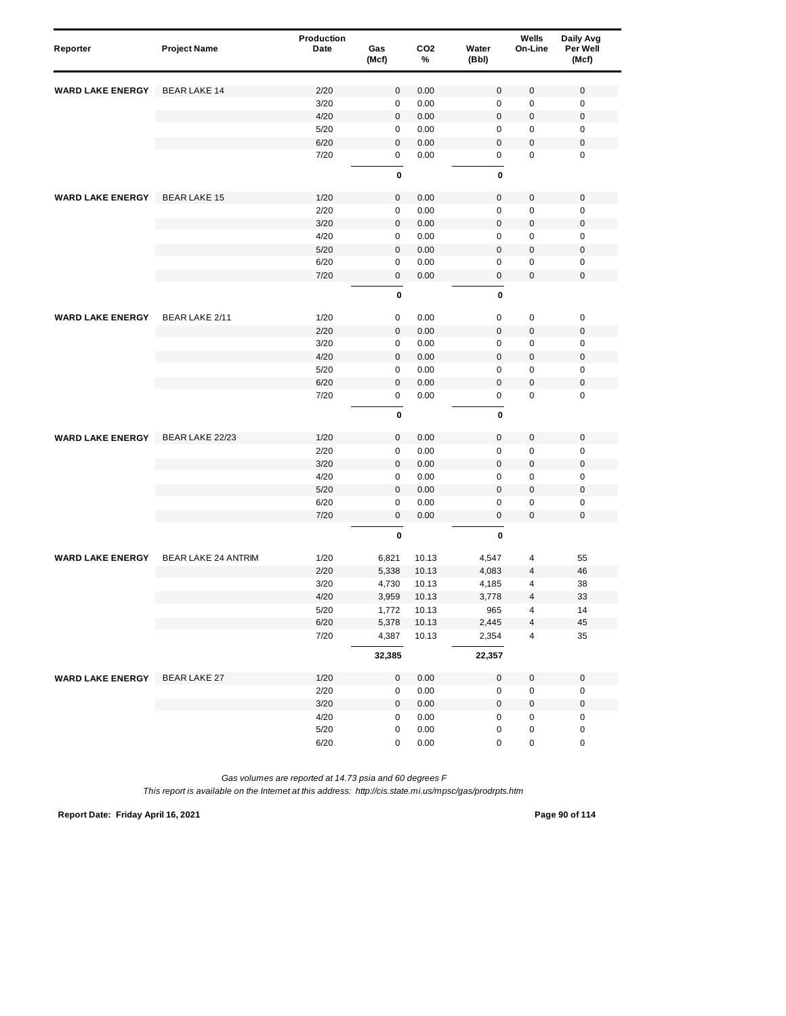| Reporter                | <b>Project Name</b>        | Production<br>Date | Gas<br>(Mcf)     | CO <sub>2</sub><br>% | Water<br>(Bbl)   | Wells<br>On-Line    | Daily Avg<br>Per Well<br>(Mcf) |
|-------------------------|----------------------------|--------------------|------------------|----------------------|------------------|---------------------|--------------------------------|
| <b>WARD LAKE ENERGY</b> | <b>BEAR LAKE 14</b>        | 2/20               | 0                | 0.00                 | $\bf 0$          | 0                   | $\pmb{0}$                      |
|                         |                            | 3/20               | $\pmb{0}$        | 0.00                 | $\mathbf 0$      | $\pmb{0}$           | $\mathbf 0$                    |
|                         |                            | 4/20               | 0                | 0.00                 | $\bf 0$          | $\mathbf 0$         | $\boldsymbol{0}$               |
|                         |                            | 5/20               | 0                | 0.00                 | $\mathbf 0$      | 0                   | $\pmb{0}$                      |
|                         |                            | 6/20               | $\mathbf 0$      | 0.00                 | $\mathbf 0$      | $\mathbf 0$         | $\pmb{0}$                      |
|                         |                            | 7/20               | 0                | 0.00                 | $\mathsf 0$      | $\mathbf 0$         | $\mathbf 0$                    |
|                         |                            |                    | $\mathbf 0$      |                      | $\pmb{0}$        |                     |                                |
| <b>WARD LAKE ENERGY</b> | <b>BEAR LAKE 15</b>        | 1/20               | $\pmb{0}$        | 0.00                 | $\bf 0$          | $\mathbf 0$         | $\mathbf 0$                    |
|                         |                            | 2/20               | 0                | 0.00                 | $\mathbf 0$      | 0                   | $\mathbf 0$                    |
|                         |                            | 3/20               | 0                | 0.00                 | $\mathbf 0$      | $\pmb{0}$           | $\mathbf 0$                    |
|                         |                            | 4/20               | 0                | 0.00                 | $\mathbf 0$      | 0                   | $\mathbf 0$                    |
|                         |                            | 5/20               | $\mathbf 0$      | 0.00                 | $\mathbf 0$      | $\mathbf 0$         | $\mathbf 0$                    |
|                         |                            | 6/20               | 0                | 0.00                 | $\pmb{0}$        | $\pmb{0}$           | $\pmb{0}$                      |
|                         |                            | 7/20               | 0                | 0.00                 | $\pmb{0}$        | $\pmb{0}$           | $\mathbf 0$                    |
|                         |                            |                    | 0                |                      | 0                |                     |                                |
| <b>WARD LAKE ENERGY</b> | BEAR LAKE 2/11             | 1/20               | 0                | 0.00                 | 0                | 0                   | $\pmb{0}$                      |
|                         |                            | 2/20               | $\mathbf{0}$     | 0.00                 | $\mathbf 0$      | $\pmb{0}$           | $\mathbf 0$                    |
|                         |                            | 3/20               | $\pmb{0}$        | 0.00                 | $\mathbf 0$      | $\pmb{0}$           | $\mathbf 0$                    |
|                         |                            | 4/20               | $\mathbf 0$      | 0.00                 | $\mathbf 0$      | $\mathbf 0$         | $\pmb{0}$                      |
|                         |                            | 5/20               | 0                | 0.00                 | $\mathbf 0$      | $\pmb{0}$           | $\pmb{0}$                      |
|                         |                            | 6/20               | $\pmb{0}$        | 0.00                 | $\mathbf 0$      | $\pmb{0}$           | $\mathbf 0$                    |
|                         |                            | 7/20               | 0                | 0.00                 | $\mathsf 0$      | $\pmb{0}$           | $\mathbf 0$                    |
|                         |                            |                    | $\mathbf 0$      |                      | 0                |                     |                                |
| <b>WARD LAKE ENERGY</b> | BEAR LAKE 22/23            | 1/20               | $\mathsf 0$      | 0.00                 | $\bf 0$          | 0                   | $\mathbf 0$                    |
|                         |                            | 2/20               | $\pmb{0}$        | 0.00                 | $\mathbf 0$      | $\pmb{0}$           | $\mathbf 0$                    |
|                         |                            | 3/20               | $\mathbf 0$      | 0.00                 | $\bf 0$          | $\mathbf 0$         | $\boldsymbol{0}$               |
|                         |                            | 4/20               | 0                | 0.00                 | $\mathbf 0$      | $\pmb{0}$           | $\mathbf 0$                    |
|                         |                            | 5/20               | $\pmb{0}$        | 0.00                 | $\bf 0$          | $\pmb{0}$           | $\mathbf 0$                    |
|                         |                            | 6/20<br>7/20       | 0<br>$\mathbf 0$ | 0.00<br>0.00         | 0<br>$\mathbf 0$ | 0<br>$\overline{0}$ | $\pmb{0}$<br>$\mathbf 0$       |
|                         |                            |                    | 0                |                      | 0                |                     |                                |
| <b>WARD LAKE ENERGY</b> | <b>BEAR LAKE 24 ANTRIM</b> | 1/20               | 6,821            | 10.13                | 4,547            | 4                   | 55                             |
|                         |                            | 2/20               | 5,338            | 10.13                | 4,083            | 4                   | 46                             |
|                         |                            | 3/20               | 4,730            | 10.13                | 4,185            | 4                   | 38                             |
|                         |                            | 4/20               | 3,959            | 10.13                | 3.778            | 4                   | 33                             |
|                         |                            | 5/20               | 1,772            | 10.13                | 965              | 4                   | 14                             |
|                         |                            | 6/20               | 5,378            | 10.13                | 2,445            | 4                   | 45                             |
|                         |                            | 7/20               | 4,387            | 10.13                | 2,354            | 4                   | 35                             |
|                         |                            |                    | 32,385           |                      | 22,357           |                     |                                |
| <b>WARD LAKE ENERGY</b> | <b>BEAR LAKE 27</b>        | 1/20               | 0                | 0.00                 | $\pmb{0}$        | $\mathbf 0$         | $\pmb{0}$                      |
|                         |                            | 2/20               | 0                | 0.00                 | $\pmb{0}$        | 0                   | $\pmb{0}$                      |
|                         |                            | $3/20$             | 0                | 0.00                 | $\mathbf 0$      | $\pmb{0}$           | $\pmb{0}$                      |
|                         |                            | 4/20               | 0                | 0.00                 | $\pmb{0}$        | 0                   | $\pmb{0}$                      |
|                         |                            | $5/20$             | 0                | $0.00\,$             | $\pmb{0}$        | 0                   | $\mathbf 0$                    |
|                         |                            | 6/20               | 0                | 0.00                 | 0                | $\pmb{0}$           | $\pmb{0}$                      |

*This report is available on the Internet at this address: http://cis.state.mi.us/mpsc/gas/prodrpts.htm*

**Report Date: Friday April 16, 2021 Page 90 of 114**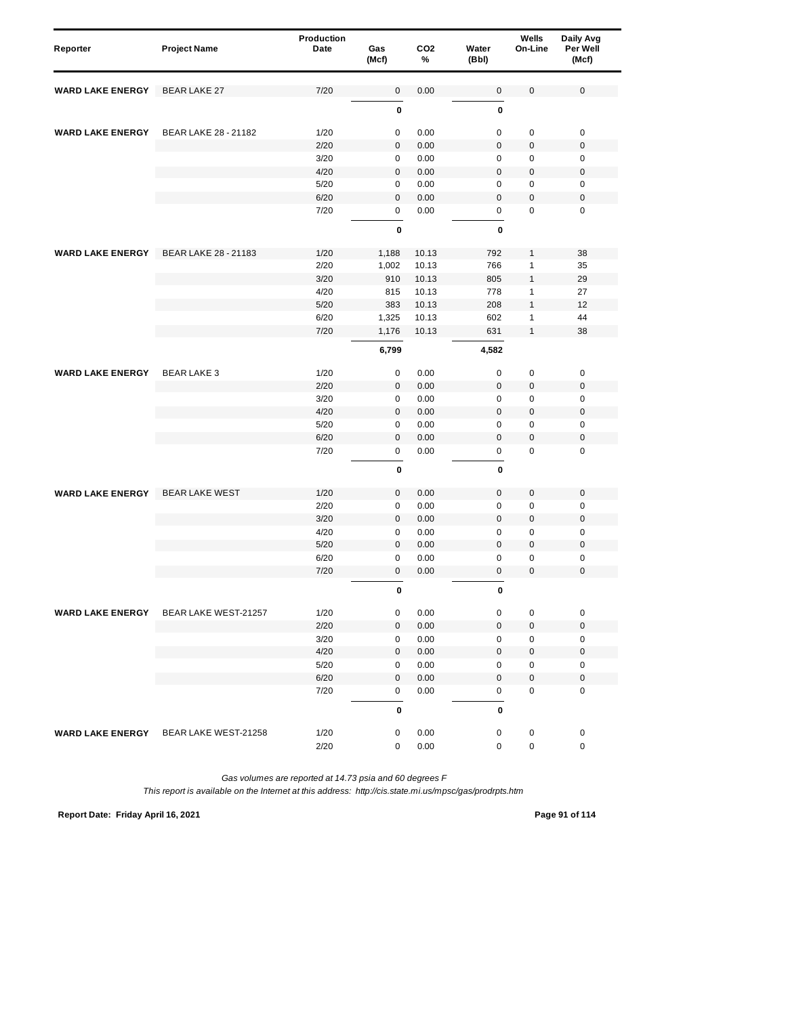| Reporter                | <b>Project Name</b>                   | Production<br>Date | Gas<br>(Mcf) | CO <sub>2</sub><br>% | Water<br>(Bbl)   | Wells<br>On-Line | Daily Avg<br>Per Well<br>(Mcf) |  |
|-------------------------|---------------------------------------|--------------------|--------------|----------------------|------------------|------------------|--------------------------------|--|
| <b>WARD LAKE ENERGY</b> | <b>BEAR LAKE 27</b>                   | 7/20               | $\pmb{0}$    | 0.00                 | $\mathbf 0$      | 0                | $\mathbf 0$                    |  |
|                         |                                       |                    | $\bf{0}$     |                      | 0                |                  |                                |  |
| <b>WARD LAKE ENERGY</b> | <b>BEAR LAKE 28 - 21182</b>           | 1/20               | 0            | 0.00                 | $\mathsf 0$      | 0                | $\pmb{0}$                      |  |
|                         |                                       | 2/20               | $\pmb{0}$    | 0.00                 | $\mathbf 0$      | $\pmb{0}$        | $\mathbf 0$                    |  |
|                         |                                       | 3/20               | 0            | 0.00                 | $\mathbf 0$      | 0                | 0                              |  |
|                         |                                       | 4/20               | 0            | 0.00                 | $\mathsf 0$      | $\pmb{0}$        | $\boldsymbol{0}$               |  |
|                         |                                       | 5/20               | 0            | 0.00                 | 0                | $\mathbf 0$      | 0                              |  |
|                         |                                       | 6/20               | $\mathbf 0$  | 0.00                 | $\mathbf 0$      | 0                | $\mathbf 0$                    |  |
|                         |                                       | 7/20               | 0            | 0.00                 | 0                | $\mathbf 0$      | $\mathbf 0$                    |  |
|                         |                                       |                    | 0            |                      | 0                |                  |                                |  |
| <b>WARD LAKE ENERGY</b> | BEAR LAKE 28 - 21183                  | 1/20               | 1,188        | 10.13                | 792              | 1                | 38                             |  |
|                         |                                       | 2/20               | 1,002        | 10.13                | 766              | 1                | 35                             |  |
|                         |                                       | 3/20               | 910          | 10.13                | 805              | $\mathbf{1}$     | 29                             |  |
|                         |                                       | 4/20               | 815          | 10.13                | 778              | 1                | 27                             |  |
|                         |                                       | 5/20               | 383          | 10.13                | 208              | $\mathbf{1}$     | 12                             |  |
|                         |                                       | 6/20               | 1,325        | 10.13                | 602              | 1                | 44                             |  |
|                         |                                       | 7/20               | 1,176        | 10.13                | 631              | $\mathbf{1}$     | 38                             |  |
|                         |                                       |                    | 6,799        |                      | 4,582            |                  |                                |  |
| <b>WARD LAKE ENERGY</b> | <b>BEARLAKE 3</b>                     | 1/20               | 0            | 0.00                 | $\mathsf 0$      | 0                | 0                              |  |
|                         |                                       | 2/20               | 0            | 0.00                 | $\bf 0$          | $\pmb{0}$        | $\boldsymbol{0}$               |  |
|                         |                                       | 3/20               | $\pmb{0}$    | 0.00                 | $\mathbf 0$      | 0                | $\mathbf 0$                    |  |
|                         |                                       | 4/20               | $\pmb{0}$    | 0.00                 | $\boldsymbol{0}$ | 0                | $\mathbf 0$                    |  |
|                         |                                       | 5/20               | 0            | 0.00                 | 0                | 0                | 0                              |  |
|                         |                                       | 6/20               | $\pmb{0}$    | 0.00                 | $\mathbf 0$      | $\pmb{0}$        | $\boldsymbol{0}$               |  |
|                         |                                       | 7/20               | 0            | 0.00                 | 0                | $\mathbf 0$      | $\mathbf 0$                    |  |
|                         |                                       |                    | 0            |                      | 0                |                  |                                |  |
| <b>WARD LAKE ENERGY</b> | <b>BEAR LAKE WEST</b>                 | 1/20               | $\mathbf 0$  | 0.00                 | 0                | $\mathsf 0$      | $\mathbf 0$                    |  |
|                         |                                       | 2/20               | $\pmb{0}$    | 0.00                 | $\mathbf 0$      | 0                | $\mathbf 0$                    |  |
|                         |                                       | 3/20               | $\pmb{0}$    | 0.00                 | $\boldsymbol{0}$ | $\boldsymbol{0}$ | $\boldsymbol{0}$               |  |
|                         |                                       | 4/20               | 0            | 0.00                 | 0                | 0                | $\mathbf 0$                    |  |
|                         |                                       | 5/20               | $\pmb{0}$    | 0.00                 | $\mathbf{0}$     | $\pmb{0}$        | $\mathbf 0$                    |  |
|                         |                                       | 6/20               | 0            | 0.00                 | 0                | 0                | 0                              |  |
|                         |                                       | 7/20               | 0            | 0.00                 | 0                | 0                | $\mathbf 0$                    |  |
|                         |                                       |                    | 0            |                      | 0                |                  |                                |  |
| <b>WARD LAKE ENERGY</b> | BEAR LAKE WEST-21257                  | 1/20               | $\pmb{0}$    | 0.00                 | $\mathbf 0$      | 0                | $\pmb{0}$                      |  |
|                         |                                       | 2/20               | $\mathsf 0$  | $0.00\,$             | $\mathsf 0$      | $\pmb{0}$        | $\boldsymbol{0}$               |  |
|                         |                                       | 3/20               | $\pmb{0}$    | 0.00                 | 0                | 0                | $\pmb{0}$                      |  |
|                         |                                       | 4/20               | $\pmb{0}$    | 0.00                 | 0                | 0                | $\pmb{0}$                      |  |
|                         |                                       | 5/20               | 0            | 0.00                 | 0                | 0                | 0                              |  |
|                         |                                       | 6/20               | $\pmb{0}$    | 0.00                 | 0                | $\mathsf 0$      | $\pmb{0}$                      |  |
|                         |                                       | 7/20               | 0            | 0.00                 | $\pmb{0}$        | 0                | $\pmb{0}$                      |  |
|                         |                                       |                    | $\bf{0}$     |                      | 0                |                  |                                |  |
|                         | WARD LAKE ENERGY BEAR LAKE WEST-21258 | 1/20               | 0            | 0.00                 | $\pmb{0}$        | 0                | 0                              |  |
|                         |                                       | 2/20               | $\pmb{0}$    | 0.00                 | 0                | 0                | $\pmb{0}$                      |  |

*This report is available on the Internet at this address: http://cis.state.mi.us/mpsc/gas/prodrpts.htm*

**Report Date: Friday April 16, 2021 Page 91 of 114**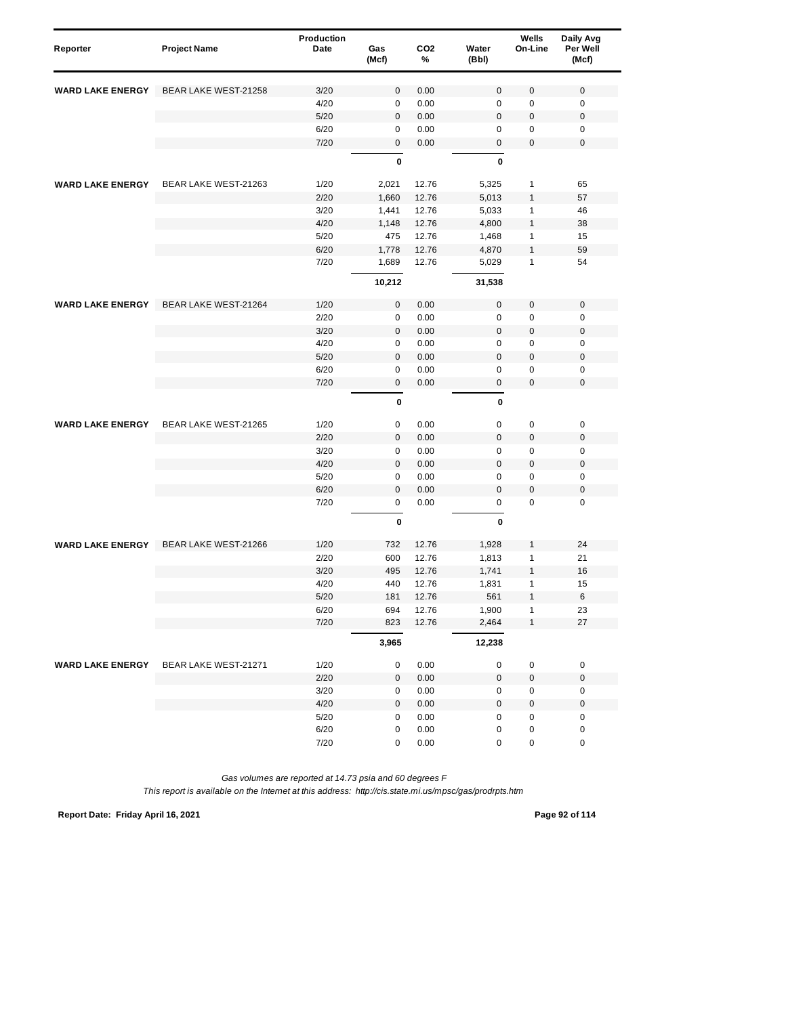| Reporter                | <b>Project Name</b>  | Production<br>Date | Gas<br>(Mcf) | CO <sub>2</sub><br>% | Water<br>(Bbl) | Wells<br>On-Line | Daily Avg<br>Per Well<br>(Mcf) |
|-------------------------|----------------------|--------------------|--------------|----------------------|----------------|------------------|--------------------------------|
| <b>WARD LAKE ENERGY</b> | BEAR LAKE WEST-21258 | 3/20               | 0            | 0.00                 | $\bf 0$        | $\pmb{0}$        | $\mathbf 0$                    |
|                         |                      | 4/20               | $\mathbf 0$  | 0.00                 | $\mathbf 0$    | $\pmb{0}$        | $\mathbf 0$                    |
|                         |                      | 5/20               | 0            | 0.00                 | $\bf 0$        | $\mathbf 0$      | $\boldsymbol{0}$               |
|                         |                      | 6/20               | 0            | 0.00                 | 0              | 0                | $\mathbf 0$                    |
|                         |                      | 7/20               | 0            | 0.00                 | $\bf 0$        | $\mathbf 0$      | $\mathbf 0$                    |
|                         |                      |                    | $\mathbf 0$  |                      | $\mathbf 0$    |                  |                                |
| <b>WARD LAKE ENERGY</b> | BEAR LAKE WEST-21263 | 1/20               | 2,021        | 12.76                | 5,325          | $\mathbf{1}$     | 65                             |
|                         |                      | 2/20               | 1,660        | 12.76                | 5,013          | $\mathbf{1}$     | 57                             |
|                         |                      | 3/20               | 1,441        | 12.76                | 5,033          | 1                | 46                             |
|                         |                      | 4/20               | 1,148        | 12.76                | 4,800          | $\mathbf{1}$     | 38                             |
|                         |                      | 5/20               | 475          | 12.76                | 1,468          | $\mathbf{1}$     | 15                             |
|                         |                      | 6/20               | 1,778        | 12.76                | 4,870          | $\mathbf{1}$     | 59                             |
|                         |                      | 7/20               | 1,689        | 12.76                | 5,029          | $\mathbf{1}$     | 54                             |
|                         |                      |                    | 10,212       |                      | 31,538         |                  |                                |
| <b>WARD LAKE ENERGY</b> | BEAR LAKE WEST-21264 | 1/20               | 0            | 0.00                 | $\bf 0$        | $\mathbf 0$      | $\mathbf 0$                    |
|                         |                      | 2/20               | 0            | 0.00                 | 0              | $\pmb{0}$        | $\mathbf 0$                    |
|                         |                      | 3/20               | $\mathbf{0}$ | 0.00                 | $\mathbf 0$    | $\pmb{0}$        | $\mathbf 0$                    |
|                         |                      | 4/20               | $\pmb{0}$    | 0.00                 | $\mathsf 0$    | $\pmb{0}$        | $\mathbf 0$                    |
|                         |                      | 5/20               | $\mathbf 0$  | 0.00                 | $\mathbf 0$    | $\mathbf 0$      | $\boldsymbol{0}$               |
|                         |                      | 6/20               | 0            | 0.00                 | $\mathsf 0$    | $\pmb{0}$        | $\mathbf 0$                    |
|                         |                      | 7/20               | 0            | 0.00                 | $\bf 0$        | $\pmb{0}$        | $\mathbf 0$                    |
|                         |                      |                    | 0            |                      | $\mathbf 0$    |                  |                                |
| <b>WARD LAKE ENERGY</b> | BEAR LAKE WEST-21265 | 1/20               | 0            | 0.00                 | $\mathbf 0$    | $\pmb{0}$        | $\pmb{0}$                      |
|                         |                      | 2/20               | $\pmb{0}$    | 0.00                 | $\mathbf 0$    | $\pmb{0}$        | $\mathbf 0$                    |
|                         |                      | 3/20               | 0            | 0.00                 | $\mathbf 0$    | 0                | $\mathbf 0$                    |
|                         |                      | 4/20               | $\mathbf 0$  | 0.00                 | $\bf 0$        | $\mathbf 0$      | $\boldsymbol{0}$               |
|                         |                      | 5/20               | 0            | 0.00                 | $\mathbf 0$    | $\pmb{0}$        | $\mathbf 0$                    |
|                         |                      | 6/20               | $\pmb{0}$    | 0.00                 | $\mathbf{0}$   | $\pmb{0}$        | $\mathbf 0$                    |
|                         |                      | 7/20               | 0            | 0.00                 | $\mathsf 0$    | $\mathbf 0$      | $\mathbf 0$                    |
|                         |                      |                    | 0            |                      | 0              |                  |                                |
| <b>WARD LAKE ENERGY</b> | BEAR LAKE WEST-21266 | 1/20               | 732          | 12.76                | 1,928          | 1                | 24                             |
|                         |                      | 2/20               | 600          | 12.76                | 1,813          | 1                | 21                             |
|                         |                      | 3/20               | 495          | 12.76                | 1,741          | $\mathbf{1}$     | 16                             |
|                         |                      | 4/20               | 440          | 12.76                | 1,831          | 1                | 15                             |
|                         |                      | 5/20               | 181          | 12.76                | 561            | 1                | 6                              |
|                         |                      | 6/20               | 694          | 12.76                | 1,900          | $\mathbf{1}$     | 23                             |
|                         |                      | 7/20               | 823          | 12.76                | 2,464          | $\mathbf{1}$     | 27                             |
|                         |                      |                    | 3,965        |                      | 12,238         |                  |                                |
| <b>WARD LAKE ENERGY</b> | BEAR LAKE WEST-21271 | 1/20               | 0            | 0.00                 | 0              | $\pmb{0}$        | $\pmb{0}$                      |
|                         |                      | 2/20               | 0            | 0.00                 | $\pmb{0}$      | $\pmb{0}$        | $\pmb{0}$                      |
|                         |                      | $3/20$             | 0            | 0.00                 | 0              | 0                | $\pmb{0}$                      |
|                         |                      | 4/20               | 0            | 0.00                 | $\mathbf 0$    | $\pmb{0}$        | $\mathbf 0$                    |
|                         |                      | 5/20               | 0            | 0.00                 | $\pmb{0}$      | $\mathbf 0$      | $\pmb{0}$                      |
|                         |                      | 6/20               | 0            | 0.00                 | $\pmb{0}$      | $\mathbf 0$      | $\mathbf 0$                    |
|                         |                      | 7/20               | 0            | 0.00                 | $\pmb{0}$      | $\pmb{0}$        | $\pmb{0}$                      |

*This report is available on the Internet at this address: http://cis.state.mi.us/mpsc/gas/prodrpts.htm*

**Report Date: Friday April 16, 2021 Page 92 of 114**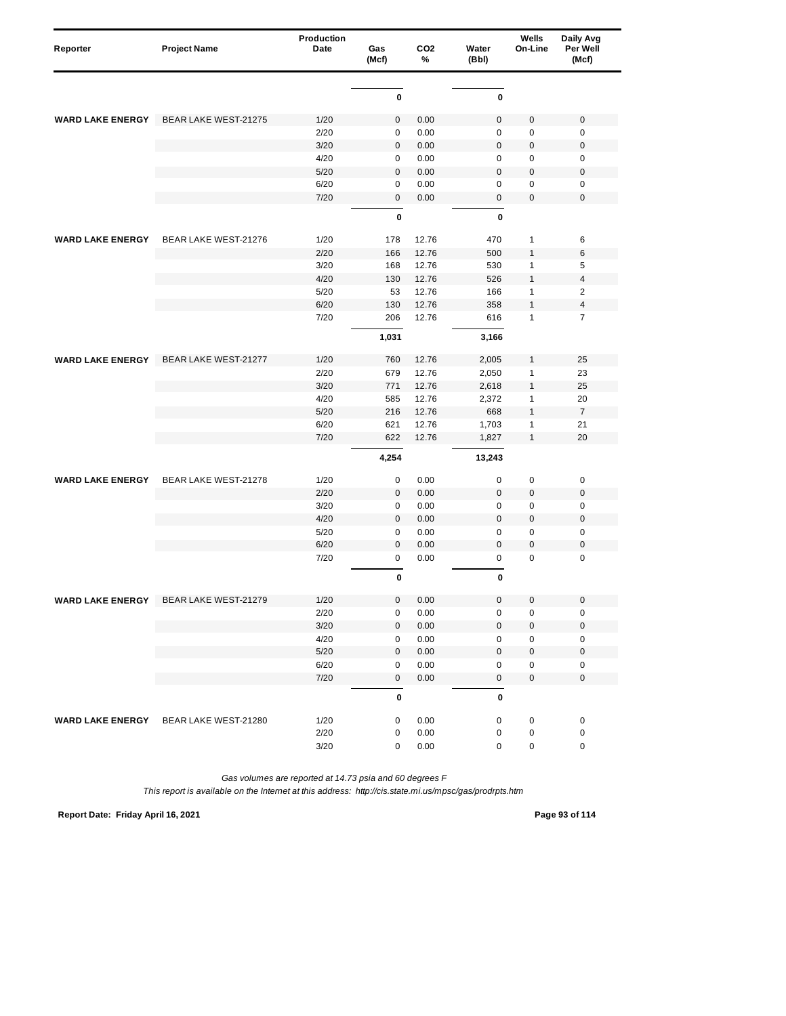| Reporter                | <b>Project Name</b>         | Production<br>Date | Gas<br>(Mcf) | CO <sub>2</sub><br>% | Water<br>(Bbl) | Wells<br>On-Line | Daily Avg<br>Per Well<br>(Mcf) |
|-------------------------|-----------------------------|--------------------|--------------|----------------------|----------------|------------------|--------------------------------|
|                         |                             |                    |              |                      |                |                  |                                |
|                         |                             |                    | 0            |                      | $\bf{0}$       |                  |                                |
| <b>WARD LAKE ENERGY</b> | <b>BEAR LAKE WEST-21275</b> | 1/20               | $\pmb{0}$    | 0.00                 | $\mathbf 0$    | $\mathbf 0$      | $\pmb{0}$                      |
|                         |                             | 2/20               | 0            | 0.00                 | $\mathbf 0$    | $\pmb{0}$        | $\pmb{0}$                      |
|                         |                             | 3/20               | $\pmb{0}$    | 0.00                 | $\mathbf 0$    | $\pmb{0}$        | $\pmb{0}$                      |
|                         |                             | 4/20               | 0            | 0.00                 | $\mathbf 0$    | $\pmb{0}$        | $\pmb{0}$                      |
|                         |                             | 5/20               | 0            | 0.00                 | $\bf 0$        | $\mathbf 0$      | $\pmb{0}$                      |
|                         |                             | 6/20               | $\mathbf 0$  | 0.00                 | $\mathbf 0$    | $\mathbf 0$      | $\pmb{0}$                      |
|                         |                             | 7/20               | 0            | 0.00                 | $\bf 0$        | $\mathbf 0$      | $\pmb{0}$                      |
|                         |                             |                    | 0            |                      | $\mathbf 0$    |                  |                                |
| <b>WARD LAKE ENERGY</b> | BEAR LAKE WEST-21276        | 1/20               | 178          | 12.76                | 470            | $\mathbf{1}$     | 6                              |
|                         |                             | 2/20               | 166          | 12.76                | 500            | $\mathbf{1}$     | 6                              |
|                         |                             | 3/20               | 168          | 12.76                | 530            | $\mathbf{1}$     | 5                              |
|                         |                             | 4/20               | 130          | 12.76                | 526            | $\mathbf{1}$     | 4                              |
|                         |                             | 5/20               | 53           | 12.76                | 166            | $\mathbf{1}$     | $\overline{2}$                 |
|                         |                             | 6/20               | 130          | 12.76                | 358            | $\mathbf{1}$     | 4                              |
|                         |                             | 7/20               | 206          | 12.76                | 616            | $\mathbf{1}$     | $\overline{7}$                 |
|                         |                             |                    | 1,031        |                      | 3,166          |                  |                                |
| <b>WARD LAKE ENERGY</b> | BEAR LAKE WEST-21277        | 1/20               | 760          | 12.76                | 2,005          | $\mathbf{1}$     | 25                             |
|                         |                             | 2/20               | 679          | 12.76                | 2,050          | $\mathbf{1}$     | 23                             |
|                         |                             | 3/20               | 771          | 12.76                | 2,618          | $\mathbf{1}$     | 25                             |
|                         |                             | 4/20               | 585          | 12.76                | 2,372          | $\mathbf{1}$     | 20                             |
|                         |                             | 5/20               | 216          | 12.76                | 668            | $\mathbf{1}$     | $\overline{7}$                 |
|                         |                             | 6/20               | 621          | 12.76                | 1,703          | $\mathbf{1}$     | 21                             |
|                         |                             | 7/20               | 622          | 12.76                | 1,827          | $\mathbf{1}$     | 20                             |
|                         |                             |                    | 4,254        |                      | 13,243         |                  |                                |
| <b>WARD LAKE ENERGY</b> | BEAR LAKE WEST-21278        | 1/20               | 0            | 0.00                 | $\mathbf 0$    | $\mathbf 0$      | 0                              |
|                         |                             | 2/20               | 0            | 0.00                 | $\bf 0$        | $\mathbf 0$      | $\mathbf 0$                    |
|                         |                             | 3/20               | $\pmb{0}$    | 0.00                 | $\mathsf 0$    | $\mathbf 0$      | $\mathbf 0$                    |
|                         |                             | 4/20               | $\pmb{0}$    | 0.00                 | $\mathbf 0$    | $\mathbf 0$      | $\pmb{0}$                      |
|                         |                             | 5/20               | 0            | 0.00                 | $\mathbf 0$    | $\pmb{0}$        | $\pmb{0}$                      |
|                         |                             | 6/20               | $\pmb{0}$    | 0.00                 | $\mathbf 0$    | $\pmb{0}$        | $\mathbf 0$                    |
|                         |                             | 7/20               | 0            | 0.00                 | $\mathbf 0$    | $\mathbf 0$      | $\mathbf 0$                    |
|                         |                             |                    | 0            |                      | 0              |                  |                                |
| WARD LAKE ENERGT        | BEAR LAKE WEST-21279        | 1/20               | 0            | 0.00                 | $\mathbf 0$    | U                | U                              |
|                         |                             | 2/20               | 0            | 0.00                 | 0              | 0                | 0                              |
|                         |                             | $3/20$             | 0            | 0.00                 | $\mathbf 0$    | $\pmb{0}$        | $\mathbf 0$                    |
|                         |                             | 4/20               | 0            | 0.00                 | $\pmb{0}$      | $\pmb{0}$        | $\pmb{0}$                      |
|                         |                             | $5/20$             | 0            | 0.00                 | $\mathbf 0$    | $\pmb{0}$        | $\mathbf 0$                    |
|                         |                             | 6/20               | 0            | 0.00                 | $\pmb{0}$      | $\pmb{0}$        | 0                              |
|                         |                             | 7/20               | $\mathbf 0$  | 0.00                 | $\mathbf 0$    | $\pmb{0}$        | $\pmb{0}$                      |
|                         |                             |                    | 0            |                      | $\pmb{0}$      |                  |                                |
| <b>WARD LAKE ENERGY</b> | BEAR LAKE WEST-21280        | 1/20               | 0            | 0.00                 | $\pmb{0}$      | $\pmb{0}$        | 0                              |
|                         |                             | 2/20               | 0            | 0.00                 | 0              | $\pmb{0}$        | 0                              |
|                         |                             | 3/20               | 0            | 0.00                 | 0              | $\pmb{0}$        | $\pmb{0}$                      |

*This report is available on the Internet at this address: http://cis.state.mi.us/mpsc/gas/prodrpts.htm*

**Report Date: Friday April 16, 2021 Page 93 of 114**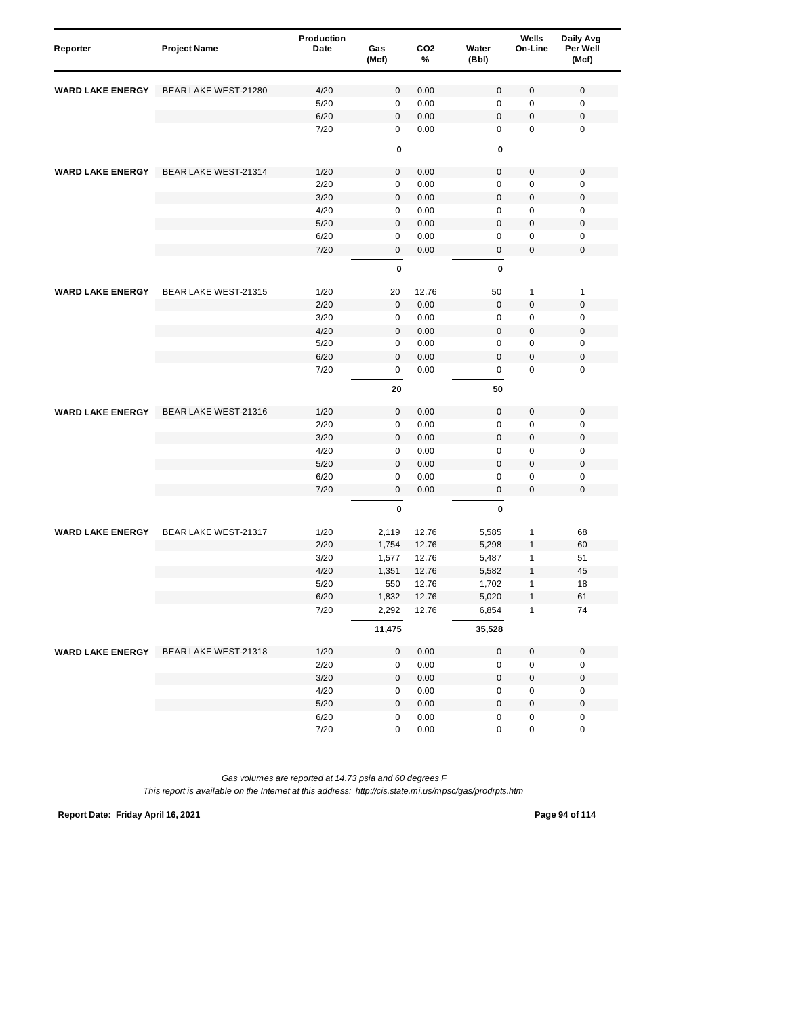| Reporter                | <b>Project Name</b>         | <b>Production</b><br>Date | Gas<br>(Mcf) | CO <sub>2</sub><br>% | Water<br>(Bbl) | Wells<br>On-Line | Daily Avg<br>Per Well<br>(Mcf) |
|-------------------------|-----------------------------|---------------------------|--------------|----------------------|----------------|------------------|--------------------------------|
| <b>WARD LAKE ENERGY</b> | <b>BEAR LAKE WEST-21280</b> | 4/20                      | $\mathbf 0$  | 0.00                 | $\mathbf 0$    | $\pmb{0}$        | $\mathbf 0$                    |
|                         |                             | 5/20                      | $\mathbf 0$  | 0.00                 | $\mathbf 0$    | $\pmb{0}$        | $\mathbf 0$                    |
|                         |                             | 6/20                      | $\mathbf 0$  | 0.00                 | $\mathbf 0$    | $\pmb{0}$        | $\boldsymbol{0}$               |
|                         |                             | 7/20                      | 0            | 0.00                 | 0              | 0                | $\mathbf 0$                    |
|                         |                             |                           | 0            |                      | 0              |                  |                                |
| <b>WARD LAKE ENERGY</b> | BEAR LAKE WEST-21314        | 1/20                      | $\mathbf 0$  | 0.00                 | $\mathbf 0$    | 0                | $\pmb{0}$                      |
|                         |                             | 2/20                      | $\pmb{0}$    | 0.00                 | $\mathbf 0$    | $\pmb{0}$        | $\mathbf 0$                    |
|                         |                             | 3/20                      | $\mathbf 0$  | 0.00                 | $\mathbf 0$    | $\pmb{0}$        | $\mathbf 0$                    |
|                         |                             | 4/20                      | 0            | 0.00                 | 0              | 0                | $\mathbf 0$                    |
|                         |                             | 5/20                      | $\mathbf 0$  | 0.00                 | $\mathbf 0$    | 0                | $\mathbf 0$                    |
|                         |                             | 6/20                      | 0            | 0.00                 | $\mathbf 0$    | 0                | $\mathbf 0$                    |
|                         |                             | 7/20                      | $\pmb{0}$    | 0.00                 | $\mathbf 0$    | 0                | $\mathbf 0$                    |
|                         |                             |                           | $\mathbf 0$  |                      | $\mathbf{0}$   |                  |                                |
|                         |                             |                           |              |                      |                |                  |                                |
| <b>WARD LAKE ENERGY</b> | BEAR LAKE WEST-21315        | 1/20                      | 20           | 12.76                | 50             | $\mathbf{1}$     | $\mathbf{1}$                   |
|                         |                             | 2/20                      | $\mathbf 0$  | 0.00                 | $\mathbf 0$    | $\pmb{0}$        | $\mathbf 0$                    |
|                         |                             | 3/20                      | 0            | 0.00                 | 0              | $\pmb{0}$        | $\mathbf 0$                    |
|                         |                             | 4/20                      | $\mathbf 0$  | 0.00                 | $\overline{0}$ | 0                | $\mathbf 0$                    |
|                         |                             | 5/20                      | $\pmb{0}$    | 0.00                 | $\mathbf 0$    | 0                | $\mathbf 0$                    |
|                         |                             | 6/20                      | $\mathbf 0$  | 0.00                 | $\mathbf 0$    | $\mathbf 0$      | $\boldsymbol{0}$               |
|                         |                             | 7/20                      | $\mathbf 0$  | 0.00                 | $\mathbf 0$    | $\mathbf 0$      | $\mathbf 0$                    |
|                         |                             |                           | 20           |                      | 50             |                  |                                |
| <b>WARD LAKE ENERGY</b> | BEAR LAKE WEST-21316        | 1/20                      | $\pmb{0}$    | 0.00                 | $\mathbf 0$    | $\pmb{0}$        | $\mathbf 0$                    |
|                         |                             | 2/20                      | 0            | 0.00                 | $\mathbf 0$    | $\pmb{0}$        | $\mathbf 0$                    |
|                         |                             | 3/20                      | $\mathbf 0$  | 0.00                 | $\mathbf 0$    | 0                | $\mathbf 0$                    |
|                         |                             | 4/20                      | 0            | 0.00                 | $\mathbf 0$    | $\pmb{0}$        | $\mathbf 0$                    |
|                         |                             | 5/20                      | $\mathbf 0$  | 0.00                 | $\mathbf 0$    | $\pmb{0}$        | $\boldsymbol{0}$               |
|                         |                             | 6/20                      | $\mathbf 0$  | 0.00                 | $\mathbf 0$    | $\pmb{0}$        | $\mathbf 0$                    |
|                         |                             | 7/20                      | $\mathbf 0$  | 0.00                 | $\pmb{0}$      | $\pmb{0}$        | $\mathbf 0$                    |
|                         |                             |                           | 0            |                      | $\mathbf{0}$   |                  |                                |
| <b>WARD LAKE ENERGY</b> | BEAR LAKE WEST-21317        | 1/20                      | 2,119        | 12.76                | 5,585          | 1                | 68                             |
|                         |                             | 2/20                      | 1,754        | 12.76                | 5,298          | $\mathbf{1}$     | 60                             |
|                         |                             | 3/20                      | 1,577        | 12.76                | 5,487          | 1                | 51                             |
|                         |                             | 4/20                      | 1,351        | 12.76                | 5,582          | $\mathbf{1}$     | 45                             |
|                         |                             | 5/20                      | 550          | 12.76                | 1,702          | 1                | 18                             |
|                         |                             | 6/20                      | 1,832        | 12.76                | 5,020          | 1                | 61                             |
|                         |                             | 7/20                      | 2,292        | 12.76                | 6,854          | $\mathbf{1}$     | 74                             |
|                         |                             |                           | 11,475       |                      | 35,528         |                  |                                |
| <b>WARD LAKE ENERGY</b> | BEAR LAKE WEST-21318        | 1/20                      | 0            | 0.00                 | $\pmb{0}$      | $\mathbf 0$      | $\pmb{0}$                      |
|                         |                             | 2/20                      | 0            | 0.00                 | 0              | 0                | $\pmb{0}$                      |
|                         |                             | $3/20$                    | $\mathbf 0$  | 0.00                 | $\pmb{0}$      | 0                | $\pmb{0}$                      |
|                         |                             | 4/20                      | 0            | 0.00                 | 0              | 0                | $\pmb{0}$                      |
|                         |                             | $5/20$                    | $\mathbf 0$  | 0.00                 | $\mathbf 0$    | $\pmb{0}$        | $\pmb{0}$                      |
|                         |                             | 6/20                      | 0            | 0.00                 | $\pmb{0}$      | 0                | $\pmb{0}$                      |
|                         |                             | 7/20                      | 0            | 0.00                 | 0              | 0                | $\pmb{0}$                      |

**Report Date: Friday April 16, 2021 Page 94 of 114**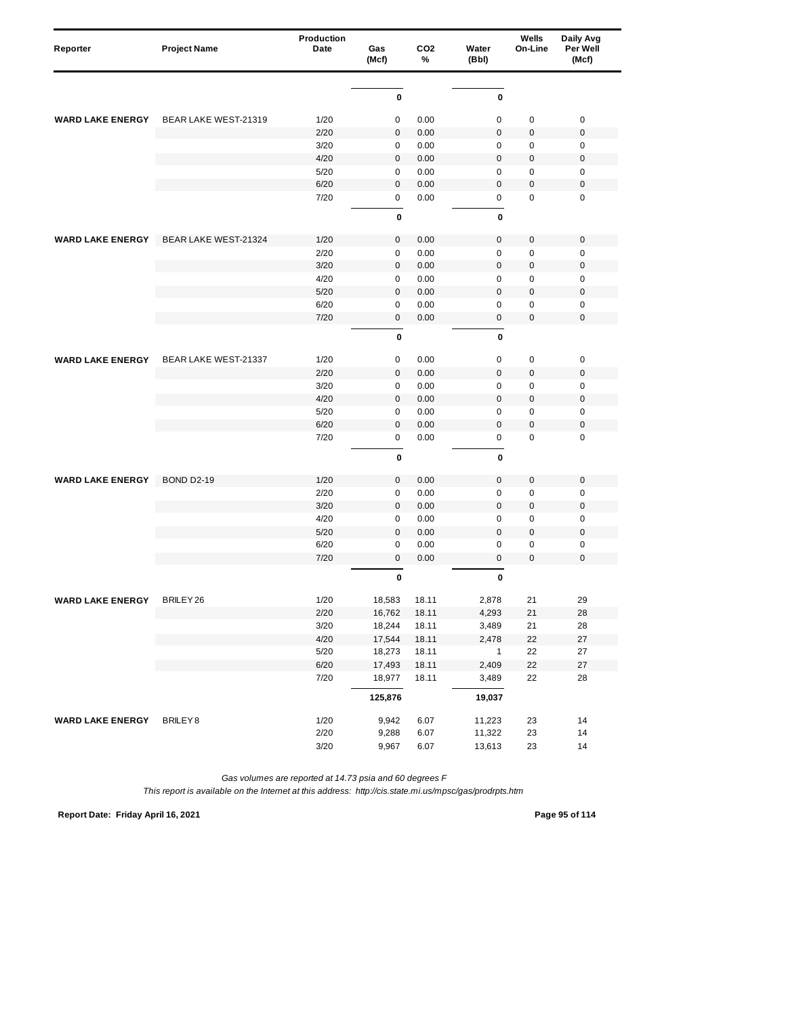| Reporter                | <b>Project Name</b>         | Production<br>Date | Gas<br>(Mcf)     | CO <sub>2</sub><br>% | Water<br>(Bbl)   | Wells<br>On-Line | Daily Avg<br>Per Well<br>(Mcf) |
|-------------------------|-----------------------------|--------------------|------------------|----------------------|------------------|------------------|--------------------------------|
|                         |                             |                    |                  |                      |                  |                  |                                |
|                         |                             |                    | 0                |                      | $\pmb{0}$        |                  |                                |
| <b>WARD LAKE ENERGY</b> | BEAR LAKE WEST-21319        | 1/20               | 0                | 0.00                 | $\mathbf 0$      | 0                | $\mathbf 0$                    |
|                         |                             | 2/20               | 0                | 0.00                 | $\mathbf 0$      | 0                | $\boldsymbol{0}$               |
|                         |                             | 3/20               | 0                | 0.00                 | $\mathbf 0$      | 0                | $\mathbf 0$                    |
|                         |                             | 4/20               | 0                | 0.00                 | $\Omega$         | $\pmb{0}$        | $\mathbf 0$                    |
|                         |                             | 5/20               | 0                | 0.00                 | 0                | $\pmb{0}$        | 0                              |
|                         |                             | 6/20               | $\mathbf{0}$     | 0.00                 | $\mathbf 0$      | $\mathbf 0$      | $\mathbf 0$                    |
|                         |                             | 7/20               | $\mathbf 0$      | 0.00                 | $\mathsf 0$      | 0                | $\mathbf 0$                    |
|                         |                             |                    | $\bf{0}$         |                      | $\mathbf{0}$     |                  |                                |
| <b>WARD LAKE ENERGY</b> | BEAR LAKE WEST-21324        | 1/20               | $\mathbf 0$      | 0.00                 | $\mathbf 0$      | 0                | $\mathbf 0$                    |
|                         |                             | 2/20               | $\pmb{0}$        | 0.00                 | $\mathbf 0$      | 0                | $\mathbf 0$                    |
|                         |                             | 3/20               | $\mathbf 0$      | 0.00                 | $\overline{0}$   | $\mathbf 0$      | $\mathbf 0$                    |
|                         |                             | 4/20               | 0                | 0.00                 | $\mathbf 0$      | $\pmb{0}$        | $\mathbf 0$                    |
|                         |                             | 5/20               | $\mathbf{0}$     | 0.00                 | $\mathbf 0$      | 0                | $\mathbf 0$                    |
|                         |                             | 6/20               | $\pmb{0}$        | 0.00                 | 0                | 0                | $\mathbf 0$                    |
|                         |                             | 7/20               | 0                | 0.00                 | $\boldsymbol{0}$ | 0                | $\mathbf 0$                    |
|                         |                             |                    | 0                |                      | 0                |                  |                                |
| <b>WARD LAKE ENERGY</b> | <b>BEAR LAKE WEST-21337</b> | 1/20               | 0                | 0.00                 | $\mathbf 0$      | $\pmb{0}$        | $\pmb{0}$                      |
|                         |                             | 2/20               | $\mathbf 0$      | 0.00                 | $\overline{0}$   | $\pmb{0}$        | $\mathbf 0$                    |
|                         |                             | 3/20               | 0                | 0.00                 | $\mathbf 0$      | 0                | $\pmb{0}$                      |
|                         |                             | 4/20               | $\mathbf 0$      | 0.00                 | $\overline{0}$   | $\pmb{0}$        | $\mathbf 0$                    |
|                         |                             | 5/20               | $\mathbf 0$      | 0.00                 | $\mathbf 0$      | $\mathbf 0$      | $\mathbf 0$                    |
|                         |                             | 6/20               | 0                | 0.00                 | $\mathbf 0$      | $\mathbf 0$      | $\mathbf 0$                    |
|                         |                             | 7/20               | $\mathbf 0$      | 0.00                 | 0                | 0                | $\mathbf 0$                    |
|                         |                             |                    | 0                |                      | $\mathbf{0}$     |                  |                                |
| <b>WARD LAKE ENERGY</b> | <b>BOND D2-19</b>           | 1/20               | $\mathbf 0$      | 0.00                 | $\mathbf 0$      | 0                | $\mathbf 0$                    |
|                         |                             | 2/20               | $\mathbf 0$      | 0.00                 | $\mathsf 0$      | 0                | $\pmb{0}$                      |
|                         |                             | 3/20               | $\mathbf 0$      | 0.00                 | $\mathbf 0$      | 0                | $\mathbf 0$                    |
|                         |                             | 4/20               | $\mathbf 0$      | 0.00                 | $\mathbf 0$      | $\pmb{0}$        | $\mathbf 0$                    |
|                         |                             | 5/20               | 0                | 0.00                 | $\mathbf 0$      | $\pmb{0}$        | $\mathbf 0$                    |
|                         |                             | 6/20               | $\mathbf 0$      | 0.00                 | $\mathbf 0$      | 0                | $\mathbf 0$                    |
|                         |                             | 7/20               | $\mathbf{0}$     | 0.00                 | $\overline{0}$   | $\Omega$         | $\mathbf 0$                    |
|                         |                             |                    | 0                |                      | 0                |                  |                                |
| WARD LAKE ENERGY        | BRILEY 26                   | 1/20               | 18,583           | 18.11                | 2,878            | 21               | 29                             |
|                         |                             | 2/20               | 16,762           | 18.11                | 4,293            | 21               | 28                             |
|                         |                             | $3/20$             | 18,244           | 18.11                | 3,489            | 21               | 28                             |
|                         |                             | 4/20               | 17,544           | 18.11                | 2,478            | 22               | $27\,$                         |
|                         |                             | $5/20$             | 18,273           | 18.11                | $\mathbf{1}$     | 22               | 27                             |
|                         |                             | 6/20<br>7/20       | 17,493<br>18,977 | 18.11<br>18.11       | 2,409<br>3,489   | 22<br>22         | $27\,$<br>28                   |
|                         |                             |                    | 125,876          |                      | 19,037           |                  |                                |
|                         |                             |                    |                  |                      |                  |                  |                                |
| <b>WARD LAKE ENERGY</b> | BRILEY8                     | 1/20<br>2/20       | 9,942            | 6.07                 | 11,223           | 23               | 14<br>14                       |
|                         |                             | 3/20               | 9,288<br>9,967   | 6.07<br>6.07         | 11,322<br>13,613 | 23<br>23         | 14                             |
|                         |                             |                    |                  |                      |                  |                  |                                |

*This report is available on the Internet at this address: http://cis.state.mi.us/mpsc/gas/prodrpts.htm*

**Report Date: Friday April 16, 2021 Page 95 of 114**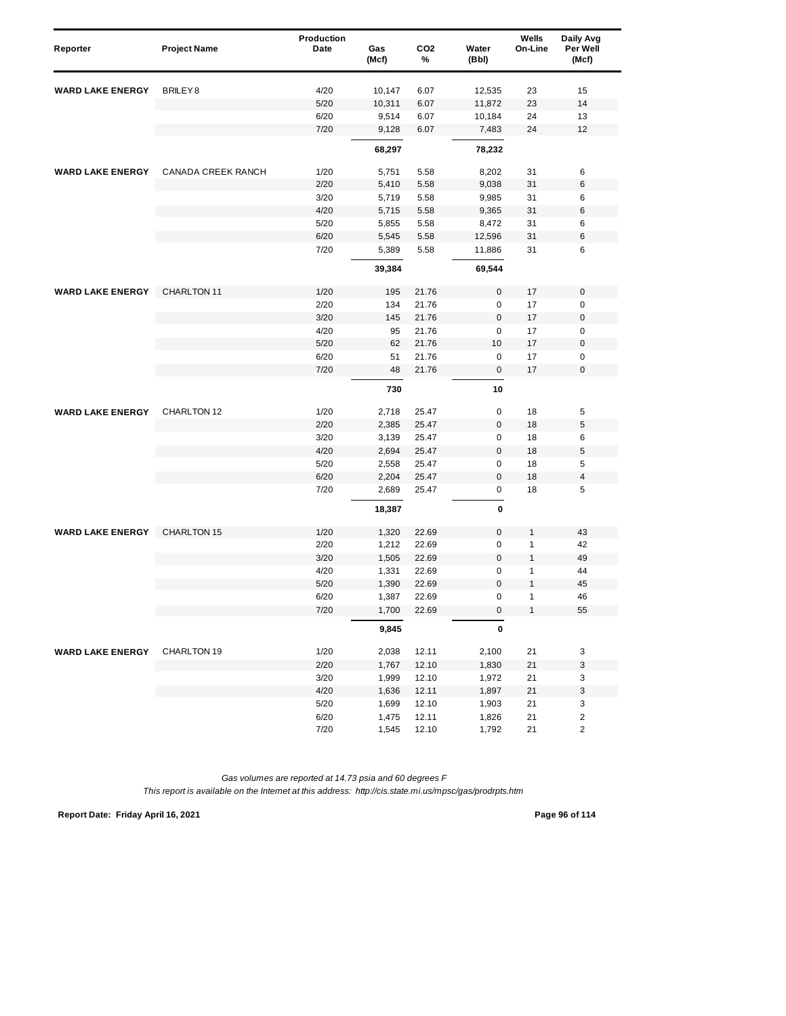| Reporter                | <b>Project Name</b> | <b>Production</b><br>Date | Gas<br>(Mcf) | CO <sub>2</sub><br>% | Water<br>(Bbl) | Wells<br>On-Line | Daily Avg<br>Per Well<br>(Mcf) |
|-------------------------|---------------------|---------------------------|--------------|----------------------|----------------|------------------|--------------------------------|
| <b>WARD LAKE ENERGY</b> | BRILEY <sub>8</sub> | 4/20                      | 10,147       | 6.07                 | 12,535         | 23               | 15                             |
|                         |                     | 5/20                      | 10,311       | 6.07                 | 11,872         | 23               | 14                             |
|                         |                     | 6/20                      | 9,514        | 6.07                 | 10,184         | 24               | 13                             |
|                         |                     | 7/20                      | 9,128        | 6.07                 | 7,483          | 24               | 12                             |
|                         |                     |                           | 68,297       |                      | 78,232         |                  |                                |
| <b>WARD LAKE ENERGY</b> | CANADA CREEK RANCH  | 1/20                      | 5,751        | 5.58                 | 8,202          | 31               | 6                              |
|                         |                     | 2/20                      | 5,410        | 5.58                 | 9,038          | 31               | 6                              |
|                         |                     | 3/20                      | 5,719        | 5.58                 | 9,985          | 31               | 6                              |
|                         |                     | 4/20                      | 5,715        | 5.58                 | 9,365          | 31               | 6                              |
|                         |                     | 5/20                      | 5,855        | 5.58                 | 8,472          | 31               | 6                              |
|                         |                     | 6/20                      | 5,545        | 5.58                 | 12,596         | 31               | 6                              |
|                         |                     | 7/20                      | 5,389        | 5.58                 | 11,886         | 31               | 6                              |
|                         |                     |                           | 39,384       |                      | 69,544         |                  |                                |
| <b>WARD LAKE ENERGY</b> | CHARLTON 11         | 1/20                      | 195          | 21.76                | $\bf 0$        | 17               | $\mathbf 0$                    |
|                         |                     | 2/20                      | 134          | 21.76                | 0              | 17               | $\mathbf 0$                    |
|                         |                     | 3/20                      | 145          | 21.76                | $\pmb{0}$      | 17               | $\boldsymbol{0}$               |
|                         |                     | 4/20                      | 95           | 21.76                | 0              | 17               | $\mathbf 0$                    |
|                         |                     | 5/20                      | 62           | 21.76                | 10             | 17               | $\mathbf 0$                    |
|                         |                     | 6/20                      | 51           | 21.76                | 0              | 17               | $\pmb{0}$                      |
|                         |                     | 7/20                      | 48           | 21.76                | 0              | 17               | $\mathbf 0$                    |
|                         |                     |                           | 730          |                      | 10             |                  |                                |
| <b>WARD LAKE ENERGY</b> | CHARLTON 12         | 1/20                      | 2,718        | 25.47                | $\pmb{0}$      | 18               | 5                              |
|                         |                     | 2/20                      | 2,385        | 25.47                | 0              | 18               | 5                              |
|                         |                     | 3/20                      | 3,139        | 25.47                | 0              | 18               | 6                              |
|                         |                     | 4/20                      | 2,694        | 25.47                | $\overline{0}$ | 18               | 5                              |
|                         |                     | 5/20                      | 2,558        | 25.47                | 0              | 18               | 5                              |
|                         |                     | 6/20                      | 2,204        | 25.47                | $\mathbf 0$    | 18               | $\overline{\mathbf{4}}$        |
|                         |                     | 7/20                      | 2,689        | 25.47                | $\mathsf 0$    | 18               | 5                              |
|                         |                     |                           | 18,387       |                      | 0              |                  |                                |
| <b>WARD LAKE ENERGY</b> | CHARLTON 15         | 1/20                      | 1,320        | 22.69                | $\mathbf 0$    | 1                | 43                             |
|                         |                     | 2/20                      | 1,212        | 22.69                | $\mathbf 0$    | 1                | 42                             |
|                         |                     | 3/20                      | 1,505        | 22.69                | $\overline{0}$ | $\mathbf{1}$     | 49                             |
|                         |                     | 4/20                      | 1,331        | 22.69                | 0              | 1                | 44                             |
|                         |                     | 5/20                      | 1,390        | 22.69                | $\mathbf 0$    | $\mathbf{1}$     | 45                             |
|                         |                     | 6/20                      | 1,387        | 22.69                | 0              | 1                | 46                             |
|                         |                     | 7/20                      | 1,700        | 22.69                | 0              | 1                | 55                             |
|                         |                     |                           | 9,845        |                      | $\pmb{0}$      |                  |                                |
| <b>WARD LAKE ENERGY</b> | CHARLTON 19         | 1/20                      | 2,038        | 12.11                | 2,100          | 21               | 3                              |
|                         |                     | 2/20                      | 1,767        | 12.10                | 1,830          | 21               | 3                              |
|                         |                     | 3/20                      | 1,999        | 12.10                | 1,972          | 21               | 3                              |
|                         |                     | 4/20                      | 1,636        | 12.11                | 1,897          | 21               | 3                              |
|                         |                     | $5/20$                    | 1,699        | 12.10                | 1,903          | 21               | 3                              |
|                         |                     | 6/20                      | 1,475        | 12.11                | 1,826          | 21               | $\overline{\mathbf{c}}$        |
|                         |                     | 7/20                      | 1,545        | 12.10                | 1,792          | 21               | $\overline{\mathbf{c}}$        |

**Report Date: Friday April 16, 2021 Page 96 of 114**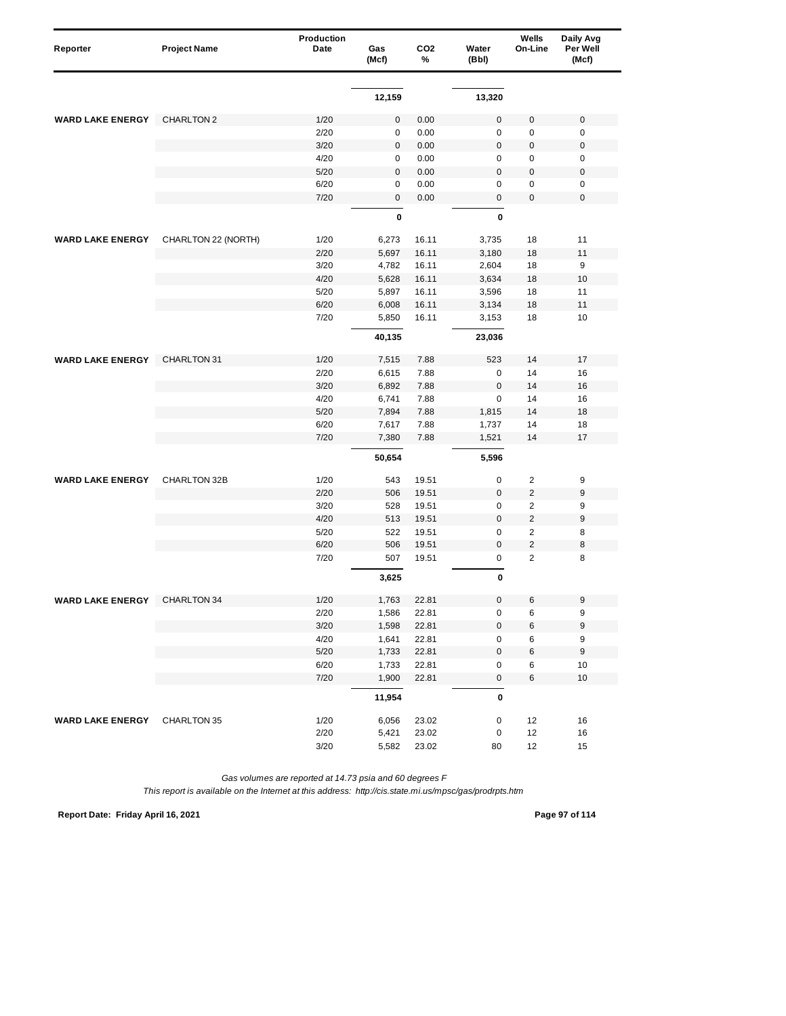| Reporter                | <b>Project Name</b> | Production<br>Date | Gas<br>(Mcf) | CO <sub>2</sub><br>% | Water<br>(Bbl) | Wells<br>On-Line | Daily Avg<br>Per Well<br>(Mcf) |
|-------------------------|---------------------|--------------------|--------------|----------------------|----------------|------------------|--------------------------------|
|                         |                     |                    |              |                      |                |                  |                                |
|                         |                     |                    | 12,159       |                      | 13,320         |                  |                                |
| <b>WARD LAKE ENERGY</b> | CHARLTON 2          | 1/20               | $\pmb{0}$    | 0.00                 | $\pmb{0}$      | 0                | $\mathbf 0$                    |
|                         |                     | 2/20               | 0            | 0.00                 | $\mathsf 0$    | 0                | $\mathbf 0$                    |
|                         |                     | 3/20               | $\pmb{0}$    | 0.00                 | $\mathbf 0$    | $\pmb{0}$        | $\mathbf 0$                    |
|                         |                     | 4/20               | 0            | 0.00                 | 0              | 0                | 0                              |
|                         |                     | 5/20               | 0            | 0.00                 | $\pmb{0}$      | $\pmb{0}$        | $\boldsymbol{0}$               |
|                         |                     | 6/20               | $\pmb{0}$    | 0.00                 | 0              | $\mathbf 0$      | 0                              |
|                         |                     | 7/20               | $\pmb{0}$    | 0.00                 | $\pmb{0}$      | 0                | $\mathbf 0$                    |
|                         |                     |                    | 0            |                      | 0              |                  |                                |
| <b>WARD LAKE ENERGY</b> | CHARLTON 22 (NORTH) | 1/20               | 6,273        | 16.11                | 3,735          | 18               | 11                             |
|                         |                     | 2/20               | 5,697        | 16.11                | 3,180          | 18               | 11                             |
|                         |                     | 3/20               | 4,782        | 16.11                | 2,604          | 18               | 9                              |
|                         |                     | 4/20               | 5,628        | 16.11                | 3,634          | 18               | 10                             |
|                         |                     | 5/20               | 5,897        | 16.11                | 3,596          | 18               | 11                             |
|                         |                     | 6/20               | 6,008        | 16.11                | 3,134          | 18               | 11                             |
|                         |                     | 7/20               | 5,850        | 16.11                | 3,153          | 18               | 10                             |
|                         |                     |                    | 40,135       |                      | 23,036         |                  |                                |
| <b>WARD LAKE ENERGY</b> | CHARLTON 31         | 1/20               | 7,515        | 7.88                 | 523            | 14               | 17                             |
|                         |                     | 2/20               | 6,615        | 7.88                 | 0              | 14               | 16                             |
|                         |                     | 3/20               | 6,892        | 7.88                 | $\mathbf 0$    | 14               | 16                             |
|                         |                     | 4/20               | 6,741        | 7.88                 | $\mathbf 0$    | 14               | 16                             |
|                         |                     | 5/20               | 7,894        | 7.88                 | 1,815          | 14               | 18                             |
|                         |                     | 6/20               | 7,617        | 7.88                 | 1,737          | 14               | 18                             |
|                         |                     | 7/20               | 7,380        | 7.88                 | 1,521          | 14               | 17                             |
|                         |                     |                    | 50,654       |                      | 5,596          |                  |                                |
| <b>WARD LAKE ENERGY</b> | CHARLTON 32B        | 1/20               | 543          | 19.51                | 0              | $\overline{c}$   | 9                              |
|                         |                     | 2/20               | 506          | 19.51                | 0              | $\overline{2}$   | 9                              |
|                         |                     | 3/20               | 528          | 19.51                | 0              | $\overline{2}$   | 9                              |
|                         |                     | 4/20               | 513          | 19.51                | 0              | $\overline{2}$   | 9                              |
|                         |                     | 5/20               | 522          | 19.51                | 0              | $\overline{2}$   | 8                              |
|                         |                     | 6/20               | 506          | 19.51                | $\mathbf 0$    | $\overline{2}$   | 8                              |
|                         |                     | 7/20               | 507          | 19.51                | 0              | $\overline{2}$   | 8                              |
|                         |                     |                    | 3,625        |                      | 0              |                  |                                |
| <b>WARD LAKE ENERGY</b> | CHARLTON 34         | 1/20               | 1,763        | 22.81                |                |                  |                                |
|                         |                     | 2/20               | 1,586        | 22.81                | 0              | 6                | 9                              |
|                         |                     | $3/20$             | 1,598        | 22.81                | 0              | 6                | 9                              |
|                         |                     | 4/20               | 1,641        | 22.81                | $\pmb{0}$      | 6                | $\boldsymbol{9}$               |
|                         |                     | $5/20$             | 1,733        | 22.81                | 0              | 6                | 9                              |
|                         |                     | 6/20               | 1,733        | 22.81                | 0              | 6                | 10                             |
|                         |                     | 7/20               | 1,900        | 22.81                | 0              | 6                | $10$                           |
|                         |                     |                    | 11,954       |                      | 0              |                  |                                |
| <b>WARD LAKE ENERGY</b> | CHARLTON 35         | 1/20               | 6,056        | 23.02                | 0              | 12               | 16                             |
|                         |                     | 2/20               | 5,421        | 23.02                | 0              | 12               | 16                             |
|                         |                     | 3/20               | 5,582        | 23.02                | 80             | 12               | 15                             |

*This report is available on the Internet at this address: http://cis.state.mi.us/mpsc/gas/prodrpts.htm*

**Report Date: Friday April 16, 2021 Page 97 of 114**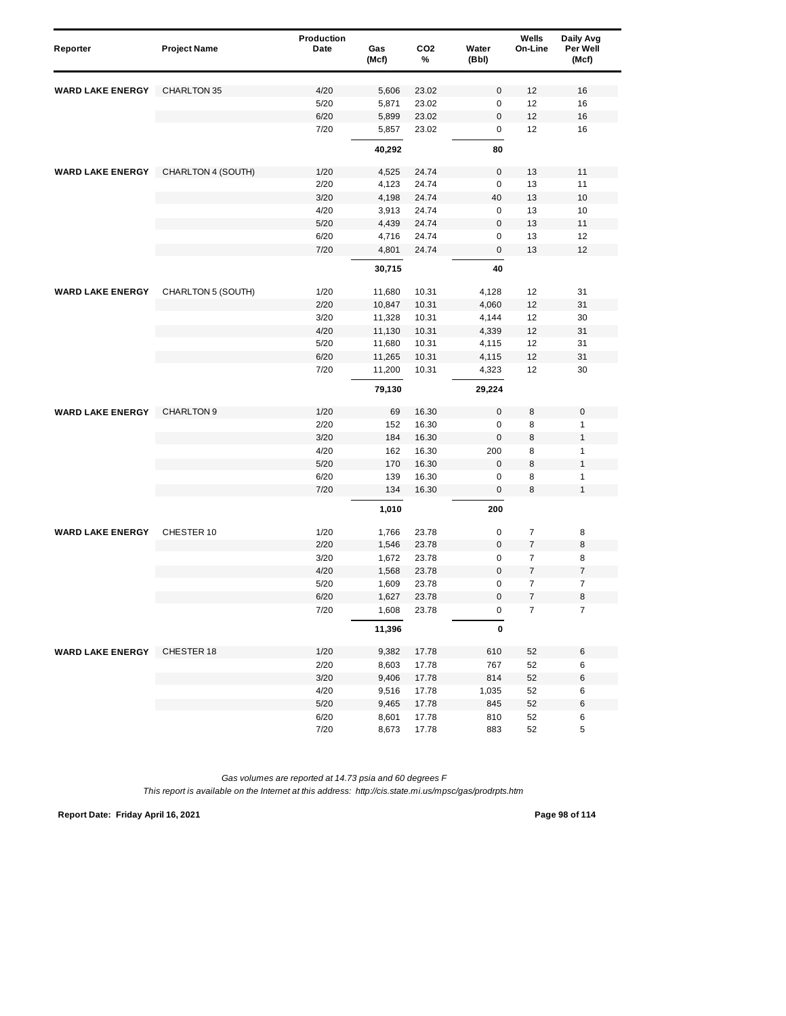| Reporter                | <b>Project Name</b> | Production<br>Date | Gas<br>(Mcf)   | CO <sub>2</sub><br>% | Water<br>(Bbl) | Wells<br>On-Line | Daily Avg<br>Per Well<br>(Mcf) |
|-------------------------|---------------------|--------------------|----------------|----------------------|----------------|------------------|--------------------------------|
| <b>WARD LAKE ENERGY</b> | CHARLTON 35         | 4/20               | 5,606          | 23.02                | 0              | 12               | 16                             |
|                         |                     | 5/20               | 5,871          | 23.02                | 0              | 12               | 16                             |
|                         |                     | 6/20               | 5,899          | 23.02                | $\pmb{0}$      | 12               | 16                             |
|                         |                     | 7/20               | 5,857          | 23.02                | 0              | 12               | 16                             |
|                         |                     |                    | 40,292         |                      | 80             |                  |                                |
|                         |                     |                    |                |                      |                |                  |                                |
| <b>WARD LAKE ENERGY</b> | CHARLTON 4 (SOUTH)  | 1/20               | 4,525          | 24.74                | $\pmb{0}$      | 13               | 11                             |
|                         |                     | 2/20               | 4,123          | 24.74                | $\mathbf 0$    | 13               | 11                             |
|                         |                     | 3/20               | 4,198          | 24.74                | 40             | 13               | 10                             |
|                         |                     | 4/20               | 3,913          | 24.74                | 0              | 13               | 10                             |
|                         |                     | 5/20               | 4,439          | 24.74                | $\pmb{0}$      | 13               | 11                             |
|                         |                     | 6/20<br>7/20       | 4,716<br>4,801 | 24.74<br>24.74       | 0<br>0         | 13<br>13         | 12<br>12                       |
|                         |                     |                    |                |                      | 40             |                  |                                |
|                         |                     |                    | 30,715         |                      |                |                  |                                |
| <b>WARD LAKE ENERGY</b> | CHARLTON 5 (SOUTH)  | 1/20               | 11,680         | 10.31                | 4,128          | 12               | 31                             |
|                         |                     | 2/20               | 10,847         | 10.31                | 4,060          | 12               | 31                             |
|                         |                     | 3/20               | 11,328         | 10.31                | 4,144          | 12               | 30                             |
|                         |                     | 4/20               | 11,130         | 10.31                | 4,339          | 12               | 31                             |
|                         |                     | 5/20               | 11,680         | 10.31                | 4,115          | 12               | 31                             |
|                         |                     | 6/20               | 11,265         | 10.31                | 4,115          | 12               | 31                             |
|                         |                     | 7/20               | 11,200         | 10.31                | 4,323          | 12               | 30                             |
|                         |                     |                    | 79,130         |                      | 29,224         |                  |                                |
| <b>WARD LAKE ENERGY</b> | CHARLTON 9          | 1/20               | 69             | 16.30                | $\pmb{0}$      | 8                | $\mathbf 0$                    |
|                         |                     | 2/20               | 152            | 16.30                | 0              | 8                | 1                              |
|                         |                     | 3/20               | 184            | 16.30                | 0              | 8                | $\mathbf{1}$                   |
|                         |                     | 4/20               | 162            | 16.30                | 200            | 8                | $\mathbf{1}$                   |
|                         |                     | 5/20               | 170            | 16.30                | $\pmb{0}$      | 8                | $\mathbf{1}$                   |
|                         |                     | 6/20               | 139            | 16.30                | 0              | 8                | $\mathbf{1}$                   |
|                         |                     | 7/20               | 134            | 16.30                | 0              | 8                | 1                              |
|                         |                     |                    | 1,010          |                      | 200            |                  |                                |
| <b>WARD LAKE ENERGY</b> | CHESTER 10          | 1/20               | 1,766          | 23.78                | $\pmb{0}$      | $\overline{7}$   | 8                              |
|                         |                     | 2/20               | 1,546          | 23.78                | $\mathbf 0$    | $\boldsymbol{7}$ | 8                              |
|                         |                     | 3/20               | 1,672          | 23.78                | 0              | 7                | 8                              |
|                         |                     | 4/20               | 1,568          | 23.78                | $\mathbf 0$    | $\overline{7}$   | $\overline{\mathcal{I}}$       |
|                         |                     | 5/20               | 1,609          | 23.78                | $\mathbf 0$    | $\overline{7}$   | $\overline{7}$                 |
|                         |                     | 6/20               | 1,627          | 23.78                | $\mathbf 0$    | 7                | 8                              |
|                         |                     | 7/20               | 1,608          | 23.78                | 0              | $\overline{7}$   | 7                              |
|                         |                     |                    | 11,396         |                      | 0              |                  |                                |
| <b>WARD LAKE ENERGY</b> | CHESTER 18          | 1/20               | 9,382          | 17.78                | 610            | 52               | 6                              |
|                         |                     | 2/20               | 8,603          | 17.78                | 767            | 52               | 6                              |
|                         |                     | 3/20               | 9,406          | 17.78                | 814            | 52               | 6                              |
|                         |                     | 4/20               | 9,516          | 17.78                | 1,035          | 52               | 6                              |
|                         |                     | 5/20               | 9,465          | 17.78                | 845            | 52               | 6                              |
|                         |                     | 6/20               | 8,601          | 17.78                | 810            | 52               | 6                              |
|                         |                     | 7/20               | 8,673          | 17.78                | 883            | 52               | 5                              |

**Report Date: Friday April 16, 2021 Page 98 of 114**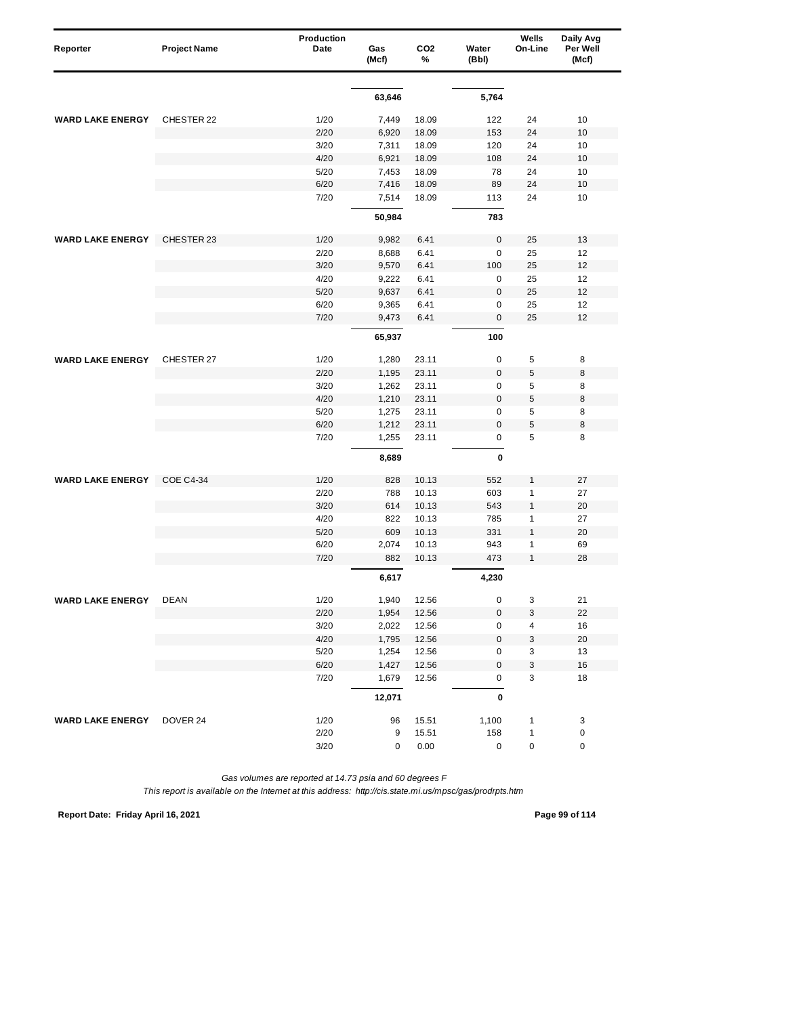| Reporter                  | <b>Project Name</b> | Production<br>Date | Gas<br>(Mcf) | CO <sub>2</sub><br>% | Water<br>(Bbl) | Wells<br>On-Line | Daily Avg<br>Per Well<br>(Mcf) |
|---------------------------|---------------------|--------------------|--------------|----------------------|----------------|------------------|--------------------------------|
|                           |                     |                    |              |                      |                |                  |                                |
|                           |                     |                    | 63,646       |                      | 5,764          |                  |                                |
| <b>WARD LAKE ENERGY</b>   | CHESTER 22          | 1/20               | 7,449        | 18.09                | 122            | 24               | 10                             |
|                           |                     | 2/20               | 6,920        | 18.09                | 153            | 24               | 10                             |
|                           |                     | 3/20               | 7,311        | 18.09                | 120            | 24               | 10                             |
|                           |                     | 4/20               | 6,921        | 18.09                | 108            | 24               | 10                             |
|                           |                     | 5/20               | 7,453        | 18.09                | 78             | 24               | 10                             |
|                           |                     | 6/20               | 7,416        | 18.09                | 89             | 24               | 10                             |
|                           |                     | 7/20               | 7,514        | 18.09                | 113            | 24               | 10                             |
|                           |                     |                    | 50,984       |                      | 783            |                  |                                |
| <b>WARD LAKE ENERGY</b>   | CHESTER 23          | 1/20               | 9,982        | 6.41                 | $\mathbf 0$    | 25               | 13                             |
|                           |                     | 2/20               | 8,688        | 6.41                 | $\mathbf 0$    | 25               | 12                             |
|                           |                     | 3/20               | 9,570        | 6.41                 | 100            | 25               | 12                             |
|                           |                     | 4/20               | 9,222        | 6.41                 | $\mathbf 0$    | 25               | 12                             |
|                           |                     | 5/20               | 9,637        | 6.41                 | $\mathbf 0$    | 25               | 12                             |
|                           |                     | 6/20               | 9,365        | 6.41                 | $\mathbf 0$    | 25               | 12                             |
|                           |                     | 7/20               | 9,473        | 6.41                 | 0              | 25               | 12                             |
|                           |                     |                    | 65,937       |                      | 100            |                  |                                |
| <b>WARD LAKE ENERGY</b>   | CHESTER 27          | 1/20               | 1,280        | 23.11                | $\mathsf 0$    | 5                | 8                              |
|                           |                     | 2/20               | 1,195        | 23.11                | $\mathbf 0$    | 5                | 8                              |
|                           |                     | 3/20               | 1,262        | 23.11                | $\mathsf 0$    | 5                | 8                              |
|                           |                     | 4/20               | 1,210        | 23.11                | $\mathbf 0$    | 5                | 8                              |
|                           |                     | 5/20               | 1,275        | 23.11                | 0              | 5                | 8                              |
|                           |                     | 6/20               | 1,212        | 23.11                | $\bf 0$        | 5                | 8                              |
|                           |                     | 7/20               | 1,255        | 23.11                | $\mathsf 0$    | 5                | 8                              |
|                           |                     |                    | 8,689        |                      | 0              |                  |                                |
| <b>WARD LAKE ENERGY</b>   | <b>COE C4-34</b>    | 1/20               | 828          | 10.13                | 552            | $\mathbf{1}$     | 27                             |
|                           |                     | 2/20               | 788          | 10.13                | 603            | $\mathbf{1}$     | 27                             |
|                           |                     | 3/20               | 614          | 10.13                | 543            | $\mathbf{1}$     | 20                             |
|                           |                     | 4/20               | 822          | 10.13                | 785            | 1                | 27                             |
|                           |                     | 5/20               | 609          | 10.13                | 331            | $\mathbf{1}$     | 20                             |
|                           |                     | 6/20               | 2,074        | 10.13                | 943            | 1                | 69                             |
|                           |                     | 7/20               | 882          | 10.13                | 473            | 1                | 28                             |
|                           |                     |                    | 6,617        |                      | 4,230          |                  |                                |
| <b>WARD LAKE ENERGY</b>   | DEAN                | 1/20               | 1,940        | 12.56                | 0              | 3                | 21                             |
|                           |                     | 2/20               | 1,954        | 12.56                | $\pmb{0}$      | 3                | 22                             |
|                           |                     | 3/20               | 2,022        | 12.56                | 0              | 4                | 16                             |
|                           |                     | 4/20               | 1,795        | 12.56                | $\pmb{0}$      | 3                | $20\,$                         |
|                           |                     | 5/20               | 1,254        | 12.56                | 0              | 3                | 13                             |
|                           |                     | 6/20               | 1,427        | 12.56                | $\pmb{0}$      | 3                | $16$                           |
|                           |                     | 7/20               | 1,679        | 12.56                | 0              | 3                | 18                             |
|                           |                     |                    | 12,071       |                      | 0              |                  |                                |
| WARD LAKE ENERGY DOVER 24 |                     | 1/20               | 96           | 15.51                | 1,100          | $\mathbf{1}$     | 3                              |
|                           |                     | 2/20               | 9            | 15.51                | 158            | $\mathbf{1}$     | $\pmb{0}$                      |
|                           |                     | 3/20               | 0            | 0.00                 | 0              | 0                | $\pmb{0}$                      |

*This report is available on the Internet at this address: http://cis.state.mi.us/mpsc/gas/prodrpts.htm*

**Report Date: Friday April 16, 2021 Page 99 of 114**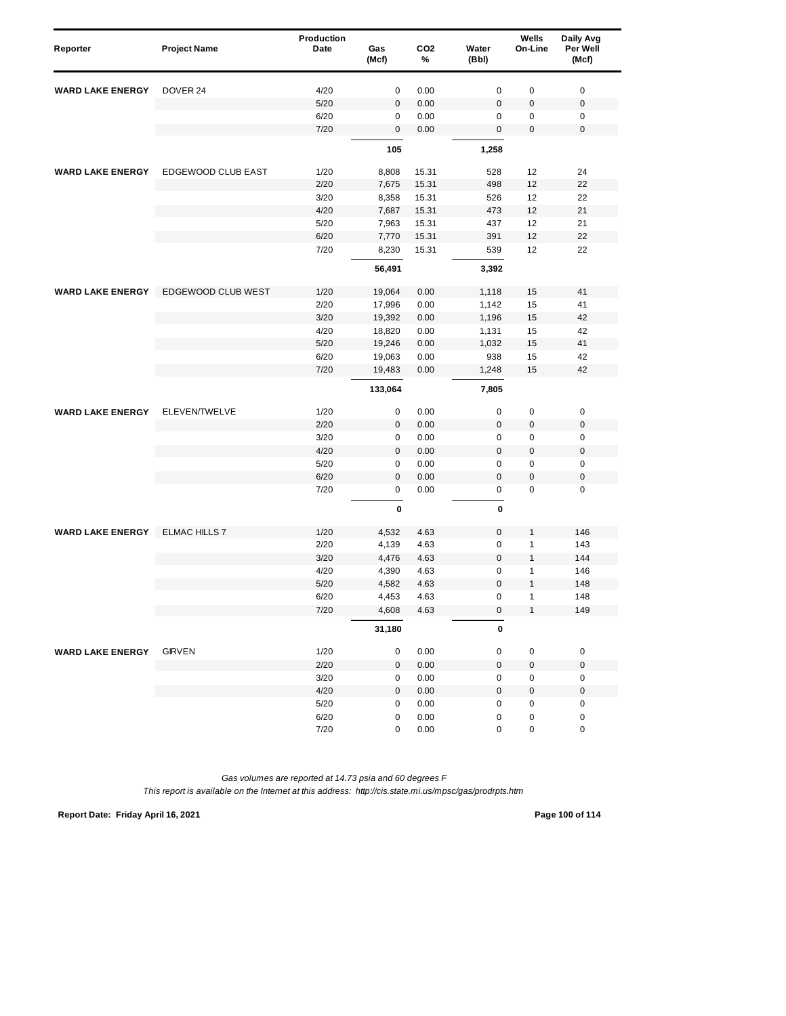| Reporter                | <b>Project Name</b>  | <b>Production</b><br>Date | Gas<br>(Mcf) | CO <sub>2</sub><br>% | Water<br>(Bbl) | Wells<br>On-Line | Daily Avg<br>Per Well<br>(Mcf) |
|-------------------------|----------------------|---------------------------|--------------|----------------------|----------------|------------------|--------------------------------|
| <b>WARD LAKE ENERGY</b> | DOVER 24             | 4/20                      | 0            | 0.00                 | $\mathsf 0$    | $\pmb{0}$        | $\pmb{0}$                      |
|                         |                      | 5/20                      | $\pmb{0}$    | 0.00                 | $\mathbf 0$    | $\mathbf 0$      | $\boldsymbol{0}$               |
|                         |                      | 6/20                      | 0            | 0.00                 | 0              | $\pmb{0}$        | 0                              |
|                         |                      | 7/20                      | 0            | 0.00                 | $\bf 0$        | 0                | $\mathbf 0$                    |
|                         |                      |                           | 105          |                      | 1,258          |                  |                                |
| <b>WARD LAKE ENERGY</b> | EDGEWOOD CLUB EAST   | 1/20                      | 8,808        | 15.31                | 528            | 12               | 24                             |
|                         |                      | 2/20                      | 7,675        | 15.31                | 498            | 12               | 22                             |
|                         |                      | 3/20                      | 8,358        | 15.31                | 526            | 12               | 22                             |
|                         |                      | 4/20                      | 7,687        | 15.31                | 473            | 12               | 21                             |
|                         |                      | 5/20                      | 7,963        | 15.31                | 437            | 12               | 21                             |
|                         |                      | 6/20                      | 7,770        | 15.31                | 391            | 12               | 22                             |
|                         |                      | 7/20                      | 8,230        | 15.31                | 539            | 12               | 22                             |
|                         |                      |                           | 56,491       |                      | 3,392          |                  |                                |
| <b>WARD LAKE ENERGY</b> | EDGEWOOD CLUB WEST   | 1/20                      | 19,064       | 0.00                 | 1,118          | 15               | 41                             |
|                         |                      | 2/20                      | 17,996       | 0.00                 | 1,142          | 15               | 41                             |
|                         |                      | 3/20                      | 19,392       | 0.00                 | 1,196          | 15               | 42                             |
|                         |                      | 4/20                      | 18,820       | 0.00                 | 1,131          | 15               | 42                             |
|                         |                      | 5/20                      | 19,246       | 0.00                 | 1,032          | 15               | 41                             |
|                         |                      | 6/20                      | 19,063       | 0.00                 | 938            | 15               | 42                             |
|                         |                      | 7/20                      | 19,483       | 0.00                 | 1,248          | 15               | 42                             |
|                         |                      |                           | 133,064      |                      | 7,805          |                  |                                |
| <b>WARD LAKE ENERGY</b> | ELEVEN/TWELVE        | 1/20                      | 0            | 0.00                 | $\mathsf 0$    | $\pmb{0}$        | $\pmb{0}$                      |
|                         |                      | 2/20                      | 0            | 0.00                 | $\bf 0$        | $\pmb{0}$        | $\pmb{0}$                      |
|                         |                      | 3/20                      | 0            | 0.00                 | $\mathbf 0$    | 0                | $\mathbf 0$                    |
|                         |                      | 4/20                      | $\pmb{0}$    | 0.00                 | $\mathbf 0$    | $\mathbf 0$      | $\mathbf 0$                    |
|                         |                      | 5/20                      | 0            | 0.00                 | 0              | $\pmb{0}$        | $\pmb{0}$                      |
|                         |                      | 6/20                      | $\mathbf{0}$ | 0.00                 | $\mathbf 0$    | $\pmb{0}$        | $\mathbf 0$                    |
|                         |                      | 7/20                      | 0            | 0.00                 | 0              | $\pmb{0}$        | $\mathbf 0$                    |
|                         |                      |                           | 0            |                      | 0              |                  |                                |
| <b>WARD LAKE ENERGY</b> | <b>ELMAC HILLS 7</b> | 1/20                      | 4,532        | 4.63                 | $\bf 0$        | 1                | 146                            |
|                         |                      | 2/20                      | 4,139        | 4.63                 | $\mathbf 0$    | $\mathbf{1}$     | 143                            |
|                         |                      | 3/20                      | 4,476        | 4.63                 | $\mathbf 0$    | $\mathbf{1}$     | 144                            |
|                         |                      | 4/20                      | 4,390        | 4.63                 | $\mathbf 0$    | $\mathbf{1}$     | 146                            |
|                         |                      | 5/20                      | 4,582        | 4.63                 | $\mathbf 0$    | $\mathbf{1}$     | 148                            |
|                         |                      | 6/20                      | 4.453        | 4.63                 | 0              | 1                | 148                            |
|                         |                      | 7/20                      | 4,608        | 4.63                 | 0              | $\mathbf{1}$     | 149                            |
|                         |                      |                           | 31,180       |                      | 0              |                  |                                |
| <b>WARD LAKE ENERGY</b> | <b>GIRVEN</b>        | 1/20                      | 0            | 0.00                 | $\pmb{0}$      | $\pmb{0}$        | $\pmb{0}$                      |
|                         |                      | 2/20                      | 0            | 0.00                 | $\bf{0}$       | $\pmb{0}$        | $\pmb{0}$                      |
|                         |                      | 3/20                      | 0            | 0.00                 | 0              | 0                | $\pmb{0}$                      |
|                         |                      | 4/20                      | 0            | 0.00                 | $\mathbf 0$    | $\pmb{0}$        | $\pmb{0}$                      |
|                         |                      | $5/20$                    | 0            | 0.00                 | $\pmb{0}$      | 0                | $\pmb{0}$                      |
|                         |                      | 6/20                      | 0            | 0.00                 | 0              | 0                | $\pmb{0}$                      |
|                         |                      | 7/20                      | 0            | 0.00                 | 0              | 0                | $\pmb{0}$                      |

**Report Date: Friday April 16, 2021 Page 100 of 114**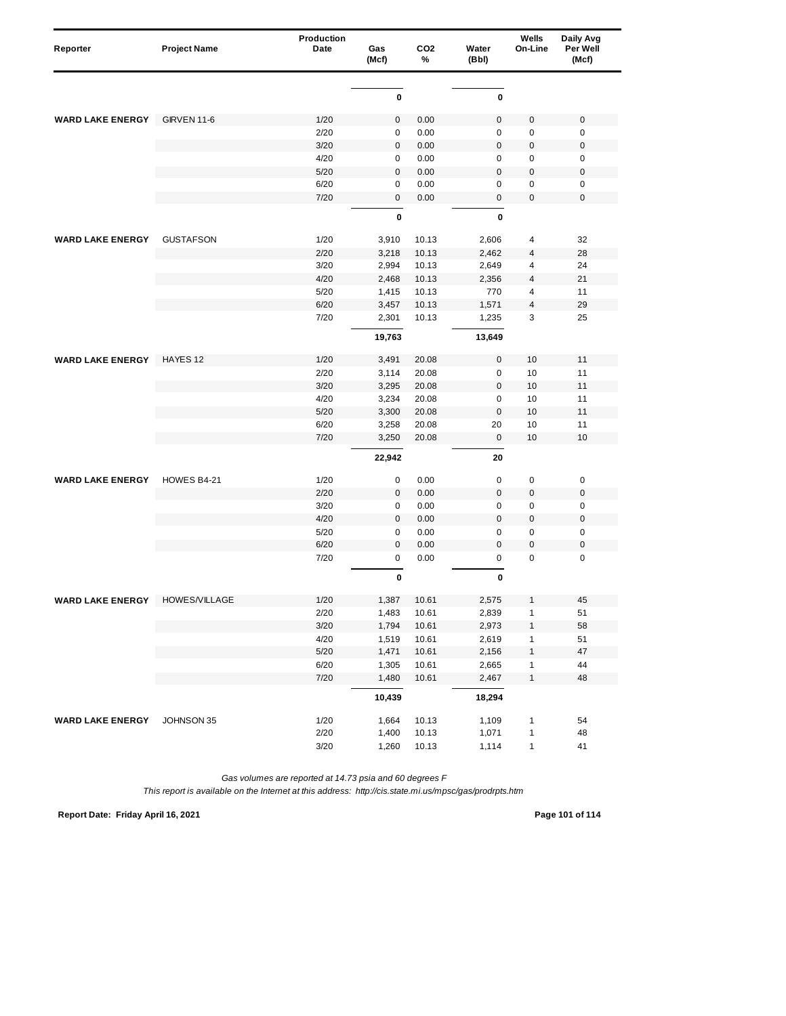| Reporter                | <b>Project Name</b> | Production<br>Date | Gas<br>(Mcf) | CO <sub>2</sub><br>% | Water<br>(Bbl) | Wells<br>On-Line        | Daily Avg<br>Per Well<br>(Mcf) |
|-------------------------|---------------------|--------------------|--------------|----------------------|----------------|-------------------------|--------------------------------|
|                         |                     |                    |              |                      |                |                         |                                |
|                         |                     |                    | 0            |                      | 0              |                         |                                |
| <b>WARD LAKE ENERGY</b> | <b>GIRVEN 11-6</b>  | 1/20               | $\pmb{0}$    | 0.00                 | $\mathbf 0$    | 0                       | $\mathbf 0$                    |
|                         |                     | 2/20               | 0            | 0.00                 | $\mathsf 0$    | $\pmb{0}$               | $\mathbf 0$                    |
|                         |                     | 3/20               | $\mathbf 0$  | 0.00                 | $\mathbf 0$    | $\pmb{0}$               | $\mathbf 0$                    |
|                         |                     | 4/20               | 0            | 0.00                 | $\mathbf 0$    | 0                       | $\mathbf 0$                    |
|                         |                     | 5/20               | $\mathbf 0$  | 0.00                 | $\mathbf 0$    | $\mathbf 0$             | $\boldsymbol{0}$               |
|                         |                     | 6/20               | $\mathbf 0$  | 0.00                 | $\mathbf 0$    | $\mathbf 0$             | $\mathbf 0$                    |
|                         |                     | 7/20               | 0            | 0.00                 | $\mathsf 0$    | $\pmb{0}$               | $\mathbf 0$                    |
|                         |                     |                    | $\mathbf 0$  |                      | $\mathbf 0$    |                         |                                |
| <b>WARD LAKE ENERGY</b> | <b>GUSTAFSON</b>    | 1/20               | 3,910        | 10.13                | 2,606          | 4                       | 32                             |
|                         |                     | 2/20               | 3,218        | 10.13                | 2,462          | $\overline{4}$          | 28                             |
|                         |                     | 3/20               | 2,994        | 10.13                | 2,649          | 4                       | 24                             |
|                         |                     | 4/20               | 2,468        | 10.13                | 2,356          | 4                       | 21                             |
|                         |                     | 5/20               | 1,415        | 10.13                | 770            | $\overline{\mathbf{4}}$ | 11                             |
|                         |                     | 6/20               | 3,457        | 10.13                | 1,571          | $\overline{4}$          | 29                             |
|                         |                     | 7/20               | 2,301        | 10.13                | 1,235          | 3                       | 25                             |
|                         |                     |                    | 19,763       |                      | 13,649         |                         |                                |
| <b>WARD LAKE ENERGY</b> | HAYES 12            | 1/20               | 3,491        | 20.08                | $\mathsf 0$    | 10                      | 11                             |
|                         |                     | 2/20               | 3,114        | 20.08                | $\mathsf 0$    | 10                      | 11                             |
|                         |                     | 3/20               | 3,295        | 20.08                | $\bf 0$        | 10                      | 11                             |
|                         |                     | 4/20               | 3,234        | 20.08                | $\mathbf 0$    | 10                      | 11                             |
|                         |                     | 5/20               | 3,300        | 20.08                | $\mathbf 0$    | 10                      | 11                             |
|                         |                     | 6/20               | 3,258        | 20.08                | 20             | 10                      | 11                             |
|                         |                     | 7/20               | 3,250        | 20.08                | $\bf 0$        | 10                      | 10                             |
|                         |                     |                    | 22,942       |                      | 20             |                         |                                |
| <b>WARD LAKE ENERGY</b> | HOWES B4-21         | 1/20               | 0            | 0.00                 | $\mathbf 0$    | 0                       | $\pmb{0}$                      |
|                         |                     | 2/20               | $\mathbf{0}$ | 0.00                 | $\bf 0$        | $\mathbf 0$             | $\mathbf 0$                    |
|                         |                     | 3/20               | 0            | 0.00                 | $\mathsf 0$    | 0                       | $\mathbf 0$                    |
|                         |                     | 4/20               | $\pmb{0}$    | 0.00                 | $\overline{0}$ | $\mathbf 0$             | $\mathbf 0$                    |
|                         |                     | 5/20               | 0            | 0.00                 | $\mathsf 0$    | $\pmb{0}$               | $\mathbf 0$                    |
|                         |                     | 6/20               | $\mathbf{0}$ | 0.00                 | $\mathbf 0$    | $\mathbf 0$             | $\mathbf 0$                    |
|                         |                     | 7/20               | 0            | 0.00                 | $\mathsf 0$    | $\mathbf 0$             | $\mathbf 0$                    |
|                         |                     |                    | 0            |                      | 0              |                         |                                |
| WARD LAKE ENERGY        | HOWES/VILLAGE       | 1/20               | 1,387        | 10.61                | 2,575          |                         | 45                             |
|                         |                     | 2/20               | 1,483        | 10.61                | 2,839          | $\mathbf{1}$            | 51                             |
|                         |                     | 3/20               | 1,794        | 10.61                | 2,973          | 1                       | 58                             |
|                         |                     | 4/20               | 1,519        | 10.61                | 2,619          | $\mathbf{1}$            | 51                             |
|                         |                     | $5/20$             | 1,471        | 10.61                | 2,156          | $\mathbf{1}$            | $47\,$                         |
|                         |                     | 6/20               | 1,305        | 10.61                | 2,665          | $\mathbf{1}$            | 44                             |
|                         |                     | 7/20               | 1,480        | 10.61                | 2,467          | $\mathbf{1}$            | 48                             |
|                         |                     |                    | 10,439       |                      | 18,294         |                         |                                |
| <b>WARD LAKE ENERGY</b> | JOHNSON 35          | 1/20               | 1,664        | 10.13                | 1,109          | $\mathbf{1}$            | 54                             |
|                         |                     | 2/20               | 1,400        | 10.13                | 1,071          | $\mathbf{1}$            | 48                             |
|                         |                     | 3/20               | 1,260        | 10.13                | 1,114          | $\mathbf{1}$            | 41                             |

*This report is available on the Internet at this address: http://cis.state.mi.us/mpsc/gas/prodrpts.htm*

**Report Date: Friday April 16, 2021 Page 101 of 114**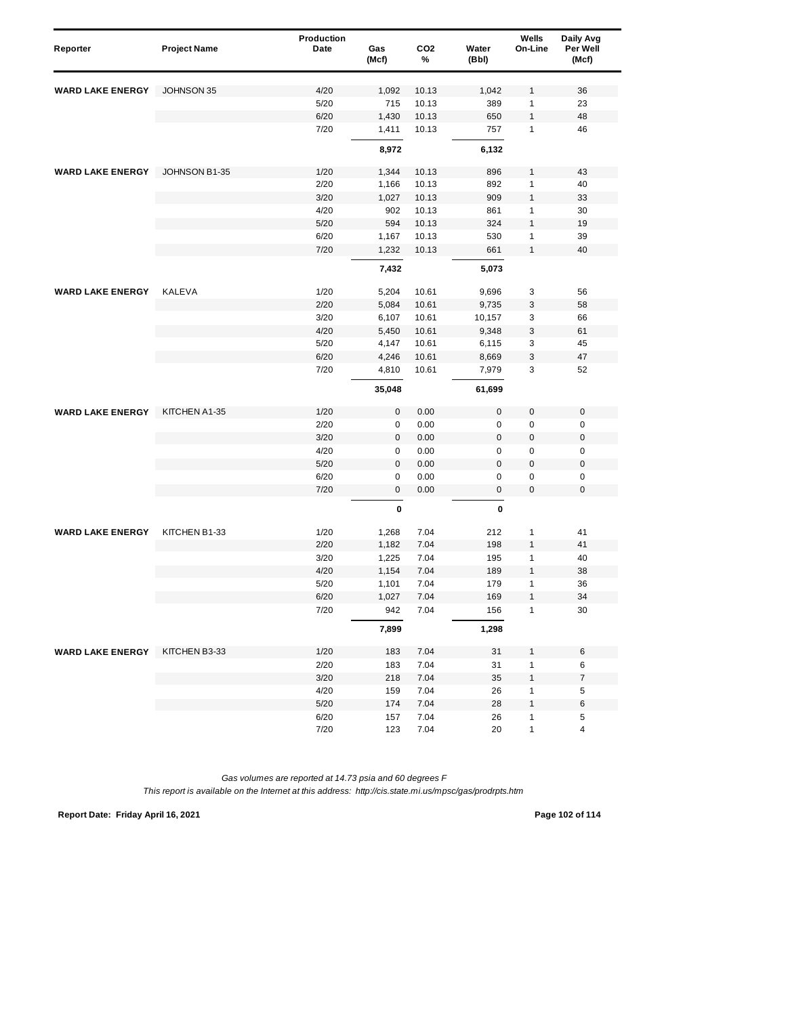| Reporter                | <b>Project Name</b> | Production<br>Date | Gas<br>(Mcf)           | CO <sub>2</sub><br>% | Water<br>(Bbl) | Wells<br>On-Line | Daily Avg<br>Per Well<br>(Mcf) |
|-------------------------|---------------------|--------------------|------------------------|----------------------|----------------|------------------|--------------------------------|
| <b>WARD LAKE ENERGY</b> | JOHNSON 35          | 4/20               | 1,092                  | 10.13                | 1,042          | 1                | 36                             |
|                         |                     | 5/20               | 715                    | 10.13                | 389            | 1                | 23                             |
|                         |                     | 6/20               | 1,430                  | 10.13                | 650            | 1                | 48                             |
|                         |                     | 7/20               | 1,411                  | 10.13                | 757            | $\mathbf{1}$     | 46                             |
|                         |                     |                    | 8,972                  |                      | 6,132          |                  |                                |
| <b>WARD LAKE ENERGY</b> | JOHNSON B1-35       | 1/20               | 1,344                  | 10.13                | 896            | 1                | 43                             |
|                         |                     | 2/20               | 1,166                  | 10.13                | 892            | 1                | 40                             |
|                         |                     | 3/20               | 1,027                  | 10.13                | 909            | 1                | 33                             |
|                         |                     | 4/20               | 902                    | 10.13                | 861            | 1                | 30                             |
|                         |                     | 5/20               | 594                    | 10.13                | 324            | 1                | 19                             |
|                         |                     | 6/20               | 1,167                  | 10.13                | 530            | 1                | 39                             |
|                         |                     | 7/20               | 1,232                  | 10.13                | 661            | $\mathbf{1}$     | 40                             |
|                         |                     |                    | 7,432                  |                      | 5,073          |                  |                                |
| <b>WARD LAKE ENERGY</b> | <b>KALEVA</b>       | 1/20               | 5,204                  | 10.61                | 9,696          | 3                | 56                             |
|                         |                     | 2/20               | 5,084                  | 10.61                | 9,735          | 3                | 58                             |
|                         |                     | 3/20               | 6,107                  | 10.61                | 10,157         | 3                | 66                             |
|                         |                     | 4/20               | 5,450                  | 10.61                | 9,348          | 3                | 61                             |
|                         |                     | 5/20               | 4,147                  | 10.61                | 6,115          | 3                | 45                             |
|                         |                     | 6/20               | 4,246                  | 10.61                | 8,669          | 3                | 47                             |
|                         |                     | 7/20               | 4,810                  | 10.61                | 7,979          | 3                | 52                             |
|                         |                     |                    | 35,048                 |                      | 61,699         |                  |                                |
|                         |                     |                    |                        |                      |                |                  |                                |
| <b>WARD LAKE ENERGY</b> | KITCHEN A1-35       | 1/20               | $\pmb{0}$              | 0.00                 | $\mathsf 0$    | $\boldsymbol{0}$ | $\mathbf 0$                    |
|                         |                     | 2/20               | 0                      | 0.00                 | 0              | $\mathbf 0$      | $\mathbf 0$                    |
|                         |                     | 3/20               | $\pmb{0}$              | 0.00                 | $\mathbf 0$    | $\boldsymbol{0}$ | $\pmb{0}$                      |
|                         |                     | 4/20               | 0                      | 0.00                 | 0              | 0                | $\pmb{0}$                      |
|                         |                     | 5/20               | 0                      | 0.00                 | $\mathsf 0$    | 0                | $\pmb{0}$                      |
|                         |                     | 6/20<br>7/20       | $\pmb{0}$<br>$\pmb{0}$ | 0.00<br>0.00         | 0<br>0         | 0<br>0           | $\pmb{0}$<br>$\mathbf 0$       |
|                         |                     |                    | 0                      |                      | 0              |                  |                                |
|                         |                     |                    |                        |                      |                |                  |                                |
| <b>WARD LAKE ENERGY</b> | KITCHEN B1-33       | 1/20               | 1,268                  | 7.04                 | 212            | 1                | 41                             |
|                         |                     | 2/20               | 1,182                  | 7.04                 | 198            | 1                | 41                             |
|                         |                     | 3/20               | 1,225                  | 7.04                 | 195            | 1                | 40                             |
|                         |                     | 4/20               | 1,154                  | 7.04                 | 189            | $\mathbf{1}$     | 38                             |
|                         |                     | 5/20               | 1,101                  | 7.04                 | 179            | 1                | 36                             |
|                         |                     | 6/20               | 1,027                  | 7.04                 | 169            | 1                | 34                             |
|                         |                     | 7/20               | 942                    | 7.04                 | 156            | 1                | 30                             |
|                         |                     |                    | 7,899                  |                      | 1,298          |                  |                                |
| <b>WARD LAKE ENERGY</b> | KITCHEN B3-33       | 1/20               | 183                    | 7.04                 | 31             | 1                | $\,6$                          |
|                         |                     | 2/20               | 183                    | 7.04                 | 31             | 1                | 6                              |
|                         |                     | 3/20               | 218                    | 7.04                 | 35             | 1                | $\boldsymbol{7}$               |
|                         |                     | 4/20               | 159                    | 7.04                 | 26             | 1                | 5                              |
|                         |                     | 5/20               | 174                    | 7.04                 | 28             | 1                | 6                              |
|                         |                     | 6/20               | 157                    | 7.04                 | 26             | 1                | 5                              |
|                         |                     | 7/20               | 123                    | 7.04                 | 20             | 1                | 4                              |

**Report Date: Friday April 16, 2021 Page 102 of 114**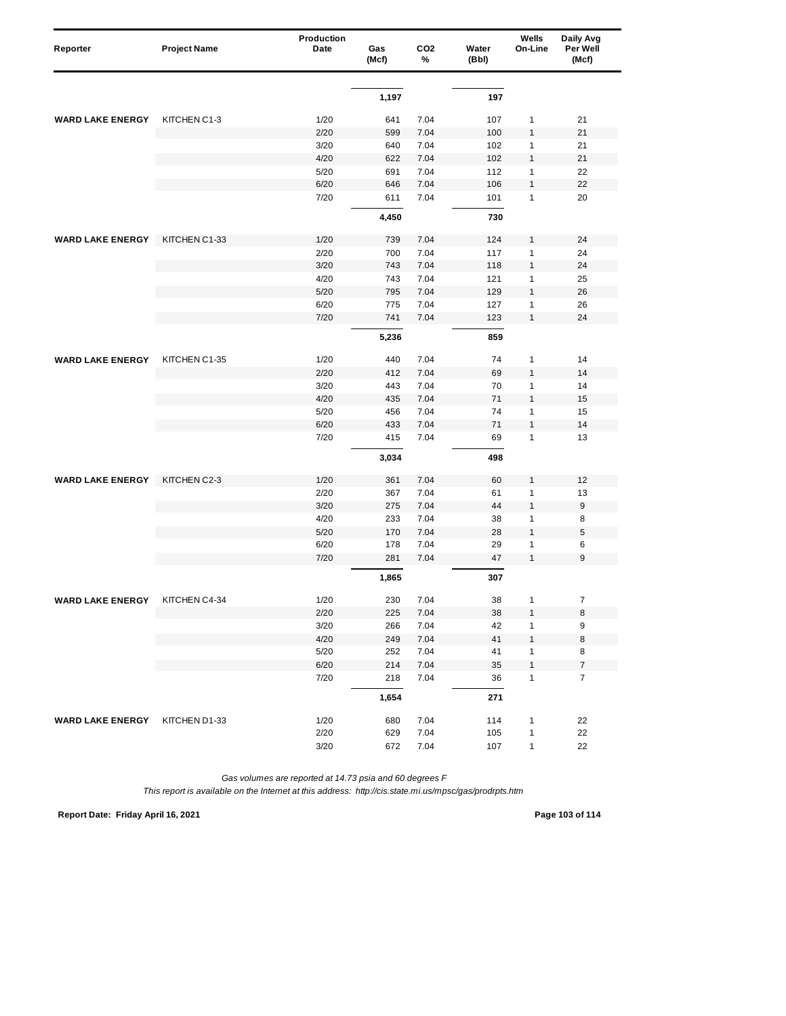| Reporter                | <b>Project Name</b> | Production<br>Date | Gas   | CO <sub>2</sub> | Water  | Wells<br>On-Line | Daily Avg<br>Per Well |
|-------------------------|---------------------|--------------------|-------|-----------------|--------|------------------|-----------------------|
|                         |                     |                    | (Mcf) | %               | (Bbl)  |                  | (Mcf)                 |
|                         |                     |                    |       |                 |        |                  |                       |
|                         |                     |                    | 1,197 |                 | 197    |                  |                       |
| <b>WARD LAKE ENERGY</b> | KITCHEN C1-3        | 1/20               | 641   | 7.04            | 107    | 1                | 21                    |
|                         |                     | 2/20               | 599   | 7.04            | 100    | $\mathbf{1}$     | 21                    |
|                         |                     | 3/20               | 640   | 7.04            | 102    | 1                | 21                    |
|                         |                     | 4/20               | 622   | 7.04            | 102    | $\mathbf{1}$     | 21                    |
|                         |                     | 5/20               | 691   | 7.04            | 112    | $\mathbf{1}$     | 22                    |
|                         |                     | 6/20               | 646   | 7.04            | 106    | $\mathbf{1}$     | 22                    |
|                         |                     | 7/20               | 611   | 7.04            | 101    | $\mathbf{1}$     | 20                    |
|                         |                     |                    | 4,450 |                 | 730    |                  |                       |
| <b>WARD LAKE ENERGY</b> | KITCHEN C1-33       | 1/20               | 739   | 7.04            | 124    | $\mathbf{1}$     | 24                    |
|                         |                     | 2/20               | 700   | 7.04            | 117    | $\mathbf{1}$     | 24                    |
|                         |                     | 3/20               | 743   | 7.04            | 118    | $\mathbf{1}$     | 24                    |
|                         |                     | 4/20               | 743   | 7.04            | 121    | $\mathbf{1}$     | 25                    |
|                         |                     | 5/20               | 795   | 7.04            | 129    | $\mathbf{1}$     | 26                    |
|                         |                     | 6/20               | 775   | 7.04            | 127    | $\mathbf{1}$     | 26                    |
|                         |                     | 7/20               | 741   | 7.04            | 123    | $\mathbf{1}$     | 24                    |
|                         |                     |                    | 5,236 |                 | 859    |                  |                       |
| <b>WARD LAKE ENERGY</b> | KITCHEN C1-35       | 1/20               | 440   | 7.04            | 74     | 1                | 14                    |
|                         |                     | 2/20               | 412   | 7.04            | 69     | $\mathbf{1}$     | 14                    |
|                         |                     | 3/20               | 443   | 7.04            | 70     | $\mathbf{1}$     | 14                    |
|                         |                     | 4/20               | 435   | 7.04            | 71     | $\mathbf{1}$     | 15                    |
|                         |                     | 5/20               | 456   | 7.04            | 74     | $\mathbf{1}$     | 15                    |
|                         |                     | 6/20               | 433   | 7.04            | 71     | $\mathbf{1}$     | 14                    |
|                         |                     | 7/20               | 415   | 7.04            | 69     | $\mathbf{1}$     | 13                    |
|                         |                     |                    | 3,034 |                 | 498    |                  |                       |
| <b>WARD LAKE ENERGY</b> | KITCHEN C2-3        | 1/20               | 361   | 7.04            | 60     | 1                | 12                    |
|                         |                     | 2/20               | 367   | 7.04            | 61     | $\mathbf{1}$     | 13                    |
|                         |                     | 3/20               | 275   | 7.04            | 44     | $\mathbf{1}$     | $9\,$                 |
|                         |                     | 4/20               | 233   | 7.04            | 38     | 1                | 8                     |
|                         |                     | 5/20               | 170   | 7.04            | 28     | $\mathbf{1}$     | $\sqrt{5}$            |
|                         |                     | 6/20               | 178   | 7.04            | 29     | 1                | 6                     |
|                         |                     | 7/20               | 281   | 7.04            | 47     | $\mathbf{1}$     | 9                     |
|                         |                     |                    | 1,865 |                 | 307    |                  |                       |
| <b>WARD LAKE ENERGY</b> | KITCHEN C4-34       | 1/20               | 230   | 7.04            | $38\,$ | $\mathbf{1}$     | 7                     |
|                         |                     | 2/20               | 225   | 7.04            | 38     | $\mathbf{1}$     | 8                     |
|                         |                     | 3/20               | 266   | 7.04            | 42     | $\mathbf{1}$     | 9                     |
|                         |                     | 4/20               | 249   | 7.04            | 41     | $\mathbf{1}$     | $\bf8$                |
|                         |                     | 5/20               | 252   | 7.04            | 41     | $\mathbf{1}$     | 8                     |
|                         |                     | 6/20               | 214   | 7.04            | 35     | $\mathbf{1}$     | $\boldsymbol{7}$      |
|                         |                     | 7/20               | 218   | 7.04            | 36     | $\mathbf{1}$     | $\overline{7}$        |
|                         |                     |                    | 1,654 |                 | 271    |                  |                       |
| <b>WARD LAKE ENERGY</b> | KITCHEN D1-33       | 1/20               | 680   | 7.04            | 114    | 1                | 22                    |
|                         |                     | 2/20               | 629   | 7.04            | 105    | $\mathbf{1}$     | 22                    |
|                         |                     | 3/20               | 672   | 7.04            | 107    | $\mathbf{1}$     | 22                    |

*This report is available on the Internet at this address: http://cis.state.mi.us/mpsc/gas/prodrpts.htm*

**Report Date: Friday April 16, 2021 Page 103 of 114**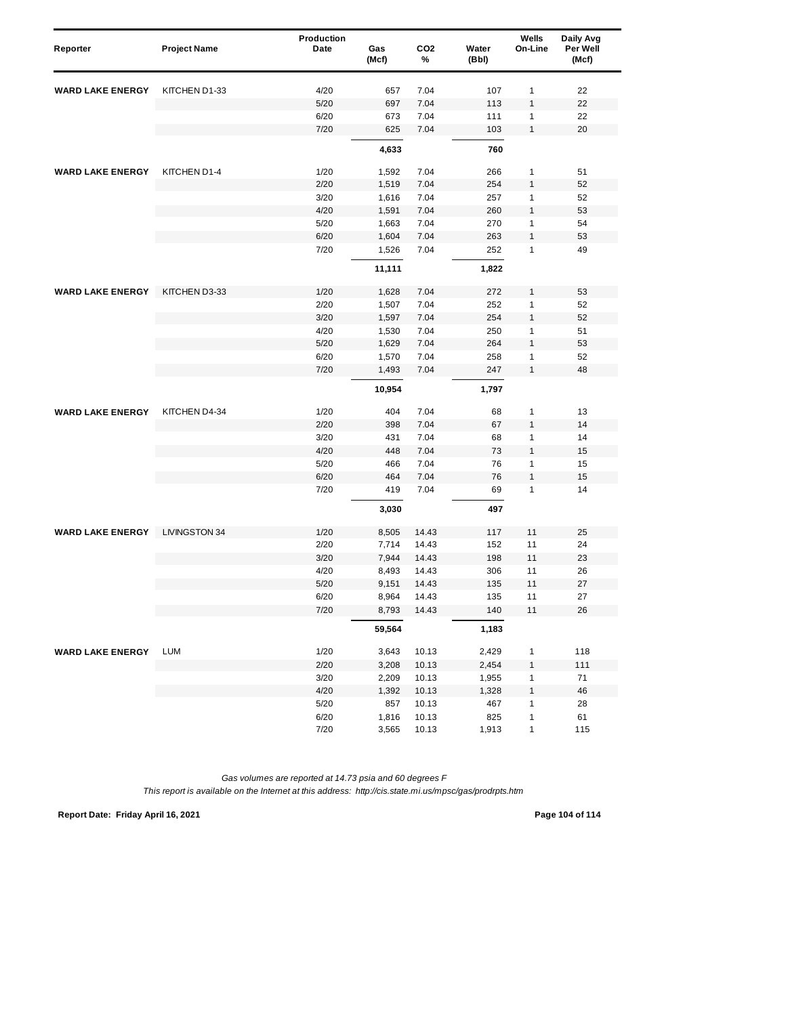| Reporter                | <b>Project Name</b>  | Production<br>Date | Gas<br>(Mcf) | CO <sub>2</sub><br>% | Water<br>(Bbl) | Wells<br>On-Line | Daily Avg<br>Per Well<br>(Mcf) |
|-------------------------|----------------------|--------------------|--------------|----------------------|----------------|------------------|--------------------------------|
| <b>WARD LAKE ENERGY</b> | KITCHEN D1-33        | 4/20               | 657          | 7.04                 | 107            | 1                | 22                             |
|                         |                      | 5/20               | 697          | 7.04                 | 113            | 1                | 22                             |
|                         |                      | 6/20               | 673          | 7.04                 | 111            | $\mathbf{1}$     | 22                             |
|                         |                      | 7/20               | 625          | 7.04                 | 103            | $\mathbf{1}$     | 20                             |
|                         |                      |                    | 4,633        |                      | 760            |                  |                                |
| <b>WARD LAKE ENERGY</b> | KITCHEN D1-4         | 1/20               | 1,592        | 7.04                 | 266            | 1                | 51                             |
|                         |                      | 2/20               | 1,519        | 7.04                 | 254            | $\mathbf{1}$     | 52                             |
|                         |                      | 3/20               | 1,616        | 7.04                 | 257            | 1                | 52                             |
|                         |                      | 4/20               | 1,591        | 7.04                 | 260            | $\mathbf{1}$     | 53                             |
|                         |                      | 5/20               | 1,663        | 7.04                 | 270            | 1                | 54                             |
|                         |                      | 6/20               | 1,604        | 7.04                 | 263            | $\mathbf{1}$     | 53                             |
|                         |                      | 7/20               | 1,526        | 7.04                 | 252            | 1                | 49                             |
|                         |                      |                    | 11,111       |                      | 1,822          |                  |                                |
| <b>WARD LAKE ENERGY</b> | KITCHEN D3-33        | 1/20               | 1,628        | 7.04                 | 272            | 1                | 53                             |
|                         |                      | 2/20               | 1,507        | 7.04                 | 252            | 1                | 52                             |
|                         |                      | 3/20               | 1,597        | 7.04                 | 254            | $\mathbf{1}$     | 52                             |
|                         |                      | 4/20               | 1,530        | 7.04                 | 250            | 1                | 51                             |
|                         |                      | 5/20               | 1,629        | 7.04                 | 264            | $\mathbf{1}$     | 53                             |
|                         |                      | 6/20               | 1,570        | 7.04                 | 258            | $\mathbf{1}$     | 52                             |
|                         |                      | 7/20               | 1,493        | 7.04                 | 247            | $\mathbf{1}$     | 48                             |
|                         |                      |                    | 10,954       |                      | 1,797          |                  |                                |
| <b>WARD LAKE ENERGY</b> | KITCHEN D4-34        | 1/20               | 404          | 7.04                 | 68             | 1                | 13                             |
|                         |                      | 2/20               | 398          | 7.04                 | 67             | $\mathbf{1}$     | 14                             |
|                         |                      | 3/20               | 431          | 7.04                 | 68             | 1                | 14                             |
|                         |                      | 4/20               | 448          | 7.04                 | 73             | $\mathbf{1}$     | 15                             |
|                         |                      | 5/20               | 466          | 7.04                 | 76             | 1                | 15                             |
|                         |                      | 6/20               | 464          | 7.04                 | 76             | $\mathbf{1}$     | 15                             |
|                         |                      | 7/20               | 419          | 7.04                 | 69             | 1                | 14                             |
|                         |                      |                    | 3,030        |                      | 497            |                  |                                |
| <b>WARD LAKE ENERGY</b> | <b>LIVINGSTON 34</b> | 1/20               | 8,505        | 14.43                | 117            | 11               | 25                             |
|                         |                      | 2/20               | 7,714        | 14.43                | 152            | 11               | 24                             |
|                         |                      | 3/20               | 7,944        | 14.43                | 198            | 11               | 23                             |
|                         |                      | 4/20               | 8,493        | 14.43                | 306            | 11               | 26                             |
|                         |                      | 5/20               | 9,151        | 14.43                | 135            | 11               | 27                             |
|                         |                      | 6/20               | 8,964        | 14.43                | 135            | 11               | 27                             |
|                         |                      | 7/20               | 8,793        | 14.43                | 140            | $11$             | 26                             |
|                         |                      |                    | 59,564       |                      | 1,183          |                  |                                |
| <b>WARD LAKE ENERGY</b> | <b>LUM</b>           | 1/20               | 3,643        | 10.13                | 2,429          | $\mathbf{1}$     | 118                            |
|                         |                      | 2/20               | 3,208        | 10.13                | 2,454          | 1                | 111                            |
|                         |                      | 3/20               | 2,209        | 10.13                | 1,955          | $\mathbf{1}$     | 71                             |
|                         |                      | 4/20               | 1,392        | 10.13                | 1,328          | $\mathbf{1}$     | 46                             |
|                         |                      | $5/20$             | 857          | 10.13                | 467            | 1                | 28                             |
|                         |                      | 6/20               | 1,816        | 10.13                | 825            | $\mathbf{1}$     | 61                             |
|                         |                      | 7/20               | 3,565        | 10.13                | 1,913          | $\mathbf{1}$     | 115                            |

**Report Date: Friday April 16, 2021 Page 104 of 114**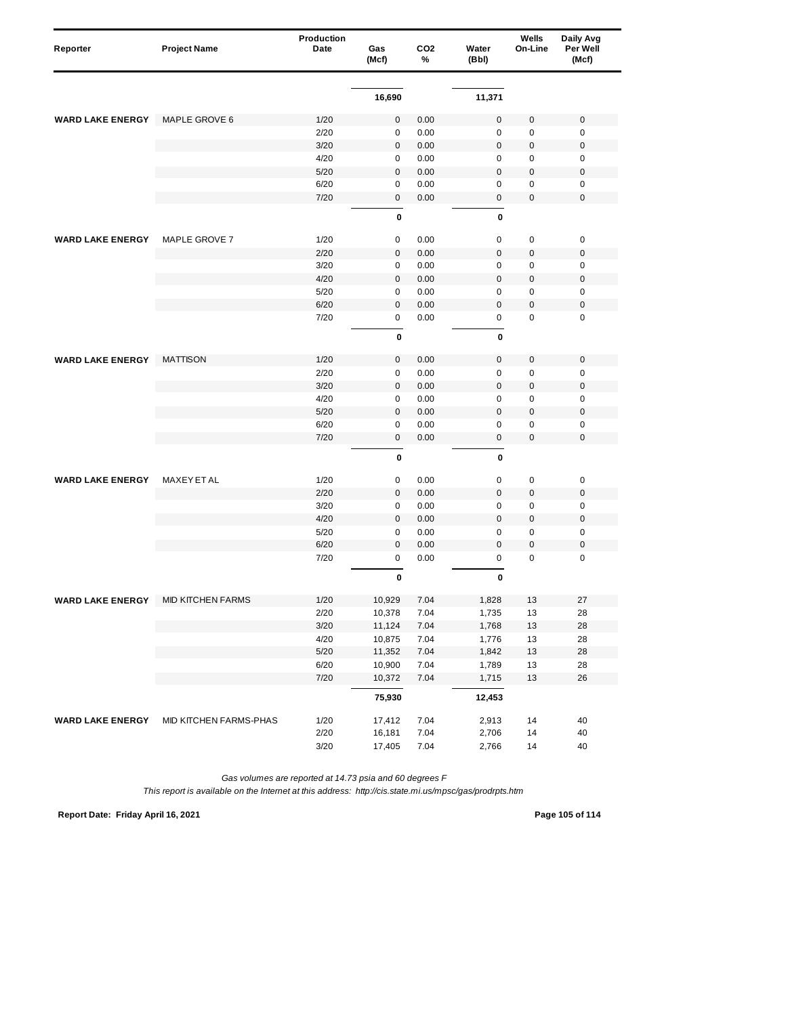| Reporter                | <b>Project Name</b>      | Production<br>Date | Gas<br>(Mcf)        | CO <sub>2</sub><br>% | Water<br>(Bbl) | Wells<br>On-Line | Daily Avg<br>Per Well<br>(Mcf) |
|-------------------------|--------------------------|--------------------|---------------------|----------------------|----------------|------------------|--------------------------------|
|                         |                          |                    |                     |                      |                |                  |                                |
|                         |                          |                    | 16,690              |                      | 11,371         |                  |                                |
| <b>WARD LAKE ENERGY</b> | MAPLE GROVE 6            | 1/20               | $\mathsf{O}\xspace$ | 0.00                 | $\mathbf 0$    | 0                | $\mathbf 0$                    |
|                         |                          | 2/20               | 0                   | 0.00                 | 0              | 0                | $\mathbf 0$                    |
|                         |                          | 3/20               | $\mathbf 0$         | 0.00                 | $\mathbf 0$    | 0                | $\mathbf 0$                    |
|                         |                          | 4/20               | 0                   | 0.00                 | $\pmb{0}$      | 0                | $\pmb{0}$                      |
|                         |                          | 5/20               | 0                   | 0.00                 | $\mathbf 0$    | $\pmb{0}$        | $\boldsymbol{0}$               |
|                         |                          | 6/20               | $\mathbf 0$         | 0.00                 | 0              | $\mathbf 0$      | $\pmb{0}$                      |
|                         |                          | 7/20               | $\mathbf 0$         | 0.00                 | $\pmb{0}$      | $\pmb{0}$        | $\mathbf 0$                    |
|                         |                          |                    | $\mathbf 0$         |                      | $\mathbf{0}$   |                  |                                |
| <b>WARD LAKE ENERGY</b> | MAPLE GROVE 7            | 1/20               | 0                   | 0.00                 | $\mathbf 0$    | $\pmb{0}$        | $\pmb{0}$                      |
|                         |                          | 2/20               | $\mathbf{0}$        | 0.00                 | $\mathbf 0$    | 0                | $\mathbf 0$                    |
|                         |                          | 3/20               | 0                   | 0.00                 | $\mathbf 0$    | 0                | $\mathbf 0$                    |
|                         |                          | 4/20               | 0                   | 0.00                 | $\mathbf 0$    | $\pmb{0}$        | $\mathbf 0$                    |
|                         |                          | 5/20               | $\pmb{0}$           | 0.00                 | $\mathbf 0$    | 0                | $\mathbf 0$                    |
|                         |                          | 6/20               | $\pmb{0}$           | 0.00                 | $\mathbf 0$    | $\pmb{0}$        | $\mathbf 0$                    |
|                         |                          | 7/20               | 0                   | 0.00                 | $\mathsf 0$    | 0                | $\mathbf 0$                    |
|                         |                          |                    | 0                   |                      | 0              |                  |                                |
| <b>WARD LAKE ENERGY</b> | <b>MATTISON</b>          | 1/20               | $\mathbf 0$         | 0.00                 | $\bf 0$        | $\pmb{0}$        | $\mathbf 0$                    |
|                         |                          | 2/20               | $\mathbf 0$         | 0.00                 | $\mathbf 0$    | $\pmb{0}$        | $\mathbf 0$                    |
|                         |                          | 3/20               | $\mathbf 0$         | 0.00                 | $\bf 0$        | $\pmb{0}$        | $\mathbf 0$                    |
|                         |                          | 4/20               | 0                   | 0.00                 | $\mathbf 0$    | 0                | $\mathbf 0$                    |
|                         |                          | 5/20               | $\mathbf 0$         | 0.00                 | $\overline{0}$ | $\mathbf 0$      | $\mathbf 0$                    |
|                         |                          | 6/20               | 0                   | 0.00                 | $\mathbf 0$    | 0                | $\mathbf 0$                    |
|                         |                          | 7/20               | $\mathbf{0}$        | 0.00                 | $\pmb{0}$      | 0                | $\mathbf 0$                    |
|                         |                          |                    | 0                   |                      | $\mathbf{0}$   |                  |                                |
| <b>WARD LAKE ENERGY</b> | MAXEY ET AL              | 1/20               | $\pmb{0}$           | 0.00                 | $\mathbf 0$    | 0                | $\pmb{0}$                      |
|                         |                          | 2/20               | $\mathbf 0$         | 0.00                 | $\pmb{0}$      | $\pmb{0}$        | $\mathbf 0$                    |
|                         |                          | 3/20               | 0                   | 0.00                 | $\mathbf 0$    | 0                | $\mathbf 0$                    |
|                         |                          | 4/20               | $\pmb{0}$           | 0.00                 | $\overline{0}$ | $\pmb{0}$        | $\mathbf 0$                    |
|                         |                          | 5/20               | 0                   | 0.00                 | $\mathbf 0$    | 0                | $\mathbf 0$                    |
|                         |                          | 6/20               | $\mathbf 0$         | 0.00                 | $\mathbf 0$    | 0                | $\mathbf 0$                    |
|                         |                          | 7/20               | 0                   | 0.00                 | 0              | $\mathbf 0$      | $\mathbf 0$                    |
|                         |                          |                    | 0                   |                      | 0              |                  |                                |
| WARD LAKE ENERGY        | <b>MID KITCHEN FARMS</b> | 1/20               | 10,929              | 7.04                 | 1,828          | 13               | 21                             |
|                         |                          | 2/20               | 10,378              | 7.04                 | 1,735          | 13               | 28                             |
|                         |                          | $3/20$             | 11,124              | 7.04                 | 1,768          | $13$             | 28                             |
|                         |                          | 4/20               | 10,875              | 7.04                 | 1,776          | 13               | 28                             |
|                         |                          | $5/20$             | 11,352              | 7.04                 | 1,842          | $13$             | 28                             |
|                         |                          | 6/20               | 10,900              | 7.04                 | 1,789          | 13               | 28                             |
|                         |                          | 7/20               | 10,372              | 7.04                 | 1,715          | 13               | 26                             |
|                         |                          |                    | 75,930              |                      | 12,453         |                  |                                |
| <b>WARD LAKE ENERGY</b> | MID KITCHEN FARMS-PHAS   | 1/20               | 17,412              | 7.04                 | 2,913          | 14               | 40                             |
|                         |                          | 2/20               | 16,181              | 7.04                 | 2,706          | 14               | 40                             |
|                         |                          | 3/20               | 17,405              | 7.04                 | 2,766          | 14               | 40                             |

*This report is available on the Internet at this address: http://cis.state.mi.us/mpsc/gas/prodrpts.htm*

**Report Date: Friday April 16, 2021 Page 105 of 114**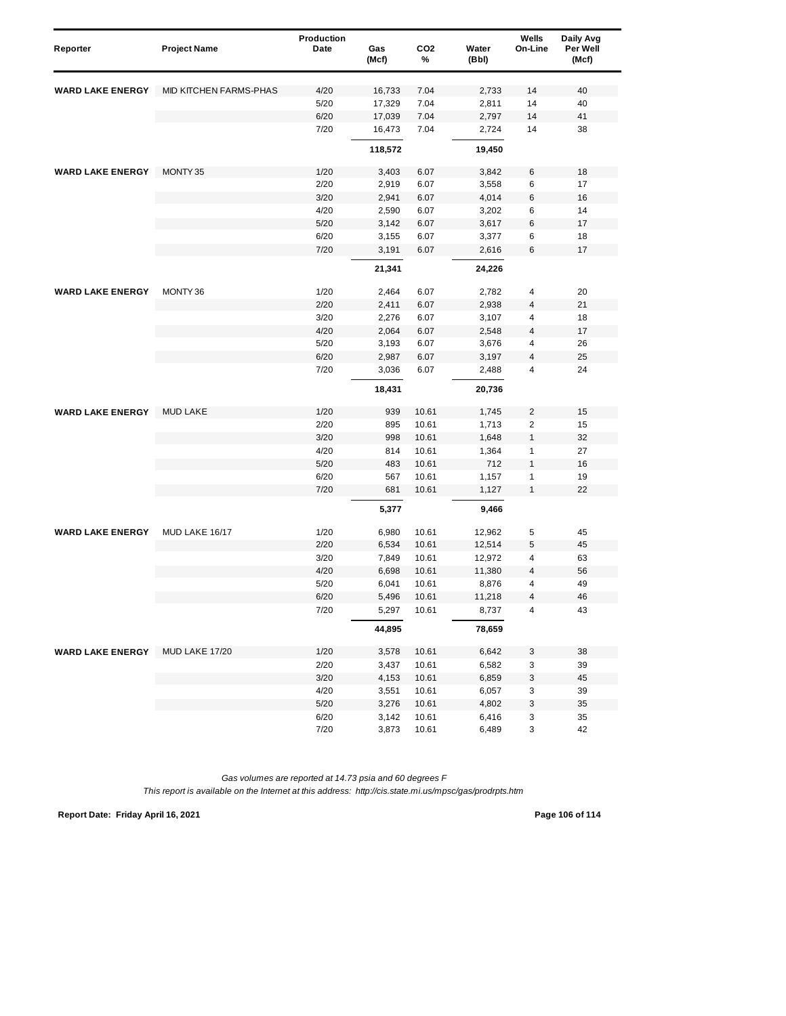| Reporter                | <b>Project Name</b>    | Production<br>Date | Gas<br>(Mcf) | CO <sub>2</sub><br>% | Water<br>(Bbl) | Wells<br>On-Line        | Daily Avg<br>Per Well<br>(Mcf) |
|-------------------------|------------------------|--------------------|--------------|----------------------|----------------|-------------------------|--------------------------------|
| <b>WARD LAKE ENERGY</b> | MID KITCHEN FARMS-PHAS | 4/20               | 16,733       | 7.04                 | 2,733          | 14                      | 40                             |
|                         |                        | 5/20               | 17,329       | 7.04                 | 2,811          | 14                      | 40                             |
|                         |                        | 6/20               | 17,039       | 7.04                 | 2,797          | 14                      | 41                             |
|                         |                        | 7/20               | 16,473       | 7.04                 | 2,724          | 14                      | 38                             |
|                         |                        |                    | 118,572      |                      | 19,450         |                         |                                |
| <b>WARD LAKE ENERGY</b> | MONTY 35               | 1/20               | 3,403        | 6.07                 | 3,842          | 6                       | 18                             |
|                         |                        | 2/20               | 2,919        | 6.07                 | 3,558          | 6                       | 17                             |
|                         |                        | 3/20               | 2,941        | 6.07                 | 4,014          | 6                       | 16                             |
|                         |                        | 4/20               | 2,590        | 6.07                 | 3,202          | 6                       | 14                             |
|                         |                        | 5/20               | 3,142        | 6.07                 | 3,617          | 6                       | 17                             |
|                         |                        | 6/20               | 3,155        | 6.07                 | 3,377          | 6                       | 18                             |
|                         |                        | 7/20               | 3,191        | 6.07                 | 2,616          | 6                       | 17                             |
|                         |                        |                    | 21,341       |                      | 24,226         |                         |                                |
| <b>WARD LAKE ENERGY</b> | MONTY 36               | 1/20               | 2,464        | 6.07                 | 2,782          | 4                       | 20                             |
|                         |                        | 2/20               | 2,411        | 6.07                 | 2,938          | 4                       | 21                             |
|                         |                        | 3/20               | 2,276        | 6.07                 | 3,107          | 4                       | 18                             |
|                         |                        | 4/20               | 2,064        | 6.07                 | 2,548          | $\overline{\mathbf{4}}$ | 17                             |
|                         |                        | 5/20               | 3,193        | 6.07                 | 3,676          | 4                       | 26                             |
|                         |                        | 6/20               | 2,987        | 6.07                 | 3,197          | 4                       | 25                             |
|                         |                        | 7/20               | 3,036        | 6.07                 | 2,488          | 4                       | 24                             |
|                         |                        |                    | 18,431       |                      | 20,736         |                         |                                |
| <b>WARD LAKE ENERGY</b> | <b>MUD LAKE</b>        | 1/20               | 939          | 10.61                | 1,745          | 2                       | 15                             |
|                         |                        | 2/20               | 895          | 10.61                | 1,713          | $\overline{c}$          | 15                             |
|                         |                        | 3/20               | 998          | 10.61                | 1,648          | 1                       | 32                             |
|                         |                        | 4/20               | 814          | 10.61                | 1,364          | 1                       | 27                             |
|                         |                        | 5/20               | 483          | 10.61                | 712            | 1                       | 16                             |
|                         |                        | 6/20               | 567          | 10.61                | 1,157          | 1                       | 19                             |
|                         |                        | 7/20               | 681          | 10.61                | 1,127          | 1                       | 22                             |
|                         |                        |                    | 5,377        |                      | 9,466          |                         |                                |
| <b>WARD LAKE ENERGY</b> | MUD LAKE 16/17         | 1/20               | 6,980        | 10.61                | 12,962         | 5                       | 45                             |
|                         |                        | 2/20               | 6,534        | 10.61                | 12,514         | 5                       | 45                             |
|                         |                        | 3/20               | 7,849        | 10.61                | 12,972         | 4                       | 63                             |
|                         |                        | 4/20               | 6,698        | 10.61                | 11,380         | 4                       | 56                             |
|                         |                        | 5/20               | 6,041        | 10.61                | 8,876          | 4                       | 49                             |
|                         |                        | 6/20               | 5,496        | 10.61                | 11,218         | 4                       | 46                             |
|                         |                        | 7/20               | 5,297        | 10.61                | 8,737          | 4                       | 43                             |
|                         |                        |                    | 44,895       |                      | 78,659         |                         |                                |
| <b>WARD LAKE ENERGY</b> | MUD LAKE 17/20         | 1/20               | 3,578        | 10.61                | 6,642          | 3                       | 38                             |
|                         |                        | 2/20               | 3,437        | 10.61                | 6,582          | 3                       | 39                             |
|                         |                        | 3/20               | 4,153        | 10.61                | 6,859          | 3                       | 45                             |
|                         |                        | 4/20               | 3,551        | 10.61                | 6,057          | 3                       | 39                             |
|                         |                        | 5/20               | 3,276        | 10.61                | 4,802          | 3                       | 35                             |
|                         |                        | 6/20               | 3,142        | 10.61                | 6,416          | 3                       | 35                             |
|                         |                        | 7/20               | 3,873        | 10.61                | 6,489          | 3                       | 42                             |

**Report Date: Friday April 16, 2021 Page 106 of 114**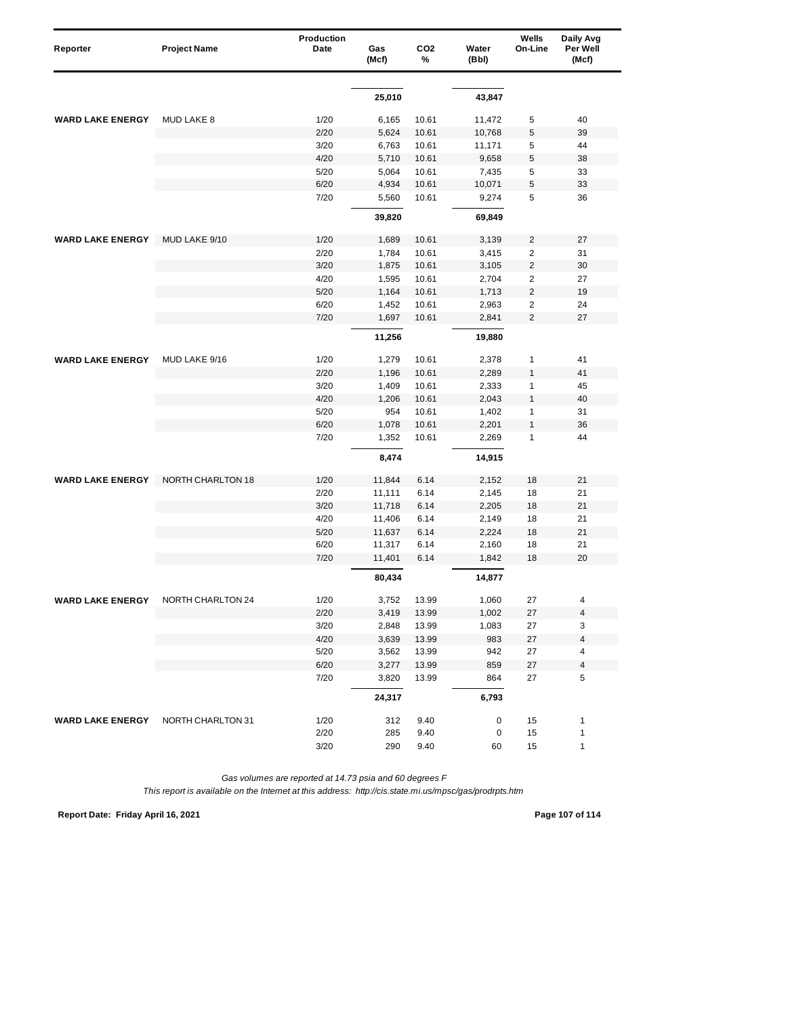| Reporter                | <b>Project Name</b> | Production<br>Date | Gas<br>(Mcf) | CO <sub>2</sub><br>% | Water<br>(Bbl) | Wells<br>On-Line | Daily Avg<br>Per Well<br>(Mcf) |
|-------------------------|---------------------|--------------------|--------------|----------------------|----------------|------------------|--------------------------------|
|                         |                     |                    |              |                      |                |                  |                                |
|                         |                     |                    | 25,010       |                      | 43,847         |                  |                                |
| <b>WARD LAKE ENERGY</b> | MUD LAKE 8          | 1/20               | 6,165        | 10.61                | 11,472         | 5                | 40                             |
|                         |                     | 2/20               | 5,624        | 10.61                | 10,768         | 5                | 39                             |
|                         |                     | 3/20               | 6,763        | 10.61                | 11,171         | 5                | 44                             |
|                         |                     | 4/20               | 5,710        | 10.61                | 9,658          | 5                | 38                             |
|                         |                     | 5/20               | 5,064        | 10.61                | 7,435          | 5                | 33                             |
|                         |                     | 6/20               | 4,934        | 10.61                | 10,071         | 5                | 33                             |
|                         |                     | 7/20               | 5,560        | 10.61                | 9,274          | 5                | 36                             |
|                         |                     |                    | 39,820       |                      | 69,849         |                  |                                |
| <b>WARD LAKE ENERGY</b> | MUD LAKE 9/10       | 1/20               | 1,689        | 10.61                | 3,139          | $\overline{2}$   | 27                             |
|                         |                     | 2/20               | 1,784        | 10.61                | 3,415          | $\overline{2}$   | 31                             |
|                         |                     | 3/20               | 1,875        | 10.61                | 3,105          | $\overline{2}$   | 30                             |
|                         |                     | 4/20               | 1,595        | 10.61                | 2,704          | $\overline{c}$   | 27                             |
|                         |                     | 5/20               | 1,164        | 10.61                | 1,713          | $\overline{c}$   | 19                             |
|                         |                     | 6/20               | 1,452        | 10.61                | 2,963          | $\overline{2}$   | 24                             |
|                         |                     | 7/20               | 1,697        | 10.61                | 2,841          | $\overline{2}$   | 27                             |
|                         |                     |                    | 11,256       |                      | 19,880         |                  |                                |
| <b>WARD LAKE ENERGY</b> | MUD LAKE 9/16       | 1/20               | 1,279        | 10.61                | 2,378          | $\mathbf{1}$     | 41                             |
|                         |                     | 2/20               | 1,196        | 10.61                | 2,289          | $\mathbf{1}$     | 41                             |
|                         |                     | 3/20               | 1,409        | 10.61                | 2,333          | $\mathbf{1}$     | 45                             |
|                         |                     | 4/20               | 1,206        | 10.61                | 2,043          | $\mathbf{1}$     | 40                             |
|                         |                     | 5/20               | 954          | 10.61                | 1,402          | 1                | 31                             |
|                         |                     | 6/20               | 1,078        | 10.61                | 2,201          | $\mathbf{1}$     | 36                             |
|                         |                     | 7/20               | 1,352        | 10.61                | 2,269          | $\mathbf{1}$     | 44                             |
|                         |                     |                    | 8,474        |                      | 14,915         |                  |                                |
| <b>WARD LAKE ENERGY</b> | NORTH CHARLTON 18   | 1/20               | 11,844       | 6.14                 | 2,152          | 18               | 21                             |
|                         |                     | 2/20               | 11,111       | 6.14                 | 2,145          | 18               | 21                             |
|                         |                     | 3/20               | 11,718       | 6.14                 | 2,205          | 18               | 21                             |
|                         |                     | 4/20               | 11,406       | 6.14                 | 2,149          | 18               | 21                             |
|                         |                     | 5/20               | 11,637       | 6.14                 | 2,224          | 18               | 21                             |
|                         |                     | 6/20               | 11,317       | 6.14                 | 2,160          | 18               | 21                             |
|                         |                     | 7/20               | 11,401       | 6.14                 | 1,842          | 18               | 20                             |
|                         |                     |                    | 80,434       |                      | 14,877         |                  |                                |
| WARD LAKE ENERGY        | NORTH CHARLTON 24   | 1/20               | 3,752        | 13.99                | 1,060          | 27               |                                |
|                         |                     | 2/20               | 3,419        | 13.99                | 1,002          | 27               | 4                              |
|                         |                     | 3/20               | 2,848        | 13.99                | 1,083          | 27               | 3                              |
|                         |                     | 4/20               | 3,639        | 13.99                | 983            | 27               | 4                              |
|                         |                     | 5/20               | 3,562        | 13.99                | 942            | 27               | 4                              |
|                         |                     | 6/20               | 3,277        | 13.99                | 859            | 27               | 4                              |
|                         |                     | 7/20               | 3,820        | 13.99                | 864            | 27               | 5                              |
|                         |                     |                    | 24,317       |                      | 6,793          |                  |                                |
| <b>WARD LAKE ENERGY</b> | NORTH CHARLTON 31   | 1/20               | 312          | 9.40                 | 0              | 15               | 1                              |
|                         |                     | 2/20               | 285          | 9.40                 | 0              | 15               | $\mathbf{1}$                   |
|                         |                     | 3/20               | 290          | 9.40                 | 60             | 15               | $\mathbf{1}$                   |

*This report is available on the Internet at this address: http://cis.state.mi.us/mpsc/gas/prodrpts.htm*

**Report Date: Friday April 16, 2021 Page 107 of 114**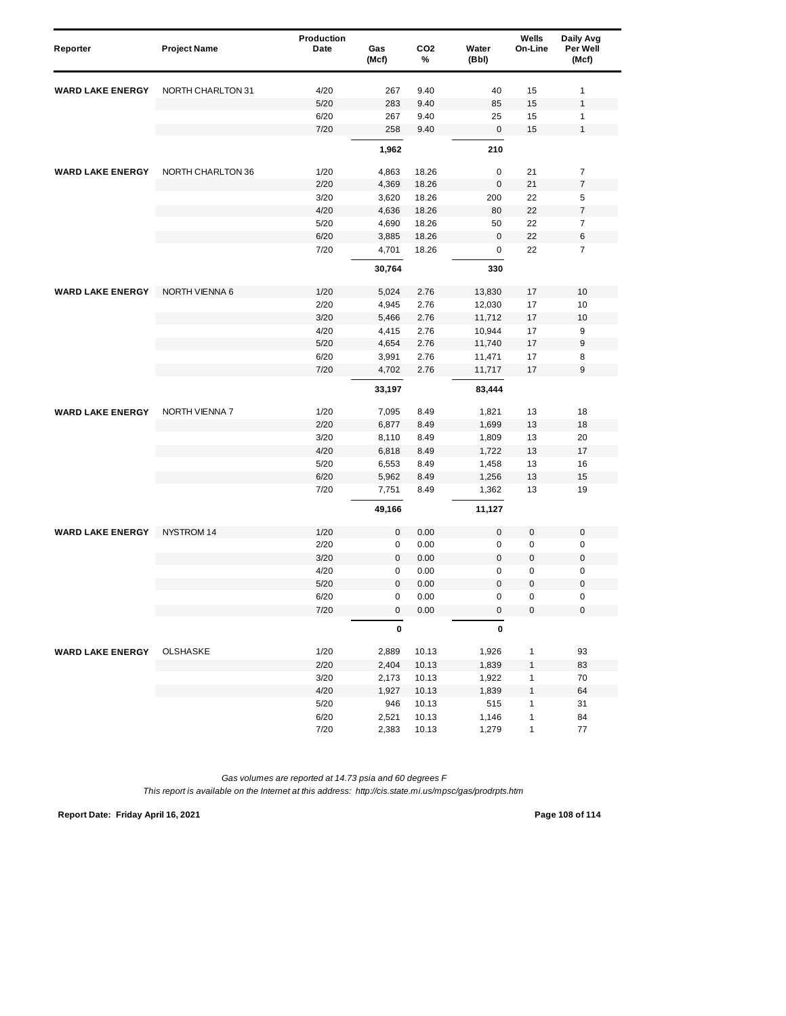| Reporter                | <b>Project Name</b>      | <b>Production</b><br>Date | Gas<br>(Mcf)   | CO <sub>2</sub><br>% | Water<br>(Bbl)   | Wells<br>On-Line | Daily Avg<br>Per Well<br>(Mcf) |
|-------------------------|--------------------------|---------------------------|----------------|----------------------|------------------|------------------|--------------------------------|
| <b>WARD LAKE ENERGY</b> | NORTH CHARLTON 31        | 4/20                      | 267            | 9.40                 | 40               | 15               | $\mathbf{1}$                   |
|                         |                          | 5/20                      | 283            | 9.40                 | 85               | 15               | $\mathbf{1}$                   |
|                         |                          | 6/20                      | 267            | 9.40                 | 25               | 15               | $\mathbf{1}$                   |
|                         |                          | 7/20                      | 258            | 9.40                 | $\boldsymbol{0}$ | 15               | $\mathbf{1}$                   |
|                         |                          |                           | 1,962          |                      | 210              |                  |                                |
| <b>WARD LAKE ENERGY</b> | <b>NORTH CHARLTON 36</b> |                           |                |                      |                  |                  | $\overline{7}$                 |
|                         |                          | 1/20<br>2/20              | 4,863<br>4,369 | 18.26<br>18.26       | 0<br>$\mathbf 0$ | 21<br>21         | $\overline{7}$                 |
|                         |                          | 3/20                      | 3,620          | 18.26                | 200              | 22               | 5                              |
|                         |                          |                           |                |                      |                  |                  |                                |
|                         |                          | 4/20                      | 4,636          | 18.26                | 80               | 22               | $\overline{\mathfrak{c}}$      |
|                         |                          | 5/20                      | 4,690          | 18.26                | 50               | 22               | $\overline{\mathcal{I}}$       |
|                         |                          | 6/20<br>7/20              | 3,885<br>4,701 | 18.26<br>18.26       | $\bf 0$<br>0     | 22<br>22         | 6<br>$\overline{7}$            |
|                         |                          |                           | 30,764         |                      | 330              |                  |                                |
| <b>WARD LAKE ENERGY</b> | NORTH VIENNA 6           | 1/20                      | 5,024          | 2.76                 | 13,830           | 17               | 10                             |
|                         |                          | 2/20                      | 4,945          | 2.76                 | 12,030           | 17               | 10                             |
|                         |                          | 3/20                      | 5,466          | 2.76                 | 11,712           | 17               | 10                             |
|                         |                          | 4/20                      | 4,415          | 2.76                 | 10,944           | 17               | 9                              |
|                         |                          | 5/20                      | 4,654          | 2.76                 | 11,740           | 17               | 9                              |
|                         |                          | 6/20                      | 3,991          | 2.76                 | 11,471           | 17               | 8                              |
|                         |                          | 7/20                      | 4,702          | 2.76                 | 11,717           | 17               | 9                              |
|                         |                          |                           | 33,197         |                      | 83,444           |                  |                                |
| <b>WARD LAKE ENERGY</b> | NORTH VIENNA 7           | 1/20                      | 7,095          | 8.49                 | 1,821            | 13               | 18                             |
|                         |                          | 2/20                      | 6,877          | 8.49                 | 1,699            | 13               | 18                             |
|                         |                          | 3/20                      | 8,110          | 8.49                 | 1,809            | 13               | 20                             |
|                         |                          | 4/20                      | 6,818          | 8.49                 | 1,722            | 13               | 17                             |
|                         |                          | 5/20                      | 6,553          | 8.49                 | 1,458            | 13               | 16                             |
|                         |                          | 6/20                      | 5,962          | 8.49                 | 1,256            | 13               | 15                             |
|                         |                          | 7/20                      | 7,751          | 8.49                 | 1,362            | 13               | 19                             |
|                         |                          |                           | 49,166         |                      | 11,127           |                  |                                |
| <b>WARD LAKE ENERGY</b> | NYSTROM 14               | 1/20                      | $\mathbf 0$    | 0.00                 | $\mathbf 0$      | 0                | $\mathbf 0$                    |
|                         |                          | 2/20                      | 0              | 0.00                 | $\mathbf 0$      | 0                | $\mathbf 0$                    |
|                         |                          | 3/20                      | $\mathbf 0$    | 0.00                 | $\overline{0}$   | $\mathbf 0$      | $\mathbf 0$                    |
|                         |                          | 4/20                      | 0              | 0.00                 | $\mathbf 0$      | $\pmb{0}$        | 0                              |
|                         |                          | 5/20                      | 0              | 0.00                 | $\mathbf 0$      | 0                | $\mathbf 0$                    |
|                         |                          | 6/20                      | 0              | 0.00                 | 0                | 0                | $\mathbf 0$                    |
|                         |                          | 7/20                      | $\mathbf 0$    | 0.00                 | $\pmb{0}$        | 0                | $\pmb{0}$                      |
|                         |                          |                           | $\pmb{0}$      |                      | $\pmb{0}$        |                  |                                |
| <b>WARD LAKE ENERGY</b> | <b>OLSHASKE</b>          | 1/20                      | 2,889          | 10.13                | 1,926            | $\mathbf{1}$     | 93                             |
|                         |                          | 2/20                      | 2,404          | 10.13                | 1,839            | $\mathbf{1}$     | 83                             |
|                         |                          | 3/20                      | 2,173          | 10.13                | 1,922            | $\mathbf{1}$     | 70                             |
|                         |                          | 4/20                      | 1,927          | 10.13                | 1,839            | 1                | 64                             |
|                         |                          | 5/20                      | 946            | 10.13                | 515              | 1                | 31                             |
|                         |                          | 6/20                      | 2,521          | 10.13                | 1,146            | $\mathbf{1}$     | 84                             |
|                         |                          | 7/20                      | 2,383          | 10.13                | 1,279            | $\mathbf{1}$     | 77                             |

**Report Date: Friday April 16, 2021 Page 108 of 114**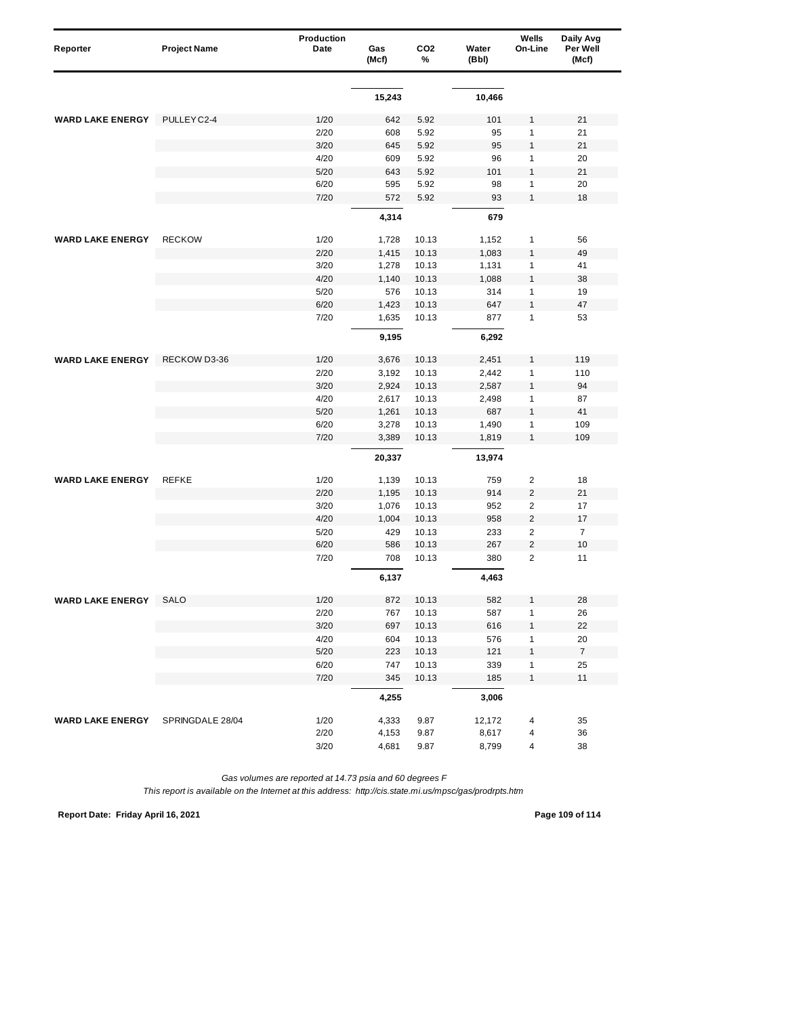| Reporter                | <b>Project Name</b> | Production<br>Date | Gas<br>(Mcf) | CO <sub>2</sub><br>% | Water<br>(Bbl) | Wells<br>On-Line        | Daily Avg<br>Per Well<br>(Mcf) |
|-------------------------|---------------------|--------------------|--------------|----------------------|----------------|-------------------------|--------------------------------|
|                         |                     |                    |              |                      |                |                         |                                |
|                         |                     |                    | 15,243       |                      | 10,466         |                         |                                |
| <b>WARD LAKE ENERGY</b> | PULLEY C2-4         | 1/20               | 642          | 5.92                 | 101            | 1                       | 21                             |
|                         |                     | 2/20               | 608          | 5.92                 | 95             | 1                       | 21                             |
|                         |                     | 3/20               | 645          | 5.92                 | 95             | $\mathbf{1}$            | 21                             |
|                         |                     | 4/20               | 609          | 5.92                 | 96             | 1                       | 20                             |
|                         |                     | 5/20               | 643          | 5.92                 | 101            | $\mathbf{1}$            | 21                             |
|                         |                     | 6/20               | 595          | 5.92                 | 98             | 1                       | 20                             |
|                         |                     | 7/20               | 572          | 5.92                 | 93             | 1                       | 18                             |
|                         |                     |                    | 4,314        |                      | 679            |                         |                                |
| <b>WARD LAKE ENERGY</b> | <b>RECKOW</b>       | 1/20               | 1,728        | 10.13                | 1,152          | 1                       | 56                             |
|                         |                     | 2/20               | 1,415        | 10.13                | 1,083          | $\mathbf{1}$            | 49                             |
|                         |                     | 3/20               | 1,278        | 10.13                | 1,131          | 1                       | 41                             |
|                         |                     | 4/20               | 1,140        | 10.13                | 1,088          | 1                       | 38                             |
|                         |                     | 5/20               | 576          | 10.13                | 314            | 1                       | 19                             |
|                         |                     | 6/20               | 1,423        | 10.13                | 647            | $\mathbf{1}$            | 47                             |
|                         |                     | 7/20               | 1,635        | 10.13                | 877            | 1                       | 53                             |
|                         |                     |                    | 9,195        |                      | 6,292          |                         |                                |
| <b>WARD LAKE ENERGY</b> | RECKOW D3-36        | 1/20               | 3,676        | 10.13                | 2,451          | 1                       | 119                            |
|                         |                     | 2/20               | 3,192        | 10.13                | 2,442          | 1                       | 110                            |
|                         |                     | 3/20               | 2,924        | 10.13                | 2,587          | 1                       | 94                             |
|                         |                     | 4/20               | 2,617        | 10.13                | 2,498          | 1                       | 87                             |
|                         |                     | 5/20               | 1,261        | 10.13                | 687            | 1                       | 41                             |
|                         |                     | 6/20               | 3,278        | 10.13                | 1,490          | 1                       | 109                            |
|                         |                     | 7/20               | 3,389        | 10.13                | 1,819          | 1                       | 109                            |
|                         |                     |                    | 20,337       |                      | 13,974         |                         |                                |
| <b>WARD LAKE ENERGY</b> | <b>REFKE</b>        | 1/20               | 1,139        | 10.13                | 759            | $\overline{c}$          | 18                             |
|                         |                     | 2/20               | 1,195        | 10.13                | 914            | $\overline{2}$          | 21                             |
|                         |                     | 3/20               | 1,076        | 10.13                | 952            | $\overline{2}$          | 17                             |
|                         |                     | 4/20               | 1,004        | 10.13                | 958            | $\overline{\mathbf{c}}$ | 17                             |
|                         |                     | 5/20               | 429          | 10.13                | 233            | $\overline{2}$          | $\overline{7}$                 |
|                         |                     | 6/20               | 586          | 10.13                | 267            | $\overline{2}$          | 10                             |
|                         |                     | 7/20               | 708          | 10.13                | 380            | $\overline{2}$          | 11                             |
|                         |                     |                    | 6,137        |                      | 4,463          |                         |                                |
| <b>WARD LAKE ENERGY</b> | SALO                | 1/20               | 872          | 10.13                | 582            |                         | 28                             |
|                         |                     | 2/20               | 767          | 10.13                | 587            | 1                       | 26                             |
|                         |                     | $3/20$             | 697          | 10.13                | 616            | 1                       | 22                             |
|                         |                     | 4/20               | 604          | 10.13                | 576            | $\mathbf{1}$            | 20                             |
|                         |                     | 5/20               | 223          | 10.13                | 121            | 1                       | $\overline{7}$                 |
|                         |                     | 6/20               | 747          | 10.13                | 339            | 1                       | 25                             |
|                         |                     | 7/20               | 345          | 10.13                | 185            | $\mathbf{1}$            | 11                             |
|                         |                     |                    | 4,255        |                      | 3,006          |                         |                                |
| <b>WARD LAKE ENERGY</b> | SPRINGDALE 28/04    | 1/20               | 4,333        | 9.87                 | 12,172         | 4                       | 35                             |
|                         |                     | 2/20               | 4,153        | 9.87                 | 8,617          | 4                       | 36                             |
|                         |                     | 3/20               | 4,681        | 9.87                 | 8,799          | 4                       | 38                             |

*Gas volumes are reported at 14.73 psia and 60 degrees F*

*This report is available on the Internet at this address: http://cis.state.mi.us/mpsc/gas/prodrpts.htm*

**Report Date: Friday April 16, 2021 Page 109 of 114**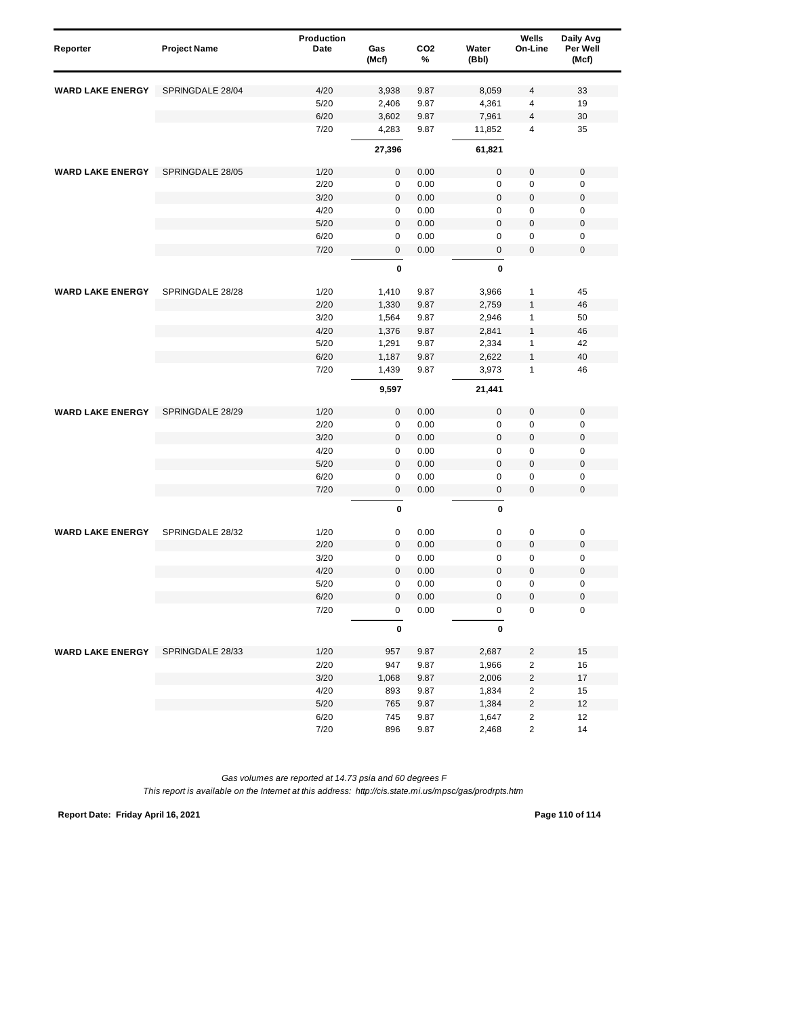| Reporter                | <b>Project Name</b> | Production<br>Date | Gas<br>(Mcf) | CO <sub>2</sub><br>% | Water<br>(Bbl) | Wells<br>On-Line        | Daily Avg<br>Per Well<br>(Mcf) |
|-------------------------|---------------------|--------------------|--------------|----------------------|----------------|-------------------------|--------------------------------|
| <b>WARD LAKE ENERGY</b> | SPRINGDALE 28/04    | 4/20               | 3,938        | 9.87                 | 8,059          | 4                       | 33                             |
|                         |                     | 5/20               | 2,406        | 9.87                 | 4,361          | 4                       | 19                             |
|                         |                     | 6/20               | 3,602        | 9.87                 | 7,961          | 4                       | 30                             |
|                         |                     | 7/20               | 4,283        | 9.87                 | 11,852         | 4                       | 35                             |
|                         |                     |                    | 27,396       |                      | 61,821         |                         |                                |
|                         |                     |                    |              |                      |                |                         |                                |
| <b>WARD LAKE ENERGY</b> | SPRINGDALE 28/05    | 1/20               | 0            | 0.00                 | $\mathbf 0$    | $\pmb{0}$               | $\pmb{0}$                      |
|                         |                     | 2/20               | $\pmb{0}$    | 0.00                 | $\mathsf 0$    | 0                       | $\mathbf 0$                    |
|                         |                     | 3/20               | $\pmb{0}$    | 0.00                 | $\mathbf{0}$   | $\mathbf 0$             | $\mathbf 0$                    |
|                         |                     | 4/20               | 0            | 0.00                 | 0              | 0                       | $\mathbf 0$                    |
|                         |                     | 5/20               | $\pmb{0}$    | 0.00                 | $\mathsf 0$    | 0                       | $\mathbf 0$                    |
|                         |                     | 6/20               | 0            | 0.00                 | 0              | 0                       | $\mathbf 0$                    |
|                         |                     | 7/20               | 0            | 0.00                 | $\mathbf 0$    | $\mathbf 0$             | $\mathbf 0$                    |
|                         |                     |                    | 0            |                      | 0              |                         |                                |
| <b>WARD LAKE ENERGY</b> | SPRINGDALE 28/28    | 1/20               | 1,410        | 9.87                 | 3,966          | 1                       | 45                             |
|                         |                     | 2/20               | 1,330        | 9.87                 | 2,759          | 1                       | 46                             |
|                         |                     | 3/20               | 1,564        | 9.87                 | 2,946          | 1                       | 50                             |
|                         |                     | 4/20               | 1,376        | 9.87                 | 2,841          | $\mathbf{1}$            | 46                             |
|                         |                     | 5/20               | 1,291        | 9.87                 | 2,334          | 1                       | 42                             |
|                         |                     | 6/20               | 1,187        | 9.87                 | 2,622          | $\mathbf{1}$            | 40                             |
|                         |                     | 7/20               | 1,439        | 9.87                 | 3,973          | 1                       | 46                             |
|                         |                     |                    | 9,597        |                      | 21,441         |                         |                                |
| <b>WARD LAKE ENERGY</b> | SPRINGDALE 28/29    | 1/20               | $\pmb{0}$    | 0.00                 | $\mathsf 0$    | $\mathbf 0$             | $\mathbf 0$                    |
|                         |                     | 2/20               | 0            | 0.00                 | 0              | $\mathbf 0$             | $\mathbf 0$                    |
|                         |                     | 3/20               | $\pmb{0}$    | 0.00                 | $\mathbf 0$    | $\mathbf 0$             | $\mathbf 0$                    |
|                         |                     | 4/20               | 0            | 0.00                 | 0              | 0                       | $\mathbf 0$                    |
|                         |                     | 5/20               | 0            | 0.00                 | $\mathsf 0$    | 0                       | $\pmb{0}$                      |
|                         |                     | 6/20               | $\pmb{0}$    | 0.00                 | 0              | 0                       | $\mathbf 0$                    |
|                         |                     | 7/20               | $\pmb{0}$    | 0.00                 | 0              | 0                       | $\mathbf 0$                    |
|                         |                     |                    | 0            |                      | 0              |                         |                                |
| <b>WARD LAKE ENERGY</b> | SPRINGDALE 28/32    | 1/20               | 0            | 0.00                 | 0              | 0                       | $\pmb{0}$                      |
|                         |                     | 2/20               | $\pmb{0}$    | 0.00                 | $\bf 0$        | $\mathbf 0$             | $\mathbf 0$                    |
|                         |                     | 3/20               | 0            | 0.00                 | 0              | 0                       | $\mathbf 0$                    |
|                         |                     | 4/20               | 0            | 0.00                 | $\bf 0$        | 0                       | $\pmb{0}$                      |
|                         |                     | 5/20               | $\pmb{0}$    | 0.00                 | $\mathbf 0$    | $\mathbf 0$             | $\mathbf 0$                    |
|                         |                     | 6/20               | 0            | 0.00                 | $\mathbf 0$    | 0                       | $\mathbf 0$                    |
|                         |                     | 7/20               | 0            | 0.00                 | $\pmb{0}$      | $\pmb{0}$               | $\pmb{0}$                      |
|                         |                     |                    | 0            |                      | 0              |                         |                                |
| <b>WARD LAKE ENERGY</b> | SPRINGDALE 28/33    | 1/20               | 957          | 9.87                 | 2,687          | 2                       | 15                             |
|                         |                     | 2/20               | 947          | 9.87                 | 1,966          | $\sqrt{2}$              | 16                             |
|                         |                     | 3/20               | 1,068        | 9.87                 | 2,006          | $\sqrt{2}$              | 17                             |
|                         |                     | 4/20               | 893          | 9.87                 | 1,834          | 2                       | 15                             |
|                         |                     | 5/20               | 765          | 9.87                 | 1,384          | 2                       | 12                             |
|                         |                     | 6/20               | 745          | 9.87                 | 1,647          | $\overline{\mathbf{c}}$ | 12                             |
|                         |                     | 7/20               | 896          | 9.87                 | 2,468          | 2                       | 14                             |

*Gas volumes are reported at 14.73 psia and 60 degrees F This report is available on the Internet at this address: http://cis.state.mi.us/mpsc/gas/prodrpts.htm*

**Report Date: Friday April 16, 2021 Page 110 of 114**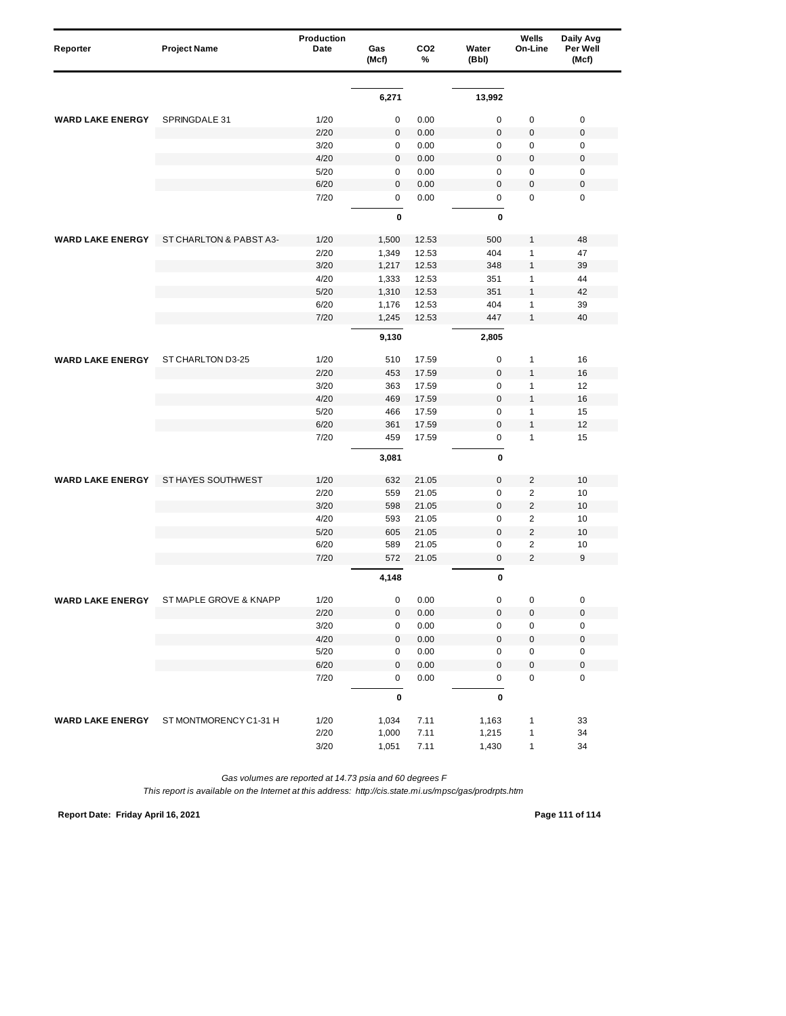| Reporter                | <b>Project Name</b>     | Production<br>Date | Gas<br>(Mcf) | CO <sub>2</sub><br>% | Water<br>(Bbl) | Wells<br>On-Line | Daily Avg<br>Per Well<br>(Mcf) |
|-------------------------|-------------------------|--------------------|--------------|----------------------|----------------|------------------|--------------------------------|
|                         |                         |                    |              |                      |                |                  |                                |
|                         |                         |                    | 6,271        |                      | 13,992         |                  |                                |
| <b>WARD LAKE ENERGY</b> | SPRINGDALE 31           | 1/20               | 0            | 0.00                 | $\mathbf 0$    | 0                | $\mathbf 0$                    |
|                         |                         | 2/20               | 0            | 0.00                 | $\bf 0$        | $\pmb{0}$        | $\mathbf 0$                    |
|                         |                         | 3/20               | 0            | 0.00                 | $\mathbf 0$    | 0                | $\mathbf 0$                    |
|                         |                         | 4/20               | $\pmb{0}$    | 0.00                 | $\mathbf 0$    | $\mathbf 0$      | $\mathbf 0$                    |
|                         |                         | 5/20               | 0            | 0.00                 | $\mathsf 0$    | $\pmb{0}$        | $\pmb{0}$                      |
|                         |                         | 6/20               | $\mathsf 0$  | 0.00                 | $\mathbf 0$    | $\pmb{0}$        | $\mathbf 0$                    |
|                         |                         | 7/20               | $\mathbf 0$  | 0.00                 | 0              | $\mathbf 0$      | $\mathbf 0$                    |
|                         |                         |                    | 0            |                      | 0              |                  |                                |
| <b>WARD LAKE ENERGY</b> | ST CHARLTON & PABST A3- | 1/20               | 1,500        | 12.53                | 500            | $\mathbf{1}$     | 48                             |
|                         |                         | 2/20               | 1,349        | 12.53                | 404            | $\mathbf{1}$     | 47                             |
|                         |                         | 3/20               | 1,217        | 12.53                | 348            | $\mathbf{1}$     | 39                             |
|                         |                         | 4/20               | 1,333        | 12.53                | 351            | 1                | 44                             |
|                         |                         | 5/20               | 1,310        | 12.53                | 351            | $\mathbf{1}$     | 42                             |
|                         |                         | 6/20               | 1,176        | 12.53                | 404            | 1                | 39                             |
|                         |                         | 7/20               | 1,245        | 12.53                | 447            | $\mathbf{1}$     | 40                             |
|                         |                         |                    | 9,130        |                      | 2,805          |                  |                                |
| <b>WARD LAKE ENERGY</b> | ST CHARLTON D3-25       | 1/20               | 510          | 17.59                | 0              | 1                | 16                             |
|                         |                         | 2/20               | 453          | 17.59                | $\bf 0$        | $\mathbf{1}$     | 16                             |
|                         |                         | 3/20               | 363          | 17.59                | $\mathsf 0$    | $\mathbf{1}$     | 12                             |
|                         |                         | 4/20               | 469          | 17.59                | $\mathbf 0$    | $\mathbf{1}$     | 16                             |
|                         |                         | 5/20               | 466          | 17.59                | 0              | 1                | 15                             |
|                         |                         | 6/20               | 361          | 17.59                | $\bf 0$        | $\mathbf{1}$     | 12                             |
|                         |                         | 7/20               | 459          | 17.59                | $\pmb{0}$      | $\mathbf{1}$     | 15                             |
|                         |                         |                    | 3,081        |                      | 0              |                  |                                |
| <b>WARD LAKE ENERGY</b> | ST HAYES SOUTHWEST      | 1/20               | 632          | 21.05                | $\pmb{0}$      | 2                | 10                             |
|                         |                         | 2/20               | 559          | 21.05                | $\mathbf 0$    | $\overline{2}$   | 10                             |
|                         |                         | 3/20               | 598          | 21.05                | $\bf 0$        | $\overline{2}$   | 10                             |
|                         |                         | 4/20               | 593          | 21.05                | 0              | $\overline{2}$   | 10                             |
|                         |                         | 5/20               | 605          | 21.05                | $\mathbf{0}$   | $\overline{2}$   | 10                             |
|                         |                         | 6/20               | 589          | 21.05                | $\mathbf 0$    | $\overline{2}$   | 10                             |
|                         |                         | 7/20               | 572          | 21.05                | $\bf 0$        | $\overline{2}$   | 9                              |
|                         |                         |                    | 4,148        |                      | $\mathbf 0$    |                  |                                |
| WARD LAKE ENERGY        | ST MAPLE GROVE & KNAPP  | $1/20$             | 0            | 0.00                 | 0              | 0                | 0                              |
|                         |                         | 2/20               | 0            | 0.00                 | $\pmb{0}$      | $\pmb{0}$        | $\pmb{0}$                      |
|                         |                         | 3/20               | 0            | $0.00\,$             | 0              | 0                | 0                              |
|                         |                         | 4/20               | $\mathbf 0$  | 0.00                 | $\mathsf 0$    | $\pmb{0}$        | $\pmb{0}$                      |
|                         |                         | 5/20               | 0            | 0.00                 | 0              | $\pmb{0}$        | $\pmb{0}$                      |
|                         |                         | 6/20               | 0            | 0.00                 | $\mathbf 0$    | $\pmb{0}$        | $\mathbf 0$                    |
|                         |                         | 7/20               | 0            | 0.00                 | 0              | 0                | $\pmb{0}$                      |
|                         |                         |                    | $\pmb{0}$    |                      | $\pmb{0}$      |                  |                                |
| <b>WARD LAKE ENERGY</b> | ST MONTMORENCY C1-31 H  | 1/20               | 1,034        | 7.11                 | 1,163          | $\mathbf{1}$     | 33                             |
|                         |                         | 2/20               | 1,000        | 7.11                 | 1,215          | $\mathbf{1}$     | 34                             |
|                         |                         | 3/20               | 1,051        | 7.11                 | 1,430          | $\mathbf{1}$     | 34                             |

*Gas volumes are reported at 14.73 psia and 60 degrees F*

*This report is available on the Internet at this address: http://cis.state.mi.us/mpsc/gas/prodrpts.htm*

**Report Date: Friday April 16, 2021 Page 111 of 114**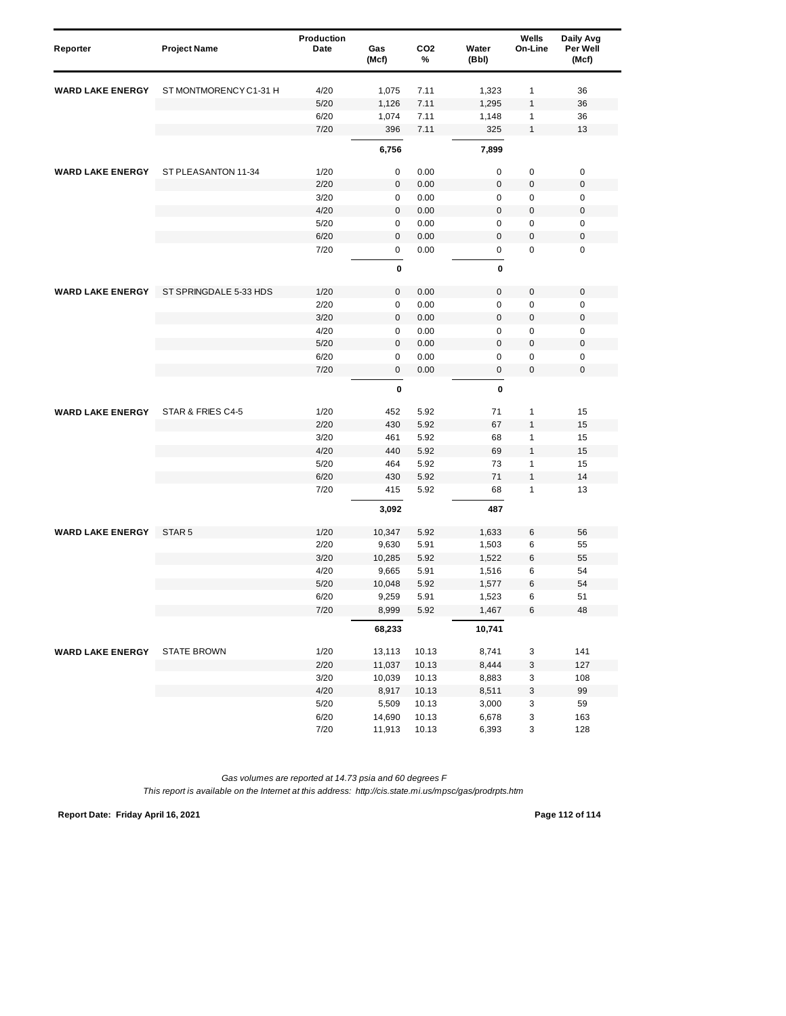| Reporter                | <b>Project Name</b>    | <b>Production</b><br>Date | Gas<br>(Mcf) | CO <sub>2</sub><br>% | Water<br>(Bbl) | Wells<br>On-Line | Daily Avg<br>Per Well<br>(Mcf) |
|-------------------------|------------------------|---------------------------|--------------|----------------------|----------------|------------------|--------------------------------|
| <b>WARD LAKE ENERGY</b> | ST MONTMORENCY C1-31 H | 4/20                      | 1,075        | 7.11                 | 1,323          | 1                | 36                             |
|                         |                        | 5/20                      | 1,126        | 7.11                 | 1,295          | 1                | 36                             |
|                         |                        | 6/20                      | 1,074        | 7.11                 | 1,148          | 1                | 36                             |
|                         |                        | 7/20                      | 396          | 7.11                 | 325            | $\mathbf{1}$     | 13                             |
|                         |                        |                           | 6,756        |                      | 7,899          |                  |                                |
|                         |                        |                           |              |                      |                |                  |                                |
| <b>WARD LAKE ENERGY</b> | ST PLEASANTON 11-34    | 1/20                      | 0            | 0.00                 | $\mathbf 0$    | 0                | 0                              |
|                         |                        | 2/20                      | 0            | 0.00                 | $\mathbf{0}$   | $\pmb{0}$        | $\mathbf 0$                    |
|                         |                        | 3/20                      | 0            | 0.00                 | $\mathbf 0$    | 0                | $\mathbf 0$                    |
|                         |                        | 4/20                      | $\mathbf 0$  | 0.00                 | $\mathbf 0$    | 0                | $\boldsymbol{0}$               |
|                         |                        | 5/20                      | 0            | 0.00                 | $\mathbf 0$    | 0                | $\mathbf 0$                    |
|                         |                        | 6/20                      | $\mathbf{0}$ | 0.00                 | $\mathbf 0$    | $\pmb{0}$        | $\mathbf 0$                    |
|                         |                        | 7/20                      | 0            | 0.00                 | 0              | $\mathbf 0$      | $\mathbf 0$                    |
|                         |                        |                           | 0            |                      | 0              |                  |                                |
| <b>WARD LAKE ENERGY</b> | ST SPRINGDALE 5-33 HDS | 1/20                      | $\mathbf 0$  | 0.00                 | $\mathbf 0$    | 0                | $\mathbf 0$                    |
|                         |                        | 2/20                      | 0            | 0.00                 | $\mathbf 0$    | 0                | $\pmb{0}$                      |
|                         |                        | 3/20                      | 0            | 0.00                 | $\bf 0$        | 0                | $\mathbf 0$                    |
|                         |                        | 4/20                      | 0            | 0.00                 | $\mathbf 0$    | 0                | $\mathbf 0$                    |
|                         |                        | 5/20                      | $\mathbf 0$  | 0.00                 | $\mathbf 0$    | 0                | $\mathbf 0$                    |
|                         |                        | 6/20                      | 0            | 0.00                 | 0              | 0                | $\pmb{0}$                      |
|                         |                        | 7/20                      | $\mathbf 0$  | 0.00                 | 0              | 0                | $\mathbf 0$                    |
|                         |                        |                           | $\pmb{0}$    |                      | $\pmb{0}$      |                  |                                |
| <b>WARD LAKE ENERGY</b> | STAR & FRIES C4-5      | 1/20                      | 452          | 5.92                 | 71             | 1                | 15                             |
|                         |                        | 2/20                      | 430          | 5.92                 | 67             | $\mathbf{1}$     | 15                             |
|                         |                        | 3/20                      | 461          | 5.92                 | 68             | 1                | 15                             |
|                         |                        | 4/20                      | 440          | 5.92                 | 69             | $\mathbf{1}$     | 15                             |
|                         |                        | 5/20                      | 464          | 5.92                 | 73             | 1                | 15                             |
|                         |                        | 6/20                      | 430          | 5.92                 | 71             | $\mathbf{1}$     | 14                             |
|                         |                        | 7/20                      | 415          | 5.92                 | 68             | 1                | 13                             |
|                         |                        |                           | 3,092        |                      | 487            |                  |                                |
| <b>WARD LAKE ENERGY</b> | STAR <sub>5</sub>      | 1/20                      | 10,347       | 5.92                 | 1,633          | 6                | 56                             |
|                         |                        | 2/20                      | 9,630        | 5.91                 | 1,503          | 6                | 55                             |
|                         |                        | 3/20                      | 10,285       | 5.92                 | 1,522          | 6                | 55                             |
|                         |                        | 4/20                      | 9,665        | 5.91                 | 1,516          | 6                | 54                             |
|                         |                        | 5/20                      | 10,048       | 5.92                 | 1,577          | 6                | 54                             |
|                         |                        | 6/20                      | 9,259        | 5.91                 | 1.523          | 6                | 51                             |
|                         |                        | 7/20                      | 8,999        | 5.92                 | 1,467          | 6                | 48                             |
|                         |                        |                           | 68,233       |                      | 10,741         |                  |                                |
| <b>WARD LAKE ENERGY</b> | <b>STATE BROWN</b>     | 1/20                      | 13,113       | 10.13                | 8,741          | 3                | 141                            |
|                         |                        | 2/20                      | 11,037       | 10.13                | 8,444          | 3                | 127                            |
|                         |                        | 3/20                      | 10,039       | 10.13                | 8,883          | 3                | 108                            |
|                         |                        | 4/20                      | 8,917        | 10.13                | 8,511          | 3                | 99                             |
|                         |                        | $5/20$                    | 5,509        | 10.13                | 3,000          | 3                | 59                             |
|                         |                        | 6/20                      | 14,690       | 10.13                | 6,678          | 3                | 163                            |
|                         |                        | 7/20                      | 11,913       | 10.13                | 6,393          | 3                | 128                            |

*Gas volumes are reported at 14.73 psia and 60 degrees F This report is available on the Internet at this address: http://cis.state.mi.us/mpsc/gas/prodrpts.htm*

**Report Date: Friday April 16, 2021 Page 112 of 114**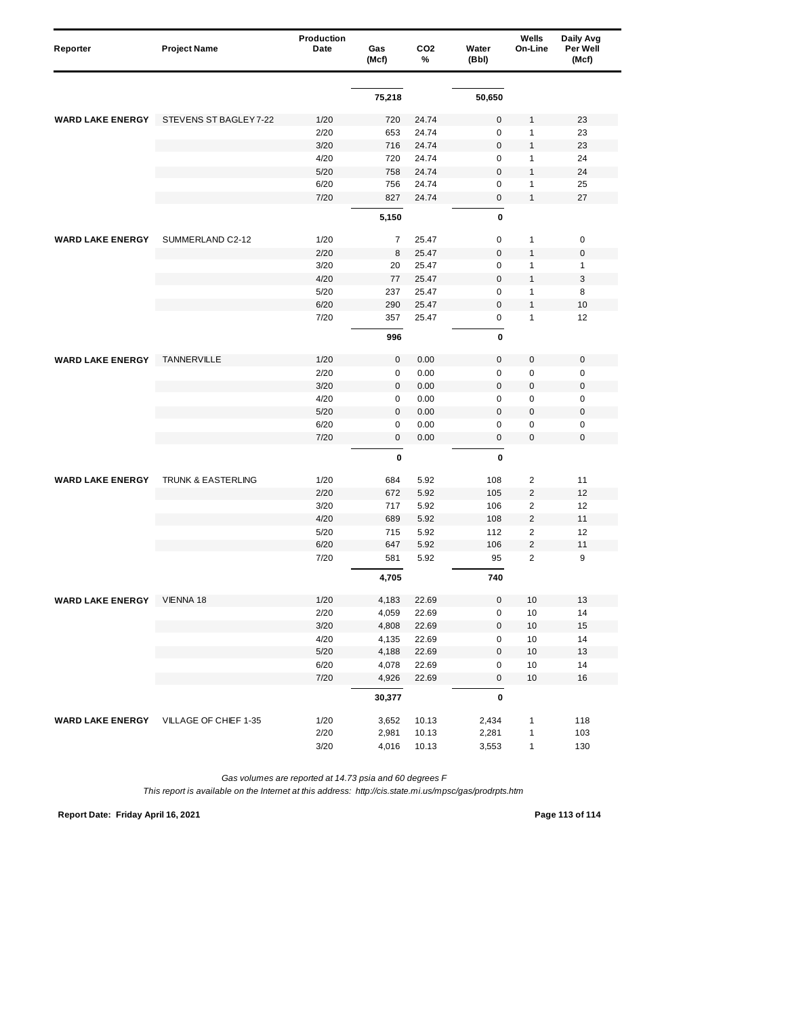| Reporter                | <b>Project Name</b>                    | Production<br>Date | Gas<br>(Mcf) | CO <sub>2</sub><br>% | Water<br>(Bbl)   | Wells<br>On-Line | Daily Avg<br>Per Well<br>(Mcf) |
|-------------------------|----------------------------------------|--------------------|--------------|----------------------|------------------|------------------|--------------------------------|
|                         |                                        |                    |              |                      |                  |                  |                                |
|                         |                                        |                    | 75,218       |                      | 50,650           |                  |                                |
| <b>WARD LAKE ENERGY</b> | STEVENS ST BAGLEY 7-22                 | 1/20               | 720          | 24.74                | 0                | 1                | 23                             |
|                         |                                        | 2/20               | 653          | 24.74                | $\mathsf 0$      | 1                | 23                             |
|                         |                                        | 3/20               | 716          | 24.74                | $\mathbf 0$      | $\mathbf{1}$     | 23                             |
|                         |                                        | 4/20               | 720          | 24.74                | $\mathbf 0$      | $\mathbf{1}$     | 24                             |
|                         |                                        | 5/20               | 758          | 24.74                | $\boldsymbol{0}$ | $\mathbf{1}$     | 24                             |
|                         |                                        | 6/20               | 756          | 24.74                | 0                | $\mathbf{1}$     | 25                             |
|                         |                                        | 7/20               | 827          | 24.74                | $\boldsymbol{0}$ | $\mathbf{1}$     | 27                             |
|                         |                                        |                    | 5,150        |                      | 0                |                  |                                |
| <b>WARD LAKE ENERGY</b> | SUMMERLAND C2-12                       | 1/20               | 7            | 25.47                | 0                | 1                | $\pmb{0}$                      |
|                         |                                        | 2/20               | 8            | 25.47                | $\mathbf 0$      | 1                | $\mathbf 0$                    |
|                         |                                        | 3/20               | 20           | 25.47                | 0                | 1                | 1                              |
|                         |                                        | 4/20               | 77           | 25.47                | $\mathbf 0$      | $\mathbf{1}$     | 3                              |
|                         |                                        | 5/20               | 237          | 25.47                | 0                | $\mathbf{1}$     | 8                              |
|                         |                                        | 6/20               | 290          | 25.47                | $\mathbf 0$      | $\mathbf{1}$     | 10                             |
|                         |                                        | 7/20               | 357          | 25.47                | 0                | $\mathbf{1}$     | 12                             |
|                         |                                        |                    | 996          |                      | 0                |                  |                                |
| <b>WARD LAKE ENERGY</b> | TANNERVILLE                            | 1/20               | $\pmb{0}$    | 0.00                 | $\mathsf 0$      | $\pmb{0}$        | $\mathbf 0$                    |
|                         |                                        | 2/20               | 0            | 0.00                 | 0                | $\pmb{0}$        | 0                              |
|                         |                                        | 3/20               | 0            | 0.00                 | $\mathbf 0$      | $\mathbf 0$      | $\boldsymbol{0}$               |
|                         |                                        | 4/20               | $\pmb{0}$    | 0.00                 | $\pmb{0}$        | 0                | $\mathbf 0$                    |
|                         |                                        | 5/20               | $\pmb{0}$    | 0.00                 | $\mathbf 0$      | 0                | $\mathbf 0$                    |
|                         |                                        | 6/20               | 0            | 0.00                 | 0                | $\pmb{0}$        | 0                              |
|                         |                                        | 7/20               | $\pmb{0}$    | 0.00                 | 0                | 0                | $\mathbf 0$                    |
|                         |                                        |                    | 0            |                      | 0                |                  |                                |
| <b>WARD LAKE ENERGY</b> | TRUNK & EASTERLING                     | 1/20               | 684          | 5.92                 | 108              | $\overline{c}$   | 11                             |
|                         |                                        | 2/20               | 672          | 5.92                 | 105              | $\overline{2}$   | 12                             |
|                         |                                        | 3/20               | 717          | 5.92                 | 106              | $\overline{2}$   | 12                             |
|                         |                                        | 4/20               | 689          | 5.92                 | 108              | $\overline{2}$   | 11                             |
|                         |                                        | 5/20               | 715          | 5.92                 | 112              | $\overline{2}$   | 12                             |
|                         |                                        | 6/20               | 647          | 5.92                 | 106              | $\overline{2}$   | 11                             |
|                         |                                        | 7/20               | 581          | 5.92                 | 95               | $\overline{2}$   | 9                              |
|                         |                                        |                    | 4,705        |                      | 740              |                  |                                |
| <b>WARD LAKE ENERGY</b> | VIENNA 18                              | $1/20$             | 4,183        | 22.69                |                  | 10               | 13                             |
|                         |                                        | 2/20               | 4,059        | 22.69                | 0                | 10               | 14                             |
|                         |                                        | $3/20$             | 4,808        | 22.69                | 0                | $10$             | 15                             |
|                         |                                        | 4/20               | 4,135        | 22.69                | $\pmb{0}$        | 10               | 14                             |
|                         |                                        | $5/20$             | 4,188        | 22.69                | 0                | $10$             | 13                             |
|                         |                                        | 6/20               | 4,078        | 22.69                | 0                | $10$             | 14                             |
|                         |                                        | 7/20               | 4,926        | 22.69                | 0                | 10               | $16$                           |
|                         |                                        |                    | 30,377       |                      | 0                |                  |                                |
|                         | WARD LAKE ENERGY VILLAGE OF CHIEF 1-35 | 1/20               | 3,652        | 10.13                | 2,434            | 1                | 118                            |
|                         |                                        | 2/20               | 2,981        | 10.13                | 2,281            | 1                | 103                            |
|                         |                                        | 3/20               | 4,016        | 10.13                | 3,553            | $\mathbf{1}$     | 130                            |

*Gas volumes are reported at 14.73 psia and 60 degrees F*

*This report is available on the Internet at this address: http://cis.state.mi.us/mpsc/gas/prodrpts.htm*

**Report Date: Friday April 16, 2021 Page 113 of 114**